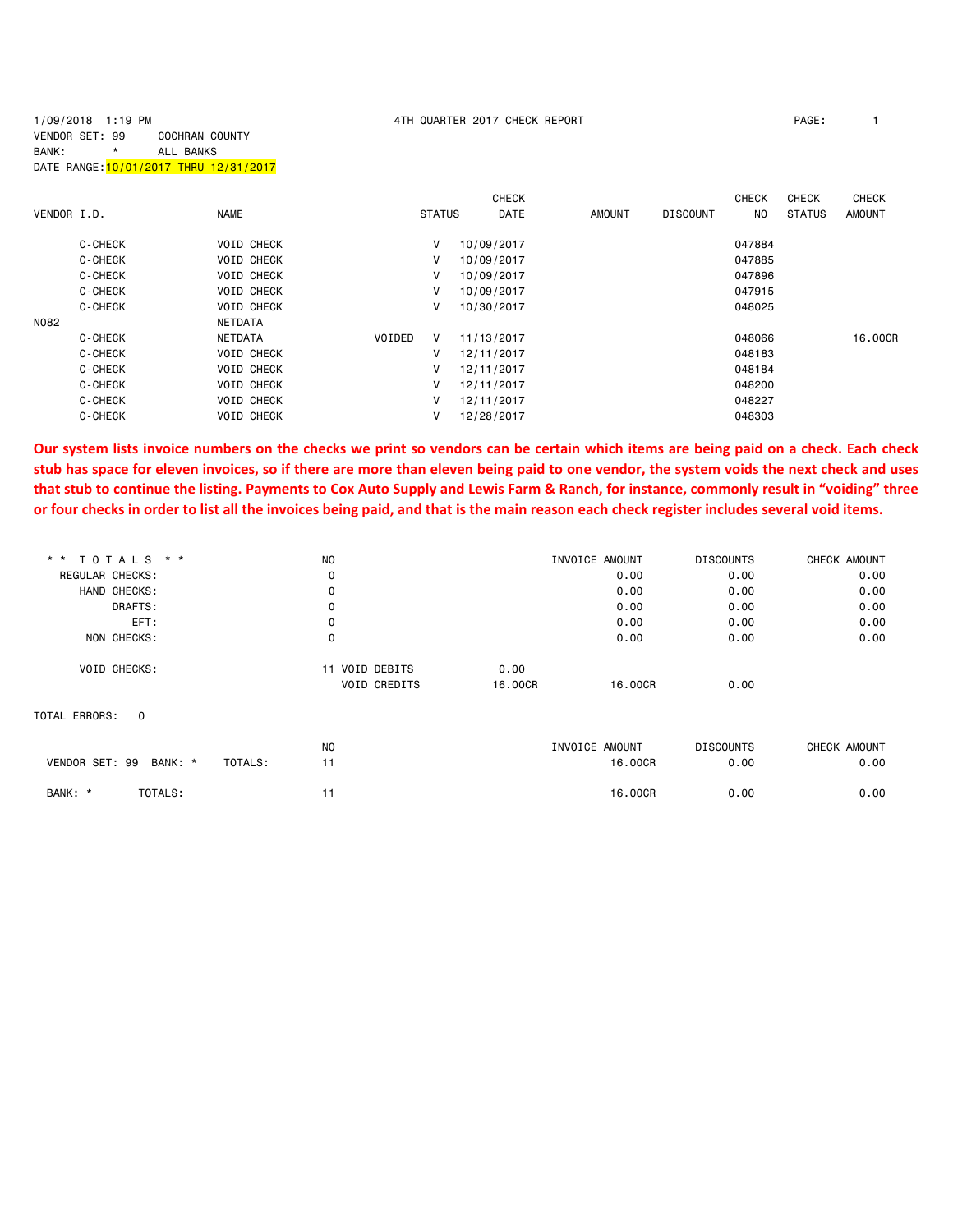## 1/09/2018 1:19 PM 4TH QUARTER 2017 CHECK REPORT PAGE: 1 VENDOR SET: 99 COCHRAN COUNTY BANK: \* ALL BANKS DATE RANGE:10/01/2017 THRU 12/31/2017

| VENDOR I.D. |         | <b>NAME</b>       | <b>STATUS</b> | <b>CHECK</b><br>DATE | <b>AMOUNT</b> | <b>DISCOUNT</b> | <b>CHECK</b><br>NO. | <b>CHECK</b><br><b>STATUS</b> | <b>CHECK</b><br><b>AMOUNT</b> |
|-------------|---------|-------------------|---------------|----------------------|---------------|-----------------|---------------------|-------------------------------|-------------------------------|
|             | C-CHECK | <b>VOID CHECK</b> | v             | 10/09/2017           |               |                 | 047884              |                               |                               |
|             | C-CHECK | <b>VOID CHECK</b> | V             | 10/09/2017           |               |                 | 047885              |                               |                               |
|             | C-CHECK | <b>VOID CHECK</b> | v             | 10/09/2017           |               |                 | 047896              |                               |                               |
|             | C-CHECK | <b>VOID CHECK</b> | v             | 10/09/2017           |               |                 | 047915              |                               |                               |
|             | C-CHECK | <b>VOID CHECK</b> | v             | 10/30/2017           |               |                 | 048025              |                               |                               |
| N082        |         | NETDATA           |               |                      |               |                 |                     |                               |                               |
|             | C-CHECK | <b>NETDATA</b>    | VOIDED<br>v   | 11/13/2017           |               |                 | 048066              |                               | 16,00CR                       |
|             | C-CHECK | <b>VOID CHECK</b> | v             | 12/11/2017           |               |                 | 048183              |                               |                               |
|             | C-CHECK | <b>VOID CHECK</b> | v             | 12/11/2017           |               |                 | 048184              |                               |                               |
|             | C-CHECK | <b>VOID CHECK</b> | V             | 12/11/2017           |               |                 | 048200              |                               |                               |
|             | C-CHECK | <b>VOID CHECK</b> | v             | 12/11/2017           |               |                 | 048227              |                               |                               |
|             | C-CHECK | <b>VOID CHECK</b> | v             | 12/28/2017           |               |                 | 048303              |                               |                               |

**Our system lists invoice numbers on the checks we print so vendors can be certain which items are being paid on a check. Each check stub has space for eleven invoices, so if there are more than eleven being paid to one vendor, the system voids the next check and uses that stub to continue the listing. Payments to Cox Auto Supply and Lewis Farm & Ranch, for instance, commonly result in "voiding" three or four checks in order to list all the invoices being paid, and that is the main reason each check register includes several void items.**

| * * TOTALS * *      |             |         | N <sub>O</sub>      |         | INVOICE AMOUNT | <b>DISCOUNTS</b> | CHECK AMOUNT |
|---------------------|-------------|---------|---------------------|---------|----------------|------------------|--------------|
| REGULAR CHECKS:     |             |         | 0                   |         | 0.00           | 0.00             | 0.00         |
| HAND CHECKS:        |             |         | 0                   |         | 0.00           | 0.00             | 0.00         |
|                     | DRAFTS:     |         | 0                   |         | 0.00           | 0.00             | 0.00         |
|                     | EFT:        |         | 0                   |         | 0.00           | 0.00             | 0.00         |
|                     | NON CHECKS: |         | 0                   |         | 0.00           | 0.00             | 0.00         |
| <b>VOID CHECKS:</b> |             |         | 11 VOID DEBITS      | 0.00    |                |                  |              |
|                     |             |         | <b>VOID CREDITS</b> | 16,00CR | 16,00CR        | 0.00             |              |
| TOTAL ERRORS:       | $\Omega$    |         |                     |         |                |                  |              |
|                     |             |         | <b>NO</b>           |         | INVOICE AMOUNT | <b>DISCOUNTS</b> | CHECK AMOUNT |
| VENDOR SET: 99      | BANK: *     | TOTALS: | 11                  |         | 16,00CR        | 0.00             | 0.00         |
| BANK: *             | TOTALS:     |         | 11                  |         | 16.00CR        | 0.00             | 0.00         |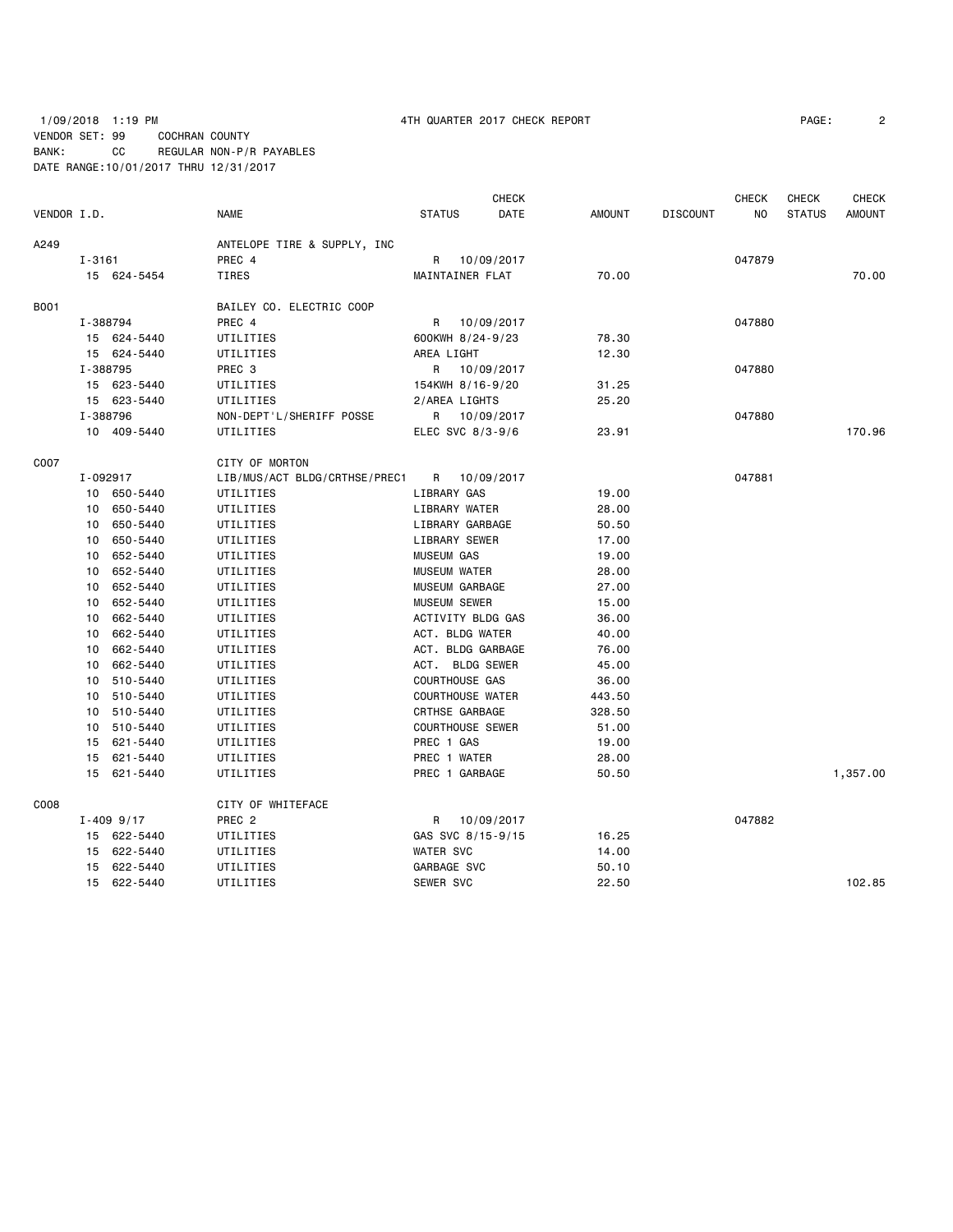## 1/09/2018 1:19 PM **1/09/2018 1:19 PM 1/09/2018** 1:19 PM VENDOR SET: 99 COCHRAN COUNTY BANK: CC REGULAR NON-P/R PAYABLES DATE RANGE:10/01/2017 THRU 12/31/2017

|             |          |                |                               |                         | <b>CHECK</b>      |        |                 | <b>CHECK</b> | <b>CHECK</b>  | <b>CHECK</b>  |
|-------------|----------|----------------|-------------------------------|-------------------------|-------------------|--------|-----------------|--------------|---------------|---------------|
| VENDOR I.D. |          |                | NAME                          | <b>STATUS</b>           | DATE              | AMOUNT | <b>DISCOUNT</b> | NO.          | <b>STATUS</b> | <b>AMOUNT</b> |
| A249        |          |                | ANTELOPE TIRE & SUPPLY, INC   |                         |                   |        |                 |              |               |               |
|             | I-3161   |                | PREC 4                        |                         | R 10/09/2017      |        |                 | 047879       |               |               |
|             |          | 15 624-5454    | TIRES                         | MAINTAINER FLAT         |                   | 70.00  |                 |              |               | 70.00         |
| B001        |          |                | BAILEY CO. ELECTRIC COOP      |                         |                   |        |                 |              |               |               |
|             | I-388794 |                | PREC 4                        |                         | R 10/09/2017      |        |                 | 047880       |               |               |
|             |          | 15 624-5440    | UTILITIES                     | 600KWH 8/24-9/23        |                   | 78.30  |                 |              |               |               |
|             |          | 15 624-5440    | UTILITIES                     | AREA LIGHT              |                   | 12.30  |                 |              |               |               |
|             | I-388795 |                | PREC 3                        | R                       | 10/09/2017        |        |                 | 047880       |               |               |
|             |          | 15 623-5440    | UTILITIES                     | 154KWH 8/16-9/20        |                   | 31.25  |                 |              |               |               |
|             |          | 15 623-5440    | UTILITIES                     | 2/AREA LIGHTS           |                   | 25.20  |                 |              |               |               |
|             | I-388796 |                | NON-DEPT'L/SHERIFF POSSE      |                         | R 10/09/2017      |        |                 | 047880       |               |               |
|             |          | 10 409-5440    | UTILITIES                     | ELEC SVC 8/3-9/6        |                   | 23.91  |                 |              |               | 170.96        |
| C007        |          |                | CITY OF MORTON                |                         |                   |        |                 |              |               |               |
|             | I-092917 |                | LIB/MUS/ACT BLDG/CRTHSE/PREC1 |                         | R 10/09/2017      |        |                 | 047881       |               |               |
|             |          | 10 650-5440    | UTILITIES                     | LIBRARY GAS             |                   | 19.00  |                 |              |               |               |
|             |          | 10 650-5440    | UTILITIES                     | LIBRARY WATER           |                   | 28.00  |                 |              |               |               |
|             |          | 10 650-5440    | UTILITIES                     | LIBRARY GARBAGE         |                   | 50.50  |                 |              |               |               |
|             |          | 10 650-5440    | UTILITIES                     | LIBRARY SEWER           |                   | 17.00  |                 |              |               |               |
|             |          | 10 652-5440    | UTILITIES                     | <b>MUSEUM GAS</b>       |                   | 19.00  |                 |              |               |               |
|             |          | 10 652-5440    | UTILITIES                     | <b>MUSEUM WATER</b>     |                   | 28.00  |                 |              |               |               |
|             |          | 10 652-5440    | UTILITIES                     | MUSEUM GARBAGE          |                   | 27.00  |                 |              |               |               |
|             |          | 10 652-5440    | UTILITIES                     | <b>MUSEUM SEWER</b>     |                   | 15.00  |                 |              |               |               |
|             |          | 10 662-5440    | UTILITIES                     |                         | ACTIVITY BLDG GAS | 36.00  |                 |              |               |               |
|             |          | 10 662-5440    | UTILITIES                     | ACT. BLDG WATER         |                   | 40.00  |                 |              |               |               |
|             |          | 10 662-5440    | UTILITIES                     |                         | ACT. BLDG GARBAGE | 76.00  |                 |              |               |               |
|             |          | 10 662-5440    | UTILITIES                     | ACT. BLDG SEWER         |                   | 45.00  |                 |              |               |               |
|             |          | 10 510-5440    | UTILITIES                     | <b>COURTHOUSE GAS</b>   |                   | 36.00  |                 |              |               |               |
|             |          | 10 510-5440    | UTILITIES                     | <b>COURTHOUSE WATER</b> |                   | 443.50 |                 |              |               |               |
|             |          | 10 510-5440    | UTILITIES                     | CRTHSE GARBAGE          |                   | 328.50 |                 |              |               |               |
|             |          | 10 510-5440    | UTILITIES                     | <b>COURTHOUSE SEWER</b> |                   | 51.00  |                 |              |               |               |
|             |          | 15 621-5440    | UTILITIES                     | PREC 1 GAS              |                   | 19.00  |                 |              |               |               |
|             |          | 15 621-5440    | UTILITIES                     | PREC 1 WATER            |                   | 28.00  |                 |              |               |               |
|             |          | 15 621-5440    | UTILITIES                     | PREC 1 GARBAGE          |                   | 50.50  |                 |              |               | 1,357.00      |
| C008        |          |                | CITY OF WHITEFACE             |                         |                   |        |                 |              |               |               |
|             |          | $I - 409$ 9/17 | PREC <sub>2</sub>             |                         | R 10/09/2017      |        |                 | 047882       |               |               |
|             |          | 15 622-5440    | UTILITIES                     |                         | GAS SVC 8/15-9/15 | 16.25  |                 |              |               |               |
|             |          | 15 622-5440    | UTILITIES                     | <b>WATER SVC</b>        |                   | 14.00  |                 |              |               |               |
|             |          | 15 622-5440    | UTILITIES                     | GARBAGE SVC             |                   | 50.10  |                 |              |               |               |
|             |          | 15 622-5440    | UTILITIES                     | <b>SEWER SVC</b>        |                   | 22.50  |                 |              |               | 102.85        |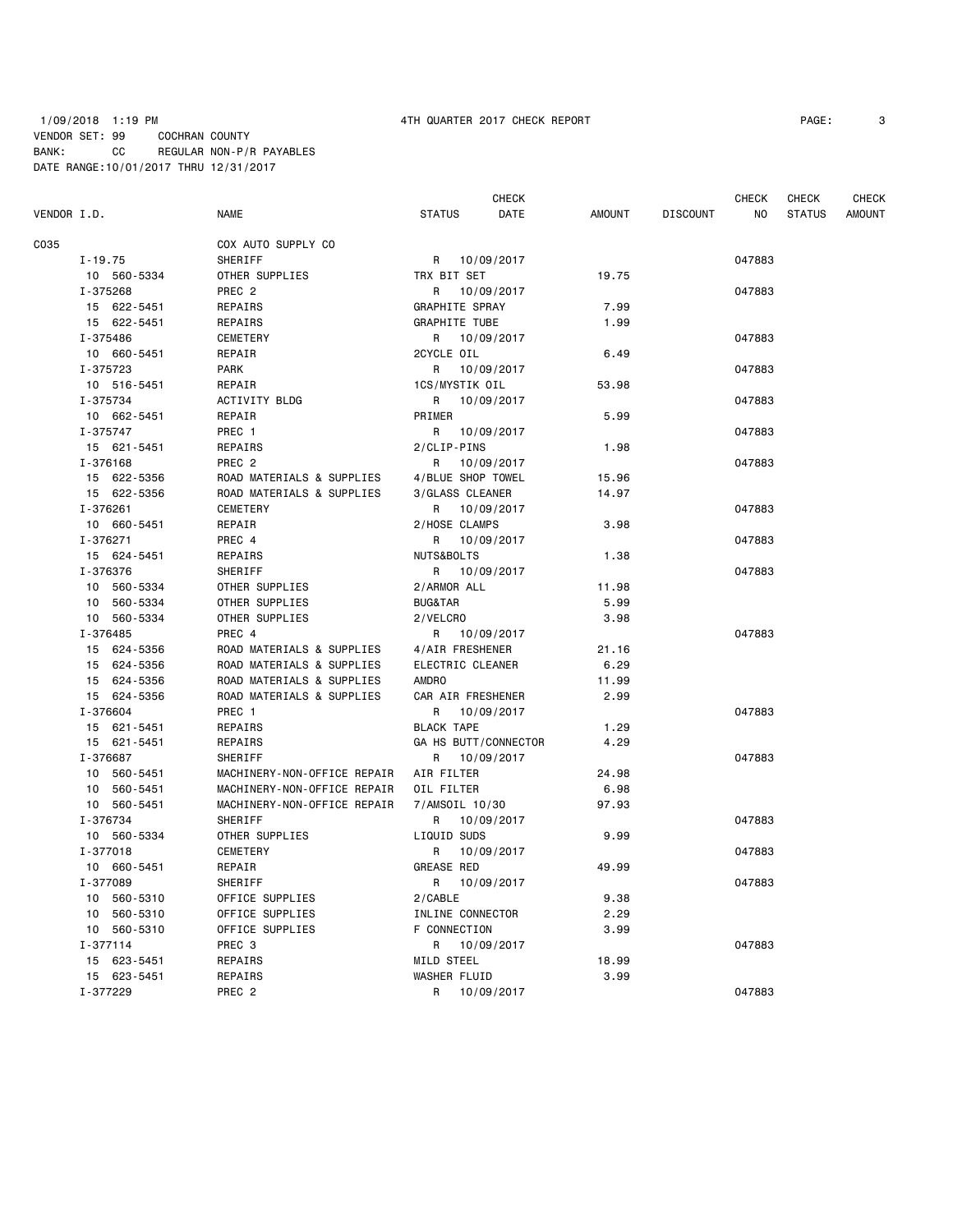### 1/09/2018 1:19 PM 4TH QUARTER 2017 CHECK REPORT PAGE: 3 VENDOR SET: 99 COCHRAN COUNTY BANK: CC REGULAR NON-P/R PAYABLES DATE RANGE:10/01/2017 THRU 12/31/2017

|             |                |                             |                      | <b>CHECK</b> |               |                 | <b>CHECK</b>   | <b>CHECK</b>  | CHECK  |
|-------------|----------------|-----------------------------|----------------------|--------------|---------------|-----------------|----------------|---------------|--------|
| VENDOR I.D. |                | <b>NAME</b>                 | <b>STATUS</b>        | DATE         | <b>AMOUNT</b> | <b>DISCOUNT</b> | N <sub>O</sub> | <b>STATUS</b> | AMOUNT |
| C035        |                | COX AUTO SUPPLY CO          |                      |              |               |                 |                |               |        |
|             | $I - 19.75$    | <b>SHERIFF</b>              | R 10/09/2017         |              |               |                 | 047883         |               |        |
|             | 10 560-5334    | OTHER SUPPLIES              | TRX BIT SET          |              | 19.75         |                 |                |               |        |
|             | I-375268       | PREC <sub>2</sub>           | R.                   | 10/09/2017   |               |                 | 047883         |               |        |
|             | 15 622-5451    | REPAIRS                     | GRAPHITE SPRAY       |              | 7.99          |                 |                |               |        |
|             | 15 622-5451    | REPAIRS                     | <b>GRAPHITE TUBE</b> |              | 1.99          |                 |                |               |        |
|             | I-375486       | <b>CEMETERY</b>             | R 10/09/2017         |              |               |                 | 047883         |               |        |
|             | 10 660-5451    | REPAIR                      | 2CYCLE OIL           |              | 6.49          |                 |                |               |        |
|             | I-375723       | <b>PARK</b>                 | R                    | 10/09/2017   |               |                 | 047883         |               |        |
|             | 10 516-5451    | REPAIR                      | 1CS/MYSTIK OIL       |              | 53.98         |                 |                |               |        |
|             | I-375734       | <b>ACTIVITY BLDG</b>        | R                    | 10/09/2017   |               |                 | 047883         |               |        |
|             | 10 662-5451    | REPAIR                      | PRIMER               |              | 5.99          |                 |                |               |        |
|             | I-375747       | PREC 1                      | R                    | 10/09/2017   |               |                 | 047883         |               |        |
|             | 15 621-5451    | REPAIRS                     | 2/CLIP-PINS          |              | 1.98          |                 |                |               |        |
|             | I-376168       | PREC <sub>2</sub>           | R                    | 10/09/2017   |               |                 | 047883         |               |        |
|             | 15 622-5356    | ROAD MATERIALS & SUPPLIES   | 4/BLUE SHOP TOWEL    |              | 15.96         |                 |                |               |        |
|             | 15 622-5356    | ROAD MATERIALS & SUPPLIES   | 3/GLASS CLEANER      |              | 14.97         |                 |                |               |        |
|             | I-376261       | <b>CEMETERY</b>             | R                    | 10/09/2017   |               |                 | 047883         |               |        |
|             | 10 660-5451    | REPAIR                      | 2/HOSE CLAMPS        |              | 3.98          |                 |                |               |        |
|             | I-376271       | PREC 4                      | R                    | 10/09/2017   |               |                 | 047883         |               |        |
|             | 15 624-5451    | REPAIRS                     | NUTS&BOLTS           |              | 1.38          |                 |                |               |        |
|             | I-376376       | SHERIFF                     | R                    | 10/09/2017   |               |                 | 047883         |               |        |
|             | 10 560-5334    | OTHER SUPPLIES              | 2/ARMOR ALL          |              | 11.98         |                 |                |               |        |
|             | 560-5334<br>10 | OTHER SUPPLIES              | <b>BUG&amp;TAR</b>   |              | 5.99          |                 |                |               |        |
|             | 10 560-5334    | OTHER SUPPLIES              | 2/VELCRO             |              | 3.98          |                 |                |               |        |
|             | I-376485       | PREC 4                      | R 10/09/2017         |              |               |                 | 047883         |               |        |
|             | 15 624-5356    | ROAD MATERIALS & SUPPLIES   | 4/AIR FRESHENER      |              | 21.16         |                 |                |               |        |
|             | 15 624-5356    | ROAD MATERIALS & SUPPLIES   | ELECTRIC CLEANER     |              | 6.29          |                 |                |               |        |
|             | 15 624-5356    | ROAD MATERIALS & SUPPLIES   | <b>AMDRO</b>         |              | 11.99         |                 |                |               |        |
|             | 15 624-5356    | ROAD MATERIALS & SUPPLIES   | CAR AIR FRESHENER    |              | 2.99          |                 |                |               |        |
|             | I-376604       | PREC 1                      | R.                   | 10/09/2017   |               |                 | 047883         |               |        |
|             | 15 621-5451    | REPAIRS                     | <b>BLACK TAPE</b>    |              | 1.29          |                 |                |               |        |
|             | 15 621-5451    | REPAIRS                     | GA HS BUTT/CONNECTOR |              | 4.29          |                 |                |               |        |
|             | I-376687       | SHERIFF                     | R                    | 10/09/2017   |               |                 | 047883         |               |        |
|             | 10 560-5451    | MACHINERY-NON-OFFICE REPAIR | AIR FILTER           |              | 24.98         |                 |                |               |        |
|             | 10 560-5451    | MACHINERY-NON-OFFICE REPAIR | OIL FILTER           |              | 6.98          |                 |                |               |        |
|             | 10 560-5451    | MACHINERY-NON-OFFICE REPAIR | 7/AMSOIL 10/30       |              | 97.93         |                 |                |               |        |
|             | I-376734       | SHERIFF                     | R                    | 10/09/2017   |               |                 | 047883         |               |        |
|             | 10 560-5334    | OTHER SUPPLIES              | LIQUID SUDS          |              | 9.99          |                 |                |               |        |
|             | I-377018       | <b>CEMETERY</b>             | R                    | 10/09/2017   |               |                 | 047883         |               |        |
|             | 10 660-5451    | REPAIR                      | <b>GREASE RED</b>    |              | 49.99         |                 |                |               |        |
|             | I-377089       | SHERIFF                     | R                    | 10/09/2017   |               |                 | 047883         |               |        |
|             | 10 560-5310    | OFFICE SUPPLIES             | 2/CABLE              |              | 9.38          |                 |                |               |        |
|             | 10<br>560-5310 | OFFICE SUPPLIES             | INLINE CONNECTOR     |              | 2.29          |                 |                |               |        |
|             | 10 560-5310    | OFFICE SUPPLIES             | F CONNECTION         |              | 3.99          |                 |                |               |        |
|             | I-377114       | PREC 3                      | R 10/09/2017         |              |               |                 | 047883         |               |        |
|             | 15 623-5451    | <b>REPAIRS</b>              | <b>MILD STEEL</b>    |              | 18.99         |                 |                |               |        |
|             | 15 623-5451    | REPAIRS                     | <b>WASHER FLUID</b>  |              | 3.99          |                 |                |               |        |
|             | I-377229       | PREC <sub>2</sub>           | R                    | 10/09/2017   |               |                 | 047883         |               |        |
|             |                |                             |                      |              |               |                 |                |               |        |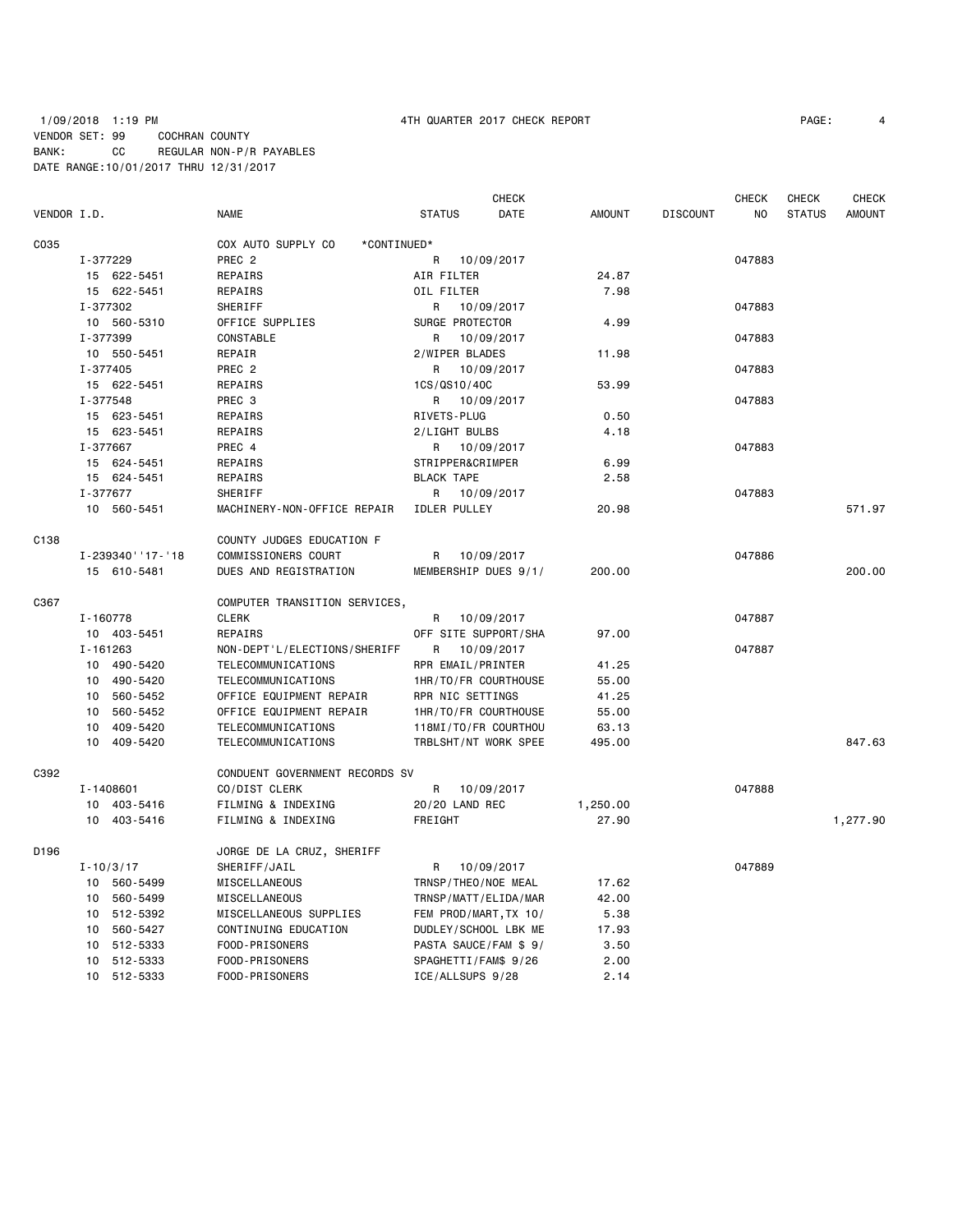# 1/09/2018 1:19 PM 4TH QUARTER 2017 CHECK REPORT PAGE: 4 VENDOR SET: 99 COCHRAN COUNTY BANK: CC REGULAR NON-P/R PAYABLES DATE RANGE:10/01/2017 THRU 12/31/2017

|             |                   |                                   |                         | <b>CHECK</b> |               |                 | <b>CHECK</b> | CHECK         | <b>CHECK</b>  |
|-------------|-------------------|-----------------------------------|-------------------------|--------------|---------------|-----------------|--------------|---------------|---------------|
| VENDOR I.D. |                   | <b>NAME</b>                       | <b>STATUS</b>           | DATE         | <b>AMOUNT</b> | <b>DISCOUNT</b> | NO.          | <b>STATUS</b> | <b>AMOUNT</b> |
| C035        |                   | COX AUTO SUPPLY CO<br>*CONTINUED* |                         |              |               |                 |              |               |               |
|             | I-377229          | PREC <sub>2</sub>                 | R                       | 10/09/2017   |               |                 | 047883       |               |               |
|             | 15 622-5451       | REPAIRS                           | AIR FILTER              |              | 24.87         |                 |              |               |               |
|             | 15 622-5451       | REPAIRS                           | OIL FILTER              |              | 7.98          |                 |              |               |               |
|             | I-377302          | SHERIFF                           | R                       | 10/09/2017   |               |                 | 047883       |               |               |
|             | 10 560-5310       | OFFICE SUPPLIES                   | SURGE PROTECTOR         |              | 4.99          |                 |              |               |               |
|             | I-377399          | CONSTABLE                         | R                       | 10/09/2017   |               |                 | 047883       |               |               |
|             | 10 550-5451       | REPAIR                            | 2/WIPER BLADES          |              | 11.98         |                 |              |               |               |
|             | I-377405          | PREC <sub>2</sub>                 | R                       | 10/09/2017   |               |                 | 047883       |               |               |
|             | 15 622-5451       | REPAIRS                           | 1CS/QS10/40C            |              | 53.99         |                 |              |               |               |
|             | I-377548          | PREC 3                            | R 10/09/2017            |              |               |                 | 047883       |               |               |
|             | 15 623-5451       | REPAIRS                           | RIVETS-PLUG             |              | 0.50          |                 |              |               |               |
|             | 15 623-5451       | REPAIRS                           | 2/LIGHT BULBS           |              | 4.18          |                 |              |               |               |
|             | I-377667          | PREC 4                            | R 10/09/2017            |              |               |                 | 047883       |               |               |
|             | 15 624-5451       | REPAIRS                           | STRIPPER&CRIMPER        |              | 6.99          |                 |              |               |               |
|             | 15 624-5451       | REPAIRS                           | <b>BLACK TAPE</b>       |              | 2.58          |                 |              |               |               |
|             | I-377677          | SHERIFF                           |                         |              |               |                 | 047883       |               |               |
|             |                   |                                   | R                       | 10/09/2017   |               |                 |              |               |               |
|             | 10 560-5451       | MACHINERY-NON-OFFICE REPAIR       | <b>IDLER PULLEY</b>     |              | 20.98         |                 |              |               | 571.97        |
| C138        |                   | COUNTY JUDGES EDUCATION F         |                         |              |               |                 |              |               |               |
|             | I-239340' '17-'18 | COMMISSIONERS COURT               | R                       | 10/09/2017   |               |                 | 047886       |               |               |
|             | 15 610-5481       | DUES AND REGISTRATION             | MEMBERSHIP DUES 9/1/    |              | 200.00        |                 |              |               | 200.00        |
| C367        |                   | COMPUTER TRANSITION SERVICES,     |                         |              |               |                 |              |               |               |
|             | I-160778          | <b>CLERK</b>                      | R 10/09/2017            |              |               |                 | 047887       |               |               |
|             | 10 403-5451       | REPAIRS                           | OFF SITE SUPPORT/SHA    |              | 97.00         |                 |              |               |               |
|             | $I - 161263$      | NON-DEPT'L/ELECTIONS/SHERIFF      | R 10/09/2017            |              |               |                 | 047887       |               |               |
|             | 10<br>490-5420    | TELECOMMUNICATIONS                | RPR EMAIL/PRINTER       |              | 41.25         |                 |              |               |               |
|             | 490-5420<br>10    | TELECOMMUNICATIONS                | 1HR/TO/FR COURTHOUSE    |              | 55.00         |                 |              |               |               |
|             | 560-5452<br>10    | OFFICE EQUIPMENT REPAIR           | <b>RPR NIC SETTINGS</b> |              | 41.25         |                 |              |               |               |
|             | 10 560-5452       | OFFICE EQUIPMENT REPAIR           | 1HR/TO/FR COURTHOUSE    |              | 55.00         |                 |              |               |               |
|             | 409-5420<br>10    | TELECOMMUNICATIONS                | 118MI/TO/FR COURTHOU    |              | 63.13         |                 |              |               |               |
|             | 10<br>409-5420    | TELECOMMUNICATIONS                | TRBLSHT/NT WORK SPEE    |              | 495.00        |                 |              |               | 847.63        |
|             |                   |                                   |                         |              |               |                 |              |               |               |
| C392        |                   | CONDUENT GOVERNMENT RECORDS SV    |                         |              |               |                 |              |               |               |
|             | I-1408601         | CO/DIST CLERK                     | R                       | 10/09/2017   |               |                 | 047888       |               |               |
|             | 10 403-5416       | FILMING & INDEXING                | 20/20 LAND REC          |              | 1,250.00      |                 |              |               |               |
|             | 10 403-5416       | FILMING & INDEXING                | FREIGHT                 |              | 27.90         |                 |              |               | 1,277.90      |
| D196        |                   | JORGE DE LA CRUZ, SHERIFF         |                         |              |               |                 |              |               |               |
|             | $I - 10/3/17$     | SHERIFF/JAIL                      | R                       | 10/09/2017   |               |                 | 047889       |               |               |
|             | 10 560-5499       | MISCELLANEOUS                     | TRNSP/THEO/NOE MEAL     |              | 17.62         |                 |              |               |               |
|             | 10 560-5499       | MISCELLANEOUS                     | TRNSP/MATT/ELIDA/MAR    |              | 42.00         |                 |              |               |               |
|             | 10 512-5392       | MISCELLANEOUS SUPPLIES            | FEM PROD/MART, TX 10/   |              | 5.38          |                 |              |               |               |
|             | 10<br>560-5427    | CONTINUING EDUCATION              | DUDLEY/SCHOOL LBK ME    |              | 17.93         |                 |              |               |               |
|             | 10<br>512-5333    | FOOD-PRISONERS                    | PASTA SAUCE/FAM \$ 9/   |              | 3.50          |                 |              |               |               |
|             | 10 512-5333       | FOOD-PRISONERS                    | SPAGHETTI/FAM\$ 9/26    |              | 2.00          |                 |              |               |               |
|             | 10 512-5333       | FOOD-PRISONERS                    | ICE/ALLSUPS 9/28        |              | 2.14          |                 |              |               |               |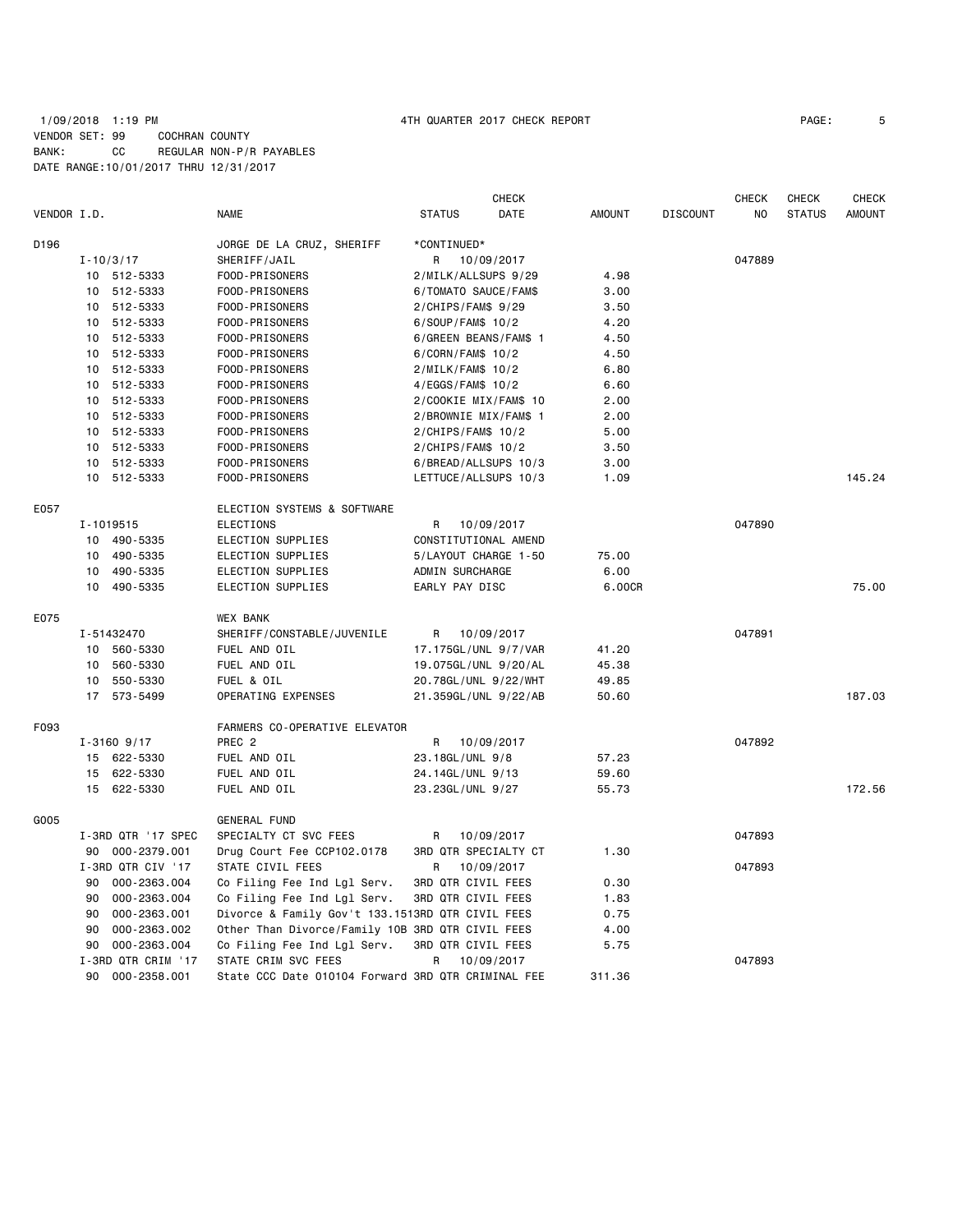## 1/09/2018 1:19 PM 4TH QUARTER 2017 CHECK REPORT PAGE: 5 VENDOR SET: 99 COCHRAN COUNTY BANK: CC REGULAR NON-P/R PAYABLES DATE RANGE:10/01/2017 THRU 12/31/2017

|             |          |                    |                                                     |                           | CHECK                |               |                 | <b>CHECK</b> | CHECK         | <b>CHECK</b>  |
|-------------|----------|--------------------|-----------------------------------------------------|---------------------------|----------------------|---------------|-----------------|--------------|---------------|---------------|
| VENDOR I.D. |          |                    | <b>NAME</b>                                         | <b>STATUS</b>             | DATE                 | <b>AMOUNT</b> | <b>DISCOUNT</b> | NO           | <b>STATUS</b> | <b>AMOUNT</b> |
| D196        |          |                    | JORGE DE LA CRUZ, SHERIFF                           | *CONTINUED*               |                      |               |                 |              |               |               |
|             |          | $I - 10/3/17$      | SHERIFF/JAIL                                        | R                         | 10/09/2017           |               |                 | 047889       |               |               |
|             |          | 10 512-5333        | FOOD-PRISONERS                                      | 2/MILK/ALLSUPS 9/29       |                      | 4.98          |                 |              |               |               |
|             |          | 10 512-5333        | FOOD-PRISONERS                                      | 6/TOMATO SAUCE/FAM\$      |                      | 3.00          |                 |              |               |               |
|             |          | 10 512-5333        | FOOD-PRISONERS                                      | 2/CHIPS/FAM\$ 9/29        |                      | 3.50          |                 |              |               |               |
|             |          | 10 512-5333        | FOOD-PRISONERS                                      | 6/SOUP/FAM\$ 10/2         |                      | 4.20          |                 |              |               |               |
|             |          | 10 512-5333        | FOOD-PRISONERS                                      | 6/GREEN BEANS/FAM\$ 1     |                      | 4.50          |                 |              |               |               |
|             | 10       | 512-5333           | FOOD-PRISONERS                                      | 6/CORN/FAM\$ 10/2         |                      | 4.50          |                 |              |               |               |
|             |          | 10 512-5333        | FOOD-PRISONERS                                      | 2/MILK/FAM\$ 10/2         |                      | 6.80          |                 |              |               |               |
|             | 10       | 512-5333           | FOOD-PRISONERS                                      | 4/EGGS/FAM\$ 10/2         |                      | 6.60          |                 |              |               |               |
|             |          | 10 512-5333        | FOOD-PRISONERS                                      | 2/COOKIE MIX/FAM\$ 10     |                      | 2.00          |                 |              |               |               |
|             |          | 10 512-5333        | FOOD-PRISONERS                                      | 2/BROWNIE MIX/FAM\$ 1     |                      | 2.00          |                 |              |               |               |
|             |          | 10 512-5333        | FOOD-PRISONERS                                      | $2/CHIPS/FAM$$ 10/2       |                      | 5.00          |                 |              |               |               |
|             |          | 10 512-5333        | FOOD-PRISONERS                                      | $2/CHIPS/FAM$$ 10/2       |                      | 3.50          |                 |              |               |               |
|             |          | 10 512-5333        | FOOD-PRISONERS                                      |                           | 6/BREAD/ALLSUPS 10/3 | 3.00          |                 |              |               |               |
|             |          | 10 512-5333        | FOOD-PRISONERS                                      | LETTUCE/ALLSUPS 10/3      |                      | 1.09          |                 |              |               | 145.24        |
|             |          |                    |                                                     |                           |                      |               |                 |              |               |               |
| E057        |          |                    | ELECTION SYSTEMS & SOFTWARE                         |                           |                      |               |                 |              |               |               |
|             |          | I-1019515          | <b>ELECTIONS</b>                                    | R 10/09/2017              |                      |               |                 | 047890       |               |               |
|             |          | 10 490-5335        | ELECTION SUPPLIES                                   | CONSTITUTIONAL AMEND      |                      |               |                 |              |               |               |
|             | 10       | 490-5335           | ELECTION SUPPLIES                                   | 5/LAYOUT CHARGE 1-50      |                      | 75.00         |                 |              |               |               |
|             | 10       | 490-5335           | ELECTION SUPPLIES                                   | ADMIN SURCHARGE           |                      | 6.00          |                 |              |               |               |
|             |          | 10 490-5335        | ELECTION SUPPLIES                                   | EARLY PAY DISC            |                      | 6.00CR        |                 |              |               | 75.00         |
| E075        |          |                    | <b>WEX BANK</b>                                     |                           |                      |               |                 |              |               |               |
|             |          | I-51432470         | SHERIFF/CONSTABLE/JUVENILE                          | R 10/09/2017              |                      |               |                 | 047891       |               |               |
|             |          | 10 560-5330        | FUEL AND OIL                                        | 17.175GL/UNL 9/7/VAR      |                      | 41.20         |                 |              |               |               |
|             |          | 10 560-5330        | FUEL AND OIL                                        | 19.075GL/UNL 9/20/AL      |                      | 45.38         |                 |              |               |               |
|             | 10       | 550-5330           | FUEL & OIL                                          | 20.78GL/UNL 9/22/WHT      |                      | 49.85         |                 |              |               |               |
|             |          | 17 573-5499        | OPERATING EXPENSES                                  |                           | 21.359GL/UNL 9/22/AB | 50.60         |                 |              |               | 187.03        |
| F093        |          |                    | FARMERS CO-OPERATIVE ELEVATOR                       |                           |                      |               |                 |              |               |               |
|             |          | $I - 3160$ 9/17    | PREC <sub>2</sub>                                   | R 10/09/2017              |                      |               |                 | 047892       |               |               |
|             |          | 15 622-5330        | FUEL AND OIL                                        | 23.18GL/UNL 9/8           |                      | 57.23         |                 |              |               |               |
|             |          | 15 622-5330        | FUEL AND OIL                                        | 24.14GL/UNL 9/13          |                      | 59.60         |                 |              |               |               |
|             |          | 15 622-5330        | FUEL AND OIL                                        | 23.23GL/UNL 9/27          |                      | 55.73         |                 |              |               | 172.56        |
| G005        |          |                    | <b>GENERAL FUND</b>                                 |                           |                      |               |                 |              |               |               |
|             |          |                    |                                                     |                           |                      |               |                 | 047893       |               |               |
|             |          | I-3RD QTR '17 SPEC | SPECIALTY CT SVC FEES<br>Drug Court Fee CCP102.0178 | R<br>3RD QTR SPECIALTY CT | 10/09/2017           | 1.30          |                 |              |               |               |
|             |          | 90 000-2379.001    |                                                     | R                         |                      |               |                 | 047893       |               |               |
|             |          | I-3RD QTR CIV '17  | STATE CIVIL FEES                                    |                           | 10/09/2017           |               |                 |              |               |               |
|             |          | 90 000-2363.004    | Co Filing Fee Ind Lgl Serv.                         | 3RD QTR CIVIL FEES        |                      | 0.30          |                 |              |               |               |
|             | 90       | 000-2363.004       | Co Filing Fee Ind Lgl Serv.                         | 3RD QTR CIVIL FEES        |                      | 1.83          |                 |              |               |               |
|             | 90       | 000-2363.001       | Divorce & Family Gov't 133.1513RD QTR CIVIL FEES    |                           |                      | 0.75          |                 |              |               |               |
|             | 90<br>90 | 000-2363.002       | Other Than Divorce/Family 10B 3RD QTR CIVIL FEES    |                           |                      | 4.00          |                 |              |               |               |
|             |          | 000-2363.004       | Co Filing Fee Ind Lgl Serv.                         | 3RD QTR CIVIL FEES        |                      | 5.75          |                 |              |               |               |
|             |          | I-3RD QTR CRIM '17 | STATE CRIM SVC FEES                                 | R                         | 10/09/2017           |               |                 | 047893       |               |               |
|             | 90       | 000-2358.001       | State CCC Date 010104 Forward 3RD QTR CRIMINAL FEE  |                           |                      | 311.36        |                 |              |               |               |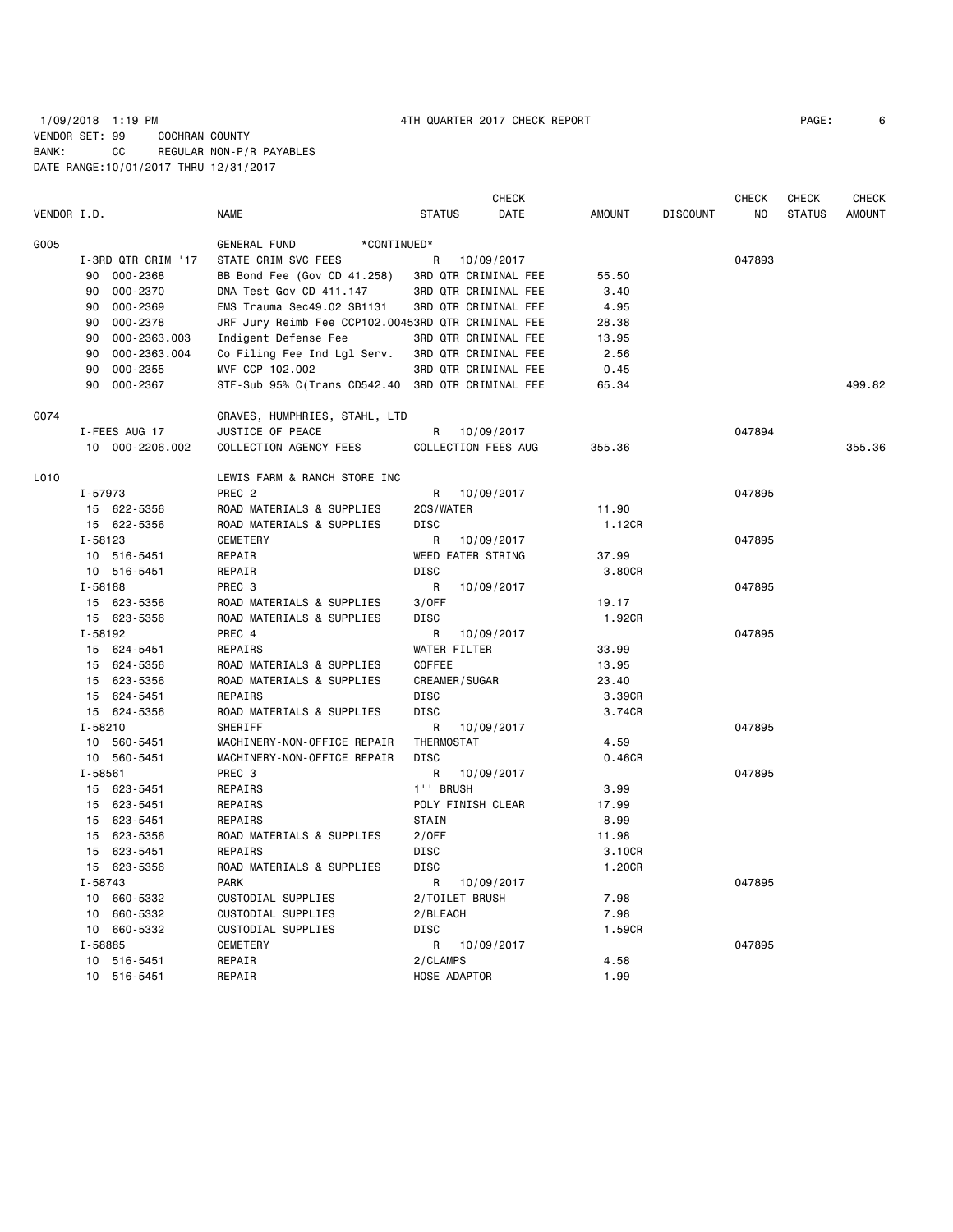## 1/09/2018 1:19 PM 4TH QUARTER 2017 CHECK REPORT PAGE: 6 VENDOR SET: 99 COCHRAN COUNTY BANK: CC REGULAR NON-P/R PAYABLES DATE RANGE:10/01/2017 THRU 12/31/2017

|             |             |                    |                                                    |               | <b>CHECK</b>         |               |                 | <b>CHECK</b> | <b>CHECK</b>  | <b>CHECK</b>  |
|-------------|-------------|--------------------|----------------------------------------------------|---------------|----------------------|---------------|-----------------|--------------|---------------|---------------|
| VENDOR I.D. |             |                    | <b>NAME</b>                                        | <b>STATUS</b> | DATE                 | <b>AMOUNT</b> | <b>DISCOUNT</b> | NO           | <b>STATUS</b> | <b>AMOUNT</b> |
| G005        |             |                    | <b>GENERAL FUND</b><br>*CONTINUED*                 |               |                      |               |                 |              |               |               |
|             |             | I-3RD QTR CRIM '17 | STATE CRIM SVC FEES                                | R             | 10/09/2017           |               |                 | 047893       |               |               |
|             |             | 90 000-2368        | BB Bond Fee (Gov CD 41.258)                        |               | 3RD QTR CRIMINAL FEE | 55.50         |                 |              |               |               |
|             | 90          | 000-2370           | DNA Test Gov CD 411.147                            |               | 3RD QTR CRIMINAL FEE | 3.40          |                 |              |               |               |
|             | 90          | 000-2369           | EMS Trauma Sec49.02 SB1131                         |               | 3RD QTR CRIMINAL FEE | 4.95          |                 |              |               |               |
|             | 90          | 000-2378           | JRF Jury Reimb Fee CCP102.00453RD QTR CRIMINAL FEE |               |                      | 28.38         |                 |              |               |               |
|             | 90          | 000-2363.003       | Indigent Defense Fee                               |               | 3RD QTR CRIMINAL FEE | 13.95         |                 |              |               |               |
|             | 90          | 000-2363.004       | Co Filing Fee Ind Lgl Serv.                        |               | 3RD QTR CRIMINAL FEE | 2.56          |                 |              |               |               |
|             | 90          | 000-2355           | MVF CCP 102.002                                    |               | 3RD QTR CRIMINAL FEE | 0.45          |                 |              |               |               |
|             | 90          | 000-2367           | STF-Sub 95% C(Trans CD542.40 3RD QTR CRIMINAL FEE  |               |                      | 65.34         |                 |              |               | 499.82        |
| G074        |             |                    | GRAVES, HUMPHRIES, STAHL, LTD                      |               |                      |               |                 |              |               |               |
|             |             | I-FEES AUG 17      | JUSTICE OF PEACE                                   | R             | 10/09/2017           |               |                 | 047894       |               |               |
|             |             | 10 000-2206.002    | COLLECTION AGENCY FEES                             |               | COLLECTION FEES AUG  | 355.36        |                 |              |               | 355.36        |
| L010        |             |                    | LEWIS FARM & RANCH STORE INC                       |               |                      |               |                 |              |               |               |
|             | I-57973     |                    | PREC <sub>2</sub>                                  | R             | 10/09/2017           |               |                 | 047895       |               |               |
|             |             | 15 622-5356        | ROAD MATERIALS & SUPPLIES                          | 2CS/WATER     |                      | 11.90         |                 |              |               |               |
|             |             | 15 622-5356        | ROAD MATERIALS & SUPPLIES                          | <b>DISC</b>   |                      | 1.12CR        |                 |              |               |               |
|             | I-58123     |                    | <b>CEMETERY</b>                                    | R             | 10/09/2017           |               |                 | 047895       |               |               |
|             |             | 10 516-5451        | REPAIR                                             |               | WEED EATER STRING    | 37.99         |                 |              |               |               |
|             |             | 10 516-5451        | REPAIR                                             | <b>DISC</b>   |                      | 3.80CR        |                 |              |               |               |
|             | I-58188     |                    | PREC <sub>3</sub>                                  | R             | 10/09/2017           |               |                 | 047895       |               |               |
|             |             | 15 623-5356        | ROAD MATERIALS & SUPPLIES                          | 3/0FF         |                      | 19.17         |                 |              |               |               |
|             |             | 15 623-5356        | ROAD MATERIALS & SUPPLIES                          | DISC          |                      | 1.92CR        |                 |              |               |               |
|             | I-58192     |                    | PREC 4                                             | R             | 10/09/2017           |               |                 | 047895       |               |               |
|             |             | 15 624-5451        | <b>REPAIRS</b>                                     |               | WATER FILTER         | 33.99         |                 |              |               |               |
|             |             | 15 624-5356        | ROAD MATERIALS & SUPPLIES                          | <b>COFFEE</b> |                      | 13.95         |                 |              |               |               |
|             |             | 15 623-5356        | ROAD MATERIALS & SUPPLIES                          |               | <b>CREAMER/SUGAR</b> | 23.40         |                 |              |               |               |
|             |             | 15 624-5451        | REPAIRS                                            | <b>DISC</b>   |                      | 3.39CR        |                 |              |               |               |
|             |             | 15 624-5356        | ROAD MATERIALS & SUPPLIES                          | <b>DISC</b>   |                      | 3.74CR        |                 |              |               |               |
|             | $I - 58210$ |                    | SHERIFF                                            | R             | 10/09/2017           |               |                 | 047895       |               |               |
|             |             | 10 560-5451        | MACHINERY-NON-OFFICE REPAIR                        | THERMOSTAT    |                      | 4.59          |                 |              |               |               |
|             |             | 10 560-5451        | MACHINERY-NON-OFFICE REPAIR                        | <b>DISC</b>   |                      | 0.46CR        |                 |              |               |               |
|             | I-58561     |                    | PREC 3                                             | R             | 10/09/2017           |               |                 | 047895       |               |               |
|             |             | 15 623-5451        | REPAIRS                                            | 1'' BRUSH     |                      | 3.99          |                 |              |               |               |
|             |             | 15 623-5451        | REPAIRS                                            |               | POLY FINISH CLEAR    | 17.99         |                 |              |               |               |
|             |             | 15 623-5451        | REPAIRS                                            | STAIN         |                      | 8.99          |                 |              |               |               |
|             |             | 15 623-5356        | ROAD MATERIALS & SUPPLIES                          | 2/OFF         |                      | 11.98         |                 |              |               |               |
|             |             | 15 623-5451        | REPAIRS                                            | <b>DISC</b>   |                      | 3.10CR        |                 |              |               |               |
|             |             | 15 623-5356        | ROAD MATERIALS & SUPPLIES                          | <b>DISC</b>   |                      | 1.20CR        |                 |              |               |               |
|             | I-58743     |                    | <b>PARK</b>                                        | R             | 10/09/2017           |               |                 | 047895       |               |               |
|             |             | 10 660-5332        | CUSTODIAL SUPPLIES                                 |               | 2/TOILET BRUSH       | 7.98          |                 |              |               |               |
|             |             | 10 660-5332        | CUSTODIAL SUPPLIES                                 | 2/BLEACH      |                      | 7.98          |                 |              |               |               |
|             |             | 10 660-5332        | CUSTODIAL SUPPLIES                                 | <b>DISC</b>   |                      | 1.59CR        |                 |              |               |               |
|             | I-58885     |                    | <b>CEMETERY</b>                                    | R             | 10/09/2017           |               |                 | 047895       |               |               |
|             |             | 10 516-5451        | REPAIR                                             | 2/CLAMPS      |                      | 4.58          |                 |              |               |               |
|             |             | 10 516-5451        | REPAIR                                             |               | HOSE ADAPTOR         | 1.99          |                 |              |               |               |
|             |             |                    |                                                    |               |                      |               |                 |              |               |               |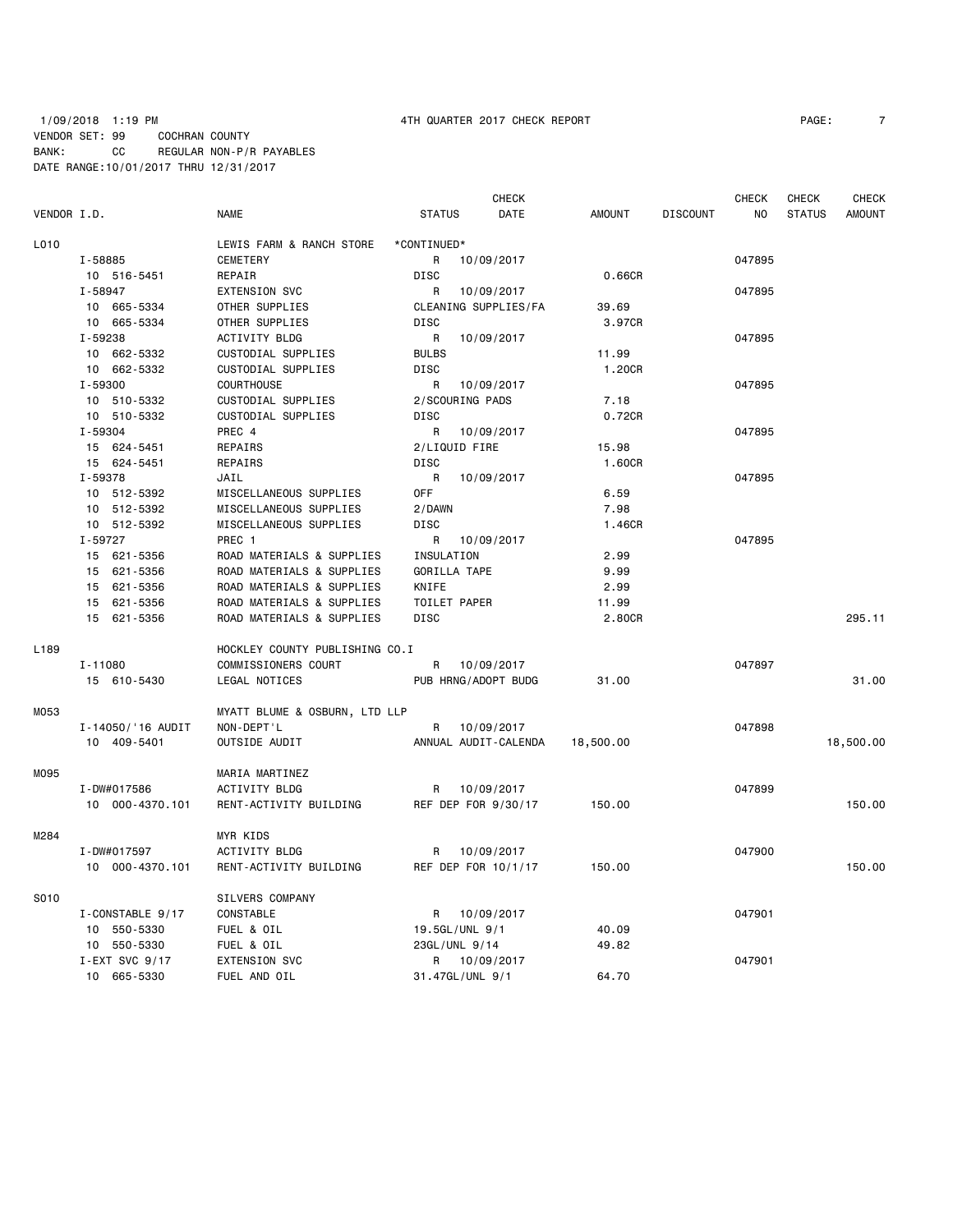## 1/09/2018 1:19 PM 4TH QUARTER 2017 CHECK REPORT PAGE: 7 VENDOR SET: 99 COCHRAN COUNTY BANK: CC REGULAR NON-P/R PAYABLES DATE RANGE:10/01/2017 THRU 12/31/2017

|             |                   |                                |                 | <b>CHECK</b>         |               |                 | <b>CHECK</b> | <b>CHECK</b>  | <b>CHECK</b>  |
|-------------|-------------------|--------------------------------|-----------------|----------------------|---------------|-----------------|--------------|---------------|---------------|
| VENDOR I.D. |                   | <b>NAME</b>                    | <b>STATUS</b>   | DATE                 | <b>AMOUNT</b> | <b>DISCOUNT</b> | NO           | <b>STATUS</b> | <b>AMOUNT</b> |
| L010        |                   | LEWIS FARM & RANCH STORE       | *CONTINUED*     |                      |               |                 |              |               |               |
|             | I-58885           | <b>CEMETERY</b>                | R               | 10/09/2017           |               |                 | 047895       |               |               |
|             | 10 516-5451       | REPAIR                         | DISC            |                      | 0.66CR        |                 |              |               |               |
|             | I-58947           | <b>EXTENSION SVC</b>           | R               | 10/09/2017           |               |                 | 047895       |               |               |
|             | 10 665-5334       | OTHER SUPPLIES                 |                 | CLEANING SUPPLIES/FA | 39.69         |                 |              |               |               |
|             | 10 665-5334       | OTHER SUPPLIES                 | <b>DISC</b>     |                      | 3.97CR        |                 |              |               |               |
|             | I-59238           | ACTIVITY BLDG                  | R               | 10/09/2017           |               |                 | 047895       |               |               |
|             | 10 662-5332       | CUSTODIAL SUPPLIES             | <b>BULBS</b>    |                      | 11.99         |                 |              |               |               |
|             | 10 662-5332       | CUSTODIAL SUPPLIES             | <b>DISC</b>     |                      | 1.20CR        |                 |              |               |               |
|             | I-59300           | <b>COURTHOUSE</b>              | R               | 10/09/2017           |               |                 | 047895       |               |               |
|             | 10 510-5332       | CUSTODIAL SUPPLIES             | 2/SCOURING PADS |                      | 7.18          |                 |              |               |               |
|             | 10 510-5332       | CUSTODIAL SUPPLIES             | DISC            |                      | 0.72CR        |                 |              |               |               |
|             | I-59304           | PREC 4                         | R               | 10/09/2017           |               |                 | 047895       |               |               |
|             | 15 624-5451       | REPAIRS                        | 2/LIQUID FIRE   |                      | 15.98         |                 |              |               |               |
|             | 15 624-5451       | REPAIRS                        | DISC            |                      | 1.60CR        |                 |              |               |               |
|             | I-59378           | JAIL                           | R               | 10/09/2017           |               |                 | 047895       |               |               |
|             | 10 512-5392       | MISCELLANEOUS SUPPLIES         | <b>OFF</b>      |                      | 6.59          |                 |              |               |               |
|             | 10 512-5392       | MISCELLANEOUS SUPPLIES         | 2/DAWN          |                      | 7.98          |                 |              |               |               |
|             | 10 512-5392       | MISCELLANEOUS SUPPLIES         | <b>DISC</b>     |                      | 1.46CR        |                 |              |               |               |
|             | I-59727           | PREC 1                         | R               | 10/09/2017           |               |                 | 047895       |               |               |
|             | 15 621-5356       | ROAD MATERIALS & SUPPLIES      | INSULATION      |                      | 2.99          |                 |              |               |               |
|             | 15 621-5356       | ROAD MATERIALS & SUPPLIES      | GORILLA TAPE    |                      | 9.99          |                 |              |               |               |
|             | 15 621-5356       | ROAD MATERIALS & SUPPLIES      | KNIFE           |                      | 2.99          |                 |              |               |               |
|             | 15 621-5356       | ROAD MATERIALS & SUPPLIES      | TOILET PAPER    |                      | 11.99         |                 |              |               |               |
|             | 15 621-5356       | ROAD MATERIALS & SUPPLIES      | DISC            |                      | 2.80CR        |                 |              |               | 295.11        |
|             |                   |                                |                 |                      |               |                 |              |               |               |
| L189        |                   | HOCKLEY COUNTY PUBLISHING CO.I |                 |                      |               |                 |              |               |               |
|             | $I - 11080$       | COMMISSIONERS COURT            |                 | R 10/09/2017         |               |                 | 047897       |               |               |
|             | 15 610-5430       | LEGAL NOTICES                  |                 | PUB HRNG/ADOPT BUDG  | 31.00         |                 |              |               | 31.00         |
| M053        |                   | MYATT BLUME & OSBURN, LTD LLP  |                 |                      |               |                 |              |               |               |
|             | I-14050/'16 AUDIT | NON-DEPT'L                     |                 | R 10/09/2017         |               |                 | 047898       |               |               |
|             | 10 409-5401       | OUTSIDE AUDIT                  |                 | ANNUAL AUDIT-CALENDA | 18,500.00     |                 |              |               | 18,500.00     |
|             |                   |                                |                 |                      |               |                 |              |               |               |
| M095        |                   | MARIA MARTINEZ                 |                 |                      |               |                 |              |               |               |
|             | I-DW#017586       | ACTIVITY BLDG                  |                 | R 10/09/2017         |               |                 | 047899       |               |               |
|             | 10 000-4370.101   | RENT-ACTIVITY BUILDING         |                 | REF DEP FOR 9/30/17  | 150.00        |                 |              |               | 150.00        |
| M284        |                   | <b>MYR KIDS</b>                |                 |                      |               |                 |              |               |               |
|             | I-DW#017597       | ACTIVITY BLDG                  | R               | 10/09/2017           |               |                 | 047900       |               |               |
|             | 10 000-4370.101   | RENT-ACTIVITY BUILDING         |                 | REF DEP FOR 10/1/17  | 150.00        |                 |              |               | 150.00        |
| S010        |                   | SILVERS COMPANY                |                 |                      |               |                 |              |               |               |
|             | I-CONSTABLE 9/17  | CONSTABLE                      | R               | 10/09/2017           |               |                 | 047901       |               |               |
|             | 10 550-5330       | FUEL & OIL                     | 19.5GL/UNL 9/1  |                      | 40.09         |                 |              |               |               |
|             | 10 550-5330       | FUEL & OIL                     | 23GL/UNL 9/14   |                      | 49.82         |                 |              |               |               |
|             | I-EXT SVC $9/17$  | <b>EXTENSION SVC</b>           |                 | R 10/09/2017         |               |                 | 047901       |               |               |
|             | 10 665-5330       | FUEL AND OIL                   | 31.47GL/UNL 9/1 |                      | 64.70         |                 |              |               |               |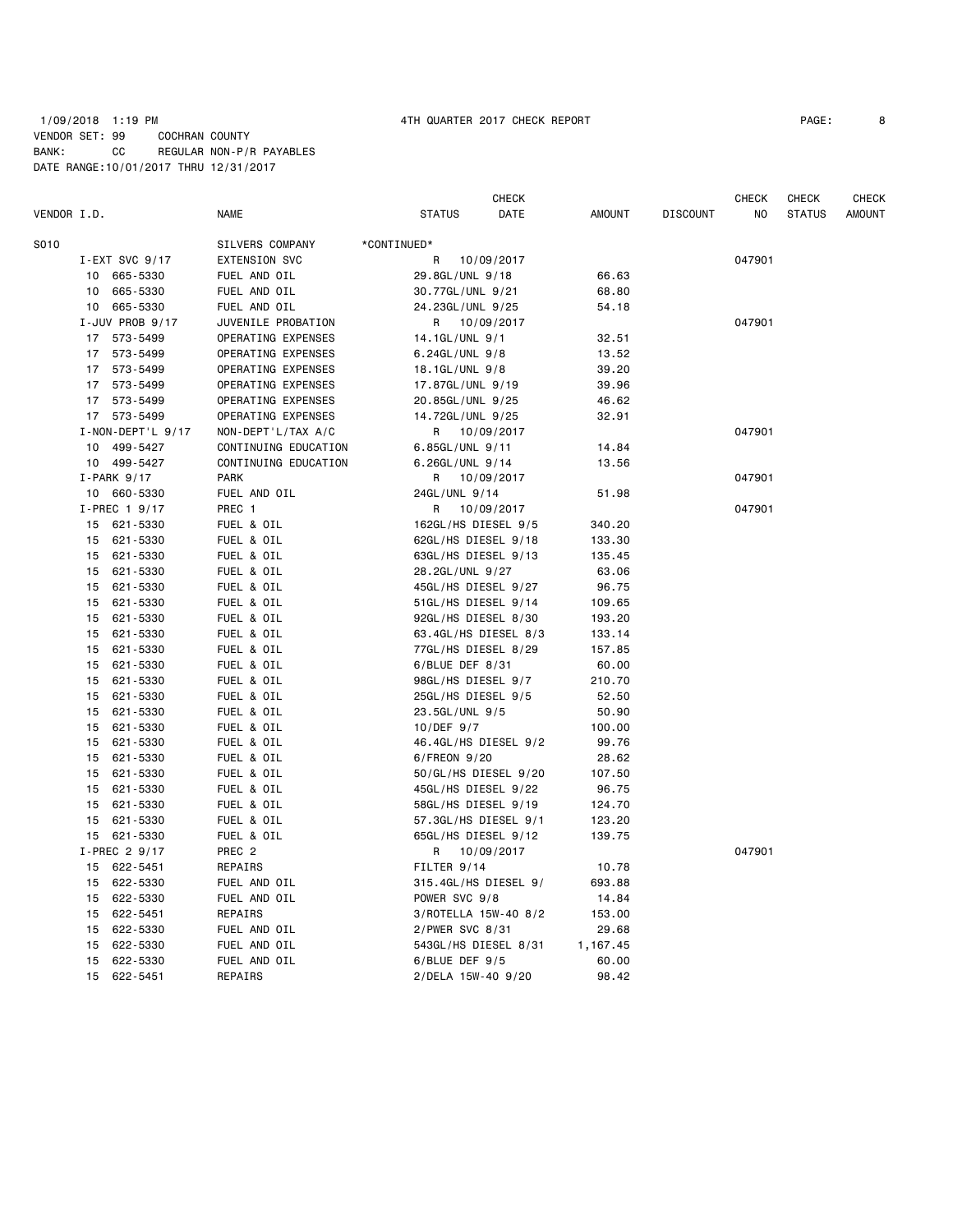### 1/09/2018 1:19 PM 4TH QUARTER 2017 CHECK REPORT PAGE: 8 VENDOR SET: 99 COCHRAN COUNTY BANK: CC REGULAR NON-P/R PAYABLES DATE RANGE:10/01/2017 THRU 12/31/2017

|             |    |                          |                      |                     | CHECK                |               |                 | CHECK  | CHECK         | <b>CHECK</b>  |
|-------------|----|--------------------------|----------------------|---------------------|----------------------|---------------|-----------------|--------|---------------|---------------|
| VENDOR I.D. |    |                          | <b>NAME</b>          | <b>STATUS</b>       | DATE                 | <b>AMOUNT</b> | <b>DISCOUNT</b> | NO     | <b>STATUS</b> | <b>AMOUNT</b> |
| S010        |    |                          | SILVERS COMPANY      | *CONTINUED*         |                      |               |                 |        |               |               |
|             |    | I-EXT SVC $9/17$         | EXTENSION SVC        | R                   | 10/09/2017           |               |                 | 047901 |               |               |
|             | 10 | 665-5330                 | FUEL AND OIL         | 29.8GL/UNL 9/18     |                      | 66.63         |                 |        |               |               |
|             | 10 | 665-5330                 | FUEL AND OIL         | 30.77GL/UNL 9/21    |                      | 68.80         |                 |        |               |               |
|             |    | 10 665-5330              | FUEL AND OIL         | 24.23GL/UNL 9/25    |                      | 54.18         |                 |        |               |               |
|             |    | I-JUV PROB 9/17          | JUVENILE PROBATION   |                     | R 10/09/2017         |               |                 | 047901 |               |               |
|             |    | 17 573-5499              | OPERATING EXPENSES   | 14.1GL/UNL 9/1      |                      | 32.51         |                 |        |               |               |
|             |    | 17 573-5499              | OPERATING EXPENSES   | 6.24GL/UNL 9/8      |                      | 13.52         |                 |        |               |               |
|             |    | 17 573-5499              | OPERATING EXPENSES   | 18.1GL/UNL 9/8      |                      | 39.20         |                 |        |               |               |
|             |    | 17 573-5499              | OPERATING EXPENSES   | 17.87GL/UNL 9/19    |                      | 39.96         |                 |        |               |               |
|             |    | 17 573-5499              | OPERATING EXPENSES   | 20.85GL/UNL 9/25    |                      | 46.62         |                 |        |               |               |
|             |    | 17 573-5499              | OPERATING EXPENSES   | 14.72GL/UNL 9/25    |                      | 32.91         |                 |        |               |               |
|             |    | $I - NON - DEPT' L 9/17$ | NON-DEPT'L/TAX A/C   | R                   | 10/09/2017           |               |                 | 047901 |               |               |
|             |    | 10 499-5427              | CONTINUING EDUCATION | 6.85GL/UNL 9/11     |                      | 14.84         |                 |        |               |               |
|             |    | 10 499-5427              | CONTINUING EDUCATION | 6.26GL/UNL 9/14     |                      | 13.56         |                 |        |               |               |
|             |    | $I-PARK$ 9/17            | <b>PARK</b>          |                     | R 10/09/2017         |               |                 | 047901 |               |               |
|             |    | 10 660-5330              | FUEL AND OIL         | 24GL/UNL 9/14       |                      | 51.98         |                 |        |               |               |
|             |    | I-PREC 1 9/17            | PREC 1               | R                   | 10/09/2017           |               |                 | 047901 |               |               |
|             |    | 15 621-5330              | FUEL & OIL           | 162GL/HS DIESEL 9/5 |                      | 340.20        |                 |        |               |               |
|             |    | 15 621-5330              | FUEL & OIL           | 62GL/HS DIESEL 9/18 |                      | 133.30        |                 |        |               |               |
|             | 15 | 621-5330                 | FUEL & OIL           | 63GL/HS DIESEL 9/13 |                      | 135.45        |                 |        |               |               |
|             |    | 15 621-5330              | FUEL & OIL           | 28.2GL/UNL 9/27     |                      | 63.06         |                 |        |               |               |
|             | 15 | 621-5330                 | FUEL & OIL           | 45GL/HS DIESEL 9/27 |                      | 96.75         |                 |        |               |               |
|             | 15 | 621-5330                 | FUEL & OIL           | 51GL/HS DIESEL 9/14 |                      | 109.65        |                 |        |               |               |
|             | 15 | 621-5330                 | FUEL & OIL           | 92GL/HS DIESEL 8/30 |                      | 193.20        |                 |        |               |               |
|             | 15 | 621-5330                 | FUEL & OIL           |                     | 63.4GL/HS DIESEL 8/3 | 133.14        |                 |        |               |               |
|             | 15 | 621-5330                 | FUEL & OIL           | 77GL/HS DIESEL 8/29 |                      | 157.85        |                 |        |               |               |
|             | 15 | 621-5330                 | FUEL & OIL           | $6/$ BLUE DEF 8/31  |                      | 60.00         |                 |        |               |               |
|             | 15 | 621-5330                 | FUEL & OIL           | 98GL/HS DIESEL 9/7  |                      | 210.70        |                 |        |               |               |
|             | 15 | 621-5330                 | FUEL & OIL           | 25GL/HS DIESEL 9/5  |                      | 52.50         |                 |        |               |               |
|             | 15 | 621-5330                 | FUEL & OIL           | 23.5GL/UNL 9/5      |                      | 50.90         |                 |        |               |               |
|             | 15 | 621-5330                 | FUEL & OIL           | $10/DEF$ 9/7        |                      | 100.00        |                 |        |               |               |
|             | 15 | 621-5330                 | FUEL & OIL           |                     | 46.4GL/HS DIESEL 9/2 | 99.76         |                 |        |               |               |
|             | 15 | 621-5330                 | FUEL & OIL           | 6/FREON 9/20        |                      | 28.62         |                 |        |               |               |
|             | 15 | 621-5330                 | FUEL & OIL           |                     | 50/GL/HS DIESEL 9/20 | 107.50        |                 |        |               |               |
|             |    | 15 621-5330              | FUEL & OIL           | 45GL/HS DIESEL 9/22 |                      | 96.75         |                 |        |               |               |
|             |    | 15 621-5330              | FUEL & OIL           | 58GL/HS DIESEL 9/19 |                      | 124.70        |                 |        |               |               |
|             |    | 15 621-5330              | FUEL & OIL           |                     | 57.3GL/HS DIESEL 9/1 | 123.20        |                 |        |               |               |
|             |    | 15 621-5330              | FUEL & OIL           | 65GL/HS DIESEL 9/12 |                      | 139.75        |                 |        |               |               |
|             |    | I-PREC 2 9/17            | PREC <sub>2</sub>    |                     | R 10/09/2017         |               |                 | 047901 |               |               |
|             |    | 15 622-5451              | REPAIRS              | FILTER 9/14         |                      | 10.78         |                 |        |               |               |
|             |    | 15 622-5330              | FUEL AND OIL         |                     | 315.4GL/HS DIESEL 9/ | 693.88        |                 |        |               |               |
|             |    | 15 622-5330              | FUEL AND OIL         | POWER SVC 9/8       |                      | 14.84         |                 |        |               |               |
|             |    | 15 622-5451              | REPAIRS              |                     | 3/ROTELLA 15W-40 8/2 | 153.00        |                 |        |               |               |
|             | 15 | 622-5330                 | FUEL AND OIL         | 2/PWER SVC 8/31     |                      | 29.68         |                 |        |               |               |
|             |    | 15 622-5330              | FUEL AND OIL         |                     | 543GL/HS DIESEL 8/31 | 1,167.45      |                 |        |               |               |
|             | 15 | 622-5330                 | FUEL AND OIL         | $6/$ BLUE DEF $9/5$ |                      | 60.00         |                 |        |               |               |
|             |    | 15 622-5451              | REPAIRS              | 2/DELA 15W-40 9/20  |                      | 98.42         |                 |        |               |               |
|             |    |                          |                      |                     |                      |               |                 |        |               |               |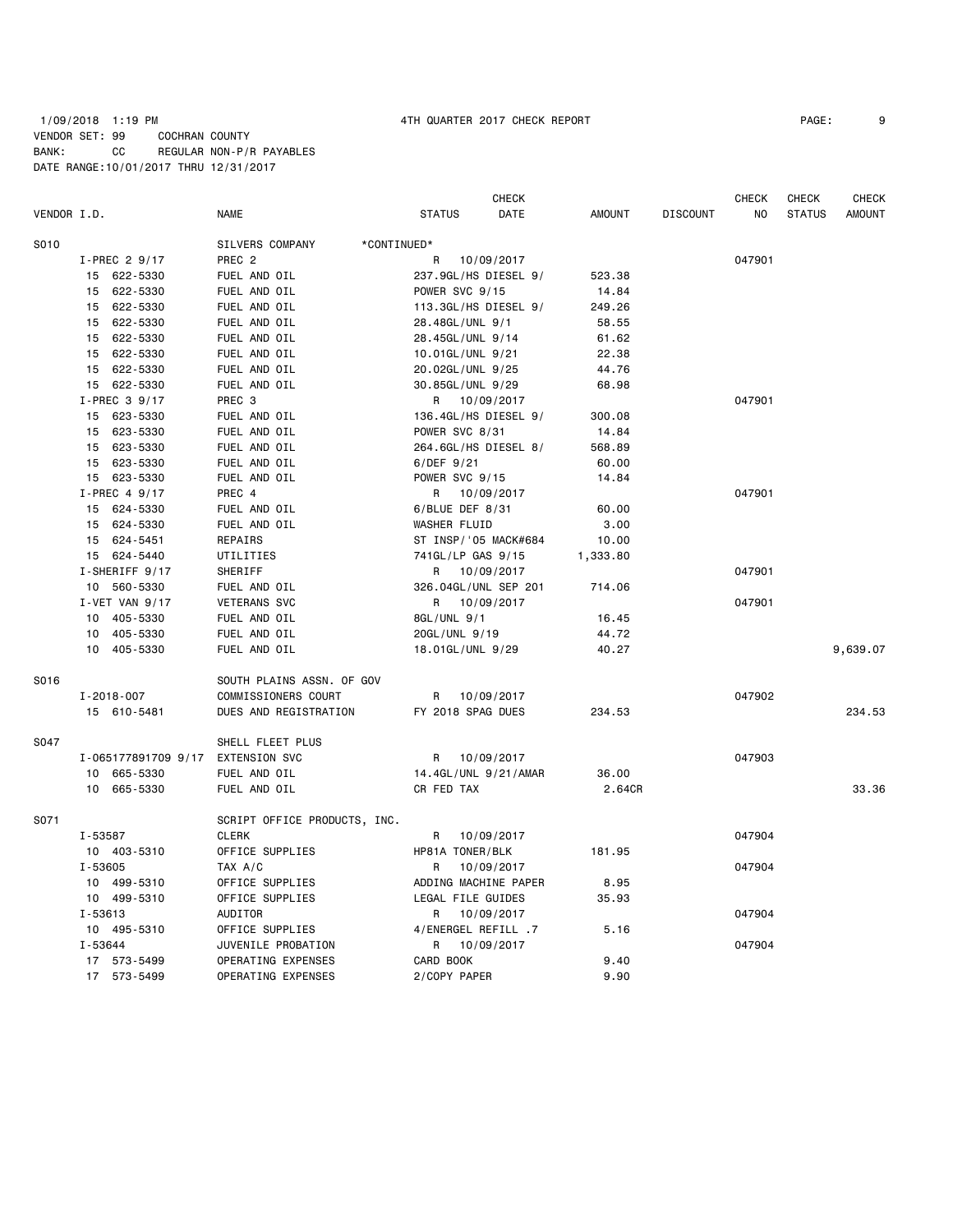### 1/09/2018 1:19 PM 4TH QUARTER 2017 CHECK REPORT PAGE: 9 VENDOR SET: 99 COCHRAN COUNTY BANK: CC REGULAR NON-P/R PAYABLES DATE RANGE:10/01/2017 THRU 12/31/2017

| VENDOR I.D. |                      | <b>NAME</b>                    | <b>STATUS</b>         | <b>CHECK</b><br>DATE | <b>AMOUNT</b> | <b>DISCOUNT</b> | <b>CHECK</b><br>NO | <b>CHECK</b><br><b>STATUS</b> | <b>CHECK</b><br><b>AMOUNT</b> |
|-------------|----------------------|--------------------------------|-----------------------|----------------------|---------------|-----------------|--------------------|-------------------------------|-------------------------------|
| S010        |                      | SILVERS COMPANY<br>*CONTINUED* |                       |                      |               |                 |                    |                               |                               |
|             | I-PREC 2 9/17        | PREC <sub>2</sub>              | R                     | 10/09/2017           |               |                 | 047901             |                               |                               |
|             | 15 622-5330          | FUEL AND OIL                   | 237.9GL/HS DIESEL 9/  |                      | 523.38        |                 |                    |                               |                               |
|             | 15 622-5330          | FUEL AND OIL                   | POWER SVC 9/15        |                      | 14.84         |                 |                    |                               |                               |
|             | 15 622-5330          | FUEL AND OIL                   | 113.3GL/HS DIESEL 9/  |                      | 249.26        |                 |                    |                               |                               |
|             | 622-5330<br>15       | FUEL AND OIL                   | 28.48GL/UNL 9/1       |                      | 58.55         |                 |                    |                               |                               |
|             | 15 622-5330          | FUEL AND OIL                   | 28.45GL/UNL 9/14      |                      | 61.62         |                 |                    |                               |                               |
|             | 622-5330<br>15       | FUEL AND OIL                   | 10.01GL/UNL 9/21      |                      | 22.38         |                 |                    |                               |                               |
|             | 15 622-5330          | FUEL AND OIL                   | 20.02GL/UNL 9/25      |                      | 44.76         |                 |                    |                               |                               |
|             | 15 622-5330          | FUEL AND OIL                   | 30.85GL/UNL 9/29      |                      | 68.98         |                 |                    |                               |                               |
|             | I-PREC 3 9/17        | PREC 3                         | R 10/09/2017          |                      |               |                 | 047901             |                               |                               |
|             | 15 623-5330          | FUEL AND OIL                   | 136.4GL/HS DIESEL 9/  |                      | 300.08        |                 |                    |                               |                               |
|             | 15<br>623-5330       | FUEL AND OIL                   | POWER SVC 8/31        |                      | 14.84         |                 |                    |                               |                               |
|             | 15 623-5330          | FUEL AND OIL                   | 264.6GL/HS DIESEL 8/  |                      | 568.89        |                 |                    |                               |                               |
|             | 15 623-5330          | FUEL AND OIL                   | $6/DEF$ 9/21          |                      | 60.00         |                 |                    |                               |                               |
|             | 15 623-5330          | FUEL AND OIL                   | POWER SVC 9/15        |                      | 14.84         |                 |                    |                               |                               |
|             | I-PREC 4 9/17        | PREC 4                         | R 10/09/2017          |                      |               |                 | 047901             |                               |                               |
|             | 15 624-5330          | FUEL AND OIL                   | 6/BLUE DEF 8/31       |                      | 60.00         |                 |                    |                               |                               |
|             | 15 624-5330          | FUEL AND OIL                   | WASHER FLUID          |                      | 3.00          |                 |                    |                               |                               |
|             | 15 624-5451          | REPAIRS                        | ST INSP/ '05 MACK#684 |                      | 10.00         |                 |                    |                               |                               |
|             | 15 624-5440          | UTILITIES                      | 741GL/LP GAS 9/15     |                      | 1,333.80      |                 |                    |                               |                               |
|             | I-SHERIFF 9/17       | SHERIFF                        | R 10/09/2017          |                      |               |                 | 047901             |                               |                               |
|             | 10 560-5330          | FUEL AND OIL                   | 326.04GL/UNL SEP 201  |                      | 714.06        |                 |                    |                               |                               |
|             | $I - VET$ VAN $9/17$ | <b>VETERANS SVC</b>            | R 10/09/2017          |                      |               |                 | 047901             |                               |                               |
|             | 405-5330<br>10       | FUEL AND OIL                   | 8GL/UNL 9/1           |                      | 16.45         |                 |                    |                               |                               |
|             | 405-5330<br>10       | FUEL AND OIL                   | 20GL/UNL 9/19         |                      | 44.72         |                 |                    |                               |                               |
|             | 10 405-5330          | FUEL AND OIL                   | 18.01GL/UNL 9/29      |                      | 40.27         |                 |                    |                               | 9,639.07                      |
| S016        |                      | SOUTH PLAINS ASSN. OF GOV      |                       |                      |               |                 |                    |                               |                               |
|             | $I - 2018 - 007$     | COMMISSIONERS COURT            | R                     | 10/09/2017           |               |                 | 047902             |                               |                               |
|             | 15 610-5481          | DUES AND REGISTRATION          | FY 2018 SPAG DUES     |                      | 234.53        |                 |                    |                               | 234.53                        |
| S047        |                      | SHELL FLEET PLUS               |                       |                      |               |                 |                    |                               |                               |
|             | I-065177891709 9/17  | EXTENSION SVC                  | R                     | 10/09/2017           |               |                 | 047903             |                               |                               |
|             | 10 665-5330          | FUEL AND OIL                   | 14.4GL/UNL 9/21/AMAR  |                      | 36.00         |                 |                    |                               |                               |
|             | 10 665-5330          | FUEL AND OIL                   | CR FED TAX            |                      | 2.64CR        |                 |                    |                               | 33.36                         |
| S071        |                      | SCRIPT OFFICE PRODUCTS, INC.   |                       |                      |               |                 |                    |                               |                               |
|             | I-53587              | <b>CLERK</b>                   | R                     | 10/09/2017           |               |                 | 047904             |                               |                               |
|             | 10 403-5310          | OFFICE SUPPLIES                | HP81A TONER/BLK       |                      | 181.95        |                 |                    |                               |                               |
|             | I-53605              | TAX A/C                        | R                     | 10/09/2017           |               |                 | 047904             |                               |                               |
|             | 10 499-5310          | OFFICE SUPPLIES                | ADDING MACHINE PAPER  |                      | 8.95          |                 |                    |                               |                               |
|             | 10 499-5310          | OFFICE SUPPLIES                | LEGAL FILE GUIDES     |                      | 35.93         |                 |                    |                               |                               |
|             | I-53613              | AUDITOR                        | R                     | 10/09/2017           |               |                 | 047904             |                               |                               |
|             | 10 495-5310          | OFFICE SUPPLIES                | 4/ENERGEL REFILL .7   |                      | 5.16          |                 |                    |                               |                               |
|             | I-53644              | JUVENILE PROBATION             | R.                    | 10/09/2017           |               |                 | 047904             |                               |                               |
|             | 17 573-5499          | OPERATING EXPENSES             | CARD BOOK             |                      | 9.40          |                 |                    |                               |                               |
|             | 17 573-5499          | OPERATING EXPENSES             | 2/COPY PAPER          |                      | 9.90          |                 |                    |                               |                               |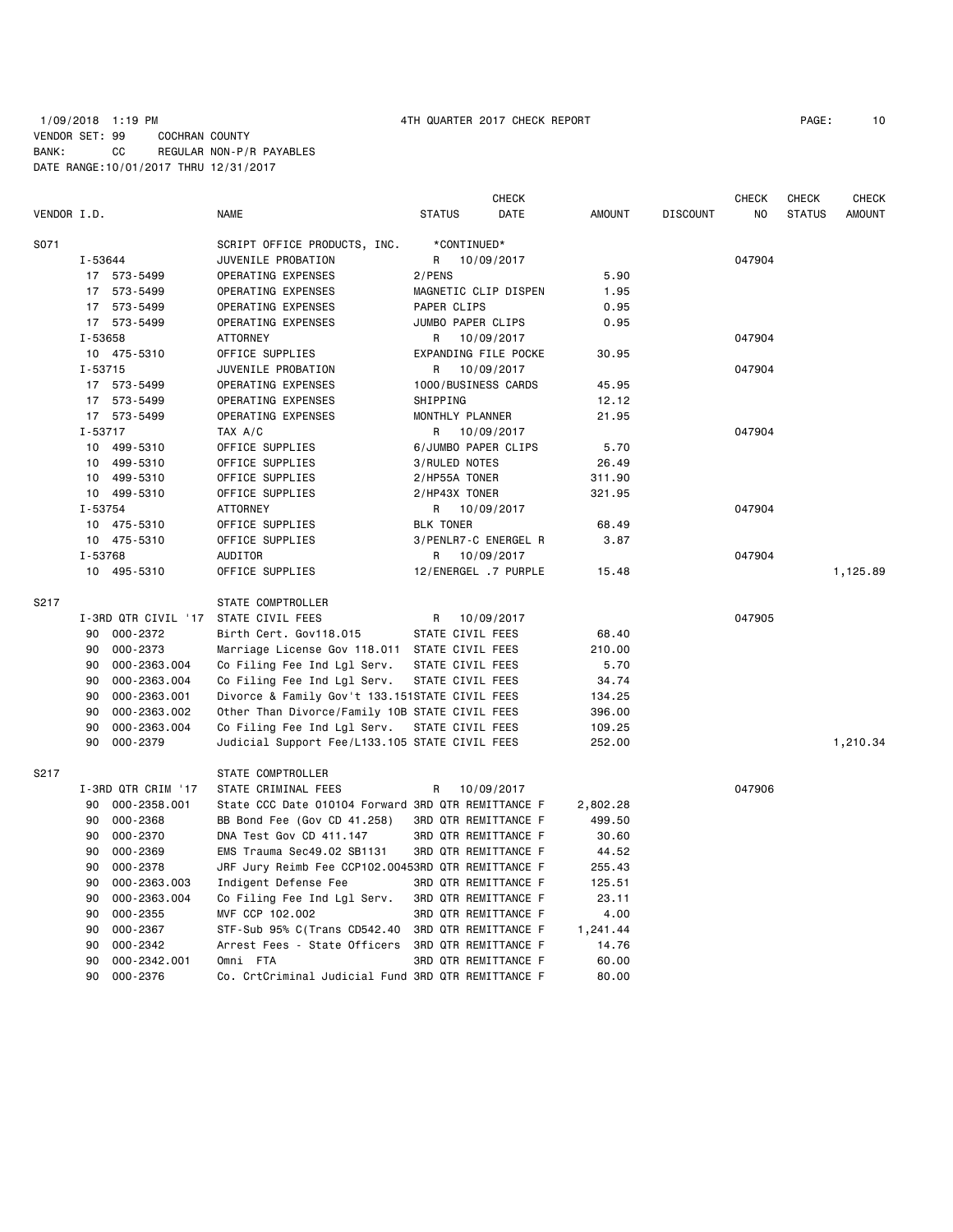|             |                     |                                                    |                             | <b>CHECK</b> |               |                 | <b>CHECK</b> | CHECK         | <b>CHECK</b>  |
|-------------|---------------------|----------------------------------------------------|-----------------------------|--------------|---------------|-----------------|--------------|---------------|---------------|
| VENDOR I.D. |                     | <b>NAME</b>                                        | <b>STATUS</b>               | DATE         | <b>AMOUNT</b> | <b>DISCOUNT</b> | NO           | <b>STATUS</b> | <b>AMOUNT</b> |
| S071        |                     | SCRIPT OFFICE PRODUCTS, INC.                       | *CONTINUED*                 |              |               |                 |              |               |               |
|             | I-53644             | JUVENILE PROBATION                                 | R.                          | 10/09/2017   |               |                 | 047904       |               |               |
|             | 17 573-5499         | OPERATING EXPENSES                                 | 2/PENS                      |              | 5.90          |                 |              |               |               |
|             | 17 573-5499         | OPERATING EXPENSES                                 | MAGNETIC CLIP DISPEN        |              | 1.95          |                 |              |               |               |
|             | 17 573-5499         | OPERATING EXPENSES                                 | PAPER CLIPS                 |              | 0.95          |                 |              |               |               |
|             | 17 573-5499         | OPERATING EXPENSES                                 | JUMBO PAPER CLIPS           |              | 0.95          |                 |              |               |               |
|             | I-53658             | ATTORNEY                                           | R                           | 10/09/2017   |               |                 | 047904       |               |               |
|             | 10 475-5310         | OFFICE SUPPLIES                                    | EXPANDING FILE POCKE        |              | 30.95         |                 |              |               |               |
|             | $I - 53715$         | JUVENILE PROBATION                                 | R                           | 10/09/2017   |               |                 | 047904       |               |               |
|             | 17 573-5499         | OPERATING EXPENSES                                 | 1000/BUSINESS CARDS         |              | 45.95         |                 |              |               |               |
|             | 17 573-5499         | OPERATING EXPENSES                                 | SHIPPING                    |              | 12.12         |                 |              |               |               |
|             | 17 573-5499         | OPERATING EXPENSES                                 | MONTHLY PLANNER             |              | 21.95         |                 |              |               |               |
|             | I-53717             | TAX A/C                                            | R 10/09/2017                |              |               |                 | 047904       |               |               |
|             | 10 499-5310         | OFFICE SUPPLIES                                    | 6/JUMBO PAPER CLIPS         |              | 5.70          |                 |              |               |               |
|             | 10 499-5310         | OFFICE SUPPLIES                                    | 3/RULED NOTES               |              | 26.49         |                 |              |               |               |
|             | 10 499-5310         | OFFICE SUPPLIES                                    | 2/HP55A TONER               |              | 311.90        |                 |              |               |               |
|             | 10 499-5310         | OFFICE SUPPLIES                                    | 2/HP43X TONER               |              | 321.95        |                 |              |               |               |
|             | I-53754             | <b>ATTORNEY</b>                                    | R 10/09/2017                |              |               |                 | 047904       |               |               |
|             | 10 475-5310         | OFFICE SUPPLIES                                    | <b>BLK TONER</b>            |              | 68.49         |                 |              |               |               |
|             | 10 475-5310         | OFFICE SUPPLIES                                    | 3/PENLR7-C ENERGEL R        |              | 3.87          |                 |              |               |               |
|             | I-53768             | AUDITOR                                            | R 10/09/2017                |              |               |                 | 047904       |               |               |
|             | 10 495-5310         | OFFICE SUPPLIES                                    | 12/ENERGEL .7 PURPLE        |              | 15.48         |                 |              |               | 1,125.89      |
| S217        |                     | STATE COMPTROLLER                                  |                             |              |               |                 |              |               |               |
|             | I-3RD QTR CIVIL '17 | STATE CIVIL FEES                                   | R                           | 10/09/2017   |               |                 | 047905       |               |               |
|             | 000-2372<br>90      | Birth Cert. Gov118.015                             | STATE CIVIL FEES            |              | 68.40         |                 |              |               |               |
|             | 90<br>000-2373      | Marriage License Gov 118.011 STATE CIVIL FEES      |                             |              | 210.00        |                 |              |               |               |
|             | 90<br>000-2363.004  | Co Filing Fee Ind Lgl Serv.                        | STATE CIVIL FEES            |              | 5.70          |                 |              |               |               |
|             | 90<br>000-2363.004  | Co Filing Fee Ind Lgl Serv.                        | STATE CIVIL FEES            |              | 34.74         |                 |              |               |               |
|             | 90<br>000-2363.001  | Divorce & Family Gov't 133.151STATE CIVIL FEES     |                             |              | 134.25        |                 |              |               |               |
|             | 90<br>000-2363.002  | Other Than Divorce/Family 10B STATE CIVIL FEES     |                             |              | 396.00        |                 |              |               |               |
|             | 90<br>000-2363.004  | Co Filing Fee Ind Lgl Serv.                        | STATE CIVIL FEES            |              | 109.25        |                 |              |               |               |
|             | 90<br>000-2379      | Judicial Support Fee/L133.105 STATE CIVIL FEES     |                             |              | 252.00        |                 |              |               | 1,210.34      |
| S217        |                     | STATE COMPTROLLER                                  |                             |              |               |                 |              |               |               |
|             | I-3RD QTR CRIM '17  | STATE CRIMINAL FEES                                | R                           | 10/09/2017   |               |                 | 047906       |               |               |
|             | 000-2358.001<br>90  | State CCC Date 010104 Forward 3RD QTR REMITTANCE F |                             |              | 2,802.28      |                 |              |               |               |
|             | 90<br>000-2368      | BB Bond Fee (Gov CD 41.258)                        | 3RD QTR REMITTANCE F        |              | 499.50        |                 |              |               |               |
|             | 000-2370<br>90      | DNA Test Gov CD 411.147                            | <b>3RD QTR REMITTANCE F</b> |              | 30.60         |                 |              |               |               |
|             | 90<br>000-2369      | EMS Trauma Sec49.02 SB1131                         | 3RD QTR REMITTANCE F        |              | 44.52         |                 |              |               |               |
|             | 000-2378<br>90      | JRF Jury Reimb Fee CCP102.00453RD QTR REMITTANCE F |                             |              | 255.43        |                 |              |               |               |
|             | 90<br>000-2363.003  | Indigent Defense Fee                               | 3RD QTR REMITTANCE F        |              | 125.51        |                 |              |               |               |
|             | 000-2363.004<br>90  | Co Filing Fee Ind Lgl Serv.                        | <b>3RD QTR REMITTANCE F</b> |              | 23.11         |                 |              |               |               |
|             | 90<br>000-2355      | MVF CCP 102.002                                    | 3RD QTR REMITTANCE F        |              | 4.00          |                 |              |               |               |
|             | 000-2367<br>90      | STF-Sub 95% C(Trans CD542.40                       | 3RD QTR REMITTANCE F        |              | 1,241.44      |                 |              |               |               |
|             | 90<br>000-2342      | Arrest Fees - State Officers                       | 3RD QTR REMITTANCE F        |              | 14.76         |                 |              |               |               |
|             | 90<br>000-2342.001  | Omni FTA                                           | 3RD QTR REMITTANCE F        |              | 60.00         |                 |              |               |               |

90 000-2376 Co. CrtCriminal Judicial Fund 3RD QTR REMITTANCE F 80.00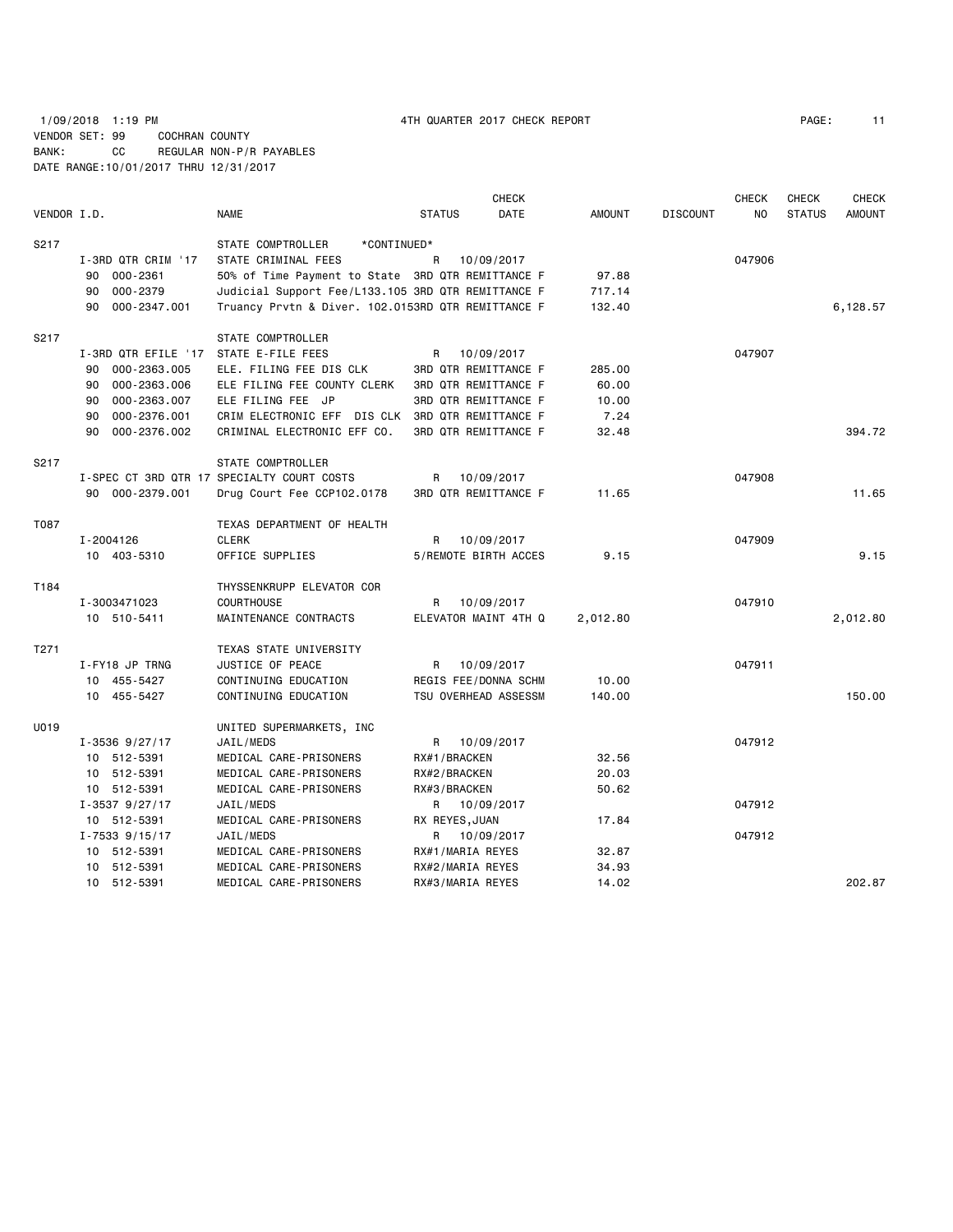1/09/2018 1:19 PM 4TH QUARTER 2017 CHECK REPORT PAGE: 11 VENDOR SET: 99 COCHRAN COUNTY BANK: CC REGULAR NON-P/R PAYABLES DATE RANGE:10/01/2017 THRU 12/31/2017

|             |                     |                                                    |                             | <b>CHECK</b> |               |                 | <b>CHECK</b> | <b>CHECK</b>  | <b>CHECK</b>  |
|-------------|---------------------|----------------------------------------------------|-----------------------------|--------------|---------------|-----------------|--------------|---------------|---------------|
| VENDOR I.D. |                     | <b>NAME</b>                                        | <b>STATUS</b>               | <b>DATE</b>  | <b>AMOUNT</b> | <b>DISCOUNT</b> | <b>NO</b>    | <b>STATUS</b> | <b>AMOUNT</b> |
| S217        |                     | STATE COMPTROLLER<br>*CONTINUED*                   |                             |              |               |                 |              |               |               |
|             | I-3RD QTR CRIM '17  | STATE CRIMINAL FEES                                | R                           | 10/09/2017   |               |                 | 047906       |               |               |
|             | 90 000-2361         | 50% of Time Payment to State 3RD QTR REMITTANCE F  |                             |              | 97.88         |                 |              |               |               |
|             | 000-2379<br>90      | Judicial Support Fee/L133.105 3RD QTR REMITTANCE F |                             |              | 717.14        |                 |              |               |               |
|             | 90<br>000-2347.001  | Truancy Prvtn & Diver. 102.0153RD QTR REMITTANCE F |                             |              | 132.40        |                 |              |               | 6,128.57      |
| S217        |                     | STATE COMPTROLLER                                  |                             |              |               |                 |              |               |               |
|             | I-3RD QTR EFILE '17 | STATE E-FILE FEES                                  | R.                          | 10/09/2017   |               |                 | 047907       |               |               |
|             | 90 000-2363.005     | ELE. FILING FEE DIS CLK                            | <b>3RD QTR REMITTANCE F</b> |              | 285,00        |                 |              |               |               |
|             | 000-2363.006<br>90  | ELE FILING FEE COUNTY CLERK                        | 3RD QTR REMITTANCE F        |              | 60.00         |                 |              |               |               |
|             | 90<br>000-2363.007  | ELE FILING FEE JP                                  | 3RD QTR REMITTANCE F        |              | 10.00         |                 |              |               |               |
|             | 000-2376.001<br>90  | CRIM ELECTRONIC EFF DIS CLK 3RD QTR REMITTANCE F   |                             |              | 7.24          |                 |              |               |               |
|             | 000-2376.002<br>90  | CRIMINAL ELECTRONIC EFF CO.                        | 3RD QTR REMITTANCE F        |              | 32.48         |                 |              |               | 394.72        |
| S217        |                     | STATE COMPTROLLER                                  |                             |              |               |                 |              |               |               |
|             |                     | I-SPEC CT 3RD QTR 17 SPECIALTY COURT COSTS         | R                           | 10/09/2017   |               |                 | 047908       |               |               |
|             | 90 000-2379.001     | Drug Court Fee CCP102.0178                         | <b>3RD QTR REMITTANCE F</b> |              | 11.65         |                 |              |               | 11.65         |
| T087        |                     | TEXAS DEPARTMENT OF HEALTH                         |                             |              |               |                 |              |               |               |
|             | I-2004126           | <b>CLERK</b>                                       | R.                          | 10/09/2017   |               |                 | 047909       |               |               |
|             | 10 403-5310         | OFFICE SUPPLIES                                    | 5/REMOTE BIRTH ACCES        |              | 9.15          |                 |              |               | 9.15          |
| T184        |                     | THYSSENKRUPP ELEVATOR COR                          |                             |              |               |                 |              |               |               |
|             | I-3003471023        | <b>COURTHOUSE</b>                                  | R                           | 10/09/2017   |               |                 | 047910       |               |               |
|             | 10 510-5411         | MAINTENANCE CONTRACTS                              | ELEVATOR MAINT 4TH Q        |              | 2,012.80      |                 |              |               | 2,012.80      |
| T271        |                     | TEXAS STATE UNIVERSITY                             |                             |              |               |                 |              |               |               |
|             | I-FY18 JP TRNG      | JUSTICE OF PEACE                                   | R.                          | 10/09/2017   |               |                 | 047911       |               |               |
|             | 10 455-5427         | CONTINUING EDUCATION                               | REGIS FEE/DONNA SCHM        |              | 10.00         |                 |              |               |               |
|             | 10 455-5427         | CONTINUING EDUCATION                               | TSU OVERHEAD ASSESSM        |              | 140.00        |                 |              |               | 150.00        |
| U019        |                     | UNITED SUPERMARKETS, INC                           |                             |              |               |                 |              |               |               |
|             | $I - 3536$ 9/27/17  | JAIL/MEDS                                          | R 10/09/2017                |              |               |                 | 047912       |               |               |
|             | 10 512-5391         | MEDICAL CARE-PRISONERS                             | RX#1/BRACKEN                |              | 32.56         |                 |              |               |               |
|             | 10 512-5391         | MEDICAL CARE-PRISONERS                             | RX#2/BRACKEN                |              | 20.03         |                 |              |               |               |
|             | 10 512-5391         | MEDICAL CARE-PRISONERS                             | RX#3/BRACKEN                |              | 50.62         |                 |              |               |               |
|             | $I - 3537$ 9/27/17  | JAIL/MEDS                                          | R 10/09/2017                |              |               |                 | 047912       |               |               |
|             | 10 512-5391         | MEDICAL CARE-PRISONERS                             | RX REYES, JUAN              |              | 17.84         |                 |              |               |               |
|             | $I - 7533$ 9/15/17  | JAIL/MEDS                                          | R                           | 10/09/2017   |               |                 | 047912       |               |               |
|             | 10 512-5391         | MEDICAL CARE-PRISONERS                             | RX#1/MARIA REYES            |              | 32.87         |                 |              |               |               |
|             | 10 512-5391         | MEDICAL CARE-PRISONERS                             | RX#2/MARIA REYES            |              | 34.93         |                 |              |               |               |
|             | 10 512-5391         | MEDICAL CARE-PRISONERS                             | RX#3/MARIA REYES            |              | 14.02         |                 |              |               | 202.87        |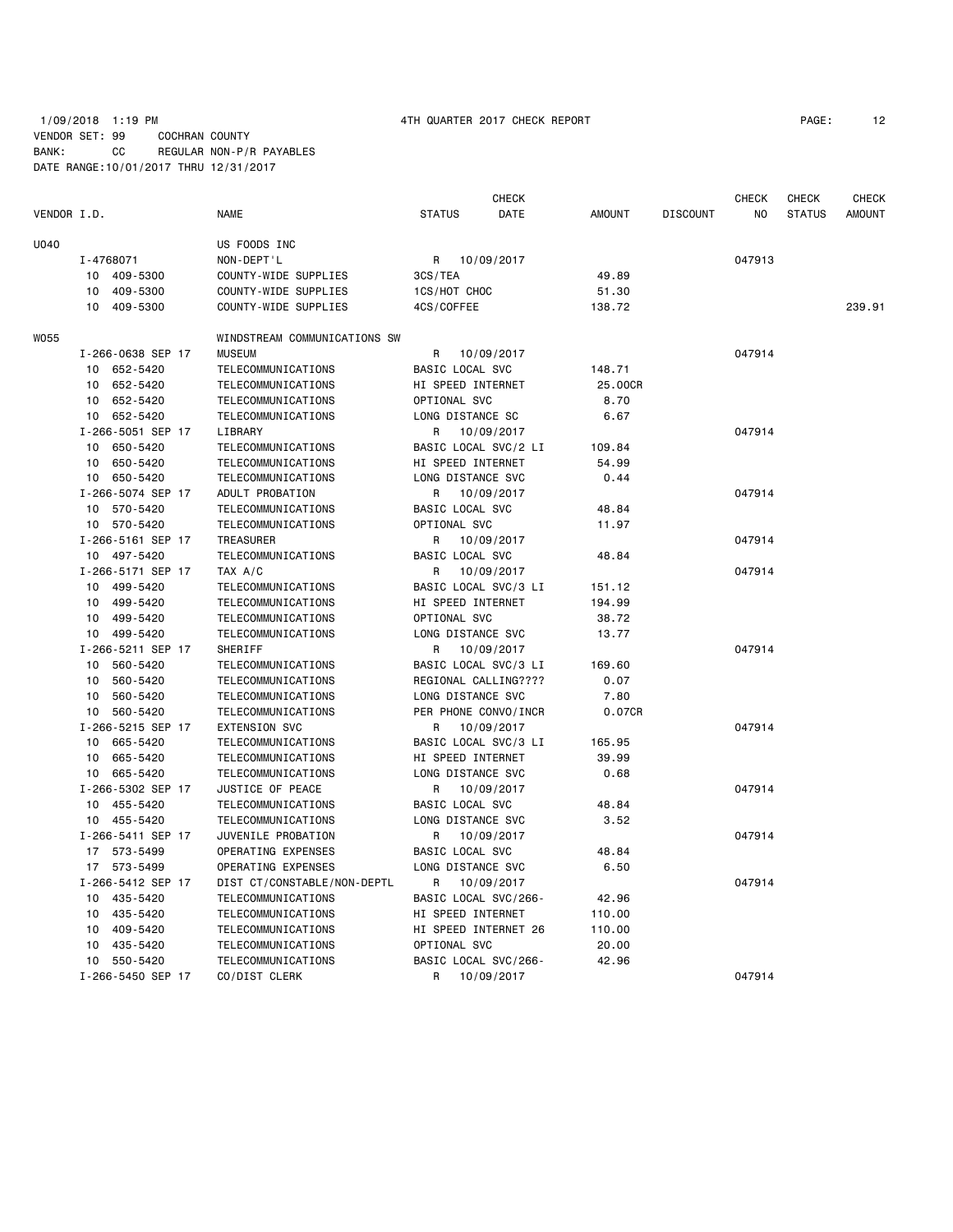## 1/09/2018 1:19 PM **1/09/2018 1:19 PM 1/09/2018** 1:19 PM VENDOR SET: 99 COCHRAN COUNTY BANK: CC REGULAR NON-P/R PAYABLES DATE RANGE:10/01/2017 THRU 12/31/2017

|             |                   |                              |                      | <b>CHECK</b> |               |                 | CHECK  | CHECK         | CHECK         |
|-------------|-------------------|------------------------------|----------------------|--------------|---------------|-----------------|--------|---------------|---------------|
| VENDOR I.D. |                   | <b>NAME</b>                  | <b>STATUS</b>        | DATE         | <b>AMOUNT</b> | <b>DISCOUNT</b> | ΝO     | <b>STATUS</b> | <b>AMOUNT</b> |
| U040        |                   | US FOODS INC                 |                      |              |               |                 |        |               |               |
|             | I-4768071         | NON-DEPT'L                   | 10/09/2017<br>R      |              |               |                 | 047913 |               |               |
|             | 10 409-5300       | COUNTY-WIDE SUPPLIES         | 3CS/TEA              |              | 49.89         |                 |        |               |               |
|             | 409-5300<br>10    | COUNTY-WIDE SUPPLIES         | 1CS/HOT CHOC         |              | 51.30         |                 |        |               |               |
|             | 409-5300<br>10    | COUNTY-WIDE SUPPLIES         | 4CS/COFFEE           |              | 138.72        |                 |        |               | 239.91        |
| W055        |                   | WINDSTREAM COMMUNICATIONS SW |                      |              |               |                 |        |               |               |
|             | I-266-0638 SEP 17 | <b>MUSEUM</b>                | R                    | 10/09/2017   |               |                 | 047914 |               |               |
|             | 10 652-5420       | TELECOMMUNICATIONS           | BASIC LOCAL SVC      |              | 148.71        |                 |        |               |               |
|             | 652-5420<br>10    | TELECOMMUNICATIONS           | HI SPEED INTERNET    |              | 25.00CR       |                 |        |               |               |
|             | 10 652-5420       | <b>TELECOMMUNICATIONS</b>    | OPTIONAL SVC         |              | 8.70          |                 |        |               |               |
|             | 10 652-5420       | TELECOMMUNICATIONS           | LONG DISTANCE SC     |              | 6.67          |                 |        |               |               |
|             | I-266-5051 SEP 17 | LIBRARY                      | 10/09/2017<br>R      |              |               |                 | 047914 |               |               |
|             | 10 650-5420       | <b>TELECOMMUNICATIONS</b>    | BASIC LOCAL SVC/2 LI |              | 109.84        |                 |        |               |               |
|             | 10 650-5420       | TELECOMMUNICATIONS           | HI SPEED INTERNET    |              | 54.99         |                 |        |               |               |
|             | 10 650-5420       | TELECOMMUNICATIONS           | LONG DISTANCE SVC    |              | 0.44          |                 |        |               |               |
|             | I-266-5074 SEP 17 | ADULT PROBATION              | R                    | 10/09/2017   |               |                 | 047914 |               |               |
|             | 10 570-5420       | TELECOMMUNICATIONS           | BASIC LOCAL SVC      |              | 48.84         |                 |        |               |               |
|             | 10 570-5420       | <b>TELECOMMUNICATIONS</b>    | OPTIONAL SVC         |              | 11.97         |                 |        |               |               |
|             | I-266-5161 SEP 17 | <b>TREASURER</b>             | R                    | 10/09/2017   |               |                 | 047914 |               |               |
|             | 10 497-5420       | <b>TELECOMMUNICATIONS</b>    | BASIC LOCAL SVC      |              | 48.84         |                 |        |               |               |
|             | I-266-5171 SEP 17 | TAX A/C                      | R.                   | 10/09/2017   |               |                 | 047914 |               |               |
|             | 10 499-5420       | TELECOMMUNICATIONS           | BASIC LOCAL SVC/3 LI |              | 151.12        |                 |        |               |               |
|             | 10 499-5420       | <b>TELECOMMUNICATIONS</b>    | HI SPEED INTERNET    |              | 194.99        |                 |        |               |               |
|             | 10 499-5420       | TELECOMMUNICATIONS           | OPTIONAL SVC         |              | 38.72         |                 |        |               |               |
|             | 10 499-5420       | <b>TELECOMMUNICATIONS</b>    | LONG DISTANCE SVC    |              | 13.77         |                 |        |               |               |
|             | I-266-5211 SEP 17 | SHERIFF                      | 10/09/2017<br>R      |              |               |                 | 047914 |               |               |
|             | 10<br>560-5420    | TELECOMMUNICATIONS           | BASIC LOCAL SVC/3 LI |              | 169.60        |                 |        |               |               |
|             | 10<br>560-5420    | TELECOMMUNICATIONS           | REGIONAL CALLING???? |              | 0.07          |                 |        |               |               |
|             | 10<br>560-5420    | TELECOMMUNICATIONS           | LONG DISTANCE SVC    |              | 7.80          |                 |        |               |               |
|             | 10 560-5420       | TELECOMMUNICATIONS           | PER PHONE CONVO/INCR |              | 0.07CR        |                 |        |               |               |
|             | I-266-5215 SEP 17 | <b>EXTENSION SVC</b>         | R                    | 10/09/2017   |               |                 | 047914 |               |               |
|             | 10 665-5420       | <b>TELECOMMUNICATIONS</b>    | BASIC LOCAL SVC/3 LI |              | 165.95        |                 |        |               |               |
|             | 10 665-5420       | <b>TELECOMMUNICATIONS</b>    | HI SPEED INTERNET    |              | 39.99         |                 |        |               |               |
|             | 10 665-5420       | <b>TELECOMMUNICATIONS</b>    | LONG DISTANCE SVC    |              | 0.68          |                 |        |               |               |
|             | I-266-5302 SEP 17 | JUSTICE OF PEACE             | 10/09/2017<br>R      |              |               |                 | 047914 |               |               |
|             | 10 455-5420       | <b>TELECOMMUNICATIONS</b>    | BASIC LOCAL SVC      |              | 48.84         |                 |        |               |               |
|             | 10 455-5420       | <b>TELECOMMUNICATIONS</b>    | LONG DISTANCE SVC    |              | 3.52          |                 |        |               |               |
|             | I-266-5411 SEP 17 | JUVENILE PROBATION           | R                    | 10/09/2017   |               |                 | 047914 |               |               |
|             | 17 573-5499       | OPERATING EXPENSES           | BASIC LOCAL SVC      |              | 48.84         |                 |        |               |               |
|             | 17 573-5499       | OPERATING EXPENSES           | LONG DISTANCE SVC    |              | 6.50          |                 |        |               |               |
|             | I-266-5412 SEP 17 | DIST CT/CONSTABLE/NON-DEPTL  | R                    | 10/09/2017   |               |                 | 047914 |               |               |
|             | 10 435-5420       | <b>TELECOMMUNICATIONS</b>    | BASIC LOCAL SVC/266- |              | 42.96         |                 |        |               |               |
|             | 10 435-5420       | <b>TELECOMMUNICATIONS</b>    | HI SPEED INTERNET    |              | 110.00        |                 |        |               |               |
|             | 10 409-5420       | <b>TELECOMMUNICATIONS</b>    | HI SPEED INTERNET 26 |              | 110.00        |                 |        |               |               |
|             | 10 435-5420       | TELECOMMUNICATIONS           | OPTIONAL SVC         |              | 20.00         |                 |        |               |               |
|             | 10 550-5420       | TELECOMMUNICATIONS           | BASIC LOCAL SVC/266- |              | 42.96         |                 |        |               |               |
|             | I-266-5450 SEP 17 | CO/DIST CLERK                | R                    | 10/09/2017   |               |                 | 047914 |               |               |
|             |                   |                              |                      |              |               |                 |        |               |               |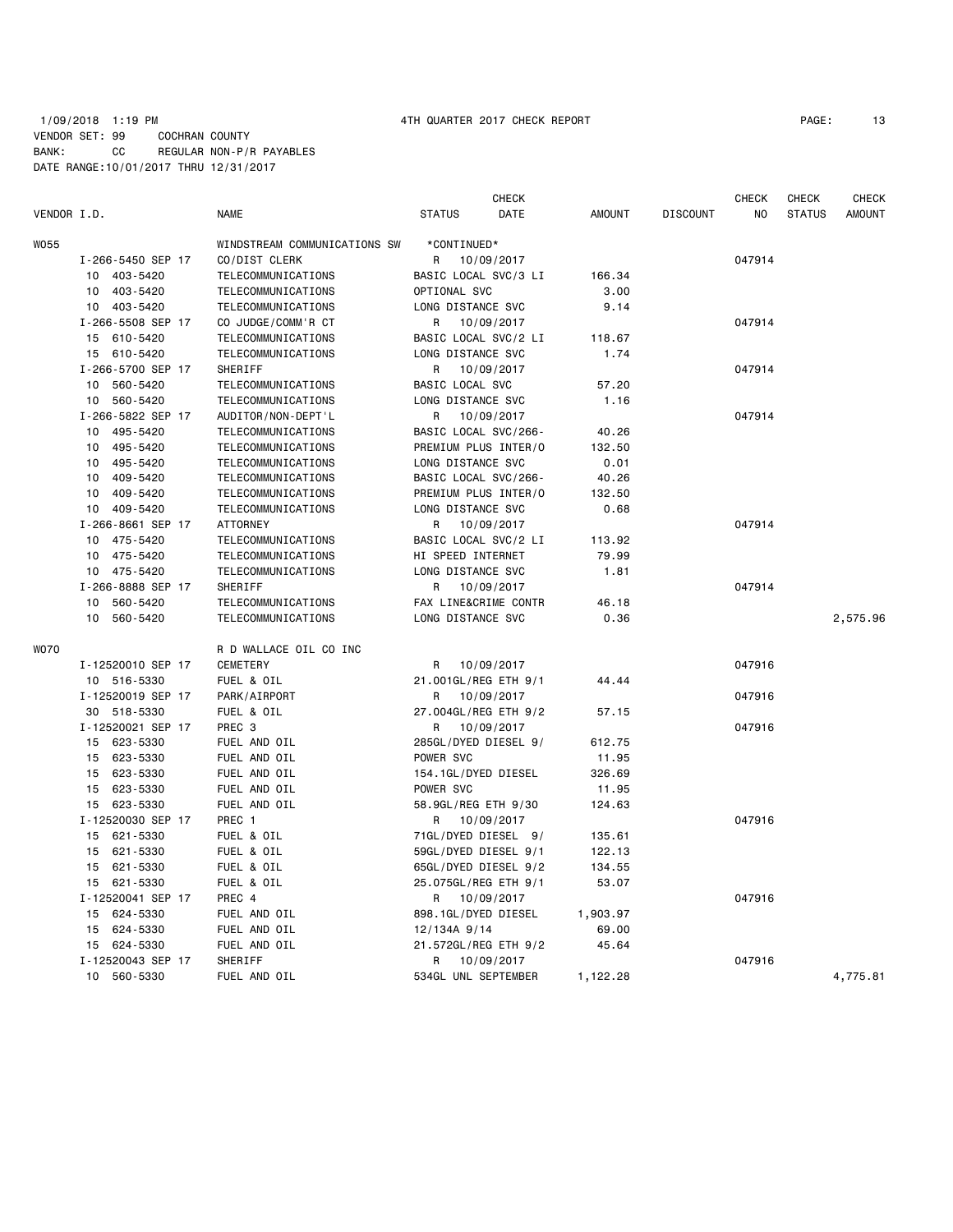## 1/09/2018 1:19 PM 4TH QUARTER 2017 CHECK REPORT PAGE: 13 VENDOR SET: 99 COCHRAN COUNTY BANK: CC REGULAR NON-P/R PAYABLES DATE RANGE:10/01/2017 THRU 12/31/2017

| VENDOR I.D. |                   | <b>NAME</b>                  | <b>STATUS</b>          | <b>CHECK</b><br>DATE | <b>AMOUNT</b> | <b>DISCOUNT</b> | <b>CHECK</b><br>NO | <b>CHECK</b><br><b>STATUS</b> | <b>CHECK</b><br><b>AMOUNT</b> |
|-------------|-------------------|------------------------------|------------------------|----------------------|---------------|-----------------|--------------------|-------------------------------|-------------------------------|
|             |                   |                              |                        |                      |               |                 |                    |                               |                               |
| <b>W055</b> |                   | WINDSTREAM COMMUNICATIONS SW | *CONTINUED*            |                      |               |                 |                    |                               |                               |
|             | I-266-5450 SEP 17 | CO/DIST CLERK                | 10/09/2017<br>R        |                      |               |                 | 047914             |                               |                               |
|             | 10 403-5420       | TELECOMMUNICATIONS           | BASIC LOCAL SVC/3 LI   |                      | 166.34        |                 |                    |                               |                               |
|             | 10 403-5420       | TELECOMMUNICATIONS           | OPTIONAL SVC           |                      | 3.00          |                 |                    |                               |                               |
|             | 10 403-5420       | TELECOMMUNICATIONS           | LONG DISTANCE SVC      |                      | 9.14          |                 |                    |                               |                               |
|             | I-266-5508 SEP 17 | CO JUDGE/COMM'R CT           | R<br>10/09/2017        |                      |               |                 | 047914             |                               |                               |
|             | 15 610-5420       | TELECOMMUNICATIONS           | BASIC LOCAL SVC/2 LI   |                      | 118.67        |                 |                    |                               |                               |
|             | 15 610-5420       | TELECOMMUNICATIONS           | LONG DISTANCE SVC      |                      | 1.74          |                 |                    |                               |                               |
|             | I-266-5700 SEP 17 | SHERIFF                      | R                      | 10/09/2017           |               |                 | 047914             |                               |                               |
|             | 10 560-5420       | TELECOMMUNICATIONS           | <b>BASIC LOCAL SVC</b> |                      | 57.20         |                 |                    |                               |                               |
|             | 10 560-5420       | TELECOMMUNICATIONS           | LONG DISTANCE SVC      |                      | 1.16          |                 |                    |                               |                               |
|             | I-266-5822 SEP 17 | AUDITOR/NON-DEPT'L           | R                      | 10/09/2017           |               |                 | 047914             |                               |                               |
|             | 10 495-5420       | TELECOMMUNICATIONS           | BASIC LOCAL SVC/266-   |                      | 40.26         |                 |                    |                               |                               |
|             | 10 495-5420       | <b>TELECOMMUNICATIONS</b>    | PREMIUM PLUS INTER/O   |                      | 132.50        |                 |                    |                               |                               |
|             | 495-5420<br>10    | TELECOMMUNICATIONS           | LONG DISTANCE SVC      |                      | 0.01          |                 |                    |                               |                               |
|             | 409-5420<br>10    | TELECOMMUNICATIONS           | BASIC LOCAL SVC/266-   |                      | 40.26         |                 |                    |                               |                               |
|             | 10 409-5420       | TELECOMMUNICATIONS           | PREMIUM PLUS INTER/O   |                      | 132.50        |                 |                    |                               |                               |
|             | 10 409-5420       | TELECOMMUNICATIONS           | LONG DISTANCE SVC      |                      | 0.68          |                 |                    |                               |                               |
|             | I-266-8661 SEP 17 | <b>ATTORNEY</b>              | R                      | 10/09/2017           |               |                 | 047914             |                               |                               |
|             | 10 475-5420       | TELECOMMUNICATIONS           | BASIC LOCAL SVC/2 LI   |                      | 113.92        |                 |                    |                               |                               |
|             | 10 475-5420       | TELECOMMUNICATIONS           | HI SPEED INTERNET      |                      | 79.99         |                 |                    |                               |                               |
|             | 10 475-5420       | TELECOMMUNICATIONS           | LONG DISTANCE SVC      |                      | 1.81          |                 |                    |                               |                               |
|             | I-266-8888 SEP 17 | SHERIFF                      | 10/09/2017<br>R        |                      |               |                 | 047914             |                               |                               |
|             | 10 560-5420       | TELECOMMUNICATIONS           | FAX LINE&CRIME CONTR   |                      | 46.18         |                 |                    |                               |                               |
|             | 10 560-5420       | TELECOMMUNICATIONS           | LONG DISTANCE SVC      |                      | 0.36          |                 |                    |                               | 2,575.96                      |
| <b>WO70</b> |                   | R D WALLACE OIL CO INC       |                        |                      |               |                 |                    |                               |                               |
|             | I-12520010 SEP 17 | <b>CEMETERY</b>              | R                      | 10/09/2017           |               |                 | 047916             |                               |                               |
|             | 10 516-5330       | FUEL & OIL                   | 21.001GL/REG ETH 9/1   |                      | 44.44         |                 |                    |                               |                               |
|             | I-12520019 SEP 17 | PARK/AIRPORT                 | R                      | 10/09/2017           |               |                 | 047916             |                               |                               |
|             | 30 518-5330       | FUEL & OIL                   | 27.004GL/REG ETH 9/2   |                      | 57.15         |                 |                    |                               |                               |
|             | I-12520021 SEP 17 | PREC <sub>3</sub>            | R.                     | 10/09/2017           |               |                 | 047916             |                               |                               |
|             | 15 623-5330       | FUEL AND OIL                 | 285GL/DYED DIESEL 9/   |                      | 612.75        |                 |                    |                               |                               |
|             | 15 623-5330       | FUEL AND OIL                 | POWER SVC              |                      | 11.95         |                 |                    |                               |                               |
|             | 15 623-5330       | FUEL AND OIL                 | 154.1GL/DYED DIESEL    |                      | 326.69        |                 |                    |                               |                               |
|             | 15 623-5330       | FUEL AND OIL                 | POWER SVC              |                      | 11.95         |                 |                    |                               |                               |
|             | 15 623-5330       | FUEL AND OIL                 | 58.9GL/REG ETH 9/30    |                      | 124.63        |                 |                    |                               |                               |
|             | I-12520030 SEP 17 | PREC 1                       | R 10/09/2017           |                      |               |                 | 047916             |                               |                               |
|             | 15 621-5330       | FUEL & OIL                   | 71GL/DYED DIESEL 9/    |                      | 135.61        |                 |                    |                               |                               |
|             | 15 621-5330       | FUEL & OIL                   | 59GL/DYED DIESEL 9/1   |                      | 122.13        |                 |                    |                               |                               |
|             | 15 621-5330       | FUEL & OIL                   | 65GL/DYED DIESEL 9/2   |                      | 134.55        |                 |                    |                               |                               |
|             | 15 621-5330       | FUEL & OIL                   | 25.075GL/REG ETH 9/1   |                      | 53.07         |                 |                    |                               |                               |
|             | I-12520041 SEP 17 | PREC 4                       | R 10/09/2017           |                      |               |                 | 047916             |                               |                               |
|             | 15 624-5330       | FUEL AND OIL                 | 898.1GL/DYED DIESEL    |                      | 1,903.97      |                 |                    |                               |                               |
|             | 624-5330<br>15    | FUEL AND OIL                 | 12/134A 9/14           |                      | 69.00         |                 |                    |                               |                               |
|             | 15 624-5330       | FUEL AND OIL                 | 21.572GL/REG ETH 9/2   |                      | 45.64         |                 |                    |                               |                               |
|             | I-12520043 SEP 17 | SHERIFF                      | 10/09/2017<br>R        |                      |               |                 | 047916             |                               |                               |
|             | 10 560-5330       | FUEL AND OIL                 | 534GL UNL SEPTEMBER    |                      | 1,122.28      |                 |                    |                               | 4,775.81                      |
|             |                   |                              |                        |                      |               |                 |                    |                               |                               |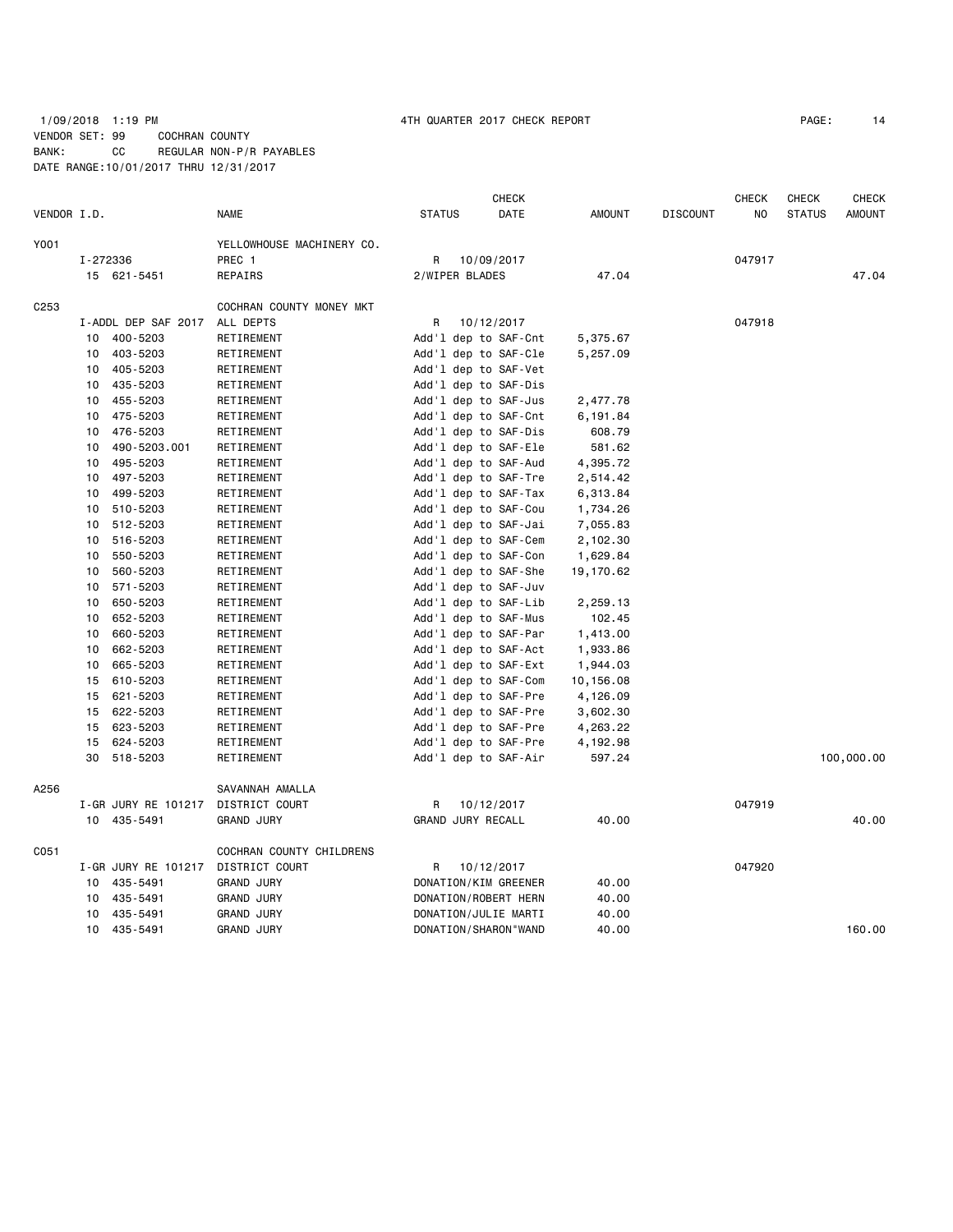## 1/09/2018 1:19 PM 4TH QUARTER 2017 CHECK REPORT PAGE: 14 VENDOR SET: 99 COCHRAN COUNTY BANK: CC REGULAR NON-P/R PAYABLES DATE RANGE:10/01/2017 THRU 12/31/2017

|                  |          |                     |                           |               | CHECK                   |               |                 | CHECK  | CHECK         | <b>CHECK</b>  |
|------------------|----------|---------------------|---------------------------|---------------|-------------------------|---------------|-----------------|--------|---------------|---------------|
| VENDOR I.D.      |          |                     | <b>NAME</b>               | <b>STATUS</b> | DATE                    | <b>AMOUNT</b> | <b>DISCOUNT</b> | NO.    | <b>STATUS</b> | <b>AMOUNT</b> |
| Y001             |          |                     | YELLOWHOUSE MACHINERY CO. |               |                         |               |                 |        |               |               |
|                  | I-272336 |                     | PREC 1                    | R             | 10/09/2017              |               |                 | 047917 |               |               |
|                  |          | 15 621-5451         | REPAIRS                   |               | 2/WIPER BLADES          | 47.04         |                 |        |               | 47.04         |
| C <sub>253</sub> |          |                     | COCHRAN COUNTY MONEY MKT  |               |                         |               |                 |        |               |               |
|                  |          | I-ADDL DEP SAF 2017 | ALL DEPTS                 | R             | 10/12/2017              |               |                 | 047918 |               |               |
|                  | 10       | 400-5203            | RETIREMENT                |               | Add'l dep to SAF-Cnt    | 5,375.67      |                 |        |               |               |
|                  | 10       | 403-5203            | RETIREMENT                |               | Add'l dep to SAF-Cle    | 5,257.09      |                 |        |               |               |
|                  | 10       | 405-5203            | RETIREMENT                |               | Add'l dep to SAF-Vet    |               |                 |        |               |               |
|                  | 10       | 435-5203            | RETIREMENT                |               | Add'l dep to SAF-Dis    |               |                 |        |               |               |
|                  | 10       | 455-5203            | RETIREMENT                |               | Add'l dep to SAF-Jus    | 2,477.78      |                 |        |               |               |
|                  | 10       | 475-5203            | RETIREMENT                |               | Add'l dep to SAF-Cnt    | 6,191.84      |                 |        |               |               |
|                  | 10       | 476-5203            | RETIREMENT                |               | Add'l dep to SAF-Dis    | 608.79        |                 |        |               |               |
|                  | 10       | 490-5203.001        | RETIREMENT                |               | Add'l dep to SAF-Ele    | 581.62        |                 |        |               |               |
|                  | 10       | 495-5203            | RETIREMENT                |               | Add'l dep to SAF-Aud    | 4,395.72      |                 |        |               |               |
|                  | 10       | 497-5203            | RETIREMENT                |               | Add'l dep to SAF-Tre    | 2,514.42      |                 |        |               |               |
|                  | 10       | 499-5203            | RETIREMENT                |               | Add'l dep to SAF-Tax    | 6,313.84      |                 |        |               |               |
|                  | 10       | 510-5203            | RETIREMENT                |               | Add'l dep to SAF-Cou    | 1,734.26      |                 |        |               |               |
|                  | 10       | 512-5203            | RETIREMENT                |               | Add'l dep to SAF-Jai    | 7,055.83      |                 |        |               |               |
|                  | 10       | 516-5203            | RETIREMENT                |               | Add'l dep to SAF-Cem    | 2,102.30      |                 |        |               |               |
|                  | 10       | 550-5203            | RETIREMENT                |               | Add'l dep to SAF-Con    | 1,629.84      |                 |        |               |               |
|                  | 10       | 560-5203            | RETIREMENT                |               | Add'l dep to SAF-She    | 19,170.62     |                 |        |               |               |
|                  | 10       | 571-5203            | RETIREMENT                |               | Add'l dep to SAF-Juv    |               |                 |        |               |               |
|                  | 10       | 650-5203            | RETIREMENT                |               | Add'l dep to SAF-Lib    | 2,259.13      |                 |        |               |               |
|                  | 10       | 652-5203            | RETIREMENT                |               | Add'l dep to SAF-Mus    | 102.45        |                 |        |               |               |
|                  | 10       | 660-5203            | RETIREMENT                |               | Add'1 dep to SAF-Par    | 1,413.00      |                 |        |               |               |
|                  | 10       | 662-5203            | RETIREMENT                |               | Add'l dep to SAF-Act    | 1,933.86      |                 |        |               |               |
|                  | 10       | 665-5203            | RETIREMENT                |               | Add'l dep to SAF-Ext    | 1,944.03      |                 |        |               |               |
|                  | 15       | 610-5203            | RETIREMENT                |               | Add'l dep to SAF-Com    | 10,156.08     |                 |        |               |               |
|                  | 15       | 621-5203            | RETIREMENT                |               | Add'l dep to SAF-Pre    | 4,126.09      |                 |        |               |               |
|                  | 15       | 622-5203            | RETIREMENT                |               | Add'l dep to SAF-Pre    | 3,602.30      |                 |        |               |               |
|                  | 15       | 623-5203            | RETIREMENT                |               | Add'l dep to SAF-Pre    | 4,263.22      |                 |        |               |               |
|                  | 15       | 624-5203            | RETIREMENT                |               | Add'l dep to SAF-Pre    | 4,192.98      |                 |        |               |               |
|                  | 30       | 518-5203            | RETIREMENT                |               | Add'l dep to SAF-Air    | 597.24        |                 |        |               | 100,000.00    |
| A256             |          |                     | SAVANNAH AMALLA           |               |                         |               |                 |        |               |               |
|                  |          | I-GR JURY RE 101217 | DISTRICT COURT            | R             | 10/12/2017              |               |                 | 047919 |               |               |
|                  |          | 10 435-5491         | <b>GRAND JURY</b>         |               | GRAND JURY RECALL       | 40.00         |                 |        |               | 40.00         |
| C051             |          |                     | COCHRAN COUNTY CHILDRENS  |               |                         |               |                 |        |               |               |
|                  |          | I-GR JURY RE 101217 | DISTRICT COURT            | R             | 10/12/2017              |               |                 | 047920 |               |               |
|                  | 10       | 435-5491            | GRAND JURY                |               | DONATION/KIM GREENER    | 40.00         |                 |        |               |               |
|                  | 10       | 435-5491            | <b>GRAND JURY</b>         |               | DONATION/ROBERT HERN    | 40.00         |                 |        |               |               |
|                  | 10       | 435-5491            | <b>GRAND JURY</b>         |               | DONATION/JULIE MARTI    | 40.00         |                 |        |               |               |
|                  | 10       | 435-5491            | <b>GRAND JURY</b>         |               | DONATION / SHARON "WAND | 40.00         |                 |        |               | 160.00        |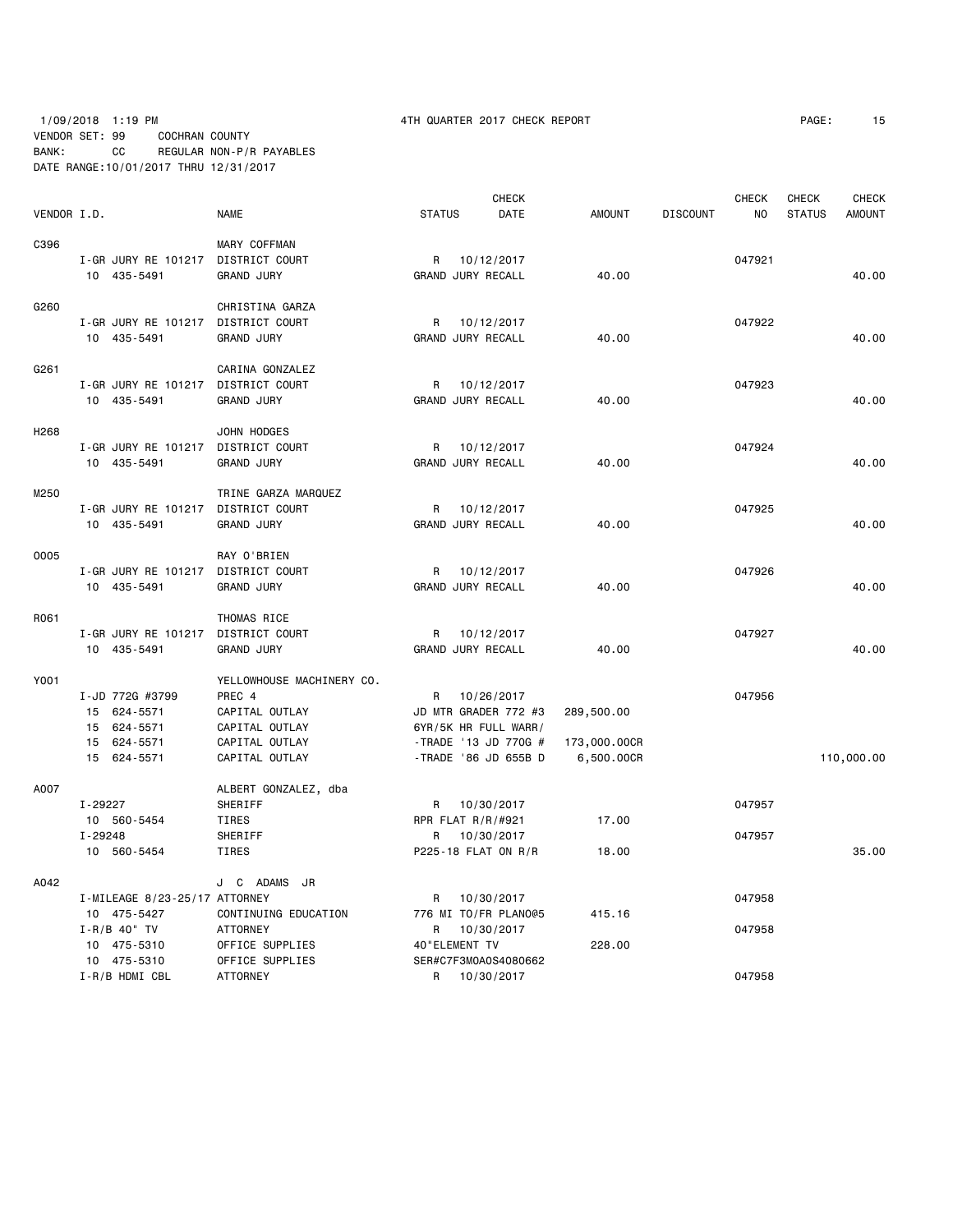## 1/09/2018 1:19 PM 4TH QUARTER 2017 CHECK REPORT PAGE: 15 VENDOR SET: 99 COCHRAN COUNTY BANK: CC REGULAR NON-P/R PAYABLES DATE RANGE:10/01/2017 THRU 12/31/2017

|                  |                                    |                                    |                      | <b>CHECK</b>         |               |                 | <b>CHECK</b>   | <b>CHECK</b>  | <b>CHECK</b>  |
|------------------|------------------------------------|------------------------------------|----------------------|----------------------|---------------|-----------------|----------------|---------------|---------------|
| VENDOR I.D.      |                                    | <b>NAME</b>                        | <b>STATUS</b>        | DATE                 | <b>AMOUNT</b> | <b>DISCOUNT</b> | N <sub>O</sub> | <b>STATUS</b> | <b>AMOUNT</b> |
| C396             |                                    | MARY COFFMAN                       |                      |                      |               |                 |                |               |               |
|                  | I-GR JURY RE 101217 DISTRICT COURT |                                    | R                    | 10/12/2017           |               |                 | 047921         |               |               |
|                  | 10 435-5491                        | <b>GRAND JURY</b>                  | GRAND JURY RECALL    |                      | 40.00         |                 |                |               | 40.00         |
| G260             |                                    | CHRISTINA GARZA                    |                      |                      |               |                 |                |               |               |
|                  | I-GR JURY RE 101217                | DISTRICT COURT                     | R                    | 10/12/2017           |               |                 | 047922         |               |               |
|                  | 10 435-5491                        | <b>GRAND JURY</b>                  | GRAND JURY RECALL    |                      | 40.00         |                 |                |               | 40.00         |
| G261             |                                    | CARINA GONZALEZ                    |                      |                      |               |                 |                |               |               |
|                  | I-GR JURY RE 101217 DISTRICT COURT |                                    | R                    | 10/12/2017           |               |                 | 047923         |               |               |
|                  | 10 435-5491                        | <b>GRAND JURY</b>                  | GRAND JURY RECALL    |                      | 40.00         |                 |                |               | 40.00         |
| H <sub>268</sub> |                                    | JOHN HODGES                        |                      |                      |               |                 |                |               |               |
|                  | I-GR JURY RE 101217 DISTRICT COURT |                                    | R                    | 10/12/2017           |               |                 | 047924         |               |               |
|                  | 10 435-5491                        | <b>GRAND JURY</b>                  | GRAND JURY RECALL    |                      | 40.00         |                 |                |               | 40.00         |
| M250             |                                    | TRINE GARZA MARQUEZ                |                      |                      |               |                 |                |               |               |
|                  | I-GR JURY RE 101217 DISTRICT COURT |                                    | R                    | 10/12/2017           |               |                 | 047925         |               |               |
|                  | 10 435-5491                        | <b>GRAND JURY</b>                  | GRAND JURY RECALL    |                      | 40.00         |                 |                |               | 40.00         |
| 0005             |                                    | RAY O'BRIEN                        |                      |                      |               |                 |                |               |               |
|                  | I-GR JURY RE 101217 DISTRICT COURT |                                    | R                    | 10/12/2017           |               |                 | 047926         |               |               |
|                  | 10 435-5491                        | <b>GRAND JURY</b>                  | GRAND JURY RECALL    |                      | 40.00         |                 |                |               | 40.00         |
| R061             |                                    | THOMAS RICE                        |                      |                      |               |                 |                |               |               |
|                  | I-GR JURY RE 101217 DISTRICT COURT |                                    | R                    | 10/12/2017           |               |                 | 047927         |               |               |
|                  | 10 435-5491                        | <b>GRAND JURY</b>                  | GRAND JURY RECALL    |                      | 40.00         |                 |                |               | 40.00         |
| Y001             |                                    | YELLOWHOUSE MACHINERY CO.          |                      |                      |               |                 |                |               |               |
|                  | I-JD 772G #3799                    | PREC 4                             | R                    | 10/26/2017           |               |                 | 047956         |               |               |
|                  | 15 624-5571                        | CAPITAL OUTLAY                     |                      | JD MTR GRADER 772 #3 | 289,500.00    |                 |                |               |               |
|                  | 15 624-5571                        | CAPITAL OUTLAY                     | 6YR/5K HR FULL WARR/ |                      |               |                 |                |               |               |
|                  | 15 624-5571                        | CAPITAL OUTLAY                     |                      | -TRADE '13 JD 770G # | 173,000.00CR  |                 |                |               |               |
|                  | 15 624-5571                        | CAPITAL OUTLAY                     |                      | -TRADE '86 JD 655B D | 6,500.00CR    |                 |                |               | 110,000.00    |
| A007             |                                    | ALBERT GONZALEZ, dba               |                      |                      |               |                 |                |               |               |
|                  | I-29227                            | SHERIFF                            | R 10/30/2017         |                      |               |                 | 047957         |               |               |
|                  | 10 560-5454                        | TIRES                              | RPR FLAT R/R/#921    |                      | 17.00         |                 |                |               |               |
|                  | I-29248                            | SHERIFF                            |                      | R 10/30/2017         |               |                 | 047957         |               |               |
|                  | 10 560-5454                        | TIRES                              | P225-18 FLAT ON R/R  |                      | 18.00         |                 |                |               | 35.00         |
| A042             |                                    | J C ADAMS JR                       |                      |                      |               |                 |                |               |               |
|                  | I-MILEAGE 8/23-25/17 ATTORNEY      |                                    | R                    | 10/30/2017           |               |                 | 047958         |               |               |
|                  | 10 475-5427                        | CONTINUING EDUCATION               |                      | 776 MI TO/FR PLANO@5 | 415.16        |                 |                |               |               |
|                  | $I - R/B$ 40" TV                   | <b>ATTORNEY</b>                    | R                    | 10/30/2017           |               |                 | 047958         |               |               |
|                  | 10 475-5310<br>10 475-5310         | OFFICE SUPPLIES<br>OFFICE SUPPLIES | 40"ELEMENT TV        | SER#C7F3M0A0S4080662 | 228.00        |                 |                |               |               |
|                  | I-R/B HDMI CBL                     | <b>ATTORNEY</b>                    | R                    | 10/30/2017           |               |                 | 047958         |               |               |
|                  |                                    |                                    |                      |                      |               |                 |                |               |               |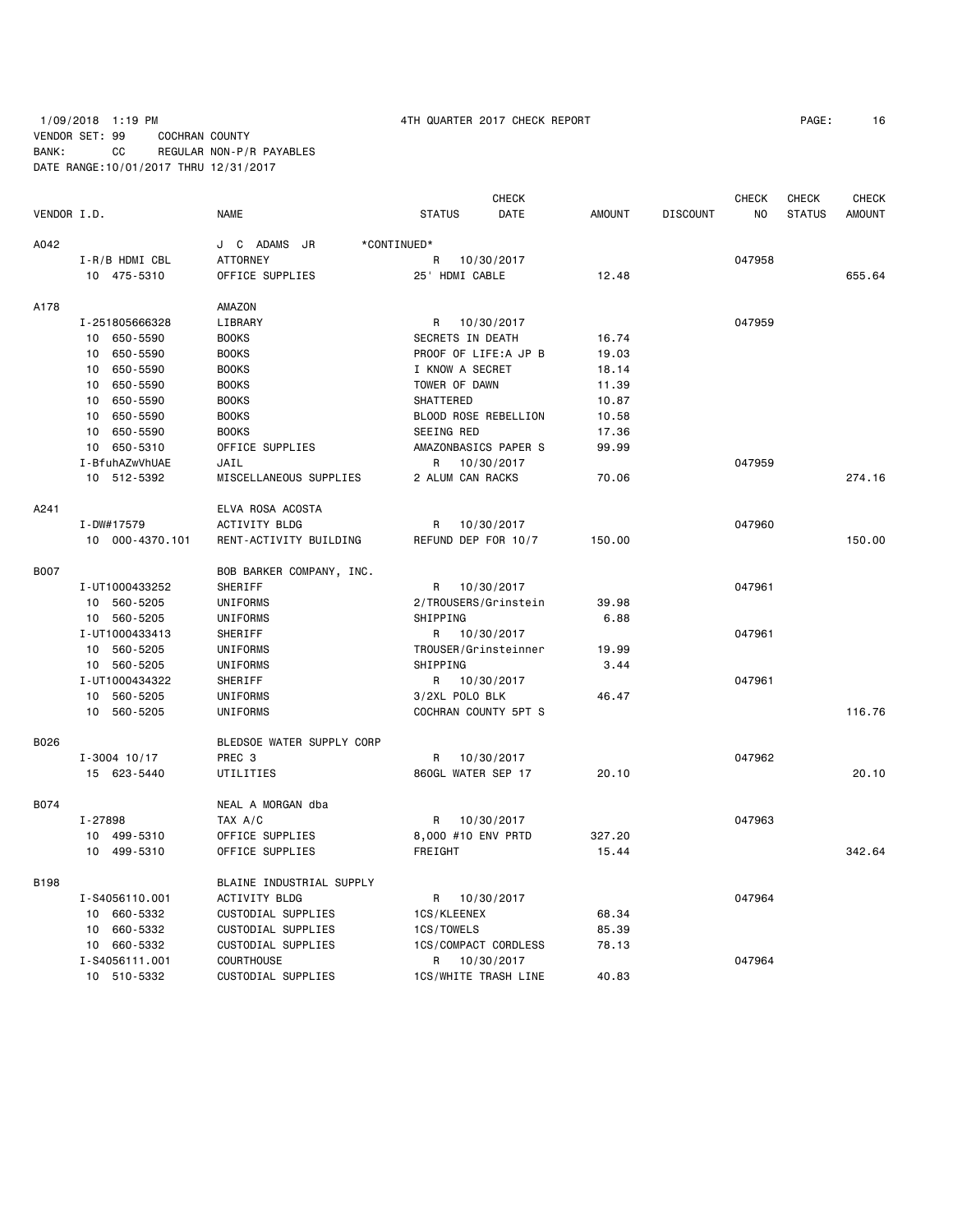## 1/09/2018 1:19 PM 4TH QUARTER 2017 CHECK REPORT PAGE: 16 VENDOR SET: 99 COCHRAN COUNTY BANK: CC REGULAR NON-P/R PAYABLES DATE RANGE:10/01/2017 THRU 12/31/2017

|             |                             |                             |                      | <b>CHECK</b> |               |                 | <b>CHECK</b> | <b>CHECK</b>  | <b>CHECK</b>  |
|-------------|-----------------------------|-----------------------------|----------------------|--------------|---------------|-----------------|--------------|---------------|---------------|
| VENDOR I.D. |                             | <b>NAME</b>                 | <b>STATUS</b>        | DATE         | <b>AMOUNT</b> | <b>DISCOUNT</b> | NO.          | <b>STATUS</b> | <b>AMOUNT</b> |
| A042        |                             | J C ADAMS JR<br>*CONTINUED* |                      |              |               |                 |              |               |               |
|             | I-R/B HDMI CBL              | <b>ATTORNEY</b>             | R                    | 10/30/2017   |               |                 | 047958       |               |               |
|             | 10 475-5310                 | OFFICE SUPPLIES             | 25' HDMI CABLE       |              | 12.48         |                 |              |               | 655.64        |
| A178        |                             | AMAZON                      |                      |              |               |                 |              |               |               |
|             | I-251805666328              | LIBRARY                     | R                    | 10/30/2017   |               |                 | 047959       |               |               |
|             | 10 650-5590                 | <b>BOOKS</b>                | SECRETS IN DEATH     |              | 16.74         |                 |              |               |               |
|             | 650-5590<br>10              | <b>BOOKS</b>                | PROOF OF LIFE:A JP B |              | 19.03         |                 |              |               |               |
|             | 650-5590<br>10              | <b>BOOKS</b>                | I KNOW A SECRET      |              | 18.14         |                 |              |               |               |
|             | 650-5590<br>10              | <b>BOOKS</b>                | TOWER OF DAWN        |              | 11.39         |                 |              |               |               |
|             | 10<br>650-5590              | <b>BOOKS</b>                | SHATTERED            |              | 10.87         |                 |              |               |               |
|             | 10 <sub>1</sub><br>650-5590 | <b>BOOKS</b>                | BLOOD ROSE REBELLION |              | 10.58         |                 |              |               |               |
|             | 10 650-5590                 | <b>BOOKS</b>                | SEEING RED           |              | 17.36         |                 |              |               |               |
|             | 10 650-5310                 | OFFICE SUPPLIES             | AMAZONBASICS PAPER S |              | 99.99         |                 |              |               |               |
|             | I-BfuhAZwVhUAE              | JAIL                        | R.                   | 10/30/2017   |               |                 | 047959       |               |               |
|             | 10 512-5392                 | MISCELLANEOUS SUPPLIES      | 2 ALUM CAN RACKS     |              | 70.06         |                 |              |               | 274.16        |
|             |                             |                             |                      |              |               |                 |              |               |               |
| A241        |                             | ELVA ROSA ACOSTA            |                      |              |               |                 |              |               |               |
|             | I-DW#17579                  | <b>ACTIVITY BLDG</b>        | R                    | 10/30/2017   |               |                 | 047960       |               |               |
|             | 10 000-4370.101             | RENT-ACTIVITY BUILDING      | REFUND DEP FOR 10/7  |              | 150.00        |                 |              |               | 150.00        |
| <b>B007</b> |                             | BOB BARKER COMPANY, INC.    |                      |              |               |                 |              |               |               |
|             | I-UT1000433252              | SHERIFF                     | R                    | 10/30/2017   |               |                 | 047961       |               |               |
|             | 10 560-5205                 | UNIFORMS                    | 2/TROUSERS/Grinstein |              | 39.98         |                 |              |               |               |
|             | 10 560-5205                 | UNIFORMS                    | SHIPPING             |              | 6.88          |                 |              |               |               |
|             | I-UT1000433413              | SHERIFF                     | R 10/30/2017         |              |               |                 | 047961       |               |               |
|             | 10 560-5205                 | UNIFORMS                    | TROUSER/Grinsteinner |              | 19.99         |                 |              |               |               |
|             | 10 560-5205                 | UNIFORMS                    | SHIPPING             |              | 3.44          |                 |              |               |               |
|             | I-UT1000434322              | SHERIFF                     | R                    | 10/30/2017   |               |                 | 047961       |               |               |
|             | 10 560-5205                 | UNIFORMS                    | 3/2XL POLO BLK       |              | 46.47         |                 |              |               |               |
|             | 10 560-5205                 | UNIFORMS                    | COCHRAN COUNTY 5PT S |              |               |                 |              |               | 116.76        |
| B026        |                             | BLEDSOE WATER SUPPLY CORP   |                      |              |               |                 |              |               |               |
|             | $I - 3004$ 10/17            | PREC 3                      | R                    | 10/30/2017   |               |                 | 047962       |               |               |
|             | 15 623-5440                 | UTILITIES                   | 860GL WATER SEP 17   |              | 20.10         |                 |              |               | 20.10         |
| B074        |                             | NEAL A MORGAN dba           |                      |              |               |                 |              |               |               |
|             | I-27898                     | TAX A/C                     | R                    | 10/30/2017   |               |                 | 047963       |               |               |
|             | 10 499-5310                 | OFFICE SUPPLIES             | 8,000 #10 ENV PRTD   |              | 327.20        |                 |              |               |               |
|             | 10 499-5310                 | OFFICE SUPPLIES             | FREIGHT              |              | 15.44         |                 |              |               | 342.64        |
| <b>B198</b> |                             | BLAINE INDUSTRIAL SUPPLY    |                      |              |               |                 |              |               |               |
|             | I-S4056110.001              | <b>ACTIVITY BLDG</b>        | R                    | 10/30/2017   |               |                 | 047964       |               |               |
|             | 10 660-5332                 | CUSTODIAL SUPPLIES          | 1CS/KLEENEX          |              | 68.34         |                 |              |               |               |
|             | 10 660-5332                 | CUSTODIAL SUPPLIES          | 1CS/TOWELS           |              | 85.39         |                 |              |               |               |
|             | 10 660-5332                 | CUSTODIAL SUPPLIES          | 1CS/COMPACT CORDLESS |              | 78.13         |                 |              |               |               |
|             | I-S4056111.001              | COURTHOUSE                  | R 10/30/2017         |              |               |                 | 047964       |               |               |
|             | 10 510-5332                 | CUSTODIAL SUPPLIES          | 1CS/WHITE TRASH LINE |              | 40.83         |                 |              |               |               |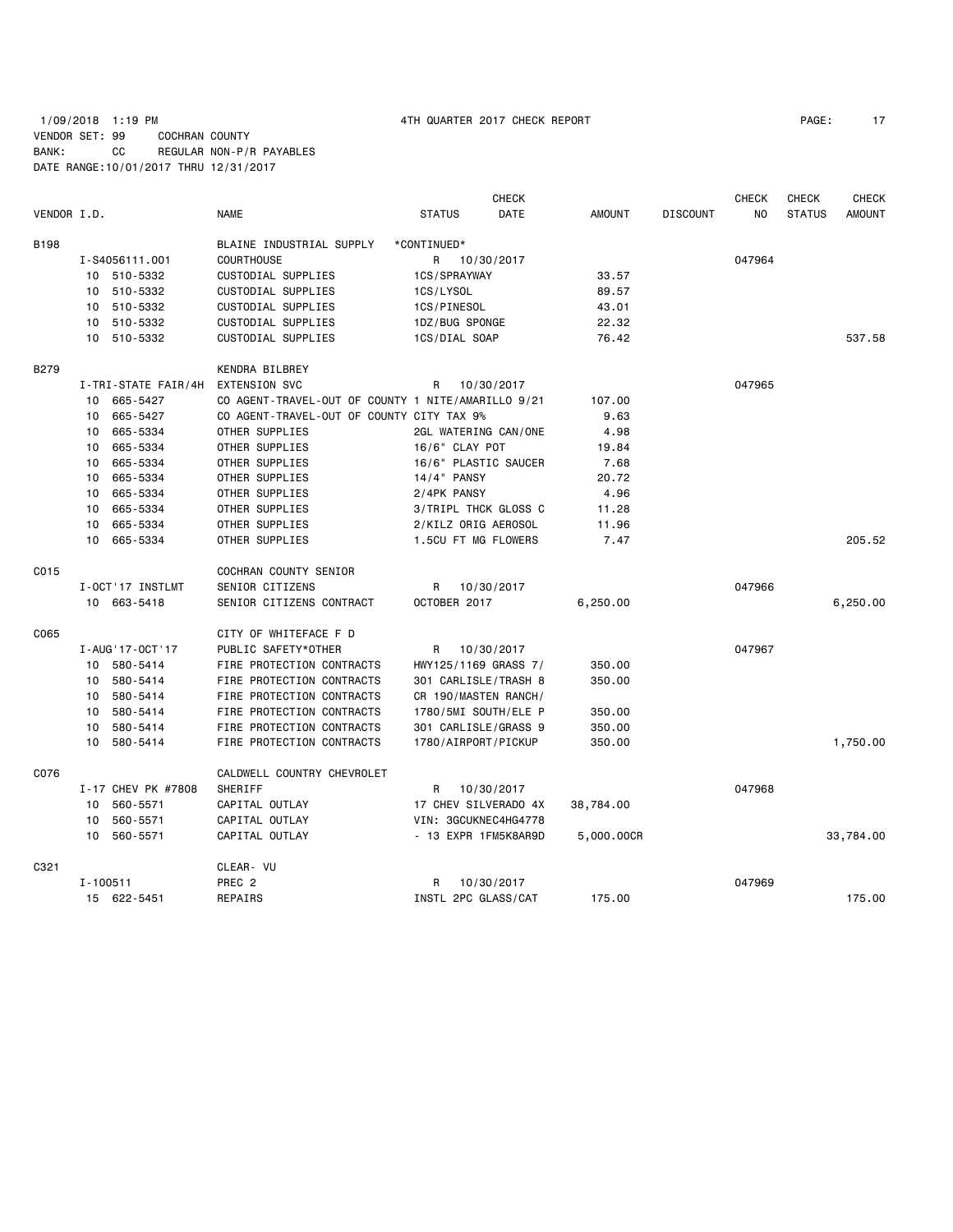|             |                    |                     |                                                    |                      | CHECK      |               |                 | <b>CHECK</b> | CHECK         | <b>CHECK</b>  |
|-------------|--------------------|---------------------|----------------------------------------------------|----------------------|------------|---------------|-----------------|--------------|---------------|---------------|
| VENDOR I.D. |                    |                     | <b>NAME</b>                                        | <b>STATUS</b>        | DATE       | <b>AMOUNT</b> | <b>DISCOUNT</b> | NO           | <b>STATUS</b> | <b>AMOUNT</b> |
| B198        |                    |                     | BLAINE INDUSTRIAL SUPPLY                           | *CONTINUED*          |            |               |                 |              |               |               |
|             | I-S4056111.001     |                     | <b>COURTHOUSE</b>                                  | R.                   | 10/30/2017 |               |                 | 047964       |               |               |
|             | 510-5332<br>10     |                     | CUSTODIAL SUPPLIES                                 | 1CS/SPRAYWAY         |            | 33.57         |                 |              |               |               |
|             | 510-5332<br>10     |                     | CUSTODIAL SUPPLIES                                 | 1CS/LYSOL            |            | 89.57         |                 |              |               |               |
|             | 510-5332<br>10     |                     | CUSTODIAL SUPPLIES                                 | 1CS/PINESOL          |            | 43.01         |                 |              |               |               |
|             | 510-5332<br>10     |                     | CUSTODIAL SUPPLIES                                 | 1DZ/BUG SPONGE       |            | 22.32         |                 |              |               |               |
|             | 10<br>510-5332     |                     | CUSTODIAL SUPPLIES                                 | 1CS/DIAL SOAP        |            | 76.42         |                 |              |               | 537.58        |
| <b>B279</b> |                    |                     | KENDRA BILBREY                                     |                      |            |               |                 |              |               |               |
|             |                    | I-TRI-STATE FAIR/4H | <b>EXTENSION SVC</b>                               | R                    | 10/30/2017 |               |                 | 047965       |               |               |
|             | 665-5427<br>10     |                     | CO AGENT-TRAVEL-OUT OF COUNTY 1 NITE/AMARILLO 9/21 |                      |            | 107.00        |                 |              |               |               |
|             | 665-5427<br>10     |                     | CO AGENT-TRAVEL-OUT OF COUNTY CITY TAX 9%          |                      |            | 9.63          |                 |              |               |               |
|             | 665-5334<br>10     |                     | OTHER SUPPLIES                                     | 2GL WATERING CAN/ONE |            | 4.98          |                 |              |               |               |
|             | 665-5334<br>10     |                     | OTHER SUPPLIES                                     | 16/6" CLAY POT       |            | 19.84         |                 |              |               |               |
|             | 665-5334<br>10     |                     | OTHER SUPPLIES                                     | 16/6" PLASTIC SAUCER |            | 7.68          |                 |              |               |               |
|             | 665-5334<br>10     |                     | OTHER SUPPLIES                                     | $14/4$ PANSY         |            | 20.72         |                 |              |               |               |
|             | 665-5334<br>10     |                     | OTHER SUPPLIES                                     | 2/4PK PANSY          |            | 4.96          |                 |              |               |               |
|             | 10<br>665-5334     |                     | OTHER SUPPLIES                                     | 3/TRIPL THCK GLOSS C |            | 11.28         |                 |              |               |               |
|             | 665-5334<br>10     |                     | OTHER SUPPLIES                                     | 2/KILZ ORIG AEROSOL  |            | 11.96         |                 |              |               |               |
|             | 10<br>665-5334     |                     | OTHER SUPPLIES                                     | 1.5CU FT MG FLOWERS  |            | 7.47          |                 |              |               | 205.52        |
| C015        |                    |                     | COCHRAN COUNTY SENIOR                              |                      |            |               |                 |              |               |               |
|             | I-OCT'17 INSTLMT   |                     | SENIOR CITIZENS                                    | R                    | 10/30/2017 |               |                 | 047966       |               |               |
|             | 10 663-5418        |                     | SENIOR CITIZENS CONTRACT                           | OCTOBER 2017         |            | 6,250.00      |                 |              |               | 6,250.00      |
| C065        |                    |                     | CITY OF WHITEFACE F D                              |                      |            |               |                 |              |               |               |
|             | I-AUG'17-OCT'17    |                     | PUBLIC SAFETY*OTHER                                | R                    | 10/30/2017 |               |                 | 047967       |               |               |
|             | 580-5414<br>10     |                     | FIRE PROTECTION CONTRACTS                          | HWY125/1169 GRASS 7/ |            | 350.00        |                 |              |               |               |
|             | 580-5414<br>10     |                     | FIRE PROTECTION CONTRACTS                          | 301 CARLISLE/TRASH 8 |            | 350.00        |                 |              |               |               |
|             | 580-5414<br>10     |                     | FIRE PROTECTION CONTRACTS                          | CR 190/MASTEN RANCH/ |            |               |                 |              |               |               |
|             | 580-5414<br>10     |                     | FIRE PROTECTION CONTRACTS                          | 1780/5MI SOUTH/ELE P |            | 350.00        |                 |              |               |               |
|             | 580-5414<br>10     |                     | FIRE PROTECTION CONTRACTS                          | 301 CARLISLE/GRASS 9 |            | 350.00        |                 |              |               |               |
|             | 10<br>580-5414     |                     | FIRE PROTECTION CONTRACTS                          | 1780/AIRPORT/PICKUP  |            | 350.00        |                 |              |               | 1,750.00      |
| C076        |                    |                     | CALDWELL COUNTRY CHEVROLET                         |                      |            |               |                 |              |               |               |
|             | I-17 CHEV PK #7808 |                     | SHERIFF                                            | R.                   | 10/30/2017 |               |                 | 047968       |               |               |
|             | 10<br>560-5571     |                     | CAPITAL OUTLAY                                     | 17 CHEV SILVERADO 4X |            | 38,784.00     |                 |              |               |               |
|             | 560-5571<br>10     |                     | CAPITAL OUTLAY                                     | VIN: 3GCUKNEC4HG4778 |            |               |                 |              |               |               |
|             | 560-5571<br>10     |                     | CAPITAL OUTLAY                                     | - 13 EXPR 1FM5K8AR9D |            | 5,000.00CR    |                 |              |               | 33,784.00     |
| C321        |                    |                     | CLEAR- VU                                          |                      |            |               |                 |              |               |               |
|             | $I - 100511$       |                     | PREC <sub>2</sub>                                  | R                    | 10/30/2017 |               |                 | 047969       |               |               |
|             | 15 622-5451        |                     | REPAIRS                                            | INSTL 2PC GLASS/CAT  |            | 175.00        |                 |              |               | 175.00        |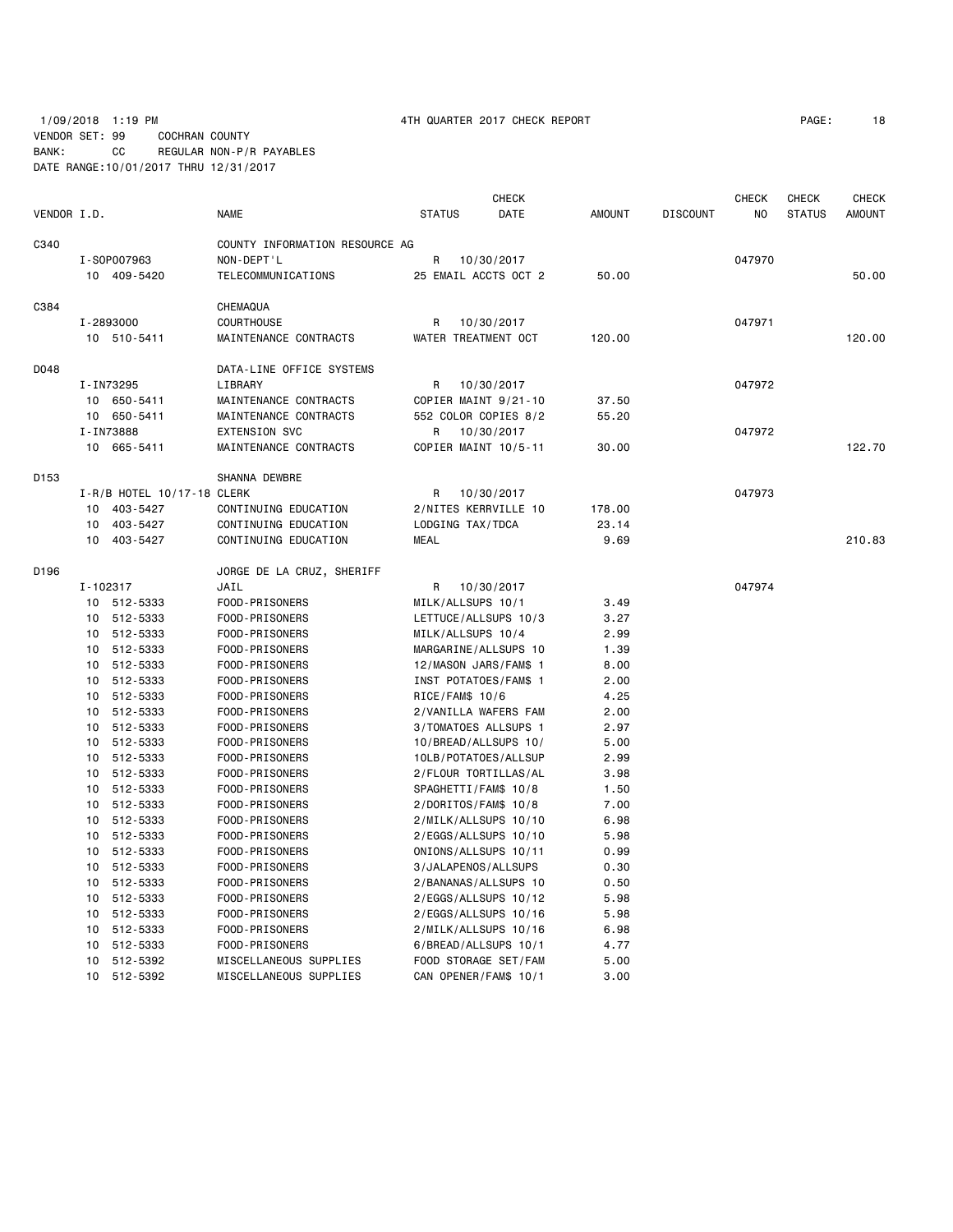1/09/2018 1:19 PM 4TH QUARTER 2017 CHECK REPORT PAGE: 18 VENDOR SET: 99 COCHRAN COUNTY BANK: CC REGULAR NON-P/R PAYABLES DATE RANGE:10/01/2017 THRU 12/31/2017

| VENDOR I.D. |          |                            | <b>NAME</b>                    | <b>STATUS</b>     | <b>CHECK</b><br>DATE  | <b>AMOUNT</b> | <b>DISCOUNT</b> | <b>CHECK</b><br>N <sub>O</sub> | <b>CHECK</b><br><b>STATUS</b> | <b>CHECK</b><br><b>AMOUNT</b> |
|-------------|----------|----------------------------|--------------------------------|-------------------|-----------------------|---------------|-----------------|--------------------------------|-------------------------------|-------------------------------|
| C340        |          |                            | COUNTY INFORMATION RESOURCE AG |                   |                       |               |                 |                                |                               |                               |
|             |          | I-S0P007963                | NON-DEPT'L                     | R                 | 10/30/2017            |               |                 | 047970                         |                               |                               |
|             |          | 10 409-5420                | TELECOMMUNICATIONS             |                   | 25 EMAIL ACCTS OCT 2  | 50.00         |                 |                                |                               | 50.00                         |
| C384        |          |                            | CHEMAQUA                       |                   |                       |               |                 |                                |                               |                               |
|             |          | I-2893000                  | <b>COURTHOUSE</b>              | R                 | 10/30/2017            |               |                 | 047971                         |                               |                               |
|             |          | 10 510-5411                | MAINTENANCE CONTRACTS          |                   | WATER TREATMENT OCT   | 120.00        |                 |                                |                               | 120.00                        |
| D048        |          |                            | DATA-LINE OFFICE SYSTEMS       |                   |                       |               |                 |                                |                               |                               |
|             |          | I-IN73295                  | LIBRARY                        | R                 | 10/30/2017            |               |                 | 047972                         |                               |                               |
|             |          | 10 650-5411                | MAINTENANCE CONTRACTS          |                   | COPIER MAINT 9/21-10  | 37.50         |                 |                                |                               |                               |
|             |          | 10 650-5411                | MAINTENANCE CONTRACTS          |                   | 552 COLOR COPIES 8/2  | 55.20         |                 |                                |                               |                               |
|             |          | I-IN73888                  | <b>EXTENSION SVC</b>           | R                 | 10/30/2017            |               |                 | 047972                         |                               |                               |
|             |          | 10 665-5411                | MAINTENANCE CONTRACTS          |                   | COPIER MAINT 10/5-11  | 30.00         |                 |                                |                               | 122.70                        |
| D153        |          |                            | SHANNA DEWBRE                  |                   |                       |               |                 |                                |                               |                               |
|             |          | I-R/B HOTEL 10/17-18 CLERK |                                | R                 | 10/30/2017            |               |                 | 047973                         |                               |                               |
|             | 10       | 403-5427                   | CONTINUING EDUCATION           |                   | 2/NITES KERRVILLE 10  | 178.00        |                 |                                |                               |                               |
|             | 10       | 403-5427                   | CONTINUING EDUCATION           | LODGING TAX/TDCA  |                       | 23.14         |                 |                                |                               |                               |
|             | 10       | 403-5427                   | CONTINUING EDUCATION           | <b>MEAL</b>       |                       | 9.69          |                 |                                |                               | 210.83                        |
| D196        |          |                            | JORGE DE LA CRUZ, SHERIFF      |                   |                       |               |                 |                                |                               |                               |
|             | I-102317 |                            | JAIL                           | R                 | 10/30/2017            |               |                 | 047974                         |                               |                               |
|             |          | 10 512-5333                | FOOD-PRISONERS                 | MILK/ALLSUPS 10/1 |                       | 3.49          |                 |                                |                               |                               |
|             |          | 10 512-5333                | FOOD-PRISONERS                 |                   | LETTUCE/ALLSUPS 10/3  | 3.27          |                 |                                |                               |                               |
|             |          | 10 512-5333                | FOOD-PRISONERS                 |                   | MILK/ALLSUPS 10/4     | 2.99          |                 |                                |                               |                               |
|             |          | 10 512-5333                | FOOD-PRISONERS                 |                   | MARGARINE/ALLSUPS 10  | 1.39          |                 |                                |                               |                               |
|             | 10       | 512-5333                   | FOOD-PRISONERS                 |                   | 12/MASON JARS/FAM\$ 1 | 8.00          |                 |                                |                               |                               |
|             | 10       | 512-5333                   | FOOD-PRISONERS                 |                   | INST POTATOES/FAM\$ 1 | 2.00          |                 |                                |                               |                               |
|             | 10       | 512-5333                   | FOOD-PRISONERS                 | RICE/FAM\$ 10/6   |                       | 4.25          |                 |                                |                               |                               |
|             | 10       | 512-5333                   | FOOD-PRISONERS                 |                   | 2/VANILLA WAFERS FAM  | 2.00          |                 |                                |                               |                               |
|             | 10       | 512-5333                   | FOOD-PRISONERS                 |                   | 3/TOMATOES ALLSUPS 1  | 2.97          |                 |                                |                               |                               |
|             | 10       | 512-5333                   | FOOD-PRISONERS                 |                   | 10/BREAD/ALLSUPS 10/  | 5.00          |                 |                                |                               |                               |
|             | 10       | 512-5333                   | FOOD-PRISONERS                 |                   | 10LB/POTATOES/ALLSUP  | 2.99          |                 |                                |                               |                               |
|             | 10       | 512-5333                   | FOOD-PRISONERS                 |                   | 2/FLOUR TORTILLAS/AL  | 3.98          |                 |                                |                               |                               |
|             | 10       | 512-5333                   | FOOD-PRISONERS                 |                   | SPAGHETTI/FAM\$ 10/8  | 1.50          |                 |                                |                               |                               |
|             | 10       | 512-5333                   | FOOD-PRISONERS                 |                   | 2/DORITOS/FAM\$ 10/8  | 7.00          |                 |                                |                               |                               |
|             | 10       | 512-5333                   | FOOD-PRISONERS                 |                   | 2/MILK/ALLSUPS 10/10  | 6.98          |                 |                                |                               |                               |
|             | 10       | 512-5333                   | FOOD-PRISONERS                 |                   | 2/EGGS/ALLSUPS 10/10  | 5.98          |                 |                                |                               |                               |
|             |          | 10 512-5333                | FOOD-PRISONERS                 |                   | ONIONS/ALLSUPS 10/11  | 0.99          |                 |                                |                               |                               |
|             | 10       | 512-5333                   | FOOD-PRISONERS                 |                   | 3/JALAPENOS/ALLSUPS   | 0.30          |                 |                                |                               |                               |
|             | 10       | 512-5333                   | FOOD-PRISONERS                 |                   | 2/BANANAS/ALLSUPS 10  | 0.50          |                 |                                |                               |                               |
|             | 10       | 512-5333                   | FOOD-PRISONERS                 |                   | 2/EGGS/ALLSUPS 10/12  | 5.98          |                 |                                |                               |                               |
|             | 10       | 512-5333                   | FOOD-PRISONERS                 |                   | 2/EGGS/ALLSUPS 10/16  | 5.98          |                 |                                |                               |                               |
|             | 10       | 512-5333                   | FOOD-PRISONERS                 |                   | 2/MILK/ALLSUPS 10/16  | 6.98          |                 |                                |                               |                               |
|             | 10       | 512-5333                   | FOOD-PRISONERS                 |                   | 6/BREAD/ALLSUPS 10/1  | 4.77          |                 |                                |                               |                               |
|             | 10       | 512-5392                   | MISCELLANEOUS SUPPLIES         |                   | FOOD STORAGE SET/FAM  | 5.00          |                 |                                |                               |                               |
|             | 10       | 512-5392                   | MISCELLANEOUS SUPPLIES         |                   | CAN OPENER/FAM\$ 10/1 | 3.00          |                 |                                |                               |                               |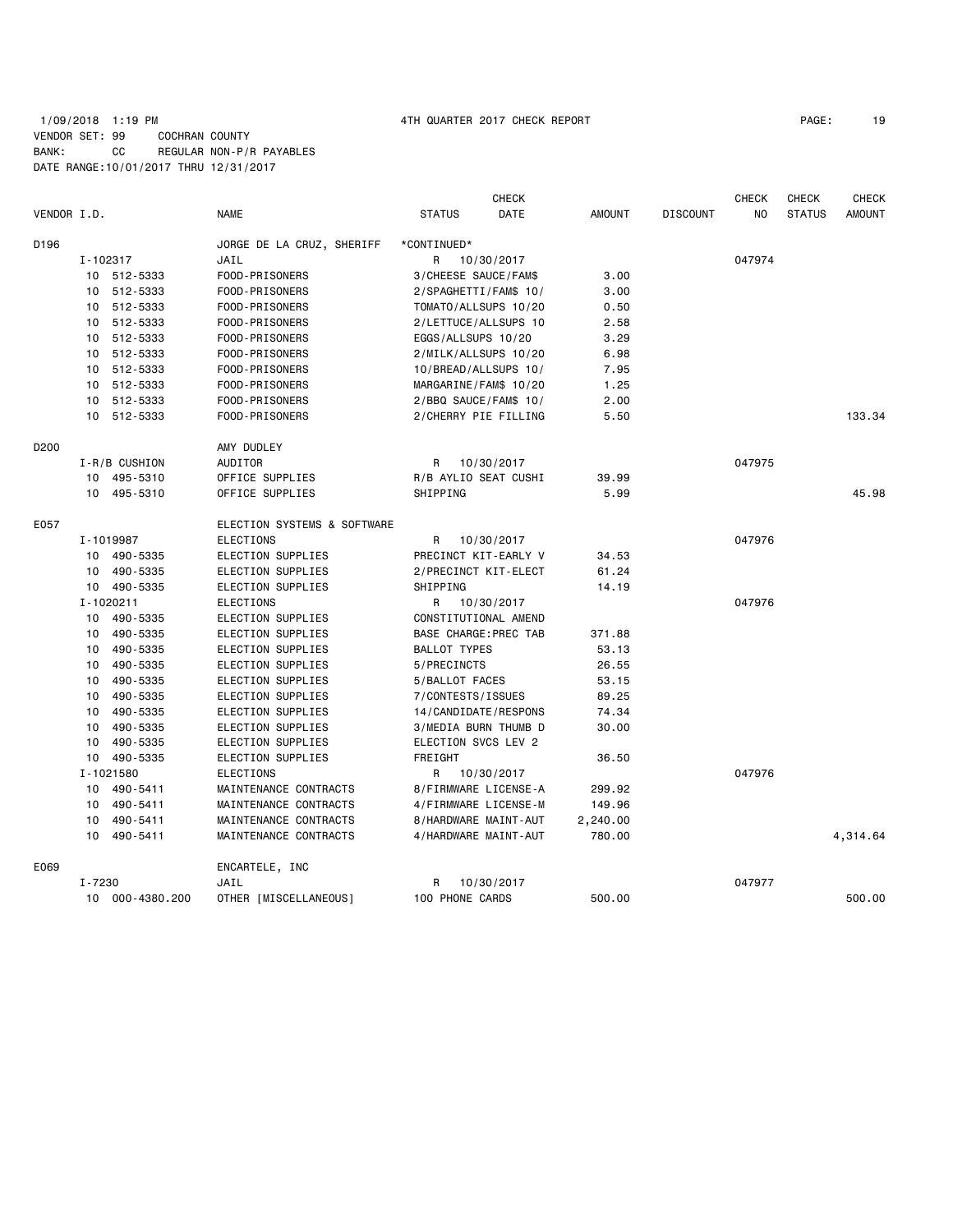## 1/09/2018 1:19 PM 4TH QUARTER 2017 CHECK REPORT PAGE: 19 VENDOR SET: 99 COCHRAN COUNTY BANK: CC REGULAR NON-P/R PAYABLES DATE RANGE:10/01/2017 THRU 12/31/2017

| VENDOR I.D.      |          |               | <b>NAME</b>                 | <b>STATUS</b>        | CHECK<br>DATE         | <b>AMOUNT</b> | <b>DISCOUNT</b> | <b>CHECK</b><br>NO | <b>CHECK</b><br><b>STATUS</b> | <b>CHECK</b><br><b>AMOUNT</b> |
|------------------|----------|---------------|-----------------------------|----------------------|-----------------------|---------------|-----------------|--------------------|-------------------------------|-------------------------------|
|                  |          |               |                             |                      |                       |               |                 |                    |                               |                               |
| D196             |          |               | JORGE DE LA CRUZ, SHERIFF   | *CONTINUED*          |                       |               |                 |                    |                               |                               |
|                  | I-102317 |               | JAIL                        | R                    | 10/30/2017            |               |                 | 047974             |                               |                               |
|                  |          | 10 512-5333   | FOOD-PRISONERS              | 3/CHEESE SAUCE/FAM\$ |                       | 3,00          |                 |                    |                               |                               |
|                  |          | 10 512-5333   | FOOD-PRISONERS              |                      | 2/SPAGHETTI/FAM\$ 10/ | 3.00          |                 |                    |                               |                               |
|                  |          | 10 512-5333   | FOOD-PRISONERS              |                      | TOMATO/ALLSUPS 10/20  | 0.50          |                 |                    |                               |                               |
|                  |          | 10 512-5333   | FOOD-PRISONERS              |                      | 2/LETTUCE/ALLSUPS 10  | 2.58          |                 |                    |                               |                               |
|                  |          | 10 512-5333   | FOOD-PRISONERS              | EGGS/ALLSUPS 10/20   |                       | 3.29          |                 |                    |                               |                               |
|                  |          | 10 512-5333   | FOOD-PRISONERS              |                      | 2/MILK/ALLSUPS 10/20  | 6.98          |                 |                    |                               |                               |
|                  |          | 10 512-5333   | FOOD-PRISONERS              |                      | 10/BREAD/ALLSUPS 10/  | 7.95          |                 |                    |                               |                               |
|                  |          | 10 512-5333   | FOOD-PRISONERS              |                      | MARGARINE/FAM\$ 10/20 | 1.25          |                 |                    |                               |                               |
|                  |          | 10 512-5333   | FOOD-PRISONERS              |                      | 2/BBQ SAUCE/FAM\$ 10/ | 2.00          |                 |                    |                               |                               |
|                  |          | 10 512-5333   | FOOD-PRISONERS              |                      | 2/CHERRY PIE FILLING  | 5.50          |                 |                    |                               | 133.34                        |
| D <sub>200</sub> |          |               | AMY DUDLEY                  |                      |                       |               |                 |                    |                               |                               |
|                  |          | I-R/B CUSHION | AUDITOR                     | R                    | 10/30/2017            |               |                 | 047975             |                               |                               |
|                  |          | 10 495-5310   | OFFICE SUPPLIES             |                      | R/B AYLIO SEAT CUSHI  | 39.99         |                 |                    |                               |                               |
|                  |          | 10 495-5310   | OFFICE SUPPLIES             | SHIPPING             |                       | 5.99          |                 |                    |                               | 45.98                         |
| E057             |          |               | ELECTION SYSTEMS & SOFTWARE |                      |                       |               |                 |                    |                               |                               |
|                  |          | I-1019987     | <b>ELECTIONS</b>            | R                    | 10/30/2017            |               |                 | 047976             |                               |                               |
|                  |          | 10 490-5335   | ELECTION SUPPLIES           |                      | PRECINCT KIT-EARLY V  | 34.53         |                 |                    |                               |                               |
|                  |          | 10 490-5335   | ELECTION SUPPLIES           |                      | 2/PRECINCT KIT-ELECT  | 61.24         |                 |                    |                               |                               |
|                  |          | 10 490-5335   | ELECTION SUPPLIES           | SHIPPING             |                       | 14.19         |                 |                    |                               |                               |
|                  |          | I-1020211     | <b>ELECTIONS</b>            | R                    | 10/30/2017            |               |                 | 047976             |                               |                               |
|                  |          | 10 490-5335   | ELECTION SUPPLIES           |                      | CONSTITUTIONAL AMEND  |               |                 |                    |                               |                               |
|                  |          | 10 490-5335   | ELECTION SUPPLIES           |                      | BASE CHARGE: PREC TAB | 371.88        |                 |                    |                               |                               |
|                  |          | 10 490-5335   | ELECTION SUPPLIES           | <b>BALLOT TYPES</b>  |                       | 53.13         |                 |                    |                               |                               |
|                  |          | 10 490-5335   | ELECTION SUPPLIES           | 5/PRECINCTS          |                       | 26.55         |                 |                    |                               |                               |
|                  | 10       | 490-5335      | ELECTION SUPPLIES           | 5/BALLOT FACES       |                       | 53.15         |                 |                    |                               |                               |
|                  |          | 10 490-5335   | ELECTION SUPPLIES           | 7/CONTESTS/ISSUES    |                       | 89.25         |                 |                    |                               |                               |
|                  |          | 10 490-5335   | ELECTION SUPPLIES           |                      | 14/CANDIDATE/RESPONS  | 74.34         |                 |                    |                               |                               |
|                  |          | 10 490-5335   | ELECTION SUPPLIES           |                      | 3/MEDIA BURN THUMB D  | 30.00         |                 |                    |                               |                               |
|                  | 10       | 490-5335      | ELECTION SUPPLIES           | ELECTION SVCS LEV 2  |                       |               |                 |                    |                               |                               |
|                  |          | 10 490-5335   | ELECTION SUPPLIES           | FREIGHT              |                       | 36.50         |                 |                    |                               |                               |
|                  |          | I-1021580     | <b>ELECTIONS</b>            | R                    | 10/30/2017            |               |                 | 047976             |                               |                               |
|                  |          | 10 490-5411   | MAINTENANCE CONTRACTS       |                      | 8/FIRMWARE LICENSE-A  | 299.92        |                 |                    |                               |                               |
|                  |          | 10 490-5411   | MAINTENANCE CONTRACTS       |                      |                       | 149.96        |                 |                    |                               |                               |
|                  |          |               |                             |                      | 4/FIRMWARE LICENSE-M  |               |                 |                    |                               |                               |
|                  | 10       | 490-5411      | MAINTENANCE CONTRACTS       |                      | 8/HARDWARE MAINT-AUT  | 2,240.00      |                 |                    |                               |                               |
|                  |          | 10 490-5411   | MAINTENANCE CONTRACTS       |                      | 4/HARDWARE MAINT-AUT  | 780.00        |                 |                    |                               | 4,314.64                      |
| E069             |          |               | ENCARTELE, INC              |                      |                       |               |                 |                    |                               |                               |
|                  | I-7230   |               | JAIL                        | R                    | 10/30/2017            |               |                 | 047977             |                               |                               |
|                  | 10       | 000-4380.200  | OTHER [MISCELLANEOUS]       | 100 PHONE CARDS      |                       | 500.00        |                 |                    |                               | 500.00                        |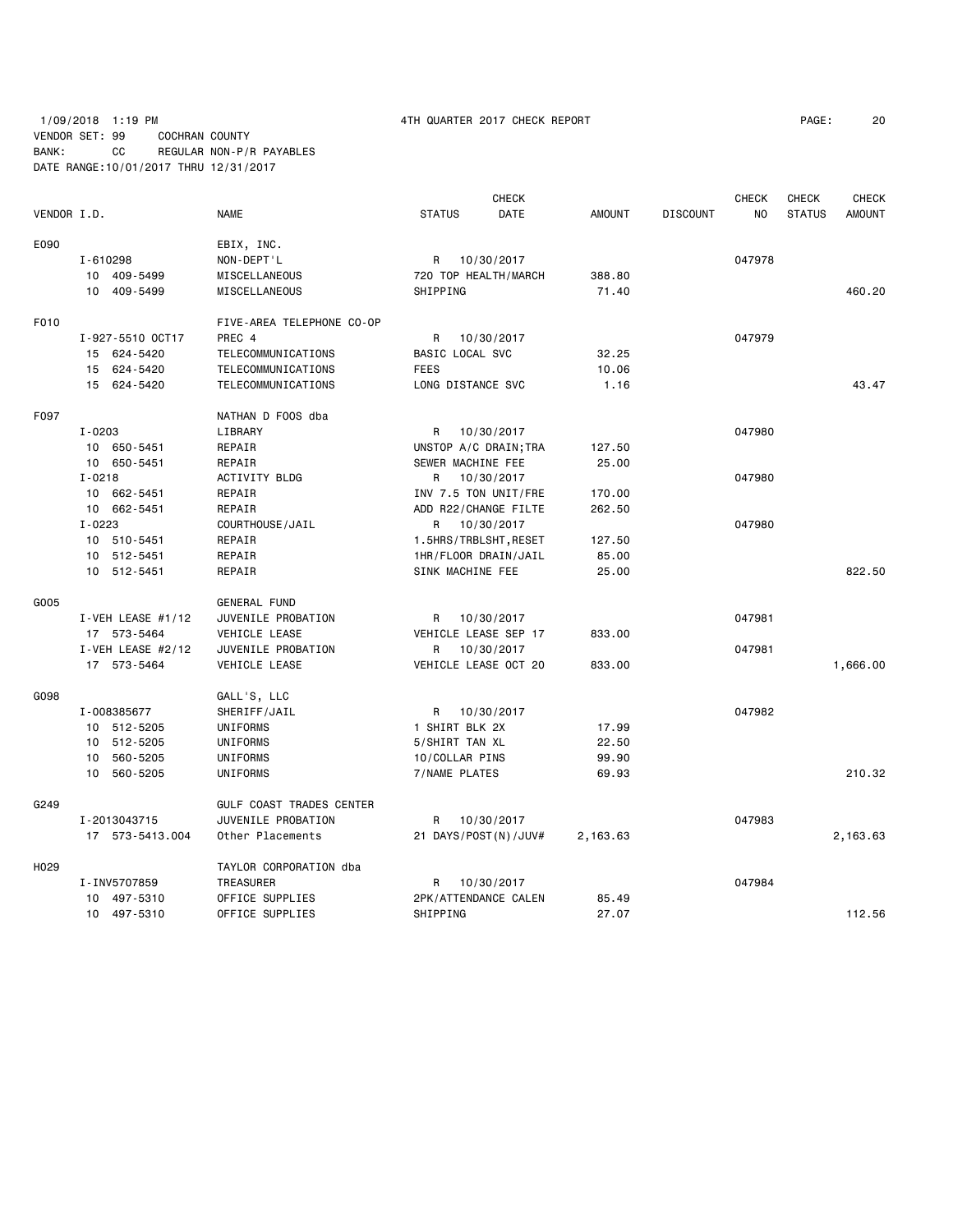## 1/09/2018 1:19 PM 4TH QUARTER 2017 CHECK REPORT PAGE: 20 VENDOR SET: 99 COCHRAN COUNTY BANK: CC REGULAR NON-P/R PAYABLES DATE RANGE:10/01/2017 THRU 12/31/2017

|             |                     |                           | <b>CHECK</b>           |               |                 | <b>CHECK</b> | <b>CHECK</b>  | <b>CHECK</b>  |
|-------------|---------------------|---------------------------|------------------------|---------------|-----------------|--------------|---------------|---------------|
| VENDOR I.D. |                     | <b>NAME</b>               | <b>STATUS</b><br>DATE  | <b>AMOUNT</b> | <b>DISCOUNT</b> | NO.          | <b>STATUS</b> | <b>AMOUNT</b> |
| E090        |                     | EBIX, INC.                |                        |               |                 |              |               |               |
|             | I-610298            | NON-DEPT'L                | R<br>10/30/2017        |               |                 | 047978       |               |               |
|             | 10 409-5499         | MISCELLANEOUS             | 720 TOP HEALTH/MARCH   | 388.80        |                 |              |               |               |
|             | 10 409-5499         | MISCELLANEOUS             | SHIPPING               | 71.40         |                 |              |               | 460.20        |
| F010        |                     | FIVE-AREA TELEPHONE CO-OP |                        |               |                 |              |               |               |
|             | I-927-5510 OCT17    | PREC 4                    | R<br>10/30/2017        |               |                 | 047979       |               |               |
|             | 15 624-5420         | <b>TELECOMMUNICATIONS</b> | <b>BASIC LOCAL SVC</b> | 32.25         |                 |              |               |               |
|             | 15 624-5420         | TELECOMMUNICATIONS        | <b>FEES</b>            | 10.06         |                 |              |               |               |
|             | 15 624-5420         | <b>TELECOMMUNICATIONS</b> | LONG DISTANCE SVC      | 1.16          |                 |              |               | 43.47         |
| F097        |                     | NATHAN D FOOS dba         |                        |               |                 |              |               |               |
|             | $I - 0203$          | LIBRARY                   | R<br>10/30/2017        |               |                 | 047980       |               |               |
|             | 10 650-5451         | REPAIR                    | UNSTOP A/C DRAIN; TRA  | 127.50        |                 |              |               |               |
|             | 10 650-5451         | REPAIR                    | SEWER MACHINE FEE      | 25.00         |                 |              |               |               |
|             | $I - 0218$          | ACTIVITY BLDG             | 10/30/2017<br>R        |               |                 | 047980       |               |               |
|             | 10 662-5451         | REPAIR                    | INV 7.5 TON UNIT/FRE   | 170.00        |                 |              |               |               |
|             | 10 662-5451         | REPAIR                    | ADD R22/CHANGE FILTE   | 262.50        |                 |              |               |               |
|             | $I - 0223$          | COURTHOUSE/JAIL           | R 10/30/2017           |               |                 | 047980       |               |               |
|             | 10 510-5451         | REPAIR                    | 1.5HRS/TRBLSHT, RESET  | 127.50        |                 |              |               |               |
|             | 10 512-5451         | REPAIR                    | 1HR/FLOOR DRAIN/JAIL   | 85.00         |                 |              |               |               |
|             | 10 512-5451         | REPAIR                    | SINK MACHINE FEE       | 25.00         |                 |              |               | 822.50        |
| G005        |                     | <b>GENERAL FUND</b>       |                        |               |                 |              |               |               |
|             | I-VEH LEASE $#1/12$ | JUVENILE PROBATION        | 10/30/2017<br>R        |               |                 | 047981       |               |               |
|             | 17 573-5464         | VEHICLE LEASE             | VEHICLE LEASE SEP 17   | 833.00        |                 |              |               |               |
|             | I-VEH LEASE #2/12   | JUVENILE PROBATION        | 10/30/2017<br>R.       |               |                 | 047981       |               |               |
|             | 17 573-5464         | VEHICLE LEASE             | VEHICLE LEASE OCT 20   | 833.00        |                 |              |               | 1,666.00      |
| G098        |                     | GALL'S, LLC               |                        |               |                 |              |               |               |
|             | I-008385677         | SHERIFF/JAIL              | 10/30/2017<br>R        |               |                 | 047982       |               |               |
|             | 10 512-5205         | UNIFORMS                  | 1 SHIRT BLK 2X         | 17.99         |                 |              |               |               |
|             | 10 512-5205         | UNIFORMS                  | 5/SHIRT TAN XL         | 22.50         |                 |              |               |               |
|             | 10 560-5205         | UNIFORMS                  | 10/COLLAR PINS         | 99.90         |                 |              |               |               |
|             | 10 560-5205         | UNIFORMS                  | 7/NAME PLATES          | 69.93         |                 |              |               | 210.32        |
| G249        |                     | GULF COAST TRADES CENTER  |                        |               |                 |              |               |               |
|             | I-2013043715        | JUVENILE PROBATION        | R<br>10/30/2017        |               |                 | 047983       |               |               |
|             | 17 573-5413.004     | Other Placements          | 21 DAYS/POST(N)/JUV#   | 2,163.63      |                 |              |               | 2,163.63      |
| H029        |                     | TAYLOR CORPORATION dba    |                        |               |                 |              |               |               |
|             | I-INV5707859        | TREASURER                 | R<br>10/30/2017        |               |                 | 047984       |               |               |
|             | 10 497-5310         | OFFICE SUPPLIES           | 2PK/ATTENDANCE CALEN   | 85.49         |                 |              |               |               |
|             | 10 497-5310         | OFFICE SUPPLIES           | SHIPPING               | 27.07         |                 |              |               | 112.56        |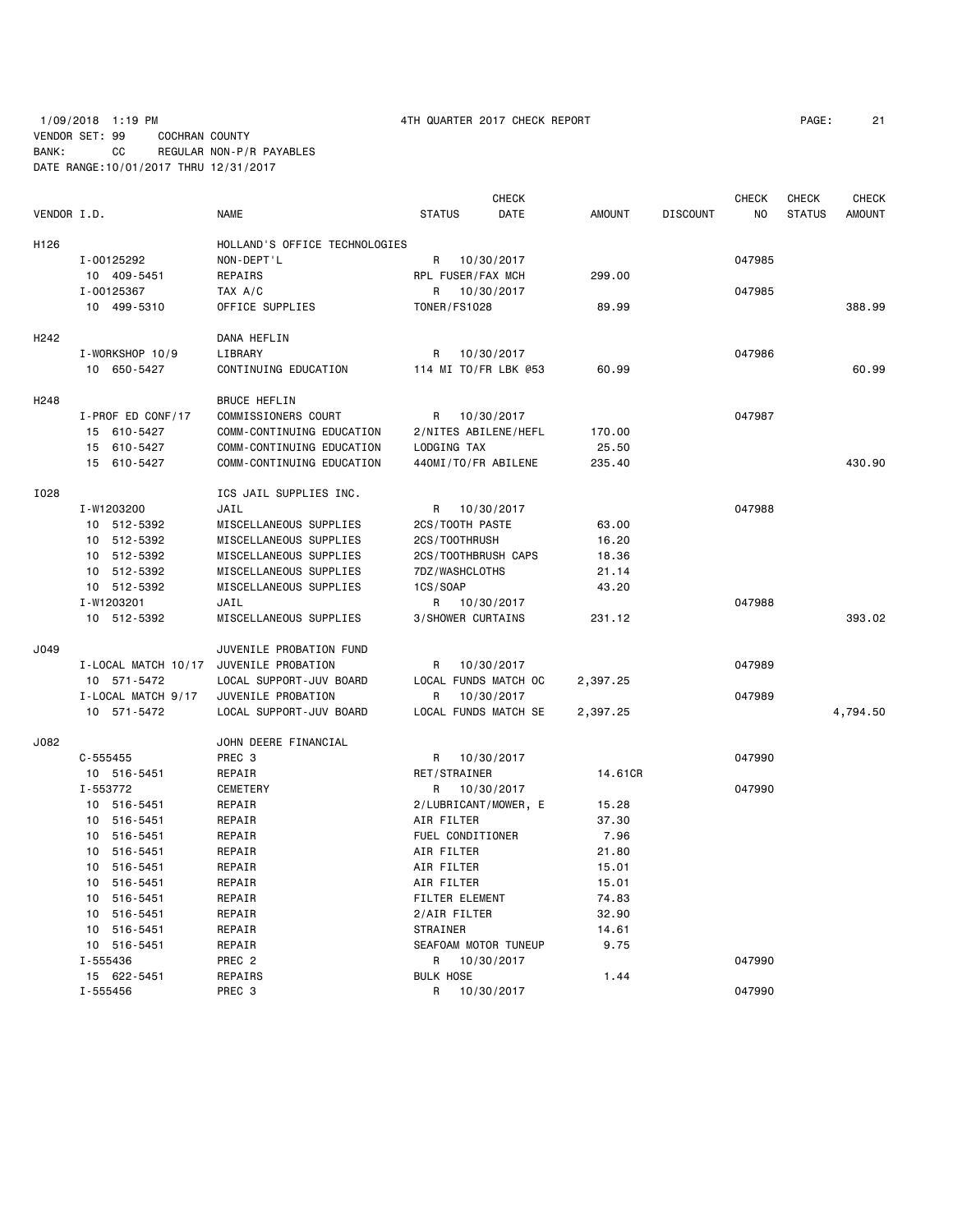## 1/09/2018 1:19 PM 4TH QUARTER 2017 CHECK REPORT PAGE: 21 VENDOR SET: 99 COCHRAN COUNTY BANK: CC REGULAR NON-P/R PAYABLES DATE RANGE:10/01/2017 THRU 12/31/2017

|                  |                     |                               |                      | <b>CHECK</b> |               |                 | <b>CHECK</b> | <b>CHECK</b>  | <b>CHECK</b>  |
|------------------|---------------------|-------------------------------|----------------------|--------------|---------------|-----------------|--------------|---------------|---------------|
| VENDOR I.D.      |                     | <b>NAME</b>                   | <b>STATUS</b>        | DATE         | <b>AMOUNT</b> | <b>DISCOUNT</b> | NO.          | <b>STATUS</b> | <b>AMOUNT</b> |
| H126             |                     | HOLLAND'S OFFICE TECHNOLOGIES |                      |              |               |                 |              |               |               |
|                  | I-00125292          | NON-DEPT'L                    | R                    | 10/30/2017   |               |                 | 047985       |               |               |
|                  | 10 409-5451         | REPAIRS                       | RPL FUSER/FAX MCH    |              | 299,00        |                 |              |               |               |
|                  | I-00125367          | TAX A/C                       | R                    | 10/30/2017   |               |                 | 047985       |               |               |
|                  | 10 499-5310         | OFFICE SUPPLIES               | <b>TONER/FS1028</b>  |              | 89.99         |                 |              |               | 388.99        |
|                  |                     |                               |                      |              |               |                 |              |               |               |
| H <sub>242</sub> |                     | DANA HEFLIN                   |                      |              |               |                 |              |               |               |
|                  | I-WORKSHOP 10/9     | LIBRARY                       | R                    | 10/30/2017   |               |                 | 047986       |               |               |
|                  | 10 650-5427         | CONTINUING EDUCATION          | 114 MI TO/FR LBK @53 |              | 60.99         |                 |              |               | 60.99         |
| H <sub>248</sub> |                     | <b>BRUCE HEFLIN</b>           |                      |              |               |                 |              |               |               |
|                  | I-PROF ED CONF/17   | COMMISSIONERS COURT           | R                    | 10/30/2017   |               |                 | 047987       |               |               |
|                  | 15 610-5427         | COMM-CONTINUING EDUCATION     | 2/NITES ABILENE/HEFL |              | 170.00        |                 |              |               |               |
|                  | 15 610-5427         | COMM-CONTINUING EDUCATION     | LODGING TAX          |              | 25.50         |                 |              |               |               |
|                  | 15 610-5427         | COMM-CONTINUING EDUCATION     | 440MI/TO/FR ABILENE  |              | 235.40        |                 |              |               | 430.90        |
| I028             |                     | ICS JAIL SUPPLIES INC.        |                      |              |               |                 |              |               |               |
|                  | I-W1203200          | JAIL                          | R                    | 10/30/2017   |               |                 | 047988       |               |               |
|                  | 10 512-5392         | MISCELLANEOUS SUPPLIES        | 2CS/TOOTH PASTE      |              | 63.00         |                 |              |               |               |
|                  | 10 512-5392         | MISCELLANEOUS SUPPLIES        | 2CS/T00THRUSH        |              | 16.20         |                 |              |               |               |
|                  | 10 512-5392         | MISCELLANEOUS SUPPLIES        | 2CS/TOOTHBRUSH CAPS  |              | 18.36         |                 |              |               |               |
|                  | 512-5392<br>10      | MISCELLANEOUS SUPPLIES        | 7DZ/WASHCLOTHS       |              | 21.14         |                 |              |               |               |
|                  | 10 512-5392         | MISCELLANEOUS SUPPLIES        | 1CS/SOAP             |              | 43.20         |                 |              |               |               |
|                  | I-W1203201          | JAIL                          | R 10/30/2017         |              |               |                 | 047988       |               |               |
|                  | 10 512-5392         | MISCELLANEOUS SUPPLIES        | 3/SHOWER CURTAINS    |              | 231.12        |                 |              |               | 393.02        |
| J049             |                     | JUVENILE PROBATION FUND       |                      |              |               |                 |              |               |               |
|                  | I-LOCAL MATCH 10/17 | JUVENILE PROBATION            | R                    | 10/30/2017   |               |                 | 047989       |               |               |
|                  | 10 571-5472         | LOCAL SUPPORT-JUV BOARD       | LOCAL FUNDS MATCH OC |              | 2,397.25      |                 |              |               |               |
|                  | I-LOCAL MATCH 9/17  | JUVENILE PROBATION            | R                    | 10/30/2017   |               |                 | 047989       |               |               |
|                  | 10 571-5472         | LOCAL SUPPORT-JUV BOARD       | LOCAL FUNDS MATCH SE |              | 2,397.25      |                 |              |               | 4,794.50      |
|                  |                     |                               |                      |              |               |                 |              |               |               |
| J082             |                     | JOHN DEERE FINANCIAL          |                      |              |               |                 |              |               |               |
|                  | $C - 555455$        | PREC 3                        | R                    | 10/30/2017   |               |                 | 047990       |               |               |
|                  | 10 516-5451         | REPAIR                        | RET/STRAINER         |              | 14,61CR       |                 |              |               |               |
|                  | I-553772            | <b>CEMETERY</b>               | R                    | 10/30/2017   |               |                 | 047990       |               |               |
|                  | 10 516-5451         | REPAIR                        | 2/LUBRICANT/MOWER, E |              | 15.28         |                 |              |               |               |
|                  | 10<br>516-5451      | REPAIR                        | AIR FILTER           |              | 37.30         |                 |              |               |               |
|                  | 10 516-5451         | REPAIR                        | FUEL CONDITIONER     |              | 7.96          |                 |              |               |               |
|                  | 10 516-5451         | REPAIR                        | AIR FILTER           |              | 21.80         |                 |              |               |               |
|                  | 516-5451<br>10      | REPAIR                        | AIR FILTER           |              | 15.01         |                 |              |               |               |
|                  | 10<br>516-5451      | REPAIR                        | AIR FILTER           |              | 15.01         |                 |              |               |               |
|                  | 10 516-5451         | REPAIR                        | FILTER ELEMENT       |              | 74.83         |                 |              |               |               |
|                  | 516-5451<br>10      | REPAIR                        | 2/AIR FILTER         |              | 32.90         |                 |              |               |               |
|                  | 10 516-5451         | REPAIR                        | STRAINER             |              | 14.61         |                 |              |               |               |
|                  | 10 516-5451         | REPAIR                        | SEAFOAM MOTOR TUNEUP |              | 9.75          |                 |              |               |               |
|                  | I-555436            | PREC <sub>2</sub>             | R                    | 10/30/2017   |               |                 | 047990       |               |               |
|                  | 15 622-5451         | REPAIRS                       | <b>BULK HOSE</b>     |              | 1.44          |                 |              |               |               |
|                  | I-555456            | PREC <sub>3</sub>             | R                    | 10/30/2017   |               |                 | 047990       |               |               |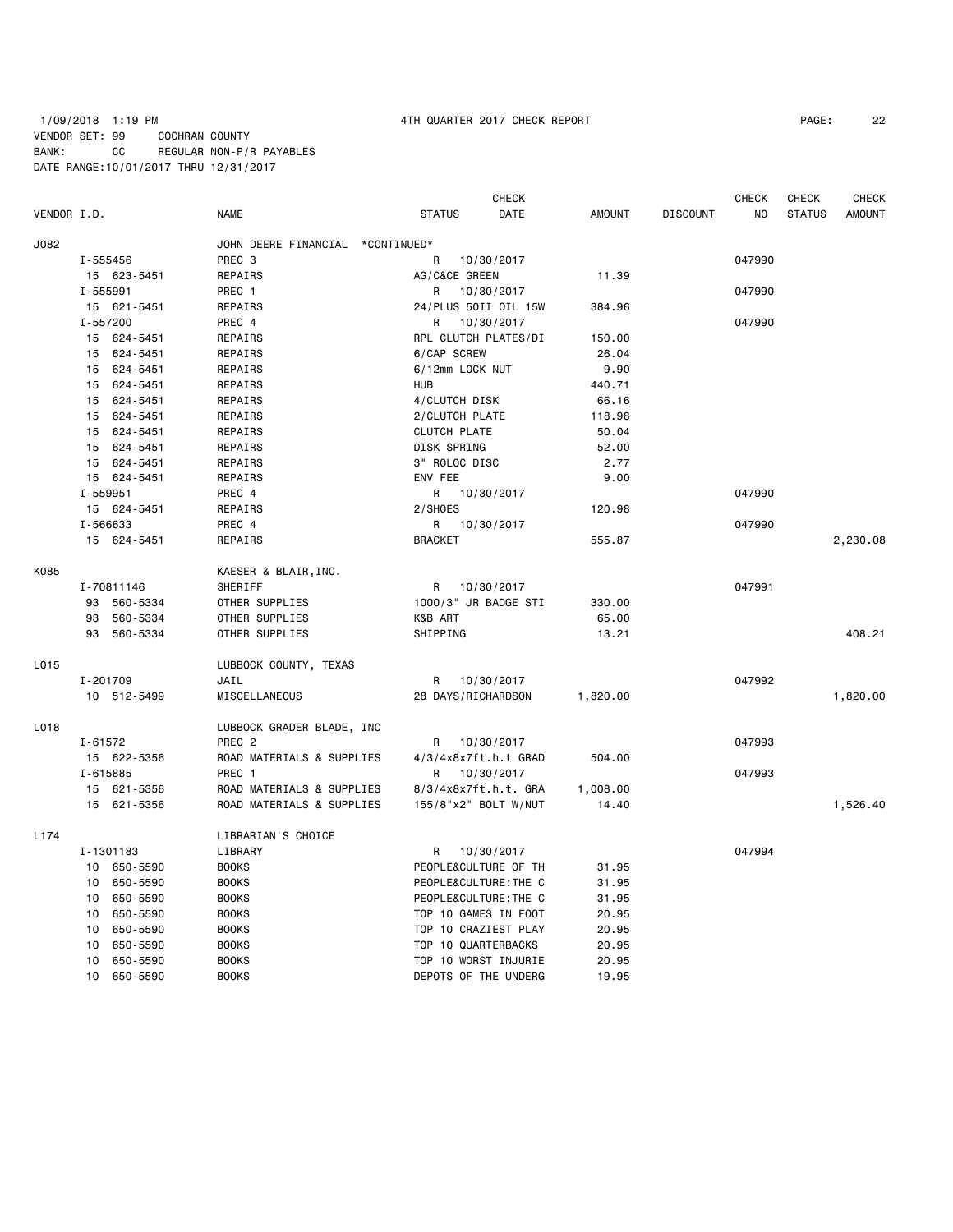## 1/09/2018 1:19 PM 4TH QUARTER 2017 CHECK REPORT PAGE: 22 VENDOR SET: 99 COCHRAN COUNTY BANK: CC REGULAR NON-P/R PAYABLES DATE RANGE:10/01/2017 THRU 12/31/2017

|                  |              |             |                                  |                      | <b>CHECK</b>          |               |                 | <b>CHECK</b>   | <b>CHECK</b>  | <b>CHECK</b>  |
|------------------|--------------|-------------|----------------------------------|----------------------|-----------------------|---------------|-----------------|----------------|---------------|---------------|
| VENDOR I.D.      |              |             | <b>NAME</b>                      | <b>STATUS</b>        | DATE                  | <b>AMOUNT</b> | <b>DISCOUNT</b> | N <sub>O</sub> | <b>STATUS</b> | <b>AMOUNT</b> |
| J082             |              |             | JOHN DEERE FINANCIAL *CONTINUED* |                      |                       |               |                 |                |               |               |
|                  |              | I-555456    | PREC <sub>3</sub>                | R                    | 10/30/2017            |               |                 | 047990         |               |               |
|                  |              | 15 623-5451 | REPAIRS                          | AG/C&CE GREEN        |                       | 11.39         |                 |                |               |               |
|                  | $I - 555991$ |             | PREC 1                           | R                    | 10/30/2017            |               |                 | 047990         |               |               |
|                  |              | 15 621-5451 | REPAIRS                          |                      | 24/PLUS 50II OIL 15W  | 384.96        |                 |                |               |               |
|                  | I-557200     |             | PREC 4                           | R                    | 10/30/2017            |               |                 | 047990         |               |               |
|                  |              | 15 624-5451 | REPAIRS                          | RPL CLUTCH PLATES/DI |                       | 150.00        |                 |                |               |               |
|                  |              | 15 624-5451 | REPAIRS                          | 6/CAP SCREW          |                       | 26.04         |                 |                |               |               |
|                  | 15           | 624-5451    | REPAIRS                          | 6/12mm LOCK NUT      |                       | 9.90          |                 |                |               |               |
|                  | 15           | 624-5451    | REPAIRS                          | <b>HUB</b>           |                       | 440.71        |                 |                |               |               |
|                  | 15           | 624-5451    | REPAIRS                          | 4/CLUTCH DISK        |                       | 66.16         |                 |                |               |               |
|                  |              | 15 624-5451 | REPAIRS                          | 2/CLUTCH PLATE       |                       | 118.98        |                 |                |               |               |
|                  | 15           | 624-5451    | REPAIRS                          | <b>CLUTCH PLATE</b>  |                       | 50.04         |                 |                |               |               |
|                  |              | 15 624-5451 | REPAIRS                          | DISK SPRING          |                       | 52.00         |                 |                |               |               |
|                  | 15           | 624-5451    | REPAIRS                          | 3" ROLOC DISC        |                       | 2.77          |                 |                |               |               |
|                  |              | 15 624-5451 | REPAIRS                          | ENV FEE              |                       | 9.00          |                 |                |               |               |
|                  | I-559951     |             | PREC 4                           | R                    | 10/30/2017            |               |                 | 047990         |               |               |
|                  |              | 15 624-5451 | REPAIRS                          | 2/SHOES              |                       | 120.98        |                 |                |               |               |
|                  |              | I-566633    | PREC 4                           | R                    | 10/30/2017            |               |                 | 047990         |               |               |
|                  |              | 15 624-5451 | REPAIRS                          | <b>BRACKET</b>       |                       | 555.87        |                 |                |               | 2,230.08      |
| K085             |              |             | KAESER & BLAIR, INC.             |                      |                       |               |                 |                |               |               |
|                  |              | I-70811146  | SHERIFF                          | R                    | 10/30/2017            |               |                 | 047991         |               |               |
|                  | 93           | 560-5334    | OTHER SUPPLIES                   | 1000/3" JR BADGE STI |                       | 330.00        |                 |                |               |               |
|                  | 93           | 560-5334    | OTHER SUPPLIES                   | K&B ART              |                       | 65.00         |                 |                |               |               |
|                  | 93           | 560-5334    | OTHER SUPPLIES                   | SHIPPING             |                       | 13.21         |                 |                |               | 408.21        |
| L015             |              |             | LUBBOCK COUNTY, TEXAS            |                      |                       |               |                 |                |               |               |
|                  |              | I-201709    | JAIL                             | R                    | 10/30/2017            |               |                 | 047992         |               |               |
|                  |              | 10 512-5499 | MISCELLANEOUS                    | 28 DAYS/RICHARDSON   |                       | 1,820.00      |                 |                |               | 1,820.00      |
| L018             |              |             | LUBBOCK GRADER BLADE, INC        |                      |                       |               |                 |                |               |               |
|                  | $I - 61572$  |             | PREC <sub>2</sub>                | R                    | 10/30/2017            |               |                 | 047993         |               |               |
|                  |              | 15 622-5356 | ROAD MATERIALS & SUPPLIES        |                      | 4/3/4x8x7ft.h.t GRAD  | 504.00        |                 |                |               |               |
|                  |              | I-615885    | PREC 1                           | R                    | 10/30/2017            |               |                 | 047993         |               |               |
|                  | 15           | 621-5356    | ROAD MATERIALS & SUPPLIES        |                      | 8/3/4x8x7ft.h.t. GRA  | 1,008.00      |                 |                |               |               |
|                  |              | 15 621-5356 | ROAD MATERIALS & SUPPLIES        |                      | 155/8"x2" BOLT W/NUT  | 14.40         |                 |                |               | 1,526.40      |
| L <sub>174</sub> |              |             | LIBRARIAN'S CHOICE               |                      |                       |               |                 |                |               |               |
|                  |              | I-1301183   | LIBRARY                          | R                    | 10/30/2017            |               |                 | 047994         |               |               |
|                  | 10           | 650-5590    | <b>BOOKS</b>                     |                      | PEOPLE&CULTURE OF TH  | 31.95         |                 |                |               |               |
|                  | 10           | 650-5590    | <b>BOOKS</b>                     |                      | PEOPLE&CULTURE: THE C | 31.95         |                 |                |               |               |
|                  | 10           | 650-5590    | <b>BOOKS</b>                     |                      | PEOPLE&CULTURE: THE C | 31.95         |                 |                |               |               |
|                  | 10           | 650-5590    | <b>BOOKS</b>                     | TOP 10 GAMES IN FOOT |                       | 20.95         |                 |                |               |               |
|                  | 10           | 650-5590    | <b>BOOKS</b>                     | TOP 10 CRAZIEST PLAY |                       | 20.95         |                 |                |               |               |
|                  | 10           | 650-5590    | <b>BOOKS</b>                     | TOP 10 QUARTERBACKS  |                       | 20.95         |                 |                |               |               |
|                  | 10           | 650-5590    | <b>BOOKS</b>                     |                      | TOP 10 WORST INJURIE  | 20.95         |                 |                |               |               |
|                  | 10           | 650-5590    | <b>BOOKS</b>                     |                      | DEPOTS OF THE UNDERG  | 19.95         |                 |                |               |               |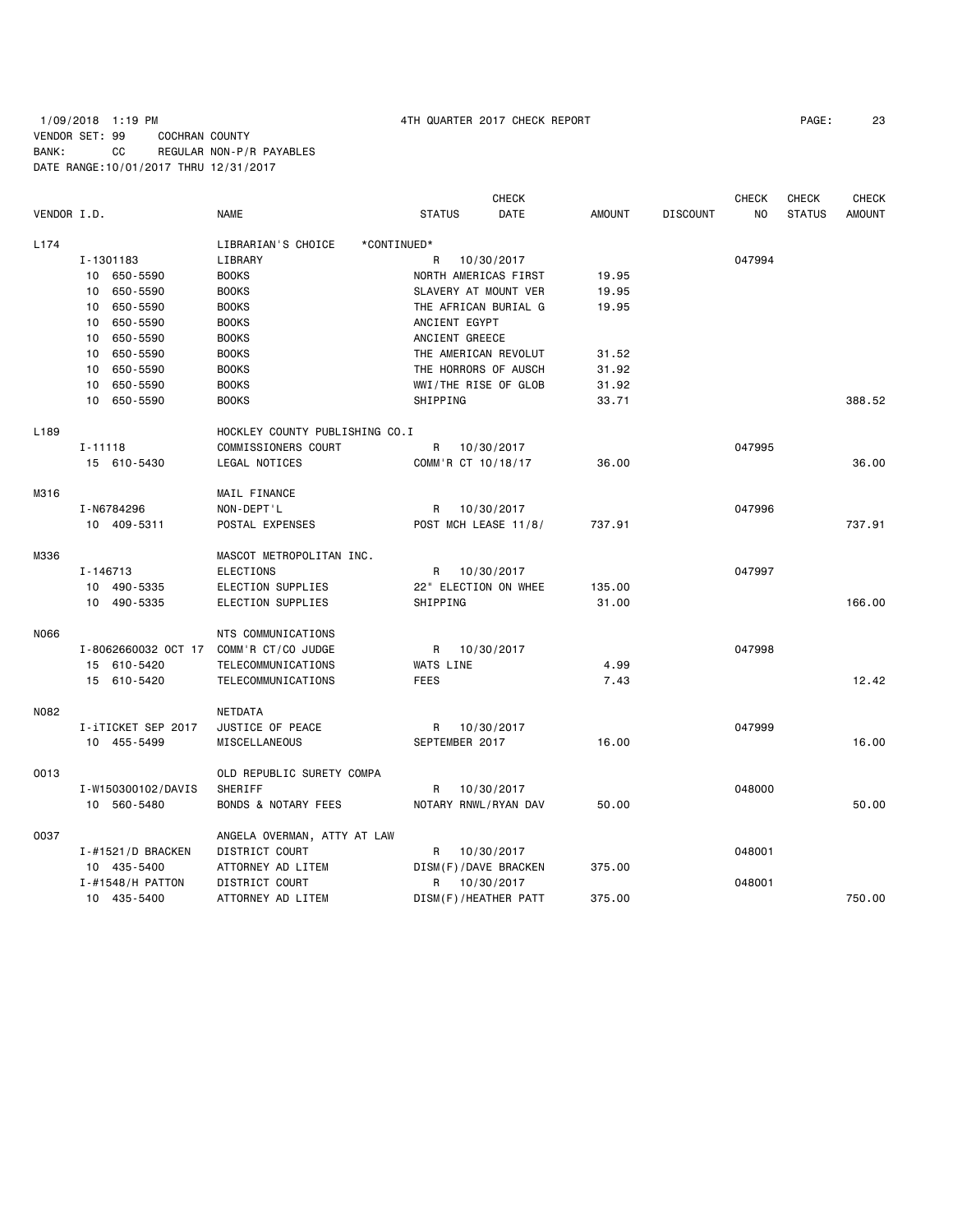1/09/2018 1:19 PM 4TH QUARTER 2017 CHECK REPORT PAGE: 23 VENDOR SET: 99 COCHRAN COUNTY BANK: CC REGULAR NON-P/R PAYABLES DATE RANGE:10/01/2017 THRU 12/31/2017

| VENDOR I.D. |                             | <b>NAME</b>                    | <b>STATUS</b>        | <b>CHECK</b><br>DATE | <b>AMOUNT</b> | <b>DISCOUNT</b> | <b>CHECK</b><br>N <sub>O</sub> | <b>CHECK</b><br><b>STATUS</b> | <b>CHECK</b><br><b>AMOUNT</b> |
|-------------|-----------------------------|--------------------------------|----------------------|----------------------|---------------|-----------------|--------------------------------|-------------------------------|-------------------------------|
|             |                             |                                |                      |                      |               |                 |                                |                               |                               |
| L174        |                             | LIBRARIAN'S CHOICE             | *CONTINUED*          |                      |               |                 |                                |                               |                               |
|             | I-1301183                   | LIBRARY                        | R                    | 10/30/2017           |               |                 | 047994                         |                               |                               |
|             | 10 650-5590                 | <b>BOOKS</b>                   | NORTH AMERICAS FIRST |                      | 19.95         |                 |                                |                               |                               |
|             | 10 650-5590                 | <b>BOOKS</b>                   | SLAVERY AT MOUNT VER |                      | 19.95         |                 |                                |                               |                               |
|             | 650-5590<br>10              | <b>BOOKS</b>                   | THE AFRICAN BURIAL G |                      | 19.95         |                 |                                |                               |                               |
|             | 650-5590<br>10 <sup>1</sup> | <b>BOOKS</b>                   | ANCIENT EGYPT        |                      |               |                 |                                |                               |                               |
|             | 650-5590<br>10              | <b>BOOKS</b>                   | ANCIENT GREECE       |                      |               |                 |                                |                               |                               |
|             | 650-5590<br>10              | <b>BOOKS</b>                   | THE AMERICAN REVOLUT |                      | 31.52         |                 |                                |                               |                               |
|             | 650-5590<br>10              | <b>BOOKS</b>                   | THE HORRORS OF AUSCH |                      | 31.92         |                 |                                |                               |                               |
|             | 650-5590<br>10              | <b>BOOKS</b>                   | WWI/THE RISE OF GLOB |                      | 31.92         |                 |                                |                               |                               |
|             | 650-5590<br>10              | <b>BOOKS</b>                   | SHIPPING             |                      | 33.71         |                 |                                |                               | 388.52                        |
| L189        |                             | HOCKLEY COUNTY PUBLISHING CO.I |                      |                      |               |                 |                                |                               |                               |
|             | $I - 11118$                 | COMMISSIONERS COURT            | R                    | 10/30/2017           |               |                 | 047995                         |                               |                               |
|             | 15 610-5430                 | LEGAL NOTICES                  | COMM'R CT 10/18/17   |                      | 36,00         |                 |                                |                               | 36,00                         |
| M316        |                             | MAIL FINANCE                   |                      |                      |               |                 |                                |                               |                               |
|             | I-N6784296                  | NON-DEPT'L                     | R                    | 10/30/2017           |               |                 | 047996                         |                               |                               |
|             | 10 409-5311                 | POSTAL EXPENSES                | POST MCH LEASE 11/8/ |                      | 737.91        |                 |                                |                               | 737.91                        |
| M336        |                             | MASCOT METROPOLITAN INC.       |                      |                      |               |                 |                                |                               |                               |
|             | I-146713                    | <b>ELECTIONS</b>               | R                    | 10/30/2017           |               |                 | 047997                         |                               |                               |
|             | 10 490-5335                 | ELECTION SUPPLIES              | 22" ELECTION ON WHEE |                      | 135.00        |                 |                                |                               |                               |
|             | 10 490-5335                 | ELECTION SUPPLIES              | SHIPPING             |                      | 31.00         |                 |                                |                               | 166,00                        |
|             |                             |                                |                      |                      |               |                 |                                |                               |                               |
| N066        |                             | NTS COMMUNICATIONS             |                      |                      |               |                 |                                |                               |                               |
|             | I-8062660032 OCT 17         | COMM'R CT/CO JUDGE             | R.                   | 10/30/2017           |               |                 | 047998                         |                               |                               |
|             | 15 610-5420                 | TELECOMMUNICATIONS             | WATS LINE            |                      | 4.99          |                 |                                |                               |                               |
|             | 15 610-5420                 | <b>TELECOMMUNICATIONS</b>      | <b>FEES</b>          |                      | 7.43          |                 |                                |                               | 12.42                         |
| N082        |                             | <b>NETDATA</b>                 |                      |                      |               |                 |                                |                               |                               |
|             | I-iTICKET SEP 2017          | JUSTICE OF PEACE               | R                    | 10/30/2017           |               |                 | 047999                         |                               |                               |
|             | 10 455-5499                 | MISCELLANEOUS                  | SEPTEMBER 2017       |                      | 16.00         |                 |                                |                               | 16.00                         |
| 0013        |                             | OLD REPUBLIC SURETY COMPA      |                      |                      |               |                 |                                |                               |                               |
|             | I-W150300102/DAVIS          | SHERIFF                        | R                    | 10/30/2017           |               |                 | 048000                         |                               |                               |
|             | 10 560-5480                 | <b>BONDS &amp; NOTARY FEES</b> | NOTARY RNWL/RYAN DAV |                      | 50.00         |                 |                                |                               | 50.00                         |
| 0037        |                             | ANGELA OVERMAN, ATTY AT LAW    |                      |                      |               |                 |                                |                               |                               |
|             | I-#1521/D BRACKEN           | <b>DISTRICT COURT</b>          | R                    | 10/30/2017           |               |                 | 048001                         |                               |                               |
|             | 10 435-5400                 | ATTORNEY AD LITEM              | DISM(F)/DAVE BRACKEN |                      | 375.00        |                 |                                |                               |                               |
|             | $I - #1548/H$ PATTON        | DISTRICT COURT                 | R                    | 10/30/2017           |               |                 | 048001                         |                               |                               |
|             | 10 435-5400                 | ATTORNEY AD LITEM              | DISM(F)/HEATHER PATT |                      | 375.00        |                 |                                |                               | 750.00                        |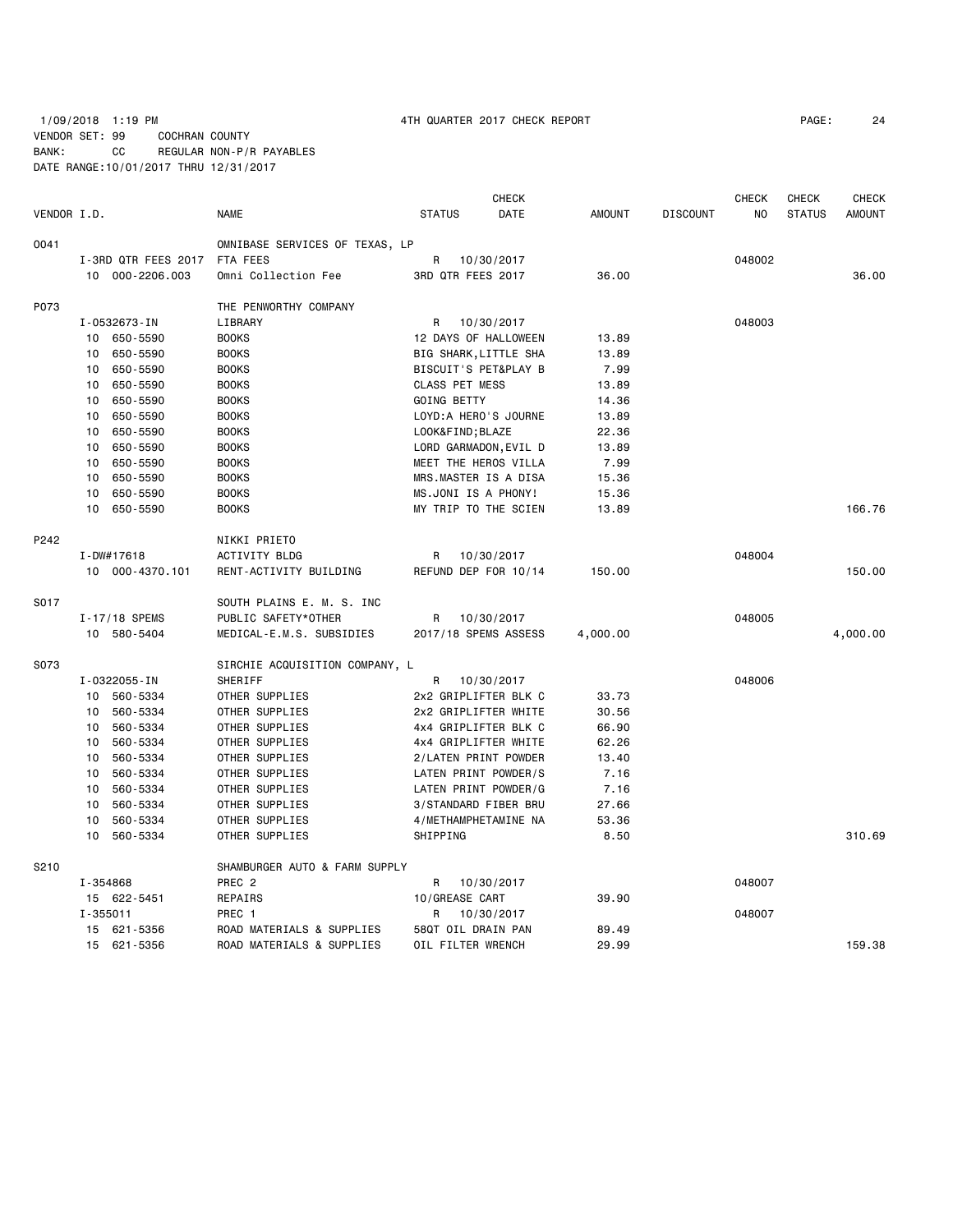1/09/2018 1:19 PM 4TH QUARTER 2017 CHECK REPORT PAGE: 24 VENDOR SET: 99 COCHRAN COUNTY BANK: CC REGULAR NON-P/R PAYABLES DATE RANGE:10/01/2017 THRU 12/31/2017

|             |                     |                                | <b>CHECK</b>          |               |                 | CHECK  | <b>CHECK</b>  | <b>CHECK</b>  |
|-------------|---------------------|--------------------------------|-----------------------|---------------|-----------------|--------|---------------|---------------|
| VENDOR I.D. |                     | <b>NAME</b>                    | <b>STATUS</b><br>DATE | <b>AMOUNT</b> | <b>DISCOUNT</b> | NO.    | <b>STATUS</b> | <b>AMOUNT</b> |
| 0041        |                     | OMNIBASE SERVICES OF TEXAS, LP |                       |               |                 |        |               |               |
|             | I-3RD QTR FEES 2017 | FTA FEES                       | R<br>10/30/2017       |               |                 | 048002 |               |               |
|             | 10 000-2206.003     | Omni Collection Fee            | 3RD QTR FEES 2017     | 36.00         |                 |        |               | 36,00         |
| P073        |                     | THE PENWORTHY COMPANY          |                       |               |                 |        |               |               |
|             | I-0532673-IN        | LIBRARY                        | 10/30/2017<br>R       |               |                 | 048003 |               |               |
|             | 10 650-5590         | <b>BOOKS</b>                   | 12 DAYS OF HALLOWEEN  | 13.89         |                 |        |               |               |
|             | 650-5590<br>10      | <b>BOOKS</b>                   | BIG SHARK, LITTLE SHA | 13.89         |                 |        |               |               |
|             | 650-5590<br>10      | <b>BOOKS</b>                   | BISCUIT'S PET&PLAY B  | 7.99          |                 |        |               |               |
|             | 650-5590<br>10      | <b>BOOKS</b>                   | <b>CLASS PET MESS</b> | 13.89         |                 |        |               |               |
|             | 650-5590<br>10      | <b>BOOKS</b>                   | <b>GOING BETTY</b>    | 14.36         |                 |        |               |               |
|             | 650-5590<br>10      | <b>BOOKS</b>                   | LOYD: A HERO'S JOURNE | 13.89         |                 |        |               |               |
|             | 650-5590<br>10      | <b>BOOKS</b>                   | LOOK&FIND BLAZE       | 22.36         |                 |        |               |               |
|             | 650-5590<br>10      | <b>BOOKS</b>                   | LORD GARMADON, EVIL D | 13.89         |                 |        |               |               |
|             | 650-5590<br>10      | <b>BOOKS</b>                   | MEET THE HEROS VILLA  | 7.99          |                 |        |               |               |
|             | 650-5590<br>10      | <b>BOOKS</b>                   | MRS.MASTER IS A DISA  | 15.36         |                 |        |               |               |
|             | 650-5590<br>10      | <b>BOOKS</b>                   | MS.JONI IS A PHONY!   | 15.36         |                 |        |               |               |
|             | 10<br>650-5590      | <b>BOOKS</b>                   | MY TRIP TO THE SCIEN  | 13.89         |                 |        |               | 166.76        |
| P242        |                     | NIKKI PRIETO                   |                       |               |                 |        |               |               |
|             | I-DW#17618          | <b>ACTIVITY BLDG</b>           | 10/30/2017<br>R       |               |                 | 048004 |               |               |
|             | 10 000-4370.101     | RENT-ACTIVITY BUILDING         | REFUND DEP FOR 10/14  | 150.00        |                 |        |               | 150.00        |
| S017        |                     | SOUTH PLAINS E. M. S. INC      |                       |               |                 |        |               |               |
|             | I-17/18 SPEMS       | PUBLIC SAFETY*OTHER            | R<br>10/30/2017       |               |                 | 048005 |               |               |
|             | 10 580-5404         | MEDICAL-E.M.S. SUBSIDIES       | 2017/18 SPEMS ASSESS  | 4,000.00      |                 |        |               | 4,000.00      |
| S073        |                     | SIRCHIE ACQUISITION COMPANY, L |                       |               |                 |        |               |               |
|             | I-0322055-IN        | SHERIFF                        | R<br>10/30/2017       |               |                 | 048006 |               |               |
|             | 560-5334<br>10      | OTHER SUPPLIES                 | 2x2 GRIPLIFTER BLK C  | 33.73         |                 |        |               |               |
|             | 560-5334<br>10      | OTHER SUPPLIES                 | 2x2 GRIPLIFTER WHITE  | 30.56         |                 |        |               |               |
|             | 560-5334<br>10      | OTHER SUPPLIES                 | 4x4 GRIPLIFTER BLK C  | 66.90         |                 |        |               |               |
|             | 560-5334<br>10      | OTHER SUPPLIES                 | 4x4 GRIPLIFTER WHITE  | 62.26         |                 |        |               |               |
|             | 560-5334<br>10      | OTHER SUPPLIES                 | 2/LATEN PRINT POWDER  | 13.40         |                 |        |               |               |
|             | 560-5334<br>10      | OTHER SUPPLIES                 | LATEN PRINT POWDER/S  | 7.16          |                 |        |               |               |
|             | 560-5334<br>10      | OTHER SUPPLIES                 | LATEN PRINT POWDER/G  | 7.16          |                 |        |               |               |
|             | 560-5334<br>10      | OTHER SUPPLIES                 | 3/STANDARD FIBER BRU  | 27.66         |                 |        |               |               |
|             | 10<br>560-5334      | OTHER SUPPLIES                 | 4/METHAMPHETAMINE NA  | 53.36         |                 |        |               |               |
|             | 10<br>560-5334      | OTHER SUPPLIES                 | SHIPPING              | 8.50          |                 |        |               | 310.69        |
| S210        |                     | SHAMBURGER AUTO & FARM SUPPLY  |                       |               |                 |        |               |               |
|             | I-354868            | PREC <sub>2</sub>              | 10/30/2017<br>R       |               |                 | 048007 |               |               |
|             | 15 622-5451         | REPAIRS                        | 10/GREASE CART        | 39.90         |                 |        |               |               |
|             | $I - 355011$        | PREC 1                         | R<br>10/30/2017       |               |                 | 048007 |               |               |
|             | 15 621-5356         | ROAD MATERIALS & SUPPLIES      | 58QT OIL DRAIN PAN    | 89.49         |                 |        |               |               |
|             | 15 621-5356         | ROAD MATERIALS & SUPPLIES      | OIL FILTER WRENCH     | 29.99         |                 |        |               | 159.38        |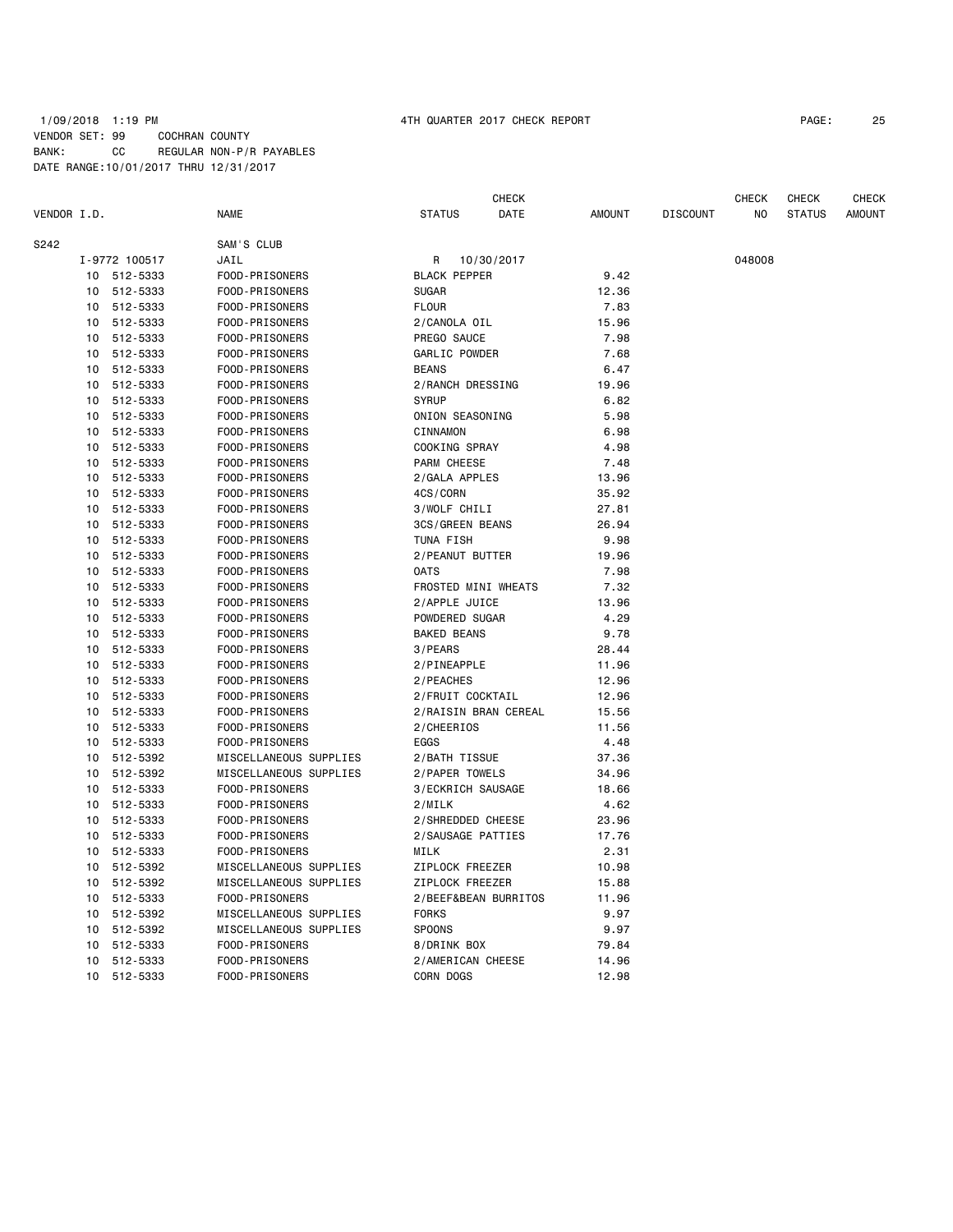### 1/09/2018 1:19 PM 4TH QUARTER 2017 CHECK REPORT PAGE: 25 VENDOR SET: 99 COCHRAN COUNTY BANK: CC REGULAR NON-P/R PAYABLES DATE RANGE:10/01/2017 THRU 12/31/2017

|             |    |               |                        |                      | <b>CHECK</b> |               |                 | <b>CHECK</b> | <b>CHECK</b>  | CHECK         |
|-------------|----|---------------|------------------------|----------------------|--------------|---------------|-----------------|--------------|---------------|---------------|
| VENDOR I.D. |    |               | NAME                   | <b>STATUS</b>        | DATE         | <b>AMOUNT</b> | <b>DISCOUNT</b> | NO           | <b>STATUS</b> | <b>AMOUNT</b> |
| S242        |    |               | SAM'S CLUB             |                      |              |               |                 |              |               |               |
|             |    | I-9772 100517 | JAIL                   | R                    | 10/30/2017   |               |                 | 048008       |               |               |
|             |    | 10 512-5333   | FOOD-PRISONERS         | <b>BLACK PEPPER</b>  |              | 9.42          |                 |              |               |               |
|             | 10 | 512-5333      | FOOD-PRISONERS         | <b>SUGAR</b>         |              | 12.36         |                 |              |               |               |
|             | 10 | 512-5333      | FOOD-PRISONERS         | <b>FLOUR</b>         |              | 7.83          |                 |              |               |               |
|             |    | 10 512-5333   | FOOD-PRISONERS         | 2/CANOLA OIL         |              | 15.96         |                 |              |               |               |
|             | 10 | 512-5333      | FOOD-PRISONERS         | PREGO SAUCE          |              | 7.98          |                 |              |               |               |
|             | 10 | 512-5333      | FOOD-PRISONERS         | GARLIC POWDER        |              | 7.68          |                 |              |               |               |
|             | 10 | 512-5333      | FOOD-PRISONERS         | <b>BEANS</b>         |              | 6.47          |                 |              |               |               |
|             | 10 | 512-5333      | FOOD-PRISONERS         | 2/RANCH DRESSING     |              | 19.96         |                 |              |               |               |
|             | 10 | 512-5333      | FOOD-PRISONERS         | <b>SYRUP</b>         |              | 6.82          |                 |              |               |               |
|             | 10 | 512-5333      | FOOD-PRISONERS         | ONION SEASONING      |              | 5.98          |                 |              |               |               |
|             | 10 | 512-5333      | FOOD-PRISONERS         | CINNAMON             |              | 6.98          |                 |              |               |               |
|             | 10 | 512-5333      | FOOD-PRISONERS         | COOKING SPRAY        |              | 4.98          |                 |              |               |               |
|             | 10 | 512-5333      | FOOD-PRISONERS         | PARM CHEESE          |              | 7.48          |                 |              |               |               |
|             | 10 | 512-5333      | FOOD-PRISONERS         | 2/GALA APPLES        |              | 13.96         |                 |              |               |               |
|             | 10 | 512-5333      | FOOD-PRISONERS         | 4CS/CORN             |              | 35.92         |                 |              |               |               |
|             | 10 | 512-5333      | FOOD-PRISONERS         | 3/WOLF CHILI         |              | 27.81         |                 |              |               |               |
|             | 10 | 512-5333      | FOOD-PRISONERS         | 3CS/GREEN BEANS      |              | 26.94         |                 |              |               |               |
|             | 10 | 512-5333      | FOOD-PRISONERS         | TUNA FISH            |              | 9.98          |                 |              |               |               |
|             | 10 | 512-5333      | FOOD-PRISONERS         | 2/PEANUT BUTTER      |              | 19.96         |                 |              |               |               |
|             | 10 | 512-5333      | FOOD-PRISONERS         | <b>OATS</b>          |              | 7.98          |                 |              |               |               |
|             |    | 10 512-5333   | FOOD-PRISONERS         | FROSTED MINI WHEATS  |              | 7.32          |                 |              |               |               |
|             | 10 | 512-5333      | FOOD-PRISONERS         | 2/APPLE JUICE        |              | 13.96         |                 |              |               |               |
|             | 10 | 512-5333      | FOOD-PRISONERS         | POWDERED SUGAR       |              | 4.29          |                 |              |               |               |
|             | 10 | 512-5333      | FOOD-PRISONERS         | <b>BAKED BEANS</b>   |              | 9.78          |                 |              |               |               |
|             | 10 | 512-5333      | FOOD-PRISONERS         | 3/PEARS              |              | 28.44         |                 |              |               |               |
|             | 10 | 512-5333      | FOOD-PRISONERS         | 2/PINEAPPLE          |              | 11.96         |                 |              |               |               |
|             | 10 | 512-5333      | FOOD-PRISONERS         | 2/PEACHES            |              | 12.96         |                 |              |               |               |
|             | 10 | 512-5333      | FOOD-PRISONERS         | 2/FRUIT COCKTAIL     |              | 12.96         |                 |              |               |               |
|             | 10 | 512-5333      | FOOD-PRISONERS         | 2/RAISIN BRAN CEREAL |              | 15.56         |                 |              |               |               |
|             | 10 | 512-5333      | FOOD-PRISONERS         | 2/CHEERIOS           |              | 11.56         |                 |              |               |               |
|             | 10 | 512-5333      | FOOD-PRISONERS         | EGGS                 |              | 4.48          |                 |              |               |               |
|             | 10 | 512-5392      | MISCELLANEOUS SUPPLIES | 2/BATH TISSUE        |              | 37.36         |                 |              |               |               |
|             | 10 | 512-5392      | MISCELLANEOUS SUPPLIES | 2/PAPER TOWELS       |              | 34.96         |                 |              |               |               |
|             | 10 | 512-5333      | FOOD-PRISONERS         | 3/ECKRICH SAUSAGE    |              | 18.66         |                 |              |               |               |
|             | 10 | 512-5333      | FOOD-PRISONERS         | 2/MILK               |              | 4.62          |                 |              |               |               |
|             | 10 | 512-5333      | FOOD-PRISONERS         | 2/SHREDDED CHEESE    |              | 23.96         |                 |              |               |               |
|             | 10 | 512-5333      | FOOD-PRISONERS         | 2/SAUSAGE PATTIES    |              | 17.76         |                 |              |               |               |
|             | 10 | 512-5333      | FOOD-PRISONERS         | MILK                 |              | 2.31          |                 |              |               |               |
|             |    | 10 512-5392   | MISCELLANEOUS SUPPLIES | ZIPLOCK FREEZER      |              | 10.98         |                 |              |               |               |
|             |    | 10 512-5392   | MISCELLANEOUS SUPPLIES | ZIPLOCK FREEZER      |              | 15.88         |                 |              |               |               |
|             | 10 | 512-5333      | FOOD-PRISONERS         | 2/BEEF&BEAN BURRITOS |              | 11.96         |                 |              |               |               |
|             | 10 | 512-5392      | MISCELLANEOUS SUPPLIES | <b>FORKS</b>         |              | 9.97          |                 |              |               |               |
|             | 10 | 512-5392      | MISCELLANEOUS SUPPLIES | <b>SPOONS</b>        |              | 9.97          |                 |              |               |               |
|             | 10 | 512-5333      | FOOD-PRISONERS         | 8/DRINK BOX          |              | 79.84         |                 |              |               |               |
|             | 10 | 512-5333      | FOOD-PRISONERS         | 2/AMERICAN CHEESE    |              | 14.96         |                 |              |               |               |
|             | 10 | 512-5333      | FOOD-PRISONERS         | CORN DOGS            |              | 12.98         |                 |              |               |               |
|             |    |               |                        |                      |              |               |                 |              |               |               |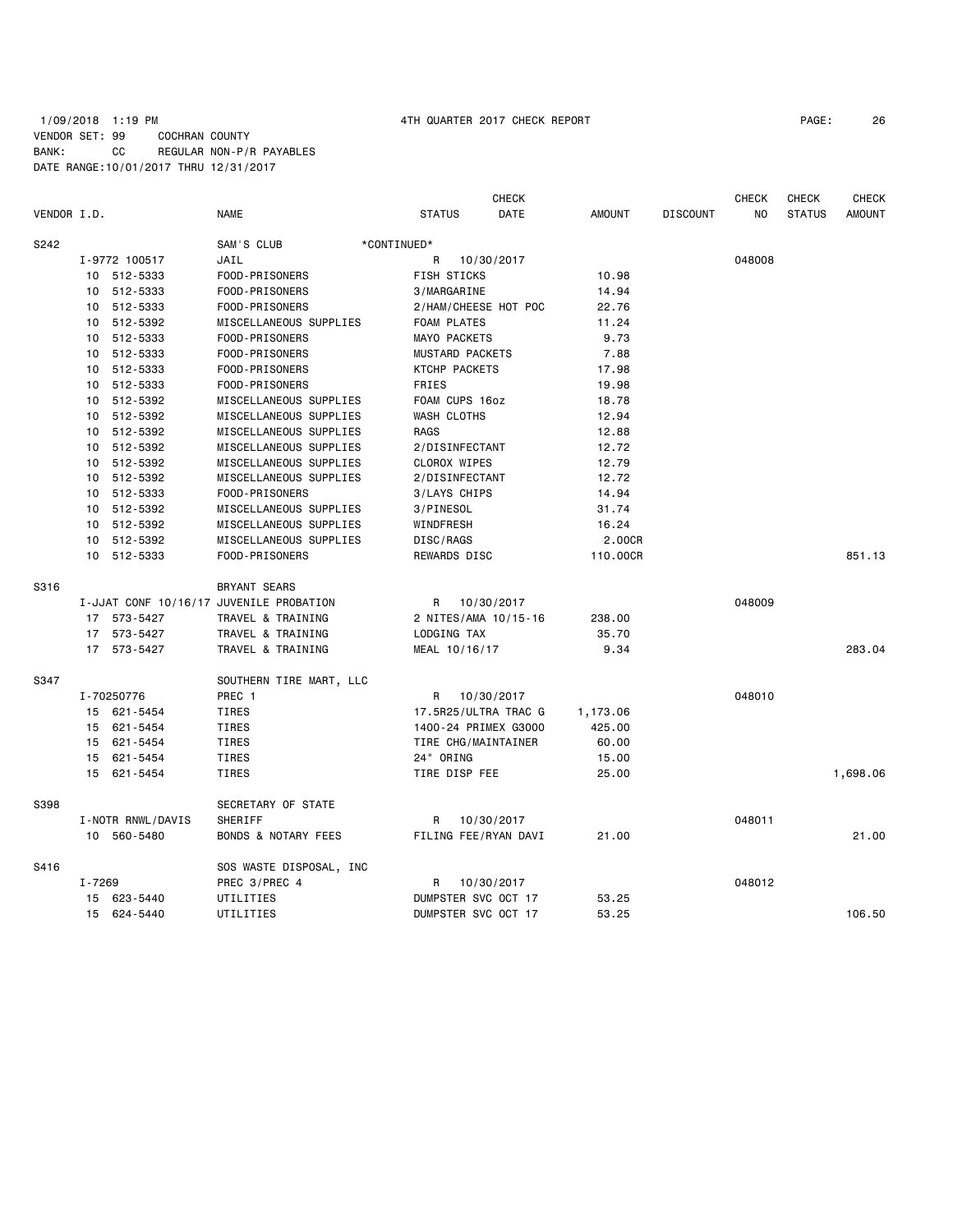## 1/09/2018 1:19 PM 4TH QUARTER 2017 CHECK REPORT PAGE: 26 VENDOR SET: 99 COCHRAN COUNTY BANK: CC REGULAR NON-P/R PAYABLES DATE RANGE:10/01/2017 THRU 12/31/2017

|             |        |                   |                                         |                      | <b>CHECK</b> |               |                 | <b>CHECK</b> | <b>CHECK</b>  | <b>CHECK</b>  |
|-------------|--------|-------------------|-----------------------------------------|----------------------|--------------|---------------|-----------------|--------------|---------------|---------------|
| VENDOR I.D. |        |                   | NAME                                    | <b>STATUS</b>        | DATE         | <b>AMOUNT</b> | <b>DISCOUNT</b> | NO.          | <b>STATUS</b> | <b>AMOUNT</b> |
| S242        |        |                   | SAM'S CLUB                              | *CONTINUED*          |              |               |                 |              |               |               |
|             |        | I-9772 100517     | JAIL                                    | R                    | 10/30/2017   |               |                 | 048008       |               |               |
|             |        | 10 512-5333       | FOOD-PRISONERS                          | FISH STICKS          |              | 10.98         |                 |              |               |               |
|             |        | 10 512-5333       | FOOD-PRISONERS                          | 3/MARGARINE          |              | 14.94         |                 |              |               |               |
|             |        | 10 512-5333       | FOOD-PRISONERS                          | 2/HAM/CHEESE HOT POC |              | 22.76         |                 |              |               |               |
|             | 10     | 512-5392          | MISCELLANEOUS SUPPLIES                  | FOAM PLATES          |              | 11.24         |                 |              |               |               |
|             |        | 10 512-5333       | FOOD-PRISONERS                          | <b>MAYO PACKETS</b>  |              | 9.73          |                 |              |               |               |
|             |        | 10 512-5333       | FOOD-PRISONERS                          | MUSTARD PACKETS      |              | 7.88          |                 |              |               |               |
|             |        | 10 512-5333       | FOOD-PRISONERS                          | KTCHP PACKETS        |              | 17.98         |                 |              |               |               |
|             |        | 10 512-5333       | FOOD-PRISONERS                          | FRIES                |              | 19.98         |                 |              |               |               |
|             |        | 10 512-5392       | MISCELLANEOUS SUPPLIES                  | FOAM CUPS 16oz       |              | 18.78         |                 |              |               |               |
|             |        | 10 512-5392       | MISCELLANEOUS SUPPLIES                  | WASH CLOTHS          |              | 12.94         |                 |              |               |               |
|             |        | 10 512-5392       | MISCELLANEOUS SUPPLIES                  | RAGS                 |              | 12.88         |                 |              |               |               |
|             |        | 10 512-5392       | MISCELLANEOUS SUPPLIES                  | 2/DISINFECTANT       |              | 12.72         |                 |              |               |               |
|             |        | 10 512-5392       | MISCELLANEOUS SUPPLIES                  | CLOROX WIPES         |              | 12.79         |                 |              |               |               |
|             |        | 10 512-5392       | MISCELLANEOUS SUPPLIES                  | 2/DISINFECTANT       |              | 12.72         |                 |              |               |               |
|             |        | 10 512-5333       | FOOD-PRISONERS                          | 3/LAYS CHIPS         |              | 14.94         |                 |              |               |               |
|             |        | 10 512-5392       | MISCELLANEOUS SUPPLIES                  | 3/PINESOL            |              | 31.74         |                 |              |               |               |
|             |        | 10 512-5392       | MISCELLANEOUS SUPPLIES                  | WINDFRESH            |              | 16.24         |                 |              |               |               |
|             |        | 10 512-5392       | MISCELLANEOUS SUPPLIES                  | DISC/RAGS            |              | 2.00CR        |                 |              |               |               |
|             |        | 10 512-5333       | FOOD-PRISONERS                          | <b>REWARDS DISC</b>  |              | 110.00CR      |                 |              |               | 851.13        |
| S316        |        |                   | BRYANT SEARS                            |                      |              |               |                 |              |               |               |
|             |        |                   | I-JJAT CONF 10/16/17 JUVENILE PROBATION | R                    | 10/30/2017   |               |                 | 048009       |               |               |
|             |        | 17 573-5427       | TRAVEL & TRAINING                       | 2 NITES/AMA 10/15-16 |              | 238.00        |                 |              |               |               |
|             |        | 17 573-5427       | TRAVEL & TRAINING                       | LODGING TAX          |              | 35.70         |                 |              |               |               |
|             |        | 17 573-5427       | TRAVEL & TRAINING                       | MEAL 10/16/17        |              | 9.34          |                 |              |               | 283.04        |
| S347        |        |                   | SOUTHERN TIRE MART, LLC                 |                      |              |               |                 |              |               |               |
|             |        | I-70250776        | PREC 1                                  | R                    | 10/30/2017   |               |                 | 048010       |               |               |
|             |        | 15 621-5454       | TIRES                                   | 17.5R25/ULTRA TRAC G |              | 1,173.06      |                 |              |               |               |
|             |        | 15 621-5454       | TIRES                                   | 1400-24 PRIMEX G3000 |              | 425.00        |                 |              |               |               |
|             |        | 15 621-5454       | TIRES                                   | TIRE CHG/MAINTAINER  |              | 60.00         |                 |              |               |               |
|             |        | 15 621-5454       | TIRES                                   | 24" ORING            |              | 15.00         |                 |              |               |               |
|             |        | 15 621-5454       | TIRES                                   | TIRE DISP FEE        |              | 25.00         |                 |              |               | 1,698.06      |
| S398        |        |                   | SECRETARY OF STATE                      |                      |              |               |                 |              |               |               |
|             |        | I-NOTR RNWL/DAVIS | SHERIFF                                 | R.                   | 10/30/2017   |               |                 | 048011       |               |               |
|             |        | 10 560-5480       | <b>BONDS &amp; NOTARY FEES</b>          | FILING FEE/RYAN DAVI |              | 21.00         |                 |              |               | 21.00         |
| S416        |        |                   | SOS WASTE DISPOSAL, INC                 |                      |              |               |                 |              |               |               |
|             | I-7269 |                   | PREC 3/PREC 4                           | R                    | 10/30/2017   |               |                 | 048012       |               |               |
|             | 15     | 623-5440          | UTILITIES                               | DUMPSTER SVC OCT 17  |              | 53.25         |                 |              |               |               |
|             |        | 15 624-5440       | UTILITIES                               | DUMPSTER SVC OCT 17  |              | 53.25         |                 |              |               | 106.50        |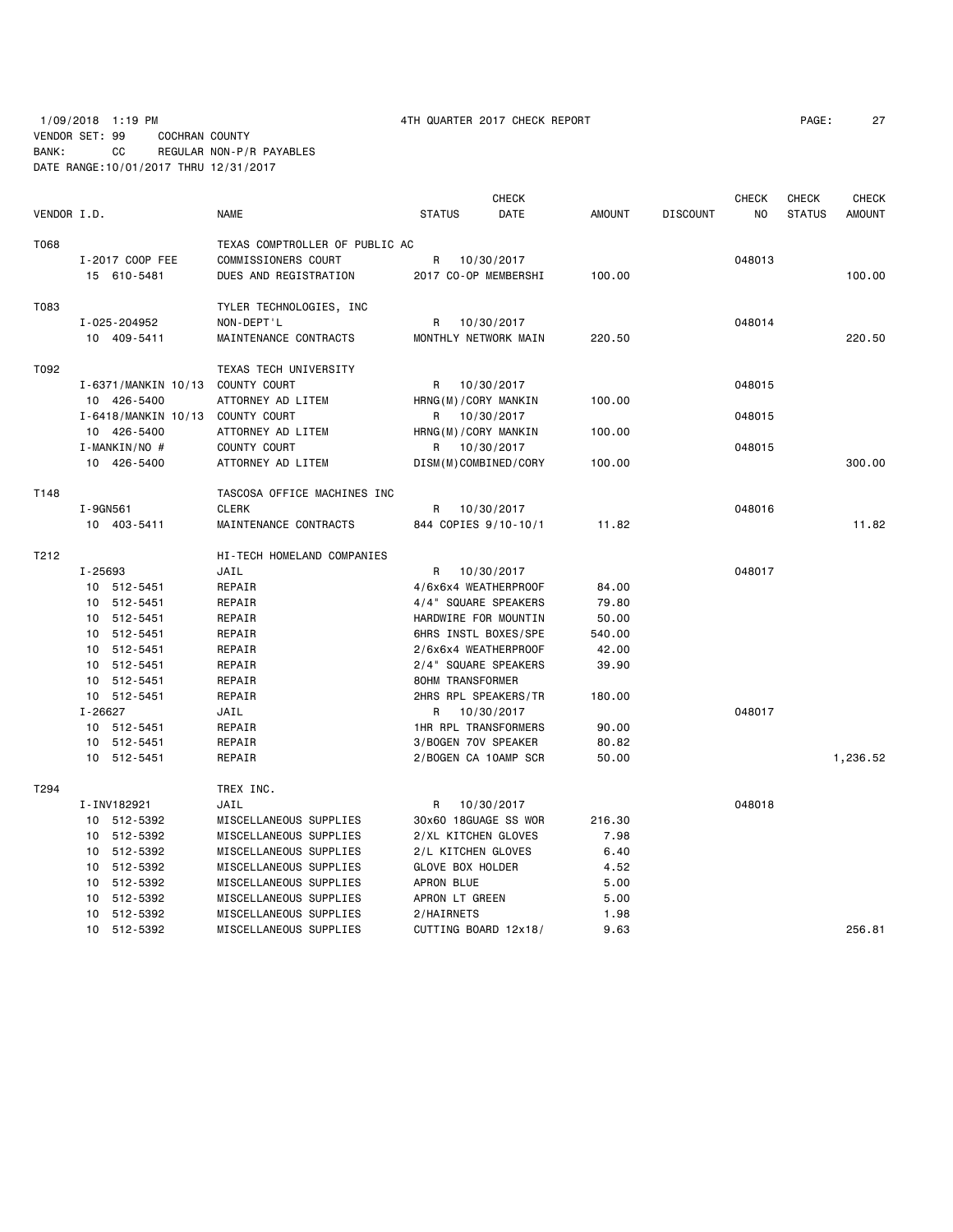1/09/2018 1:19 PM 4TH QUARTER 2017 CHECK REPORT PAGE: 27 VENDOR SET: 99 COCHRAN COUNTY BANK: CC REGULAR NON-P/R PAYABLES DATE RANGE:10/01/2017 THRU 12/31/2017

|             |             |                     |                                |                             | <b>CHECK</b> |               |                 | <b>CHECK</b>   | <b>CHECK</b>  | <b>CHECK</b>  |
|-------------|-------------|---------------------|--------------------------------|-----------------------------|--------------|---------------|-----------------|----------------|---------------|---------------|
| VENDOR I.D. |             |                     | <b>NAME</b>                    | <b>STATUS</b>               | DATE         | <b>AMOUNT</b> | <b>DISCOUNT</b> | N <sub>O</sub> | <b>STATUS</b> | <b>AMOUNT</b> |
| T068        |             |                     | TEXAS COMPTROLLER OF PUBLIC AC |                             |              |               |                 |                |               |               |
|             |             | I-2017 COOP FEE     | COMMISSIONERS COURT            | R                           | 10/30/2017   |               |                 | 048013         |               |               |
|             |             | 15 610-5481         | DUES AND REGISTRATION          | 2017 CO-OP MEMBERSHI        |              | 100.00        |                 |                |               | 100.00        |
|             |             |                     |                                |                             |              |               |                 |                |               |               |
| T083        |             |                     | TYLER TECHNOLOGIES, INC        |                             |              |               |                 |                |               |               |
|             |             | I-025-204952        | NON-DEPT'L                     | R.                          | 10/30/2017   |               |                 | 048014         |               |               |
|             |             | 10 409-5411         | MAINTENANCE CONTRACTS          | MONTHLY NETWORK MAIN        |              | 220.50        |                 |                |               | 220.50        |
|             |             |                     |                                |                             |              |               |                 |                |               |               |
| T092        |             |                     | TEXAS TECH UNIVERSITY          |                             |              |               |                 |                |               |               |
|             |             | I-6371/MANKIN 10/13 | COUNTY COURT                   | R                           | 10/30/2017   |               |                 | 048015         |               |               |
|             |             | 10 426-5400         | ATTORNEY AD LITEM              | HRNG(M)/CORY MANKIN         |              | 100.00        |                 |                |               |               |
|             |             | I-6418/MANKIN 10/13 | COUNTY COURT                   | R                           | 10/30/2017   |               |                 | 048015         |               |               |
|             |             | 10 426-5400         | ATTORNEY AD LITEM              | HRNG(M)/CORY MANKIN         |              | 100.00        |                 |                |               |               |
|             |             | I-MANKIN/NO #       | COUNTY COURT                   | R                           | 10/30/2017   |               |                 | 048015         |               |               |
|             |             | 10 426-5400         | ATTORNEY AD LITEM              | DISM(M)COMBINED/CORY        |              | 100.00        |                 |                |               | 300,00        |
|             |             |                     |                                |                             |              |               |                 |                |               |               |
| T148        |             |                     | TASCOSA OFFICE MACHINES INC    |                             |              |               |                 |                |               |               |
|             | I-9GN561    |                     | <b>CLERK</b>                   | R                           | 10/30/2017   |               |                 | 048016         |               |               |
|             |             | 10 403-5411         | MAINTENANCE CONTRACTS          | 844 COPIES 9/10-10/1        |              | 11.82         |                 |                |               | 11.82         |
| T212        |             |                     | HI-TECH HOMELAND COMPANIES     |                             |              |               |                 |                |               |               |
|             | $I - 25693$ |                     | JAIL                           | R                           | 10/30/2017   |               |                 | 048017         |               |               |
|             |             | 10 512-5451         | REPAIR                         | 4/6x6x4 WEATHERPROOF        |              | 84.00         |                 |                |               |               |
|             |             | 10 512-5451         | REPAIR                         | 4/4" SQUARE SPEAKERS        |              | 79.80         |                 |                |               |               |
|             |             | 10 512-5451         | REPAIR                         | HARDWIRE FOR MOUNTIN        |              | 50.00         |                 |                |               |               |
|             |             | 10 512-5451         | REPAIR                         | 6HRS INSTL BOXES/SPE        |              | 540.00        |                 |                |               |               |
|             |             | 10 512-5451         | REPAIR                         | 2/6x6x4 WEATHERPROOF        |              | 42.00         |                 |                |               |               |
|             |             | 10 512-5451         | REPAIR                         | 2/4" SQUARE SPEAKERS        |              | 39.90         |                 |                |               |               |
|             |             | 10 512-5451         | REPAIR                         | 80HM TRANSFORMER            |              |               |                 |                |               |               |
|             |             | 10 512-5451         | REPAIR                         | 2HRS RPL SPEAKERS/TR        |              | 180.00        |                 |                |               |               |
|             | I-26627     |                     | JAIL                           | R                           | 10/30/2017   |               |                 | 048017         |               |               |
|             |             | 10 512-5451         | REPAIR                         | <b>1HR RPL TRANSFORMERS</b> |              | 90.00         |                 |                |               |               |
|             |             | 10 512-5451         | REPAIR                         | 3/BOGEN 70V SPEAKER         |              | 80.82         |                 |                |               |               |
|             |             | 10 512-5451         | REPAIR                         | 2/BOGEN CA 10AMP SCR        |              | 50.00         |                 |                |               | 1,236.52      |
| T294        |             |                     | TREX INC.                      |                             |              |               |                 |                |               |               |
|             |             | I-INV182921         | JAIL                           | R                           | 10/30/2017   |               |                 | 048018         |               |               |
|             |             | 10 512-5392         | MISCELLANEOUS SUPPLIES         | 30x60 18GUAGE SS WOR        |              | 216.30        |                 |                |               |               |
|             |             | 10 512-5392         | MISCELLANEOUS SUPPLIES         | 2/XL KITCHEN GLOVES         |              | 7.98          |                 |                |               |               |
|             |             | 10 512-5392         | MISCELLANEOUS SUPPLIES         | 2/L KITCHEN GLOVES          |              | 6.40          |                 |                |               |               |
|             |             | 10 512-5392         | MISCELLANEOUS SUPPLIES         | GLOVE BOX HOLDER            |              | 4.52          |                 |                |               |               |
|             |             | 10 512-5392         | MISCELLANEOUS SUPPLIES         | APRON BLUE                  |              | 5.00          |                 |                |               |               |
|             |             | 10 512-5392         | MISCELLANEOUS SUPPLIES         | APRON LT GREEN              |              | 5.00          |                 |                |               |               |
|             |             | 10 512-5392         | MISCELLANEOUS SUPPLIES         | 2/HAIRNETS                  |              | 1.98          |                 |                |               |               |
|             |             | 10 512-5392         | MISCELLANEOUS SUPPLIES         | CUTTING BOARD 12x18/        |              | 9.63          |                 |                |               | 256.81        |
|             |             |                     |                                |                             |              |               |                 |                |               |               |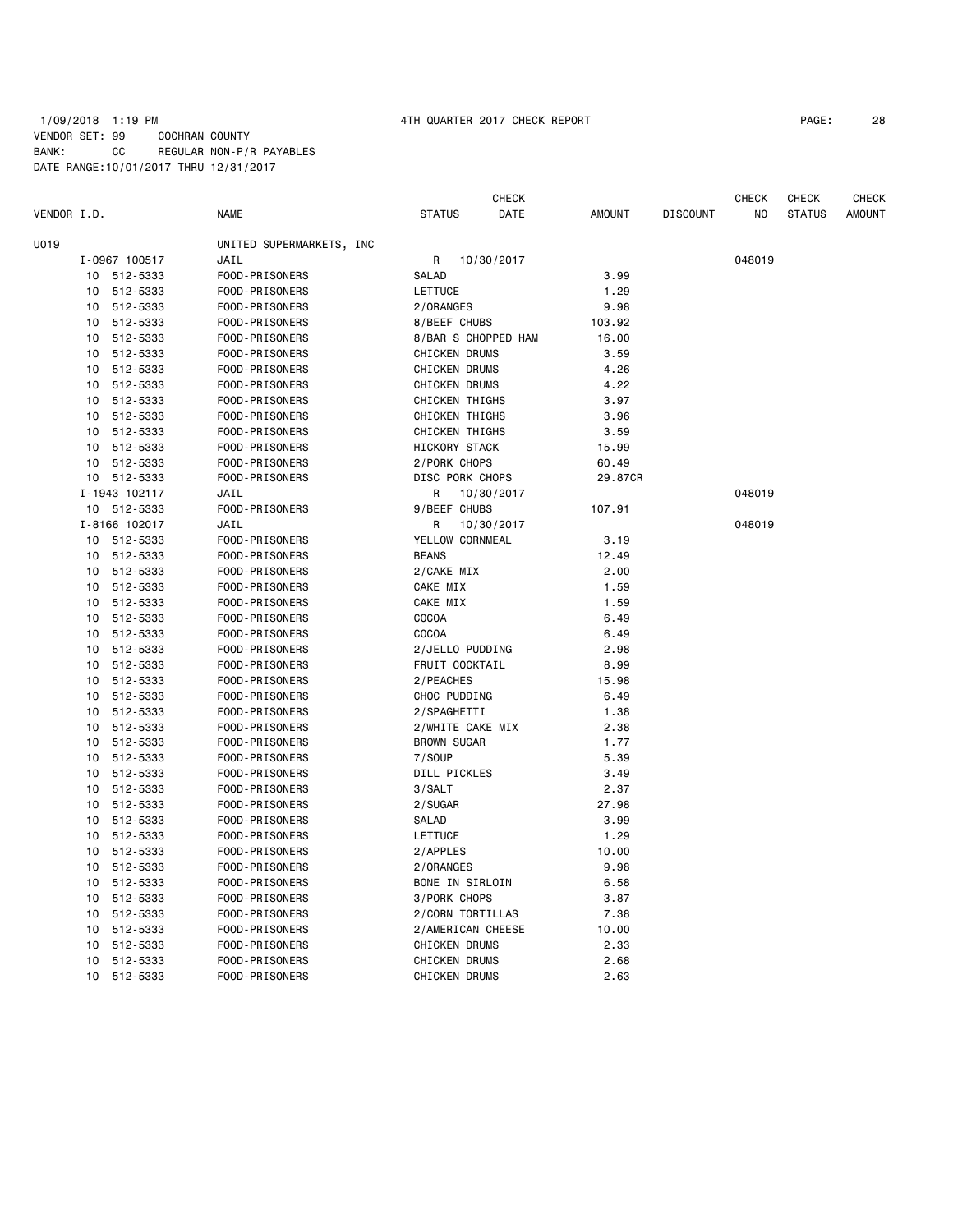### 1/09/2018 1:19 PM 4TH QUARTER 2017 CHECK REPORT PAGE: 28 VENDOR SET: 99 COCHRAN COUNTY BANK: CC REGULAR NON-P/R PAYABLES DATE RANGE:10/01/2017 THRU 12/31/2017

|             |    |               |                          |                       | <b>CHECK</b> |               |                 | <b>CHECK</b> | <b>CHECK</b>  | <b>CHECK</b>  |
|-------------|----|---------------|--------------------------|-----------------------|--------------|---------------|-----------------|--------------|---------------|---------------|
| VENDOR I.D. |    |               | <b>NAME</b>              | <b>STATUS</b>         | DATE         | <b>AMOUNT</b> | <b>DISCOUNT</b> | NO           | <b>STATUS</b> | <b>AMOUNT</b> |
| U019        |    |               | UNITED SUPERMARKETS, INC |                       |              |               |                 |              |               |               |
|             |    | I-0967 100517 | JAIL                     | R                     | 10/30/2017   |               |                 | 048019       |               |               |
|             |    | 10 512-5333   | FOOD-PRISONERS           | <b>SALAD</b>          |              | 3.99          |                 |              |               |               |
|             | 10 | 512-5333      | FOOD-PRISONERS           | LETTUCE               |              | 1.29          |                 |              |               |               |
|             | 10 | 512-5333      | FOOD-PRISONERS           | 2/ORANGES             |              | 9.98          |                 |              |               |               |
|             | 10 | 512-5333      | FOOD-PRISONERS           | 8/BEEF CHUBS          |              | 103.92        |                 |              |               |               |
|             | 10 | 512-5333      | FOOD-PRISONERS           | 8/BAR S CHOPPED HAM   |              | 16.00         |                 |              |               |               |
|             | 10 | 512-5333      | FOOD-PRISONERS           | <b>CHICKEN DRUMS</b>  |              | 3.59          |                 |              |               |               |
|             | 10 | 512-5333      | FOOD-PRISONERS           | <b>CHICKEN DRUMS</b>  |              | 4.26          |                 |              |               |               |
|             | 10 | 512-5333      | FOOD-PRISONERS           | <b>CHICKEN DRUMS</b>  |              | 4.22          |                 |              |               |               |
|             | 10 | 512-5333      | FOOD-PRISONERS           | <b>CHICKEN THIGHS</b> |              | 3.97          |                 |              |               |               |
|             | 10 | 512-5333      | FOOD-PRISONERS           | <b>CHICKEN THIGHS</b> |              | 3.96          |                 |              |               |               |
|             | 10 | 512-5333      | FOOD-PRISONERS           | CHICKEN THIGHS        |              | 3.59          |                 |              |               |               |
|             | 10 | 512-5333      | FOOD-PRISONERS           | HICKORY STACK         |              | 15.99         |                 |              |               |               |
|             | 10 | 512-5333      | FOOD-PRISONERS           | 2/PORK CHOPS          |              | 60.49         |                 |              |               |               |
|             | 10 | 512-5333      | FOOD-PRISONERS           | DISC PORK CHOPS       |              | 29.87CR       |                 |              |               |               |
|             |    | I-1943 102117 | JAIL                     | R                     | 10/30/2017   |               |                 | 048019       |               |               |
|             |    | 10 512-5333   | FOOD-PRISONERS           | 9/BEEF CHUBS          |              | 107.91        |                 |              |               |               |
|             |    | I-8166 102017 | JAIL                     | R                     | 10/30/2017   |               |                 | 048019       |               |               |
|             | 10 | 512-5333      | FOOD-PRISONERS           | YELLOW CORNMEAL       |              | 3.19          |                 |              |               |               |
|             | 10 | 512-5333      | FOOD-PRISONERS           | <b>BEANS</b>          |              | 12.49         |                 |              |               |               |
|             | 10 | 512-5333      | FOOD-PRISONERS           | 2/CAKE MIX            |              | 2.00          |                 |              |               |               |
|             | 10 | 512-5333      | FOOD-PRISONERS           | CAKE MIX              |              | 1.59          |                 |              |               |               |
|             | 10 | 512-5333      | FOOD-PRISONERS           | CAKE MIX              |              | 1.59          |                 |              |               |               |
|             | 10 | 512-5333      | FOOD-PRISONERS           | COCOA                 |              | 6.49          |                 |              |               |               |
|             | 10 | 512-5333      | FOOD-PRISONERS           | COCOA                 |              | 6.49          |                 |              |               |               |
|             | 10 | 512-5333      | FOOD-PRISONERS           | 2/JELLO PUDDING       |              | 2.98          |                 |              |               |               |
|             | 10 | 512-5333      | FOOD-PRISONERS           | FRUIT COCKTAIL        |              | 8.99          |                 |              |               |               |
|             | 10 | 512-5333      | FOOD-PRISONERS           | 2/PEACHES             |              | 15.98         |                 |              |               |               |
|             | 10 | 512-5333      | FOOD-PRISONERS           | CHOC PUDDING          |              | 6.49          |                 |              |               |               |
|             | 10 | 512-5333      | FOOD-PRISONERS           | 2/SPAGHETTI           |              | 1.38          |                 |              |               |               |
|             | 10 | 512-5333      | FOOD-PRISONERS           | 2/WHITE CAKE MIX      |              | 2.38          |                 |              |               |               |
|             | 10 | 512-5333      | FOOD-PRISONERS           | <b>BROWN SUGAR</b>    |              | 1.77          |                 |              |               |               |
|             | 10 | 512-5333      | FOOD-PRISONERS           | 7/S0UP                |              | 5.39          |                 |              |               |               |
|             | 10 | 512-5333      | FOOD-PRISONERS           | DILL PICKLES          |              | 3.49          |                 |              |               |               |
|             | 10 | 512-5333      | FOOD-PRISONERS           | 3/SALT                |              | 2.37          |                 |              |               |               |
|             | 10 | 512-5333      | FOOD-PRISONERS           | 2/SUGAR               |              | 27.98         |                 |              |               |               |
|             | 10 | 512-5333      | FOOD-PRISONERS           | SALAD                 |              | 3.99          |                 |              |               |               |
|             | 10 | 512-5333      | FOOD-PRISONERS           | <b>LETTUCE</b>        |              | 1.29          |                 |              |               |               |
|             | 10 | 512-5333      | FOOD-PRISONERS           | 2/APPLES              |              | 10.00         |                 |              |               |               |
|             | 10 | 512-5333      | FOOD-PRISONERS           | 2/ORANGES             |              | 9.98          |                 |              |               |               |
|             | 10 | 512-5333      | FOOD-PRISONERS           | BONE IN SIRLOIN       |              | 6.58          |                 |              |               |               |
|             | 10 | 512-5333      | FOOD-PRISONERS           | 3/PORK CHOPS          |              | 3.87          |                 |              |               |               |
|             | 10 | 512-5333      | FOOD-PRISONERS           | 2/CORN TORTILLAS      |              | 7.38          |                 |              |               |               |
|             | 10 | 512-5333      | FOOD-PRISONERS           | 2/AMERICAN CHEESE     |              | 10.00         |                 |              |               |               |
|             | 10 | 512-5333      | FOOD-PRISONERS           | <b>CHICKEN DRUMS</b>  |              | 2.33          |                 |              |               |               |
|             | 10 | 512-5333      | FOOD-PRISONERS           | CHICKEN DRUMS         |              | 2.68          |                 |              |               |               |
|             | 10 | 512-5333      | FOOD-PRISONERS           | <b>CHICKEN DRUMS</b>  |              | 2.63          |                 |              |               |               |
|             |    |               |                          |                       |              |               |                 |              |               |               |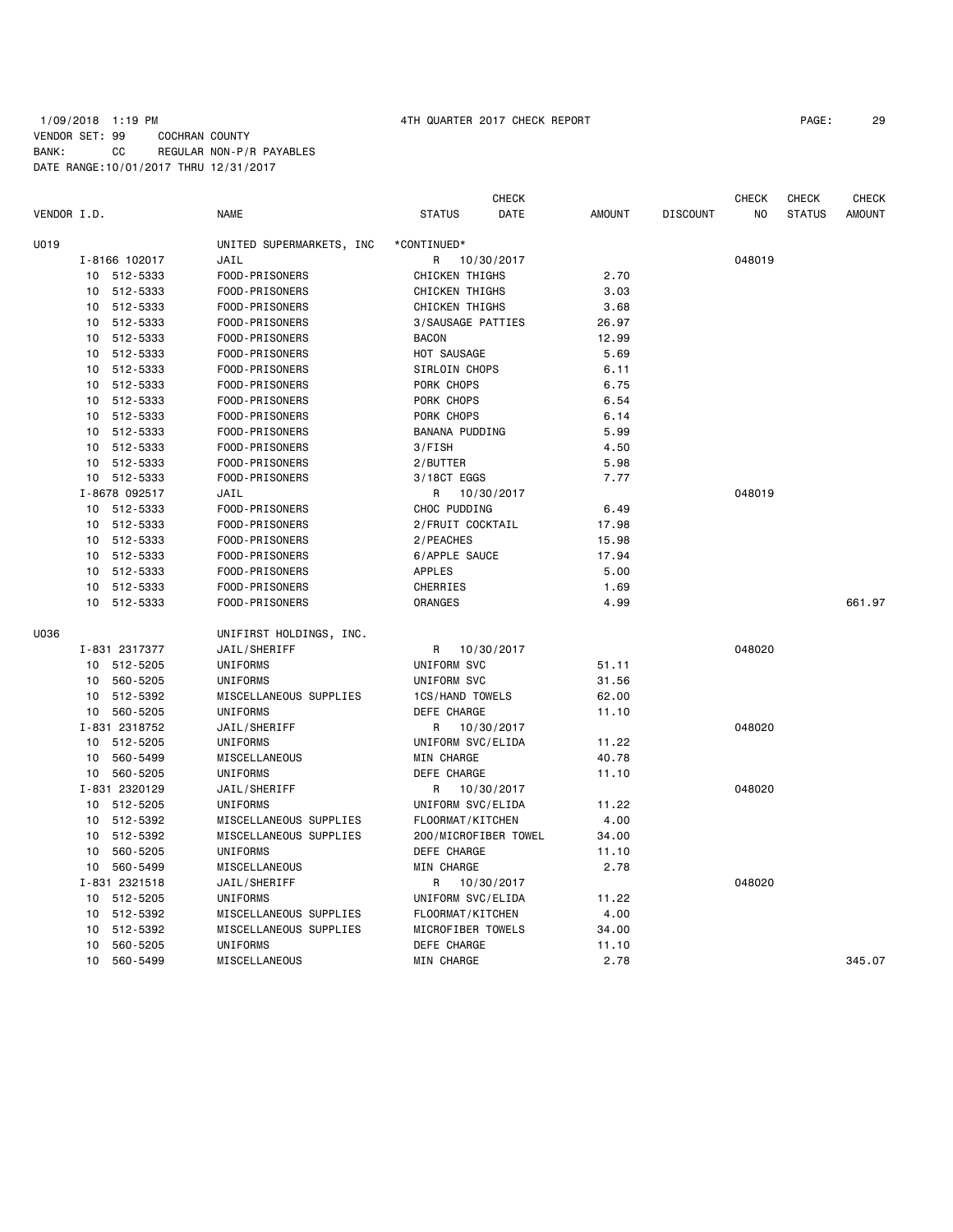### 1/09/2018 1:19 PM 4TH QUARTER 2017 CHECK REPORT PAGE: 29 VENDOR SET: 99 COCHRAN COUNTY BANK: CC REGULAR NON-P/R PAYABLES DATE RANGE:10/01/2017 THRU 12/31/2017

| VENDOR I.D. |                | <b>NAME</b>              | <b>STATUS</b>          | <b>CHECK</b><br><b>DATE</b> | <b>AMOUNT</b> | <b>DISCOUNT</b> | <b>CHECK</b><br>NO. | <b>CHECK</b><br><b>STATUS</b> | <b>CHECK</b><br><b>AMOUNT</b> |
|-------------|----------------|--------------------------|------------------------|-----------------------------|---------------|-----------------|---------------------|-------------------------------|-------------------------------|
| U019        |                | UNITED SUPERMARKETS, INC | *CONTINUED*            |                             |               |                 |                     |                               |                               |
|             | I-8166 102017  | JAIL                     | R                      | 10/30/2017                  |               |                 | 048019              |                               |                               |
|             | 512-5333<br>10 | FOOD-PRISONERS           | CHICKEN THIGHS         |                             | 2.70          |                 |                     |                               |                               |
|             | 10<br>512-5333 | FOOD-PRISONERS           | CHICKEN THIGHS         |                             | 3.03          |                 |                     |                               |                               |
|             | 512-5333<br>10 | FOOD-PRISONERS           | <b>CHICKEN THIGHS</b>  |                             | 3.68          |                 |                     |                               |                               |
|             | 512-5333<br>10 | FOOD-PRISONERS           | 3/SAUSAGE PATTIES      |                             | 26.97         |                 |                     |                               |                               |
|             | 512-5333<br>10 | FOOD-PRISONERS           | <b>BACON</b>           |                             | 12.99         |                 |                     |                               |                               |
|             | 512-5333<br>10 | FOOD-PRISONERS           | HOT SAUSAGE            |                             | 5.69          |                 |                     |                               |                               |
|             | 512-5333<br>10 | FOOD-PRISONERS           | SIRLOIN CHOPS          |                             | 6.11          |                 |                     |                               |                               |
|             | 512-5333<br>10 | FOOD-PRISONERS           | PORK CHOPS             |                             | 6.75          |                 |                     |                               |                               |
|             | 512-5333<br>10 | FOOD-PRISONERS           | PORK CHOPS             |                             | 6.54          |                 |                     |                               |                               |
|             | 512-5333<br>10 | FOOD-PRISONERS           | PORK CHOPS             |                             | 6.14          |                 |                     |                               |                               |
|             | 512-5333<br>10 | FOOD-PRISONERS           | <b>BANANA PUDDING</b>  |                             | 5.99          |                 |                     |                               |                               |
|             | 10 512-5333    | FOOD-PRISONERS           | 3/FISH                 |                             | 4.50          |                 |                     |                               |                               |
|             | 10 512-5333    | FOOD-PRISONERS           | 2/BUTTER               |                             | 5.98          |                 |                     |                               |                               |
|             | 10 512-5333    | FOOD-PRISONERS           | 3/18CT EGGS            |                             | 7.77          |                 |                     |                               |                               |
|             | I-8678 092517  | JAIL                     | R                      | 10/30/2017                  |               |                 | 048019              |                               |                               |
|             | 10 512-5333    | FOOD-PRISONERS           | CHOC PUDDING           |                             | 6.49          |                 |                     |                               |                               |
|             | 10 512-5333    | FOOD-PRISONERS           | 2/FRUIT COCKTAIL       |                             | 17.98         |                 |                     |                               |                               |
|             | 10 512-5333    | FOOD-PRISONERS           | 2/PEACHES              |                             | 15.98         |                 |                     |                               |                               |
|             | 10 512-5333    | FOOD-PRISONERS           | 6/APPLE SAUCE          |                             | 17.94         |                 |                     |                               |                               |
|             | 10 512-5333    | FOOD-PRISONERS           | <b>APPLES</b>          |                             | 5.00          |                 |                     |                               |                               |
|             | 10 512-5333    | FOOD-PRISONERS           | CHERRIES               |                             | 1.69          |                 |                     |                               |                               |
|             | 10<br>512-5333 | FOOD-PRISONERS           | ORANGES                |                             | 4.99          |                 |                     |                               | 661.97                        |
| U036        |                | UNIFIRST HOLDINGS, INC.  |                        |                             |               |                 |                     |                               |                               |
|             | I-831 2317377  | JAIL/SHERIFF             | R                      | 10/30/2017                  |               |                 | 048020              |                               |                               |
|             | 10 512-5205    | UNIFORMS                 | UNIFORM SVC            |                             | 51.11         |                 |                     |                               |                               |
|             | 10 560-5205    | <b>UNIFORMS</b>          | UNIFORM SVC            |                             | 31.56         |                 |                     |                               |                               |
|             | 512-5392<br>10 | MISCELLANEOUS SUPPLIES   | <b>1CS/HAND TOWELS</b> |                             | 62.00         |                 |                     |                               |                               |
|             | 10 560-5205    | UNIFORMS                 | DEFE CHARGE            |                             | 11.10         |                 |                     |                               |                               |
|             | I-831 2318752  | JAIL/SHERIFF             | R                      | 10/30/2017                  |               |                 | 048020              |                               |                               |
|             | 10 512-5205    | <b>UNIFORMS</b>          | UNIFORM SVC/ELIDA      |                             | 11.22         |                 |                     |                               |                               |
|             | 10<br>560-5499 | MISCELLANEOUS            | MIN CHARGE             |                             | 40.78         |                 |                     |                               |                               |
|             | 10 560-5205    | UNIFORMS                 | DEFE CHARGE            |                             | 11.10         |                 |                     |                               |                               |
|             | I-831 2320129  | JAIL/SHERIFF             | R                      | 10/30/2017                  |               |                 | 048020              |                               |                               |
|             | 10 512-5205    | UNIFORMS                 | UNIFORM SVC/ELIDA      |                             | 11.22         |                 |                     |                               |                               |
|             | 512-5392<br>10 | MISCELLANEOUS SUPPLIES   | FLOORMAT/KITCHEN       |                             | 4.00          |                 |                     |                               |                               |
|             | 10<br>512-5392 | MISCELLANEOUS SUPPLIES   | 200/MICROFIBER TOWEL   |                             | 34.00         |                 |                     |                               |                               |
|             | 560-5205<br>10 | UNIFORMS                 | DEFE CHARGE            |                             | 11.10         |                 |                     |                               |                               |
|             | 560-5499<br>10 | MISCELLANEOUS            | MIN CHARGE             |                             | 2.78          |                 |                     |                               |                               |
|             | I-831 2321518  | JAIL/SHERIFF             | R                      | 10/30/2017                  |               |                 | 048020              |                               |                               |
|             | 10 512-5205    | UNIFORMS                 | UNIFORM SVC/ELIDA      |                             | 11.22         |                 |                     |                               |                               |
|             | 512-5392<br>10 | MISCELLANEOUS SUPPLIES   | FLOORMAT/KITCHEN       |                             | 4.00          |                 |                     |                               |                               |
|             | 512-5392<br>10 | MISCELLANEOUS SUPPLIES   | MICROFIBER TOWELS      |                             | 34.00         |                 |                     |                               |                               |
|             | 560-5205<br>10 | <b>UNIFORMS</b>          | DEFE CHARGE            |                             | 11.10         |                 |                     |                               |                               |
|             | 10<br>560-5499 | MISCELLANEOUS            | MIN CHARGE             |                             | 2.78          |                 |                     |                               | 345.07                        |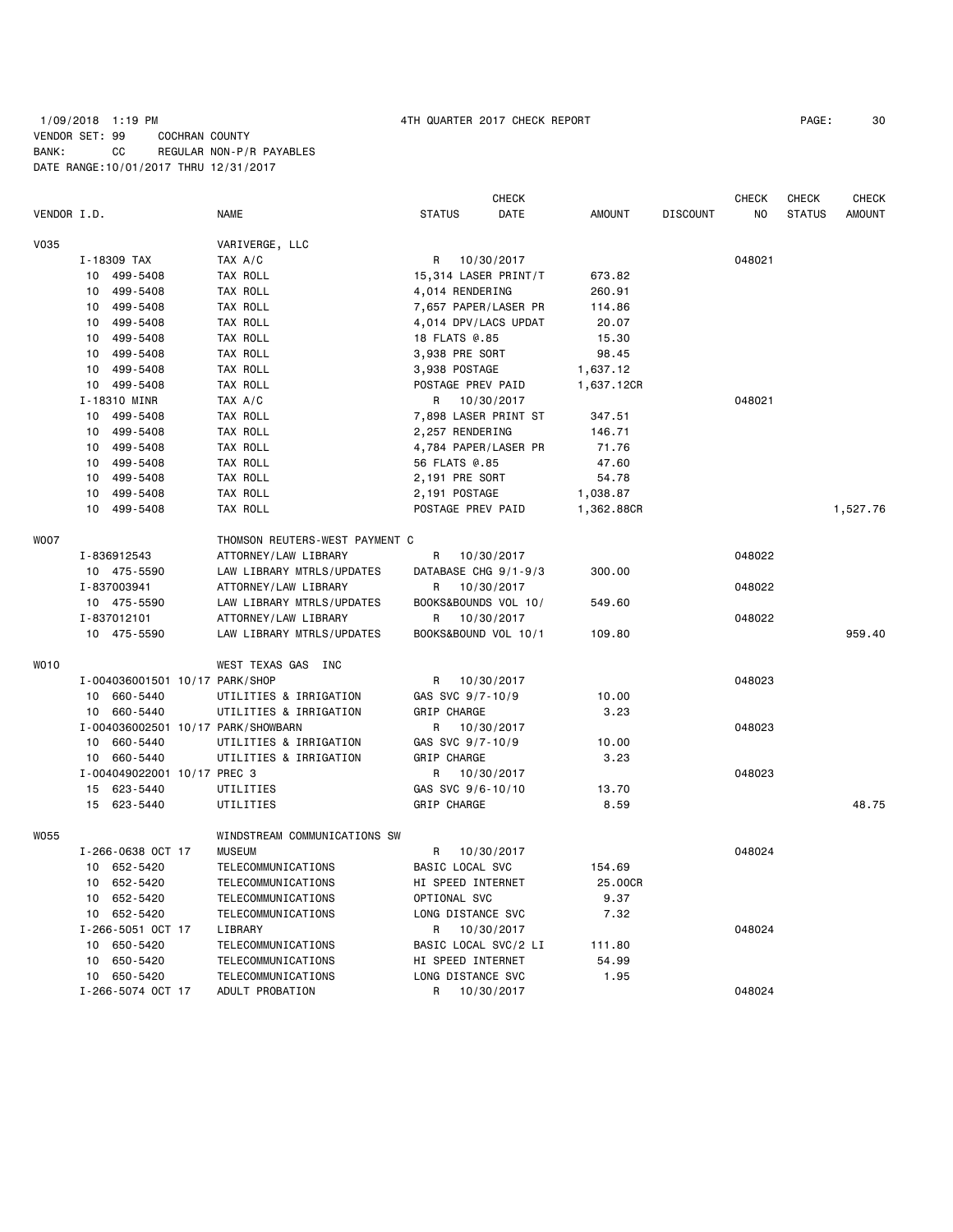### 1/09/2018 1:19 PM 4TH QUARTER 2017 CHECK REPORT PAGE: 30 VENDOR SET: 99 COCHRAN COUNTY BANK: CC REGULAR NON-P/R PAYABLES DATE RANGE:10/01/2017 THRU 12/31/2017

|             |    |                                |                                    |                   | <b>CHECK</b>         |               |                 | <b>CHECK</b> | <b>CHECK</b>  | <b>CHECK</b>  |
|-------------|----|--------------------------------|------------------------------------|-------------------|----------------------|---------------|-----------------|--------------|---------------|---------------|
| VENDOR I.D. |    |                                | <b>NAME</b>                        | <b>STATUS</b>     | <b>DATE</b>          | <b>AMOUNT</b> | <b>DISCOUNT</b> | NO.          | <b>STATUS</b> | <b>AMOUNT</b> |
| <b>V035</b> |    |                                | VARIVERGE, LLC                     |                   |                      |               |                 |              |               |               |
|             |    | I-18309 TAX                    | TAX A/C                            | R                 | 10/30/2017           |               |                 | 048021       |               |               |
|             |    | 10 499-5408                    | TAX ROLL                           |                   | 15,314 LASER PRINT/T | 673.82        |                 |              |               |               |
|             |    | 10 499-5408                    | TAX ROLL                           | 4,014 RENDERING   |                      | 260.91        |                 |              |               |               |
|             |    | 10 499-5408                    | TAX ROLL                           |                   | 7,657 PAPER/LASER PR | 114.86        |                 |              |               |               |
|             | 10 | 499-5408                       | TAX ROLL                           |                   | 4,014 DPV/LACS UPDAT | 20.07         |                 |              |               |               |
|             |    | 10 499-5408                    | TAX ROLL                           | 18 FLATS @.85     |                      | 15.30         |                 |              |               |               |
|             | 10 | 499-5408                       | TAX ROLL                           | 3,938 PRE SORT    |                      | 98.45         |                 |              |               |               |
|             |    | 10 499-5408                    | TAX ROLL                           | 3,938 POSTAGE     |                      | 1,637.12      |                 |              |               |               |
|             |    | 10 499-5408                    | TAX ROLL                           | POSTAGE PREV PAID |                      | 1,637.12CR    |                 |              |               |               |
|             |    | I-18310 MINR                   | TAX A/C                            | R                 | 10/30/2017           |               |                 | 048021       |               |               |
|             | 10 | 499-5408                       | TAX ROLL                           |                   | 7,898 LASER PRINT ST | 347.51        |                 |              |               |               |
|             | 10 | 499-5408                       | TAX ROLL                           | 2,257 RENDERING   |                      | 146.71        |                 |              |               |               |
|             | 10 | 499-5408                       | TAX ROLL                           |                   | 4,784 PAPER/LASER PR | 71.76         |                 |              |               |               |
|             |    | 10 499-5408                    | TAX ROLL                           | 56 FLATS @.85     |                      | 47.60         |                 |              |               |               |
|             |    | 10 499-5408                    | TAX ROLL                           | 2,191 PRE SORT    |                      | 54.78         |                 |              |               |               |
|             |    | 10 499-5408                    | TAX ROLL                           | 2,191 POSTAGE     |                      | 1,038.87      |                 |              |               |               |
|             |    | 10 499-5408                    | TAX ROLL                           | POSTAGE PREV PAID |                      | 1,362.88CR    |                 |              |               | 1,527.76      |
|             |    |                                |                                    |                   |                      |               |                 |              |               |               |
| <b>WOO7</b> |    |                                | THOMSON REUTERS-WEST PAYMENT C     |                   |                      |               |                 |              |               |               |
|             |    | I-836912543                    | ATTORNEY/LAW LIBRARY               | R                 | 10/30/2017           |               |                 | 048022       |               |               |
|             |    | 10 475-5590                    | LAW LIBRARY MTRLS/UPDATES          |                   | DATABASE CHG 9/1-9/3 | 300.00        |                 |              |               |               |
|             |    | I-837003941                    | ATTORNEY/LAW LIBRARY               | R                 | 10/30/2017           |               |                 | 048022       |               |               |
|             |    | 10 475-5590                    | LAW LIBRARY MTRLS/UPDATES          |                   | BOOKS&BOUNDS VOL 10/ | 549.60        |                 |              |               |               |
|             |    | I-837012101                    | ATTORNEY/LAW LIBRARY               | R                 | 10/30/2017           |               |                 | 048022       |               |               |
|             |    | 10 475-5590                    | LAW LIBRARY MTRLS/UPDATES          |                   | BOOKS&BOUND VOL 10/1 | 109.80        |                 |              |               | 959.40        |
| <b>WO10</b> |    |                                | WEST TEXAS GAS INC                 |                   |                      |               |                 |              |               |               |
|             |    | I-004036001501 10/17 PARK/SHOP |                                    | R                 | 10/30/2017           |               |                 | 048023       |               |               |
|             |    | 10 660-5440                    | UTILITIES & IRRIGATION             | GAS SVC 9/7-10/9  |                      | 10.00         |                 |              |               |               |
|             |    | 10 660-5440                    | UTILITIES & IRRIGATION             | GRIP CHARGE       |                      | 3.23          |                 |              |               |               |
|             |    |                                | I-004036002501 10/17 PARK/SHOWBARN | R                 | 10/30/2017           |               |                 | 048023       |               |               |
|             | 10 | 660-5440                       | UTILITIES & IRRIGATION             | GAS SVC 9/7-10/9  |                      | 10.00         |                 |              |               |               |
|             | 10 | 660-5440                       | UTILITIES & IRRIGATION             | GRIP CHARGE       |                      | 3.23          |                 |              |               |               |
|             |    | I-004049022001 10/17 PREC 3    |                                    |                   | R 10/30/2017         |               |                 | 048023       |               |               |
|             |    | 15 623-5440                    | UTILITIES                          | GAS SVC 9/6-10/10 |                      | 13.70         |                 |              |               |               |
|             |    | 15 623-5440                    | UTILITIES                          | GRIP CHARGE       |                      | 8.59          |                 |              |               | 48.75         |
|             |    |                                |                                    |                   |                      |               |                 |              |               |               |
| W055        |    |                                | WINDSTREAM COMMUNICATIONS SW       |                   |                      |               |                 |              |               |               |
|             |    | I-266-0638 OCT 17              | <b>MUSEUM</b>                      | R                 | 10/30/2017           |               |                 | 048024       |               |               |
|             |    | 10 652-5420                    | <b>TELECOMMUNICATIONS</b>          | BASIC LOCAL SVC   |                      | 154.69        |                 |              |               |               |
|             |    | 10 652-5420                    | TELECOMMUNICATIONS                 | HI SPEED INTERNET |                      | 25.00CR       |                 |              |               |               |
|             |    | 10 652-5420                    | TELECOMMUNICATIONS                 | OPTIONAL SVC      |                      | 9.37          |                 |              |               |               |
|             |    | 10 652-5420                    | <b>TELECOMMUNICATIONS</b>          | LONG DISTANCE SVC |                      | 7.32          |                 |              |               |               |
|             |    | I-266-5051 OCT 17              | LIBRARY                            | R                 | 10/30/2017           |               |                 | 048024       |               |               |
|             | 10 | 650-5420                       | <b>TELECOMMUNICATIONS</b>          |                   | BASIC LOCAL SVC/2 LI | 111.80        |                 |              |               |               |
|             | 10 | 650-5420                       | <b>TELECOMMUNICATIONS</b>          | HI SPEED INTERNET |                      | 54.99         |                 |              |               |               |
|             | 10 | 650-5420                       | TELECOMMUNICATIONS                 | LONG DISTANCE SVC |                      | 1.95          |                 |              |               |               |

I-266-5074 OCT 17 ADULT PROBATION R 10/30/2017 048024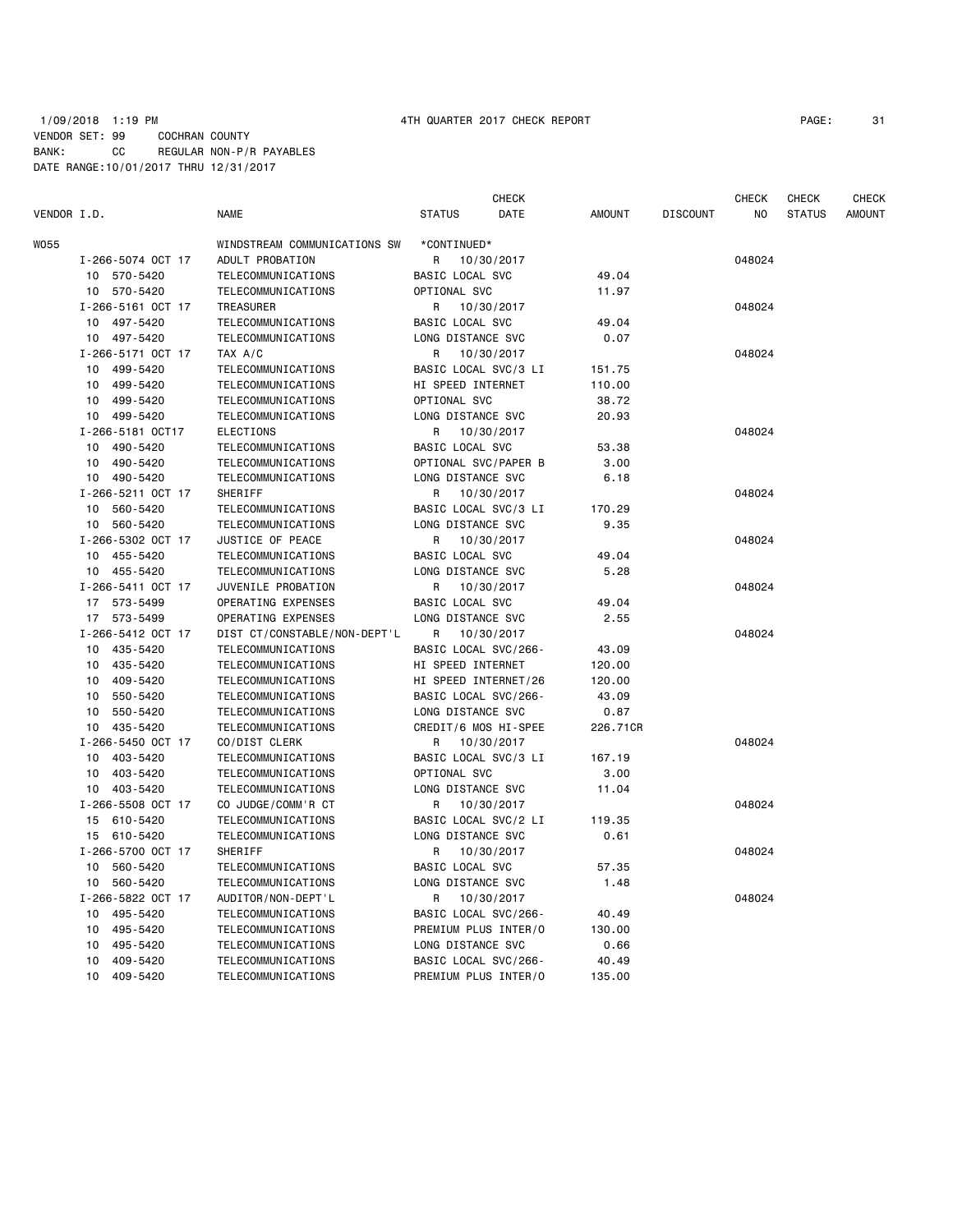### 1/09/2018 1:19 PM 4TH QUARTER 2017 CHECK REPORT PAGE: 31 VENDOR SET: 99 COCHRAN COUNTY BANK: CC REGULAR NON-P/R PAYABLES DATE RANGE:10/01/2017 THRU 12/31/2017

|             |                   |                              |                        | <b>CHECK</b> |               |                 | <b>CHECK</b> | <b>CHECK</b>  | <b>CHECK</b>  |
|-------------|-------------------|------------------------------|------------------------|--------------|---------------|-----------------|--------------|---------------|---------------|
| VENDOR I.D. |                   | <b>NAME</b>                  | <b>STATUS</b>          | DATE         | <b>AMOUNT</b> | <b>DISCOUNT</b> | NO           | <b>STATUS</b> | <b>AMOUNT</b> |
| W055        |                   | WINDSTREAM COMMUNICATIONS SW | *CONTINUED*            |              |               |                 |              |               |               |
|             | I-266-5074 OCT 17 | ADULT PROBATION              | R                      | 10/30/2017   |               |                 | 048024       |               |               |
|             | 10 570-5420       | <b>TELECOMMUNICATIONS</b>    | BASIC LOCAL SVC        |              | 49.04         |                 |              |               |               |
|             | 10 570-5420       | TELECOMMUNICATIONS           | OPTIONAL SVC           |              | 11.97         |                 |              |               |               |
|             | I-266-5161 OCT 17 | <b>TREASURER</b>             | R                      | 10/30/2017   |               |                 | 048024       |               |               |
|             | 10<br>497-5420    | TELECOMMUNICATIONS           | <b>BASIC LOCAL SVC</b> |              | 49.04         |                 |              |               |               |
|             | 497-5420<br>10    | TELECOMMUNICATIONS           | LONG DISTANCE SVC      |              | 0.07          |                 |              |               |               |
|             | I-266-5171 OCT 17 | TAX A/C                      | R                      | 10/30/2017   |               |                 | 048024       |               |               |
|             | 499-5420<br>10    | TELECOMMUNICATIONS           | BASIC LOCAL SVC/3 LI   |              | 151.75        |                 |              |               |               |
|             | 499-5420<br>10    | TELECOMMUNICATIONS           | HI SPEED INTERNET      |              | 110.00        |                 |              |               |               |
|             | 499-5420<br>10    | TELECOMMUNICATIONS           | OPTIONAL SVC           |              | 38.72         |                 |              |               |               |
|             | 10 499-5420       | TELECOMMUNICATIONS           | LONG DISTANCE SVC      |              | 20.93         |                 |              |               |               |
|             | I-266-5181 OCT17  | <b>ELECTIONS</b>             | R                      | 10/30/2017   |               |                 | 048024       |               |               |
|             | 10<br>490-5420    | TELECOMMUNICATIONS           | BASIC LOCAL SVC        |              | 53.38         |                 |              |               |               |
|             | 490-5420<br>10    | TELECOMMUNICATIONS           | OPTIONAL SVC/PAPER B   |              | 3.00          |                 |              |               |               |
|             | 490-5420<br>10    | TELECOMMUNICATIONS           | LONG DISTANCE SVC      |              | 6.18          |                 |              |               |               |
|             | I-266-5211 OCT 17 | SHERIFF                      | R                      | 10/30/2017   |               |                 | 048024       |               |               |
|             | 560-5420<br>10    | TELECOMMUNICATIONS           | BASIC LOCAL SVC/3 LI   |              | 170.29        |                 |              |               |               |
|             | 560-5420<br>10    | TELECOMMUNICATIONS           | LONG DISTANCE SVC      |              | 9.35          |                 |              |               |               |
|             | I-266-5302 OCT 17 | JUSTICE OF PEACE             | R                      | 10/30/2017   |               |                 | 048024       |               |               |
|             | 10<br>455-5420    | TELECOMMUNICATIONS           | <b>BASIC LOCAL SVC</b> |              | 49.04         |                 |              |               |               |
|             | 455-5420<br>10    | TELECOMMUNICATIONS           | LONG DISTANCE SVC      |              | 5.28          |                 |              |               |               |
|             | I-266-5411 OCT 17 | JUVENILE PROBATION           | R                      | 10/30/2017   |               |                 | 048024       |               |               |
|             | 17 573-5499       | OPERATING EXPENSES           | <b>BASIC LOCAL SVC</b> |              | 49.04         |                 |              |               |               |
|             | 17 573-5499       | OPERATING EXPENSES           | LONG DISTANCE SVC      |              | 2.55          |                 |              |               |               |
|             | I-266-5412 OCT 17 | DIST CT/CONSTABLE/NON-DEPT'L | R                      | 10/30/2017   |               |                 | 048024       |               |               |
|             | 10 435-5420       | TELECOMMUNICATIONS           | BASIC LOCAL SVC/266-   |              | 43.09         |                 |              |               |               |
|             | 435-5420<br>10    | <b>TELECOMMUNICATIONS</b>    | HI SPEED INTERNET      |              | 120.00        |                 |              |               |               |
|             | 409-5420<br>10    | <b>TELECOMMUNICATIONS</b>    | HI SPEED INTERNET/26   |              | 120.00        |                 |              |               |               |
|             | 550-5420<br>10    | TELECOMMUNICATIONS           | BASIC LOCAL SVC/266-   |              | 43.09         |                 |              |               |               |
|             | 10<br>550-5420    | TELECOMMUNICATIONS           | LONG DISTANCE SVC      |              | 0.87          |                 |              |               |               |
|             | 435-5420<br>10    | TELECOMMUNICATIONS           | CREDIT/6 MOS HI-SPEE   |              | 226.71CR      |                 |              |               |               |
|             | I-266-5450 OCT 17 | CO/DIST CLERK                | R                      | 10/30/2017   |               |                 | 048024       |               |               |
|             | 403-5420<br>10    | TELECOMMUNICATIONS           | BASIC LOCAL SVC/3 LI   |              | 167.19        |                 |              |               |               |
|             | 403-5420<br>10    | TELECOMMUNICATIONS           | OPTIONAL SVC           |              | 3.00          |                 |              |               |               |
|             | 403-5420<br>10    | TELECOMMUNICATIONS           | LONG DISTANCE SVC      |              | 11.04         |                 |              |               |               |
|             | I-266-5508 OCT 17 | CO JUDGE/COMM'R CT           | R.                     | 10/30/2017   |               |                 | 048024       |               |               |
|             | 610-5420<br>15    | TELECOMMUNICATIONS           | BASIC LOCAL SVC/2 LI   |              | 119.35        |                 |              |               |               |
|             | 15 610-5420       | TELECOMMUNICATIONS           | LONG DISTANCE SVC      |              | 0.61          |                 |              |               |               |
|             | I-266-5700 OCT 17 | SHERIFF                      | R                      | 10/30/2017   |               |                 | 048024       |               |               |
|             | 560-5420<br>10    | TELECOMMUNICATIONS           | <b>BASIC LOCAL SVC</b> |              | 57.35         |                 |              |               |               |
|             | 560-5420<br>10    | TELECOMMUNICATIONS           | LONG DISTANCE SVC      |              | 1.48          |                 |              |               |               |
|             | I-266-5822 OCT 17 | AUDITOR/NON-DEPT'L           | R                      | 10/30/2017   |               |                 | 048024       |               |               |
|             | 10 495-5420       | TELECOMMUNICATIONS           | BASIC LOCAL SVC/266-   |              | 40.49         |                 |              |               |               |
|             | 495-5420<br>10    | <b>TELECOMMUNICATIONS</b>    | PREMIUM PLUS INTER/O   |              | 130.00        |                 |              |               |               |
|             | 10<br>495-5420    | TELECOMMUNICATIONS           | LONG DISTANCE SVC      |              | 0.66          |                 |              |               |               |
|             | 10<br>409-5420    | TELECOMMUNICATIONS           | BASIC LOCAL SVC/266-   |              | 40.49         |                 |              |               |               |
|             | 10<br>409-5420    | TELECOMMUNICATIONS           | PREMIUM PLUS INTER/O   |              | 135.00        |                 |              |               |               |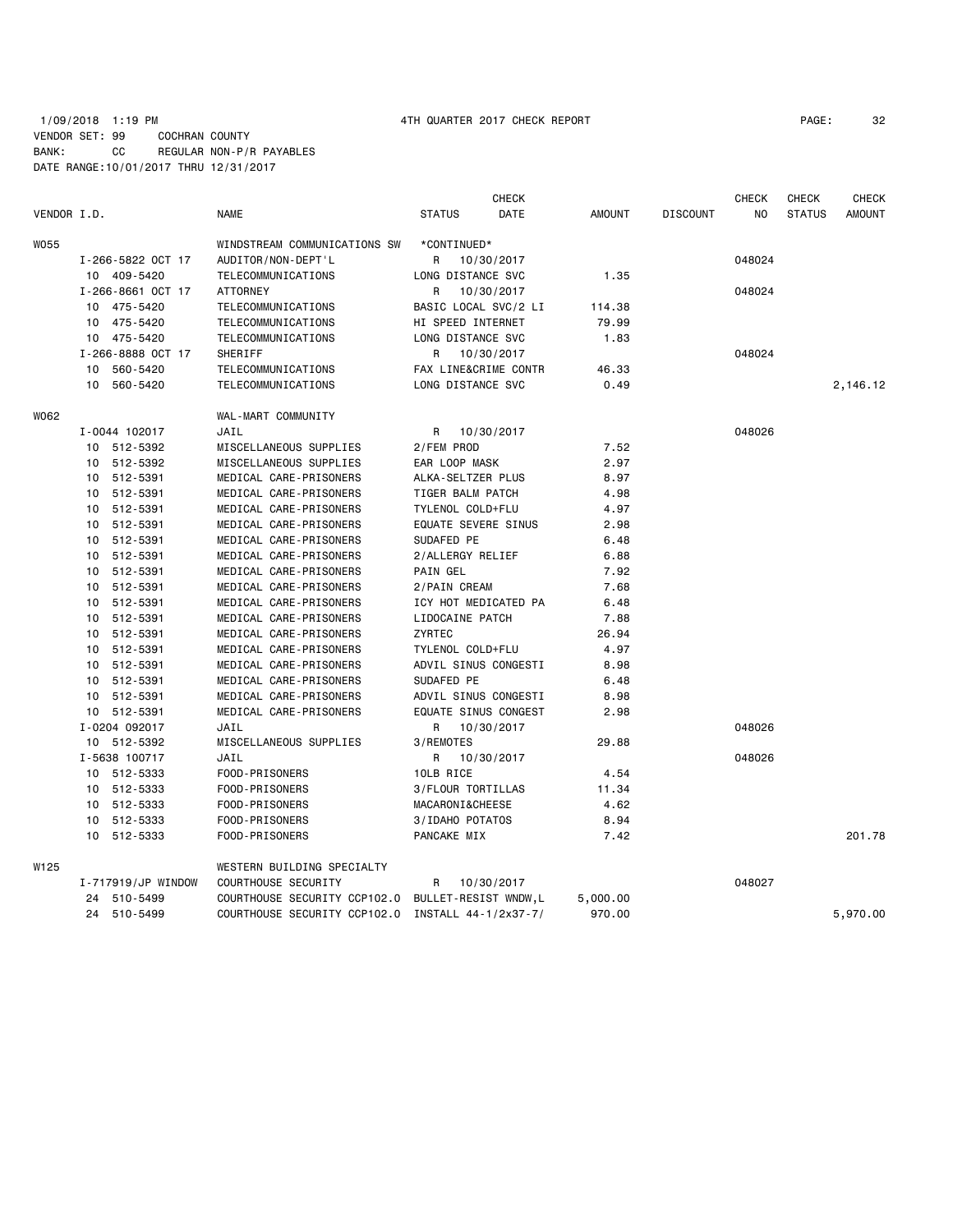## 1/09/2018 1:19 PM 4TH QUARTER 2017 CHECK REPORT PAGE: 32 VENDOR SET: 99 COCHRAN COUNTY BANK: CC REGULAR NON-P/R PAYABLES DATE RANGE:10/01/2017 THRU 12/31/2017

| VENDOR I.D. |                    | <b>NAME</b>                                       | <b>STATUS</b>              | <b>CHECK</b><br>DATE | <b>AMOUNT</b> | <b>DISCOUNT</b> | <b>CHECK</b><br>NO | <b>CHECK</b><br><b>STATUS</b> | <b>CHECK</b><br><b>AMOUNT</b> |
|-------------|--------------------|---------------------------------------------------|----------------------------|----------------------|---------------|-----------------|--------------------|-------------------------------|-------------------------------|
| W055        |                    | WINDSTREAM COMMUNICATIONS SW                      | *CONTINUED*                |                      |               |                 |                    |                               |                               |
|             | I-266-5822 OCT 17  | AUDITOR/NON-DEPT'L                                | R                          | 10/30/2017           |               |                 | 048024             |                               |                               |
|             | 10 409-5420        | TELECOMMUNICATIONS                                | LONG DISTANCE SVC          |                      | 1.35          |                 |                    |                               |                               |
|             | I-266-8661 OCT 17  | <b>ATTORNEY</b>                                   | R                          | 10/30/2017           |               |                 | 048024             |                               |                               |
|             | 10 475-5420        | TELECOMMUNICATIONS                                | BASIC LOCAL SVC/2 LI       |                      | 114.38        |                 |                    |                               |                               |
|             | 10 475-5420        | TELECOMMUNICATIONS                                | HI SPEED INTERNET          |                      | 79.99         |                 |                    |                               |                               |
|             | 10 475-5420        | <b>TELECOMMUNICATIONS</b>                         | LONG DISTANCE SVC          |                      | 1.83          |                 |                    |                               |                               |
|             | I-266-8888 OCT 17  | SHERIFF                                           | R                          | 10/30/2017           |               |                 | 048024             |                               |                               |
|             | 560-5420<br>10     | <b>TELECOMMUNICATIONS</b>                         |                            | FAX LINE&CRIME CONTR | 46.33         |                 |                    |                               |                               |
|             | 10 560-5420        | TELECOMMUNICATIONS                                | LONG DISTANCE SVC          |                      | 0.49          |                 |                    |                               | 2,146.12                      |
| W062        |                    | WAL-MART COMMUNITY                                |                            |                      |               |                 |                    |                               |                               |
|             | I-0044 102017      | JAIL                                              | R                          | 10/30/2017           |               |                 | 048026             |                               |                               |
|             | 10 512-5392        | MISCELLANEOUS SUPPLIES                            | 2/FEM PROD                 |                      | 7.52          |                 |                    |                               |                               |
|             | 10 512-5392        | MISCELLANEOUS SUPPLIES                            | EAR LOOP MASK              |                      | 2.97          |                 |                    |                               |                               |
|             | 10 512-5391        | MEDICAL CARE-PRISONERS                            | ALKA-SELTZER PLUS          |                      | 8.97          |                 |                    |                               |                               |
|             | 10<br>512-5391     | MEDICAL CARE-PRISONERS                            | TIGER BALM PATCH           |                      | 4.98          |                 |                    |                               |                               |
|             | 10 512-5391        | MEDICAL CARE-PRISONERS                            | TYLENOL COLD+FLU           |                      | 4.97          |                 |                    |                               |                               |
|             | 10 512-5391        | MEDICAL CARE-PRISONERS                            | <b>EQUATE SEVERE SINUS</b> |                      | 2.98          |                 |                    |                               |                               |
|             | 10 512-5391        | MEDICAL CARE-PRISONERS                            | SUDAFED PE                 |                      | 6.48          |                 |                    |                               |                               |
|             | 10 512-5391        | MEDICAL CARE-PRISONERS                            | 2/ALLERGY RELIEF           |                      | 6.88          |                 |                    |                               |                               |
|             | 10 512-5391        | MEDICAL CARE-PRISONERS                            | PAIN GEL                   |                      | 7.92          |                 |                    |                               |                               |
|             | 10 512-5391        | MEDICAL CARE-PRISONERS                            | 2/PAIN CREAM               |                      | 7.68          |                 |                    |                               |                               |
|             | 10 512-5391        | MEDICAL CARE-PRISONERS                            |                            | ICY HOT MEDICATED PA | 6.48          |                 |                    |                               |                               |
|             | 10 512-5391        | MEDICAL CARE-PRISONERS                            | LIDOCAINE PATCH            |                      | 7.88          |                 |                    |                               |                               |
|             | 10 512-5391        | MEDICAL CARE-PRISONERS                            | ZYRTEC                     |                      | 26.94         |                 |                    |                               |                               |
|             | 10 512-5391        | MEDICAL CARE-PRISONERS                            | TYLENOL COLD+FLU           |                      | 4.97          |                 |                    |                               |                               |
|             | 10 512-5391        | MEDICAL CARE-PRISONERS                            | ADVIL SINUS CONGESTI       |                      | 8.98          |                 |                    |                               |                               |
|             | 10 512-5391        | MEDICAL CARE-PRISONERS                            | SUDAFED PE                 |                      | 6.48          |                 |                    |                               |                               |
|             | 512-5391<br>10     | MEDICAL CARE-PRISONERS                            |                            | ADVIL SINUS CONGESTI | 8.98          |                 |                    |                               |                               |
|             | 10 512-5391        | MEDICAL CARE-PRISONERS                            |                            | EQUATE SINUS CONGEST | 2.98          |                 |                    |                               |                               |
|             | I-0204 092017      | JAIL                                              | R                          | 10/30/2017           |               |                 | 048026             |                               |                               |
|             | 10 512-5392        | MISCELLANEOUS SUPPLIES                            | 3/REMOTES                  |                      | 29.88         |                 |                    |                               |                               |
|             | I-5638 100717      | JAIL                                              | R                          | 10/30/2017           |               |                 | 048026             |                               |                               |
|             | 10 512-5333        | FOOD-PRISONERS                                    | 10LB RICE                  |                      | 4.54          |                 |                    |                               |                               |
|             | 10 512-5333        | FOOD-PRISONERS                                    | 3/FLOUR TORTILLAS          |                      | 11.34         |                 |                    |                               |                               |
|             | 10 512-5333        | FOOD-PRISONERS                                    | MACARONI&CHEESE            |                      | 4.62          |                 |                    |                               |                               |
|             | 10<br>512-5333     | FOOD-PRISONERS                                    | 3/IDAHO POTATOS            |                      | 8.94          |                 |                    |                               |                               |
|             | 10 512-5333        | FOOD-PRISONERS                                    | PANCAKE MIX                |                      | 7.42          |                 |                    |                               | 201.78                        |
| W125        |                    | WESTERN BUILDING SPECIALTY                        |                            |                      |               |                 |                    |                               |                               |
|             | I-717919/JP WINDOW | COURTHOUSE SECURITY                               | R                          | 10/30/2017           |               |                 | 048027             |                               |                               |
|             | 24 510-5499        | COURTHOUSE SECURITY CCP102.0                      | BULLET-RESIST WNDW,L       |                      | 5,000.00      |                 |                    |                               |                               |
|             | 24 510-5499        | COURTHOUSE SECURITY CCP102.0 INSTALL 44-1/2x37-7/ |                            |                      | 970.00        |                 |                    |                               | 5,970.00                      |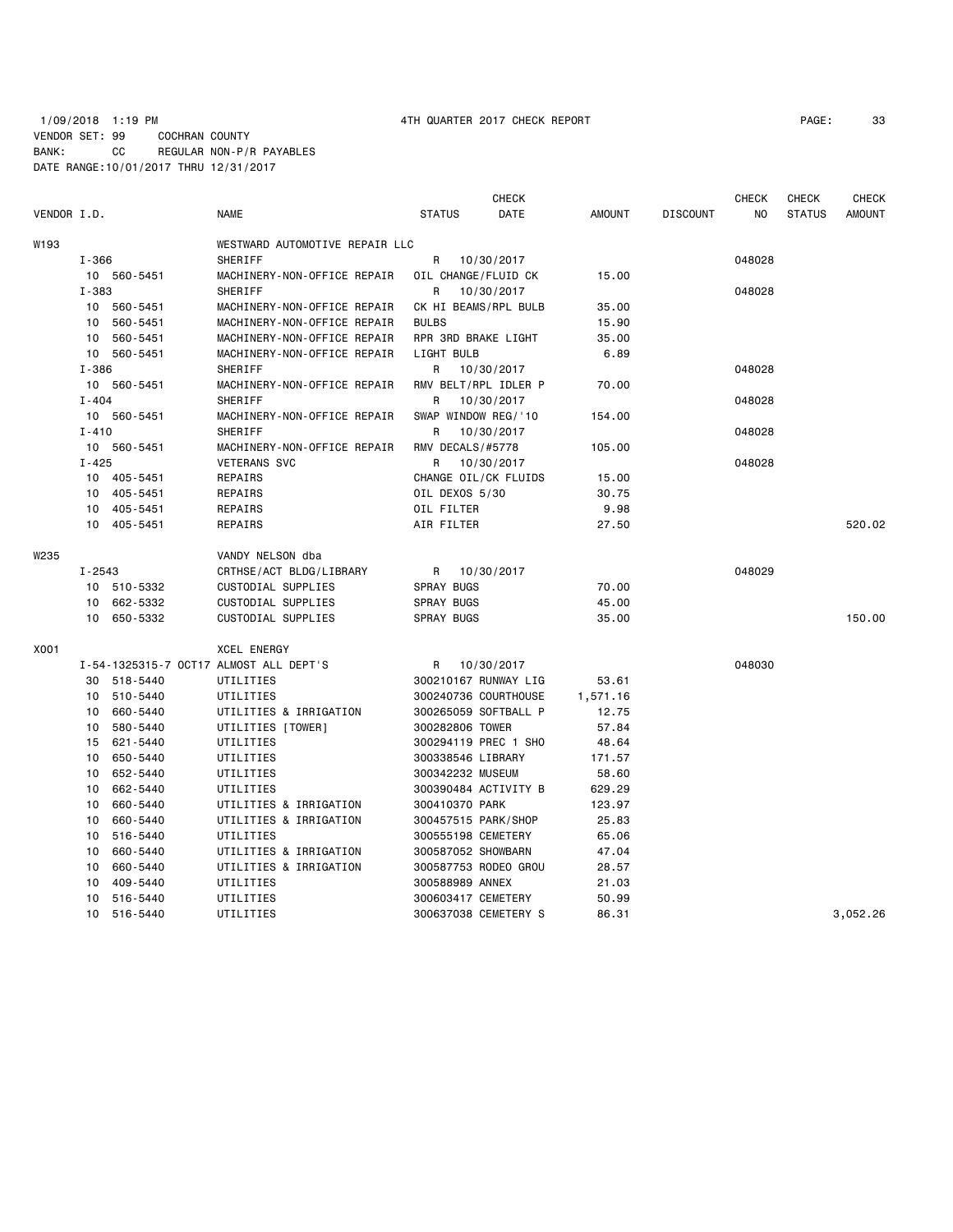## 1/09/2018 1:19 PM 4TH QUARTER 2017 CHECK REPORT PAGE: 33 VENDOR SET: 99 COCHRAN COUNTY BANK: CC REGULAR NON-P/R PAYABLES DATE RANGE:10/01/2017 THRU 12/31/2017

| VENDOR I.D. |            |             | <b>NAME</b>                            | <b>STATUS</b>        | <b>CHECK</b><br>DATE | <b>AMOUNT</b> | <b>DISCOUNT</b> | <b>CHECK</b><br>NO. | <b>CHECK</b><br><b>STATUS</b> | <b>CHECK</b><br><b>AMOUNT</b> |
|-------------|------------|-------------|----------------------------------------|----------------------|----------------------|---------------|-----------------|---------------------|-------------------------------|-------------------------------|
| W193        |            |             | WESTWARD AUTOMOTIVE REPAIR LLC         |                      |                      |               |                 |                     |                               |                               |
|             | $I - 366$  |             | SHERIFF                                | R                    | 10/30/2017           |               |                 | 048028              |                               |                               |
|             |            | 10 560-5451 | MACHINERY-NON-OFFICE REPAIR            | OIL CHANGE/FLUID CK  |                      | 15.00         |                 |                     |                               |                               |
|             | $I - 383$  |             | SHERIFF                                | R                    | 10/30/2017           |               |                 | 048028              |                               |                               |
|             | 10         | 560-5451    | MACHINERY-NON-OFFICE REPAIR            | CK HI BEAMS/RPL BULB |                      | 35.00         |                 |                     |                               |                               |
|             | 10         | 560-5451    | MACHINERY-NON-OFFICE REPAIR            | <b>BULBS</b>         |                      | 15.90         |                 |                     |                               |                               |
|             | 10         | 560-5451    | MACHINERY-NON-OFFICE REPAIR            | RPR 3RD BRAKE LIGHT  |                      | 35.00         |                 |                     |                               |                               |
|             |            | 10 560-5451 | MACHINERY-NON-OFFICE REPAIR            | LIGHT BULB           |                      | 6.89          |                 |                     |                               |                               |
|             | $I - 386$  |             | SHERIFF                                | R                    | 10/30/2017           |               |                 | 048028              |                               |                               |
|             |            | 10 560-5451 | MACHINERY-NON-OFFICE REPAIR            |                      | RMV BELT/RPL IDLER P | 70.00         |                 |                     |                               |                               |
|             | $I - 404$  |             | SHERIFF                                | R.                   | 10/30/2017           |               |                 | 048028              |                               |                               |
|             |            | 10 560-5451 | MACHINERY-NON-OFFICE REPAIR            | SWAP WINDOW REG/'10  |                      | 154.00        |                 |                     |                               |                               |
|             | $I - 410$  |             | SHERIFF                                | R                    | 10/30/2017           |               |                 | 048028              |                               |                               |
|             |            | 10 560-5451 | MACHINERY-NON-OFFICE REPAIR            | RMV DECALS/#5778     |                      | 105.00        |                 |                     |                               |                               |
|             | $I - 425$  |             | <b>VETERANS SVC</b>                    | R.                   | 10/30/2017           |               |                 | 048028              |                               |                               |
|             |            | 10 405-5451 | REPAIRS                                |                      | CHANGE OIL/CK FLUIDS | 15.00         |                 |                     |                               |                               |
|             | 10         | 405-5451    | REPAIRS                                | OIL DEXOS 5/30       |                      | 30.75         |                 |                     |                               |                               |
|             |            | 10 405-5451 | REPAIRS                                | OIL FILTER           |                      | 9.98          |                 |                     |                               |                               |
|             |            | 10 405-5451 | REPAIRS                                | AIR FILTER           |                      | 27.50         |                 |                     |                               | 520.02                        |
| W235        |            |             | VANDY NELSON dba                       |                      |                      |               |                 |                     |                               |                               |
|             | $I - 2543$ |             | CRTHSE/ACT BLDG/LIBRARY                | R                    | 10/30/2017           |               |                 | 048029              |                               |                               |
|             |            | 10 510-5332 | CUSTODIAL SUPPLIES                     | SPRAY BUGS           |                      | 70.00         |                 |                     |                               |                               |
|             | 10         | 662-5332    | CUSTODIAL SUPPLIES                     | SPRAY BUGS           |                      | 45.00         |                 |                     |                               |                               |
|             | 10         | 650-5332    | CUSTODIAL SUPPLIES                     | SPRAY BUGS           |                      | 35.00         |                 |                     |                               | 150.00                        |
| X001        |            |             | <b>XCEL ENERGY</b>                     |                      |                      |               |                 |                     |                               |                               |
|             |            |             | I-54-1325315-7 OCT17 ALMOST ALL DEPT'S | R                    | 10/30/2017           |               |                 | 048030              |                               |                               |
|             |            | 30 518-5440 | UTILITIES                              |                      | 300210167 RUNWAY LIG | 53.61         |                 |                     |                               |                               |
|             | 10         | 510-5440    | UTILITIES                              |                      | 300240736 COURTHOUSE | 1,571.16      |                 |                     |                               |                               |
|             | 10         | 660-5440    | UTILITIES & IRRIGATION                 | 300265059 SOFTBALL P |                      | 12.75         |                 |                     |                               |                               |
|             | 10         | 580-5440    | UTILITIES [TOWER]                      | 300282806 TOWER      |                      | 57.84         |                 |                     |                               |                               |
|             | 15         | 621-5440    | UTILITIES                              |                      | 300294119 PREC 1 SHO | 48.64         |                 |                     |                               |                               |
|             | 10         | 650-5440    | UTILITIES                              | 300338546 LIBRARY    |                      | 171.57        |                 |                     |                               |                               |
|             | 10         | 652-5440    | UTILITIES                              | 300342232 MUSEUM     |                      | 58.60         |                 |                     |                               |                               |
|             | 10         | 662-5440    | UTILITIES                              | 300390484 ACTIVITY B |                      | 629.29        |                 |                     |                               |                               |
|             | 10         | 660-5440    | UTILITIES & IRRIGATION                 | 300410370 PARK       |                      | 123.97        |                 |                     |                               |                               |
|             | 10         | 660-5440    | UTILITIES & IRRIGATION                 | 300457515 PARK/SHOP  |                      | 25.83         |                 |                     |                               |                               |
|             | 10         | 516-5440    | UTILITIES                              | 300555198 CEMETERY   |                      | 65.06         |                 |                     |                               |                               |
|             | 10         | 660-5440    | UTILITIES & IRRIGATION                 | 300587052 SHOWBARN   |                      | 47.04         |                 |                     |                               |                               |
|             | 10         | 660-5440    | UTILITIES & IRRIGATION                 |                      | 300587753 RODEO GROU | 28.57         |                 |                     |                               |                               |
|             | 10         | 409-5440    | UTILITIES                              | 300588989 ANNEX      |                      | 21.03         |                 |                     |                               |                               |
|             | 10         | 516-5440    | UTILITIES                              | 300603417 CEMETERY   |                      | 50.99         |                 |                     |                               |                               |
|             | 10         | 516-5440    | UTILITIES                              | 300637038 CEMETERY S |                      | 86.31         |                 |                     |                               | 3.052.26                      |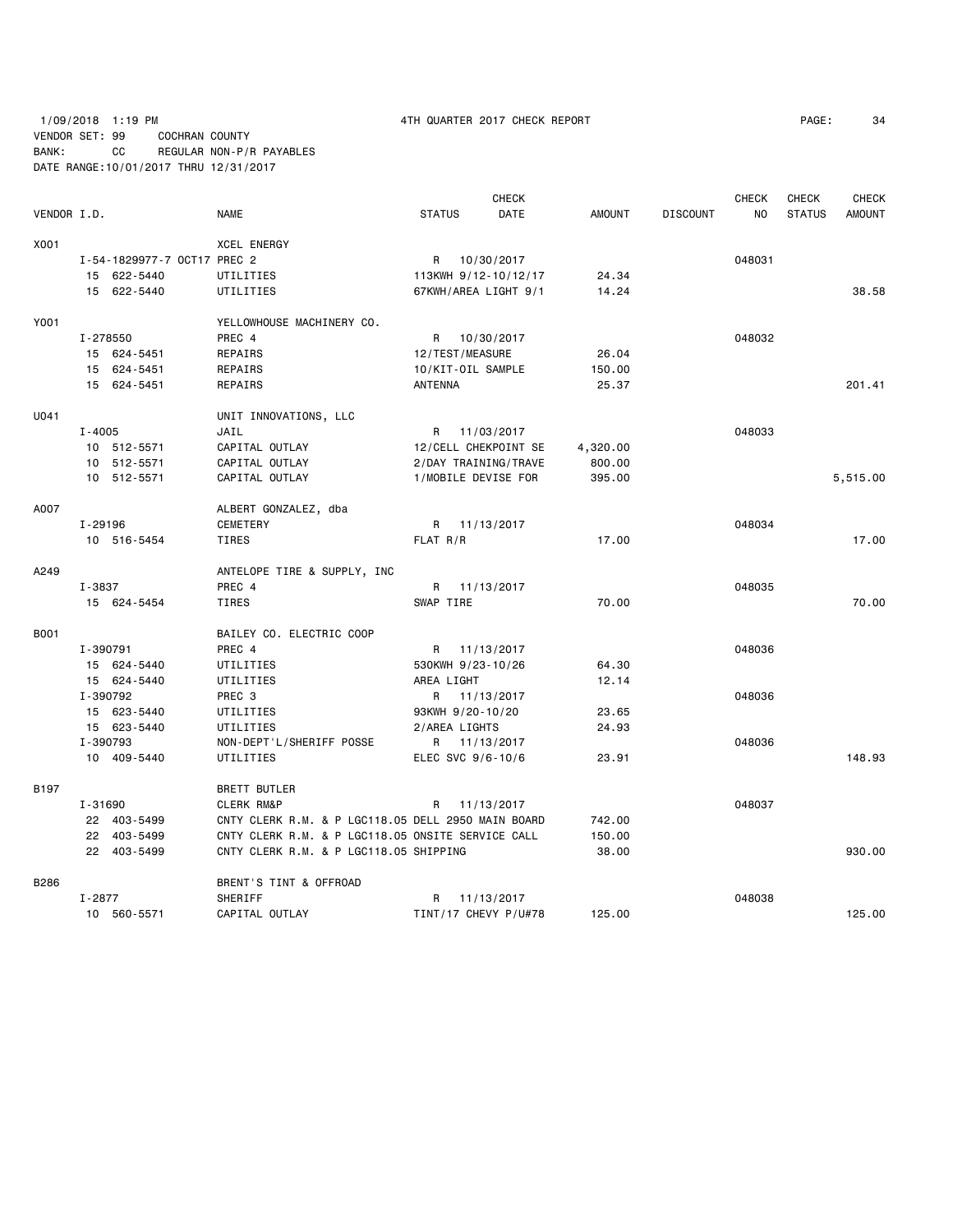## 1/09/2018 1:19 PM 4TH QUARTER 2017 CHECK REPORT PAGE: 34 VENDOR SET: 99 COCHRAN COUNTY BANK: CC REGULAR NON-P/R PAYABLES DATE RANGE:10/01/2017 THRU 12/31/2017

|             |            |                             |                                                    |                   |                   | <b>CHECK</b>         |               |                 | <b>CHECK</b> | CHECK         | <b>CHECK</b>  |
|-------------|------------|-----------------------------|----------------------------------------------------|-------------------|-------------------|----------------------|---------------|-----------------|--------------|---------------|---------------|
| VENDOR I.D. |            |                             | <b>NAME</b>                                        | <b>STATUS</b>     |                   | DATE                 | <b>AMOUNT</b> | <b>DISCOUNT</b> | NO.          | <b>STATUS</b> | <b>AMOUNT</b> |
| X001        |            |                             | <b>XCEL ENERGY</b>                                 |                   |                   |                      |               |                 |              |               |               |
|             |            | I-54-1829977-7 OCT17 PREC 2 |                                                    | R                 | 10/30/2017        |                      |               |                 | 048031       |               |               |
|             |            | 15 622-5440                 | UTILITIES                                          |                   |                   | 113KWH 9/12-10/12/17 | 24.34         |                 |              |               |               |
|             |            | 15 622-5440                 | UTILITIES                                          |                   |                   | 67KWH/AREA LIGHT 9/1 | 14.24         |                 |              |               | 38.58         |
| Y001        |            |                             | YELLOWHOUSE MACHINERY CO.                          |                   |                   |                      |               |                 |              |               |               |
|             | I-278550   |                             | PREC 4                                             | R                 | 10/30/2017        |                      |               |                 | 048032       |               |               |
|             |            | 15 624-5451                 | REPAIRS                                            | 12/TEST/MEASURE   |                   |                      | 26.04         |                 |              |               |               |
|             |            | 15 624-5451                 | REPAIRS                                            | 10/KIT-OIL SAMPLE |                   |                      | 150.00        |                 |              |               |               |
|             |            | 15 624-5451                 | REPAIRS                                            | ANTENNA           |                   |                      | 25.37         |                 |              |               | 201.41        |
| U041        |            |                             | UNIT INNOVATIONS, LLC                              |                   |                   |                      |               |                 |              |               |               |
|             | $I - 4005$ |                             | JAIL                                               |                   | R 11/03/2017      |                      |               |                 | 048033       |               |               |
|             |            | 10 512-5571                 | CAPITAL OUTLAY                                     |                   |                   | 12/CELL CHEKPOINT SE | 4,320.00      |                 |              |               |               |
|             |            | 10 512-5571                 | CAPITAL OUTLAY                                     |                   |                   | 2/DAY TRAINING/TRAVE | 800.00        |                 |              |               |               |
|             |            | 10 512-5571                 | CAPITAL OUTLAY                                     |                   |                   | 1/MOBILE DEVISE FOR  | 395.00        |                 |              |               | 5,515.00      |
| A007        |            |                             | ALBERT GONZALEZ, dba                               |                   |                   |                      |               |                 |              |               |               |
|             | I-29196    |                             | <b>CEMETERY</b>                                    |                   | R 11/13/2017      |                      |               |                 | 048034       |               |               |
|             |            | 10 516-5454                 | TIRES                                              | FLAT R/R          |                   |                      | 17.00         |                 |              |               | 17.00         |
| A249        |            |                             | ANTELOPE TIRE & SUPPLY, INC                        |                   |                   |                      |               |                 |              |               |               |
|             | I-3837     |                             | PREC 4                                             | R                 | 11/13/2017        |                      |               |                 | 048035       |               |               |
|             |            | 15 624-5454                 | TIRES                                              | SWAP TIRE         |                   |                      | 70.00         |                 |              |               | 70.00         |
| B001        |            |                             | BAILEY CO. ELECTRIC COOP                           |                   |                   |                      |               |                 |              |               |               |
|             | I-390791   |                             | PREC <sub>4</sub>                                  |                   | R 11/13/2017      |                      |               |                 | 048036       |               |               |
|             |            | 15 624-5440                 | UTILITIES                                          | 530KWH 9/23-10/26 |                   |                      | 64.30         |                 |              |               |               |
|             |            | 15 624-5440                 | UTILITIES                                          | AREA LIGHT        |                   |                      | 12.14         |                 |              |               |               |
|             | I-390792   |                             | PREC 3                                             |                   | R 11/13/2017      |                      |               |                 | 048036       |               |               |
|             |            | 15 623-5440                 | UTILITIES                                          | 93KWH 9/20-10/20  |                   |                      | 23.65         |                 |              |               |               |
|             |            | 15 623-5440                 | UTILITIES                                          | 2/AREA LIGHTS     |                   |                      | 24.93         |                 |              |               |               |
|             | I-390793   |                             | NON-DEPT'L/SHERIFF POSSE                           |                   | R 11/13/2017      |                      |               |                 | 048036       |               |               |
|             |            | 10 409-5440                 | UTILITIES                                          |                   | ELEC SVC 9/6-10/6 |                      | 23.91         |                 |              |               | 148.93        |
| B197        |            |                             | <b>BRETT BUTLER</b>                                |                   |                   |                      |               |                 |              |               |               |
|             | I-31690    |                             | <b>CLERK RM&amp;P</b>                              | R                 | 11/13/2017        |                      |               |                 | 048037       |               |               |
|             |            | 22 403-5499                 | CNTY CLERK R.M. & P LGC118.05 DELL 2950 MAIN BOARD |                   |                   |                      | 742.00        |                 |              |               |               |
|             |            | 22 403-5499                 | CNTY CLERK R.M. & P LGC118.05 ONSITE SERVICE CALL  |                   |                   |                      | 150.00        |                 |              |               |               |
|             |            | 22 403-5499                 | CNTY CLERK R.M. & P LGC118.05 SHIPPING             |                   |                   |                      | 38,00         |                 |              |               | 930.00        |
| B286        |            |                             | BRENT'S TINT & OFFROAD                             |                   |                   |                      |               |                 |              |               |               |
|             | $I - 2877$ |                             | SHERIFF                                            | R                 | 11/13/2017        |                      |               |                 | 048038       |               |               |
|             |            | 10 560-5571                 | CAPITAL OUTLAY                                     |                   |                   | TINT/17 CHEVY P/U#78 | 125.00        |                 |              |               | 125.00        |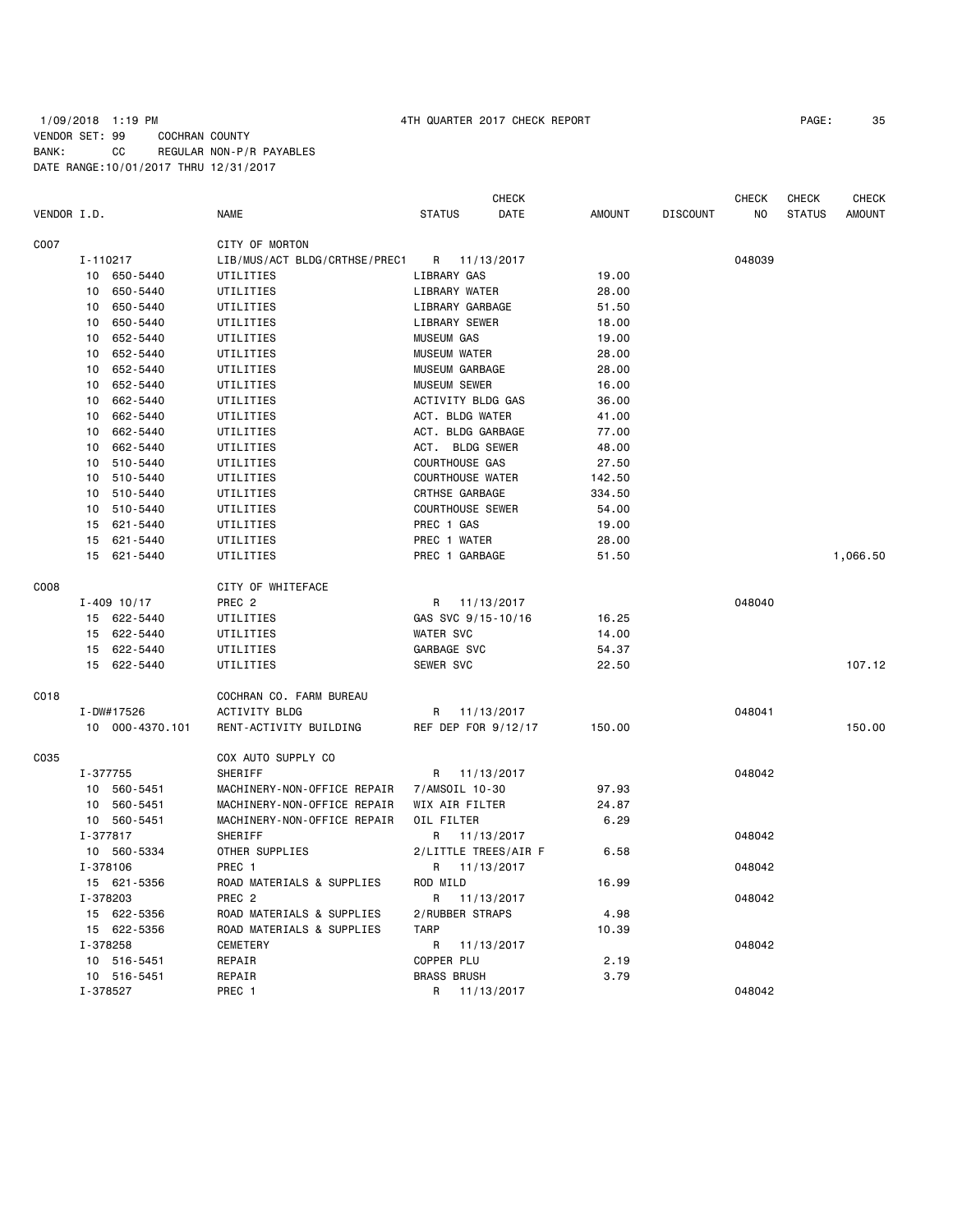## 1/09/2018 1:19 PM 4TH QUARTER 2017 CHECK REPORT PAGE: 35 VENDOR SET: 99 COCHRAN COUNTY BANK: CC REGULAR NON-P/R PAYABLES DATE RANGE:10/01/2017 THRU 12/31/2017

|             |          |                 |                               |                      | <b>CHECK</b>            |               |                 | <b>CHECK</b> | <b>CHECK</b>  | <b>CHECK</b>  |
|-------------|----------|-----------------|-------------------------------|----------------------|-------------------------|---------------|-----------------|--------------|---------------|---------------|
| VENDOR I.D. |          |                 | <b>NAME</b>                   | <b>STATUS</b>        | DATE                    | <b>AMOUNT</b> | <b>DISCOUNT</b> | NO           | <b>STATUS</b> | <b>AMOUNT</b> |
| C007        |          |                 | CITY OF MORTON                |                      |                         |               |                 |              |               |               |
|             | I-110217 |                 | LIB/MUS/ACT BLDG/CRTHSE/PREC1 | R                    | 11/13/2017              |               |                 | 048039       |               |               |
|             | 10       | 650-5440        | UTILITIES                     | LIBRARY GAS          |                         | 19,00         |                 |              |               |               |
|             | 10       | 650-5440        | UTILITIES                     | LIBRARY WATER        |                         | 28.00         |                 |              |               |               |
|             | 10       | 650-5440        | UTILITIES                     |                      | LIBRARY GARBAGE         | 51.50         |                 |              |               |               |
|             | 10       | 650-5440        | UTILITIES                     | <b>LIBRARY SEWER</b> |                         | 18.00         |                 |              |               |               |
|             | 10       | 652-5440        | UTILITIES                     | <b>MUSEUM GAS</b>    |                         | 19.00         |                 |              |               |               |
|             | 10       | 652-5440        | UTILITIES                     | <b>MUSEUM WATER</b>  |                         | 28.00         |                 |              |               |               |
|             | 10       | 652-5440        | UTILITIES                     | MUSEUM GARBAGE       |                         | 28.00         |                 |              |               |               |
|             | 10       | 652-5440        | UTILITIES                     | <b>MUSEUM SEWER</b>  |                         | 16.00         |                 |              |               |               |
|             | 10       | 662-5440        | UTILITIES                     |                      | ACTIVITY BLDG GAS       | 36.00         |                 |              |               |               |
|             | 10       | 662-5440        | UTILITIES                     | ACT. BLDG WATER      |                         | 41.00         |                 |              |               |               |
|             | 10       | 662-5440        | UTILITIES                     |                      | ACT. BLDG GARBAGE       | 77.00         |                 |              |               |               |
|             | 10       | 662-5440        | UTILITIES                     |                      | ACT. BLDG SEWER         | 48.00         |                 |              |               |               |
|             | 10       | 510-5440        | UTILITIES                     | COURTHOUSE GAS       |                         | 27.50         |                 |              |               |               |
|             | 10       | 510-5440        | UTILITIES                     |                      | <b>COURTHOUSE WATER</b> | 142.50        |                 |              |               |               |
|             | 10       | 510-5440        | UTILITIES                     | CRTHSE GARBAGE       |                         | 334.50        |                 |              |               |               |
|             | 10       | 510-5440        | UTILITIES                     |                      | <b>COURTHOUSE SEWER</b> | 54.00         |                 |              |               |               |
|             | 15       | 621-5440        | UTILITIES                     | PREC 1 GAS           |                         | 19.00         |                 |              |               |               |
|             | 15       | 621-5440        | UTILITIES                     | PREC 1 WATER         |                         | 28.00         |                 |              |               |               |
|             | 15       | 621-5440        | UTILITIES                     | PREC 1 GARBAGE       |                         | 51.50         |                 |              |               | 1,066.50      |
| C008        |          |                 | CITY OF WHITEFACE             |                      |                         |               |                 |              |               |               |
|             |          | $I - 409$ 10/17 | PREC <sub>2</sub>             |                      | R 11/13/2017            |               |                 | 048040       |               |               |
|             |          | 15 622-5440     | UTILITIES                     |                      | GAS SVC 9/15-10/16      | 16.25         |                 |              |               |               |
|             | 15       | 622-5440        | UTILITIES                     | <b>WATER SVC</b>     |                         | 14.00         |                 |              |               |               |
|             | 15       | 622-5440        | UTILITIES                     | GARBAGE SVC          |                         | 54.37         |                 |              |               |               |
|             | 15       | 622-5440        | UTILITIES                     | <b>SEWER SVC</b>     |                         | 22.50         |                 |              |               | 107.12        |
| C018        |          |                 | COCHRAN CO. FARM BUREAU       |                      |                         |               |                 |              |               |               |
|             |          | I-DW#17526      | <b>ACTIVITY BLDG</b>          | R                    | 11/13/2017              |               |                 | 048041       |               |               |
|             |          | 10 000-4370.101 | RENT-ACTIVITY BUILDING        |                      | REF DEP FOR 9/12/17     | 150.00        |                 |              |               | 150.00        |
| C035        |          |                 | COX AUTO SUPPLY CO            |                      |                         |               |                 |              |               |               |
|             | I-377755 |                 | SHERIFF                       | R                    | 11/13/2017              |               |                 | 048042       |               |               |
|             |          | 10 560-5451     | MACHINERY-NON-OFFICE REPAIR   | 7/AMSOIL 10-30       |                         | 97.93         |                 |              |               |               |
|             | 10       | 560-5451        | MACHINERY-NON-OFFICE REPAIR   | WIX AIR FILTER       |                         | 24.87         |                 |              |               |               |
|             |          | 10 560-5451     | MACHINERY-NON-OFFICE REPAIR   | OIL FILTER           |                         | 6.29          |                 |              |               |               |
|             | I-377817 |                 | SHERIFF                       | R                    | 11/13/2017              |               |                 | 048042       |               |               |
|             |          | 10 560-5334     | OTHER SUPPLIES                |                      | 2/LITTLE TREES/AIR F    | 6.58          |                 |              |               |               |
|             | I-378106 |                 | PREC 1                        | R                    | 11/13/2017              |               |                 | 048042       |               |               |
|             |          | 15 621-5356     | ROAD MATERIALS & SUPPLIES     | ROD MILD             |                         | 16.99         |                 |              |               |               |
|             | I-378203 |                 | PREC <sub>2</sub>             | R                    | 11/13/2017              |               |                 | 048042       |               |               |
|             |          | 15 622-5356     | ROAD MATERIALS & SUPPLIES     |                      | 2/RUBBER STRAPS         | 4.98          |                 |              |               |               |
|             |          | 15 622-5356     | ROAD MATERIALS & SUPPLIES     | <b>TARP</b>          |                         | 10.39         |                 |              |               |               |
|             | I-378258 |                 | CEMETERY                      | R                    | 11/13/2017              |               |                 | 048042       |               |               |
|             |          | 10 516-5451     | REPAIR                        | COPPER PLU           |                         | 2.19          |                 |              |               |               |
|             |          | 10 516-5451     | REPAIR                        | <b>BRASS BRUSH</b>   |                         | 3.79          |                 |              |               |               |
|             | I-378527 |                 | PREC 1                        | R                    | 11/13/2017              |               |                 | 048042       |               |               |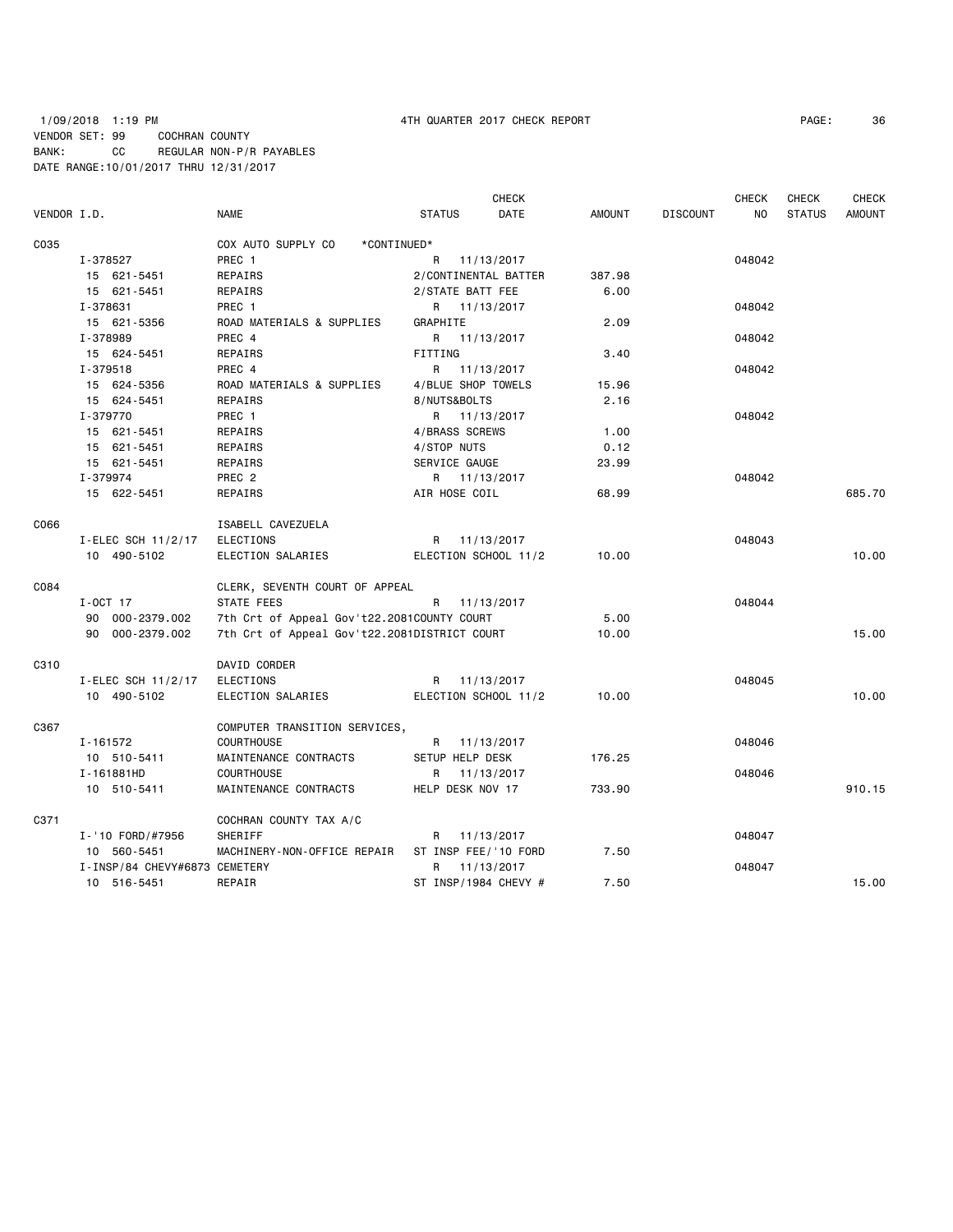# 1/09/2018 1:19 PM 4TH QUARTER 2017 CHECK REPORT PAGE: 36 VENDOR SET: 99 COCHRAN COUNTY BANK: CC REGULAR NON-P/R PAYABLES DATE RANGE:10/01/2017 THRU 12/31/2017

|             |                               |                                              |                      | <b>CHECK</b> |               |                 | <b>CHECK</b> | <b>CHECK</b>  | <b>CHECK</b>  |
|-------------|-------------------------------|----------------------------------------------|----------------------|--------------|---------------|-----------------|--------------|---------------|---------------|
| VENDOR I.D. |                               | NAME                                         | <b>STATUS</b>        | DATE         | <b>AMOUNT</b> | <b>DISCOUNT</b> | NO.          | <b>STATUS</b> | <b>AMOUNT</b> |
| C035        |                               | COX AUTO SUPPLY CO<br>*CONTINUED*            |                      |              |               |                 |              |               |               |
|             | I-378527                      | PREC 1                                       | R 11/13/2017         |              |               |                 | 048042       |               |               |
|             | 15 621-5451                   | REPAIRS                                      | 2/CONTINENTAL BATTER |              | 387.98        |                 |              |               |               |
|             | 15 621-5451                   | REPAIRS                                      | 2/STATE BATT FEE     |              | 6.00          |                 |              |               |               |
|             | I-378631                      | PREC 1                                       | R 11/13/2017         |              |               |                 | 048042       |               |               |
|             | 15 621-5356                   | ROAD MATERIALS & SUPPLIES                    | GRAPHITE             |              | 2.09          |                 |              |               |               |
|             | I-378989                      | PREC 4                                       | R 11/13/2017         |              |               |                 | 048042       |               |               |
|             | 15 624-5451                   | REPAIRS                                      | FITTING              |              | 3.40          |                 |              |               |               |
|             | I-379518                      | PREC 4                                       | R 11/13/2017         |              |               |                 | 048042       |               |               |
|             | 15 624-5356                   | ROAD MATERIALS & SUPPLIES                    | 4/BLUE SHOP TOWELS   |              | 15.96         |                 |              |               |               |
|             | 15 624-5451                   | REPAIRS                                      | 8/NUTS&BOLTS         |              | 2.16          |                 |              |               |               |
|             | I-379770                      | PREC 1                                       | R 11/13/2017         |              |               |                 | 048042       |               |               |
|             | 15 621-5451                   | REPAIRS                                      | 4/BRASS SCREWS       |              | 1.00          |                 |              |               |               |
|             | 15 621-5451                   | REPAIRS                                      | 4/STOP NUTS          |              | 0.12          |                 |              |               |               |
|             | 15 621-5451                   | REPAIRS                                      | SERVICE GAUGE        |              | 23.99         |                 |              |               |               |
|             | I-379974                      | PREC <sub>2</sub>                            | R 11/13/2017         |              |               |                 | 048042       |               |               |
|             | 15 622-5451                   | REPAIRS                                      | AIR HOSE COIL        |              | 68.99         |                 |              |               | 685.70        |
| C066        |                               | ISABELL CAVEZUELA                            |                      |              |               |                 |              |               |               |
|             | I-ELEC SCH 11/2/17            | ELECTIONS                                    | R 11/13/2017         |              |               |                 | 048043       |               |               |
|             | 10 490-5102                   | ELECTION SALARIES                            | ELECTION SCHOOL 11/2 |              | 10.00         |                 |              |               | 10.00         |
| C084        |                               | CLERK, SEVENTH COURT OF APPEAL               |                      |              |               |                 |              |               |               |
|             | $I-OCT$ 17                    | STATE FEES<br>R<br>11/13/2017                |                      |              |               |                 | 048044       |               |               |
|             | 90 000-2379.002               | 7th Crt of Appeal Gov't22.2081COUNTY COURT   |                      |              | 5.00          |                 |              |               |               |
|             | 90 000-2379.002               | 7th Crt of Appeal Gov't22.2081DISTRICT COURT |                      |              | 10.00         |                 |              |               | 15.00         |
| C310        |                               | DAVID CORDER                                 |                      |              |               |                 |              |               |               |
|             | I-ELEC SCH 11/2/17            | ELECTIONS                                    | R 11/13/2017         |              |               |                 | 048045       |               |               |
|             | 10 490-5102                   | ELECTION SALARIES                            | ELECTION SCHOOL 11/2 |              | 10.00         |                 |              |               | 10.00         |
| C367        |                               | COMPUTER TRANSITION SERVICES,                |                      |              |               |                 |              |               |               |
|             | I-161572                      | <b>COURTHOUSE</b>                            | R 11/13/2017         |              |               |                 | 048046       |               |               |
|             | 10 510-5411                   | MAINTENANCE CONTRACTS                        | SETUP HELP DESK      |              | 176.25        |                 |              |               |               |
|             | I-161881HD                    | <b>COURTHOUSE</b>                            | R.                   | 11/13/2017   |               |                 | 048046       |               |               |
|             | 10 510-5411                   | MAINTENANCE CONTRACTS                        | HELP DESK NOV 17     |              | 733.90        |                 |              |               | 910.15        |
| C371        |                               | COCHRAN COUNTY TAX A/C                       |                      |              |               |                 |              |               |               |
|             | I-'10 FORD/#7956              | SHERIFF                                      | R 11/13/2017         |              |               |                 | 048047       |               |               |
|             | 10 560-5451                   | MACHINERY-NON-OFFICE REPAIR                  | ST INSP FEE/'10 FORD |              | 7.50          |                 |              |               |               |
|             | I-INSP/84 CHEVY#6873 CEMETERY |                                              | R.                   | 11/13/2017   |               |                 | 048047       |               |               |
|             | 10 516-5451                   | REPAIR                                       | ST INSP/1984 CHEVY # |              | 7.50          |                 |              |               | 15.00         |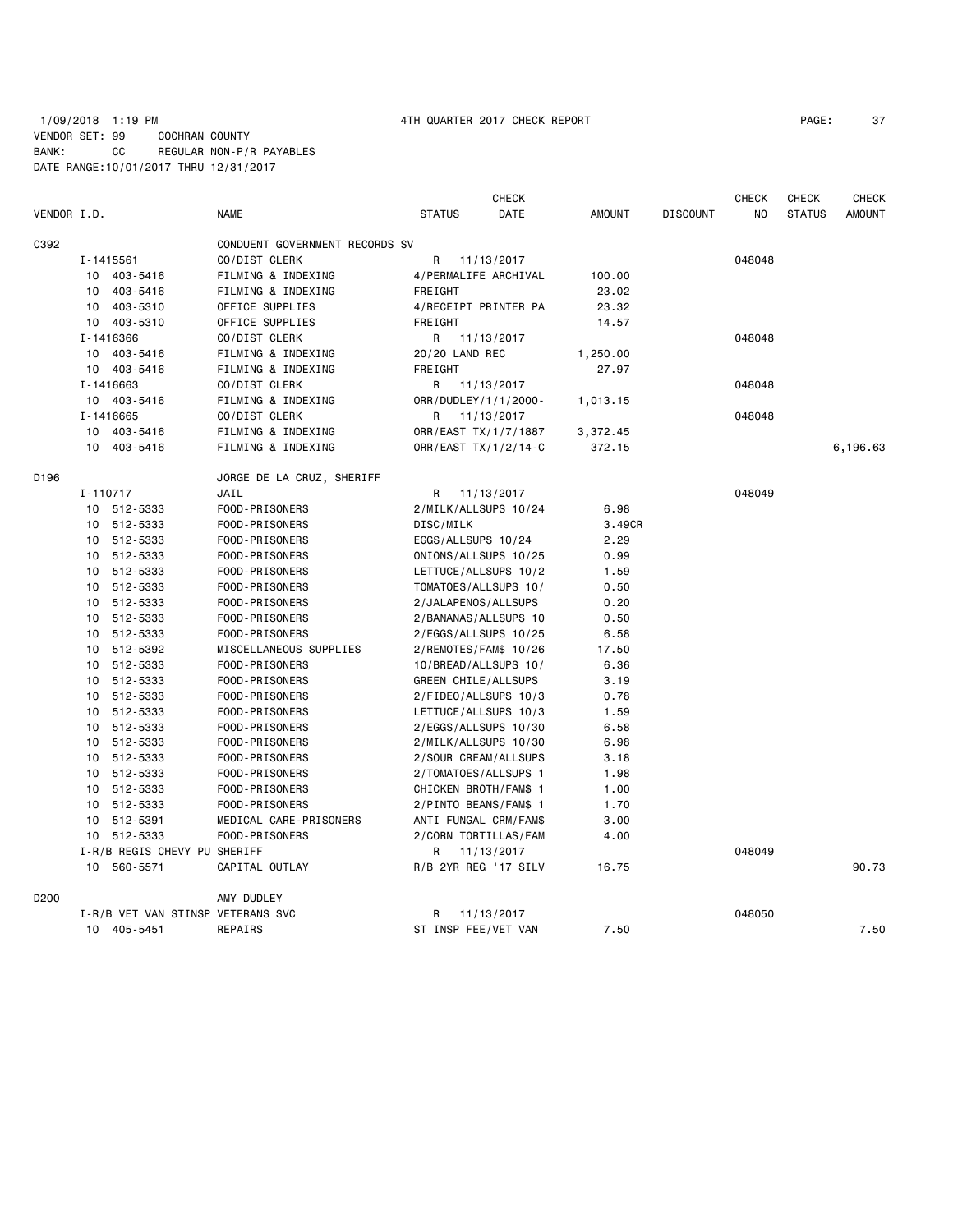|             |          |                                   |                                |                       | <b>CHECK</b> |               |                 | <b>CHECK</b> | <b>CHECK</b>  | <b>CHECK</b>  |
|-------------|----------|-----------------------------------|--------------------------------|-----------------------|--------------|---------------|-----------------|--------------|---------------|---------------|
| VENDOR I.D. |          |                                   | <b>NAME</b>                    | <b>STATUS</b>         | DATE         | <b>AMOUNT</b> | <b>DISCOUNT</b> | NO           | <b>STATUS</b> | <b>AMOUNT</b> |
| C392        |          |                                   | CONDUENT GOVERNMENT RECORDS SV |                       |              |               |                 |              |               |               |
|             |          | I-1415561                         | CO/DIST CLERK                  | R                     | 11/13/2017   |               |                 | 048048       |               |               |
|             |          | 10 403-5416                       | FILMING & INDEXING             | 4/PERMALIFE ARCHIVAL  |              | 100.00        |                 |              |               |               |
|             | 10       | 403-5416                          | FILMING & INDEXING             | FREIGHT               |              | 23.02         |                 |              |               |               |
|             | 10       | 403-5310                          | OFFICE SUPPLIES                | 4/RECEIPT PRINTER PA  |              | 23.32         |                 |              |               |               |
|             |          | 10 403-5310                       | OFFICE SUPPLIES                | FREIGHT               |              | 14.57         |                 |              |               |               |
|             |          | I-1416366                         | CO/DIST CLERK                  | R                     | 11/13/2017   |               |                 | 048048       |               |               |
|             |          | 10 403-5416                       | FILMING & INDEXING             | 20/20 LAND REC        |              | 1,250.00      |                 |              |               |               |
|             |          | 10 403-5416                       | FILMING & INDEXING             | FREIGHT               |              | 27.97         |                 |              |               |               |
|             |          | I-1416663                         | CO/DIST CLERK                  | 11/13/2017<br>R       |              |               |                 | 048048       |               |               |
|             |          | 10 403-5416                       | FILMING & INDEXING             | ORR/DUDLEY/1/1/2000-  |              | 1,013.15      |                 |              |               |               |
|             |          | I-1416665                         | CO/DIST CLERK                  | R                     | 11/13/2017   |               |                 | 048048       |               |               |
|             |          | 10 403-5416                       | FILMING & INDEXING             | ORR/EAST TX/1/7/1887  |              | 3,372.45      |                 |              |               |               |
|             |          | 10 403-5416                       | FILMING & INDEXING             | ORR/EAST TX/1/2/14-C  |              | 372.15        |                 |              |               | 6,196.63      |
| D196        |          |                                   |                                |                       |              |               |                 |              |               |               |
|             | I-110717 |                                   | JAIL                           | R                     | 11/13/2017   |               |                 | 048049       |               |               |
|             |          | 10 512-5333                       | FOOD-PRISONERS                 | 2/MILK/ALLSUPS 10/24  |              | 6.98          |                 |              |               |               |
|             |          | 10 512-5333                       | FOOD-PRISONERS                 | DISC/MILK             |              | 3.49CR        |                 |              |               |               |
|             |          | 10 512-5333                       | FOOD-PRISONERS                 | EGGS/ALLSUPS 10/24    |              | 2.29          |                 |              |               |               |
|             |          | 10 512-5333                       | FOOD-PRISONERS                 | ONIONS/ALLSUPS 10/25  |              | 0.99          |                 |              |               |               |
|             |          | 10 512-5333                       | FOOD-PRISONERS                 | LETTUCE/ALLSUPS 10/2  |              | 1.59          |                 |              |               |               |
|             |          | 10 512-5333                       | FOOD-PRISONERS                 | TOMATOES/ALLSUPS 10/  |              | 0.50          |                 |              |               |               |
|             |          | 10 512-5333                       | FOOD-PRISONERS                 | 2/JALAPENOS/ALLSUPS   |              | 0.20          |                 |              |               |               |
|             |          | 10 512-5333                       | FOOD-PRISONERS                 | 2/BANANAS/ALLSUPS 10  |              | 0.50          |                 |              |               |               |
|             |          | 10 512-5333                       | FOOD-PRISONERS                 | 2/EGGS/ALLSUPS 10/25  |              | 6.58          |                 |              |               |               |
|             |          | 10 512-5392                       | MISCELLANEOUS SUPPLIES         | 2/REMOTES/FAM\$ 10/26 |              | 17.50         |                 |              |               |               |
|             |          | 10 512-5333                       | FOOD-PRISONERS                 | 10/BREAD/ALLSUPS 10/  |              | 6.36          |                 |              |               |               |
|             |          | 10 512-5333                       | FOOD-PRISONERS                 | GREEN CHILE/ALLSUPS   |              | 3.19          |                 |              |               |               |
|             |          | 10 512-5333                       | FOOD-PRISONERS                 | 2/FIDEO/ALLSUPS 10/3  |              | 0.78          |                 |              |               |               |
|             |          | 10 512-5333                       | FOOD-PRISONERS                 | LETTUCE/ALLSUPS 10/3  |              | 1.59          |                 |              |               |               |
|             |          | 10 512-5333                       | FOOD-PRISONERS                 | 2/EGGS/ALLSUPS 10/30  |              | 6.58          |                 |              |               |               |
|             |          | 10 512-5333                       | FOOD-PRISONERS                 | 2/MILK/ALLSUPS 10/30  |              | 6.98          |                 |              |               |               |
|             |          | 10 512-5333                       | FOOD-PRISONERS                 | 2/SOUR CREAM/ALLSUPS  |              | 3.18          |                 |              |               |               |
|             |          | 10 512-5333                       | FOOD-PRISONERS                 | 2/TOMATOES/ALLSUPS 1  |              | 1.98          |                 |              |               |               |
|             |          | 10 512-5333                       | FOOD-PRISONERS                 | CHICKEN BROTH/FAM\$ 1 |              | 1.00          |                 |              |               |               |
|             |          | 10 512-5333                       | FOOD-PRISONERS                 | 2/PINTO BEANS/FAM\$ 1 |              | 1.70          |                 |              |               |               |
|             | 10       | 512-5391                          | MEDICAL CARE-PRISONERS         | ANTI FUNGAL CRM/FAM\$ |              | 3.00          |                 |              |               |               |
|             |          | 10 512-5333                       | FOOD-PRISONERS                 | 2/CORN TORTILLAS/FAM  |              | 4.00          |                 |              |               |               |
|             |          | I-R/B REGIS CHEVY PU SHERIFF      |                                | R.                    | 11/13/2017   |               |                 | 048049       |               |               |
|             | 10       | 560-5571                          | CAPITAL OUTLAY                 | R/B 2YR REG '17 SILV  |              | 16.75         |                 |              |               | 90.73         |
| D200        |          |                                   | AMY DUDLEY                     |                       |              |               |                 |              |               |               |
|             |          | I-R/B VET VAN STINSP VETERANS SVC |                                | R                     | 11/13/2017   |               |                 | 048050       |               |               |
|             |          | 10 405-5451                       | REPAIRS                        | ST INSP FEE/VET VAN   |              | 7.50          |                 |              |               | 7.50          |
|             |          |                                   |                                |                       |              |               |                 |              |               |               |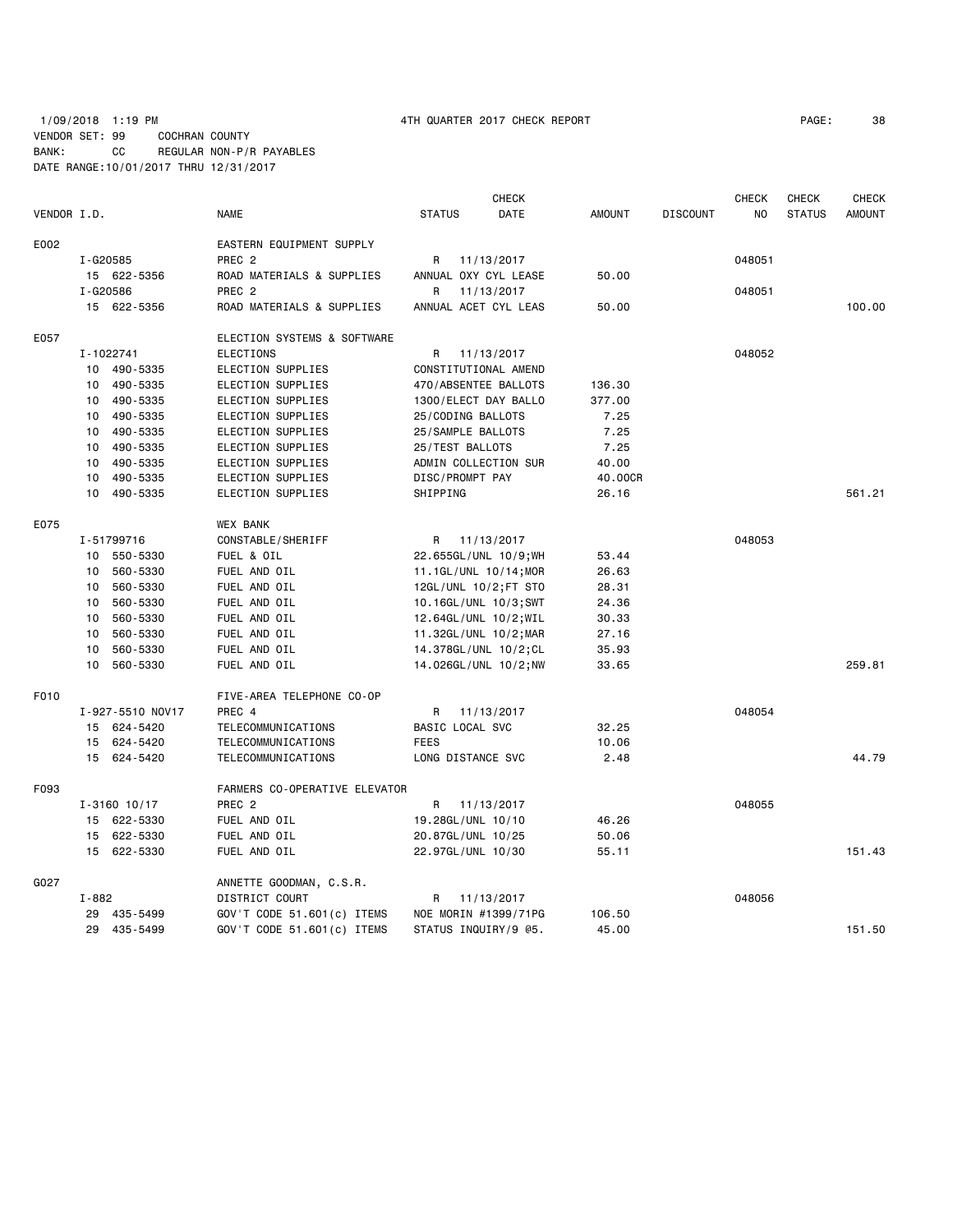# 1/09/2018 1:19 PM 4TH QUARTER 2017 CHECK REPORT PAGE: 38 VENDOR SET: 99 COCHRAN COUNTY BANK: CC REGULAR NON-P/R PAYABLES DATE RANGE:10/01/2017 THRU 12/31/2017

|             |           |                  |                               |                       | <b>CHECK</b> |               |                 | <b>CHECK</b> | CHECK         | <b>CHECK</b>  |
|-------------|-----------|------------------|-------------------------------|-----------------------|--------------|---------------|-----------------|--------------|---------------|---------------|
| VENDOR I.D. |           |                  | <b>NAME</b>                   | <b>STATUS</b>         | DATE         | <b>AMOUNT</b> | <b>DISCOUNT</b> | NO.          | <b>STATUS</b> | <b>AMOUNT</b> |
| E002        |           |                  | EASTERN EQUIPMENT SUPPLY      |                       |              |               |                 |              |               |               |
|             | I-G20585  |                  | PREC <sub>2</sub>             | R                     | 11/13/2017   |               |                 | 048051       |               |               |
|             |           | 15 622-5356      | ROAD MATERIALS & SUPPLIES     | ANNUAL OXY CYL LEASE  |              | 50.00         |                 |              |               |               |
|             | I-G20586  |                  | PREC <sub>2</sub>             | R                     | 11/13/2017   |               |                 | 048051       |               |               |
|             |           | 15 622-5356      | ROAD MATERIALS & SUPPLIES     | ANNUAL ACET CYL LEAS  |              | 50.00         |                 |              |               | 100.00        |
| E057        |           |                  | ELECTION SYSTEMS & SOFTWARE   |                       |              |               |                 |              |               |               |
|             |           | I-1022741        | ELECTIONS                     | R.                    | 11/13/2017   |               |                 | 048052       |               |               |
|             |           | 10 490-5335      | ELECTION SUPPLIES             | CONSTITUTIONAL AMEND  |              |               |                 |              |               |               |
|             |           | 10 490-5335      | ELECTION SUPPLIES             | 470/ABSENTEE BALLOTS  |              | 136.30        |                 |              |               |               |
|             |           | 10 490-5335      | ELECTION SUPPLIES             | 1300/ELECT DAY BALLO  |              | 377.00        |                 |              |               |               |
|             | 10        | 490-5335         | ELECTION SUPPLIES             | 25/CODING BALLOTS     |              | 7.25          |                 |              |               |               |
|             | 10        | 490-5335         | ELECTION SUPPLIES             | 25/SAMPLE BALLOTS     |              | 7.25          |                 |              |               |               |
|             |           | 10 490-5335      | ELECTION SUPPLIES             | 25/TEST BALLOTS       |              | 7.25          |                 |              |               |               |
|             | 10        | 490-5335         | ELECTION SUPPLIES             | ADMIN COLLECTION SUR  |              | 40.00         |                 |              |               |               |
|             | 10        | 490-5335         | ELECTION SUPPLIES             | DISC/PROMPT PAY       |              | 40.00CR       |                 |              |               |               |
|             |           | 10 490-5335      | ELECTION SUPPLIES             | SHIPPING              |              | 26.16         |                 |              |               | 561.21        |
| E075        |           |                  | <b>WEX BANK</b>               |                       |              |               |                 |              |               |               |
|             |           | I-51799716       | CONSTABLE/SHERIFF             | R                     | 11/13/2017   |               |                 | 048053       |               |               |
|             |           | 10 550-5330      | FUEL & OIL                    | 22.655GL/UNL 10/9; WH |              | 53.44         |                 |              |               |               |
|             |           | 10 560-5330      | FUEL AND OIL                  | 11.1GL/UNL 10/14;MOR  |              | 26.63         |                 |              |               |               |
|             | 10        | 560-5330         | FUEL AND OIL                  | 12GL/UNL 10/2; FT STO |              | 28.31         |                 |              |               |               |
|             | 10        | 560-5330         | FUEL AND OIL                  | 10.16GL/UNL 10/3;SWT  |              | 24.36         |                 |              |               |               |
|             | 10        | 560-5330         | FUEL AND OIL                  | 12.64GL/UNL 10/2; WIL |              | 30.33         |                 |              |               |               |
|             | 10        | 560-5330         | FUEL AND OIL                  | 11.32GL/UNL 10/2; MAR |              | 27.16         |                 |              |               |               |
|             |           | 10 560-5330      | FUEL AND OIL                  | 14.378GL/UNL 10/2;CL  |              | 35.93         |                 |              |               |               |
|             |           | 10 560-5330      | FUEL AND OIL                  | 14.026GL/UNL 10/2; NW |              | 33.65         |                 |              |               | 259.81        |
| F010        |           |                  | FIVE-AREA TELEPHONE CO-OP     |                       |              |               |                 |              |               |               |
|             |           | I-927-5510 NOV17 | PREC 4                        | R                     | 11/13/2017   |               |                 | 048054       |               |               |
|             |           | 15 624-5420      | TELECOMMUNICATIONS            | BASIC LOCAL SVC       |              | 32.25         |                 |              |               |               |
|             |           | 15 624-5420      | TELECOMMUNICATIONS            | <b>FEES</b>           |              | 10.06         |                 |              |               |               |
|             |           | 15 624-5420      | TELECOMMUNICATIONS            | LONG DISTANCE SVC     |              | 2.48          |                 |              |               | 44.79         |
| F093        |           |                  | FARMERS CO-OPERATIVE ELEVATOR |                       |              |               |                 |              |               |               |
|             |           | $I - 3160$ 10/17 | PREC <sub>2</sub>             | R 11/13/2017          |              |               |                 | 048055       |               |               |
|             |           | 15 622-5330      | FUEL AND OIL                  | 19.28GL/UNL 10/10     |              | 46.26         |                 |              |               |               |
|             |           | 15 622-5330      | FUEL AND OIL                  | 20.87GL/UNL 10/25     |              | 50.06         |                 |              |               |               |
|             |           | 15 622-5330      | FUEL AND OIL                  | 22.97GL/UNL 10/30     |              | 55.11         |                 |              |               | 151.43        |
| G027        |           |                  | ANNETTE GOODMAN, C.S.R.       |                       |              |               |                 |              |               |               |
|             | $I - 882$ |                  | DISTRICT COURT                | R 11/13/2017          |              |               |                 | 048056       |               |               |
|             |           | 29 435-5499      | GOV'T CODE 51.601(c) ITEMS    | NOE MORIN #1399/71PG  |              | 106.50        |                 |              |               |               |
|             |           | 29 435-5499      | GOV'T CODE 51.601(c) ITEMS    | STATUS INQUIRY/9 @5.  |              | 45.00         |                 |              |               | 151.50        |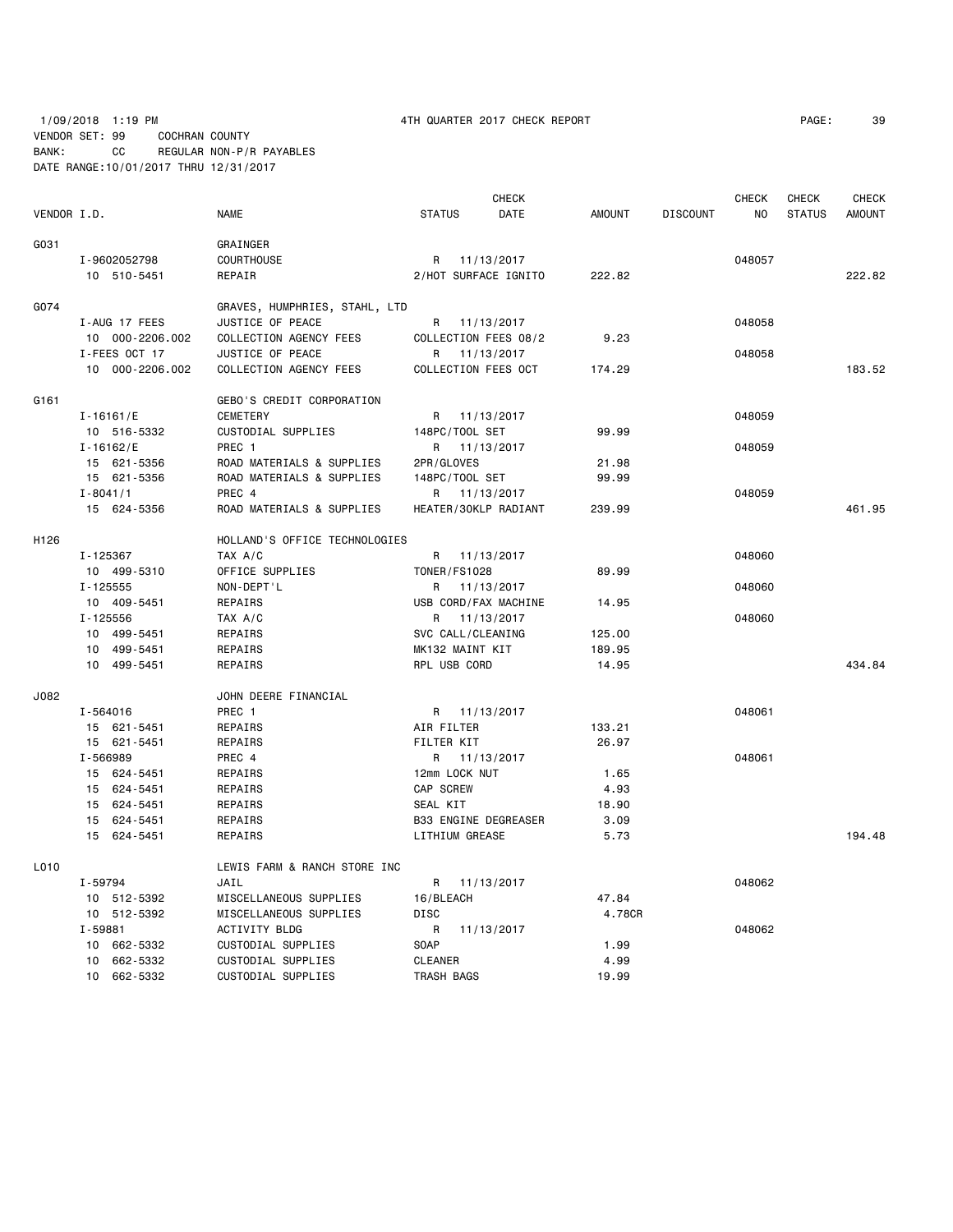# 1/09/2018 1:19 PM 4TH QUARTER 2017 CHECK REPORT PAGE: 39 VENDOR SET: 99 COCHRAN COUNTY BANK: CC REGULAR NON-P/R PAYABLES DATE RANGE:10/01/2017 THRU 12/31/2017

|             |                 |                               |                       | <b>CHECK</b>         |               |                 | <b>CHECK</b>   | CHECK         | <b>CHECK</b>  |
|-------------|-----------------|-------------------------------|-----------------------|----------------------|---------------|-----------------|----------------|---------------|---------------|
| VENDOR I.D. |                 | <b>NAME</b>                   | <b>STATUS</b>         | DATE                 | <b>AMOUNT</b> | <b>DISCOUNT</b> | N <sub>O</sub> | <b>STATUS</b> | <b>AMOUNT</b> |
| G031        |                 | GRAINGER                      |                       |                      |               |                 |                |               |               |
|             | I-9602052798    | COURTHOUSE                    | R                     | 11/13/2017           |               |                 | 048057         |               |               |
|             | 10 510-5451     | REPAIR                        |                       | 2/HOT SURFACE IGNITO | 222.82        |                 |                |               | 222.82        |
| G074        |                 | GRAVES, HUMPHRIES, STAHL, LTD |                       |                      |               |                 |                |               |               |
|             | I-AUG 17 FEES   | JUSTICE OF PEACE              |                       | R 11/13/2017         |               |                 | 048058         |               |               |
|             | 10 000-2206.002 | COLLECTION AGENCY FEES        |                       | COLLECTION FEES 08/2 | 9.23          |                 |                |               |               |
|             | I-FEES OCT 17   | JUSTICE OF PEACE              |                       | R 11/13/2017         |               |                 | 048058         |               |               |
|             | 10 000-2206.002 | COLLECTION AGENCY FEES        | COLLECTION FEES OCT   |                      | 174.29        |                 |                |               | 183.52        |
| G161        |                 | GEBO'S CREDIT CORPORATION     |                       |                      |               |                 |                |               |               |
|             | $I - 16161 / E$ | <b>CEMETERY</b>               |                       | R 11/13/2017         |               |                 | 048059         |               |               |
|             | 10 516-5332     | CUSTODIAL SUPPLIES            | 148PC/TOOL SET        |                      | 99.99         |                 |                |               |               |
|             | $I - 16162 / E$ | PREC 1                        | R 11/13/2017          |                      |               |                 | 048059         |               |               |
|             | 15 621-5356     | ROAD MATERIALS & SUPPLIES     | 2PR/GLOVES            |                      | 21.98         |                 |                |               |               |
|             | 15 621-5356     | ROAD MATERIALS & SUPPLIES     | 148PC/TOOL SET        |                      | 99.99         |                 |                |               |               |
|             | $I - 8041/1$    | PREC 4                        |                       | R 11/13/2017         |               |                 | 048059         |               |               |
|             | 15 624-5356     | ROAD MATERIALS & SUPPLIES     |                       | HEATER/30KLP RADIANT | 239.99        |                 |                |               | 461.95        |
| H126        |                 | HOLLAND'S OFFICE TECHNOLOGIES |                       |                      |               |                 |                |               |               |
|             | I-125367        | TAX A/C                       | R 11/13/2017          |                      |               |                 | 048060         |               |               |
|             | 10 499-5310     | OFFICE SUPPLIES               | <b>TONER/FS1028</b>   |                      | 89.99         |                 |                |               |               |
|             | $I - 125555$    | NON-DEPT'L                    |                       | R 11/13/2017         |               |                 | 048060         |               |               |
|             | 10 409-5451     | REPAIRS                       |                       | USB CORD/FAX MACHINE | 14.95         |                 |                |               |               |
|             | I-125556        | TAX A/C                       |                       | R 11/13/2017         |               |                 | 048060         |               |               |
|             | 10 499-5451     | REPAIRS                       | SVC CALL/CLEANING     |                      | 125.00        |                 |                |               |               |
|             | 10 499-5451     | REPAIRS                       | MK132 MAINT KIT       |                      | 189.95        |                 |                |               |               |
|             | 10 499-5451     | REPAIRS                       | RPL USB CORD          |                      | 14.95         |                 |                |               | 434.84        |
| J082        |                 | JOHN DEERE FINANCIAL          |                       |                      |               |                 |                |               |               |
|             | I-564016        | PREC 1                        | R 11/13/2017          |                      |               |                 | 048061         |               |               |
|             | 15 621-5451     | REPAIRS                       | AIR FILTER            |                      | 133.21        |                 |                |               |               |
|             | 15 621-5451     | REPAIRS                       | FILTER KIT            |                      | 26.97         |                 |                |               |               |
|             | I-566989        | PREC 4                        |                       | R 11/13/2017         |               |                 | 048061         |               |               |
|             | 15 624-5451     | REPAIRS                       | 12mm LOCK NUT         |                      | 1.65          |                 |                |               |               |
|             | 15 624-5451     | REPAIRS                       | <b>CAP SCREW</b>      |                      | 4.93          |                 |                |               |               |
|             | 15 624-5451     | REPAIRS                       | SEAL KIT              |                      | 18.90         |                 |                |               |               |
|             | 15 624-5451     | REPAIRS                       |                       | B33 ENGINE DEGREASER | 3.09          |                 |                |               |               |
|             | 15 624-5451     | REPAIRS                       | <b>LITHIUM GREASE</b> |                      | 5.73          |                 |                |               | 194.48        |
| L010        |                 | LEWIS FARM & RANCH STORE INC  |                       |                      |               |                 |                |               |               |
|             | I-59794         | JAIL                          | R 11/13/2017          |                      |               |                 | 048062         |               |               |
|             | 10 512-5392     | MISCELLANEOUS SUPPLIES        | 16/BLEACH             |                      | 47.84         |                 |                |               |               |
|             | 10 512-5392     | MISCELLANEOUS SUPPLIES        | DISC                  |                      | 4.78CR        |                 |                |               |               |
|             | I-59881         | ACTIVITY BLDG                 | R                     | 11/13/2017           |               |                 | 048062         |               |               |
|             | 10 662-5332     | CUSTODIAL SUPPLIES            | <b>SOAP</b>           |                      | 1.99          |                 |                |               |               |
|             | 10 662-5332     | CUSTODIAL SUPPLIES            | <b>CLEANER</b>        |                      | 4.99          |                 |                |               |               |
|             | 10 662-5332     | CUSTODIAL SUPPLIES            | TRASH BAGS            |                      | 19.99         |                 |                |               |               |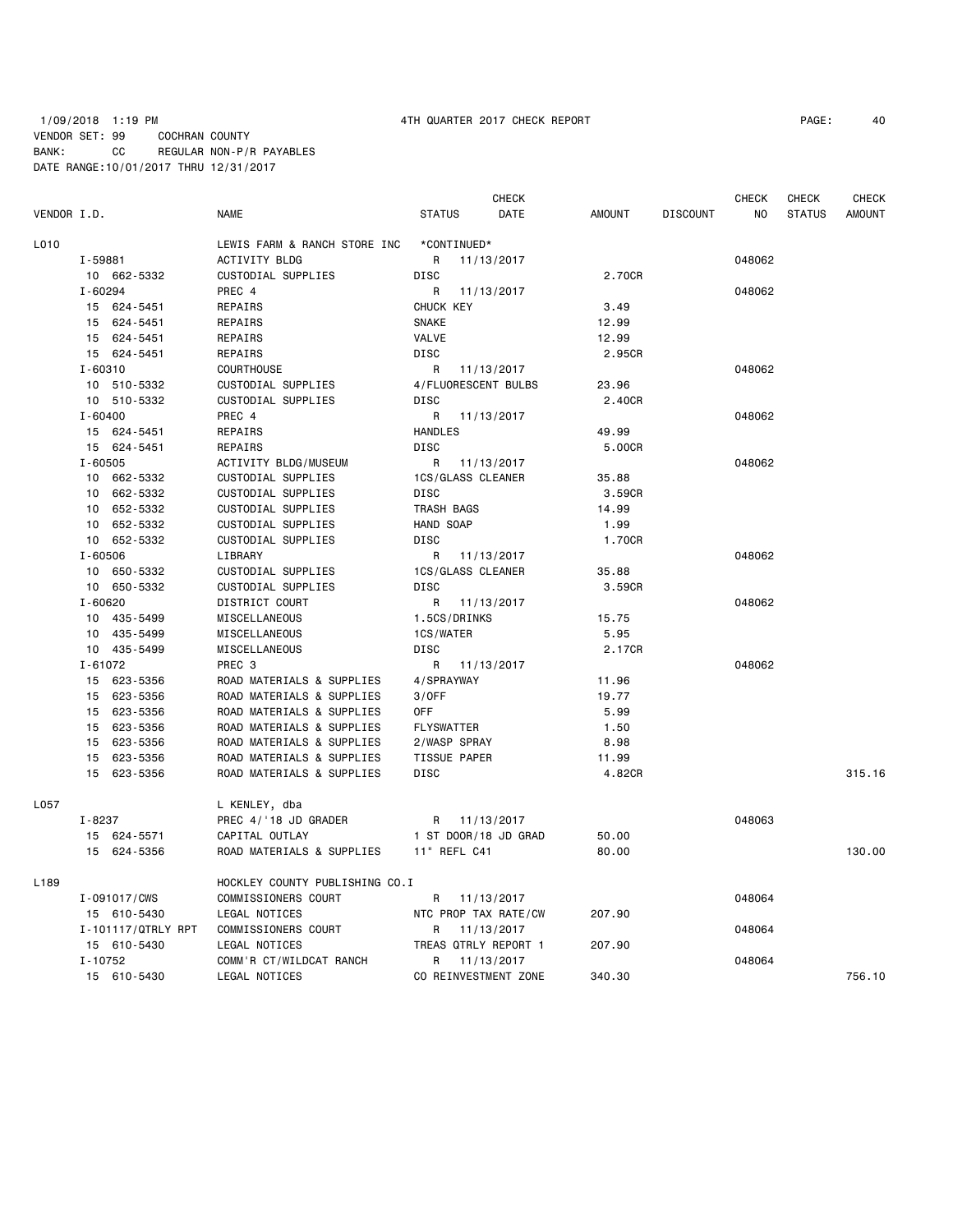# 1/09/2018 1:19 PM 4TH QUARTER 2017 CHECK REPORT PAGE: 40 VENDOR SET: 99 COCHRAN COUNTY BANK: CC REGULAR NON-P/R PAYABLES DATE RANGE:10/01/2017 THRU 12/31/2017

| VENDOR I.D. |                    |                                |                     | <b>CHECK</b>         |               |                 | <b>CHECK</b>   | <b>CHECK</b>  | <b>CHECK</b>  |
|-------------|--------------------|--------------------------------|---------------------|----------------------|---------------|-----------------|----------------|---------------|---------------|
|             |                    | <b>NAME</b>                    | <b>STATUS</b>       | DATE                 | <b>AMOUNT</b> | <b>DISCOUNT</b> | N <sub>0</sub> | <b>STATUS</b> | <b>AMOUNT</b> |
| L010        |                    | LEWIS FARM & RANCH STORE INC   | *CONTINUED*         |                      |               |                 |                |               |               |
|             | I-59881            | ACTIVITY BLDG                  | R                   | 11/13/2017           |               |                 | 048062         |               |               |
|             | 10 662-5332        | CUSTODIAL SUPPLIES             | <b>DISC</b>         |                      | 2.70CR        |                 |                |               |               |
|             | I-60294            | PREC 4                         | R                   | 11/13/2017           |               |                 | 048062         |               |               |
|             | 15 624-5451        | REPAIRS                        | CHUCK KEY           |                      | 3.49          |                 |                |               |               |
|             | 624-5451<br>15     | REPAIRS                        | <b>SNAKE</b>        |                      | 12.99         |                 |                |               |               |
|             | 15 624-5451        | REPAIRS                        | <b>VALVE</b>        |                      | 12.99         |                 |                |               |               |
|             | 15 624-5451        | REPAIRS                        | <b>DISC</b>         |                      | 2.95CR        |                 |                |               |               |
|             | $I - 60310$        | <b>COURTHOUSE</b>              | R                   | 11/13/2017           |               |                 | 048062         |               |               |
|             | 10 510-5332        | CUSTODIAL SUPPLIES             | 4/FLUORESCENT BULBS |                      | 23.96         |                 |                |               |               |
|             | 10 510-5332        | CUSTODIAL SUPPLIES             | <b>DISC</b>         |                      | 2.40CR        |                 |                |               |               |
|             | $I - 60400$        | PREC 4                         | R                   | 11/13/2017           |               |                 | 048062         |               |               |
|             | 15 624-5451        | REPAIRS                        | <b>HANDLES</b>      |                      | 49.99         |                 |                |               |               |
|             | 15 624-5451        | REPAIRS                        | <b>DISC</b>         |                      | 5.00CR        |                 |                |               |               |
|             | $I - 60505$        | ACTIVITY BLDG/MUSEUM           | R                   | 11/13/2017           |               |                 | 048062         |               |               |
|             | 10 662-5332        | CUSTODIAL SUPPLIES             | 1CS/GLASS CLEANER   |                      | 35.88         |                 |                |               |               |
|             | 662-5332<br>10     | CUSTODIAL SUPPLIES             | <b>DISC</b>         |                      | 3.59CR        |                 |                |               |               |
|             | 10 652-5332        | CUSTODIAL SUPPLIES             | TRASH BAGS          |                      | 14.99         |                 |                |               |               |
|             | 652-5332<br>10     | CUSTODIAL SUPPLIES             | HAND SOAP           |                      | 1.99          |                 |                |               |               |
|             | 10 652-5332        | CUSTODIAL SUPPLIES             | <b>DISC</b>         |                      | 1.70CR        |                 |                |               |               |
|             | $I - 60506$        | LIBRARY                        | R                   | 11/13/2017           |               |                 | 048062         |               |               |
|             | 10 650-5332        | CUSTODIAL SUPPLIES             | 1CS/GLASS CLEANER   |                      | 35.88         |                 |                |               |               |
|             | 10 650-5332        | CUSTODIAL SUPPLIES             | <b>DISC</b>         |                      | 3.59CR        |                 |                |               |               |
|             | I-60620            | DISTRICT COURT                 | R                   | 11/13/2017           |               |                 | 048062         |               |               |
|             | 10 435-5499        | MISCELLANEOUS                  | 1.5CS/DRINKS        |                      | 15.75         |                 |                |               |               |
|             | 10 435-5499        | MISCELLANEOUS                  | 1CS/WATER           |                      | 5.95          |                 |                |               |               |
|             | 10 435-5499        | MISCELLANEOUS                  | <b>DISC</b>         |                      | 2.17CR        |                 |                |               |               |
|             | $I - 61072$        | PREC <sub>3</sub>              | R                   | 11/13/2017           |               |                 | 048062         |               |               |
|             | 15 623-5356        | ROAD MATERIALS & SUPPLIES      | 4/SPRAYWAY          |                      | 11.96         |                 |                |               |               |
|             | 15 623-5356        | ROAD MATERIALS & SUPPLIES      | 3/0FF               |                      | 19.77         |                 |                |               |               |
|             | 15 623-5356        | ROAD MATERIALS & SUPPLIES      | 0FF                 |                      | 5.99          |                 |                |               |               |
|             | 623-5356<br>15     | ROAD MATERIALS & SUPPLIES      | <b>FLYSWATTER</b>   |                      | 1.50          |                 |                |               |               |
|             | 15 623-5356        | ROAD MATERIALS & SUPPLIES      | 2/WASP SPRAY        |                      | 8.98          |                 |                |               |               |
|             | 15<br>623-5356     | ROAD MATERIALS & SUPPLIES      | <b>TISSUE PAPER</b> |                      | 11.99         |                 |                |               |               |
|             | 623-5356<br>15     | ROAD MATERIALS & SUPPLIES      | <b>DISC</b>         |                      | 4.82CR        |                 |                |               | 315.16        |
| L057        |                    | L KENLEY, dba                  |                     |                      |               |                 |                |               |               |
|             | $I - 8237$         | PREC 4/'18 JD GRADER           | R                   | 11/13/2017           |               |                 | 048063         |               |               |
|             | 15 624-5571        | CAPITAL OUTLAY                 |                     | 1 ST DOOR/18 JD GRAD | 50.00         |                 |                |               |               |
|             | 15 624-5356        | ROAD MATERIALS & SUPPLIES      | 11" REFL C41        |                      | 80.00         |                 |                |               | 130.00        |
| L189        |                    | HOCKLEY COUNTY PUBLISHING CO.I |                     |                      |               |                 |                |               |               |
|             | I-091017/CWS       | COMMISSIONERS COURT            | R                   | 11/13/2017           |               |                 | 048064         |               |               |
|             | 15 610-5430        | LEGAL NOTICES                  |                     | NTC PROP TAX RATE/CW | 207.90        |                 |                |               |               |
|             | I-101117/QTRLY RPT | COMMISSIONERS COURT            | R                   | 11/13/2017           |               |                 | 048064         |               |               |
|             | 15 610-5430        | LEGAL NOTICES                  |                     | TREAS QTRLY REPORT 1 | 207.90        |                 |                |               |               |
|             | $I - 10752$        | COMM'R CT/WILDCAT RANCH        | R                   | 11/13/2017           |               |                 | 048064         |               |               |
|             | 15 610-5430        | LEGAL NOTICES                  |                     | CO REINVESTMENT ZONE | 340.30        |                 |                |               | 756.10        |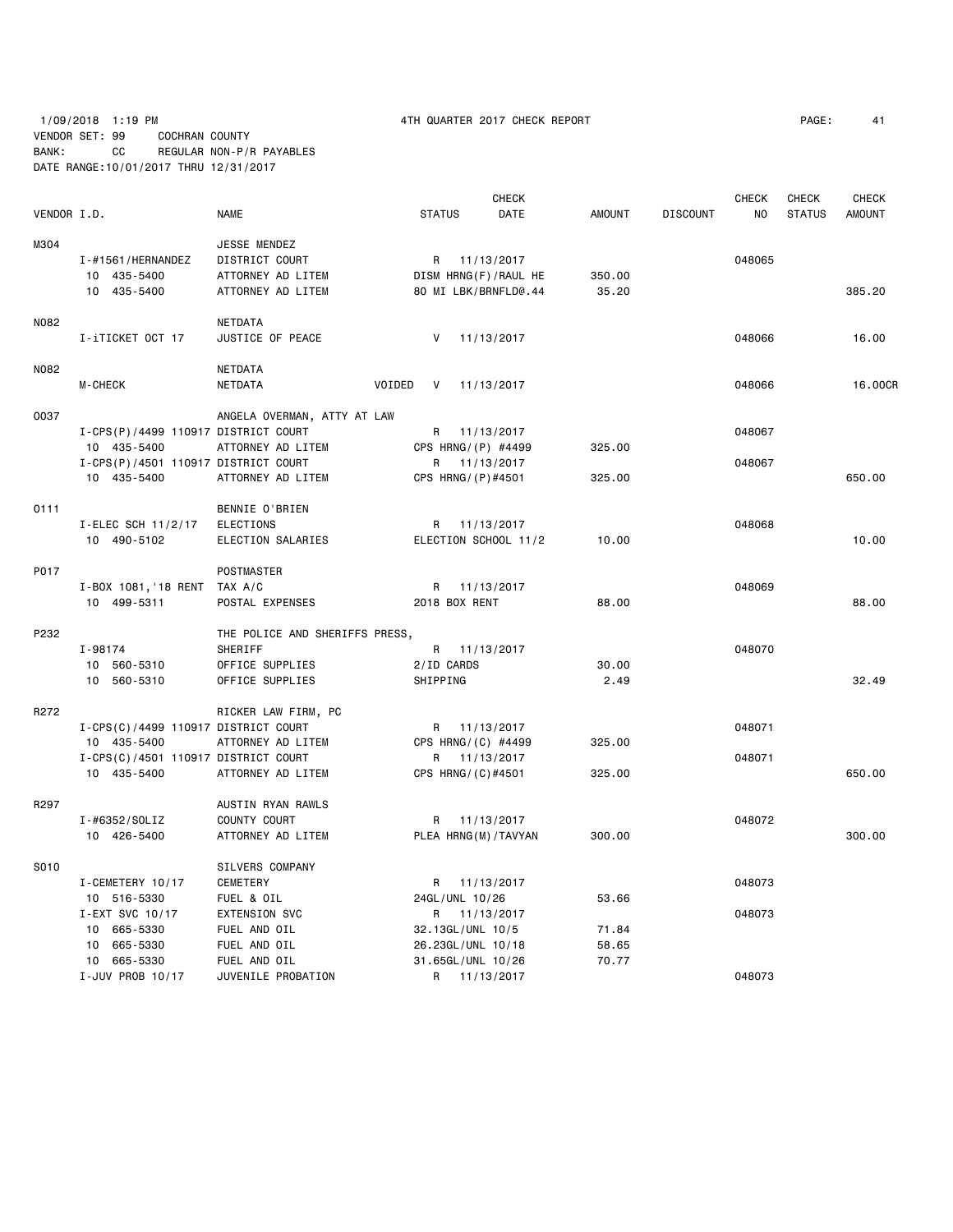|             |                                     |                                | <b>CHECK</b>              |               |                 | CHECK  | <b>CHECK</b>  | <b>CHECK</b>  |
|-------------|-------------------------------------|--------------------------------|---------------------------|---------------|-----------------|--------|---------------|---------------|
| VENDOR I.D. |                                     | <b>NAME</b>                    | <b>STATUS</b><br>DATE     | <b>AMOUNT</b> | <b>DISCOUNT</b> | NO.    | <b>STATUS</b> | <b>AMOUNT</b> |
| M304        |                                     | JESSE MENDEZ                   |                           |               |                 |        |               |               |
|             | I-#1561/HERNANDEZ                   | DISTRICT COURT                 | 11/13/2017<br>R           |               |                 | 048065 |               |               |
|             | 10 435-5400                         | ATTORNEY AD LITEM              | DISM HRNG(F)/RAUL HE      | 350.00        |                 |        |               |               |
|             | 10 435-5400                         | ATTORNEY AD LITEM              | 80 MI LBK/BRNFLD@.44      | 35.20         |                 |        |               | 385.20        |
| N082        |                                     | NETDATA                        |                           |               |                 |        |               |               |
|             | I-iTICKET OCT 17                    | JUSTICE OF PEACE               | V<br>11/13/2017           |               |                 | 048066 |               | 16.00         |
| N082        |                                     | NETDATA                        |                           |               |                 |        |               |               |
|             | M-CHECK                             | NETDATA                        | VOIDED<br>V<br>11/13/2017 |               |                 | 048066 |               | 16.00CR       |
| 0037        |                                     | ANGELA OVERMAN, ATTY AT LAW    |                           |               |                 |        |               |               |
|             | I-CPS(P)/4499 110917 DISTRICT COURT |                                | 11/13/2017<br>R           |               |                 | 048067 |               |               |
|             | 10 435-5400                         | ATTORNEY AD LITEM              | CPS HRNG/(P) #4499        | 325.00        |                 |        |               |               |
|             | I-CPS(P)/4501 110917 DISTRICT COURT |                                | R 11/13/2017              |               |                 | 048067 |               |               |
|             | 10 435-5400                         | ATTORNEY AD LITEM              | CPS HRNG/(P)#4501         | 325.00        |                 |        |               | 650.00        |
| 0111        |                                     | <b>BENNIE O'BRIEN</b>          |                           |               |                 |        |               |               |
|             | I-ELEC SCH 11/2/17                  | <b>ELECTIONS</b>               | 11/13/2017<br>R.          |               |                 | 048068 |               |               |
|             | 10 490-5102                         | ELECTION SALARIES              | ELECTION SCHOOL 11/2      | 10.00         |                 |        |               | 10.00         |
| P017        |                                     | POSTMASTER                     |                           |               |                 |        |               |               |
|             | I-BOX 1081, '18 RENT TAX A/C        |                                | 11/13/2017<br>R           |               |                 | 048069 |               |               |
|             | 10 499-5311                         | POSTAL EXPENSES                | 2018 BOX RENT             | 88.00         |                 |        |               | 88,00         |
| P232        |                                     | THE POLICE AND SHERIFFS PRESS, |                           |               |                 |        |               |               |
|             | I-98174                             | SHERIFF                        | R 11/13/2017              |               |                 | 048070 |               |               |
|             | 10 560-5310                         | OFFICE SUPPLIES                | 2/ID CARDS                | 30.00         |                 |        |               |               |
|             | 10 560-5310                         | OFFICE SUPPLIES                | SHIPPING                  | 2.49          |                 |        |               | 32.49         |
| R272        |                                     | RICKER LAW FIRM, PC            |                           |               |                 |        |               |               |
|             | I-CPS(C)/4499 110917 DISTRICT COURT |                                | R 11/13/2017              |               |                 | 048071 |               |               |
|             | 10 435-5400                         | ATTORNEY AD LITEM              | CPS HRNG/(C) #4499        | 325.00        |                 |        |               |               |
|             | I-CPS(C)/4501 110917 DISTRICT COURT |                                | R<br>11/13/2017           |               |                 | 048071 |               |               |
|             | 10 435-5400                         | ATTORNEY AD LITEM              | CPS HRNG/(C)#4501         | 325.00        |                 |        |               | 650.00        |
| R297        |                                     | AUSTIN RYAN RAWLS              |                           |               |                 |        |               |               |
|             | I-#6352/SOLIZ                       | COUNTY COURT                   | 11/13/2017<br>R           |               |                 | 048072 |               |               |
|             | 10 426-5400                         | ATTORNEY AD LITEM              | PLEA HRNG(M)/TAVYAN       | 300.00        |                 |        |               | 300.00        |
| S010        |                                     | SILVERS COMPANY                |                           |               |                 |        |               |               |
|             | I-CEMETERY 10/17                    | <b>CEMETERY</b>                | R 11/13/2017              |               |                 | 048073 |               |               |
|             | 10 516-5330                         | FUEL & OIL                     | 24GL/UNL 10/26            | 53.66         |                 |        |               |               |
|             | I-EXT SVC 10/17                     | EXTENSION SVC                  | R 11/13/2017              |               |                 | 048073 |               |               |
|             | 10 665-5330                         | FUEL AND OIL                   | 32.13GL/UNL 10/5          | 71.84         |                 |        |               |               |
|             | 10 665-5330                         | FUEL AND OIL                   | 26.23GL/UNL 10/18         | 58.65         |                 |        |               |               |
|             | 10 665-5330                         | FUEL AND OIL                   | 31.65GL/UNL 10/26         | 70.77         |                 |        |               |               |
|             | I-JUV PROB 10/17                    | JUVENILE PROBATION             | R<br>11/13/2017           |               |                 | 048073 |               |               |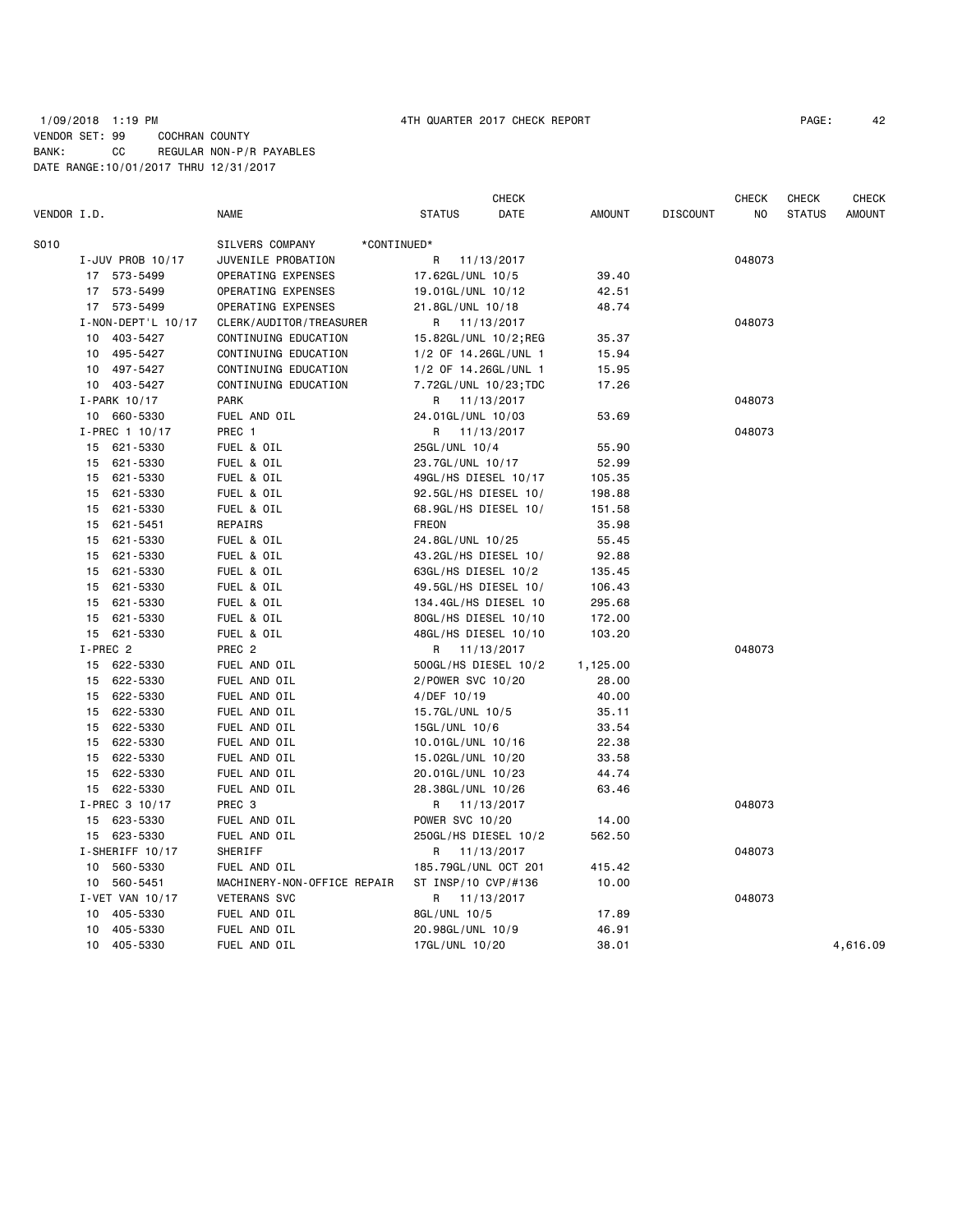# 1/09/2018 1:19 PM 4TH QUARTER 2017 CHECK REPORT PAGE: 42 VENDOR SET: 99 COCHRAN COUNTY BANK: CC REGULAR NON-P/R PAYABLES DATE RANGE:10/01/2017 THRU 12/31/2017

|             |                    |                                | CHECK                  |          |                 | <b>CHECK</b> | CHECK         | <b>CHECK</b>  |
|-------------|--------------------|--------------------------------|------------------------|----------|-----------------|--------------|---------------|---------------|
| VENDOR I.D. |                    | <b>NAME</b>                    | <b>STATUS</b><br>DATE  | AMOUNT   | <b>DISCOUNT</b> | NO.          | <b>STATUS</b> | <b>AMOUNT</b> |
| S010        |                    | SILVERS COMPANY<br>*CONTINUED* |                        |          |                 |              |               |               |
|             | I-JUV PROB 10/17   | JUVENILE PROBATION             | R<br>11/13/2017        |          |                 | 048073       |               |               |
|             | 17 573-5499        | OPERATING EXPENSES             | 17.62GL/UNL 10/5       | 39.40    |                 |              |               |               |
|             | 17 573-5499        | OPERATING EXPENSES             | 19.01GL/UNL 10/12      | 42.51    |                 |              |               |               |
|             | 17 573-5499        | OPERATING EXPENSES             | 21.8GL/UNL 10/18       | 48.74    |                 |              |               |               |
|             | I-NON-DEPT'L 10/17 | CLERK/AUDITOR/TREASURER        | R 11/13/2017           |          |                 | 048073       |               |               |
|             | 10 403-5427        | CONTINUING EDUCATION           | 15.82GL/UNL 10/2;REG   | 35.37    |                 |              |               |               |
|             | 10 495-5427        | CONTINUING EDUCATION           | 1/2 OF 14.26GL/UNL 1   | 15.94    |                 |              |               |               |
|             | 10 497-5427        | CONTINUING EDUCATION           | 1/2 OF 14.26GL/UNL 1   | 15.95    |                 |              |               |               |
|             | 10 403-5427        | CONTINUING EDUCATION           | 7.72GL/UNL 10/23; TDC  | 17.26    |                 |              |               |               |
|             | I-PARK 10/17       | <b>PARK</b>                    | 11/13/2017<br>R.       |          |                 | 048073       |               |               |
|             | 10 660-5330        | FUEL AND OIL                   | 24.01GL/UNL 10/03      | 53.69    |                 |              |               |               |
|             | I-PREC 1 10/17     | PREC 1                         | R 11/13/2017           |          |                 | 048073       |               |               |
|             | 15 621-5330        | FUEL & OIL                     | 25GL/UNL 10/4          | 55.90    |                 |              |               |               |
|             | 15 621-5330        | FUEL & OIL                     | 23.7GL/UNL 10/17       | 52.99    |                 |              |               |               |
|             | 15 621-5330        | FUEL & OIL                     | 49GL/HS DIESEL 10/17   | 105.35   |                 |              |               |               |
|             | 621-5330<br>15     | FUEL & OIL                     | 92.5GL/HS DIESEL 10/   | 198.88   |                 |              |               |               |
|             | 15 621-5330        | FUEL & OIL                     | 68.9GL/HS DIESEL 10/   | 151.58   |                 |              |               |               |
|             | 15 621-5451        | REPAIRS                        | <b>FREON</b>           | 35.98    |                 |              |               |               |
|             | 621-5330<br>15     | FUEL & OIL                     | 24.8GL/UNL 10/25       | 55.45    |                 |              |               |               |
|             | 621-5330<br>15     | FUEL & OIL                     | 43.2GL/HS DIESEL 10/   | 92.88    |                 |              |               |               |
|             | 621-5330<br>15     | FUEL & OIL                     | 63GL/HS DIESEL 10/2    | 135.45   |                 |              |               |               |
|             | 15 621-5330        | FUEL & OIL                     | 49.5GL/HS DIESEL 10/   | 106.43   |                 |              |               |               |
|             | 621-5330<br>15     | FUEL & OIL                     | 134.4GL/HS DIESEL 10   | 295.68   |                 |              |               |               |
|             | 621-5330<br>15     | FUEL & OIL                     | 80GL/HS DIESEL 10/10   | 172.00   |                 |              |               |               |
|             | 15 621-5330        | FUEL & OIL                     | 48GL/HS DIESEL 10/10   | 103.20   |                 |              |               |               |
|             | I-PREC 2           | PREC <sub>2</sub>              | R 11/13/2017           |          |                 | 048073       |               |               |
|             | 15 622-5330        | FUEL AND OIL                   | 500GL/HS DIESEL 10/2   | 1,125.00 |                 |              |               |               |
|             | 15 622-5330        | FUEL AND OIL                   | 2/POWER SVC 10/20      | 28.00    |                 |              |               |               |
|             | 15 622-5330        | FUEL AND OIL                   | 4/DEF 10/19            | 40.00    |                 |              |               |               |
|             | 15 622-5330        | FUEL AND OIL                   | 15.7GL/UNL 10/5        | 35.11    |                 |              |               |               |
|             | 15 622-5330        | FUEL AND OIL                   | 15GL/UNL 10/6          | 33.54    |                 |              |               |               |
|             | 15 622-5330        | FUEL AND OIL                   | 10.01GL/UNL 10/16      | 22.38    |                 |              |               |               |
|             | 15 622-5330        | FUEL AND OIL                   | 15.02GL/UNL 10/20      | 33.58    |                 |              |               |               |
|             | 15 622-5330        | FUEL AND OIL                   | 20.01GL/UNL 10/23      | 44.74    |                 |              |               |               |
|             | 15 622-5330        | FUEL AND OIL                   | 28.38GL/UNL 10/26      | 63.46    |                 |              |               |               |
|             | I-PREC 3 10/17     | PREC <sub>3</sub>              | R 11/13/2017           |          |                 | 048073       |               |               |
|             | 15 623-5330        | FUEL AND OIL                   | <b>POWER SVC 10/20</b> | 14.00    |                 |              |               |               |
|             | 15 623-5330        | FUEL AND OIL                   | 250GL/HS DIESEL 10/2   | 562.50   |                 |              |               |               |
|             | I-SHERIFF 10/17    | SHERIFF                        | R 11/13/2017           |          |                 | 048073       |               |               |
|             | 10 560-5330        | FUEL AND OIL                   | 185.79GL/UNL OCT 201   | 415.42   |                 |              |               |               |
|             | 10 560-5451        | MACHINERY-NON-OFFICE REPAIR    | ST INSP/10 CVP/#136    | 10.00    |                 |              |               |               |
|             | I-VET VAN 10/17    | <b>VETERANS SVC</b>            | R 11/13/2017           |          |                 | 048073       |               |               |
|             | 10 405-5330        | FUEL AND OIL                   | 8GL/UNL 10/5           | 17.89    |                 |              |               |               |
|             | 405-5330<br>10     | FUEL AND OIL                   | 20.98GL/UNL 10/9       | 46.91    |                 |              |               |               |
|             | 10 405-5330        | FUEL AND OIL                   | 17GL/UNL 10/20         | 38.01    |                 |              |               | 4,616.09      |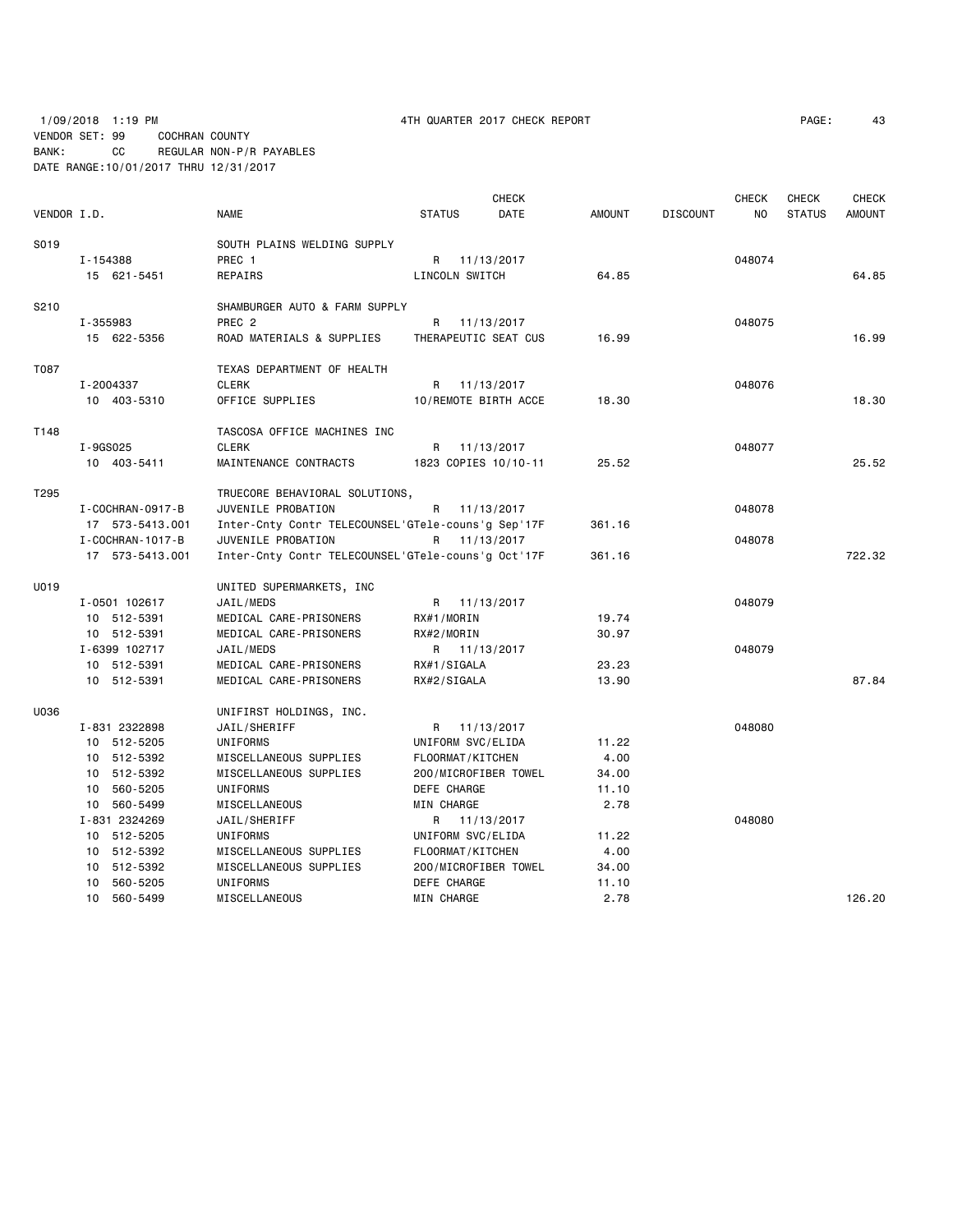1/09/2018 1:19 PM 4TH QUARTER 2017 CHECK REPORT PAGE: 43 VENDOR SET: 99 COCHRAN COUNTY BANK: CC REGULAR NON-P/R PAYABLES DATE RANGE:10/01/2017 THRU 12/31/2017

|             | <b>CHECK</b>           |                                                    |                      |            |               | <b>CHECK</b>    | <b>CHECK</b> | <b>CHECK</b>  |               |
|-------------|------------------------|----------------------------------------------------|----------------------|------------|---------------|-----------------|--------------|---------------|---------------|
| VENDOR I.D. |                        | <b>NAME</b>                                        | <b>STATUS</b>        | DATE       | <b>AMOUNT</b> | <b>DISCOUNT</b> | NO           | <b>STATUS</b> | <b>AMOUNT</b> |
| S019        |                        | SOUTH PLAINS WELDING SUPPLY                        |                      |            |               |                 |              |               |               |
|             | I-154388               | PREC <sub>1</sub>                                  | R 11/13/2017         |            |               |                 | 048074       |               |               |
|             | 15 621-5451            | REPAIRS                                            | LINCOLN SWITCH       |            | 64.85         |                 |              |               | 64.85         |
|             |                        |                                                    |                      |            |               |                 |              |               |               |
| S210        |                        | SHAMBURGER AUTO & FARM SUPPLY                      |                      |            |               |                 |              |               |               |
|             | I-355983               | PREC <sub>2</sub>                                  | R 11/13/2017         |            |               |                 | 048075       |               |               |
|             | 15 622-5356            | ROAD MATERIALS & SUPPLIES                          | THERAPEUTIC SEAT CUS |            | 16.99         |                 |              |               | 16.99         |
| T087        |                        | TEXAS DEPARTMENT OF HEALTH                         |                      |            |               |                 |              |               |               |
|             | I-2004337              | <b>CLERK</b>                                       | R                    | 11/13/2017 |               |                 | 048076       |               |               |
|             | 10 403-5310            | OFFICE SUPPLIES                                    | 10/REMOTE BIRTH ACCE |            | 18.30         |                 |              |               | 18.30         |
|             |                        |                                                    |                      |            |               |                 |              |               |               |
| T148        |                        | TASCOSA OFFICE MACHINES INC                        |                      |            |               |                 |              |               |               |
|             | I-9GS025               | <b>CLERK</b>                                       | R                    | 11/13/2017 |               |                 | 048077       |               |               |
|             | 10 403-5411            | MAINTENANCE CONTRACTS                              | 1823 COPIES 10/10-11 |            | 25.52         |                 |              |               | 25.52         |
| T295        |                        | TRUECORE BEHAVIORAL SOLUTIONS,                     |                      |            |               |                 |              |               |               |
|             | I - COCHRAN - 0917 - B | JUVENILE PROBATION                                 | R                    | 11/13/2017 |               |                 | 048078       |               |               |
|             | 17 573-5413.001        | Inter-Cnty Contr TELECOUNSEL'GTele-couns'g Sep'17F |                      |            | 361.16        |                 |              |               |               |
|             | I - COCHRAN - 1017 - B | JUVENILE PROBATION                                 | R 11/13/2017         |            |               |                 | 048078       |               |               |
|             | 17 573-5413.001        | Inter-Cnty Contr TELECOUNSEL'GTele-couns'g Oct'17F |                      |            | 361.16        |                 |              |               | 722.32        |
|             |                        |                                                    |                      |            |               |                 |              |               |               |
| U019        |                        | UNITED SUPERMARKETS, INC                           |                      |            |               |                 |              |               |               |
|             | I-0501 102617          | JAIL/MEDS                                          | R 11/13/2017         |            |               |                 | 048079       |               |               |
|             | 10 512-5391            | MEDICAL CARE-PRISONERS                             | RX#1/MORIN           |            | 19.74         |                 |              |               |               |
|             | 10 512-5391            | MEDICAL CARE-PRISONERS                             | RX#2/MORIN           |            | 30.97         |                 |              |               |               |
|             | I-6399 102717          | JAIL/MEDS                                          | R 11/13/2017         |            |               |                 | 048079       |               |               |
|             | 10 512-5391            | MEDICAL CARE-PRISONERS                             | RX#1/SIGALA          |            | 23.23         |                 |              |               |               |
|             | 10 512-5391            | MEDICAL CARE-PRISONERS                             | RX#2/SIGALA          |            | 13.90         |                 |              |               | 87.84         |
| U036        |                        | UNIFIRST HOLDINGS, INC.                            |                      |            |               |                 |              |               |               |
|             | I-831 2322898          | JAIL/SHERIFF                                       | R 11/13/2017         |            |               |                 | 048080       |               |               |
|             | 10 512-5205            | UNIFORMS                                           | UNIFORM SVC/ELIDA    |            | 11.22         |                 |              |               |               |
|             | 10 512-5392            | MISCELLANEOUS SUPPLIES                             | FLOORMAT/KITCHEN     |            | 4.00          |                 |              |               |               |
|             | 10 512-5392            | MISCELLANEOUS SUPPLIES                             | 200/MICROFIBER TOWEL |            | 34.00         |                 |              |               |               |
|             | 10 560-5205            | UNIFORMS                                           | DEFE CHARGE          |            | 11.10         |                 |              |               |               |
|             | 10 560-5499            | MISCELLANEOUS                                      | MIN CHARGE           |            | 2.78          |                 |              |               |               |
|             | I-831 2324269          | JAIL/SHERIFF                                       | R 11/13/2017         |            |               |                 | 048080       |               |               |
|             | 10 512-5205            | UNIFORMS                                           | UNIFORM SVC/ELIDA    |            | 11.22         |                 |              |               |               |
|             | 10 512-5392            | MISCELLANEOUS SUPPLIES                             | FLOORMAT/KITCHEN     |            | 4.00          |                 |              |               |               |
|             | 10 512-5392            | MISCELLANEOUS SUPPLIES                             | 200/MICROFIBER TOWEL |            | 34.00         |                 |              |               |               |
|             | 10 560-5205            | <b>UNIFORMS</b>                                    | DEFE CHARGE          |            | 11.10         |                 |              |               |               |
|             | 10 560-5499            | <b>MISCELLANEOUS</b>                               | MIN CHARGE           |            | 2.78          |                 |              |               | 126.20        |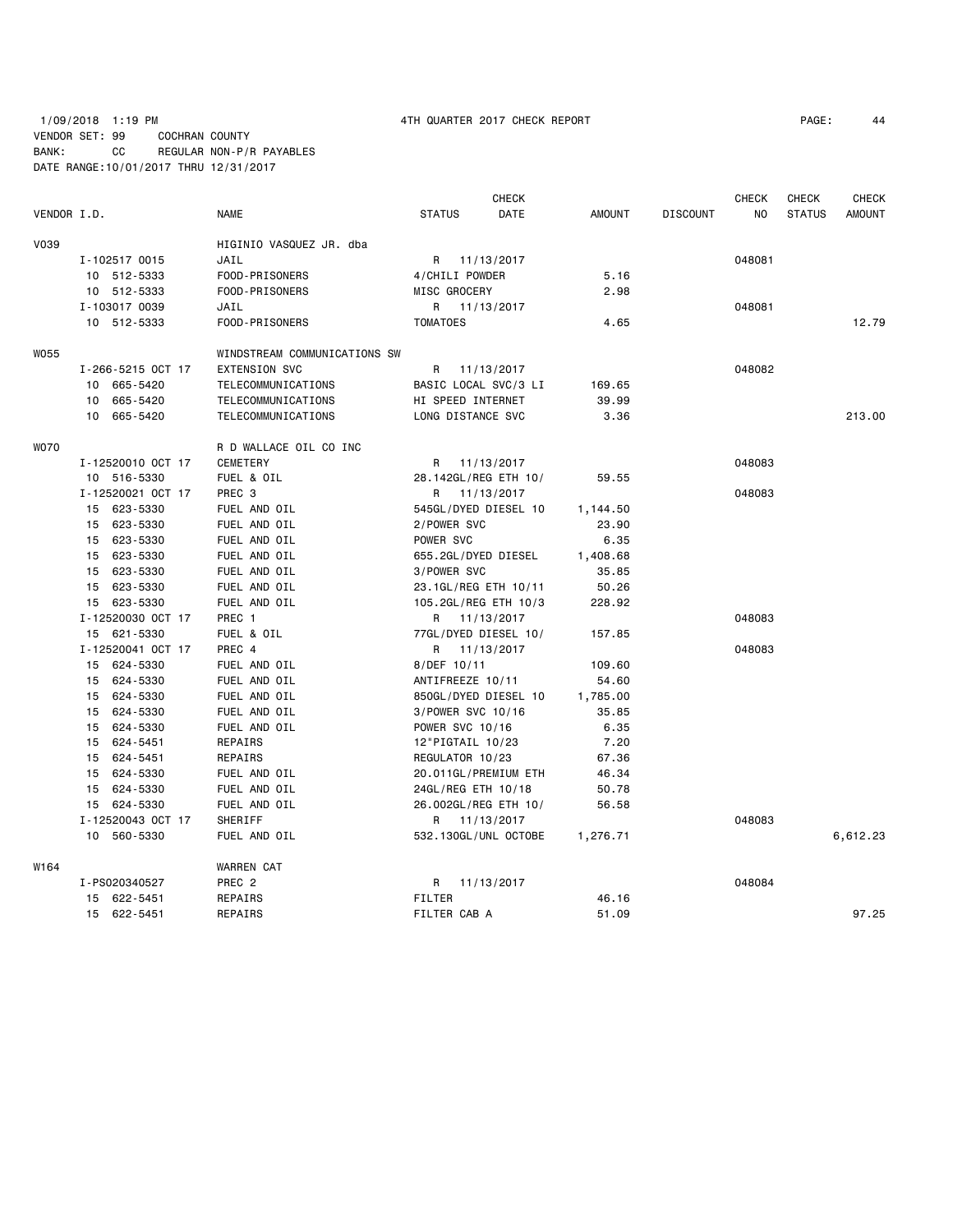# 1/09/2018 1:19 PM 4TH QUARTER 2017 CHECK REPORT PAGE: 44 VENDOR SET: 99 COCHRAN COUNTY BANK: CC REGULAR NON-P/R PAYABLES DATE RANGE:10/01/2017 THRU 12/31/2017

|             |                   |                              |                        | <b>CHECK</b> |               |                 | <b>CHECK</b> | <b>CHECK</b>  | CHECK         |
|-------------|-------------------|------------------------------|------------------------|--------------|---------------|-----------------|--------------|---------------|---------------|
| VENDOR I.D. |                   | NAME                         | <b>STATUS</b>          | DATE         | <b>AMOUNT</b> | <b>DISCOUNT</b> | NO.          | <b>STATUS</b> | <b>AMOUNT</b> |
| V039        |                   | HIGINIO VASQUEZ JR. dba      |                        |              |               |                 |              |               |               |
|             | I-102517 0015     | JAIL                         | R 11/13/2017           |              |               |                 | 048081       |               |               |
|             | 10 512-5333       | FOOD-PRISONERS               | 4/CHILI POWDER         |              | 5.16          |                 |              |               |               |
|             | 10 512-5333       | FOOD-PRISONERS               | MISC GROCERY           |              | 2.98          |                 |              |               |               |
|             | I-103017 0039     | JAIL                         | R 11/13/2017           |              |               |                 | 048081       |               |               |
|             | 10 512-5333       | FOOD-PRISONERS               | <b>TOMATOES</b>        |              | 4.65          |                 |              |               | 12.79         |
| W055        |                   | WINDSTREAM COMMUNICATIONS SW |                        |              |               |                 |              |               |               |
|             | I-266-5215 OCT 17 | <b>EXTENSION SVC</b>         | R                      | 11/13/2017   |               |                 | 048082       |               |               |
|             | 10 665-5420       | TELECOMMUNICATIONS           | BASIC LOCAL SVC/3 LI   |              | 169.65        |                 |              |               |               |
|             | 10 665-5420       | TELECOMMUNICATIONS           | HI SPEED INTERNET      |              | 39.99         |                 |              |               |               |
|             | 10 665-5420       | TELECOMMUNICATIONS           | LONG DISTANCE SVC      |              | 3.36          |                 |              |               | 213.00        |
| <b>WO70</b> |                   | R D WALLACE OIL CO INC       |                        |              |               |                 |              |               |               |
|             | I-12520010 OCT 17 | <b>CEMETERY</b>              | R 11/13/2017           |              |               |                 | 048083       |               |               |
|             | 10 516-5330       | FUEL & OIL                   | 28.142GL/REG ETH 10/   |              | 59.55         |                 |              |               |               |
|             | I-12520021 OCT 17 | PREC <sub>3</sub>            | R 11/13/2017           |              |               |                 | 048083       |               |               |
|             | 15 623-5330       | FUEL AND OIL                 | 545GL/DYED DIESEL 10   |              | 1,144.50      |                 |              |               |               |
|             | 15 623-5330       | FUEL AND OIL                 | 2/POWER SVC            |              | 23.90         |                 |              |               |               |
|             | 15 623-5330       | FUEL AND OIL                 | POWER SVC              |              | 6.35          |                 |              |               |               |
|             | 15 623-5330       | FUEL AND OIL                 | 655.2GL/DYED DIESEL    |              | 1,408.68      |                 |              |               |               |
|             | 15 623-5330       | FUEL AND OIL                 | 3/POWER SVC            |              | 35.85         |                 |              |               |               |
|             | 15 623-5330       | FUEL AND OIL                 | 23.1GL/REG ETH 10/11   |              | 50.26         |                 |              |               |               |
|             | 15 623-5330       | FUEL AND OIL                 | 105.2GL/REG ETH 10/3   |              | 228.92        |                 |              |               |               |
|             | I-12520030 OCT 17 | PREC 1                       | R 11/13/2017           |              |               |                 | 048083       |               |               |
|             | 15 621-5330       | FUEL & OIL                   | 77GL/DYED DIESEL 10/   |              | 157.85        |                 |              |               |               |
|             | I-12520041 OCT 17 | PREC 4                       | R 11/13/2017           |              |               |                 | 048083       |               |               |
|             | 15 624-5330       | FUEL AND OIL                 | 8/DEF 10/11            |              | 109.60        |                 |              |               |               |
|             | 15 624-5330       | FUEL AND OIL                 | ANTIFREEZE 10/11       |              | 54.60         |                 |              |               |               |
|             | 15 624-5330       | FUEL AND OIL                 | 850GL/DYED DIESEL 10   |              | 1,785.00      |                 |              |               |               |
|             | 15 624-5330       | FUEL AND OIL                 | 3/POWER SVC 10/16      |              | 35.85         |                 |              |               |               |
|             | 15 624-5330       | FUEL AND OIL                 | <b>POWER SVC 10/16</b> |              | 6.35          |                 |              |               |               |
|             | 15 624-5451       | REPAIRS                      | 12"PIGTAIL 10/23       |              | 7.20          |                 |              |               |               |
|             | 15 624-5451       | REPAIRS                      | REGULATOR 10/23        |              | 67.36         |                 |              |               |               |
|             | 15 624-5330       | FUEL AND OIL                 | 20.011GL/PREMIUM ETH   |              | 46.34         |                 |              |               |               |
|             | 15 624-5330       | FUEL AND OIL                 | 24GL/REG ETH 10/18     |              | 50.78         |                 |              |               |               |
|             | 15 624-5330       | FUEL AND OIL                 | 26.002GL/REG ETH 10/   |              | 56.58         |                 |              |               |               |
|             | I-12520043 OCT 17 | SHERIFF                      | R 11/13/2017           |              |               |                 | 048083       |               |               |
|             | 10 560-5330       | FUEL AND OIL                 | 532.130GL/UNL OCTOBE   |              | 1,276.71      |                 |              |               | 6,612.23      |
| W164        |                   | <b>WARREN CAT</b>            |                        |              |               |                 |              |               |               |
|             | I-PS020340527     | PREC <sub>2</sub>            | R                      | 11/13/2017   |               |                 | 048084       |               |               |
|             | 15 622-5451       | REPAIRS                      | <b>FILTER</b>          |              | 46.16         |                 |              |               |               |
|             | 15 622-5451       | <b>REPAIRS</b>               | FILTER CAB A           |              | 51.09         |                 |              |               | 97.25         |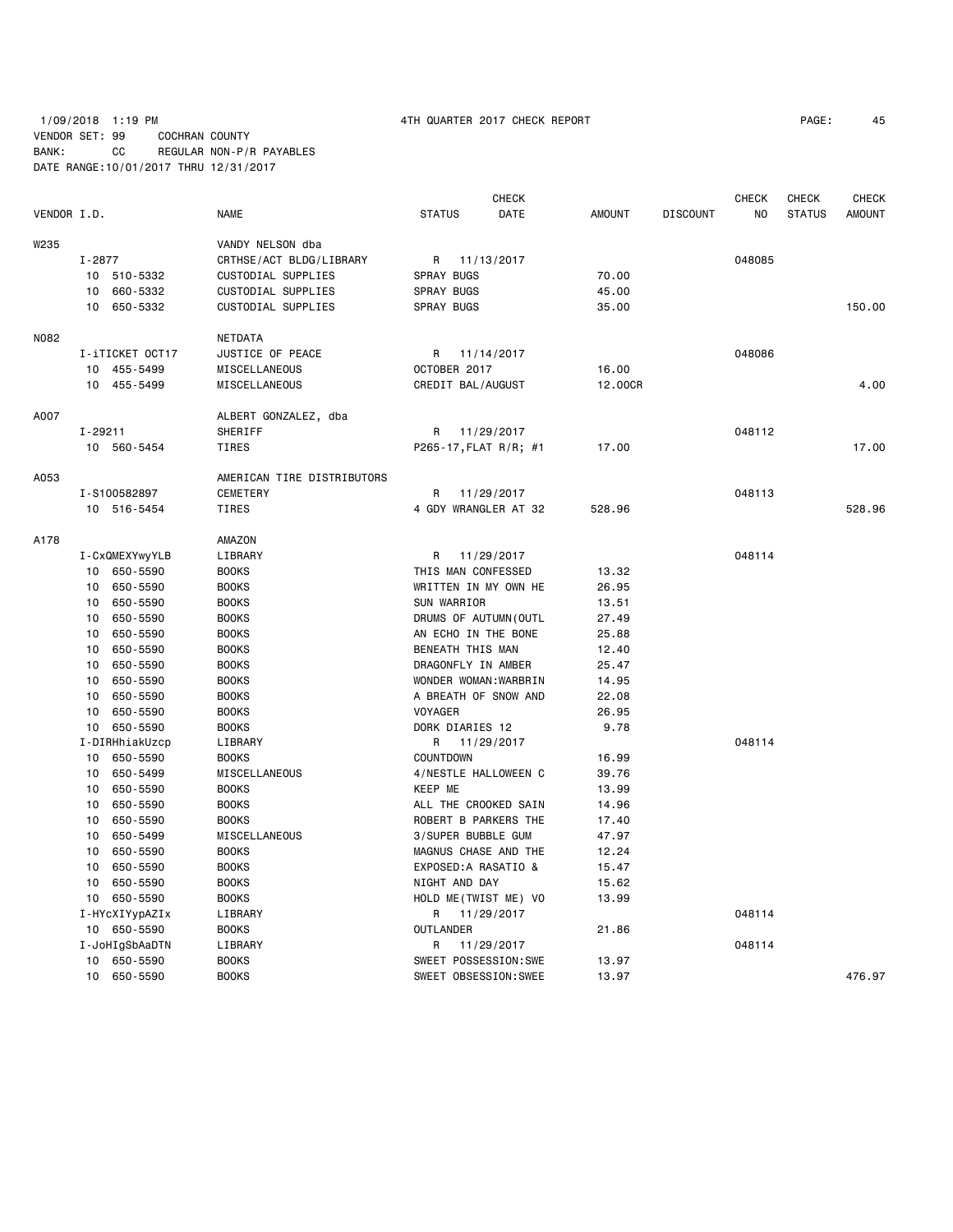# 1/09/2018 1:19 PM 4TH QUARTER 2017 CHECK REPORT PAGE: 45 VENDOR SET: 99 COCHRAN COUNTY BANK: CC REGULAR NON-P/R PAYABLES DATE RANGE:10/01/2017 THRU 12/31/2017

|             |                 |                            |                       | CHECK      |               |                 | CHECK  | CHECK         | CHECK         |
|-------------|-----------------|----------------------------|-----------------------|------------|---------------|-----------------|--------|---------------|---------------|
| VENDOR I.D. |                 | <b>NAME</b>                | <b>STATUS</b>         | DATE       | <b>AMOUNT</b> | <b>DISCOUNT</b> | NO.    | <b>STATUS</b> | <b>AMOUNT</b> |
| W235        |                 | VANDY NELSON dba           |                       |            |               |                 |        |               |               |
|             | I-2877          | CRTHSE/ACT BLDG/LIBRARY    | R                     | 11/13/2017 |               |                 | 048085 |               |               |
|             | 10 510-5332     | CUSTODIAL SUPPLIES         | <b>SPRAY BUGS</b>     |            | 70.00         |                 |        |               |               |
|             | 10 660-5332     | CUSTODIAL SUPPLIES         | <b>SPRAY BUGS</b>     |            | 45.00         |                 |        |               |               |
|             | 10 650-5332     | CUSTODIAL SUPPLIES         | <b>SPRAY BUGS</b>     |            | 35.00         |                 |        |               | 150.00        |
| N082        |                 | NETDATA                    |                       |            |               |                 |        |               |               |
|             | I-iTICKET OCT17 | JUSTICE OF PEACE           | R 11/14/2017          |            |               |                 | 048086 |               |               |
|             | 10 455-5499     | MISCELLANEOUS              | OCTOBER 2017          |            | 16.00         |                 |        |               |               |
|             | 10 455-5499     | MISCELLANEOUS              | CREDIT BAL/AUGUST     |            | 12.00CR       |                 |        |               | 4.00          |
| A007        |                 | ALBERT GONZALEZ, dba       |                       |            |               |                 |        |               |               |
|             | $I - 29211$     | SHERIFF                    | R                     | 11/29/2017 |               |                 | 048112 |               |               |
|             | 10 560-5454     | TIRES                      | P265-17, FLAT R/R; #1 |            | 17.00         |                 |        |               | 17.00         |
| A053        |                 | AMERICAN TIRE DISTRIBUTORS |                       |            |               |                 |        |               |               |
|             | I-S100582897    | <b>CEMETERY</b>            | R                     | 11/29/2017 |               |                 | 048113 |               |               |
|             | 10 516-5454     | TIRES                      | 4 GDY WRANGLER AT 32  |            | 528.96        |                 |        |               | 528.96        |
| A178        |                 | AMAZON                     |                       |            |               |                 |        |               |               |
|             | I-CxQMEXYwyYLB  | LIBRARY                    | R                     | 11/29/2017 |               |                 | 048114 |               |               |
|             | 10 650-5590     | <b>BOOKS</b>               | THIS MAN CONFESSED    |            | 13.32         |                 |        |               |               |
|             | 10<br>650-5590  | <b>BOOKS</b>               | WRITTEN IN MY OWN HE  |            | 26.95         |                 |        |               |               |
|             | 10<br>650-5590  | <b>BOOKS</b>               | SUN WARRIOR           |            | 13.51         |                 |        |               |               |
|             | 650-5590<br>10  | <b>BOOKS</b>               | DRUMS OF AUTUMN (OUTL |            | 27.49         |                 |        |               |               |
|             | 650-5590<br>10  | <b>BOOKS</b>               | AN ECHO IN THE BONE   |            | 25.88         |                 |        |               |               |
|             | 650-5590<br>10  | <b>BOOKS</b>               | BENEATH THIS MAN      |            | 12.40         |                 |        |               |               |
|             | 10<br>650-5590  | <b>BOOKS</b>               | DRAGONFLY IN AMBER    |            | 25.47         |                 |        |               |               |
|             | 10<br>650-5590  | <b>BOOKS</b>               | WONDER WOMAN: WARBRIN |            | 14.95         |                 |        |               |               |
|             | 650-5590<br>10  | <b>BOOKS</b>               | A BREATH OF SNOW AND  |            | 22.08         |                 |        |               |               |
|             | 10<br>650-5590  | <b>BOOKS</b>               | <b>VOYAGER</b>        |            | 26.95         |                 |        |               |               |
|             | 650-5590<br>10  | <b>BOOKS</b>               | DORK DIARIES 12       |            | 9.78          |                 |        |               |               |
|             | I-DIRHhiakUzcp  | LIBRARY                    | R                     | 11/29/2017 |               |                 | 048114 |               |               |
|             | 10<br>650-5590  | <b>BOOKS</b>               | COUNTDOWN             |            | 16.99         |                 |        |               |               |
|             | 10<br>650-5499  | MISCELLANEOUS              | 4/NESTLE HALLOWEEN C  |            | 39.76         |                 |        |               |               |
|             | 650-5590<br>10  | <b>BOOKS</b>               | <b>KEEP ME</b>        |            | 13.99         |                 |        |               |               |
|             | 650-5590<br>10  | <b>BOOKS</b>               | ALL THE CROOKED SAIN  |            | 14.96         |                 |        |               |               |
|             | 650-5590<br>10  | <b>BOOKS</b>               | ROBERT B PARKERS THE  |            | 17.40         |                 |        |               |               |
|             | 650-5499<br>10  | <b>MISCELLANEOUS</b>       | 3/SUPER BUBBLE GUM    |            | 47.97         |                 |        |               |               |
|             | 10<br>650-5590  | <b>BOOKS</b>               | MAGNUS CHASE AND THE  |            | 12.24         |                 |        |               |               |
|             | 650-5590<br>10  | <b>BOOKS</b>               | EXPOSED: A RASATIO &  |            | 15.47         |                 |        |               |               |
|             | 650-5590<br>10  | <b>BOOKS</b>               | NIGHT AND DAY         |            | 15.62         |                 |        |               |               |
|             | 10 650-5590     | <b>BOOKS</b>               | HOLD ME(TWIST ME) VO  |            | 13.99         |                 |        |               |               |
|             | I-HYCXIYypAZIx  | LIBRARY                    | R 11/29/2017          |            |               |                 | 048114 |               |               |
|             | 10 650-5590     | <b>BOOKS</b>               | <b>OUTLANDER</b>      |            | 21.86         |                 |        |               |               |
|             | I-JoHIgSbAaDTN  | LIBRARY                    | R.                    | 11/29/2017 |               |                 | 048114 |               |               |
|             | 10 650-5590     | <b>BOOKS</b>               | SWEET POSSESSION: SWE |            | 13.97         |                 |        |               |               |
|             | 10<br>650-5590  | <b>BOOKS</b>               | SWEET OBSESSION:SWEE  |            | 13.97         |                 |        |               | 476.97        |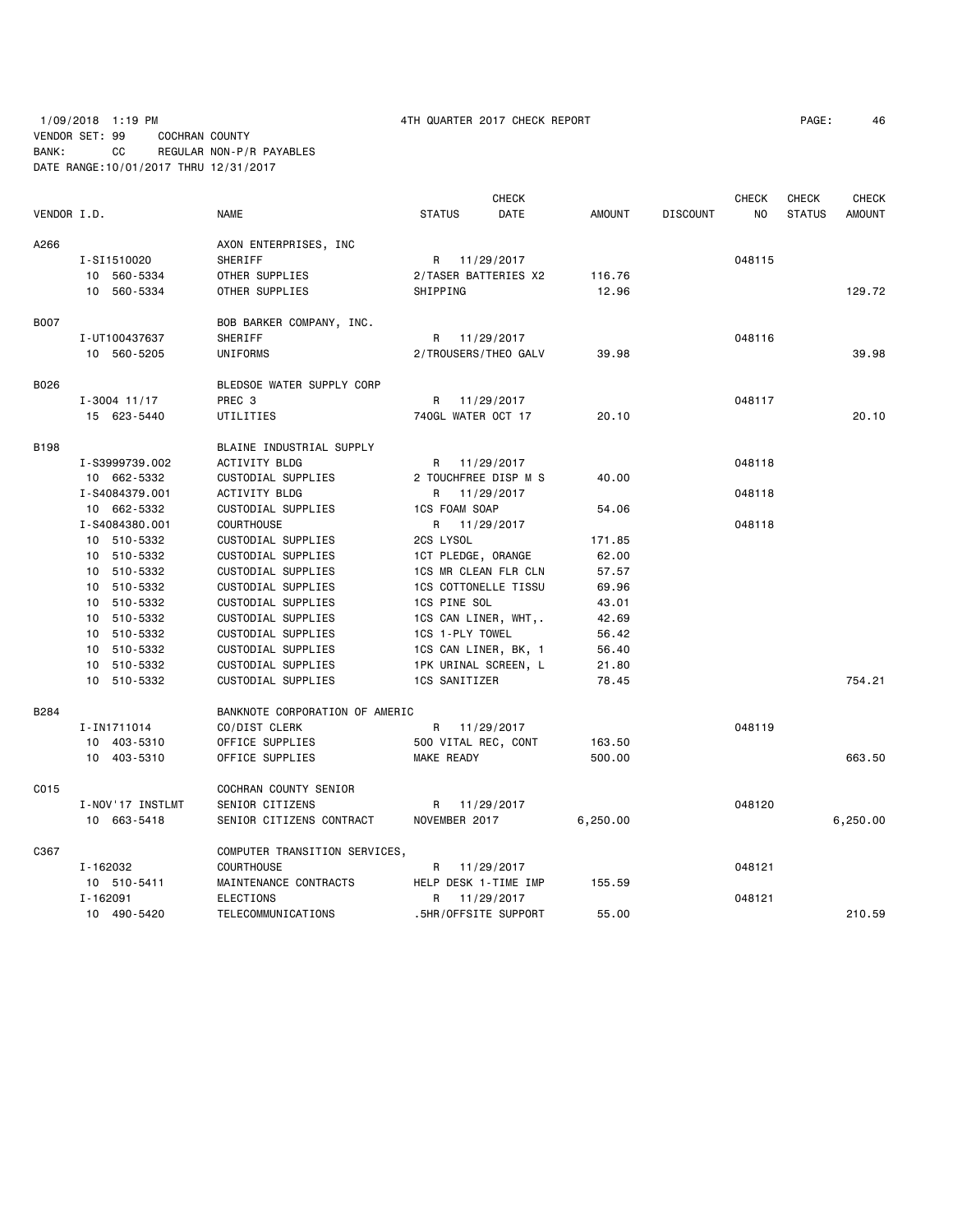# 1/09/2018 1:19 PM 4TH QUARTER 2017 CHECK REPORT PAGE: 46 VENDOR SET: 99 COCHRAN COUNTY BANK: CC REGULAR NON-P/R PAYABLES DATE RANGE:10/01/2017 THRU 12/31/2017

|             |                  |                                | <b>CHECK</b>                |               |                 | <b>CHECK</b> | CHECK         | <b>CHECK</b>  |
|-------------|------------------|--------------------------------|-----------------------------|---------------|-----------------|--------------|---------------|---------------|
| VENDOR I.D. |                  | NAME                           | DATE<br><b>STATUS</b>       | <b>AMOUNT</b> | <b>DISCOUNT</b> | <b>NO</b>    | <b>STATUS</b> | <b>AMOUNT</b> |
| A266        |                  | AXON ENTERPRISES, INC          |                             |               |                 |              |               |               |
|             | I-SI1510020      | SHERIFF                        | R 11/29/2017                |               |                 | 048115       |               |               |
|             | 10 560-5334      | OTHER SUPPLIES                 | 2/TASER BATTERIES X2        | 116.76        |                 |              |               |               |
|             | 10 560-5334      | OTHER SUPPLIES                 | SHIPPING                    | 12.96         |                 |              |               | 129.72        |
| <b>B007</b> |                  | BOB BARKER COMPANY, INC.       |                             |               |                 |              |               |               |
|             | I-UT100437637    | SHERIFF                        | R 11/29/2017                |               |                 | 048116       |               |               |
|             | 10 560-5205      | UNIFORMS                       | 2/TROUSERS/THEO GALV        | 39.98         |                 |              |               | 39.98         |
| B026        |                  | BLEDSOE WATER SUPPLY CORP      |                             |               |                 |              |               |               |
|             | $I - 3004$ 11/17 | PREC <sub>3</sub>              | R 11/29/2017                |               |                 | 048117       |               |               |
|             | 15 623-5440      | UTILITIES                      | 740GL WATER OCT 17          | 20.10         |                 |              |               | 20.10         |
| <b>B198</b> |                  | BLAINE INDUSTRIAL SUPPLY       |                             |               |                 |              |               |               |
|             | I-S3999739.002   | <b>ACTIVITY BLDG</b>           | R 11/29/2017                |               |                 | 048118       |               |               |
|             | 10 662-5332      | CUSTODIAL SUPPLIES             | 2 TOUCHFREE DISP M S        | 40.00         |                 |              |               |               |
|             | I-S4084379.001   | <b>ACTIVITY BLDG</b>           | R 11/29/2017                |               |                 | 048118       |               |               |
|             | 10 662-5332      | CUSTODIAL SUPPLIES             | 1CS FOAM SOAP               | 54.06         |                 |              |               |               |
|             | I-S4084380.001   | <b>COURTHOUSE</b>              | R 11/29/2017                |               |                 | 048118       |               |               |
|             | 10 510-5332      | CUSTODIAL SUPPLIES             | 2CS LYSOL                   | 171.85        |                 |              |               |               |
|             | 10 510-5332      | CUSTODIAL SUPPLIES             | 1CT PLEDGE, ORANGE          | 62.00         |                 |              |               |               |
|             | 10 510-5332      | CUSTODIAL SUPPLIES             | 1CS MR CLEAN FLR CLN        | 57.57         |                 |              |               |               |
|             | 10 510-5332      | CUSTODIAL SUPPLIES             | <b>1CS COTTONELLE TISSU</b> | 69.96         |                 |              |               |               |
|             | 10 510-5332      | CUSTODIAL SUPPLIES             | 1CS PINE SOL                | 43.01         |                 |              |               |               |
|             | 10 510-5332      | CUSTODIAL SUPPLIES             | 1CS CAN LINER, WHT,.        | 42.69         |                 |              |               |               |
|             | 10 510-5332      | CUSTODIAL SUPPLIES             | 1CS 1-PLY TOWEL             | 56.42         |                 |              |               |               |
|             | 10 510-5332      | CUSTODIAL SUPPLIES             | 1CS CAN LINER, BK, 1        | 56.40         |                 |              |               |               |
|             | 10 510-5332      | CUSTODIAL SUPPLIES             | 1PK URINAL SCREEN, L        | 21.80         |                 |              |               |               |
|             | 10 510-5332      | CUSTODIAL SUPPLIES             | 1CS SANITIZER               | 78.45         |                 |              |               | 754.21        |
| B284        |                  | BANKNOTE CORPORATION OF AMERIC |                             |               |                 |              |               |               |
|             | I-IN1711014      | CO/DIST CLERK                  | R 11/29/2017                |               |                 | 048119       |               |               |
|             | 10 403-5310      | OFFICE SUPPLIES                | 500 VITAL REC, CONT         | 163.50        |                 |              |               |               |
|             | 10 403-5310      | OFFICE SUPPLIES                | MAKE READY                  | 500.00        |                 |              |               | 663.50        |
| C015        |                  | COCHRAN COUNTY SENIOR          |                             |               |                 |              |               |               |
|             | I-NOV'17 INSTLMT | SENIOR CITIZENS                | R 11/29/2017                |               |                 | 048120       |               |               |
|             | 10 663-5418      | SENIOR CITIZENS CONTRACT       | NOVEMBER 2017               | 6,250.00      |                 |              |               | 6,250.00      |
| C367        |                  | COMPUTER TRANSITION SERVICES,  |                             |               |                 |              |               |               |
|             | I-162032         | <b>COURTHOUSE</b>              | R 11/29/2017                |               |                 | 048121       |               |               |
|             | 10 510-5411      | MAINTENANCE CONTRACTS          | HELP DESK 1-TIME IMP        | 155.59        |                 |              |               |               |
|             | I-162091         | ELECTIONS                      | 11/29/2017<br>R             |               |                 | 048121       |               |               |
|             | 10 490-5420      | TELECOMMUNICATIONS             | .5HR/OFFSITE SUPPORT        | 55.00         |                 |              |               | 210.59        |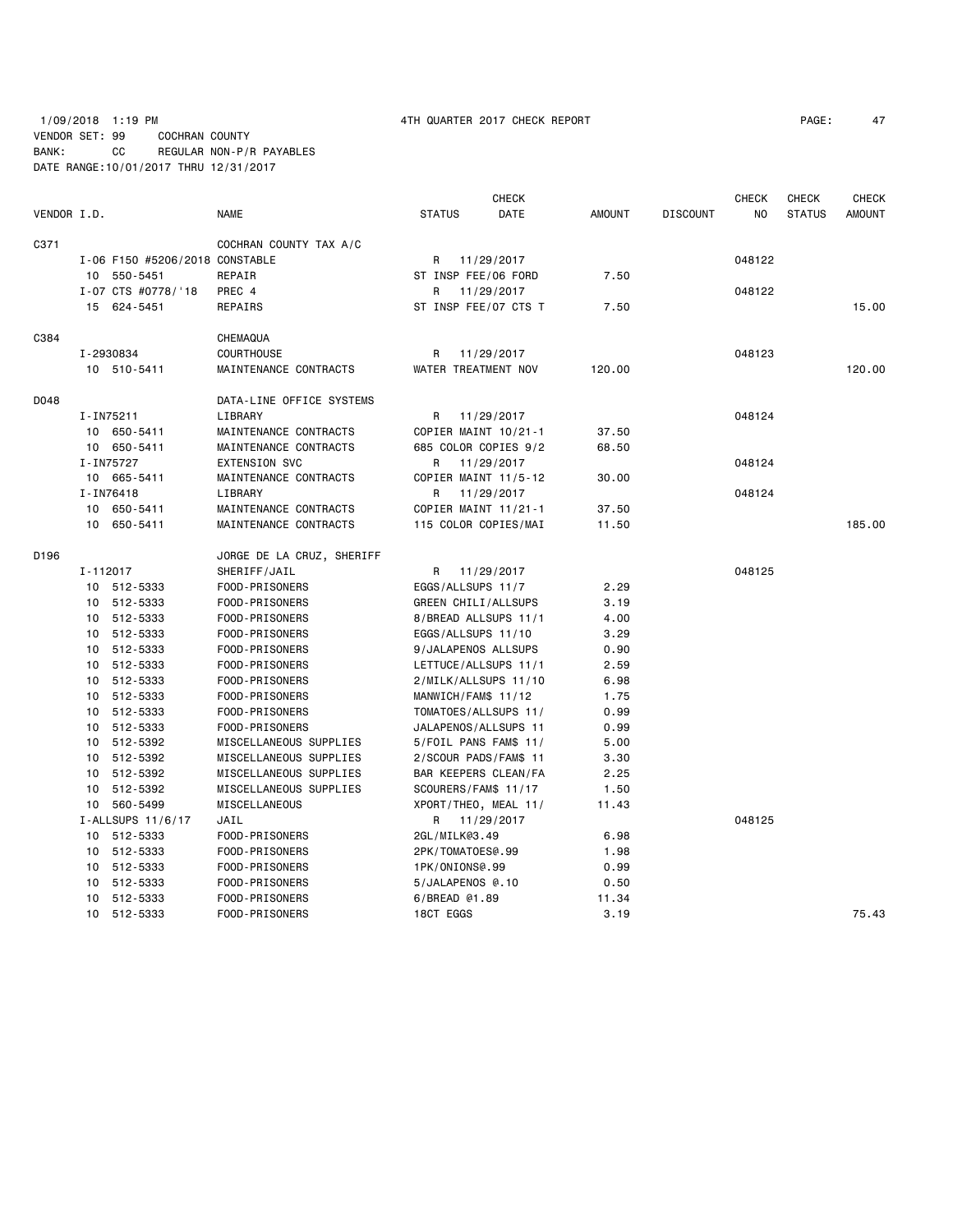1/09/2018 1:19 PM 4TH QUARTER 2017 CHECK REPORT PAGE: 47 VENDOR SET: 99 COCHRAN COUNTY BANK: CC REGULAR NON-P/R PAYABLES DATE RANGE:10/01/2017 THRU 12/31/2017

|             |          |                                |                           |                     | <b>CHECK</b>          |               |                 | <b>CHECK</b> | <b>CHECK</b>  | <b>CHECK</b>  |
|-------------|----------|--------------------------------|---------------------------|---------------------|-----------------------|---------------|-----------------|--------------|---------------|---------------|
| VENDOR I.D. |          |                                | NAME                      | <b>STATUS</b>       | DATE                  | <b>AMOUNT</b> | <b>DISCOUNT</b> | NO           | <b>STATUS</b> | <b>AMOUNT</b> |
| C371        |          |                                | COCHRAN COUNTY TAX A/C    |                     |                       |               |                 |              |               |               |
|             |          | I-06 F150 #5206/2018 CONSTABLE |                           | R                   | 11/29/2017            |               |                 | 048122       |               |               |
|             |          | 10 550-5451                    | REPAIR                    |                     | ST INSP FEE/06 FORD   | 7.50          |                 |              |               |               |
|             |          | I-07 CTS #0778/'18             | PREC 4                    | R                   | 11/29/2017            |               |                 | 048122       |               |               |
|             |          | 15 624-5451                    | REPAIRS                   |                     | ST INSP FEE/07 CTS T  | 7.50          |                 |              |               | 15.00         |
| C384        |          |                                | CHEMAQUA                  |                     |                       |               |                 |              |               |               |
|             |          | I-2930834                      | COURTHOUSE                | R                   | 11/29/2017            |               |                 | 048123       |               |               |
|             |          | 10 510-5411                    | MAINTENANCE CONTRACTS     |                     | WATER TREATMENT NOV   | 120.00        |                 |              |               | 120.00        |
| D048        |          |                                | DATA-LINE OFFICE SYSTEMS  |                     |                       |               |                 |              |               |               |
|             |          | I-IN75211                      | LIBRARY                   | R                   | 11/29/2017            |               |                 | 048124       |               |               |
|             |          | 10 650-5411                    | MAINTENANCE CONTRACTS     |                     | COPIER MAINT 10/21-1  | 37.50         |                 |              |               |               |
|             |          | 10 650-5411                    | MAINTENANCE CONTRACTS     |                     | 685 COLOR COPIES 9/2  | 68.50         |                 |              |               |               |
|             |          | I-IN75727                      | <b>EXTENSION SVC</b>      | R                   | 11/29/2017            |               |                 | 048124       |               |               |
|             |          | 10 665-5411                    | MAINTENANCE CONTRACTS     |                     | COPIER MAINT 11/5-12  | 30.00         |                 |              |               |               |
|             |          | I-IN76418                      | LIBRARY                   | R                   | 11/29/2017            |               |                 | 048124       |               |               |
|             |          | 10 650-5411                    | MAINTENANCE CONTRACTS     |                     | COPIER MAINT 11/21-1  | 37.50         |                 |              |               |               |
|             |          | 10 650-5411                    | MAINTENANCE CONTRACTS     |                     | 115 COLOR COPIES/MAI  | 11.50         |                 |              |               | 185.00        |
| D196        |          |                                | JORGE DE LA CRUZ, SHERIFF |                     |                       |               |                 |              |               |               |
|             | I-112017 |                                | SHERIFF/JAIL              | R                   | 11/29/2017            |               |                 | 048125       |               |               |
|             |          | 10 512-5333                    | FOOD-PRISONERS            | EGGS/ALLSUPS 11/7   |                       | 2.29          |                 |              |               |               |
|             |          | 10 512-5333                    | FOOD-PRISONERS            |                     | GREEN CHILI/ALLSUPS   | 3.19          |                 |              |               |               |
|             |          | 10 512-5333                    | FOOD-PRISONERS            |                     | 8/BREAD ALLSUPS 11/1  | 4.00          |                 |              |               |               |
|             |          | 10 512-5333                    | FOOD-PRISONERS            |                     | EGGS/ALLSUPS 11/10    | 3.29          |                 |              |               |               |
|             |          | 10 512-5333                    | FOOD-PRISONERS            |                     | 9/JALAPENOS ALLSUPS   | 0.90          |                 |              |               |               |
|             |          | 10 512-5333                    | FOOD-PRISONERS            |                     | LETTUCE/ALLSUPS 11/1  | 2.59          |                 |              |               |               |
|             |          | 10 512-5333                    | FOOD-PRISONERS            |                     | 2/MILK/ALLSUPS 11/10  | 6.98          |                 |              |               |               |
|             |          | 10 512-5333                    | FOOD-PRISONERS            | MANWICH/FAM\$ 11/12 |                       | 1.75          |                 |              |               |               |
|             |          | 10 512-5333                    | FOOD-PRISONERS            |                     | TOMATOES/ALLSUPS 11/  | 0.99          |                 |              |               |               |
|             |          | 10 512-5333                    | FOOD-PRISONERS            |                     | JALAPENOS/ALLSUPS 11  | 0.99          |                 |              |               |               |
|             |          | 10 512-5392                    | MISCELLANEOUS SUPPLIES    |                     | 5/FOIL PANS FAM\$ 11/ | 5.00          |                 |              |               |               |
|             |          | 10 512-5392                    | MISCELLANEOUS SUPPLIES    |                     | 2/SCOUR PADS/FAM\$ 11 | 3.30          |                 |              |               |               |
|             |          | 10 512-5392                    | MISCELLANEOUS SUPPLIES    |                     | BAR KEEPERS CLEAN/FA  | 2.25          |                 |              |               |               |
|             | 10       | 512-5392                       | MISCELLANEOUS SUPPLIES    |                     | SCOURERS/FAM\$ 11/17  | 1.50          |                 |              |               |               |
|             |          | 10 560-5499                    | MISCELLANEOUS             |                     | XPORT/THEO, MEAL 11/  | 11.43         |                 |              |               |               |
|             |          | I-ALLSUPS 11/6/17              | JAIL                      |                     | R 11/29/2017          |               |                 | 048125       |               |               |
|             |          | 10 512-5333                    | FOOD-PRISONERS            | 2GL/MILK@3.49       |                       | 6.98          |                 |              |               |               |
|             |          | 10 512-5333                    | FOOD-PRISONERS            | 2PK/TOMATOES@.99    |                       | 1.98          |                 |              |               |               |
|             |          | 10 512-5333                    | FOOD-PRISONERS            | 1PK/ONIONS@.99      |                       | 0.99          |                 |              |               |               |
|             |          | 10 512-5333                    | FOOD-PRISONERS            | 5/JALAPENOS @.10    |                       | 0.50          |                 |              |               |               |
|             |          | 10 512-5333                    | FOOD-PRISONERS            | 6/BREAD @1.89       |                       | 11.34         |                 |              |               |               |
|             |          | 10 512-5333                    | FOOD-PRISONERS            | 18CT EGGS           |                       | 3.19          |                 |              |               | 75.43         |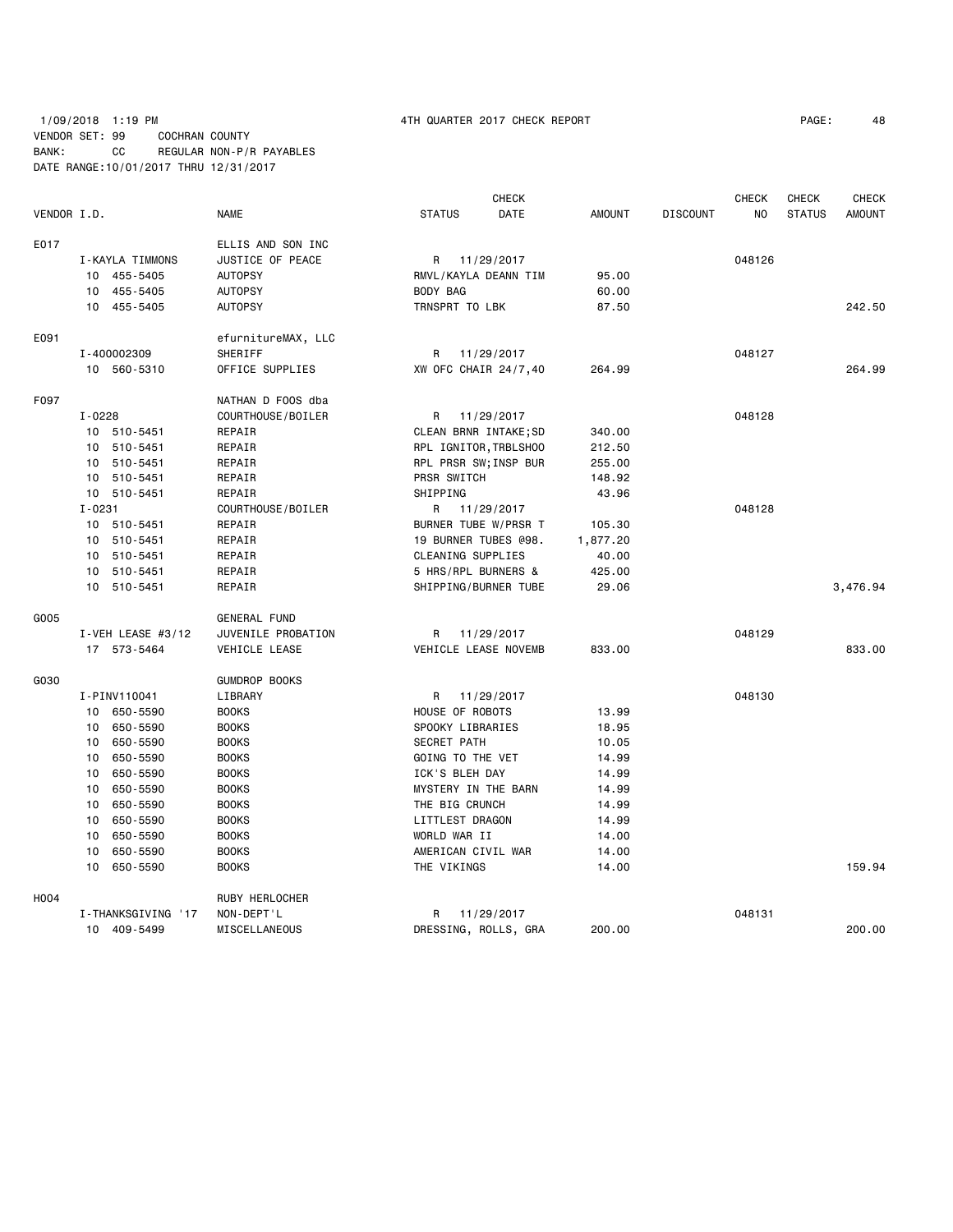# 1/09/2018 1:19 PM 4TH QUARTER 2017 CHECK REPORT PAGE: 48 VENDOR SET: 99 COCHRAN COUNTY BANK: CC REGULAR NON-P/R PAYABLES DATE RANGE:10/01/2017 THRU 12/31/2017

|             |            |                       |                      |                       | <b>CHECK</b> |               |                 | <b>CHECK</b> | CHECK         | <b>CHECK</b>  |
|-------------|------------|-----------------------|----------------------|-----------------------|--------------|---------------|-----------------|--------------|---------------|---------------|
| VENDOR I.D. |            |                       | <b>NAME</b>          | <b>STATUS</b>         | DATE         | <b>AMOUNT</b> | <b>DISCOUNT</b> | NO.          | <b>STATUS</b> | <b>AMOUNT</b> |
| E017        |            |                       | ELLIS AND SON INC    |                       |              |               |                 |              |               |               |
|             |            | I-KAYLA TIMMONS       | JUSTICE OF PEACE     | R 11/29/2017          |              |               |                 | 048126       |               |               |
|             |            | 10 455-5405           | <b>AUTOPSY</b>       | RMVL/KAYLA DEANN TIM  |              | 95.00         |                 |              |               |               |
|             |            | 10 455-5405           | <b>AUTOPSY</b>       | BODY BAG              |              | 60.00         |                 |              |               |               |
|             |            | 10 455-5405           | <b>AUTOPSY</b>       | TRNSPRT TO LBK        |              | 87.50         |                 |              |               | 242.50        |
| E091        |            |                       | efurnitureMAX, LLC   |                       |              |               |                 |              |               |               |
|             |            | I-400002309           | SHERIFF              | R 11/29/2017          |              |               |                 | 048127       |               |               |
|             |            | 10 560-5310           | OFFICE SUPPLIES      | XW OFC CHAIR 24/7,40  |              | 264.99        |                 |              |               | 264.99        |
| F097        |            |                       | NATHAN D FOOS dba    |                       |              |               |                 |              |               |               |
|             | $I - 0228$ |                       | COURTHOUSE/BOILER    | R                     | 11/29/2017   |               |                 | 048128       |               |               |
|             |            | 10 510-5451           | REPAIR               | CLEAN BRNR INTAKE; SD |              | 340.00        |                 |              |               |               |
|             |            | 10 510-5451           | REPAIR               | RPL IGNITOR, TRBLSHOO |              | 212.50        |                 |              |               |               |
|             |            | 10 510-5451           | REPAIR               | RPL PRSR SW; INSP BUR |              | 255.00        |                 |              |               |               |
|             |            | 10 510-5451           | REPAIR               | PRSR SWITCH           |              | 148.92        |                 |              |               |               |
|             |            | 10 510-5451           | REPAIR               | SHIPPING              |              | 43.96         |                 |              |               |               |
|             | $I - 0231$ |                       | COURTHOUSE/BOILER    | R 11/29/2017          |              |               |                 | 048128       |               |               |
|             |            | 10 510-5451           | REPAIR               | BURNER TUBE W/PRSR T  |              | 105.30        |                 |              |               |               |
|             |            | 10 510-5451           | REPAIR               | 19 BURNER TUBES @98.  |              | 1,877.20      |                 |              |               |               |
|             |            | 10 510-5451           | REPAIR               | CLEANING SUPPLIES     |              | 40.00         |                 |              |               |               |
|             |            | 10 510-5451           | REPAIR               | 5 HRS/RPL BURNERS &   |              | 425.00        |                 |              |               |               |
|             |            | 10 510-5451           | REPAIR               | SHIPPING/BURNER TUBE  |              | 29.06         |                 |              |               | 3,476.94      |
| G005        |            |                       | GENERAL FUND         |                       |              |               |                 |              |               |               |
|             |            | $I - VEH$ LEASE #3/12 | JUVENILE PROBATION   | R 11/29/2017          |              |               |                 | 048129       |               |               |
|             |            | 17 573-5464           | VEHICLE LEASE        | VEHICLE LEASE NOVEMB  |              | 833.00        |                 |              |               | 833.00        |
| G030        |            |                       | <b>GUMDROP BOOKS</b> |                       |              |               |                 |              |               |               |
|             |            | I-PINV110041          | LIBRARY              | R 11/29/2017          |              |               |                 | 048130       |               |               |
|             |            | 10 650-5590           | <b>BOOKS</b>         | HOUSE OF ROBOTS       |              | 13.99         |                 |              |               |               |
|             | 10         | 650-5590              | <b>BOOKS</b>         | SPOOKY LIBRARIES      |              | 18.95         |                 |              |               |               |
|             | 10         | 650-5590              | <b>BOOKS</b>         | <b>SECRET PATH</b>    |              | 10.05         |                 |              |               |               |
|             | 10         | 650-5590              | <b>BOOKS</b>         | GOING TO THE VET      |              | 14.99         |                 |              |               |               |
|             | 10         | 650-5590              | <b>BOOKS</b>         | ICK'S BLEH DAY        |              | 14.99         |                 |              |               |               |
|             | 10         | 650-5590              | <b>BOOKS</b>         | MYSTERY IN THE BARN   |              | 14.99         |                 |              |               |               |
|             | 10         | 650-5590              | <b>BOOKS</b>         | THE BIG CRUNCH        |              | 14.99         |                 |              |               |               |
|             | 10         | 650-5590              | <b>BOOKS</b>         | LITTLEST DRAGON       |              | 14.99         |                 |              |               |               |
|             | 10         | 650-5590              | <b>BOOKS</b>         | WORLD WAR II          |              | 14.00         |                 |              |               |               |
|             | 10         | 650-5590              | <b>BOOKS</b>         | AMERICAN CIVIL WAR    |              | 14.00         |                 |              |               |               |
|             | 10         | 650-5590              | <b>BOOKS</b>         | THE VIKINGS           |              | 14.00         |                 |              |               | 159.94        |
| H004        |            |                       | RUBY HERLOCHER       |                       |              |               |                 |              |               |               |
|             |            | I-THANKSGIVING '17    | NON-DEPT'L           | R 11/29/2017          |              |               |                 | 048131       |               |               |
|             |            | 10 409-5499           | MISCELLANEOUS        | DRESSING, ROLLS, GRA  |              | 200.00        |                 |              |               | 200.00        |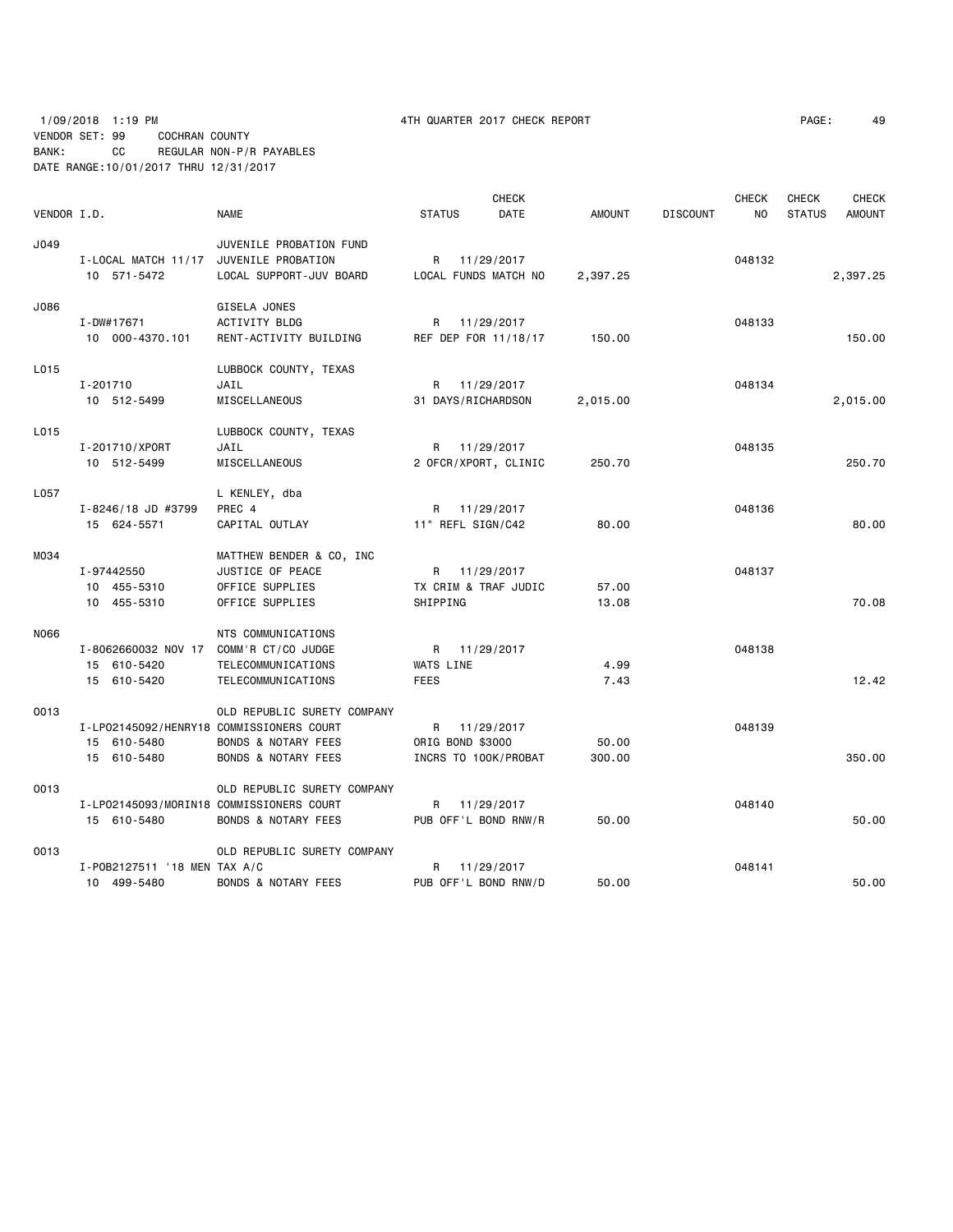|             |                                          |                                |                      | <b>CHECK</b> |               |                 | <b>CHECK</b> | <b>CHECK</b>  | <b>CHECK</b>  |
|-------------|------------------------------------------|--------------------------------|----------------------|--------------|---------------|-----------------|--------------|---------------|---------------|
| VENDOR I.D. |                                          | <b>NAME</b>                    | <b>STATUS</b>        | DATE         | <b>AMOUNT</b> | <b>DISCOUNT</b> | NO           | <b>STATUS</b> | <b>AMOUNT</b> |
| J049        |                                          | JUVENILE PROBATION FUND        |                      |              |               |                 |              |               |               |
|             | I-LOCAL MATCH 11/17 JUVENILE PROBATION   |                                | R                    | 11/29/2017   |               |                 | 048132       |               |               |
|             | 10 571-5472                              | LOCAL SUPPORT-JUV BOARD        | LOCAL FUNDS MATCH NO |              | 2,397.25      |                 |              |               | 2,397.25      |
| J086        |                                          | GISELA JONES                   |                      |              |               |                 |              |               |               |
|             | I-DW#17671                               | ACTIVITY BLDG                  | R                    | 11/29/2017   |               |                 | 048133       |               |               |
|             | 10 000-4370.101                          | RENT-ACTIVITY BUILDING         | REF DEP FOR 11/18/17 |              | 150.00        |                 |              |               | 150.00        |
| L015        |                                          | LUBBOCK COUNTY, TEXAS          |                      |              |               |                 |              |               |               |
|             | I-201710                                 | JAIL                           | R 11/29/2017         |              |               |                 | 048134       |               |               |
|             | 10 512-5499                              | MISCELLANEOUS                  | 31 DAYS/RICHARDSON   |              | 2,015.00      |                 |              |               | 2,015.00      |
| L015        |                                          | LUBBOCK COUNTY, TEXAS          |                      |              |               |                 |              |               |               |
|             | I-201710/XPORT                           | JAIL                           | R                    | 11/29/2017   |               |                 | 048135       |               |               |
|             | 10 512-5499                              | MISCELLANEOUS                  | 2 OFCR/XPORT, CLINIC |              | 250.70        |                 |              |               | 250.70        |
| L057        |                                          | L KENLEY, dba                  |                      |              |               |                 |              |               |               |
|             | I-8246/18 JD #3799                       | PREC 4                         | R 11/29/2017         |              |               |                 | 048136       |               |               |
|             | 15 624-5571                              | CAPITAL OUTLAY                 | 11" REFL SIGN/C42    |              | 80.00         |                 |              |               | 80.00         |
| M034        |                                          | MATTHEW BENDER & CO, INC       |                      |              |               |                 |              |               |               |
|             | I-97442550                               | JUSTICE OF PEACE               | R 11/29/2017         |              |               |                 | 048137       |               |               |
|             | 10 455-5310                              | OFFICE SUPPLIES                | TX CRIM & TRAF JUDIC |              | 57.00         |                 |              |               |               |
|             | 10 455-5310                              | OFFICE SUPPLIES                | SHIPPING             |              | 13.08         |                 |              |               | 70.08         |
| N066        |                                          | NTS COMMUNICATIONS             |                      |              |               |                 |              |               |               |
|             | I-8062660032 NOV 17 COMM'R CT/CO JUDGE   |                                | R 11/29/2017         |              |               |                 | 048138       |               |               |
|             | 15 610-5420                              | TELECOMMUNICATIONS             | WATS LINE            |              | 4.99          |                 |              |               |               |
|             | 15 610-5420                              | <b>TELECOMMUNICATIONS</b>      | <b>FEES</b>          |              | 7.43          |                 |              |               | 12.42         |
| 0013        |                                          | OLD REPUBLIC SURETY COMPANY    |                      |              |               |                 |              |               |               |
|             | I-LP02145092/HENRY18 COMMISSIONERS COURT |                                | R                    | 11/29/2017   |               |                 | 048139       |               |               |
|             | 15 610-5480                              | BONDS & NOTARY FEES            | ORIG BOND \$3000     |              | 50.00         |                 |              |               |               |
|             | 15 610-5480                              | BONDS & NOTARY FEES            | INCRS TO 100K/PROBAT |              | 300.00        |                 |              |               | 350.00        |
| 0013        |                                          | OLD REPUBLIC SURETY COMPANY    |                      |              |               |                 |              |               |               |
|             | I-LP02145093/MORIN18 COMMISSIONERS COURT |                                | R 11/29/2017         |              |               |                 | 048140       |               |               |
|             | 15 610-5480                              | BONDS & NOTARY FEES            | PUB OFF'L BOND RNW/R |              | 50.00         |                 |              |               | 50.00         |
| 0013        |                                          | OLD REPUBLIC SURETY COMPANY    |                      |              |               |                 |              |               |               |
|             | I-P0B2127511 '18 MEN TAX A/C             |                                | R.                   | 11/29/2017   |               |                 | 048141       |               |               |
|             | 10 499-5480                              | <b>BONDS &amp; NOTARY FEES</b> | PUB OFF'L BOND RNW/D |              | 50.00         |                 |              |               | 50.00         |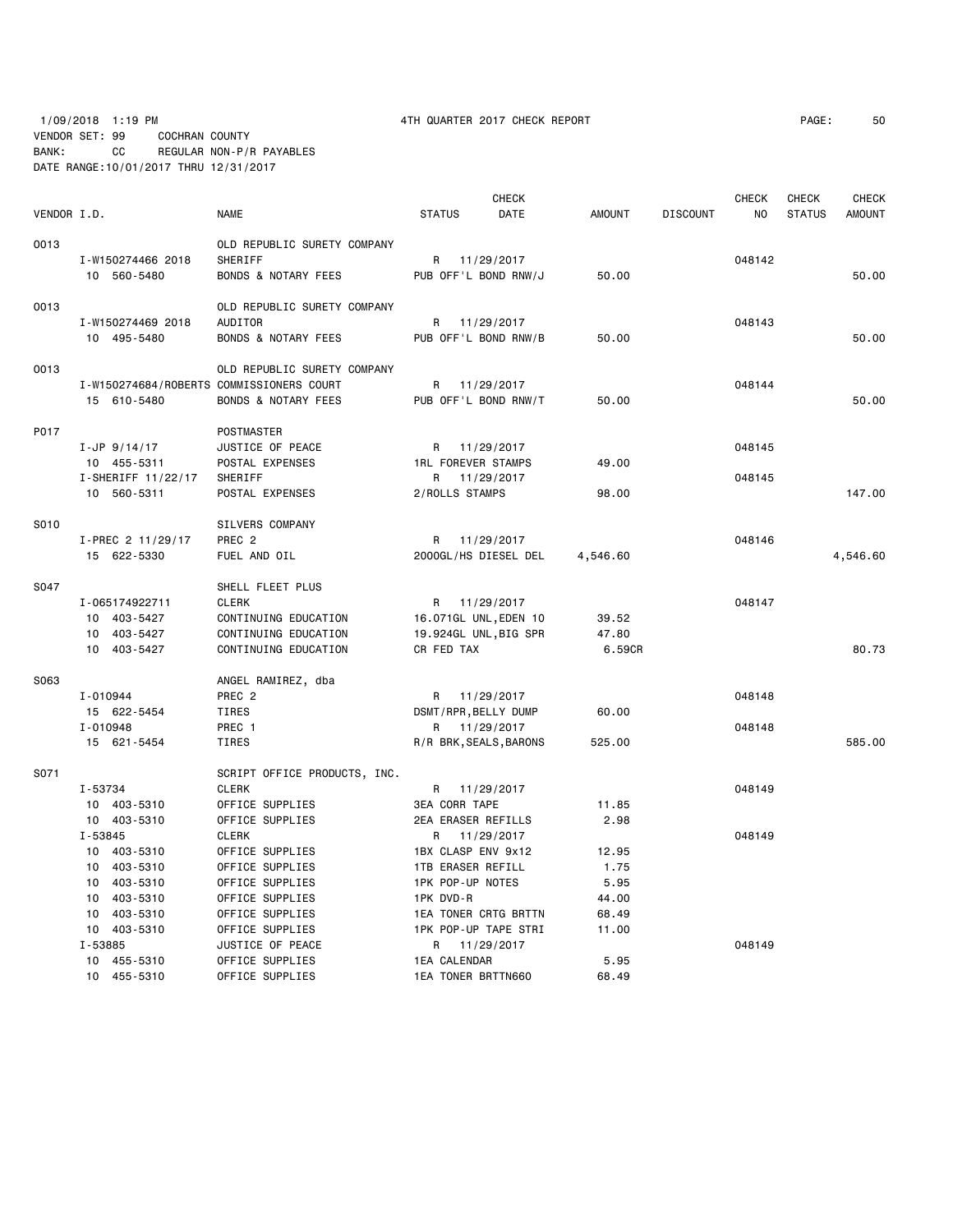# 1/09/2018 1:19 PM 4TH QUARTER 2017 CHECK REPORT PAGE: 50 VENDOR SET: 99 COCHRAN COUNTY BANK: CC REGULAR NON-P/R PAYABLES DATE RANGE:10/01/2017 THRU 12/31/2017

| VENDOR I.D. |                                                                                                   | NAME                                                                                                                           | <b>STATUS</b>                                                                                                                               | <b>CHECK</b><br>DATE | <b>AMOUNT</b>                                    | <b>DISCOUNT</b> | <b>CHECK</b><br>NO. | CHECK<br><b>STATUS</b> | <b>CHECK</b><br><b>AMOUNT</b> |
|-------------|---------------------------------------------------------------------------------------------------|--------------------------------------------------------------------------------------------------------------------------------|---------------------------------------------------------------------------------------------------------------------------------------------|----------------------|--------------------------------------------------|-----------------|---------------------|------------------------|-------------------------------|
| 0013        | I-W150274466 2018<br>10 560-5480                                                                  | OLD REPUBLIC SURETY COMPANY<br>SHERIFF<br><b>BONDS &amp; NOTARY FEES</b>                                                       | R 11/29/2017<br>PUB OFF'L BOND RNW/J                                                                                                        |                      | 50.00                                            |                 | 048142              |                        | 50.00                         |
| 0013        | I-W150274469 2018<br>10 495-5480                                                                  | OLD REPUBLIC SURETY COMPANY<br>AUDITOR<br><b>BONDS &amp; NOTARY FEES</b>                                                       | R 11/29/2017<br>PUB OFF'L BOND RNW/B                                                                                                        |                      | 50.00                                            |                 | 048143              |                        | 50.00                         |
| 0013        | I-W150274684/ROBERTS COMMISSIONERS COURT<br>15 610-5480                                           | OLD REPUBLIC SURETY COMPANY<br><b>BONDS &amp; NOTARY FEES</b>                                                                  | R 11/29/2017<br>PUB OFF'L BOND RNW/T                                                                                                        |                      | 50.00                                            |                 | 048144              |                        | 50.00                         |
| P017        | $I-JP$ 9/14/17<br>10 455-5311<br>I-SHERIFF 11/22/17                                               | POSTMASTER<br>JUSTICE OF PEACE<br>POSTAL EXPENSES<br>SHERIFF                                                                   | R 11/29/2017<br><b>1RL FOREVER STAMPS</b><br>R                                                                                              | 11/29/2017           | 49.00                                            |                 | 048145<br>048145    |                        |                               |
| S010        | 10 560-5311                                                                                       | POSTAL EXPENSES<br>SILVERS COMPANY                                                                                             | 2/ROLLS STAMPS                                                                                                                              |                      | 98.00                                            |                 |                     |                        | 147.00                        |
|             | I-PREC 2 11/29/17<br>15 622-5330                                                                  | PREC <sub>2</sub><br>FUEL AND OIL                                                                                              | R 11/29/2017<br>2000GL/HS DIESEL DEL                                                                                                        |                      | 4,546.60                                         |                 | 048146              |                        | 4,546.60                      |
| S047        | I-065174922711<br>10 403-5427<br>10 403-5427<br>10 403-5427                                       | SHELL FLEET PLUS<br><b>CLERK</b><br>CONTINUING EDUCATION<br>CONTINUING EDUCATION<br>CONTINUING EDUCATION                       | R 11/29/2017<br>16.071GL UNL, EDEN 10<br>19.924GL UNL, BIG SPR<br>CR FED TAX                                                                |                      | 39.52<br>47.80<br>6.59CR                         |                 | 048147              |                        | 80.73                         |
| S063        | I-010944<br>15 622-5454<br>I-010948<br>15 621-5454                                                | ANGEL RAMIREZ, dba<br>PREC <sub>2</sub><br>TIRES<br>PREC 1<br>TIRES                                                            | R<br>DSMT/RPR, BELLY DUMP<br>R 11/29/2017<br>R/R BRK, SEALS, BARONS                                                                         | 11/29/2017           | 60.00<br>525.00                                  |                 | 048148<br>048148    |                        | 585.00                        |
| S071        | I-53734<br>10 403-5310<br>10 403-5310                                                             | SCRIPT OFFICE PRODUCTS, INC.<br><b>CLERK</b><br>OFFICE SUPPLIES<br>OFFICE SUPPLIES                                             | R 11/29/2017<br><b>3EA CORR TAPE</b><br>2EA ERASER REFILLS                                                                                  |                      | 11.85<br>2.98                                    |                 | 048149<br>048149    |                        |                               |
|             | I-53845<br>10 403-5310<br>10 403-5310<br>10 403-5310<br>10 403-5310<br>10 403-5310<br>10 403-5310 | <b>CLERK</b><br>OFFICE SUPPLIES<br>OFFICE SUPPLIES<br>OFFICE SUPPLIES<br>OFFICE SUPPLIES<br>OFFICE SUPPLIES<br>OFFICE SUPPLIES | R<br>1BX CLASP ENV 9x12<br><b>1TB ERASER REFILL</b><br>1PK POP-UP NOTES<br>1PK DVD-R<br><b>1EA TONER CRTG BRTTN</b><br>1PK POP-UP TAPE STRI | 11/29/2017           | 12.95<br>1.75<br>5.95<br>44.00<br>68.49<br>11.00 |                 |                     |                        |                               |
|             | I-53885<br>10 455-5310<br>10 455-5310                                                             | JUSTICE OF PEACE<br>OFFICE SUPPLIES<br>OFFICE SUPPLIES                                                                         | R 11/29/2017<br>1EA CALENDAR<br>1EA TONER BRTTN660                                                                                          |                      | 5.95<br>68.49                                    |                 | 048149              |                        |                               |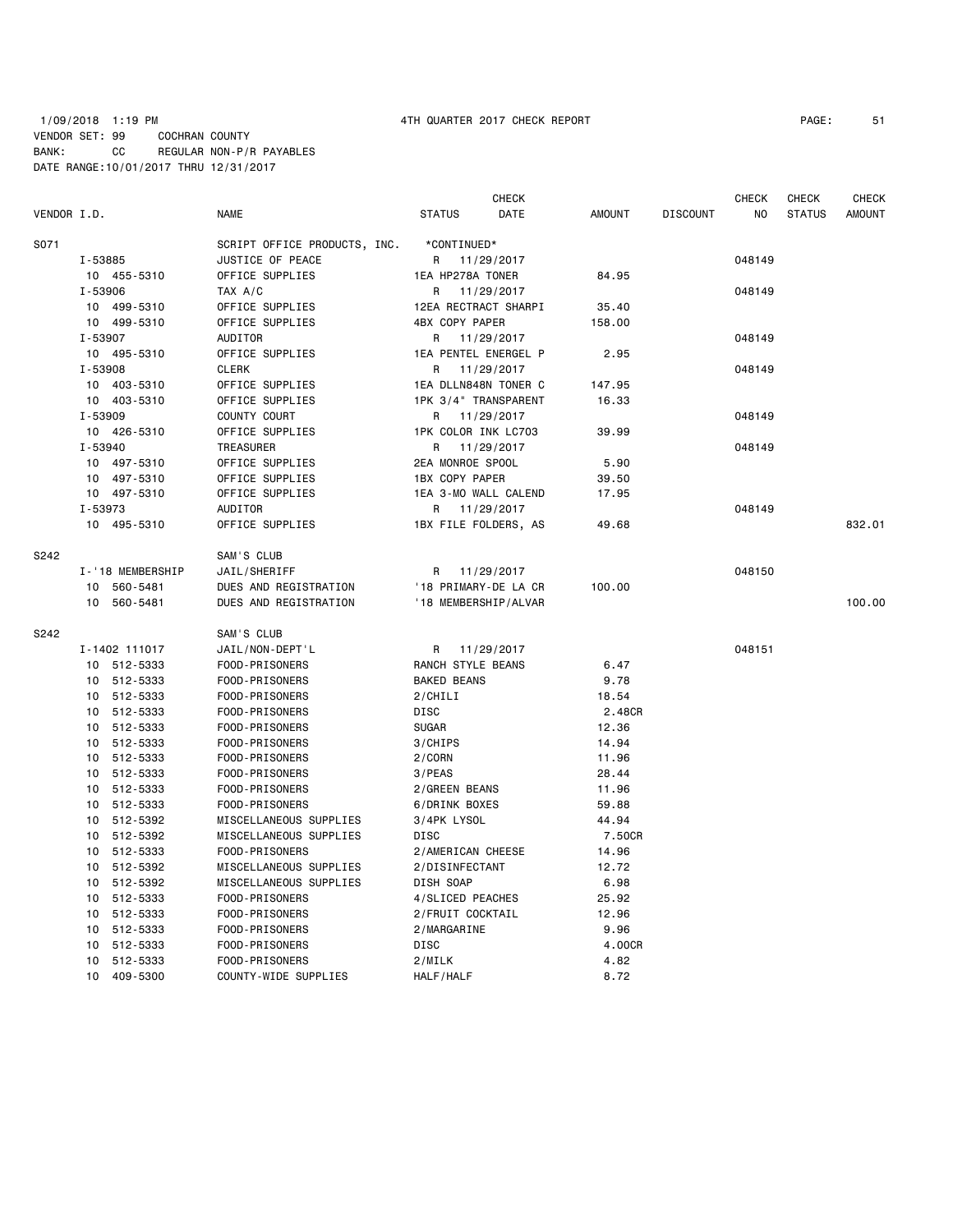### 1/09/2018 1:19 PM 4TH QUARTER 2017 CHECK REPORT PAGE: 51 VENDOR SET: 99 COCHRAN COUNTY BANK: CC REGULAR NON-P/R PAYABLES DATE RANGE:10/01/2017 THRU 12/31/2017

|             |                  |                              |                      | <b>CHECK</b> |               |                 | <b>CHECK</b>   | <b>CHECK</b>  | <b>CHECK</b>  |
|-------------|------------------|------------------------------|----------------------|--------------|---------------|-----------------|----------------|---------------|---------------|
| VENDOR I.D. |                  | <b>NAME</b>                  | <b>STATUS</b>        | DATE         | <b>AMOUNT</b> | <b>DISCOUNT</b> | N <sub>O</sub> | <b>STATUS</b> | <b>AMOUNT</b> |
| S071        |                  | SCRIPT OFFICE PRODUCTS, INC. | *CONTINUED*          |              |               |                 |                |               |               |
|             | I-53885          | JUSTICE OF PEACE             | R 11/29/2017         |              |               |                 | 048149         |               |               |
|             | 10 455-5310      | OFFICE SUPPLIES              | 1EA HP278A TONER     |              | 84.95         |                 |                |               |               |
|             | I-53906          | TAX A/C                      | R                    | 11/29/2017   |               |                 | 048149         |               |               |
|             | 10 499-5310      | OFFICE SUPPLIES              | 12EA RECTRACT SHARPI |              | 35.40         |                 |                |               |               |
|             | 10 499-5310      | OFFICE SUPPLIES              | 4BX COPY PAPER       |              | 158.00        |                 |                |               |               |
|             | I-53907          | AUDITOR                      | R                    | 11/29/2017   |               |                 | 048149         |               |               |
|             | 10 495-5310      | OFFICE SUPPLIES              | 1EA PENTEL ENERGEL P |              | 2.95          |                 |                |               |               |
|             | I-53908          | <b>CLERK</b>                 | R                    | 11/29/2017   |               |                 | 048149         |               |               |
|             | 10 403-5310      | OFFICE SUPPLIES              | 1EA DLLN848N TONER C |              | 147.95        |                 |                |               |               |
|             | 10 403-5310      | OFFICE SUPPLIES              | 1PK 3/4" TRANSPARENT |              | 16.33         |                 |                |               |               |
|             | I-53909          | COUNTY COURT                 | R                    | 11/29/2017   |               |                 | 048149         |               |               |
|             | 10 426-5310      | OFFICE SUPPLIES              | 1PK COLOR INK LC703  |              | 39.99         |                 |                |               |               |
|             | I-53940          | TREASURER                    | R                    | 11/29/2017   |               |                 | 048149         |               |               |
|             | 10 497-5310      | OFFICE SUPPLIES              | 2EA MONROE SPOOL     |              | 5.90          |                 |                |               |               |
|             | 10 497-5310      | OFFICE SUPPLIES              | 1BX COPY PAPER       |              | 39.50         |                 |                |               |               |
|             | 10 497-5310      | OFFICE SUPPLIES              | 1EA 3-MO WALL CALEND |              | 17.95         |                 |                |               |               |
|             | I-53973          | AUDITOR                      | R                    | 11/29/2017   |               |                 | 048149         |               |               |
|             | 10 495-5310      | OFFICE SUPPLIES              | 1BX FILE FOLDERS, AS |              | 49.68         |                 |                |               | 832.01        |
| S242        |                  | SAM'S CLUB                   |                      |              |               |                 |                |               |               |
|             | I-'18 MEMBERSHIP | JAIL/SHERIFF                 | R 11/29/2017         |              |               |                 | 048150         |               |               |
|             | 560-5481<br>10   | DUES AND REGISTRATION        | '18 PRIMARY-DE LA CR |              | 100.00        |                 |                |               |               |
|             | 10<br>560-5481   | DUES AND REGISTRATION        | '18 MEMBERSHIP/ALVAR |              |               |                 |                |               | 100.00        |
| S242        |                  | SAM'S CLUB                   |                      |              |               |                 |                |               |               |
|             | I-1402 111017    | JAIL/NON-DEPT'L              | R                    | 11/29/2017   |               |                 | 048151         |               |               |
|             | 10 512-5333      | FOOD-PRISONERS               | RANCH STYLE BEANS    |              | 6.47          |                 |                |               |               |
|             | 10 512-5333      | FOOD-PRISONERS               | <b>BAKED BEANS</b>   |              | 9.78          |                 |                |               |               |
|             | 512-5333<br>10   | FOOD-PRISONERS               | 2/CHILI              |              | 18.54         |                 |                |               |               |
|             | 512-5333<br>10   | FOOD-PRISONERS               | <b>DISC</b>          |              | 2.48CR        |                 |                |               |               |
|             | 512-5333<br>10   | FOOD-PRISONERS               | <b>SUGAR</b>         |              | 12.36         |                 |                |               |               |
|             | 512-5333<br>10   | FOOD-PRISONERS               | 3/CHIPS              |              | 14.94         |                 |                |               |               |
|             | 10<br>512-5333   | FOOD-PRISONERS               | 2/CORN               |              | 11.96         |                 |                |               |               |
|             | 512-5333<br>10   | FOOD-PRISONERS               | 3/PEAS               |              | 28.44         |                 |                |               |               |
|             | 512-5333<br>10   | FOOD-PRISONERS               | 2/GREEN BEANS        |              | 11.96         |                 |                |               |               |
|             | 512-5333<br>10   | FOOD-PRISONERS               | 6/DRINK BOXES        |              | 59.88         |                 |                |               |               |
|             | 512-5392<br>10   | MISCELLANEOUS SUPPLIES       | 3/4PK LYSOL          |              | 44.94         |                 |                |               |               |
|             | 512-5392<br>10   | MISCELLANEOUS SUPPLIES       | <b>DISC</b>          |              | 7.50CR        |                 |                |               |               |
|             | 10 512-5333      | FOOD-PRISONERS               | 2/AMERICAN CHEESE    |              | 14.96         |                 |                |               |               |
|             | 10 512-5392      | MISCELLANEOUS SUPPLIES       | 2/DISINFECTANT       |              | 12.72         |                 |                |               |               |
|             | 10 512-5392      | MISCELLANEOUS SUPPLIES       | DISH SOAP            |              | 6.98          |                 |                |               |               |
|             | 512-5333<br>10   | FOOD-PRISONERS               | 4/SLICED PEACHES     |              | 25.92         |                 |                |               |               |
|             | 512-5333<br>10   | FOOD-PRISONERS               | 2/FRUIT COCKTAIL     |              | 12.96         |                 |                |               |               |
|             | 512-5333<br>10   | FOOD-PRISONERS               | 2/MARGARINE          |              | 9.96          |                 |                |               |               |
|             | 512-5333<br>10   | FOOD-PRISONERS               | <b>DISC</b>          |              | 4.00CR        |                 |                |               |               |
|             | 10<br>512-5333   | FOOD-PRISONERS               | 2/MILK               |              | 4.82          |                 |                |               |               |
|             | 10<br>409-5300   | COUNTY-WIDE SUPPLIES         | HALF/HALF            |              | 8.72          |                 |                |               |               |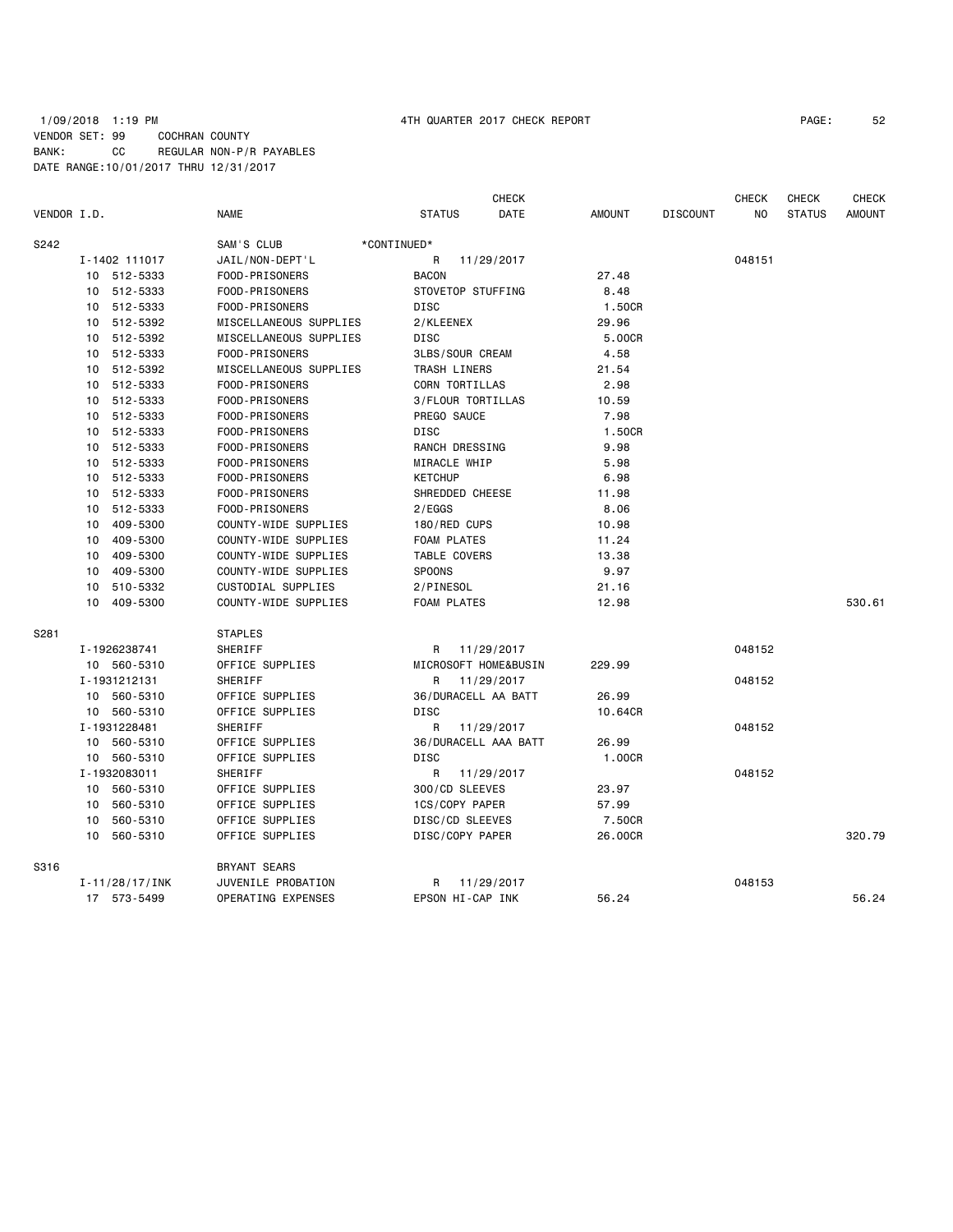# 1/09/2018 1:19 PM 4TH QUARTER 2017 CHECK REPORT PAGE: 52 VENDOR SET: 99 COCHRAN COUNTY BANK: CC REGULAR NON-P/R PAYABLES DATE RANGE:10/01/2017 THRU 12/31/2017

|             |    |                    |                           |                      | <b>CHECK</b> |               |                 | <b>CHECK</b> | <b>CHECK</b>  | <b>CHECK</b>  |
|-------------|----|--------------------|---------------------------|----------------------|--------------|---------------|-----------------|--------------|---------------|---------------|
| VENDOR I.D. |    |                    | <b>NAME</b>               | <b>STATUS</b>        | DATE         | <b>AMOUNT</b> | <b>DISCOUNT</b> | NO.          | <b>STATUS</b> | <b>AMOUNT</b> |
| S242        |    |                    | SAM'S CLUB                | *CONTINUED*          |              |               |                 |              |               |               |
|             |    | I-1402 111017      | JAIL/NON-DEPT'L           | R                    | 11/29/2017   |               |                 | 048151       |               |               |
|             |    | 10 512-5333        | FOOD-PRISONERS            | <b>BACON</b>         |              | 27.48         |                 |              |               |               |
|             |    | 10 512-5333        | FOOD-PRISONERS            | STOVETOP STUFFING    |              | 8.48          |                 |              |               |               |
|             |    | 10 512-5333        | FOOD-PRISONERS            | <b>DISC</b>          |              | 1.50CR        |                 |              |               |               |
|             |    | 10 512-5392        | MISCELLANEOUS SUPPLIES    | 2/KLEENEX            |              | 29.96         |                 |              |               |               |
|             |    | 10 512-5392        | MISCELLANEOUS SUPPLIES    | DISC                 |              | 5.00CR        |                 |              |               |               |
|             |    | 10 512-5333        | FOOD-PRISONERS            | 3LBS/SOUR CREAM      |              | 4.58          |                 |              |               |               |
|             |    | 10 512-5392        | MISCELLANEOUS SUPPLIES    | TRASH LINERS         |              | 21.54         |                 |              |               |               |
|             |    | 10 512-5333        | FOOD-PRISONERS            | CORN TORTILLAS       |              | 2.98          |                 |              |               |               |
|             |    | 10 512-5333        | FOOD-PRISONERS            | 3/FLOUR TORTILLAS    |              | 10.59         |                 |              |               |               |
|             |    | 10 512-5333        | FOOD-PRISONERS            | PREGO SAUCE          |              | 7.98          |                 |              |               |               |
|             |    | 10 512-5333        | FOOD-PRISONERS            | DISC                 |              | 1.50CR        |                 |              |               |               |
|             |    | 10 512-5333        | FOOD-PRISONERS            | RANCH DRESSING       |              | 9.98          |                 |              |               |               |
|             |    | 10 512-5333        | FOOD-PRISONERS            | MIRACLE WHIP         |              | 5.98          |                 |              |               |               |
|             |    | 10 512-5333        | FOOD-PRISONERS            | <b>KETCHUP</b>       |              | 6.98          |                 |              |               |               |
|             | 10 | 512-5333           | FOOD-PRISONERS            | SHREDDED CHEESE      |              | 11.98         |                 |              |               |               |
|             | 10 | 512-5333           | FOOD-PRISONERS            | 2/EGGS               |              | 8.06          |                 |              |               |               |
|             | 10 | 409-5300           | COUNTY-WIDE SUPPLIES      | 180/RED CUPS         |              | 10.98         |                 |              |               |               |
|             | 10 | 409-5300           | COUNTY-WIDE SUPPLIES      | <b>FOAM PLATES</b>   |              | 11.24         |                 |              |               |               |
|             | 10 | 409-5300           | COUNTY-WIDE SUPPLIES      | TABLE COVERS         |              | 13.38         |                 |              |               |               |
|             | 10 | 409-5300           | COUNTY-WIDE SUPPLIES      | SPOONS               |              | 9.97          |                 |              |               |               |
|             | 10 | 510-5332           | CUSTODIAL SUPPLIES        | 2/PINESOL            |              | 21.16         |                 |              |               |               |
|             |    | 10 409-5300        | COUNTY-WIDE SUPPLIES      | <b>FOAM PLATES</b>   |              | 12.98         |                 |              |               | 530.61        |
| S281        |    |                    | <b>STAPLES</b>            |                      |              |               |                 |              |               |               |
|             |    | I-1926238741       | SHERIFF                   | R                    | 11/29/2017   |               |                 | 048152       |               |               |
|             |    | 10 560-5310        | OFFICE SUPPLIES           | MICROSOFT HOME&BUSIN |              | 229.99        |                 |              |               |               |
|             |    | I-1931212131       | SHERIFF                   | R                    | 11/29/2017   |               |                 | 048152       |               |               |
|             |    | 10 560-5310        | OFFICE SUPPLIES           | 36/DURACELL AA BATT  |              | 26.99         |                 |              |               |               |
|             |    | 10 560-5310        | OFFICE SUPPLIES           | DISC                 |              | 10.64CR       |                 |              |               |               |
|             |    | I-1931228481       | SHERIFF                   | R                    | 11/29/2017   |               |                 | 048152       |               |               |
|             |    | 10 560-5310        | OFFICE SUPPLIES           | 36/DURACELL AAA BATT |              | 26.99         |                 |              |               |               |
|             |    | 10 560-5310        | OFFICE SUPPLIES           | DISC                 |              | 1.00CR        |                 |              |               |               |
|             |    | I-1932083011       | SHERIFF                   | R                    | 11/29/2017   |               |                 | 048152       |               |               |
|             |    | 10 560-5310        | OFFICE SUPPLIES           | 300/CD SLEEVES       |              | 23.97         |                 |              |               |               |
|             |    | 10 560-5310        | OFFICE SUPPLIES           | 1CS/COPY PAPER       |              | 57.99         |                 |              |               |               |
|             |    | 10 560-5310        | OFFICE SUPPLIES           | DISC/CD SLEEVES      |              | 7.50CR        |                 |              |               |               |
|             |    | 10 560-5310        | OFFICE SUPPLIES           | DISC/COPY PAPER      |              | 26.00CR       |                 |              |               | 320.79        |
| S316        |    |                    | <b>BRYANT SEARS</b>       |                      |              |               |                 |              |               |               |
|             |    | $I - 11/28/17/INK$ | JUVENILE PROBATION        | R                    | 11/29/2017   |               |                 | 048153       |               |               |
|             |    | 17 573-5499        | <b>OPERATING EXPENSES</b> | EPSON HI-CAP INK     |              | 56.24         |                 |              |               | 56.24         |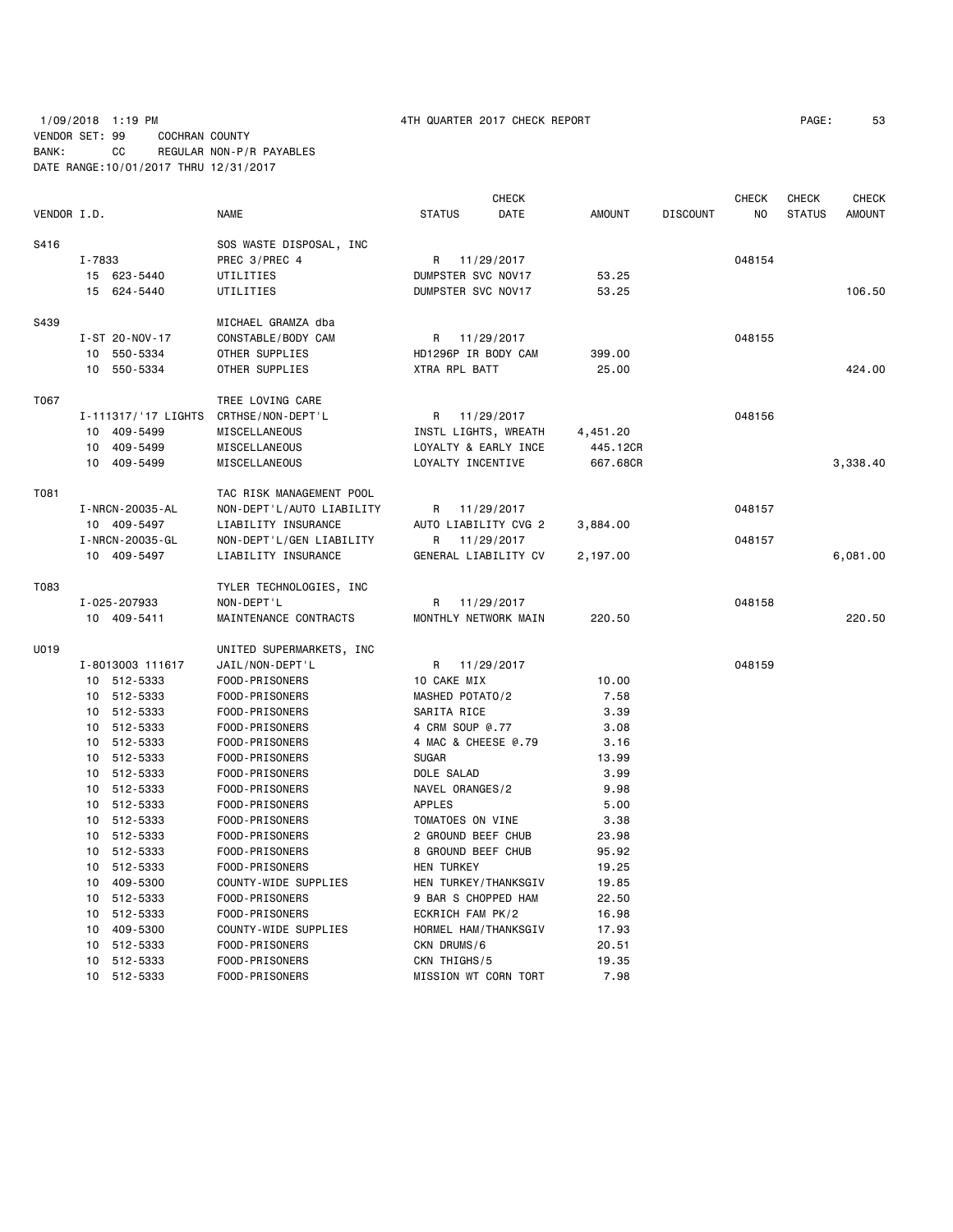# 1/09/2018 1:19 PM 4TH QUARTER 2017 CHECK REPORT PAGE: 53 VENDOR SET: 99 COCHRAN COUNTY BANK: CC REGULAR NON-P/R PAYABLES DATE RANGE:10/01/2017 THRU 12/31/2017

|             |                       |                           |                      | CHECK      |               |                 | CHECK  | CHECK         | <b>CHECK</b>  |
|-------------|-----------------------|---------------------------|----------------------|------------|---------------|-----------------|--------|---------------|---------------|
| VENDOR I.D. |                       | <b>NAME</b>               | <b>STATUS</b>        | DATE       | <b>AMOUNT</b> | <b>DISCOUNT</b> | NO.    | <b>STATUS</b> | <b>AMOUNT</b> |
| S416        |                       | SOS WASTE DISPOSAL, INC   |                      |            |               |                 |        |               |               |
|             | I-7833                | PREC 3/PREC 4             | R                    | 11/29/2017 |               |                 | 048154 |               |               |
|             | 15 623-5440           | UTILITIES                 | DUMPSTER SVC NOV17   |            | 53.25         |                 |        |               |               |
|             | 15 624-5440           | UTILITIES                 | DUMPSTER SVC NOV17   |            | 53.25         |                 |        |               | 106.50        |
|             |                       |                           |                      |            |               |                 |        |               |               |
| S439        |                       | MICHAEL GRAMZA dba        |                      |            |               |                 |        |               |               |
|             | I-ST 20-NOV-17        | CONSTABLE/BODY CAM        | R                    | 11/29/2017 |               |                 | 048155 |               |               |
|             | 550-5334<br>10        | OTHER SUPPLIES            | HD1296P IR BODY CAM  |            | 399.00        |                 |        |               |               |
|             | 550-5334<br>10        | OTHER SUPPLIES            | XTRA RPL BATT        |            | 25.00         |                 |        |               | 424.00        |
| T067        |                       | TREE LOVING CARE          |                      |            |               |                 |        |               |               |
|             | I-111317/'17 LIGHTS   | CRTHSE/NON-DEPT'L         | R                    | 11/29/2017 |               |                 | 048156 |               |               |
|             | 10 409-5499           | MISCELLANEOUS             | INSTL LIGHTS, WREATH |            | 4,451.20      |                 |        |               |               |
|             | 10 409-5499           | MISCELLANEOUS             | LOYALTY & EARLY INCE |            | 445.12CR      |                 |        |               |               |
|             | 10 409-5499           | MISCELLANEOUS             | LOYALTY INCENTIVE    |            | 667.68CR      |                 |        |               | 3,338.40      |
| T081        |                       |                           |                      |            |               |                 |        |               |               |
|             |                       | TAC RISK MANAGEMENT POOL  |                      |            |               |                 |        |               |               |
|             | I - NRCN - 20035 - AL | NON-DEPT'L/AUTO LIABILITY | R                    | 11/29/2017 |               |                 | 048157 |               |               |
|             | 10 409-5497           | LIABILITY INSURANCE       | AUTO LIABILITY CVG 2 |            | 3,884.00      |                 |        |               |               |
|             | I - NRCN - 20035 - GL | NON-DEPT'L/GEN LIABILITY  | R                    | 11/29/2017 |               |                 | 048157 |               |               |
|             | 10 409-5497           | LIABILITY INSURANCE       | GENERAL LIABILITY CV |            | 2,197.00      |                 |        |               | 6,081.00      |
| T083        |                       | TYLER TECHNOLOGIES, INC   |                      |            |               |                 |        |               |               |
|             | I-025-207933          | NON-DEPT'L                | R                    | 11/29/2017 |               |                 | 048158 |               |               |
|             | 10 409-5411           | MAINTENANCE CONTRACTS     | MONTHLY NETWORK MAIN |            | 220.50        |                 |        |               | 220.50        |
| U019        |                       | UNITED SUPERMARKETS, INC  |                      |            |               |                 |        |               |               |
|             | I-8013003 111617      | JAIL/NON-DEPT'L           | R                    | 11/29/2017 |               |                 | 048159 |               |               |
|             | 10<br>512-5333        | FOOD-PRISONERS            | 10 CAKE MIX          |            | 10.00         |                 |        |               |               |
|             | 512-5333<br>10        | FOOD-PRISONERS            | MASHED POTATO/2      |            | 7.58          |                 |        |               |               |
|             | 10 512-5333           | FOOD-PRISONERS            | SARITA RICE          |            | 3.39          |                 |        |               |               |
|             | 10 512-5333           | FOOD-PRISONERS            | 4 CRM SOUP @.77      |            | 3.08          |                 |        |               |               |
|             | 512-5333<br>10        | FOOD-PRISONERS            | 4 MAC & CHEESE @.79  |            | 3.16          |                 |        |               |               |
|             | 10 512-5333           | FOOD-PRISONERS            | <b>SUGAR</b>         |            | 13.99         |                 |        |               |               |
|             | 10 512-5333           | FOOD-PRISONERS            | DOLE SALAD           |            | 3.99          |                 |        |               |               |
|             | 10 512-5333           | FOOD-PRISONERS            | NAVEL ORANGES/2      |            | 9.98          |                 |        |               |               |
|             | 512-5333<br>10        | FOOD-PRISONERS            | APPLES               |            | 5.00          |                 |        |               |               |
|             | 10 512-5333           | FOOD-PRISONERS            | TOMATOES ON VINE     |            | 3.38          |                 |        |               |               |
|             | 10 512-5333           | FOOD-PRISONERS            | 2 GROUND BEEF CHUB   |            | 23.98         |                 |        |               |               |
|             | 10 512-5333           | FOOD-PRISONERS            | 8 GROUND BEEF CHUB   |            | 95.92         |                 |        |               |               |
|             | 512-5333<br>10        | FOOD-PRISONERS            | <b>HEN TURKEY</b>    |            | 19.25         |                 |        |               |               |
|             | 409-5300<br>10        | COUNTY-WIDE SUPPLIES      | HEN TURKEY/THANKSGIV |            | 19.85         |                 |        |               |               |
|             | 512-5333<br>10        | FOOD-PRISONERS            | 9 BAR S CHOPPED HAM  |            | 22.50         |                 |        |               |               |
|             | 512-5333<br>10        | FOOD-PRISONERS            | ECKRICH FAM PK/2     |            | 16.98         |                 |        |               |               |
|             | 409-5300<br>10        | COUNTY-WIDE SUPPLIES      | HORMEL HAM/THANKSGIV |            | 17.93         |                 |        |               |               |
|             | 512-5333<br>10        | FOOD-PRISONERS            | CKN DRUMS/6          |            | 20.51         |                 |        |               |               |
|             | 512-5333<br>10        | FOOD-PRISONERS            | CKN THIGHS/5         |            | 19.35         |                 |        |               |               |
|             | 10 512-5333           | FOOD-PRISONERS            | MISSION WT CORN TORT |            | 7.98          |                 |        |               |               |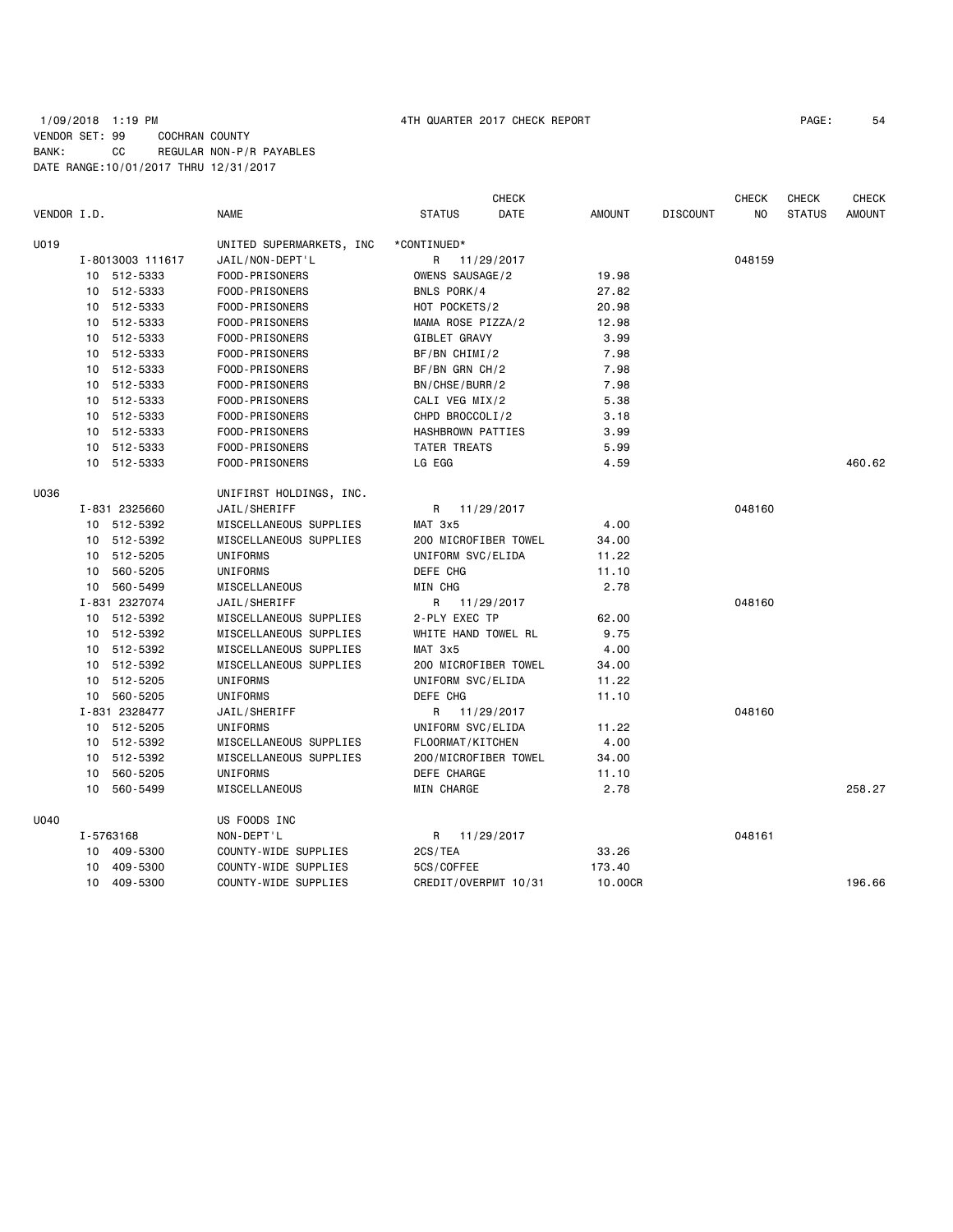# 1/09/2018 1:19 PM 4TH QUARTER 2017 CHECK REPORT PAGE: 54 VENDOR SET: 99 COCHRAN COUNTY BANK: CC REGULAR NON-P/R PAYABLES DATE RANGE:10/01/2017 THRU 12/31/2017

| VENDOR I.D. |    |                  | <b>NAME</b>              | <b>STATUS</b>        | CHECK<br>DATE | <b>AMOUNT</b> | <b>DISCOUNT</b> | <b>CHECK</b><br>NO | <b>CHECK</b><br><b>STATUS</b> | <b>CHECK</b><br><b>AMOUNT</b> |
|-------------|----|------------------|--------------------------|----------------------|---------------|---------------|-----------------|--------------------|-------------------------------|-------------------------------|
| U019        |    |                  | UNITED SUPERMARKETS, INC | *CONTINUED*          |               |               |                 |                    |                               |                               |
|             |    | I-8013003 111617 | JAIL/NON-DEPT'L          | R.                   | 11/29/2017    |               |                 | 048159             |                               |                               |
|             |    | 10 512-5333      | FOOD-PRISONERS           | OWENS SAUSAGE/2      |               | 19.98         |                 |                    |                               |                               |
|             |    | 10 512-5333      | FOOD-PRISONERS           | BNLS PORK/4          |               | 27.82         |                 |                    |                               |                               |
|             |    | 10 512-5333      | FOOD-PRISONERS           | HOT POCKETS/2        |               | 20.98         |                 |                    |                               |                               |
|             |    | 10 512-5333      | FOOD-PRISONERS           | MAMA ROSE PIZZA/2    |               | 12.98         |                 |                    |                               |                               |
|             |    | 10 512-5333      | FOOD-PRISONERS           | GIBLET GRAVY         |               | 3.99          |                 |                    |                               |                               |
|             |    | 10 512-5333      | FOOD-PRISONERS           | BF/BN CHIMI/2        |               | 7.98          |                 |                    |                               |                               |
|             | 10 | 512-5333         | FOOD-PRISONERS           | $BF/BN$ GRN CH/2     |               | 7.98          |                 |                    |                               |                               |
|             |    | 10 512-5333      | FOOD-PRISONERS           | BN/CHSE/BURR/2       |               | 7.98          |                 |                    |                               |                               |
|             |    | 10 512-5333      | FOOD-PRISONERS           | CALI VEG MIX/2       |               | 5.38          |                 |                    |                               |                               |
|             |    | 10 512-5333      | FOOD-PRISONERS           | CHPD BROCCOLI/2      |               | 3.18          |                 |                    |                               |                               |
|             |    | 10 512-5333      | FOOD-PRISONERS           | HASHBROWN PATTIES    |               | 3.99          |                 |                    |                               |                               |
|             |    | 10 512-5333      | FOOD-PRISONERS           | <b>TATER TREATS</b>  |               | 5.99          |                 |                    |                               |                               |
|             |    | 10 512-5333      | FOOD-PRISONERS           | LG EGG               |               | 4.59          |                 |                    |                               | 460.62                        |
| U036        |    |                  | UNIFIRST HOLDINGS, INC.  |                      |               |               |                 |                    |                               |                               |
|             |    | I-831 2325660    | JAIL/SHERIFF             | R                    | 11/29/2017    |               |                 | 048160             |                               |                               |
|             |    | 10 512-5392      | MISCELLANEOUS SUPPLIES   | MAT 3x5              |               | 4.00          |                 |                    |                               |                               |
|             |    | 10 512-5392      | MISCELLANEOUS SUPPLIES   | 200 MICROFIBER TOWEL |               | 34.00         |                 |                    |                               |                               |
|             |    | 10 512-5205      | <b>UNIFORMS</b>          | UNIFORM SVC/ELIDA    |               | 11.22         |                 |                    |                               |                               |
|             |    | 10 560-5205      | UNIFORMS                 | DEFE CHG             |               | 11.10         |                 |                    |                               |                               |
|             |    | 10 560-5499      | MISCELLANEOUS            | MIN CHG              |               | 2.78          |                 |                    |                               |                               |
|             |    | I-831 2327074    | JAIL/SHERIFF             | R                    | 11/29/2017    |               |                 | 048160             |                               |                               |
|             |    | 10 512-5392      | MISCELLANEOUS SUPPLIES   | 2-PLY EXEC TP        |               | 62.00         |                 |                    |                               |                               |
|             |    | 10 512-5392      | MISCELLANEOUS SUPPLIES   | WHITE HAND TOWEL RL  |               | 9.75          |                 |                    |                               |                               |
|             |    | 10 512-5392      | MISCELLANEOUS SUPPLIES   | MAT 3x5              |               | 4.00          |                 |                    |                               |                               |
|             |    | 10 512-5392      | MISCELLANEOUS SUPPLIES   | 200 MICROFIBER TOWEL |               | 34.00         |                 |                    |                               |                               |
|             | 10 | 512-5205         | UNIFORMS                 | UNIFORM SVC/ELIDA    |               | 11.22         |                 |                    |                               |                               |
|             |    | 10 560-5205      | UNIFORMS                 | DEFE CHG             |               | 11.10         |                 |                    |                               |                               |
|             |    | I-831 2328477    | JAIL/SHERIFF             | R 11/29/2017         |               |               |                 | 048160             |                               |                               |
|             |    | 10 512-5205      | UNIFORMS                 | UNIFORM SVC/ELIDA    |               | 11.22         |                 |                    |                               |                               |
|             |    | 10 512-5392      | MISCELLANEOUS SUPPLIES   | FLOORMAT/KITCHEN     |               | 4.00          |                 |                    |                               |                               |
|             |    | 10 512-5392      | MISCELLANEOUS SUPPLIES   | 200/MICROFIBER TOWEL |               | 34.00         |                 |                    |                               |                               |
|             | 10 | 560-5205         | UNIFORMS                 | DEFE CHARGE          |               | 11.10         |                 |                    |                               |                               |
|             | 10 | 560-5499         | MISCELLANEOUS            | MIN CHARGE           |               | 2.78          |                 |                    |                               | 258.27                        |
| U040        |    |                  | US FOODS INC             |                      |               |               |                 |                    |                               |                               |
|             |    | I-5763168        | NON-DEPT'L               | R                    | 11/29/2017    |               |                 | 048161             |                               |                               |
|             |    | 10 409-5300      | COUNTY-WIDE SUPPLIES     | 2CS/TEA              |               | 33.26         |                 |                    |                               |                               |
|             | 10 | 409-5300         | COUNTY-WIDE SUPPLIES     | 5CS/COFFEE           |               | 173.40        |                 |                    |                               |                               |
|             |    | 10 409-5300      | COUNTY-WIDE SUPPLIES     | CREDIT/OVERPMT 10/31 |               | 10.00CR       |                 |                    |                               | 196.66                        |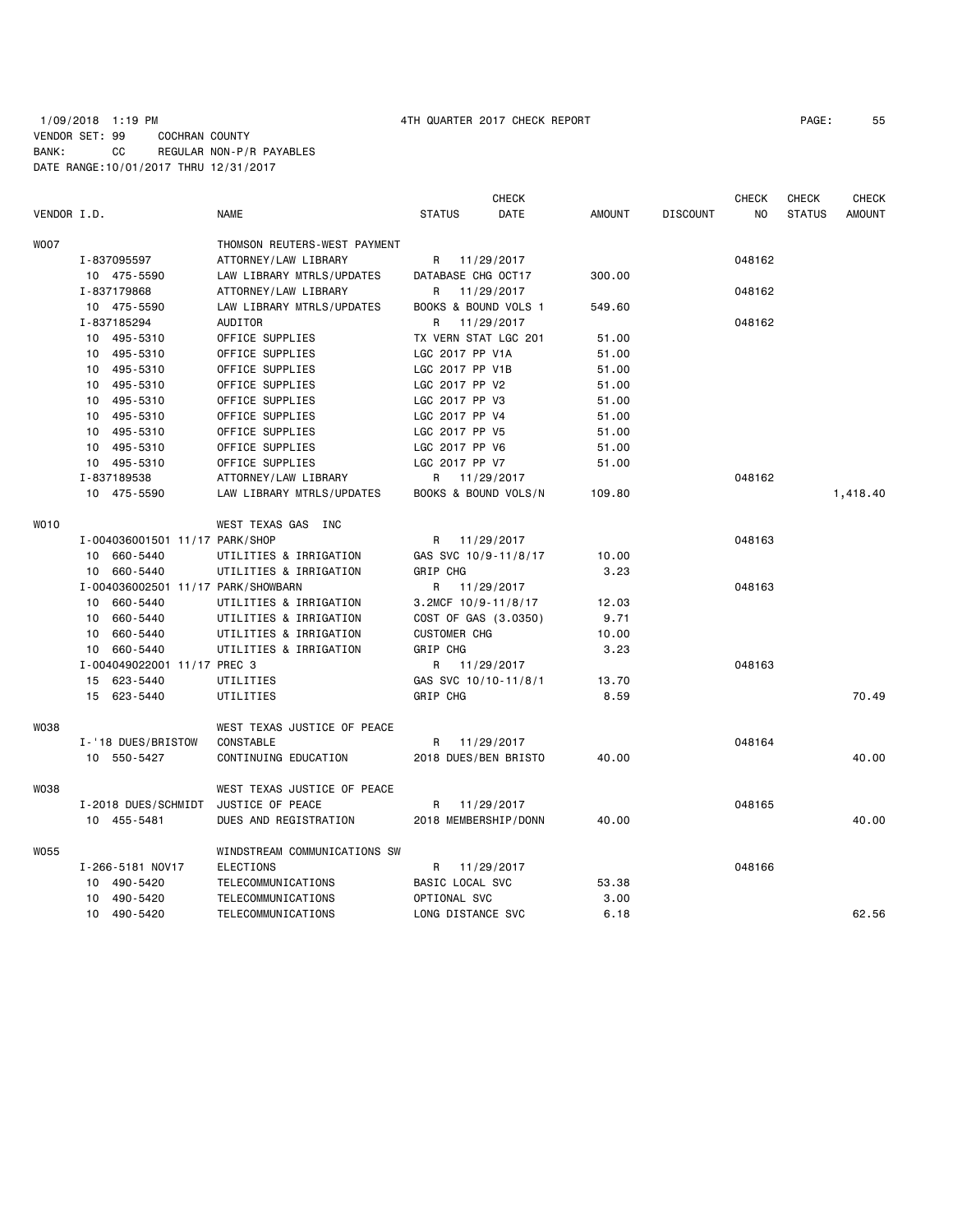|             |                                    |                              |                      | <b>CHECK</b> |               |                 | <b>CHECK</b> | <b>CHECK</b>  | <b>CHECK</b>  |
|-------------|------------------------------------|------------------------------|----------------------|--------------|---------------|-----------------|--------------|---------------|---------------|
| VENDOR I.D. |                                    | <b>NAME</b>                  | <b>STATUS</b>        | DATE         | <b>AMOUNT</b> | <b>DISCOUNT</b> | NO.          | <b>STATUS</b> | <b>AMOUNT</b> |
| <b>WOO7</b> |                                    | THOMSON REUTERS-WEST PAYMENT |                      |              |               |                 |              |               |               |
|             | I-837095597                        | ATTORNEY/LAW LIBRARY         | R                    | 11/29/2017   |               |                 | 048162       |               |               |
|             | 10 475-5590                        | LAW LIBRARY MTRLS/UPDATES    | DATABASE CHG OCT17   |              | 300.00        |                 |              |               |               |
|             | I-837179868                        | ATTORNEY/LAW LIBRARY         | R                    | 11/29/2017   |               |                 | 048162       |               |               |
|             | 10 475-5590                        | LAW LIBRARY MTRLS/UPDATES    | BOOKS & BOUND VOLS 1 |              | 549.60        |                 |              |               |               |
|             | I-837185294                        | AUDITOR                      | R.                   | 11/29/2017   |               |                 | 048162       |               |               |
|             | 10 495-5310                        | OFFICE SUPPLIES              | TX VERN STAT LGC 201 |              | 51.00         |                 |              |               |               |
|             | 10 495-5310                        | OFFICE SUPPLIES              | LGC 2017 PP V1A      |              | 51.00         |                 |              |               |               |
|             | 10 495-5310                        | OFFICE SUPPLIES              | LGC 2017 PP V1B      |              | 51.00         |                 |              |               |               |
|             | 10 495-5310                        | OFFICE SUPPLIES              | LGC 2017 PP V2       |              | 51.00         |                 |              |               |               |
|             | 10 495-5310                        | OFFICE SUPPLIES              | LGC 2017 PP V3       |              | 51.00         |                 |              |               |               |
|             | 10 495-5310                        | OFFICE SUPPLIES              | LGC 2017 PP V4       |              | 51.00         |                 |              |               |               |
|             | 10 495-5310                        | OFFICE SUPPLIES              | LGC 2017 PP V5       |              | 51.00         |                 |              |               |               |
|             | 10 495-5310                        | OFFICE SUPPLIES              | LGC 2017 PP V6       |              | 51.00         |                 |              |               |               |
|             | 10 495-5310                        | OFFICE SUPPLIES              | LGC 2017 PP V7       |              | 51.00         |                 |              |               |               |
|             | I-837189538                        | ATTORNEY/LAW LIBRARY         | R 11/29/2017         |              |               |                 | 048162       |               |               |
|             | 10 475-5590                        | LAW LIBRARY MTRLS/UPDATES    | BOOKS & BOUND VOLS/N |              | 109.80        |                 |              |               | 1,418.40      |
| WO10        |                                    | WEST TEXAS GAS INC           |                      |              |               |                 |              |               |               |
|             | I-004036001501 11/17 PARK/SHOP     |                              | R 11/29/2017         |              |               |                 | 048163       |               |               |
|             | 10 660-5440                        | UTILITIES & IRRIGATION       | GAS SVC 10/9-11/8/17 |              | 10.00         |                 |              |               |               |
|             | 10 660-5440                        | UTILITIES & IRRIGATION       | GRIP CHG             |              | 3.23          |                 |              |               |               |
|             | I-004036002501 11/17 PARK/SHOWBARN |                              | R 11/29/2017         |              |               |                 | 048163       |               |               |
|             | 10 660-5440                        | UTILITIES & IRRIGATION       | 3.2MCF 10/9-11/8/17  |              | 12.03         |                 |              |               |               |
|             | 10 660-5440                        | UTILITIES & IRRIGATION       | COST OF GAS (3.0350) |              | 9.71          |                 |              |               |               |
|             | 660-5440<br>10                     | UTILITIES & IRRIGATION       | <b>CUSTOMER CHG</b>  |              | 10.00         |                 |              |               |               |
|             | 10 660-5440                        | UTILITIES & IRRIGATION       | GRIP CHG             |              | 3.23          |                 |              |               |               |
|             | I-004049022001 11/17 PREC 3        |                              | R 11/29/2017         |              |               |                 | 048163       |               |               |
|             | 15 623-5440                        | UTILITIES                    | GAS SVC 10/10-11/8/1 |              | 13.70         |                 |              |               |               |
|             | 15 623-5440                        | UTILITIES                    | GRIP CHG             |              | 8.59          |                 |              |               | 70.49         |
| <b>W038</b> |                                    | WEST TEXAS JUSTICE OF PEACE  |                      |              |               |                 |              |               |               |
|             | I-'18 DUES/BRISTOW                 | CONSTABLE                    | R                    | 11/29/2017   |               |                 | 048164       |               |               |
|             | 10 550-5427                        | CONTINUING EDUCATION         | 2018 DUES/BEN BRISTO |              | 40.00         |                 |              |               | 40.00         |
| <b>W038</b> |                                    | WEST TEXAS JUSTICE OF PEACE  |                      |              |               |                 |              |               |               |
|             | I-2018 DUES/SCHMIDT                | JUSTICE OF PEACE             | R                    | 11/29/2017   |               |                 | 048165       |               |               |
|             | 10 455-5481                        | DUES AND REGISTRATION        | 2018 MEMBERSHIP/DONN |              | 40.00         |                 |              |               | 40.00         |
| W055        |                                    | WINDSTREAM COMMUNICATIONS SW |                      |              |               |                 |              |               |               |
|             | I-266-5181 NOV17                   | <b>ELECTIONS</b>             | R 11/29/2017         |              |               |                 | 048166       |               |               |
|             | 10 490-5420                        | TELECOMMUNICATIONS           | BASIC LOCAL SVC      |              | 53.38         |                 |              |               |               |
|             | 10 490-5420                        | TELECOMMUNICATIONS           | OPTIONAL SVC         |              | 3.00          |                 |              |               |               |
|             | 10 490-5420                        | TELECOMMUNICATIONS           | LONG DISTANCE SVC    |              | 6.18          |                 |              |               | 62.56         |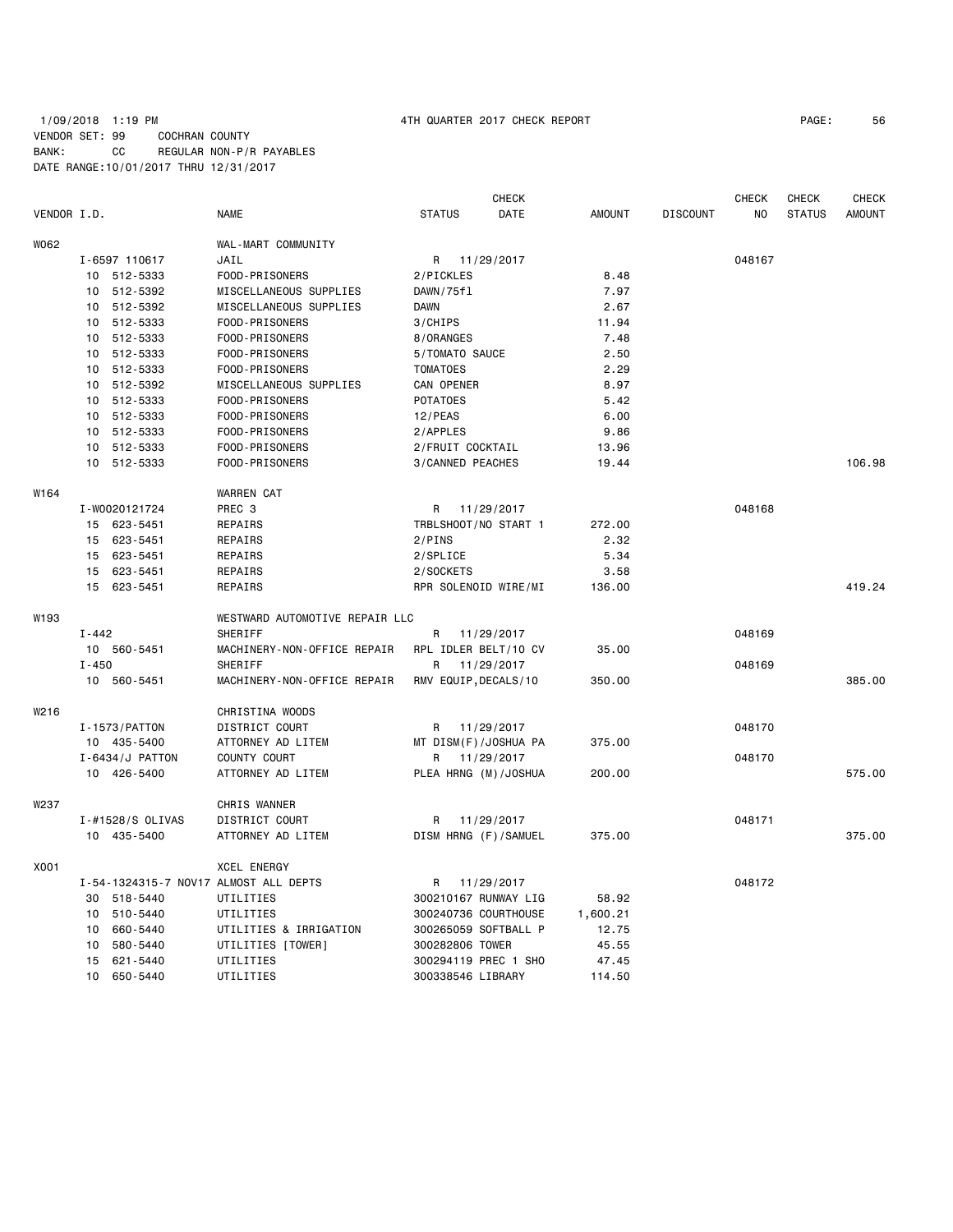# 1/09/2018 1:19 PM 4TH QUARTER 2017 CHECK REPORT PAGE: 56 VENDOR SET: 99 COCHRAN COUNTY BANK: CC REGULAR NON-P/R PAYABLES DATE RANGE:10/01/2017 THRU 12/31/2017

|             |           |                                |                                       |                           | CHECK      |               |                 | <b>CHECK</b> | CHECK         | <b>CHECK</b>  |
|-------------|-----------|--------------------------------|---------------------------------------|---------------------------|------------|---------------|-----------------|--------------|---------------|---------------|
| VENDOR I.D. |           |                                | NAME                                  | <b>STATUS</b>             | DATE       | <b>AMOUNT</b> | <b>DISCOUNT</b> | NO           | <b>STATUS</b> | <b>AMOUNT</b> |
| W062        |           |                                | WAL-MART COMMUNITY                    |                           |            |               |                 |              |               |               |
|             |           | I-6597 110617                  | JAIL                                  | R                         | 11/29/2017 |               |                 | 048167       |               |               |
|             |           | 10 512-5333                    | FOOD-PRISONERS                        | 2/PICKLES                 |            | 8.48          |                 |              |               |               |
|             | 10        | 512-5392                       | MISCELLANEOUS SUPPLIES                | DAWN/75fl                 |            | 7.97          |                 |              |               |               |
|             |           | 10 512-5392                    | MISCELLANEOUS SUPPLIES                | DAWN                      |            | 2.67          |                 |              |               |               |
|             | 10        | 512-5333                       | FOOD-PRISONERS                        | 3/CHIPS                   |            | 11.94         |                 |              |               |               |
|             | 10        | 512-5333                       | FOOD-PRISONERS                        | 8/ORANGES                 |            | 7.48          |                 |              |               |               |
|             | 10        | 512-5333                       | FOOD-PRISONERS                        | 5/TOMATO SAUCE            |            | 2.50          |                 |              |               |               |
|             | 10        | 512-5333                       | FOOD-PRISONERS                        | <b>TOMATOES</b>           |            | 2.29          |                 |              |               |               |
|             | 10        | 512-5392                       | MISCELLANEOUS SUPPLIES                | CAN OPENER                |            | 8.97          |                 |              |               |               |
|             |           | 10 512-5333                    | FOOD-PRISONERS                        | <b>POTATOES</b>           |            | 5.42          |                 |              |               |               |
|             |           | 10 512-5333                    | FOOD-PRISONERS                        | $12$ /PEAS                |            | 6.00          |                 |              |               |               |
|             |           | 10 512-5333                    | FOOD-PRISONERS                        |                           |            |               |                 |              |               |               |
|             |           |                                |                                       | 2/APPLES                  |            | 9.86          |                 |              |               |               |
|             |           | 10 512-5333                    | FOOD-PRISONERS                        | 2/FRUIT COCKTAIL          |            | 13.96         |                 |              |               | 106.98        |
|             |           | 10 512-5333                    | FOOD-PRISONERS                        | 3/CANNED PEACHES          |            | 19.44         |                 |              |               |               |
| W164        |           |                                | <b>WARREN CAT</b>                     |                           |            |               |                 |              |               |               |
|             |           | I-W0020121724                  | PREC <sub>3</sub>                     | R                         | 11/29/2017 |               |                 | 048168       |               |               |
|             |           | 15 623-5451                    | REPAIRS                               | TRBLSHOOT/NO START 1      |            | 272.00        |                 |              |               |               |
|             |           | 15 623-5451                    | REPAIRS                               | 2/PINS                    |            | 2.32          |                 |              |               |               |
|             |           | 15 623-5451                    | REPAIRS                               | 2/SPLICE                  |            | 5.34          |                 |              |               |               |
|             |           | 15 623-5451                    | REPAIRS                               | 2/SOCKETS                 |            | 3.58          |                 |              |               |               |
|             |           | 15 623-5451                    | REPAIRS                               | RPR SOLENOID WIRE/MI      |            | 136.00        |                 |              |               | 419.24        |
| W193        |           |                                | WESTWARD AUTOMOTIVE REPAIR LLC        |                           |            |               |                 |              |               |               |
|             | $I - 442$ |                                | SHERIFF                               | R                         | 11/29/2017 |               |                 | 048169       |               |               |
|             |           | 10 560-5451                    | MACHINERY-NON-OFFICE REPAIR           | RPL IDLER BELT/10 CV      |            | 35.00         |                 |              |               |               |
|             | $I - 450$ |                                | SHERIFF                               | R                         | 11/29/2017 |               |                 | 048169       |               |               |
|             |           | 10 560-5451                    | MACHINERY-NON-OFFICE REPAIR           | RMV EQUIP, DECALS/10      |            | 350.00        |                 |              |               | 385.00        |
| W216        |           |                                | CHRISTINA WOODS                       |                           |            |               |                 |              |               |               |
|             |           | I-1573/PATTON                  | DISTRICT COURT                        | R                         | 11/29/2017 |               |                 | 048170       |               |               |
|             |           |                                |                                       |                           |            | 375.00        |                 |              |               |               |
|             |           | 10 435-5400                    | ATTORNEY AD LITEM<br>COUNTY COURT     | MT DISM(F)/JOSHUA PA      |            |               |                 | 048170       |               |               |
|             |           | I-6434/J PATTON<br>10 426-5400 | ATTORNEY AD LITEM                     | R<br>PLEA HRNG (M)/JOSHUA | 11/29/2017 | 200.00        |                 |              |               | 575.00        |
|             |           |                                |                                       |                           |            |               |                 |              |               |               |
| W237        |           |                                | CHRIS WANNER                          |                           |            |               |                 |              |               |               |
|             |           | I-#1528/S OLIVAS               | DISTRICT COURT                        | R                         | 11/29/2017 |               |                 | 048171       |               |               |
|             |           | 10 435-5400                    | ATTORNEY AD LITEM                     | DISM HRNG (F)/SAMUEL      |            | 375.00        |                 |              |               | 375.00        |
| X001        |           |                                | <b>XCEL ENERGY</b>                    |                           |            |               |                 |              |               |               |
|             |           |                                | I-54-1324315-7 NOV17 ALMOST ALL DEPTS | R                         | 11/29/2017 |               |                 | 048172       |               |               |
|             |           | 30 518-5440                    | UTILITIES                             | 300210167 RUNWAY LIG      |            | 58.92         |                 |              |               |               |
|             | 10        | 510-5440                       | UTILITIES                             | 300240736 COURTHOUSE      |            | 1,600.21      |                 |              |               |               |
|             | 10        | 660-5440                       | UTILITIES & IRRIGATION                | 300265059 SOFTBALL P      |            | 12.75         |                 |              |               |               |
|             | 10        | 580-5440                       | UTILITIES [TOWER]                     | 300282806 TOWER           |            | 45.55         |                 |              |               |               |
|             |           | 15 621-5440                    | UTILITIES                             | 300294119 PREC 1 SHO      |            | 47.45         |                 |              |               |               |
|             | 10        | 650-5440                       | UTILITIES                             | 300338546 LIBRARY         |            | 114.50        |                 |              |               |               |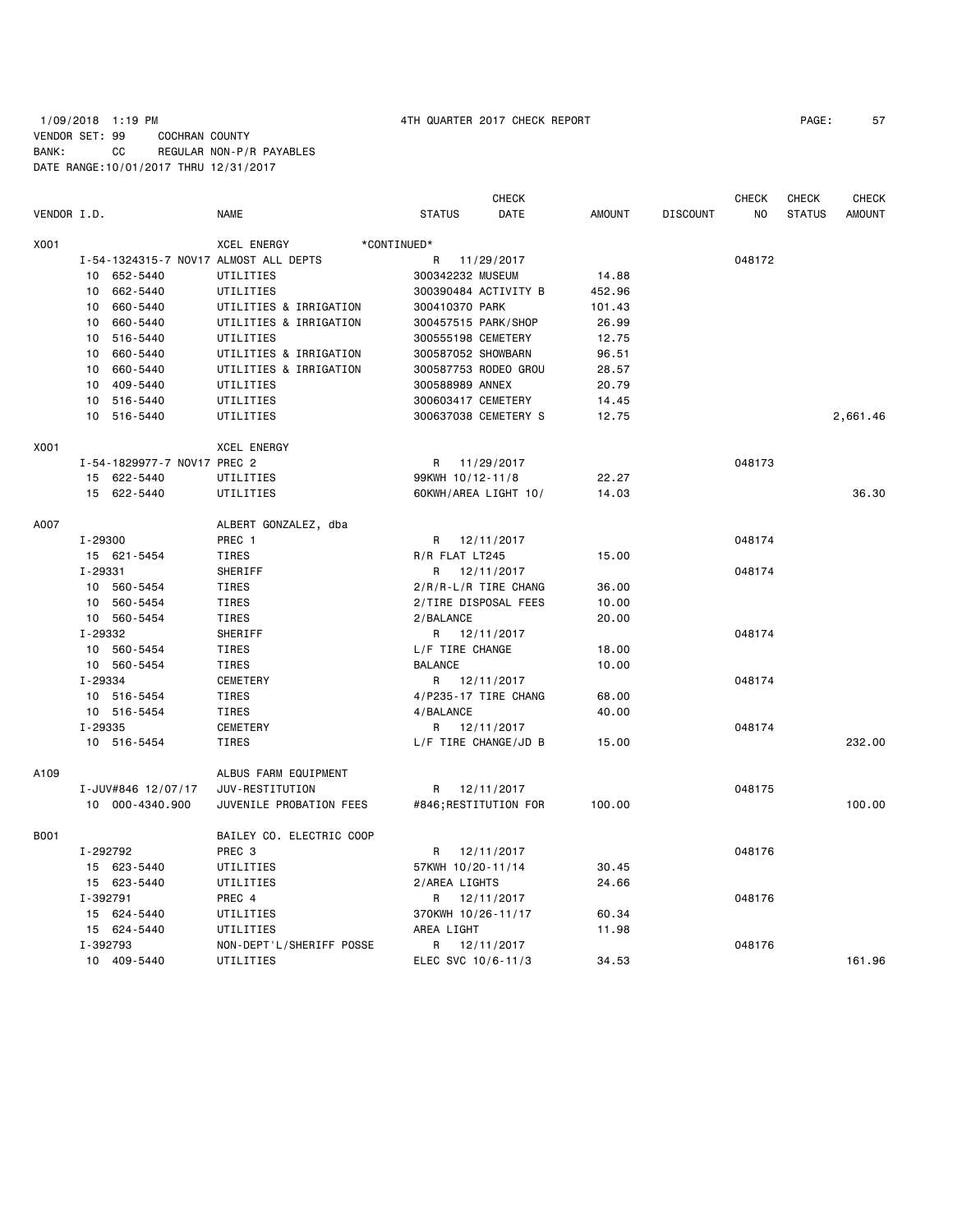# 1/09/2018 1:19 PM 4TH QUARTER 2017 CHECK REPORT PAGE: 57 VENDOR SET: 99 COCHRAN COUNTY BANK: CC REGULAR NON-P/R PAYABLES DATE RANGE:10/01/2017 THRU 12/31/2017

|             |                                       |                          | <b>CHECK</b>          |               |                 | <b>CHECK</b> | <b>CHECK</b>  | <b>CHECK</b>  |
|-------------|---------------------------------------|--------------------------|-----------------------|---------------|-----------------|--------------|---------------|---------------|
| VENDOR I.D. |                                       | <b>NAME</b>              | <b>STATUS</b><br>DATE | <b>AMOUNT</b> | <b>DISCOUNT</b> | NO           | <b>STATUS</b> | <b>AMOUNT</b> |
| X001        |                                       | XCEL ENERGY              | *CONTINUED*           |               |                 |              |               |               |
|             | I-54-1324315-7 NOV17 ALMOST ALL DEPTS |                          | R<br>11/29/2017       |               |                 | 048172       |               |               |
|             | 10 652-5440                           | UTILITIES                | 300342232 MUSEUM      | 14.88         |                 |              |               |               |
|             | 662-5440<br>10                        | UTILITIES                | 300390484 ACTIVITY B  | 452.96        |                 |              |               |               |
|             | 10 660-5440                           | UTILITIES & IRRIGATION   | 300410370 PARK        | 101.43        |                 |              |               |               |
|             | 660-5440<br>10                        | UTILITIES & IRRIGATION   | 300457515 PARK/SHOP   | 26.99         |                 |              |               |               |
|             | 10<br>516-5440                        | UTILITIES                | 300555198 CEMETERY    | 12.75         |                 |              |               |               |
|             | 660-5440<br>10                        | UTILITIES & IRRIGATION   | 300587052 SHOWBARN    | 96.51         |                 |              |               |               |
|             | 10 660-5440                           | UTILITIES & IRRIGATION   | 300587753 RODEO GROU  | 28.57         |                 |              |               |               |
|             | 10 409-5440                           | UTILITIES                | 300588989 ANNEX       | 20.79         |                 |              |               |               |
|             | 10 516-5440                           | UTILITIES                | 300603417 CEMETERY    | 14.45         |                 |              |               |               |
|             | 10 516-5440                           | UTILITIES                | 300637038 CEMETERY S  | 12.75         |                 |              |               | 2,661.46      |
| X001        |                                       | <b>XCEL ENERGY</b>       |                       |               |                 |              |               |               |
|             | I-54-1829977-7 NOV17 PREC 2           |                          | 11/29/2017<br>R       |               |                 | 048173       |               |               |
|             | 15 622-5440                           | UTILITIES                | 99KWH 10/12-11/8      | 22.27         |                 |              |               |               |
|             | 15 622-5440                           | UTILITIES                | 60KWH/AREA LIGHT 10/  | 14.03         |                 |              |               | 36.30         |
| A007        |                                       | ALBERT GONZALEZ, dba     |                       |               |                 |              |               |               |
|             | I-29300                               | PREC 1                   | R 12/11/2017          |               |                 | 048174       |               |               |
|             | 15 621-5454                           | <b>TIRES</b>             | R/R FLAT LT245        | 15.00         |                 |              |               |               |
|             | I-29331                               | SHERIFF                  | R<br>12/11/2017       |               |                 | 048174       |               |               |
|             | 10 560-5454                           | <b>TIRES</b>             | 2/R/R-L/R TIRE CHANG  | 36.00         |                 |              |               |               |
|             | 560-5454<br>10                        | TIRES                    | 2/TIRE DISPOSAL FEES  | 10.00         |                 |              |               |               |
|             | 10 560-5454                           | <b>TIRES</b>             | 2/BALANCE             | 20.00         |                 |              |               |               |
|             | I-29332                               | SHERIFF                  | R 12/11/2017          |               |                 | 048174       |               |               |
|             | 10 560-5454                           | TIRES                    | L/F TIRE CHANGE       | 18.00         |                 |              |               |               |
|             | 10 560-5454                           | TIRES                    | <b>BALANCE</b>        | 10.00         |                 |              |               |               |
|             | I-29334                               | <b>CEMETERY</b>          | R 12/11/2017          |               |                 | 048174       |               |               |
|             | 10 516-5454                           | TIRES                    | 4/P235-17 TIRE CHANG  | 68.00         |                 |              |               |               |
|             | 10 516-5454                           | TIRES                    | 4/BALANCE             | 40.00         |                 |              |               |               |
|             | I-29335                               | <b>CEMETERY</b>          | R 12/11/2017          |               |                 | 048174       |               |               |
|             | 10 516-5454                           | TIRES                    | L/F TIRE CHANGE/JD B  | 15.00         |                 |              |               | 232.00        |
| A109        |                                       | ALBUS FARM EQUIPMENT     |                       |               |                 |              |               |               |
|             | I-JUV#846 12/07/17                    | JUV-RESTITUTION          | 12/11/2017<br>R       |               |                 | 048175       |               |               |
|             | 10 000-4340.900                       | JUVENILE PROBATION FEES  | #846; RESTITUTION FOR | 100.00        |                 |              |               | 100.00        |
| <b>B001</b> |                                       | BAILEY CO. ELECTRIC COOP |                       |               |                 |              |               |               |
|             | I-292792                              | PREC <sub>3</sub>        | 12/11/2017<br>R       |               |                 | 048176       |               |               |
|             | 15 623-5440                           | UTILITIES                | 57KWH 10/20-11/14     | 30.45         |                 |              |               |               |
|             | 15 623-5440                           | UTILITIES                | 2/AREA LIGHTS         | 24.66         |                 |              |               |               |
|             | I-392791                              | PREC 4                   | 12/11/2017<br>R       |               |                 | 048176       |               |               |
|             | 15 624-5440                           | UTILITIES                | 370KWH 10/26-11/17    | 60.34         |                 |              |               |               |
|             | 15 624-5440                           | UTILITIES                | AREA LIGHT            | 11.98         |                 |              |               |               |
|             | I-392793                              | NON-DEPT'L/SHERIFF POSSE | 12/11/2017<br>R       |               |                 | 048176       |               |               |
|             | 10 409-5440                           | UTILITIES                | ELEC SVC 10/6-11/3    | 34.53         |                 |              |               | 161.96        |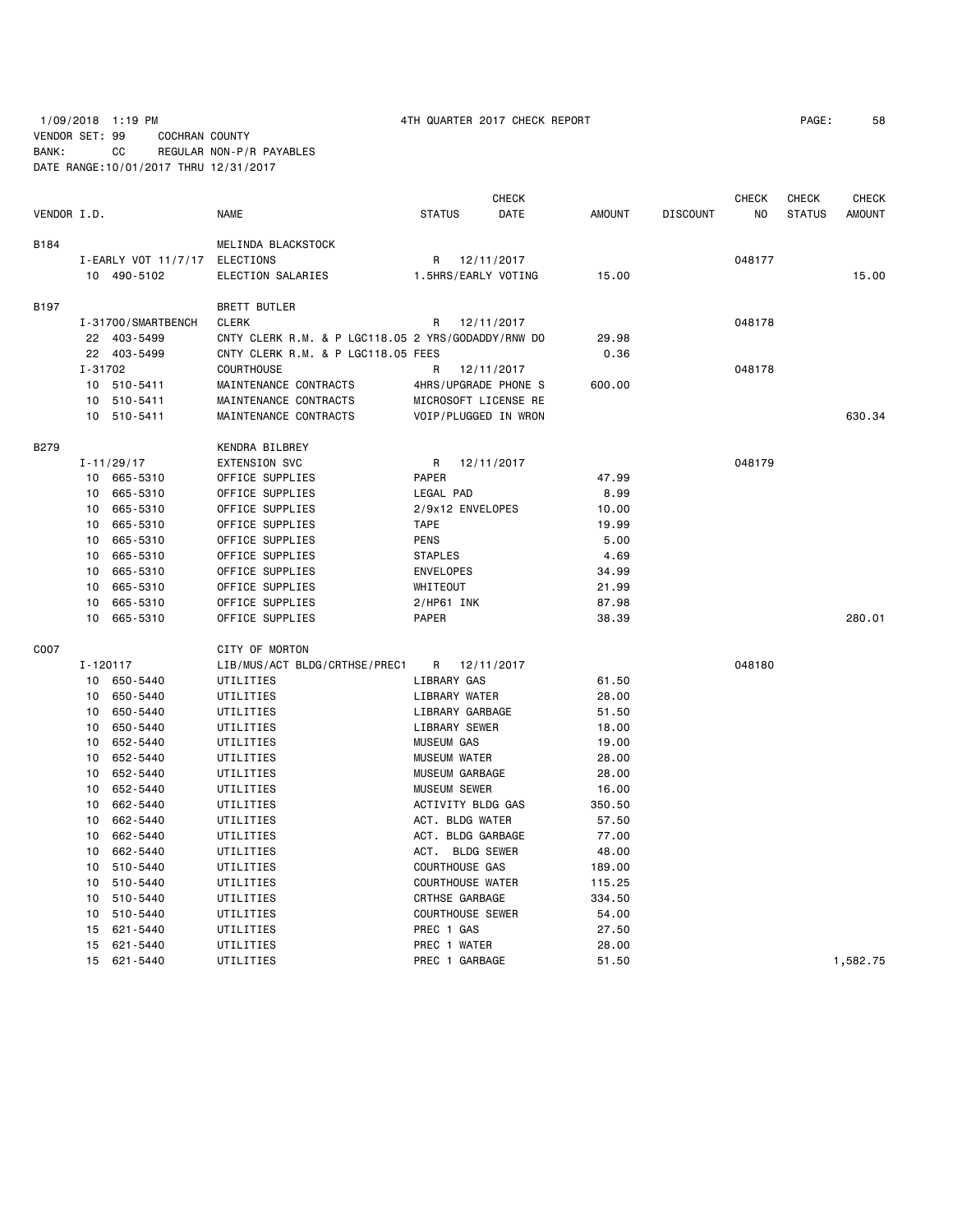# 1/09/2018 1:19 PM 4TH QUARTER 2017 CHECK REPORT PAGE: 58 VENDOR SET: 99 COCHRAN COUNTY BANK: CC REGULAR NON-P/R PAYABLES DATE RANGE:10/01/2017 THRU 12/31/2017

|             |              |                               |                                                    |                         |                | <b>CHECK</b>         |               |                 | <b>CHECK</b> | <b>CHECK</b>  | <b>CHECK</b>  |
|-------------|--------------|-------------------------------|----------------------------------------------------|-------------------------|----------------|----------------------|---------------|-----------------|--------------|---------------|---------------|
| VENDOR I.D. |              |                               | NAME                                               | <b>STATUS</b>           |                | DATE                 | <b>AMOUNT</b> | <b>DISCOUNT</b> | NO           | <b>STATUS</b> | <b>AMOUNT</b> |
| B184        |              |                               | MELINDA BLACKSTOCK                                 |                         |                |                      |               |                 |              |               |               |
|             |              | I-EARLY VOT 11/7/17 ELECTIONS |                                                    | R                       |                | 12/11/2017           |               |                 | 048177       |               |               |
|             |              | 10 490-5102                   | ELECTION SALARIES                                  |                         |                | 1.5HRS/EARLY VOTING  | 15.00         |                 |              |               | 15.00         |
| B197        |              |                               | <b>BRETT BUTLER</b>                                |                         |                |                      |               |                 |              |               |               |
|             |              | I-31700/SMARTBENCH            | <b>CLERK</b>                                       | R                       |                | 12/11/2017           |               |                 | 048178       |               |               |
|             |              | 22 403-5499                   | CNTY CLERK R.M. & P LGC118.05 2 YRS/GODADDY/RNW DO |                         |                |                      | 29.98         |                 |              |               |               |
|             |              | 22 403-5499                   | CNTY CLERK R.M. & P LGC118.05 FEES                 |                         |                |                      | 0.36          |                 |              |               |               |
|             | I-31702      |                               | <b>COURTHOUSE</b>                                  | R                       |                | 12/11/2017           |               |                 | 048178       |               |               |
|             |              | 10 510-5411                   | MAINTENANCE CONTRACTS                              |                         |                | 4HRS/UPGRADE PHONE S | 600.00        |                 |              |               |               |
|             |              | 10 510-5411                   | MAINTENANCE CONTRACTS                              |                         |                | MICROSOFT LICENSE RE |               |                 |              |               |               |
|             |              | 10 510-5411                   | MAINTENANCE CONTRACTS                              |                         |                | VOIP/PLUGGED IN WRON |               |                 |              |               | 630.34        |
| B279        |              |                               | KENDRA BILBREY                                     |                         |                |                      |               |                 |              |               |               |
|             |              | $I - 11/29/17$                | <b>EXTENSION SVC</b>                               | R                       |                | 12/11/2017           |               |                 | 048179       |               |               |
|             |              | 10 665-5310                   | OFFICE SUPPLIES                                    | PAPER                   |                |                      | 47.99         |                 |              |               |               |
|             | 10           | 665-5310                      | OFFICE SUPPLIES                                    | LEGAL PAD               |                |                      | 8.99          |                 |              |               |               |
|             | 10           | 665-5310                      | OFFICE SUPPLIES                                    | 2/9x12 ENVELOPES        |                |                      | 10.00         |                 |              |               |               |
|             | 10           | 665-5310                      | OFFICE SUPPLIES                                    | <b>TAPE</b>             |                |                      | 19.99         |                 |              |               |               |
|             | 10           | 665-5310                      | OFFICE SUPPLIES                                    | <b>PENS</b>             |                |                      | 5.00          |                 |              |               |               |
|             | 10           | 665-5310                      | OFFICE SUPPLIES                                    | <b>STAPLES</b>          |                |                      | 4.69          |                 |              |               |               |
|             | 10           | 665-5310                      | OFFICE SUPPLIES                                    | <b>ENVELOPES</b>        |                |                      | 34.99         |                 |              |               |               |
|             | 10           | 665-5310                      | OFFICE SUPPLIES                                    | WHITEOUT                |                |                      | 21.99         |                 |              |               |               |
|             | 10           | 665-5310                      | OFFICE SUPPLIES                                    | $2/HP61$ INK            |                |                      | 87.98         |                 |              |               |               |
|             | 10           | 665-5310                      | OFFICE SUPPLIES                                    | <b>PAPER</b>            |                |                      | 38.39         |                 |              |               | 280.01        |
| C007        |              |                               | CITY OF MORTON                                     |                         |                |                      |               |                 |              |               |               |
|             | $I - 120117$ |                               | LIB/MUS/ACT BLDG/CRTHSE/PREC1                      | R                       |                | 12/11/2017           |               |                 | 048180       |               |               |
|             | 10           | 650-5440                      | UTILITIES                                          | LIBRARY GAS             |                |                      | 61.50         |                 |              |               |               |
|             | 10           | 650-5440                      | UTILITIES                                          | LIBRARY WATER           |                |                      | 28.00         |                 |              |               |               |
|             | 10           | 650-5440                      | UTILITIES                                          | LIBRARY GARBAGE         |                |                      | 51.50         |                 |              |               |               |
|             | 10           | 650-5440                      | UTILITIES                                          | LIBRARY SEWER           |                |                      | 18.00         |                 |              |               |               |
|             | 10           | 652-5440                      | UTILITIES                                          | <b>MUSEUM GAS</b>       |                |                      | 19.00         |                 |              |               |               |
|             | 10           | 652-5440                      | UTILITIES                                          | <b>MUSEUM WATER</b>     |                |                      | 28.00         |                 |              |               |               |
|             | 10           | 652-5440                      | UTILITIES                                          | MUSEUM GARBAGE          |                |                      | 28.00         |                 |              |               |               |
|             | 10           | 652-5440                      | UTILITIES                                          | <b>MUSEUM SEWER</b>     |                |                      | 16.00         |                 |              |               |               |
|             | 10           | 662-5440                      | UTILITIES                                          | ACTIVITY BLDG GAS       |                |                      | 350.50        |                 |              |               |               |
|             | 10           | 662-5440                      | UTILITIES                                          | ACT. BLDG WATER         |                |                      | 57.50         |                 |              |               |               |
|             | 10           | 662-5440                      | UTILITIES                                          | ACT. BLDG GARBAGE       |                |                      | 77.00         |                 |              |               |               |
|             | 10           | 662-5440                      | UTILITIES                                          | ACT. BLDG SEWER         |                |                      | 48.00         |                 |              |               |               |
|             | 10           | 510-5440                      | UTILITIES                                          | <b>COURTHOUSE GAS</b>   |                |                      | 189.00        |                 |              |               |               |
|             | 10           | 510-5440                      | UTILITIES                                          | <b>COURTHOUSE WATER</b> |                |                      | 115.25        |                 |              |               |               |
|             | 10           | 510-5440                      | UTILITIES                                          | CRTHSE GARBAGE          |                |                      | 334.50        |                 |              |               |               |
|             | 10           | 510-5440                      | UTILITIES                                          | <b>COURTHOUSE SEWER</b> |                |                      | 54.00         |                 |              |               |               |
|             | 15           | 621-5440                      | UTILITIES                                          | PREC 1 GAS              |                |                      | 27.50         |                 |              |               |               |
|             | 15           | 621-5440                      | UTILITIES                                          |                         | PREC 1 WATER   |                      | 28,00         |                 |              |               |               |
|             | 15           | 621-5440                      | UTILITIES                                          |                         | PREC 1 GARBAGE |                      | 51.50         |                 |              |               | 1,582.75      |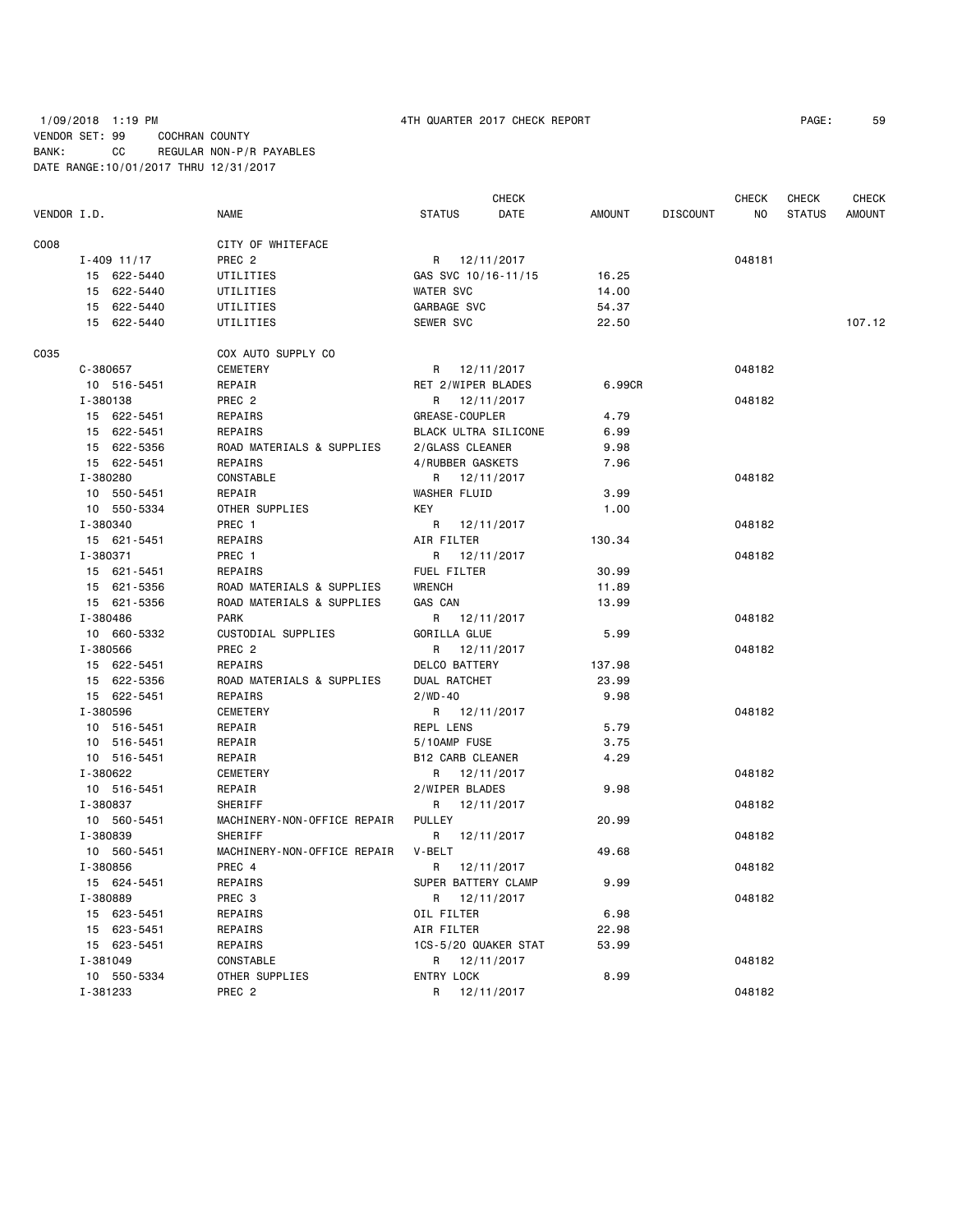### 1/09/2018 1:19 PM 4TH QUARTER 2017 CHECK REPORT PAGE: 59 VENDOR SET: 99 COCHRAN COUNTY BANK: CC REGULAR NON-P/R PAYABLES DATE RANGE:10/01/2017 THRU 12/31/2017

| VENDOR I.D. |                 | <b>NAME</b>                 | CHECK<br><b>STATUS</b><br>DATE | <b>AMOUNT</b> | <b>DISCOUNT</b> | <b>CHECK</b><br>NO | <b>CHECK</b><br><b>STATUS</b> | <b>CHECK</b><br><b>AMOUNT</b> |
|-------------|-----------------|-----------------------------|--------------------------------|---------------|-----------------|--------------------|-------------------------------|-------------------------------|
| C008        |                 | CITY OF WHITEFACE           |                                |               |                 |                    |                               |                               |
|             | $I - 409$ 11/17 | PREC <sub>2</sub>           | R 12/11/2017                   |               |                 | 048181             |                               |                               |
|             | 15 622-5440     | UTILITIES                   | GAS SVC 10/16-11/15            | 16.25         |                 |                    |                               |                               |
|             | 15 622-5440     | UTILITIES                   | <b>WATER SVC</b>               | 14.00         |                 |                    |                               |                               |
|             | 15 622-5440     | UTILITIES                   | GARBAGE SVC                    | 54.37         |                 |                    |                               |                               |
|             | 15 622-5440     | UTILITIES                   | <b>SEWER SVC</b>               | 22.50         |                 |                    |                               | 107.12                        |
|             |                 |                             |                                |               |                 |                    |                               |                               |
| C035        |                 | COX AUTO SUPPLY CO          |                                |               |                 |                    |                               |                               |
|             | C-380657        | <b>CEMETERY</b>             | R 12/11/2017                   |               |                 | 048182             |                               |                               |
|             | 10 516-5451     | REPAIR                      | RET 2/WIPER BLADES             | 6.99CR        |                 |                    |                               |                               |
|             | I-380138        | PREC <sub>2</sub>           | R<br>12/11/2017                |               |                 | 048182             |                               |                               |
|             | 15 622-5451     | REPAIRS                     | <b>GREASE - COUPLER</b>        | 4.79          |                 |                    |                               |                               |
|             | 15 622-5451     | REPAIRS                     | BLACK ULTRA SILICONE           | 6.99          |                 |                    |                               |                               |
|             | 15 622-5356     | ROAD MATERIALS & SUPPLIES   | 2/GLASS CLEANER                | 9.98          |                 |                    |                               |                               |
|             | 15 622-5451     | REPAIRS                     | 4/RUBBER GASKETS               | 7.96          |                 |                    |                               |                               |
|             | I-380280        | CONSTABLE                   | 12/11/2017<br>R                |               |                 | 048182             |                               |                               |
|             | 10 550-5451     | REPAIR                      | WASHER FLUID                   | 3.99          |                 |                    |                               |                               |
|             | 10 550-5334     | OTHER SUPPLIES              | KEY                            | 1.00          |                 |                    |                               |                               |
|             | I-380340        | PREC 1                      | R 12/11/2017                   |               |                 | 048182             |                               |                               |
|             | 15 621-5451     | REPAIRS                     | AIR FILTER                     | 130.34        |                 |                    |                               |                               |
|             | I-380371        | PREC 1                      | 12/11/2017<br>R                |               |                 | 048182             |                               |                               |
|             | 15 621-5451     | REPAIRS                     | FUEL FILTER                    | 30.99         |                 |                    |                               |                               |
|             | 15 621-5356     | ROAD MATERIALS & SUPPLIES   | <b>WRENCH</b>                  | 11.89         |                 |                    |                               |                               |
|             | 15 621-5356     | ROAD MATERIALS & SUPPLIES   | GAS CAN                        | 13.99         |                 |                    |                               |                               |
|             | I-380486        | <b>PARK</b>                 | R 12/11/2017                   |               |                 | 048182             |                               |                               |
|             | 10 660-5332     | CUSTODIAL SUPPLIES          | GORILLA GLUE                   | 5.99          |                 |                    |                               |                               |
|             | I-380566        | PREC <sub>2</sub>           | R<br>12/11/2017                |               |                 | 048182             |                               |                               |
|             | 15 622-5451     | REPAIRS                     | DELCO BATTERY                  | 137.98        |                 |                    |                               |                               |
|             | 15 622-5356     | ROAD MATERIALS & SUPPLIES   | DUAL RATCHET                   | 23.99         |                 |                    |                               |                               |
|             | 15 622-5451     | <b>REPAIRS</b>              | $2 / WD - 40$                  | 9.98          |                 |                    |                               |                               |
|             | I-380596        | CEMETERY                    | R 12/11/2017                   |               |                 | 048182             |                               |                               |
|             | 10 516-5451     | REPAIR                      | REPL LENS                      | 5.79          |                 |                    |                               |                               |
|             | 10 516-5451     | REPAIR                      | 5/10AMP FUSE                   | 3.75          |                 |                    |                               |                               |
|             | 10 516-5451     | REPAIR                      | <b>B12 CARB CLEANER</b>        | 4.29          |                 |                    |                               |                               |
|             | I-380622        | CEMETERY                    | R 12/11/2017                   |               |                 | 048182             |                               |                               |
|             | 10 516-5451     | REPAIR                      | 2/WIPER BLADES                 | 9.98          |                 |                    |                               |                               |
|             | I-380837        | SHERIFF                     | 12/11/2017<br>R                |               |                 | 048182             |                               |                               |
|             | 10 560-5451     | MACHINERY-NON-OFFICE REPAIR | <b>PULLEY</b>                  | 20.99         |                 |                    |                               |                               |
|             | I-380839        | SHERIFF                     | R<br>12/11/2017                |               |                 | 048182             |                               |                               |
|             | 10 560-5451     | MACHINERY-NON-OFFICE REPAIR | V-BELT                         | 49.68         |                 |                    |                               |                               |
|             | I-380856        | PREC 4                      | R<br>12/11/2017                |               |                 | 048182             |                               |                               |
|             | 15 624-5451     | REPAIRS                     | SUPER BATTERY CLAMP            | 9.99          |                 |                    |                               |                               |
|             | I-380889        | PREC 3                      | R 12/11/2017                   |               |                 | 048182             |                               |                               |
|             | 15 623-5451     | REPAIRS                     | OIL FILTER                     | 6.98          |                 |                    |                               |                               |
|             | 15 623-5451     | REPAIRS                     | AIR FILTER                     | 22.98         |                 |                    |                               |                               |
|             | 15 623-5451     | REPAIRS                     | 1CS-5/20 QUAKER STAT           | 53.99         |                 |                    |                               |                               |
|             | I-381049        | CONSTABLE                   | R 12/11/2017                   |               |                 | 048182             |                               |                               |
|             | 10 550-5334     | OTHER SUPPLIES              | <b>ENTRY LOCK</b>              | 8.99          |                 |                    |                               |                               |
|             | I-381233        | PREC <sub>2</sub>           | R<br>12/11/2017                |               |                 | 048182             |                               |                               |
|             |                 |                             |                                |               |                 |                    |                               |                               |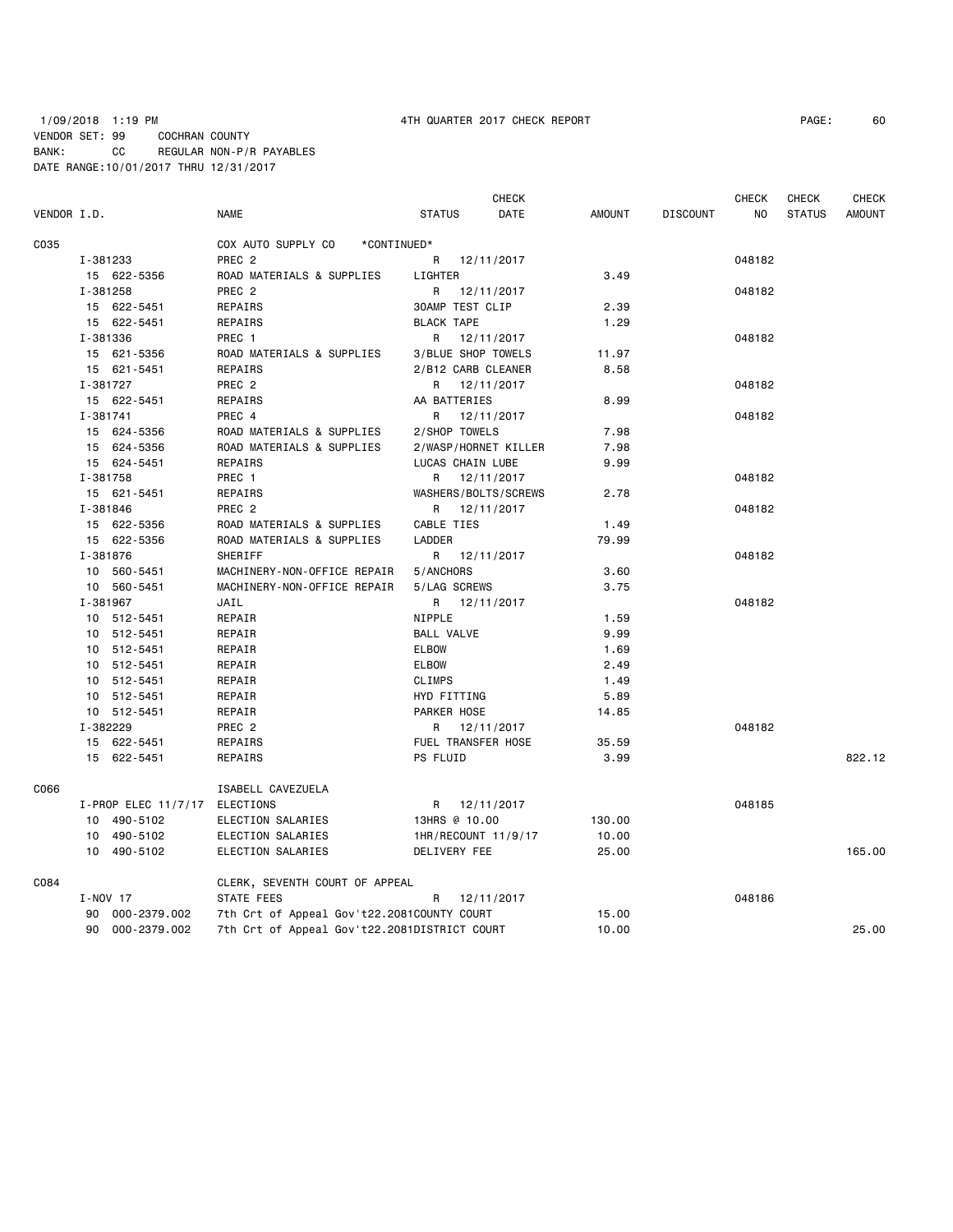|             |          |                               |                                              |                               | <b>CHECK</b> |               |                 | CHECK  | CHECK         | <b>CHECK</b>  |
|-------------|----------|-------------------------------|----------------------------------------------|-------------------------------|--------------|---------------|-----------------|--------|---------------|---------------|
| VENDOR I.D. |          |                               | <b>NAME</b>                                  | <b>STATUS</b>                 | DATE         | AMOUNT        | <b>DISCOUNT</b> | NO.    | <b>STATUS</b> | <b>AMOUNT</b> |
| C035        |          |                               | COX AUTO SUPPLY CO<br>*CONTINUED*            |                               |              |               |                 |        |               |               |
|             | I-381233 |                               | PREC <sub>2</sub>                            | R 12/11/2017                  |              |               |                 | 048182 |               |               |
|             |          | 15 622-5356                   | ROAD MATERIALS & SUPPLIES                    | LIGHTER                       |              | 3.49          |                 |        |               |               |
|             | I-381258 |                               | PREC <sub>2</sub>                            | R 12/11/2017                  |              |               |                 | 048182 |               |               |
|             |          | 15 622-5451                   | REPAIRS                                      | <b>30AMP TEST CLIP</b>        |              | 2.39          |                 |        |               |               |
|             |          | 15 622-5451                   | REPAIRS                                      | <b>BLACK TAPE</b>             |              | 1.29          |                 |        |               |               |
|             | I-381336 |                               | PREC 1                                       | R 12/11/2017                  |              |               |                 | 048182 |               |               |
|             |          | 15 621-5356                   | ROAD MATERIALS & SUPPLIES                    | 3/BLUE SHOP TOWELS            |              | 11.97         |                 |        |               |               |
|             |          | 15 621-5451                   | REPAIRS                                      | 2/B12 CARB CLEANER            |              | 8.58          |                 |        |               |               |
|             | I-381727 |                               | PREC 2                                       | R 12/11/2017                  |              |               |                 | 048182 |               |               |
|             |          | 15 622-5451                   | REPAIRS                                      | AA BATTERIES                  |              | 8.99          |                 |        |               |               |
|             | I-381741 |                               | PREC 4                                       | R 12/11/2017<br>2/SHOP TOWELS |              |               |                 | 048182 |               |               |
|             |          | 15 624-5356                   | ROAD MATERIALS & SUPPLIES                    |                               |              | 7.98          |                 |        |               |               |
|             |          | 15 624-5356                   | ROAD MATERIALS & SUPPLIES                    | 2/WASP/HORNET KILLER          |              | 7.98          |                 |        |               |               |
|             |          | 15 624-5451                   | REPAIRS                                      | LUCAS CHAIN LUBE              |              | 9.99          |                 |        |               |               |
|             | I-381758 |                               | PREC 1                                       | R 12/11/2017                  |              |               |                 | 048182 |               |               |
|             |          | 15 621-5451                   | REPAIRS                                      | WASHERS/BOLTS/SCREWS          |              | 2.78          |                 |        |               |               |
|             | I-381846 |                               | PREC <sub>2</sub>                            | R 12/11/2017                  |              |               |                 | 048182 |               |               |
|             |          | 15 622-5356                   | ROAD MATERIALS & SUPPLIES                    | CABLE TIES<br>LADDER          |              | 1.49<br>79.99 |                 |        |               |               |
|             | I-381876 | 15 622-5356                   | ROAD MATERIALS & SUPPLIES<br>SHERIFF         | R 12/11/2017                  |              |               |                 | 048182 |               |               |
|             |          | 10 560-5451                   | MACHINERY-NON-OFFICE REPAIR                  | 5/ANCHORS                     |              | 3.60          |                 |        |               |               |
|             |          | 10 560-5451                   | MACHINERY-NON-OFFICE REPAIR                  | 5/LAG SCREWS                  |              | 3.75          |                 |        |               |               |
|             | I-381967 |                               | JAIL                                         | R 12/11/2017                  |              |               |                 | 048182 |               |               |
|             |          | 10 512-5451                   | REPAIR                                       | NIPPLE                        |              | 1.59          |                 |        |               |               |
|             |          | 10 512-5451                   | REPAIR                                       | <b>BALL VALVE</b>             |              | 9.99          |                 |        |               |               |
|             |          | 10 512-5451                   | REPAIR                                       | ELBOW                         |              | 1.69          |                 |        |               |               |
|             |          | 10 512-5451                   | REPAIR                                       | <b>ELBOW</b>                  |              | 2.49          |                 |        |               |               |
|             |          | 10 512-5451                   | REPAIR                                       | CLIMPS                        |              | 1.49          |                 |        |               |               |
|             |          | 10 512-5451                   | REPAIR                                       | HYD FITTING                   |              | 5.89          |                 |        |               |               |
|             |          | 10 512-5451                   | REPAIR                                       | PARKER HOSE                   |              | 14.85         |                 |        |               |               |
|             | I-382229 |                               | PREC 2                                       | R 12/11/2017                  |              |               |                 | 048182 |               |               |
|             |          | 15 622-5451                   | REPAIRS                                      | FUEL TRANSFER HOSE            |              | 35.59         |                 |        |               |               |
|             |          | 15 622-5451                   | REPAIRS                                      | PS FLUID                      |              | 3.99          |                 |        |               | 822.12        |
| C066        |          |                               | ISABELL CAVEZUELA                            |                               |              |               |                 |        |               |               |
|             |          | I-PROP ELEC 11/7/17 ELECTIONS |                                              | R 12/11/2017                  |              |               |                 | 048185 |               |               |
|             |          | 10 490-5102                   | ELECTION SALARIES                            | 13HRS @ 10.00                 |              | 130.00        |                 |        |               |               |
|             |          | 10 490-5102                   | ELECTION SALARIES                            | 1HR/RECOUNT 11/9/17           |              | 10.00         |                 |        |               |               |
|             |          | 10 490-5102                   | ELECTION SALARIES                            | DELIVERY FEE                  |              | 25.00         |                 |        |               | 165.00        |
| C084        |          |                               | CLERK, SEVENTH COURT OF APPEAL               |                               |              |               |                 |        |               |               |
|             | I-NOV 17 |                               | STATE FEES                                   | R                             | 12/11/2017   |               |                 | 048186 |               |               |
|             |          | 90 000-2379.002               | 7th Crt of Appeal Gov't22.2081COUNTY COURT   |                               |              | 15.00         |                 |        |               |               |
|             |          | 90 000-2379.002               | 7th Crt of Appeal Gov't22.2081DISTRICT COURT |                               |              | 10.00         |                 |        |               | 25.00         |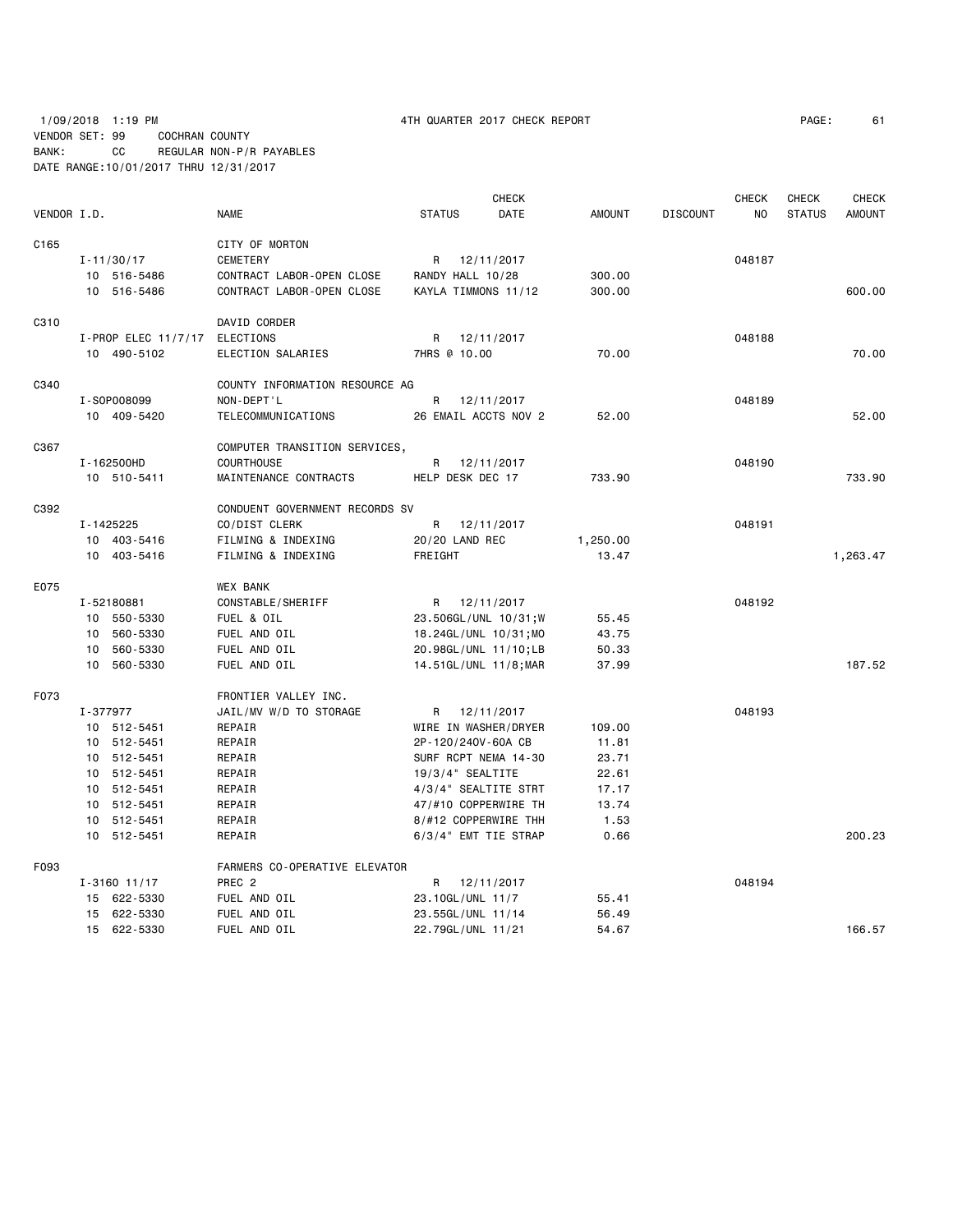|             |          |                       |                                |                  |                   | <b>CHECK</b>          |               |                 | <b>CHECK</b> | <b>CHECK</b>  | <b>CHECK</b>  |
|-------------|----------|-----------------------|--------------------------------|------------------|-------------------|-----------------------|---------------|-----------------|--------------|---------------|---------------|
| VENDOR I.D. |          |                       | <b>NAME</b>                    | <b>STATUS</b>    |                   | DATE                  | <b>AMOUNT</b> | <b>DISCOUNT</b> | NO.          | <b>STATUS</b> | <b>AMOUNT</b> |
| C165        |          |                       | CITY OF MORTON                 |                  |                   |                       |               |                 |              |               |               |
|             |          | $I - 11/30/17$        | CEMETERY                       | R                |                   | 12/11/2017            |               |                 | 048187       |               |               |
|             |          | 10 516-5486           | CONTRACT LABOR-OPEN CLOSE      |                  | RANDY HALL 10/28  |                       | 300.00        |                 |              |               |               |
|             |          | 10 516-5486           | CONTRACT LABOR-OPEN CLOSE      |                  |                   | KAYLA TIMMONS 11/12   | 300.00        |                 |              |               | 600.00        |
| C310        |          |                       | DAVID CORDER                   |                  |                   |                       |               |                 |              |               |               |
|             |          | $I-PROP$ ELEC 11/7/17 | ELECTIONS                      | R                |                   | 12/11/2017            |               |                 | 048188       |               |               |
|             |          | 10 490-5102           | ELECTION SALARIES              |                  | 7HRS @ 10.00      |                       | 70.00         |                 |              |               | 70.00         |
| C340        |          |                       | COUNTY INFORMATION RESOURCE AG |                  |                   |                       |               |                 |              |               |               |
|             |          | I-S0P008099           | NON-DEPT'L                     | R                |                   | 12/11/2017            |               |                 | 048189       |               |               |
|             |          | 10 409-5420           | <b>TELECOMMUNICATIONS</b>      |                  |                   | 26 EMAIL ACCTS NOV 2  | 52.00         |                 |              |               | 52.00         |
| C367        |          |                       | COMPUTER TRANSITION SERVICES,  |                  |                   |                       |               |                 |              |               |               |
|             |          | I-162500HD            | <b>COURTHOUSE</b>              | R                |                   | 12/11/2017            |               |                 | 048190       |               |               |
|             |          | 10 510-5411           | MAINTENANCE CONTRACTS          | HELP DESK DEC 17 |                   |                       | 733.90        |                 |              |               | 733.90        |
| C392        |          |                       | CONDUENT GOVERNMENT RECORDS SV |                  |                   |                       |               |                 |              |               |               |
|             |          | I-1425225             | CO/DIST CLERK                  | R                |                   | 12/11/2017            |               |                 | 048191       |               |               |
|             |          | 10 403-5416           | FILMING & INDEXING             |                  | 20/20 LAND REC    |                       | 1,250.00      |                 |              |               |               |
|             |          | 10 403-5416           | FILMING & INDEXING             | FREIGHT          |                   |                       | 13.47         |                 |              |               | 1,263.47      |
| E075        |          |                       | <b>WEX BANK</b>                |                  |                   |                       |               |                 |              |               |               |
|             |          | I-52180881            | CONSTABLE/SHERIFF              |                  | R 12/11/2017      |                       |               |                 | 048192       |               |               |
|             |          | 10 550-5330           | FUEL & OIL                     |                  |                   | 23.506GL/UNL 10/31;W  | 55.45         |                 |              |               |               |
|             |          | 10 560-5330           | FUEL AND OIL                   |                  |                   | 18.24GL/UNL 10/31;MO  | 43.75         |                 |              |               |               |
|             |          | 10 560-5330           | FUEL AND OIL                   |                  |                   | 20.98GL/UNL 11/10;LB  | 50.33         |                 |              |               |               |
|             |          | 10 560-5330           | FUEL AND OIL                   |                  |                   | 14.51GL/UNL 11/8; MAR | 37.99         |                 |              |               | 187.52        |
| F073        |          |                       | FRONTIER VALLEY INC.           |                  |                   |                       |               |                 |              |               |               |
|             | I-377977 |                       | JAIL/MV W/D TO STORAGE         | R                | 12/11/2017        |                       |               |                 | 048193       |               |               |
|             |          | 10 512-5451           | REPAIR                         |                  |                   | WIRE IN WASHER/DRYER  | 109.00        |                 |              |               |               |
|             |          | 10 512-5451           | REPAIR                         |                  |                   | 2P-120/240V-60A CB    | 11.81         |                 |              |               |               |
|             |          | 10 512-5451           | REPAIR                         |                  |                   | SURF RCPT NEMA 14-30  | 23.71         |                 |              |               |               |
|             |          | 10 512-5451           | REPAIR                         |                  | 19/3/4" SEALTITE  |                       | 22.61         |                 |              |               |               |
|             |          | 10 512-5451           | REPAIR                         |                  |                   | 4/3/4" SEALTITE STRT  | 17.17         |                 |              |               |               |
|             |          | 10 512-5451           | REPAIR                         |                  |                   | 47/#10 COPPERWIRE TH  | 13.74         |                 |              |               |               |
|             |          | 10 512-5451           | REPAIR                         |                  |                   | 8/#12 COPPERWIRE THH  | 1.53          |                 |              |               |               |
|             |          | 10 512-5451           | REPAIR                         |                  |                   | 6/3/4" EMT TIE STRAP  | 0.66          |                 |              |               | 200.23        |
| F093        |          |                       | FARMERS CO-OPERATIVE ELEVATOR  |                  |                   |                       |               |                 |              |               |               |
|             |          | $I - 3160$ 11/17      | PREC <sub>2</sub>              | R                |                   | 12/11/2017            |               |                 | 048194       |               |               |
|             |          | 15 622-5330           | FUEL AND OIL                   |                  | 23.10GL/UNL 11/7  |                       | 55.41         |                 |              |               |               |
|             |          | 15 622-5330           | FUEL AND OIL                   |                  | 23.55GL/UNL 11/14 |                       | 56.49         |                 |              |               |               |
|             |          | 15 622-5330           | FUEL AND OIL                   |                  | 22.79GL/UNL 11/21 |                       | 54.67         |                 |              |               | 166.57        |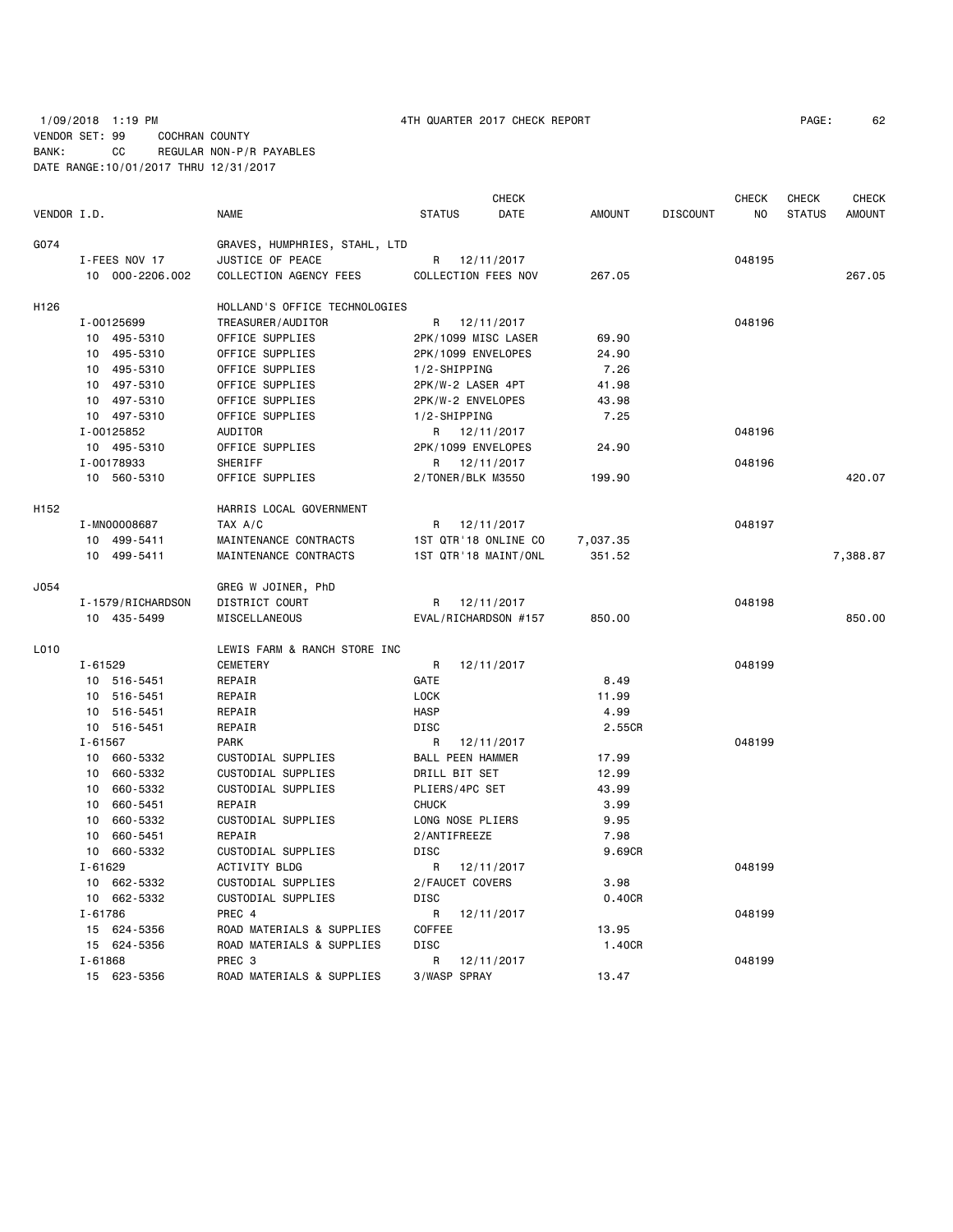1/09/2018 1:19 PM 4TH QUARTER 2017 CHECK REPORT PAGE: 62 VENDOR SET: 99 COCHRAN COUNTY BANK: CC REGULAR NON-P/R PAYABLES DATE RANGE:10/01/2017 THRU 12/31/2017

| VENDOR I.D. |                   | <b>NAME</b>                   | <b>STATUS</b>   | <b>CHECK</b><br>DATE | <b>AMOUNT</b> | <b>DISCOUNT</b> | <b>CHECK</b><br>NO. | <b>CHECK</b><br><b>STATUS</b> | <b>CHECK</b><br><b>AMOUNT</b> |
|-------------|-------------------|-------------------------------|-----------------|----------------------|---------------|-----------------|---------------------|-------------------------------|-------------------------------|
| G074        |                   | GRAVES, HUMPHRIES, STAHL, LTD |                 |                      |               |                 |                     |                               |                               |
|             | I-FEES NOV 17     | JUSTICE OF PEACE              |                 | R 12/11/2017         |               |                 | 048195              |                               |                               |
|             | 10 000-2206.002   | COLLECTION AGENCY FEES        |                 | COLLECTION FEES NOV  | 267.05        |                 |                     |                               | 267.05                        |
| H126        |                   | HOLLAND'S OFFICE TECHNOLOGIES |                 |                      |               |                 |                     |                               |                               |
|             | I-00125699        | TREASURER/AUDITOR             |                 | R 12/11/2017         |               |                 | 048196              |                               |                               |
|             | 10 495-5310       | OFFICE SUPPLIES               |                 | 2PK/1099 MISC LASER  | 69.90         |                 |                     |                               |                               |
|             | 10 495-5310       | OFFICE SUPPLIES               |                 | 2PK/1099 ENVELOPES   | 24.90         |                 |                     |                               |                               |
|             | 10 495-5310       | OFFICE SUPPLIES               | 1/2-SHIPPING    |                      | 7.26          |                 |                     |                               |                               |
|             | 10 497-5310       | OFFICE SUPPLIES               |                 | 2PK/W-2 LASER 4PT    | 41.98         |                 |                     |                               |                               |
|             | 10 497-5310       | OFFICE SUPPLIES               |                 | 2PK/W-2 ENVELOPES    | 43.98         |                 |                     |                               |                               |
|             | 10 497-5310       | OFFICE SUPPLIES               | 1/2-SHIPPING    |                      | 7.25          |                 |                     |                               |                               |
|             | I-00125852        | AUDITOR                       |                 | R 12/11/2017         |               |                 | 048196              |                               |                               |
|             | 10 495-5310       | OFFICE SUPPLIES               |                 | 2PK/1099 ENVELOPES   | 24.90         |                 |                     |                               |                               |
|             | I-00178933        | SHERIFF                       |                 | R 12/11/2017         |               |                 | 048196              |                               |                               |
|             | 10 560-5310       | OFFICE SUPPLIES               |                 | 2/TONER/BLK M3550    | 199.90        |                 |                     |                               | 420.07                        |
| H152        |                   | HARRIS LOCAL GOVERNMENT       |                 |                      |               |                 |                     |                               |                               |
|             | I-MN00008687      | TAX A/C                       |                 | R 12/11/2017         |               |                 | 048197              |                               |                               |
|             | 10 499-5411       | MAINTENANCE CONTRACTS         |                 | 1ST QTR'18 ONLINE CO | 7,037.35      |                 |                     |                               |                               |
|             | 10 499-5411       | MAINTENANCE CONTRACTS         |                 | 1ST QTR'18 MAINT/ONL | 351.52        |                 |                     |                               | 7,388.87                      |
| J054        |                   | GREG W JOINER, PhD            |                 |                      |               |                 |                     |                               |                               |
|             | I-1579/RICHARDSON | DISTRICT COURT                |                 | R 12/11/2017         |               |                 | 048198              |                               |                               |
|             | 10 435-5499       | MISCELLANEOUS                 |                 | EVAL/RICHARDSON #157 | 850.00        |                 |                     |                               | 850.00                        |
| L010        |                   | LEWIS FARM & RANCH STORE INC  |                 |                      |               |                 |                     |                               |                               |
|             | $I - 61529$       | <b>CEMETERY</b>               | R               | 12/11/2017           |               |                 | 048199              |                               |                               |
|             | 10 516-5451       | REPAIR                        | GATE            |                      | 8.49          |                 |                     |                               |                               |
|             | 10 516-5451       | REPAIR                        | <b>LOCK</b>     |                      | 11.99         |                 |                     |                               |                               |
|             | 10 516-5451       | REPAIR                        | <b>HASP</b>     |                      | 4.99          |                 |                     |                               |                               |
|             | 10 516-5451       | REPAIR                        | DISC            |                      | 2.55CR        |                 |                     |                               |                               |
|             | $I - 61567$       | <b>PARK</b>                   | R               | 12/11/2017           |               |                 | 048199              |                               |                               |
|             | 10 660-5332       | CUSTODIAL SUPPLIES            |                 | BALL PEEN HAMMER     | 17.99         |                 |                     |                               |                               |
|             | 10 660-5332       | CUSTODIAL SUPPLIES            | DRILL BIT SET   |                      | 12.99         |                 |                     |                               |                               |
|             | 10 660-5332       | CUSTODIAL SUPPLIES            | PLIERS/4PC SET  |                      | 43.99         |                 |                     |                               |                               |
|             | 10 660-5451       | REPAIR                        | <b>CHUCK</b>    |                      | 3.99          |                 |                     |                               |                               |
|             | 10 660-5332       | CUSTODIAL SUPPLIES            |                 | LONG NOSE PLIERS     | 9.95          |                 |                     |                               |                               |
|             | 660-5451<br>10    | REPAIR                        | 2/ANTIFREEZE    |                      | 7.98          |                 |                     |                               |                               |
|             | 10 660-5332       | CUSTODIAL SUPPLIES            | DISC            |                      | 9.69CR        |                 |                     |                               |                               |
|             | $I - 61629$       | ACTIVITY BLDG                 | R               | 12/11/2017           |               |                 | 048199              |                               |                               |
|             | 10 662-5332       | CUSTODIAL SUPPLIES            | 2/FAUCET COVERS |                      | 3.98          |                 |                     |                               |                               |
|             | 10 662-5332       | CUSTODIAL SUPPLIES            | <b>DISC</b>     |                      | 0.40CR        |                 |                     |                               |                               |
|             | $I - 61786$       | PREC 4                        | R               | 12/11/2017           |               |                 | 048199              |                               |                               |
|             | 15 624-5356       | ROAD MATERIALS & SUPPLIES     | COFFEE          |                      | 13.95         |                 |                     |                               |                               |
|             | 15 624-5356       | ROAD MATERIALS & SUPPLIES     | <b>DISC</b>     |                      | 1.40CR        |                 |                     |                               |                               |
|             | $I - 61868$       | PREC <sub>3</sub>             | R               | 12/11/2017           |               |                 | 048199              |                               |                               |
|             | 15 623-5356       | ROAD MATERIALS & SUPPLIES     | 3/WASP SPRAY    |                      | 13.47         |                 |                     |                               |                               |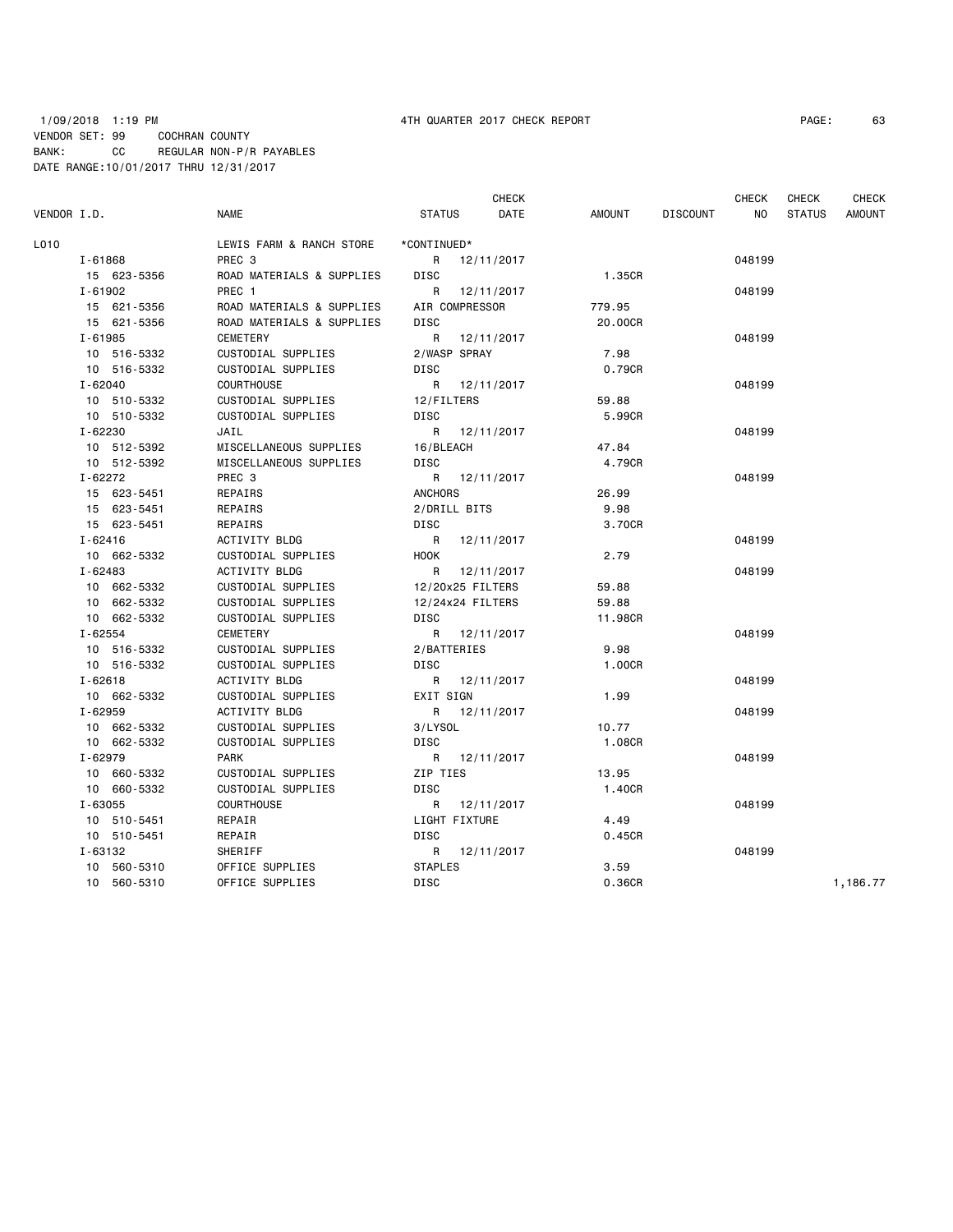## 1/09/2018 1:19 PM 4TH QUARTER 2017 CHECK REPORT PAGE: 63 VENDOR SET: 99 COCHRAN COUNTY BANK: CC REGULAR NON-P/R PAYABLES DATE RANGE:10/01/2017 THRU 12/31/2017

| VENDOR I.D. |             | <b>NAME</b>               | <b>STATUS</b>  | <b>CHECK</b><br>DATE | AMOUNT  | <b>DISCOUNT</b> | <b>CHECK</b><br><b>NO</b> | <b>CHECK</b><br><b>STATUS</b> | <b>CHECK</b><br><b>AMOUNT</b> |
|-------------|-------------|---------------------------|----------------|----------------------|---------|-----------------|---------------------------|-------------------------------|-------------------------------|
| L010        |             | LEWIS FARM & RANCH STORE  | *CONTINUED*    |                      |         |                 |                           |                               |                               |
|             | $I - 61868$ | PREC <sub>3</sub>         |                | R 12/11/2017         |         |                 | 048199                    |                               |                               |
|             | 15 623-5356 | ROAD MATERIALS & SUPPLIES | <b>DISC</b>    |                      | 1.35CR  |                 |                           |                               |                               |
|             | $I - 61902$ | PREC 1                    |                | R 12/11/2017         |         |                 | 048199                    |                               |                               |
|             | 15 621-5356 | ROAD MATERIALS & SUPPLIES |                | AIR COMPRESSOR       | 779.95  |                 |                           |                               |                               |
|             | 15 621-5356 | ROAD MATERIALS & SUPPLIES | <b>DISC</b>    |                      | 20.00CR |                 |                           |                               |                               |
|             | I-61985     | CEMETERY                  |                | R 12/11/2017         |         |                 | 048199                    |                               |                               |
|             | 10 516-5332 | CUSTODIAL SUPPLIES        | 2/WASP SPRAY   |                      | 7.98    |                 |                           |                               |                               |
|             | 10 516-5332 | CUSTODIAL SUPPLIES        | <b>DISC</b>    |                      | 0.79CR  |                 |                           |                               |                               |
|             | $I - 62040$ | <b>COURTHOUSE</b>         | R              | 12/11/2017           |         |                 | 048199                    |                               |                               |
|             | 10 510-5332 | CUSTODIAL SUPPLIES        | 12/FILTERS     |                      | 59.88   |                 |                           |                               |                               |
|             | 10 510-5332 | CUSTODIAL SUPPLIES        | DISC           |                      | 5.99CR  |                 |                           |                               |                               |
|             | I-62230     | JAIL                      |                | R 12/11/2017         |         |                 | 048199                    |                               |                               |
|             | 10 512-5392 | MISCELLANEOUS SUPPLIES    | 16/BLEACH      |                      | 47.84   |                 |                           |                               |                               |
|             | 10 512-5392 | MISCELLANEOUS SUPPLIES    | <b>DISC</b>    |                      | 4.79CR  |                 |                           |                               |                               |
|             | $I - 62272$ | PREC 3                    |                | R 12/11/2017         |         |                 | 048199                    |                               |                               |
|             | 15 623-5451 | REPAIRS                   | <b>ANCHORS</b> |                      | 26.99   |                 |                           |                               |                               |
|             | 15 623-5451 | REPAIRS                   | 2/DRILL BITS   |                      | 9.98    |                 |                           |                               |                               |
|             | 15 623-5451 | REPAIRS                   | <b>DISC</b>    |                      | 3,70CR  |                 |                           |                               |                               |
|             | I-62416     | ACTIVITY BLDG             | R              | 12/11/2017           |         |                 | 048199                    |                               |                               |
|             | 10 662-5332 | CUSTODIAL SUPPLIES        | <b>HOOK</b>    |                      | 2.79    |                 |                           |                               |                               |
|             | $I - 62483$ | ACTIVITY BLDG             |                | R 12/11/2017         |         |                 | 048199                    |                               |                               |
|             | 10 662-5332 | CUSTODIAL SUPPLIES        |                | 12/20x25 FILTERS     | 59.88   |                 |                           |                               |                               |
|             | 10 662-5332 | CUSTODIAL SUPPLIES        |                | 12/24x24 FILTERS     | 59.88   |                 |                           |                               |                               |
|             | 10 662-5332 | CUSTODIAL SUPPLIES        | <b>DISC</b>    |                      | 11,98CR |                 |                           |                               |                               |
|             | $I - 62554$ | <b>CEMETERY</b>           |                | R 12/11/2017         |         |                 | 048199                    |                               |                               |
|             | 10 516-5332 | CUSTODIAL SUPPLIES        | 2/BATTERIES    |                      | 9.98    |                 |                           |                               |                               |
|             | 10 516-5332 | CUSTODIAL SUPPLIES        | <b>DISC</b>    |                      | 1.00CR  |                 |                           |                               |                               |
|             | $I - 62618$ | ACTIVITY BLDG             |                | R 12/11/2017         |         |                 | 048199                    |                               |                               |
|             | 10 662-5332 | CUSTODIAL SUPPLIES        | EXIT SIGN      |                      | 1.99    |                 |                           |                               |                               |
|             | I-62959     | ACTIVITY BLDG             |                | R 12/11/2017         |         |                 | 048199                    |                               |                               |
|             | 10 662-5332 | CUSTODIAL SUPPLIES        | 3/LYSOL        |                      | 10.77   |                 |                           |                               |                               |
|             | 10 662-5332 | CUSTODIAL SUPPLIES        | DISC           |                      | 1.08CR  |                 |                           |                               |                               |
|             | I-62979     | <b>PARK</b>               |                | R 12/11/2017         |         |                 | 048199                    |                               |                               |
|             | 10 660-5332 | CUSTODIAL SUPPLIES        | ZIP TIES       |                      | 13.95   |                 |                           |                               |                               |
|             | 10 660-5332 | CUSTODIAL SUPPLIES        | <b>DISC</b>    |                      | 1,40CR  |                 |                           |                               |                               |
|             | $I - 63055$ | <b>COURTHOUSE</b>         |                | R 12/11/2017         |         |                 | 048199                    |                               |                               |
|             | 10 510-5451 | REPAIR                    |                | LIGHT FIXTURE        | 4.49    |                 |                           |                               |                               |
|             | 10 510-5451 | REPAIR                    | DISC           |                      | 0.45CR  |                 |                           |                               |                               |
|             | I-63132     | SHERIFF                   |                | R 12/11/2017         |         |                 | 048199                    |                               |                               |
|             | 10 560-5310 | OFFICE SUPPLIES           | <b>STAPLES</b> |                      | 3.59    |                 |                           |                               |                               |
|             | 10 560-5310 | OFFICE SUPPLIES           | DISC           |                      | 0.36CR  |                 |                           |                               | 1,186.77                      |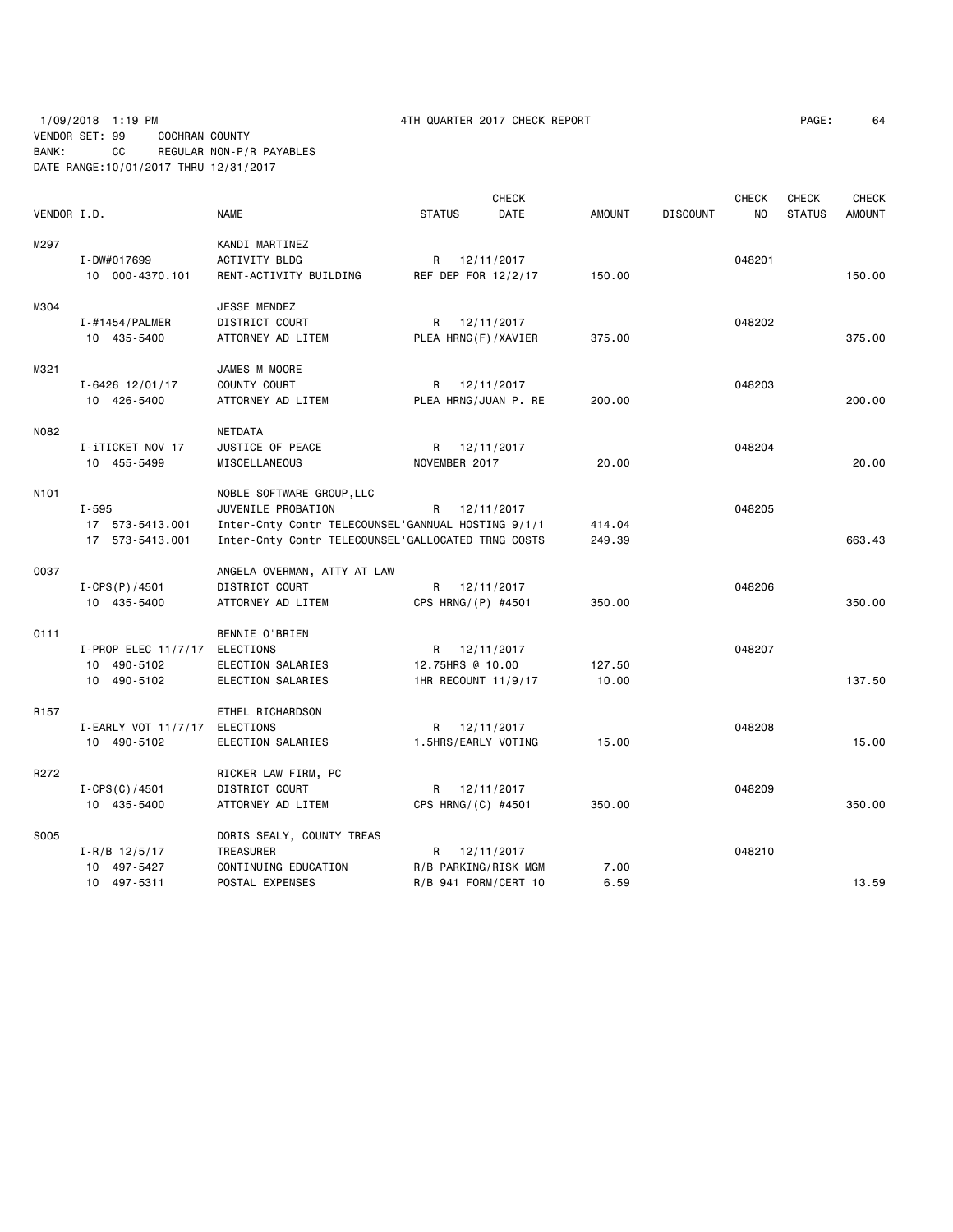# 1/09/2018 1:19 PM 4TH QUARTER 2017 CHECK REPORT PAGE: 64 VENDOR SET: 99 COCHRAN COUNTY BANK: CC REGULAR NON-P/R PAYABLES DATE RANGE:10/01/2017 THRU 12/31/2017

|                  |                               |                                                    |                      | <b>CHECK</b> |               |                 | <b>CHECK</b>   | <b>CHECK</b>  | <b>CHECK</b>  |
|------------------|-------------------------------|----------------------------------------------------|----------------------|--------------|---------------|-----------------|----------------|---------------|---------------|
| VENDOR I.D.      |                               | <b>NAME</b>                                        | <b>STATUS</b>        | DATE         | <b>AMOUNT</b> | <b>DISCOUNT</b> | N <sub>O</sub> | <b>STATUS</b> | <b>AMOUNT</b> |
| M297             |                               | KANDI MARTINEZ                                     |                      |              |               |                 |                |               |               |
|                  | I-DW#017699                   | ACTIVITY BLDG                                      | R 12/11/2017         |              |               |                 | 048201         |               |               |
|                  | 10 000-4370.101               | RENT-ACTIVITY BUILDING                             | REF DEP FOR 12/2/17  |              | 150.00        |                 |                |               | 150.00        |
| M304             |                               | JESSE MENDEZ                                       |                      |              |               |                 |                |               |               |
|                  | I-#1454/PALMER                | DISTRICT COURT                                     | R                    | 12/11/2017   |               |                 | 048202         |               |               |
|                  | 10 435-5400                   | ATTORNEY AD LITEM                                  | PLEA HRNG(F)/XAVIER  |              | 375.00        |                 |                |               | 375.00        |
| M321             |                               | JAMES M MOORE                                      |                      |              |               |                 |                |               |               |
|                  | $I - 6426$ 12/01/17           | COUNTY COURT                                       | R                    | 12/11/2017   |               |                 | 048203         |               |               |
|                  | 10 426-5400                   | ATTORNEY AD LITEM                                  | PLEA HRNG/JUAN P. RE |              | 200.00        |                 |                |               | 200.00        |
| N082             |                               | NETDATA                                            |                      |              |               |                 |                |               |               |
|                  | I-iTICKET NOV 17              | JUSTICE OF PEACE                                   | R 12/11/2017         |              |               |                 | 048204         |               |               |
|                  | 10 455-5499                   | MISCELLANEOUS                                      | NOVEMBER 2017        |              | 20.00         |                 |                |               | 20.00         |
| N101             |                               | NOBLE SOFTWARE GROUP, LLC                          |                      |              |               |                 |                |               |               |
|                  | I-595                         | JUVENILE PROBATION                                 | R.                   | 12/11/2017   |               |                 | 048205         |               |               |
|                  | 17 573-5413.001               | Inter-Cnty Contr TELECOUNSEL'GANNUAL HOSTING 9/1/1 |                      |              | 414.04        |                 |                |               |               |
|                  | 17 573-5413.001               | Inter-Cnty Contr TELECOUNSEL'GALLOCATED TRNG COSTS |                      |              | 249.39        |                 |                |               | 663.43        |
| 0037             |                               | ANGELA OVERMAN, ATTY AT LAW                        |                      |              |               |                 |                |               |               |
|                  | $I - CPS(P) / 4501$           | DISTRICT COURT                                     | R 12/11/2017         |              |               |                 | 048206         |               |               |
|                  | 10 435-5400                   | ATTORNEY AD LITEM                                  | CPS HRNG/(P) #4501   |              | 350.00        |                 |                |               | 350.00        |
| 0111             |                               | BENNIE O'BRIEN                                     |                      |              |               |                 |                |               |               |
|                  | I-PROP ELEC 11/7/17 ELECTIONS |                                                    | R 12/11/2017         |              |               |                 | 048207         |               |               |
|                  | 10 490-5102                   | ELECTION SALARIES                                  | 12.75HRS @ 10.00     |              | 127.50        |                 |                |               |               |
|                  | 10 490-5102                   | ELECTION SALARIES                                  | 1HR RECOUNT 11/9/17  |              | 10.00         |                 |                |               | 137.50        |
| R <sub>157</sub> |                               | ETHEL RICHARDSON                                   |                      |              |               |                 |                |               |               |
|                  | I-EARLY VOT 11/7/17 ELECTIONS |                                                    | R 12/11/2017         |              |               |                 | 048208         |               |               |
|                  | 10 490-5102                   | ELECTION SALARIES                                  | 1.5HRS/EARLY VOTING  |              | 15.00         |                 |                |               | 15.00         |
| R272             |                               | RICKER LAW FIRM, PC                                |                      |              |               |                 |                |               |               |
|                  | $I - CPS(C)/4501$             | DISTRICT COURT                                     | R 12/11/2017         |              |               |                 | 048209         |               |               |
|                  | 10 435-5400                   | ATTORNEY AD LITEM                                  | CPS HRNG/(C) #4501   |              | 350.00        |                 |                |               | 350.00        |
| S005             |                               | DORIS SEALY, COUNTY TREAS                          |                      |              |               |                 |                |               |               |
|                  | $I - R/B$ 12/5/17             | TREASURER                                          | R                    | 12/11/2017   |               |                 | 048210         |               |               |
|                  | 10 497-5427                   | CONTINUING EDUCATION                               | R/B PARKING/RISK MGM |              | 7.00          |                 |                |               |               |
|                  | 10 497-5311                   | POSTAL EXPENSES                                    | R/B 941 FORM/CERT 10 |              | 6.59          |                 |                |               | 13.59         |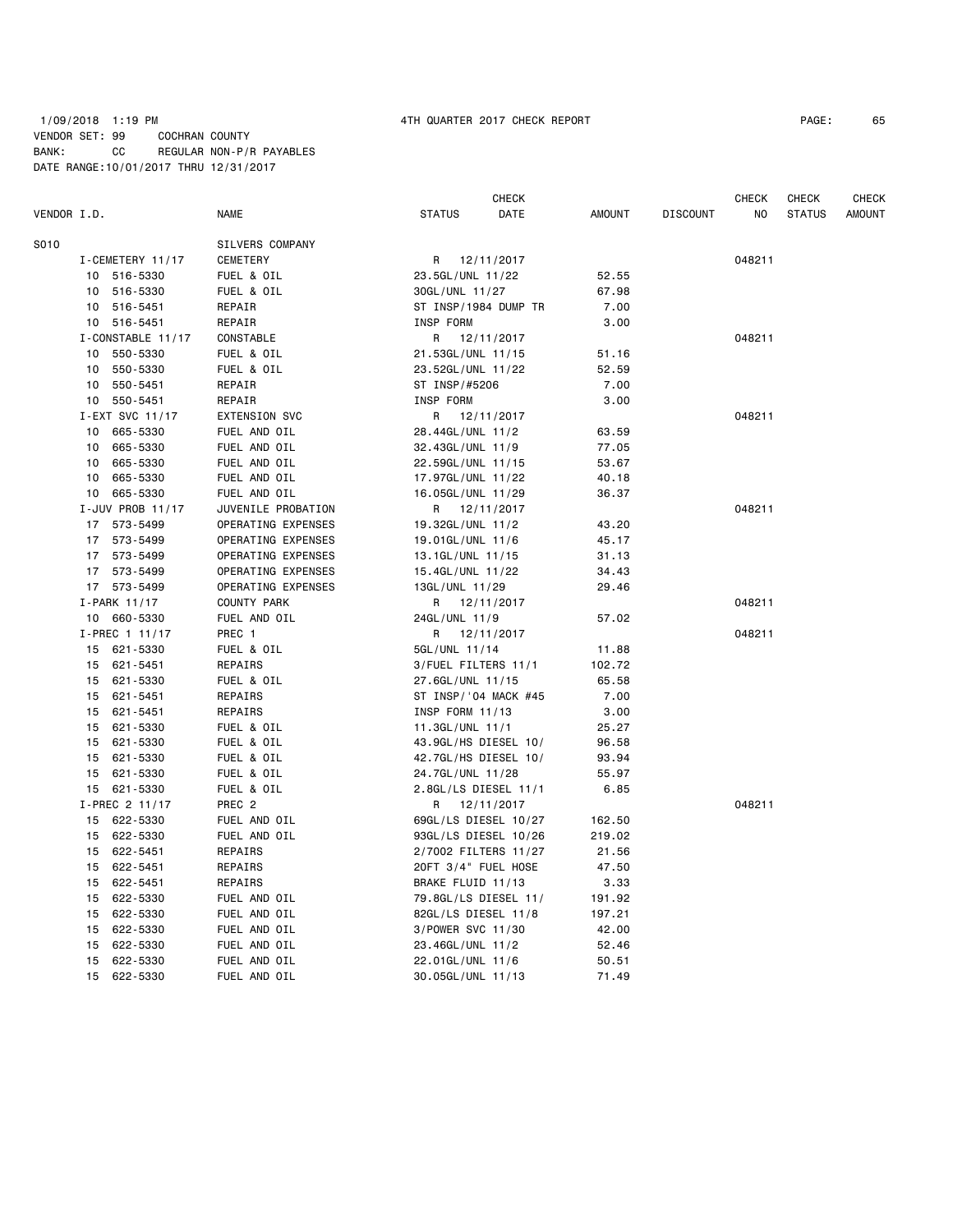### 1/09/2018 1:19 PM 4TH QUARTER 2017 CHECK REPORT PAGE: 65 VENDOR SET: 99 COCHRAN COUNTY BANK: CC REGULAR NON-P/R PAYABLES DATE RANGE:10/01/2017 THRU 12/31/2017

|             |                   |                    |                        | <b>CHECK</b>         |               |                 | <b>CHECK</b> | <b>CHECK</b>  | <b>CHECK</b>  |
|-------------|-------------------|--------------------|------------------------|----------------------|---------------|-----------------|--------------|---------------|---------------|
| VENDOR I.D. |                   | <b>NAME</b>        | <b>STATUS</b>          | DATE                 | <b>AMOUNT</b> | <b>DISCOUNT</b> | NO           | <b>STATUS</b> | <b>AMOUNT</b> |
| S010        |                   | SILVERS COMPANY    |                        |                      |               |                 |              |               |               |
|             | I-CEMETERY 11/17  | CEMETERY           | R                      | 12/11/2017           |               |                 | 048211       |               |               |
|             | 10 516-5330       | FUEL & OIL         | 23.5GL/UNL 11/22       |                      | 52.55         |                 |              |               |               |
|             | 516-5330<br>10    | FUEL & OIL         | 30GL/UNL 11/27         |                      | 67.98         |                 |              |               |               |
|             | 516-5451<br>10    | REPAIR             | ST INSP/1984 DUMP TR   |                      | 7.00          |                 |              |               |               |
|             | 10 516-5451       | REPAIR             | INSP FORM              |                      | 3.00          |                 |              |               |               |
|             | I-CONSTABLE 11/17 | CONSTABLE          | R                      | 12/11/2017           |               |                 | 048211       |               |               |
|             | 550-5330<br>10    | FUEL & OIL         | 21.53GL/UNL 11/15      |                      | 51.16         |                 |              |               |               |
|             | 550-5330<br>10    | FUEL & OIL         | 23.52GL/UNL 11/22      |                      | 52.59         |                 |              |               |               |
|             | 550-5451<br>10    | REPAIR             | ST INSP/#5206          |                      | 7.00          |                 |              |               |               |
|             | 550-5451<br>10    | REPAIR             | INSP FORM              |                      | 3.00          |                 |              |               |               |
|             | I-EXT SVC 11/17   | EXTENSION SVC      | R                      | 12/11/2017           |               |                 | 048211       |               |               |
|             | 665-5330<br>10    | FUEL AND OIL       | 28.44GL/UNL 11/2       |                      | 63.59         |                 |              |               |               |
|             | 665-5330<br>10    | FUEL AND OIL       | 32.43GL/UNL 11/9       |                      | 77.05         |                 |              |               |               |
|             | 665-5330<br>10    | FUEL AND OIL       | 22.59GL/UNL 11/15      |                      | 53.67         |                 |              |               |               |
|             | 10<br>665-5330    | FUEL AND OIL       | 17.97GL/UNL 11/22      |                      | 40.18         |                 |              |               |               |
|             | 665-5330<br>10    | FUEL AND OIL       | 16.05GL/UNL 11/29      |                      | 36.37         |                 |              |               |               |
|             | I-JUV PROB 11/17  | JUVENILE PROBATION | R                      | 12/11/2017           |               |                 | 048211       |               |               |
|             | 17 573-5499       | OPERATING EXPENSES | 19.32GL/UNL 11/2       |                      | 43.20         |                 |              |               |               |
|             | 17 573-5499       | OPERATING EXPENSES | 19.01GL/UNL 11/6       |                      | 45.17         |                 |              |               |               |
|             | 17 573-5499       | OPERATING EXPENSES | 13.1GL/UNL 11/15       |                      | 31.13         |                 |              |               |               |
|             | 17 573-5499       | OPERATING EXPENSES | 15.4GL/UNL 11/22       |                      | 34.43         |                 |              |               |               |
|             | 17 573-5499       | OPERATING EXPENSES | 13GL/UNL 11/29         |                      | 29.46         |                 |              |               |               |
|             | I-PARK 11/17      | COUNTY PARK        | R 12/11/2017           |                      |               |                 | 048211       |               |               |
|             | 10 660-5330       | FUEL AND OIL       | 24GL/UNL 11/9          |                      | 57.02         |                 |              |               |               |
|             | I-PREC 1 11/17    | PREC 1             | R                      | 12/11/2017           |               |                 | 048211       |               |               |
|             | 15 621-5330       | FUEL & OIL         | 5GL/UNL 11/14          |                      | 11.88         |                 |              |               |               |
|             | 15<br>621-5451    | <b>REPAIRS</b>     | 3/FUEL FILTERS 11/1    |                      | 102.72        |                 |              |               |               |
|             | 621-5330<br>15    | FUEL & OIL         | 27.6GL/UNL 11/15       |                      | 65.58         |                 |              |               |               |
|             | 621-5451<br>15    | REPAIRS            |                        | ST INSP/'04 MACK #45 | 7.00          |                 |              |               |               |
|             | 621-5451<br>15    | REPAIRS            | <b>INSP FORM 11/13</b> |                      | 3.00          |                 |              |               |               |
|             | 15<br>621-5330    | FUEL & OIL         | 11.3GL/UNL 11/1        |                      | 25.27         |                 |              |               |               |
|             | 621-5330<br>15    | FUEL & OIL         | 43.9GL/HS DIESEL 10/   |                      | 96.58         |                 |              |               |               |
|             | 15<br>621-5330    | FUEL & OIL         | 42.7GL/HS DIESEL 10/   |                      | 93.94         |                 |              |               |               |
|             | 621-5330<br>15    | FUEL & OIL         | 24.7GL/UNL 11/28       |                      | 55.97         |                 |              |               |               |
|             | 15<br>621-5330    | FUEL & OIL         | 2.8GL/LS DIESEL 11/1   |                      | 6.85          |                 |              |               |               |
|             | I-PREC 2 11/17    | PREC <sub>2</sub>  | R 12/11/2017           |                      |               |                 | 048211       |               |               |
|             | 622-5330<br>15    | FUEL AND OIL       |                        | 69GL/LS DIESEL 10/27 | 162.50        |                 |              |               |               |
|             | 622-5330<br>15    | FUEL AND OIL       | 93GL/LS DIESEL 10/26   |                      | 219.02        |                 |              |               |               |
|             | 622-5451<br>15    | REPAIRS            |                        | 2/7002 FILTERS 11/27 | 21.56         |                 |              |               |               |
|             | 622-5451<br>15    | REPAIRS            | 20FT 3/4" FUEL HOSE    |                      | 47.50         |                 |              |               |               |
|             | 622-5451<br>15    | REPAIRS            | BRAKE FLUID 11/13      |                      | 3.33          |                 |              |               |               |
|             | 622-5330<br>15    | FUEL AND OIL       | 79.8GL/LS DIESEL 11/   |                      | 191.92        |                 |              |               |               |
|             | 15<br>622-5330    | FUEL AND OIL       | 82GL/LS DIESEL 11/8    |                      | 197.21        |                 |              |               |               |
|             | 622-5330<br>15    | FUEL AND OIL       | 3/POWER SVC 11/30      |                      | 42.00         |                 |              |               |               |
|             | 15<br>622-5330    | FUEL AND OIL       | 23.46GL/UNL 11/2       |                      | 52.46         |                 |              |               |               |
|             | 622-5330<br>15    | FUEL AND OIL       | 22.01GL/UNL 11/6       |                      | 50.51         |                 |              |               |               |
|             | 15<br>622-5330    | FUEL AND OIL       | 30.05GL/UNL 11/13      |                      | 71.49         |                 |              |               |               |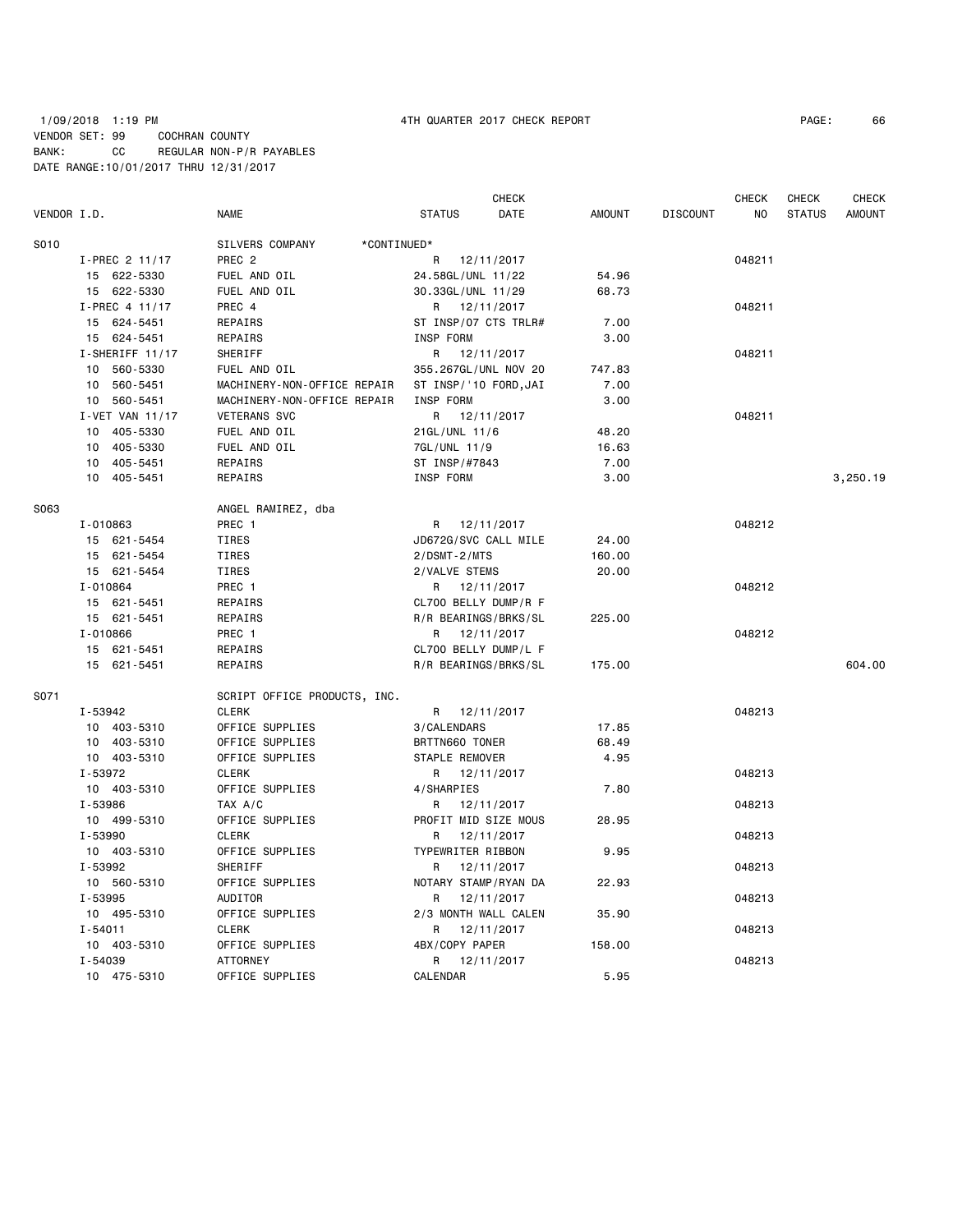# 1/09/2018 1:19 PM 4TH QUARTER 2017 CHECK REPORT PAGE: 66 VENDOR SET: 99 COCHRAN COUNTY BANK: CC REGULAR NON-P/R PAYABLES DATE RANGE:10/01/2017 THRU 12/31/2017

| VENDOR I.D. |                   | <b>NAME</b>                    | <b>STATUS</b>         | <b>CHECK</b><br>DATE | <b>AMOUNT</b> | <b>DISCOUNT</b> | <b>CHECK</b><br>NO. | <b>CHECK</b><br><b>STATUS</b> | <b>CHECK</b><br><b>AMOUNT</b> |
|-------------|-------------------|--------------------------------|-----------------------|----------------------|---------------|-----------------|---------------------|-------------------------------|-------------------------------|
|             |                   |                                |                       |                      |               |                 |                     |                               |                               |
| S010        |                   | SILVERS COMPANY<br>*CONTINUED* |                       |                      |               |                 |                     |                               |                               |
|             | I-PREC 2 11/17    | PREC <sub>2</sub>              | R                     | 12/11/2017           |               |                 | 048211              |                               |                               |
|             | 15 622-5330       | FUEL AND OIL                   | 24.58GL/UNL 11/22     |                      | 54.96         |                 |                     |                               |                               |
|             | 15 622-5330       | FUEL AND OIL                   | 30.33GL/UNL 11/29     |                      | 68.73         |                 |                     |                               |                               |
|             | I-PREC 4 11/17    | PREC 4                         | R 12/11/2017          |                      |               |                 | 048211              |                               |                               |
|             | 15 624-5451       | REPAIRS                        | ST INSP/07 CTS TRLR#  |                      | 7.00          |                 |                     |                               |                               |
|             | 15 624-5451       | REPAIRS                        | INSP FORM             |                      | 3.00          |                 |                     |                               |                               |
|             | $I-SHERIFF 11/17$ | SHERIFF                        | R 12/11/2017          |                      |               |                 | 048211              |                               |                               |
|             | 10 560-5330       | FUEL AND OIL                   | 355.267GL/UNL NOV 20  |                      | 747.83        |                 |                     |                               |                               |
|             | 10 560-5451       | MACHINERY-NON-OFFICE REPAIR    | ST INSP/'10 FORD, JAI |                      | 7.00          |                 |                     |                               |                               |
|             | 10 560-5451       | MACHINERY-NON-OFFICE REPAIR    | INSP FORM             |                      | 3.00          |                 |                     |                               |                               |
|             | I-VET VAN 11/17   | <b>VETERANS SVC</b>            | R                     | 12/11/2017           |               |                 | 048211              |                               |                               |
|             | 10 405-5330       | FUEL AND OIL                   | 21GL/UNL 11/6         |                      | 48.20         |                 |                     |                               |                               |
|             | 10 405-5330       | FUEL AND OIL                   | 7GL/UNL 11/9          |                      | 16.63         |                 |                     |                               |                               |
|             | 10 405-5451       | REPAIRS                        | ST INSP/#7843         |                      | 7.00          |                 |                     |                               |                               |
|             | 10 405-5451       | REPAIRS                        | INSP FORM             |                      | 3.00          |                 |                     |                               | 3,250.19                      |
| S063        |                   | ANGEL RAMIREZ, dba             |                       |                      |               |                 |                     |                               |                               |
|             | I-010863          | PREC 1                         | R                     | 12/11/2017           |               |                 | 048212              |                               |                               |
|             | 15 621-5454       | TIRES                          | JD672G/SVC CALL MILE  |                      | 24.00         |                 |                     |                               |                               |
|             | 15 621-5454       | TIRES                          | $2/DSMT - 2/MTS$      |                      | 160.00        |                 |                     |                               |                               |
|             | 15 621-5454       | TIRES                          | 2/VALVE STEMS         |                      | 20.00         |                 |                     |                               |                               |
|             | I-010864          | PREC 1                         | R 12/11/2017          |                      |               |                 | 048212              |                               |                               |
|             | 15 621-5451       | REPAIRS                        | CL700 BELLY DUMP/R F  |                      |               |                 |                     |                               |                               |
|             | 15 621-5451       | REPAIRS                        | R/R BEARINGS/BRKS/SL  |                      | 225.00        |                 |                     |                               |                               |
|             | I-010866          | PREC 1                         | R 12/11/2017          |                      |               |                 | 048212              |                               |                               |
|             | 15 621-5451       | REPAIRS                        | CL700 BELLY DUMP/L F  |                      |               |                 |                     |                               |                               |
|             | 15 621-5451       | REPAIRS                        | R/R BEARINGS/BRKS/SL  |                      | 175.00        |                 |                     |                               | 604.00                        |
| S071        |                   | SCRIPT OFFICE PRODUCTS, INC.   |                       |                      |               |                 |                     |                               |                               |
|             | I-53942           | <b>CLERK</b>                   | R 12/11/2017          |                      |               |                 | 048213              |                               |                               |
|             | 10 403-5310       | OFFICE SUPPLIES                | 3/CALENDARS           |                      | 17.85         |                 |                     |                               |                               |
|             | 10 403-5310       | OFFICE SUPPLIES                | BRTTN660 TONER        |                      | 68.49         |                 |                     |                               |                               |
|             | 10 403-5310       | OFFICE SUPPLIES                | STAPLE REMOVER        |                      | 4.95          |                 |                     |                               |                               |
|             | I-53972           | <b>CLERK</b>                   | R                     | 12/11/2017           |               |                 | 048213              |                               |                               |
|             | 10 403-5310       | OFFICE SUPPLIES                | 4/SHARPIES            |                      | 7.80          |                 |                     |                               |                               |
|             | I-53986           | TAX A/C                        | R                     | 12/11/2017           |               |                 | 048213              |                               |                               |
|             | 10 499-5310       | OFFICE SUPPLIES                | PROFIT MID SIZE MOUS  |                      | 28.95         |                 |                     |                               |                               |
|             | I-53990           | <b>CLERK</b>                   | R                     | 12/11/2017           |               |                 | 048213              |                               |                               |
|             | 10 403-5310       | OFFICE SUPPLIES                | TYPEWRITER RIBBON     |                      | 9.95          |                 |                     |                               |                               |
|             | I-53992           | SHERIFF                        | R                     | 12/11/2017           |               |                 | 048213              |                               |                               |
|             | 10 560-5310       | OFFICE SUPPLIES                | NOTARY STAMP/RYAN DA  |                      | 22.93         |                 |                     |                               |                               |
|             | I-53995           | AUDITOR                        | R                     | 12/11/2017           |               |                 | 048213              |                               |                               |
|             | 10 495-5310       | OFFICE SUPPLIES                | 2/3 MONTH WALL CALEN  |                      | 35.90         |                 |                     |                               |                               |
|             | $I - 54011$       | <b>CLERK</b>                   | R                     | 12/11/2017           |               |                 | 048213              |                               |                               |
|             | 10 403-5310       | OFFICE SUPPLIES                | 4BX/COPY PAPER        |                      | 158.00        |                 |                     |                               |                               |
|             | I-54039           | <b>ATTORNEY</b>                | R                     | 12/11/2017           |               |                 | 048213              |                               |                               |
|             | 10 475-5310       | OFFICE SUPPLIES                | CALENDAR              |                      | 5.95          |                 |                     |                               |                               |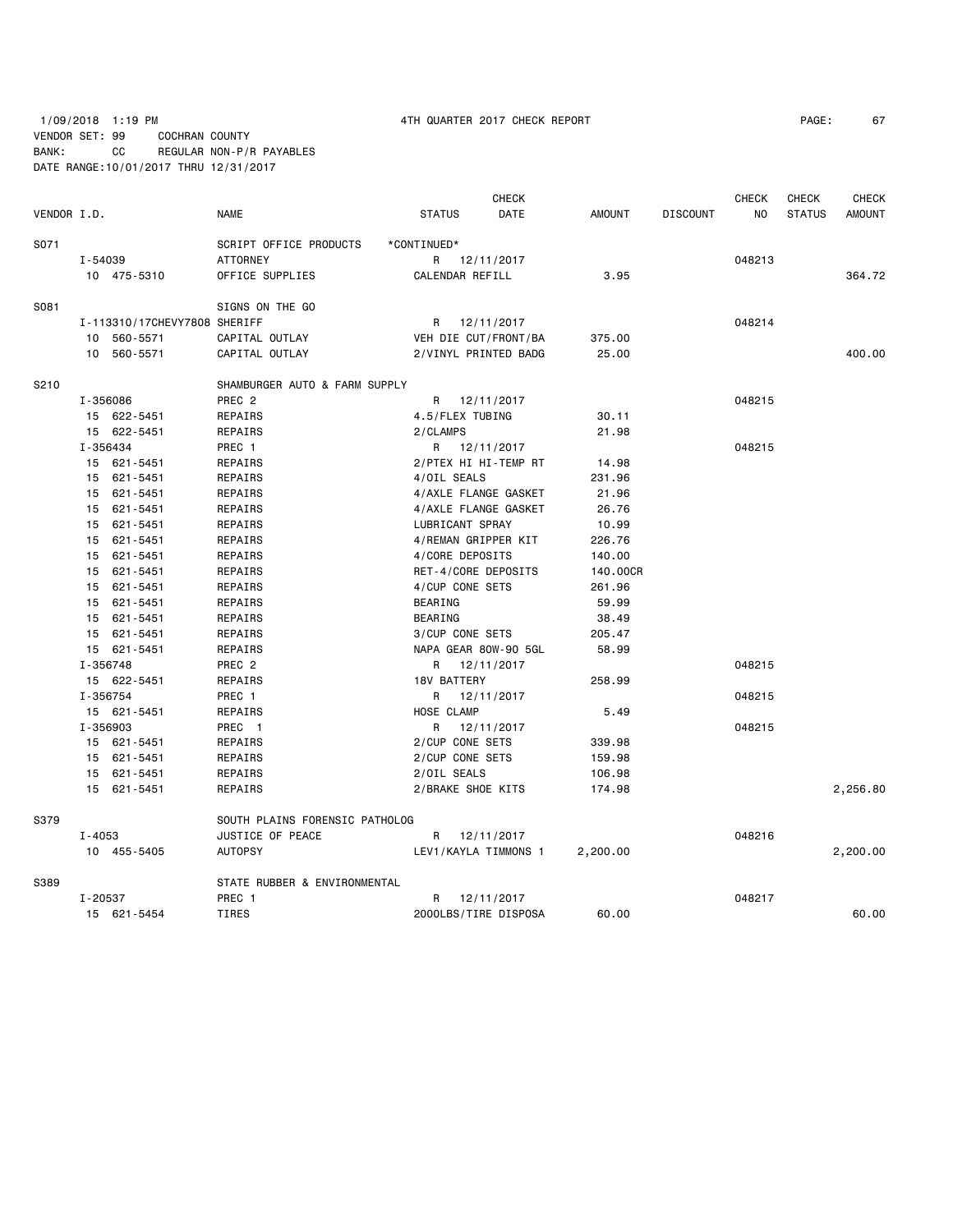# 1/09/2018 1:19 PM  $\overline{a}$  4TH QUARTER 2017 CHECK REPORT VENDOR SET: 99 COCHRAN COUNTY BANK: CC REGULAR NON-P/R PAYABLES DATE RANGE:10/01/2017 THRU 12/31/2017

|  | PAGE: |  | 67 |
|--|-------|--|----|
|--|-------|--|----|

|             |            |                              |                                |                     | <b>CHECK</b>         |               |                 | <b>CHECK</b> | CHECK         | <b>CHECK</b>  |
|-------------|------------|------------------------------|--------------------------------|---------------------|----------------------|---------------|-----------------|--------------|---------------|---------------|
| VENDOR I.D. |            |                              | <b>NAME</b>                    | <b>STATUS</b>       | DATE                 | <b>AMOUNT</b> | <b>DISCOUNT</b> | NO           | <b>STATUS</b> | <b>AMOUNT</b> |
| S071        |            |                              | SCRIPT OFFICE PRODUCTS         | *CONTINUED*         |                      |               |                 |              |               |               |
|             | I-54039    |                              | <b>ATTORNEY</b>                |                     | R 12/11/2017         |               |                 | 048213       |               |               |
|             |            | 10 475-5310                  | OFFICE SUPPLIES                | CALENDAR REFILL     |                      | 3.95          |                 |              |               | 364.72        |
| S081        |            |                              | SIGNS ON THE GO                |                     |                      |               |                 |              |               |               |
|             |            | I-113310/17CHEVY7808 SHERIFF |                                |                     | R 12/11/2017         |               |                 | 048214       |               |               |
|             |            | 10 560-5571                  | CAPITAL OUTLAY                 |                     | VEH DIE CUT/FRONT/BA | 375.00        |                 |              |               |               |
|             |            | 10 560-5571                  | CAPITAL OUTLAY                 |                     | 2/VINYL PRINTED BADG | 25.00         |                 |              |               | 400.00        |
| S210        |            |                              | SHAMBURGER AUTO & FARM SUPPLY  |                     |                      |               |                 |              |               |               |
|             | I-356086   |                              | PREC <sub>2</sub>              | R                   | 12/11/2017           |               |                 | 048215       |               |               |
|             |            | 15 622-5451                  | REPAIRS                        | 4.5/FLEX TUBING     |                      | 30.11         |                 |              |               |               |
|             |            | 15 622-5451                  | REPAIRS                        | 2/CLAMPS            |                      | 21.98         |                 |              |               |               |
|             | I-356434   |                              | PREC 1                         |                     | R 12/11/2017         |               |                 | 048215       |               |               |
|             |            | 15 621-5451                  | REPAIRS                        |                     | 2/PTEX HI HI-TEMP RT | 14.98         |                 |              |               |               |
|             |            | 15 621-5451                  | REPAIRS                        | 4/OIL SEALS         |                      | 231.96        |                 |              |               |               |
|             |            | 15 621-5451                  | REPAIRS                        |                     | 4/AXLE FLANGE GASKET | 21.96         |                 |              |               |               |
|             |            | 15 621-5451                  | REPAIRS                        |                     | 4/AXLE FLANGE GASKET | 26.76         |                 |              |               |               |
|             |            | 15 621-5451                  | REPAIRS                        | LUBRICANT SPRAY     |                      | 10.99         |                 |              |               |               |
|             |            | 15 621-5451                  | REPAIRS                        | 4/REMAN GRIPPER KIT |                      | 226.76        |                 |              |               |               |
|             |            | 15 621-5451                  | REPAIRS                        | 4/CORE DEPOSITS     |                      | 140.00        |                 |              |               |               |
|             |            | 15 621-5451                  | REPAIRS                        | RET-4/CORE DEPOSITS |                      | 140.00CR      |                 |              |               |               |
|             |            | 15 621-5451                  | REPAIRS                        | 4/CUP CONE SETS     |                      | 261.96        |                 |              |               |               |
|             |            | 15 621-5451                  | REPAIRS                        | <b>BEARING</b>      |                      | 59.99         |                 |              |               |               |
|             |            | 15 621-5451                  | REPAIRS                        | <b>BEARING</b>      |                      | 38.49         |                 |              |               |               |
|             |            | 15 621-5451                  | REPAIRS                        | 3/CUP CONE SETS     |                      | 205.47        |                 |              |               |               |
|             |            | 15 621-5451                  | REPAIRS                        |                     | NAPA GEAR 80W-90 5GL | 58.99         |                 |              |               |               |
|             | I-356748   |                              | PREC 2                         |                     | R 12/11/2017         |               |                 | 048215       |               |               |
|             |            | 15 622-5451                  | REPAIRS                        | <b>18V BATTERY</b>  |                      | 258.99        |                 |              |               |               |
|             | I-356754   |                              | PREC 1                         | R                   | 12/11/2017           |               |                 | 048215       |               |               |
|             |            | 15 621-5451                  | REPAIRS                        | HOSE CLAMP          |                      | 5.49          |                 |              |               |               |
|             | I-356903   |                              | PREC 1                         | R                   | 12/11/2017           |               |                 | 048215       |               |               |
|             |            | 15 621-5451                  | REPAIRS                        | 2/CUP CONE SETS     |                      | 339.98        |                 |              |               |               |
|             |            | 15 621-5451                  | REPAIRS                        | 2/CUP CONE SETS     |                      | 159.98        |                 |              |               |               |
|             |            | 15 621-5451                  | REPAIRS                        | 2/OIL SEALS         |                      | 106.98        |                 |              |               |               |
|             |            | 15 621-5451                  | REPAIRS                        | 2/BRAKE SHOE KITS   |                      | 174.98        |                 |              |               | 2,256.80      |
| S379        |            |                              | SOUTH PLAINS FORENSIC PATHOLOG |                     |                      |               |                 |              |               |               |
|             | $I - 4053$ |                              | JUSTICE OF PEACE               |                     | R 12/11/2017         |               |                 | 048216       |               |               |
|             |            | 10 455-5405                  | <b>AUTOPSY</b>                 |                     | LEV1/KAYLA TIMMONS 1 | 2,200.00      |                 |              |               | 2,200.00      |
| S389        |            |                              | STATE RUBBER & ENVIRONMENTAL   |                     |                      |               |                 |              |               |               |
|             | I-20537    |                              | PREC 1                         | R                   | 12/11/2017           |               |                 | 048217       |               |               |
|             |            | 15 621-5454                  | <b>TIRES</b>                   |                     | 2000LBS/TIRE DISPOSA | 60.00         |                 |              |               | 60.00         |
|             |            |                              |                                |                     |                      |               |                 |              |               |               |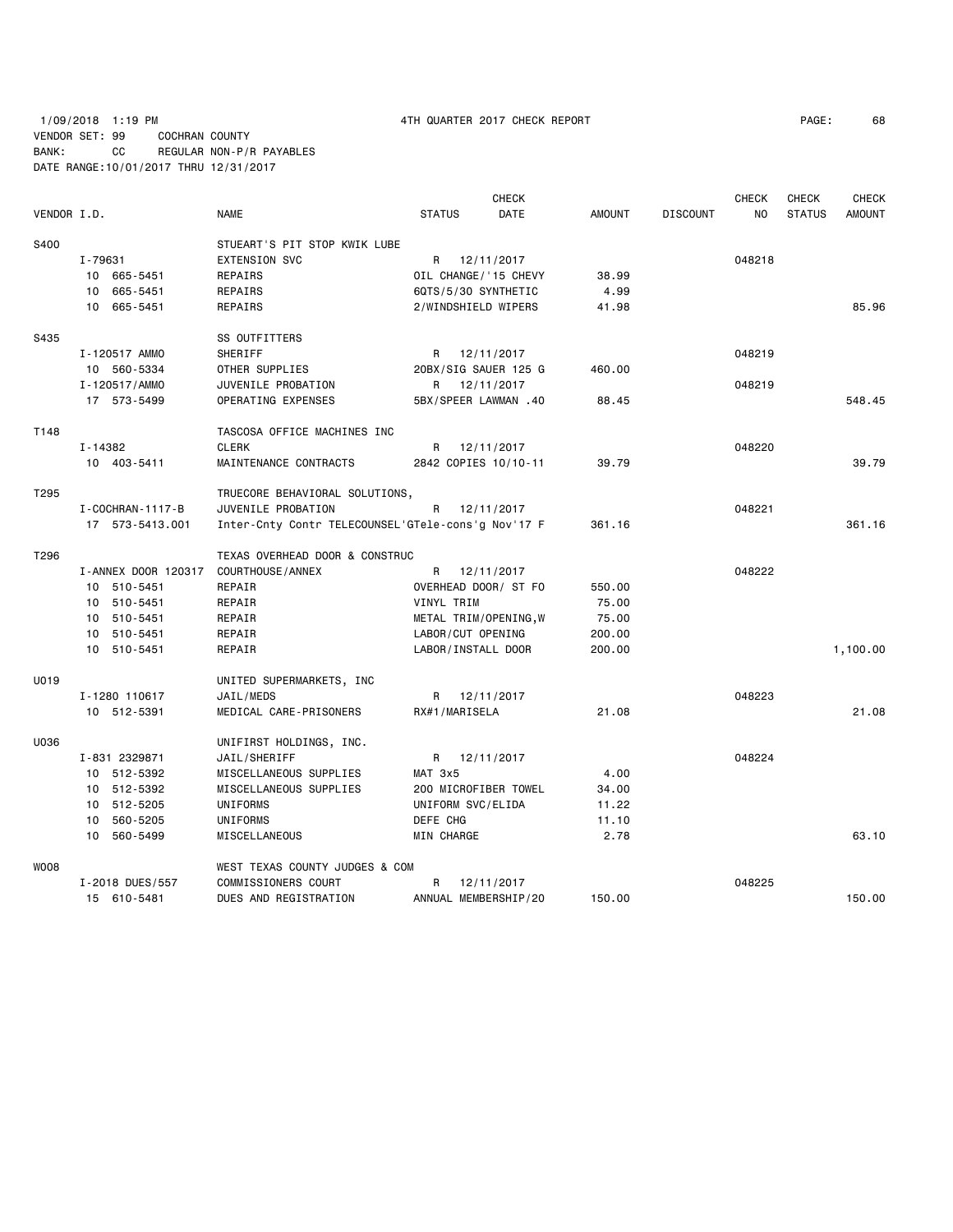1/09/2018 1:19 PM 4TH QUARTER 2017 CHECK REPORT PAGE: 68 VENDOR SET: 99 COCHRAN COUNTY BANK: CC REGULAR NON-P/R PAYABLES DATE RANGE:10/01/2017 THRU 12/31/2017

|                  |                        |                                                    |                       | <b>CHECK</b> |               |                 | <b>CHECK</b> | <b>CHECK</b>  | <b>CHECK</b>  |
|------------------|------------------------|----------------------------------------------------|-----------------------|--------------|---------------|-----------------|--------------|---------------|---------------|
| VENDOR I.D.      |                        | <b>NAME</b>                                        | <b>STATUS</b>         | DATE         | <b>AMOUNT</b> | <b>DISCOUNT</b> | NO.          | <b>STATUS</b> | <b>AMOUNT</b> |
| S400             |                        | STUEART'S PIT STOP KWIK LUBE                       |                       |              |               |                 |              |               |               |
|                  | I-79631                | <b>EXTENSION SVC</b>                               | R                     | 12/11/2017   |               |                 | 048218       |               |               |
|                  | 10 665-5451            | REPAIRS                                            | OIL CHANGE/'15 CHEVY  |              | 38.99         |                 |              |               |               |
|                  | 10 665-5451            | REPAIRS                                            | 6QTS/5/30 SYNTHETIC   |              | 4.99          |                 |              |               |               |
|                  | 10 665-5451            | REPAIRS                                            | 2/WINDSHIELD WIPERS   |              | 41.98         |                 |              |               | 85.96         |
| S435             |                        | SS OUTFITTERS                                      |                       |              |               |                 |              |               |               |
|                  | I-120517 AMMO          | SHERIFF                                            | R 12/11/2017          |              |               |                 | 048219       |               |               |
|                  | 10 560-5334            | OTHER SUPPLIES                                     | 20BX/SIG SAUER 125 G  |              | 460.00        |                 |              |               |               |
|                  | I-120517/AMMO          | JUVENILE PROBATION                                 | R                     | 12/11/2017   |               |                 | 048219       |               |               |
|                  | 17 573-5499            | OPERATING EXPENSES                                 | 5BX/SPEER LAWMAN .40  |              | 88.45         |                 |              |               | 548.45        |
| T148             |                        | TASCOSA OFFICE MACHINES INC                        |                       |              |               |                 |              |               |               |
|                  | I-14382                | <b>CLERK</b>                                       | R.                    | 12/11/2017   |               |                 | 048220       |               |               |
|                  | 10 403-5411            | MAINTENANCE CONTRACTS                              | 2842 COPIES 10/10-11  |              | 39.79         |                 |              |               | 39.79         |
| T <sub>295</sub> |                        | TRUECORE BEHAVIORAL SOLUTIONS,                     |                       |              |               |                 |              |               |               |
|                  | I - COCHRAN - 1117 - B | JUVENILE PROBATION                                 | R                     | 12/11/2017   |               |                 | 048221       |               |               |
|                  | 17 573-5413.001        | Inter-Cnty Contr TELECOUNSEL'GTele-cons'g Nov'17 F |                       |              | 361.16        |                 |              |               | 361.16        |
| T296             |                        | TEXAS OVERHEAD DOOR & CONSTRUC                     |                       |              |               |                 |              |               |               |
|                  | I-ANNEX DOOR 120317    | COURTHOUSE / ANNEX                                 | R                     | 12/11/2017   |               |                 | 048222       |               |               |
|                  | 10 510-5451            | REPAIR                                             | OVERHEAD DOOR/ ST FO  |              | 550.00        |                 |              |               |               |
|                  | 10 510-5451            | REPAIR                                             | VINYL TRIM            |              | 75.00         |                 |              |               |               |
|                  | 10 510-5451            | REPAIR                                             | METAL TRIM/OPENING, W |              | 75.00         |                 |              |               |               |
|                  | 10 510-5451            | REPAIR                                             | LABOR/CUT OPENING     |              | 200.00        |                 |              |               |               |
|                  | 10 510-5451            | REPAIR                                             | LABOR/INSTALL DOOR    |              | 200.00        |                 |              |               | 1,100.00      |
| U019             |                        | UNITED SUPERMARKETS, INC                           |                       |              |               |                 |              |               |               |
|                  | I-1280 110617          | JAIL/MEDS                                          | R 12/11/2017          |              |               |                 | 048223       |               |               |
|                  | 10 512-5391            | MEDICAL CARE-PRISONERS                             | RX#1/MARISELA         |              | 21.08         |                 |              |               | 21.08         |
| U036             |                        | UNIFIRST HOLDINGS, INC.                            |                       |              |               |                 |              |               |               |
|                  | I-831 2329871          | JAIL/SHERIFF                                       | R 12/11/2017          |              |               |                 | 048224       |               |               |
|                  | 10 512-5392            | MISCELLANEOUS SUPPLIES                             | MAT 3x5               |              | 4.00          |                 |              |               |               |
|                  | 10 512-5392            | MISCELLANEOUS SUPPLIES                             | 200 MICROFIBER TOWEL  |              | 34.00         |                 |              |               |               |
|                  | 10 512-5205            | UNIFORMS                                           | UNIFORM SVC/ELIDA     |              | 11.22         |                 |              |               |               |
|                  | 10 560-5205            | UNIFORMS                                           | DEFE CHG              |              | 11.10         |                 |              |               |               |
|                  | 10 560-5499            | MISCELLANEOUS                                      | MIN CHARGE            |              | 2.78          |                 |              |               | 63.10         |
| <b>WOO8</b>      |                        | WEST TEXAS COUNTY JUDGES & COM                     |                       |              |               |                 |              |               |               |
|                  | I-2018 DUES/557        | COMMISSIONERS COURT                                | R                     | 12/11/2017   |               |                 | 048225       |               |               |
|                  | 15 610-5481            | DUES AND REGISTRATION                              | ANNUAL MEMBERSHIP/20  |              | 150.00        |                 |              |               | 150.00        |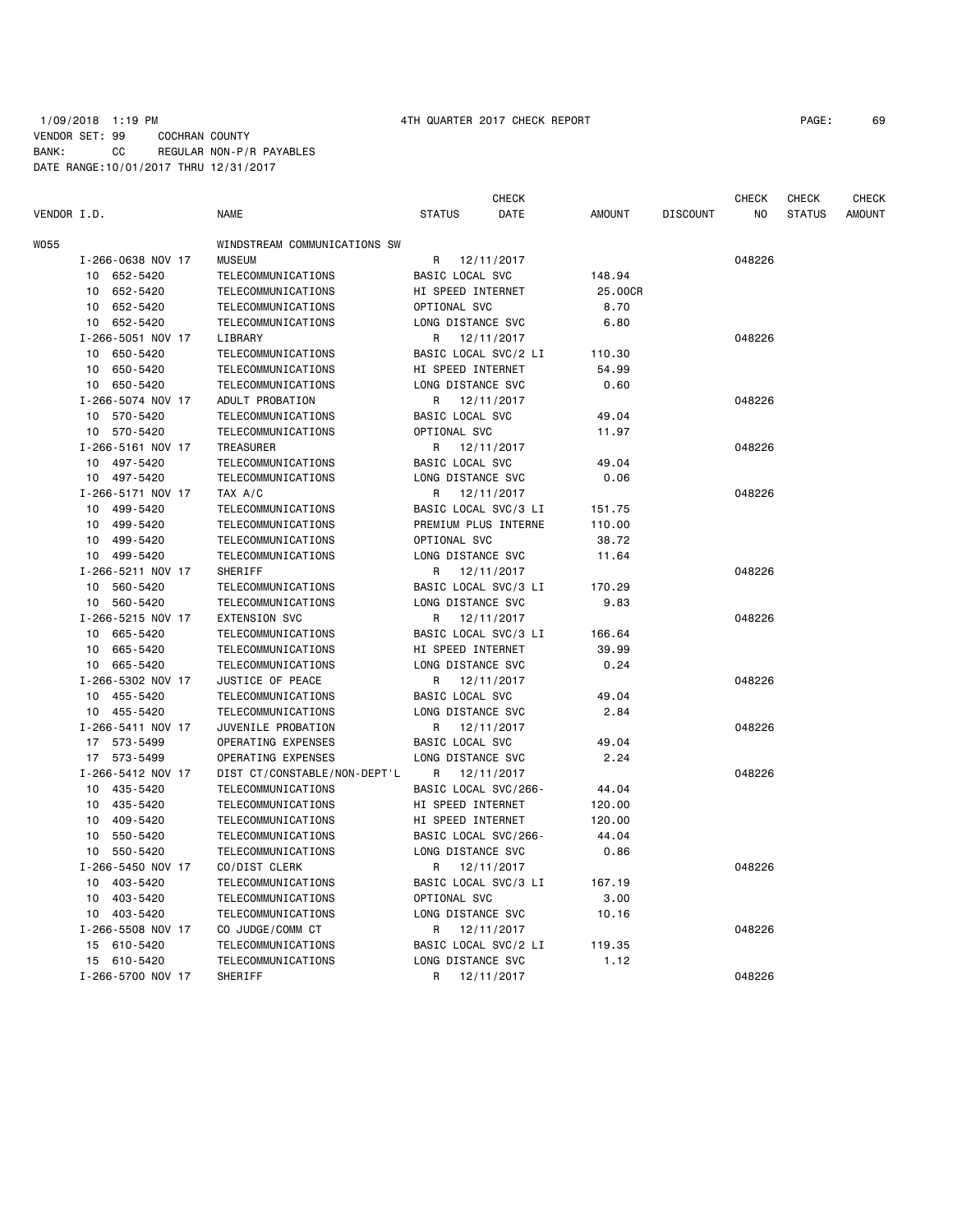## 1/09/2018 1:19 PM 4TH QUARTER 2017 CHECK REPORT PAGE: 69 VENDOR SET: 99 COCHRAN COUNTY BANK: CC REGULAR NON-P/R PAYABLES DATE RANGE:10/01/2017 THRU 12/31/2017

CHECK CHECK CHECK CHECK

| VENDOR I.D. |                   | <b>NAME</b>                  | <b>STATUS</b>          | DATE       | <b>AMOUNT</b> | <b>DISCOUNT</b> | ΝO     | <b>STATUS</b> | <b>AMOUNT</b> |
|-------------|-------------------|------------------------------|------------------------|------------|---------------|-----------------|--------|---------------|---------------|
| W055        |                   | WINDSTREAM COMMUNICATIONS SW |                        |            |               |                 |        |               |               |
|             | I-266-0638 NOV 17 | <b>MUSEUM</b>                | R 12/11/2017           |            |               |                 | 048226 |               |               |
|             | 10 652-5420       | TELECOMMUNICATIONS           | BASIC LOCAL SVC        |            | 148.94        |                 |        |               |               |
|             | 652-5420<br>10    | TELECOMMUNICATIONS           | HI SPEED INTERNET      |            | 25.00CR       |                 |        |               |               |
|             | 10 652-5420       | <b>TELECOMMUNICATIONS</b>    | OPTIONAL SVC           |            | 8.70          |                 |        |               |               |
|             | 10 652-5420       | TELECOMMUNICATIONS           | LONG DISTANCE SVC      |            | 6.80          |                 |        |               |               |
|             | I-266-5051 NOV 17 | LIBRARY                      | R                      | 12/11/2017 |               |                 | 048226 |               |               |
|             | 10 650-5420       | TELECOMMUNICATIONS           | BASIC LOCAL SVC/2 LI   |            | 110.30        |                 |        |               |               |
|             | 650-5420<br>10    | TELECOMMUNICATIONS           | HI SPEED INTERNET      |            | 54.99         |                 |        |               |               |
|             | 10 650-5420       | TELECOMMUNICATIONS           | LONG DISTANCE SVC      |            | 0.60          |                 |        |               |               |
|             | I-266-5074 NOV 17 | ADULT PROBATION              | R                      | 12/11/2017 |               |                 | 048226 |               |               |
|             | 10 570-5420       | TELECOMMUNICATIONS           | <b>BASIC LOCAL SVC</b> |            | 49.04         |                 |        |               |               |
|             | 10 570-5420       | <b>TELECOMMUNICATIONS</b>    | OPTIONAL SVC           |            | 11.97         |                 |        |               |               |
|             | I-266-5161 NOV 17 | <b>TREASURER</b>             | R 12/11/2017           |            |               |                 | 048226 |               |               |
|             | 10 497-5420       | TELECOMMUNICATIONS           | BASIC LOCAL SVC        |            | 49.04         |                 |        |               |               |
|             | 10 497-5420       | TELECOMMUNICATIONS           | LONG DISTANCE SVC      |            | 0.06          |                 |        |               |               |
|             | I-266-5171 NOV 17 | TAX A/C                      | R                      | 12/11/2017 |               |                 | 048226 |               |               |
|             | 10 499-5420       | TELECOMMUNICATIONS           | BASIC LOCAL SVC/3 LI   |            | 151.75        |                 |        |               |               |
|             | 10 499-5420       | TELECOMMUNICATIONS           | PREMIUM PLUS INTERNE   |            | 110.00        |                 |        |               |               |
|             | 10 499-5420       | TELECOMMUNICATIONS           | OPTIONAL SVC           |            | 38.72         |                 |        |               |               |
|             | 10 499-5420       | TELECOMMUNICATIONS           | LONG DISTANCE SVC      |            | 11.64         |                 |        |               |               |
|             | I-266-5211 NOV 17 | SHERIFF                      | R                      | 12/11/2017 |               |                 | 048226 |               |               |
|             | 10 560-5420       | TELECOMMUNICATIONS           | BASIC LOCAL SVC/3 LI   |            | 170.29        |                 |        |               |               |
|             | 10 560-5420       | TELECOMMUNICATIONS           | LONG DISTANCE SVC      |            | 9.83          |                 |        |               |               |
|             | I-266-5215 NOV 17 | <b>EXTENSION SVC</b>         | R                      | 12/11/2017 |               |                 | 048226 |               |               |
|             | 10 665-5420       | TELECOMMUNICATIONS           | BASIC LOCAL SVC/3 LI   |            | 166.64        |                 |        |               |               |
|             | 10 665-5420       | TELECOMMUNICATIONS           | HI SPEED INTERNET      |            | 39.99         |                 |        |               |               |
|             | 10 665-5420       | TELECOMMUNICATIONS           | LONG DISTANCE SVC      |            | 0.24          |                 |        |               |               |
|             | I-266-5302 NOV 17 | JUSTICE OF PEACE             | R                      | 12/11/2017 |               |                 | 048226 |               |               |
|             | 10 455-5420       | TELECOMMUNICATIONS           | BASIC LOCAL SVC        |            | 49.04         |                 |        |               |               |
|             | 10 455-5420       | TELECOMMUNICATIONS           | LONG DISTANCE SVC      |            | 2.84          |                 |        |               |               |
|             | I-266-5411 NOV 17 | JUVENILE PROBATION           | R                      | 12/11/2017 |               |                 | 048226 |               |               |
|             | 17 573-5499       | OPERATING EXPENSES           | BASIC LOCAL SVC        |            | 49.04         |                 |        |               |               |
|             | 17 573-5499       | OPERATING EXPENSES           | LONG DISTANCE SVC      |            | 2.24          |                 |        |               |               |
|             | I-266-5412 NOV 17 | DIST CT/CONSTABLE/NON-DEPT'L | R                      | 12/11/2017 |               |                 | 048226 |               |               |
|             | 10 435-5420       | TELECOMMUNICATIONS           | BASIC LOCAL SVC/266-   |            | 44.04         |                 |        |               |               |
|             | 10 435-5420       | TELECOMMUNICATIONS           | HI SPEED INTERNET      |            | 120.00        |                 |        |               |               |
|             | 409-5420<br>10    | TELECOMMUNICATIONS           | HI SPEED INTERNET      |            | 120.00        |                 |        |               |               |
|             | 10 550-5420       | TELECOMMUNICATIONS           | BASIC LOCAL SVC/266-   |            | 44.04         |                 |        |               |               |
|             | 10 550-5420       | TELECOMMUNICATIONS           | LONG DISTANCE SVC      |            | 0.86          |                 |        |               |               |
|             | I-266-5450 NOV 17 | CO/DIST CLERK                | R                      | 12/11/2017 |               |                 | 048226 |               |               |
|             | 10 403-5420       | TELECOMMUNICATIONS           | BASIC LOCAL SVC/3 LI   |            | 167.19        |                 |        |               |               |
|             | 10 403-5420       | TELECOMMUNICATIONS           | OPTIONAL SVC           |            | 3.00          |                 |        |               |               |
|             | 10 403-5420       | TELECOMMUNICATIONS           | LONG DISTANCE SVC      |            | 10.16         |                 |        |               |               |
|             | I-266-5508 NOV 17 | CO JUDGE/COMM CT             | R                      | 12/11/2017 |               |                 | 048226 |               |               |
|             | 15 610-5420       | <b>TELECOMMUNICATIONS</b>    | BASIC LOCAL SVC/2 LI   |            | 119.35        |                 |        |               |               |
|             | 15 610-5420       | <b>TELECOMMUNICATIONS</b>    | LONG DISTANCE SVC      |            | 1.12          |                 |        |               |               |
|             | I-266-5700 NOV 17 | SHERIFF                      | R                      | 12/11/2017 |               |                 | 048226 |               |               |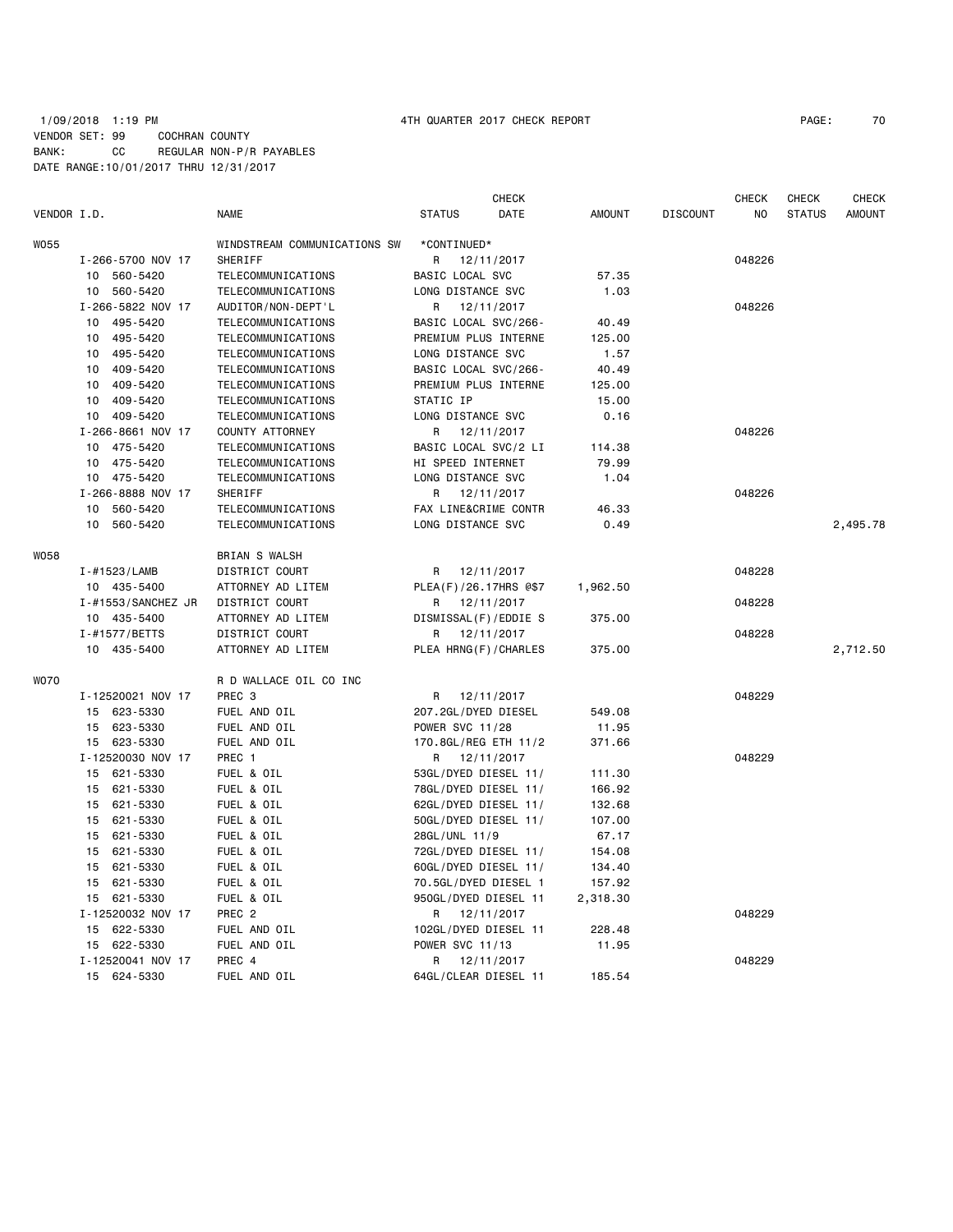# 1/09/2018 1:19 PM 4TH QUARTER 2017 CHECK REPORT PAGE: 70 VENDOR SET: 99 COCHRAN COUNTY BANK: CC REGULAR NON-P/R PAYABLES DATE RANGE:10/01/2017 THRU 12/31/2017

|             |                    |                              |                         | <b>CHECK</b> |               |                 | <b>CHECK</b> | <b>CHECK</b>  | <b>CHECK</b>  |
|-------------|--------------------|------------------------------|-------------------------|--------------|---------------|-----------------|--------------|---------------|---------------|
| VENDOR I.D. |                    | <b>NAME</b>                  | <b>STATUS</b>           | DATE         | <b>AMOUNT</b> | <b>DISCOUNT</b> | NO           | <b>STATUS</b> | <b>AMOUNT</b> |
| W055        |                    | WINDSTREAM COMMUNICATIONS SW | *CONTINUED*             |              |               |                 |              |               |               |
|             | I-266-5700 NOV 17  | SHERIFF                      | R                       | 12/11/2017   |               |                 | 048226       |               |               |
|             | 10 560-5420        | TELECOMMUNICATIONS           | BASIC LOCAL SVC         |              | 57.35         |                 |              |               |               |
|             | 10 560-5420        | TELECOMMUNICATIONS           | LONG DISTANCE SVC       |              | 1.03          |                 |              |               |               |
|             | I-266-5822 NOV 17  | AUDITOR/NON-DEPT'L           | R                       | 12/11/2017   |               |                 | 048226       |               |               |
|             | 495-5420<br>10     | TELECOMMUNICATIONS           | BASIC LOCAL SVC/266-    |              | 40.49         |                 |              |               |               |
|             | 495-5420<br>10     | TELECOMMUNICATIONS           | PREMIUM PLUS INTERNE    |              | 125.00        |                 |              |               |               |
|             | 495-5420<br>10     | TELECOMMUNICATIONS           | LONG DISTANCE SVC       |              | 1.57          |                 |              |               |               |
|             | 409-5420<br>10     | TELECOMMUNICATIONS           | BASIC LOCAL SVC/266-    |              | 40.49         |                 |              |               |               |
|             | 409-5420<br>10     | TELECOMMUNICATIONS           | PREMIUM PLUS INTERNE    |              | 125.00        |                 |              |               |               |
|             | 409-5420<br>10     | <b>TELECOMMUNICATIONS</b>    | STATIC IP               |              | 15.00         |                 |              |               |               |
|             | 10 409-5420        | TELECOMMUNICATIONS           | LONG DISTANCE SVC       |              | 0.16          |                 |              |               |               |
|             | I-266-8661 NOV 17  | COUNTY ATTORNEY              | R                       | 12/11/2017   |               |                 | 048226       |               |               |
|             | 475-5420<br>10     | TELECOMMUNICATIONS           | BASIC LOCAL SVC/2 LI    |              | 114.38        |                 |              |               |               |
|             | 475-5420<br>10     | TELECOMMUNICATIONS           | HI SPEED INTERNET       |              | 79.99         |                 |              |               |               |
|             | 10 475-5420        | TELECOMMUNICATIONS           | LONG DISTANCE SVC       |              | 1.04          |                 |              |               |               |
|             | I-266-8888 NOV 17  | SHERIFF                      | R                       | 12/11/2017   |               |                 | 048226       |               |               |
|             | 10 560-5420        | TELECOMMUNICATIONS           | FAX LINE&CRIME CONTR    |              | 46.33         |                 |              |               |               |
|             | 10<br>560-5420     | TELECOMMUNICATIONS           | LONG DISTANCE SVC       |              | 0.49          |                 |              |               | 2,495.78      |
| <b>WO58</b> |                    | <b>BRIAN S WALSH</b>         |                         |              |               |                 |              |               |               |
|             | I-#1523/LAMB       | DISTRICT COURT               | R                       | 12/11/2017   |               |                 | 048228       |               |               |
|             | 10 435-5400        | ATTORNEY AD LITEM            | PLEA(F)/26.17HRS @\$7   |              | 1,962.50      |                 |              |               |               |
|             | I-#1553/SANCHEZ JR | DISTRICT COURT               | R                       | 12/11/2017   |               |                 | 048228       |               |               |
|             | 10 435-5400        | ATTORNEY AD LITEM            | DISMISSAL (F) / EDDIE S |              | 375.00        |                 |              |               |               |
|             | I-#1577/BETTS      | DISTRICT COURT               | R.                      | 12/11/2017   |               |                 | 048228       |               |               |
|             | 10 435-5400        | ATTORNEY AD LITEM            | PLEA HRNG(F)/CHARLES    |              | 375.00        |                 |              |               | 2,712.50      |
| <b>WO70</b> |                    | R D WALLACE OIL CO INC       |                         |              |               |                 |              |               |               |
|             | I-12520021 NOV 17  | PREC <sub>3</sub>            | R                       | 12/11/2017   |               |                 | 048229       |               |               |
|             | 15 623-5330        | FUEL AND OIL                 | 207.2GL/DYED DIESEL     |              | 549.08        |                 |              |               |               |
|             | 15 623-5330        | FUEL AND OIL                 | <b>POWER SVC 11/28</b>  |              | 11.95         |                 |              |               |               |
|             | 15 623-5330        | FUEL AND OIL                 | 170.8GL/REG ETH 11/2    |              | 371.66        |                 |              |               |               |
|             | I-12520030 NOV 17  | PREC 1                       | R                       | 12/11/2017   |               |                 | 048229       |               |               |
|             | 15<br>621-5330     | FUEL & OIL                   | 53GL/DYED DIESEL 11/    |              | 111.30        |                 |              |               |               |
|             | 15<br>621-5330     | FUEL & OIL                   | 78GL/DYED DIESEL 11/    |              | 166.92        |                 |              |               |               |
|             | 15<br>621-5330     | FUEL & OIL                   | 62GL/DYED DIESEL 11/    |              | 132.68        |                 |              |               |               |
|             | 621-5330<br>15     | FUEL & OIL                   | 50GL/DYED DIESEL 11/    |              | 107.00        |                 |              |               |               |
|             | 621-5330<br>15     | FUEL & OIL                   | 28GL/UNL 11/9           |              | 67.17         |                 |              |               |               |
|             | 15<br>621-5330     | FUEL & OIL                   | 72GL/DYED DIESEL 11/    |              | 154.08        |                 |              |               |               |
|             | 621-5330<br>15     | FUEL & OIL                   | 60GL/DYED DIESEL 11/    |              | 134.40        |                 |              |               |               |
|             | 15 621-5330        | FUEL & OIL                   | 70.5GL/DYED DIESEL 1    |              | 157.92        |                 |              |               |               |
|             | 15 621-5330        | FUEL & OIL                   | 950GL/DYED DIESEL 11    |              | 2,318.30      |                 |              |               |               |
|             | I-12520032 NOV 17  | PREC <sub>2</sub>            | R 12/11/2017            |              |               |                 | 048229       |               |               |
|             | 622-5330<br>15     | FUEL AND OIL                 | 102GL/DYED DIESEL 11    |              | 228.48        |                 |              |               |               |
|             | 15 622-5330        | FUEL AND OIL                 | POWER SVC 11/13         |              | 11.95         |                 |              |               |               |
|             | I-12520041 NOV 17  | PREC 4                       | R                       | 12/11/2017   |               |                 | 048229       |               |               |
|             | 15 624-5330        | FUEL AND OIL                 | 64GL/CLEAR DIESEL 11    |              | 185.54        |                 |              |               |               |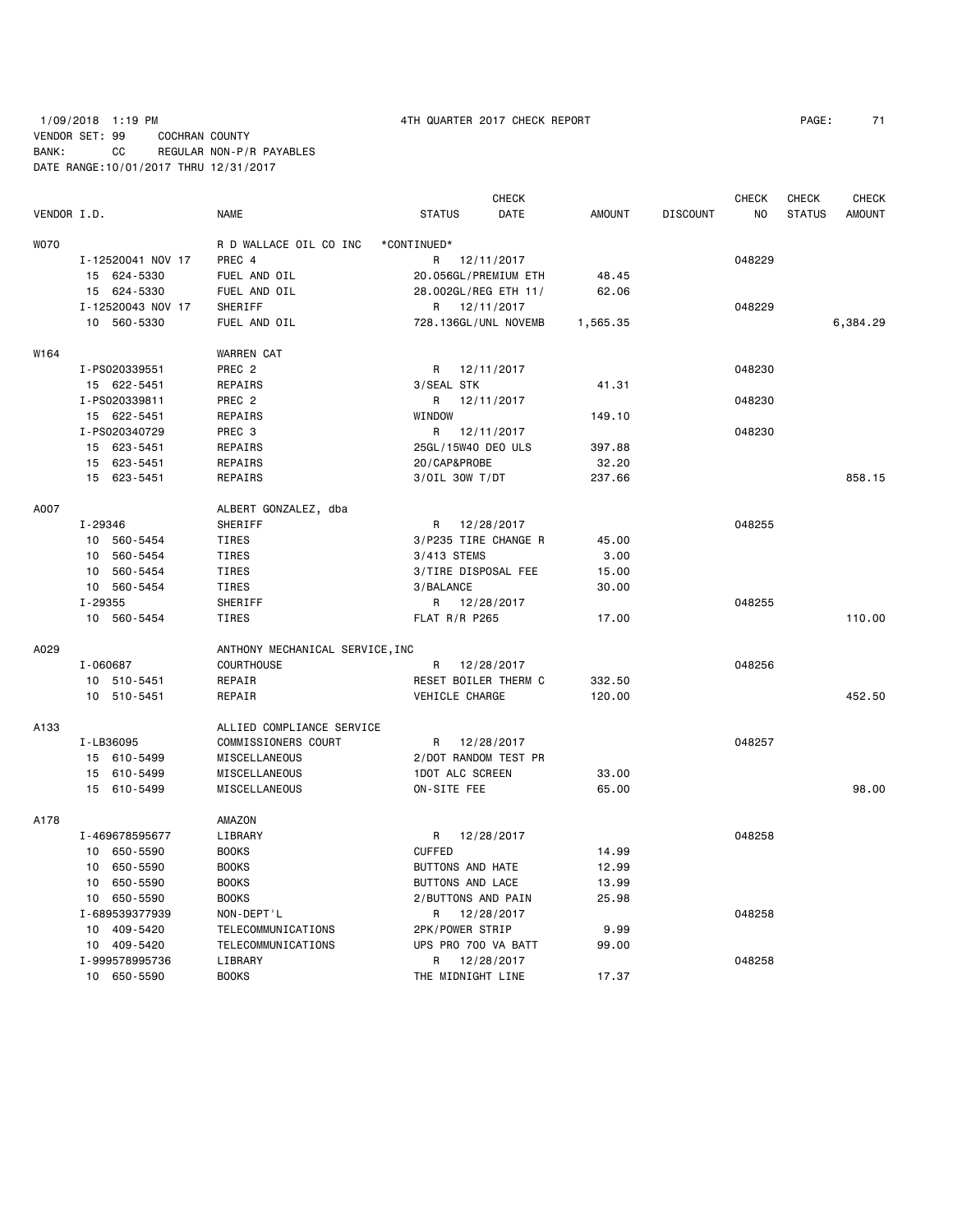# 1/09/2018 1:19 PM 4TH QUARTER 2017 CHECK REPORT PAGE: 71 VENDOR SET: 99 COCHRAN COUNTY BANK: CC REGULAR NON-P/R PAYABLES DATE RANGE:10/01/2017 THRU 12/31/2017

| VENDOR I.D. |                   | <b>NAME</b>                     | <b>STATUS</b>           | <b>CHECK</b><br>DATE | <b>AMOUNT</b> | <b>DISCOUNT</b> | <b>CHECK</b><br>N <sub>O</sub> | <b>CHECK</b><br><b>STATUS</b> | <b>CHECK</b><br><b>AMOUNT</b> |
|-------------|-------------------|---------------------------------|-------------------------|----------------------|---------------|-----------------|--------------------------------|-------------------------------|-------------------------------|
| <b>WO70</b> |                   | R D WALLACE OIL CO INC          | *CONTINUED*             |                      |               |                 |                                |                               |                               |
|             | I-12520041 NOV 17 | PREC 4                          | R 12/11/2017            |                      |               |                 | 048229                         |                               |                               |
|             | 15 624-5330       | FUEL AND OIL                    | 20.056GL/PREMIUM ETH    |                      | 48.45         |                 |                                |                               |                               |
|             | 15 624-5330       | FUEL AND OIL                    | 28.002GL/REG ETH 11/    |                      | 62.06         |                 |                                |                               |                               |
|             | I-12520043 NOV 17 | SHERIFF                         | R 12/11/2017            |                      |               |                 | 048229                         |                               |                               |
|             | 10 560-5330       | FUEL AND OIL                    | 728.136GL/UNL NOVEMB    |                      | 1,565.35      |                 |                                |                               | 6,384.29                      |
| W164        |                   | <b>WARREN CAT</b>               |                         |                      |               |                 |                                |                               |                               |
|             | I-PS020339551     | PREC <sub>2</sub>               | R 12/11/2017            |                      |               |                 | 048230                         |                               |                               |
|             | 15 622-5451       | REPAIRS                         | 3/SEAL STK              |                      | 41.31         |                 |                                |                               |                               |
|             | I-PS020339811     | PREC 2                          | R<br>12/11/2017         |                      |               |                 | 048230                         |                               |                               |
|             | 15 622-5451       | REPAIRS                         | WINDOW                  |                      | 149.10        |                 |                                |                               |                               |
|             | I-PS020340729     | PREC 3                          | R<br>12/11/2017         |                      |               |                 | 048230                         |                               |                               |
|             | 15 623-5451       | REPAIRS                         | 25GL/15W40 DEO ULS      |                      | 397.88        |                 |                                |                               |                               |
|             | 15 623-5451       | REPAIRS                         | 20/CAP&PROBE            |                      | 32.20         |                 |                                |                               |                               |
|             | 15 623-5451       | REPAIRS                         | $3/0$ IL 30W T/DT       |                      | 237.66        |                 |                                |                               | 858.15                        |
|             |                   |                                 |                         |                      |               |                 |                                |                               |                               |
| A007        |                   | ALBERT GONZALEZ, dba            |                         |                      |               |                 |                                |                               |                               |
|             | I-29346           | SHERIFF                         | R<br>12/28/2017         |                      |               |                 | 048255                         |                               |                               |
|             | 10 560-5454       | TIRES                           | 3/P235 TIRE CHANGE R    |                      | 45.00         |                 |                                |                               |                               |
|             | 10 560-5454       | TIRES                           | 3/413 STEMS             |                      | 3.00          |                 |                                |                               |                               |
|             | 560-5454<br>10    | TIRES                           | 3/TIRE DISPOSAL FEE     |                      | 15.00         |                 |                                |                               |                               |
|             | 10 560-5454       | TIRES                           | 3/BALANCE               |                      | 30.00         |                 |                                |                               |                               |
|             | I-29355           | SHERIFF                         | R 12/28/2017            |                      |               |                 | 048255                         |                               |                               |
|             | 10 560-5454       | TIRES                           | <b>FLAT R/R P265</b>    |                      | 17.00         |                 |                                |                               | 110.00                        |
| A029        |                   | ANTHONY MECHANICAL SERVICE, INC |                         |                      |               |                 |                                |                               |                               |
|             | I-060687          | <b>COURTHOUSE</b>               | 12/28/2017<br>R         |                      |               |                 | 048256                         |                               |                               |
|             | 10 510-5451       | REPAIR                          | RESET BOILER THERM C    |                      | 332.50        |                 |                                |                               |                               |
|             | 10 510-5451       | REPAIR                          | VEHICLE CHARGE          |                      | 120.00        |                 |                                |                               | 452.50                        |
| A133        |                   | ALLIED COMPLIANCE SERVICE       |                         |                      |               |                 |                                |                               |                               |
|             | I-LB36095         | COMMISSIONERS COURT             | 12/28/2017<br>R         |                      |               |                 | 048257                         |                               |                               |
|             | 15 610-5499       | MISCELLANEOUS                   | 2/DOT RANDOM TEST PR    |                      |               |                 |                                |                               |                               |
|             | 15 610-5499       | MISCELLANEOUS                   | 1DOT ALC SCREEN         |                      | 33.00         |                 |                                |                               |                               |
|             | 15 610-5499       | MISCELLANEOUS                   | ON-SITE FEE             |                      | 65.00         |                 |                                |                               | 98.00                         |
| A178        |                   | AMAZON                          |                         |                      |               |                 |                                |                               |                               |
|             | I-469678595677    | LIBRARY                         | R<br>12/28/2017         |                      |               |                 | 048258                         |                               |                               |
|             | 10 650-5590       | <b>BOOKS</b>                    | <b>CUFFED</b>           |                      | 14.99         |                 |                                |                               |                               |
|             | 10 650-5590       | <b>BOOKS</b>                    | <b>BUTTONS AND HATE</b> |                      | 12.99         |                 |                                |                               |                               |
|             | 10 650-5590       | <b>BOOKS</b>                    | <b>BUTTONS AND LACE</b> |                      | 13.99         |                 |                                |                               |                               |
|             | 10 650-5590       | <b>BOOKS</b>                    | 2/BUTTONS AND PAIN      |                      | 25.98         |                 |                                |                               |                               |
|             | I-689539377939    | NON-DEPT'L                      | R 12/28/2017            |                      |               |                 | 048258                         |                               |                               |
|             | 10<br>409-5420    | TELECOMMUNICATIONS              | 2PK/POWER STRIP         |                      | 9.99          |                 |                                |                               |                               |
|             | 10 409-5420       | <b>TELECOMMUNICATIONS</b>       | UPS PRO 700 VA BATT     |                      | 99.00         |                 |                                |                               |                               |
|             | I-999578995736    | LIBRARY                         | 12/28/2017<br>R         |                      |               |                 | 048258                         |                               |                               |
|             | 10 650-5590       | <b>BOOKS</b>                    | THE MIDNIGHT LINE       |                      | 17.37         |                 |                                |                               |                               |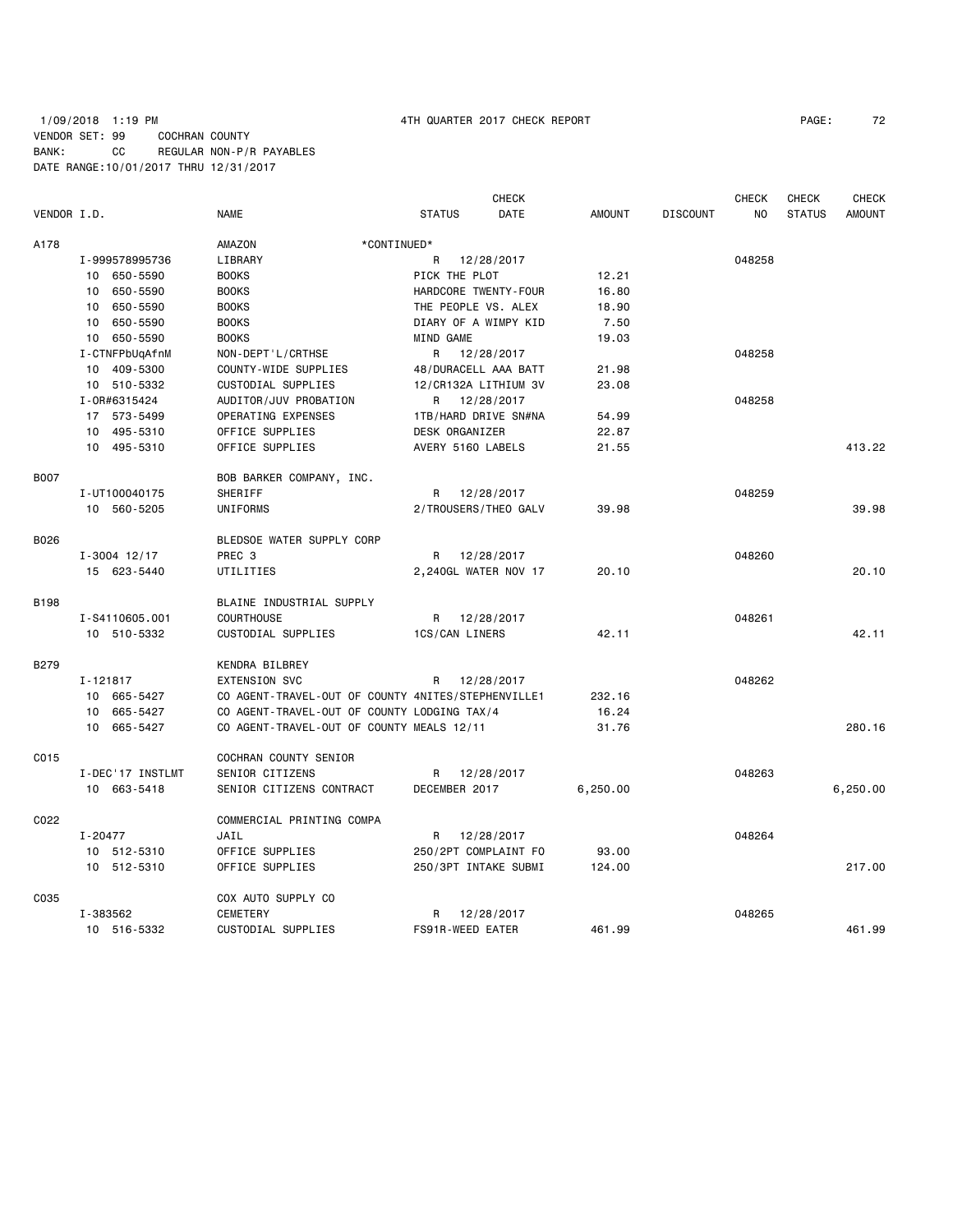# 1/09/2018 1:19 PM 4TH QUARTER 2017 CHECK REPORT PAGE: 72 VENDOR SET: 99 COCHRAN COUNTY BANK: CC REGULAR NON-P/R PAYABLES DATE RANGE:10/01/2017 THRU 12/31/2017

|             |                  |                                                    |                     | <b>CHECK</b>         |               |                 | <b>CHECK</b>   | <b>CHECK</b>  | <b>CHECK</b>  |
|-------------|------------------|----------------------------------------------------|---------------------|----------------------|---------------|-----------------|----------------|---------------|---------------|
| VENDOR I.D. |                  | <b>NAME</b>                                        | <b>STATUS</b>       | <b>DATE</b>          | <b>AMOUNT</b> | <b>DISCOUNT</b> | N <sub>O</sub> | <b>STATUS</b> | <b>AMOUNT</b> |
| A178        |                  | AMAZON                                             | *CONTINUED*         |                      |               |                 |                |               |               |
|             | I-999578995736   | LIBRARY                                            | R                   | 12/28/2017           |               |                 | 048258         |               |               |
|             | 10 650-5590      | <b>BOOKS</b>                                       | PICK THE PLOT       |                      | 12.21         |                 |                |               |               |
|             | 10 650-5590      | <b>BOOKS</b>                                       |                     | HARDCORE TWENTY-FOUR | 16.80         |                 |                |               |               |
|             | 10 650-5590      | <b>BOOKS</b>                                       | THE PEOPLE VS. ALEX |                      | 18.90         |                 |                |               |               |
|             | 10 650-5590      | <b>BOOKS</b>                                       |                     | DIARY OF A WIMPY KID | 7.50          |                 |                |               |               |
|             | 10 650-5590      | <b>BOOKS</b>                                       | MIND GAME           |                      | 19.03         |                 |                |               |               |
|             | I-CTNFPbUqAfnM   | NON-DEPT'L/CRTHSE                                  | R                   | 12/28/2017           |               |                 | 048258         |               |               |
|             | 10 409-5300      | COUNTY-WIDE SUPPLIES                               |                     | 48/DURACELL AAA BATT | 21.98         |                 |                |               |               |
|             | 10 510-5332      | CUSTODIAL SUPPLIES                                 |                     | 12/CR132A LITHIUM 3V | 23.08         |                 |                |               |               |
|             | I-0R#6315424     | AUDITOR/JUV PROBATION                              | R                   | 12/28/2017           |               |                 | 048258         |               |               |
|             | 17 573-5499      | OPERATING EXPENSES                                 |                     | 1TB/HARD DRIVE SN#NA | 54.99         |                 |                |               |               |
|             | 10 495-5310      | OFFICE SUPPLIES                                    | DESK ORGANIZER      |                      | 22.87         |                 |                |               |               |
|             | 10 495-5310      | OFFICE SUPPLIES                                    | AVERY 5160 LABELS   |                      | 21.55         |                 |                |               | 413.22        |
|             |                  |                                                    |                     |                      |               |                 |                |               |               |
| <b>B007</b> |                  | BOB BARKER COMPANY, INC.                           |                     |                      |               |                 |                |               |               |
|             | I-UT100040175    | SHERIFF                                            | R                   | 12/28/2017           |               |                 | 048259         |               |               |
|             | 10 560-5205      | UNIFORMS                                           |                     | 2/TROUSERS/THEO GALV | 39.98         |                 |                |               | 39.98         |
| B026        |                  | BLEDSOE WATER SUPPLY CORP                          |                     |                      |               |                 |                |               |               |
|             |                  |                                                    |                     |                      |               |                 |                |               |               |
|             | $I - 3004$ 12/17 | PREC <sub>3</sub>                                  | R                   | 12/28/2017           |               |                 | 048260         |               |               |
|             | 15 623-5440      | UTILITIES                                          |                     | 2,240GL WATER NOV 17 | 20.10         |                 |                |               | 20.10         |
| <b>B198</b> |                  | BLAINE INDUSTRIAL SUPPLY                           |                     |                      |               |                 |                |               |               |
|             | I-S4110605.001   | <b>COURTHOUSE</b>                                  |                     | R 12/28/2017         |               |                 | 048261         |               |               |
|             | 10 510-5332      | CUSTODIAL SUPPLIES                                 | 1CS/CAN LINERS      |                      | 42.11         |                 |                |               | 42.11         |
|             |                  |                                                    |                     |                      |               |                 |                |               |               |
| B279        |                  | KENDRA BILBREY                                     |                     |                      |               |                 |                |               |               |
|             | I-121817         | <b>EXTENSION SVC</b>                               | R                   | 12/28/2017           |               |                 | 048262         |               |               |
|             | 10 665-5427      | CO AGENT-TRAVEL-OUT OF COUNTY 4NITES/STEPHENVILLE1 |                     |                      | 232.16        |                 |                |               |               |
|             | 10 665-5427      | CO AGENT-TRAVEL-OUT OF COUNTY LODGING TAX/4        |                     |                      | 16.24         |                 |                |               |               |
|             | 10 665-5427      | CO AGENT-TRAVEL-OUT OF COUNTY MEALS 12/11          |                     |                      | 31.76         |                 |                |               | 280.16        |
| C015        |                  | COCHRAN COUNTY SENIOR                              |                     |                      |               |                 |                |               |               |
|             | I-DEC'17 INSTLMT | SENIOR CITIZENS                                    |                     | R 12/28/2017         |               |                 | 048263         |               |               |
|             | 10 663-5418      | SENIOR CITIZENS CONTRACT                           | DECEMBER 2017       |                      | 6,250.00      |                 |                |               | 6,250.00      |
|             |                  |                                                    |                     |                      |               |                 |                |               |               |
| C022        |                  | COMMERCIAL PRINTING COMPA                          |                     |                      |               |                 |                |               |               |
|             | I-20477          | JAIL                                               | R                   | 12/28/2017           |               |                 | 048264         |               |               |
|             | 10 512-5310      | OFFICE SUPPLIES                                    |                     | 250/2PT COMPLAINT FO | 93.00         |                 |                |               |               |
|             | 10 512-5310      | OFFICE SUPPLIES                                    |                     | 250/3PT INTAKE SUBMI | 124.00        |                 |                |               | 217.00        |
| C035        |                  | COX AUTO SUPPLY CO                                 |                     |                      |               |                 |                |               |               |
|             | I-383562         | CEMETERY                                           | R                   | 12/28/2017           |               |                 | 048265         |               |               |
|             | 10 516-5332      | CUSTODIAL SUPPLIES                                 | FS91R-WEED EATER    |                      | 461.99        |                 |                |               | 461.99        |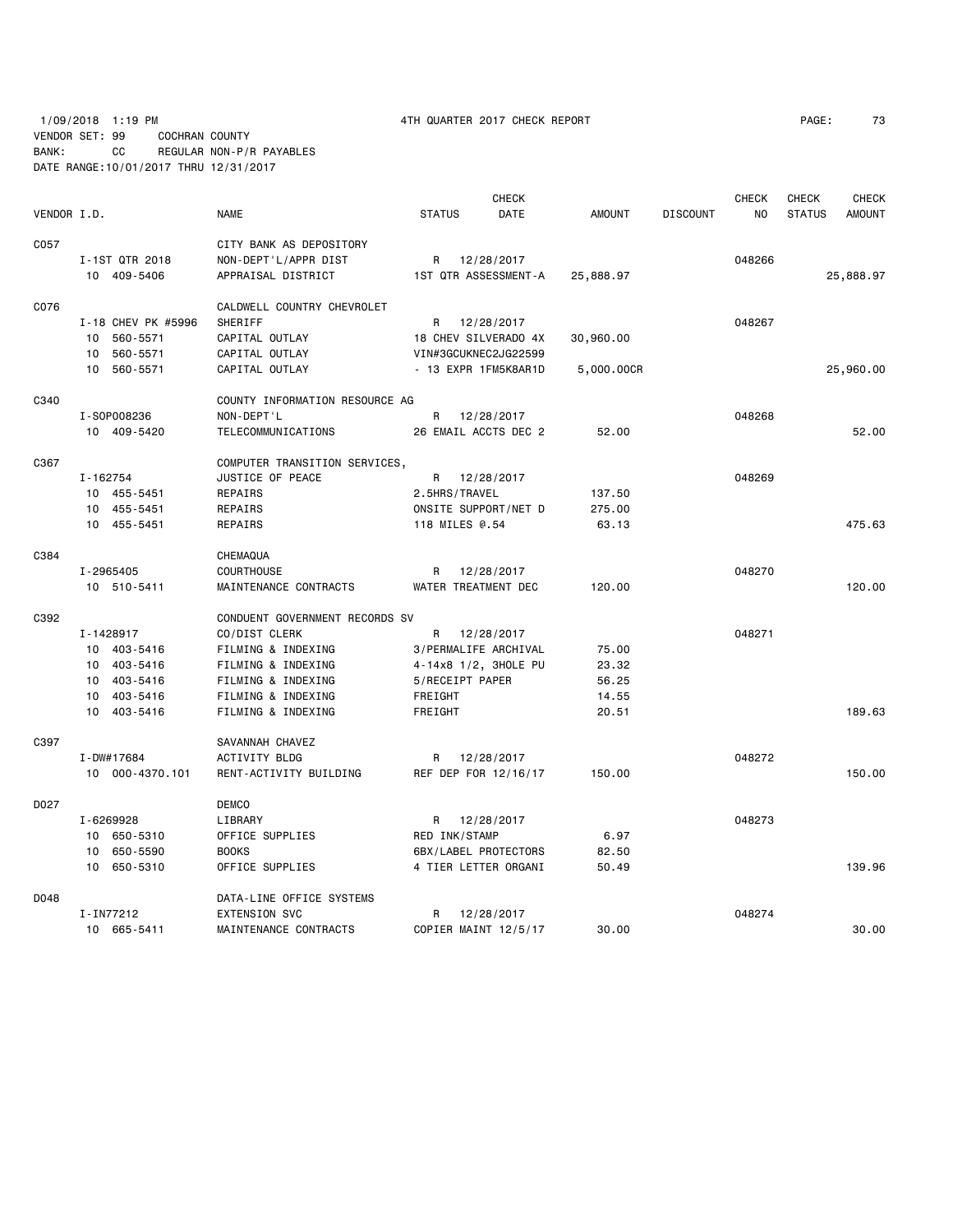1/09/2018 1:19 PM 4TH QUARTER 2017 CHECK REPORT PAGE: 73 VENDOR SET: 99 COCHRAN COUNTY BANK: CC REGULAR NON-P/R PAYABLES DATE RANGE:10/01/2017 THRU 12/31/2017

|             |          |                    |                                |               | <b>CHECK</b>         |               |                 | <b>CHECK</b> | CHECK         | <b>CHECK</b>  |
|-------------|----------|--------------------|--------------------------------|---------------|----------------------|---------------|-----------------|--------------|---------------|---------------|
| VENDOR I.D. |          |                    | <b>NAME</b>                    | <b>STATUS</b> | DATE                 | <b>AMOUNT</b> | <b>DISCOUNT</b> | NO.          | <b>STATUS</b> | <b>AMOUNT</b> |
| C057        |          |                    | CITY BANK AS DEPOSITORY        |               |                      |               |                 |              |               |               |
|             |          | I-1ST QTR 2018     | NON-DEPT'L/APPR DIST           | R             | 12/28/2017           |               |                 | 048266       |               |               |
|             |          | 10 409-5406        | APPRAISAL DISTRICT             |               | 1ST QTR ASSESSMENT-A | 25,888.97     |                 |              |               | 25,888.97     |
| C076        |          |                    | CALDWELL COUNTRY CHEVROLET     |               |                      |               |                 |              |               |               |
|             |          | I-18 CHEV PK #5996 | SHERIFF                        | R             | 12/28/2017           |               |                 | 048267       |               |               |
|             |          | 10 560-5571        | CAPITAL OUTLAY                 |               | 18 CHEV SILVERADO 4X | 30,960.00     |                 |              |               |               |
|             | 10       | 560-5571           | CAPITAL OUTLAY                 |               | VIN#3GCUKNEC2JG22599 |               |                 |              |               |               |
|             | 10       | 560-5571           | CAPITAL OUTLAY                 |               | - 13 EXPR 1FM5K8AR1D | 5,000.00CR    |                 |              |               | 25,960.00     |
| C340        |          |                    | COUNTY INFORMATION RESOURCE AG |               |                      |               |                 |              |               |               |
|             |          | I-S0P008236        | NON-DEPT'L                     | R             | 12/28/2017           |               |                 | 048268       |               |               |
|             |          | 10 409-5420        | <b>TELECOMMUNICATIONS</b>      |               | 26 EMAIL ACCTS DEC 2 | 52.00         |                 |              |               | 52.00         |
| C367        |          |                    | COMPUTER TRANSITION SERVICES,  |               |                      |               |                 |              |               |               |
|             | I-162754 |                    | JUSTICE OF PEACE               | R             | 12/28/2017           |               |                 | 048269       |               |               |
|             |          | 10 455-5451        | REPAIRS                        |               | 2.5HRS/TRAVEL        | 137.50        |                 |              |               |               |
|             |          | 10 455-5451        | REPAIRS                        |               | ONSITE SUPPORT/NET D | 275.00        |                 |              |               |               |
|             |          | 10 455-5451        | REPAIRS                        |               | 118 MILES @.54       | 63.13         |                 |              |               | 475.63        |
| C384        |          |                    | CHEMAQUA                       |               |                      |               |                 |              |               |               |
|             |          | I-2965405          | <b>COURTHOUSE</b>              | R             | 12/28/2017           |               |                 | 048270       |               |               |
|             |          | 10 510-5411        | MAINTENANCE CONTRACTS          |               | WATER TREATMENT DEC  | 120.00        |                 |              |               | 120,00        |
| C392        |          |                    | CONDUENT GOVERNMENT RECORDS SV |               |                      |               |                 |              |               |               |
|             |          | I-1428917          | CO/DIST CLERK                  | R             | 12/28/2017           |               |                 | 048271       |               |               |
|             |          | 10 403-5416        | FILMING & INDEXING             |               | 3/PERMALIFE ARCHIVAL | 75.00         |                 |              |               |               |
|             |          | 10 403-5416        | FILMING & INDEXING             |               | 4-14x8 1/2, 3HOLE PU | 23.32         |                 |              |               |               |
|             |          | 10 403-5416        | FILMING & INDEXING             |               | 5/RECEIPT PAPER      | 56.25         |                 |              |               |               |
|             |          | 10 403-5416        | FILMING & INDEXING             | FREIGHT       |                      | 14.55         |                 |              |               |               |
|             |          | 10 403-5416        | FILMING & INDEXING             | FREIGHT       |                      | 20.51         |                 |              |               | 189.63        |
| C397        |          |                    | SAVANNAH CHAVEZ                |               |                      |               |                 |              |               |               |
|             |          | I-DW#17684         | <b>ACTIVITY BLDG</b>           | R             | 12/28/2017           |               |                 | 048272       |               |               |
|             |          | 10 000-4370.101    | RENT-ACTIVITY BUILDING         |               | REF DEP FOR 12/16/17 | 150.00        |                 |              |               | 150.00        |
| D027        |          |                    | <b>DEMCO</b>                   |               |                      |               |                 |              |               |               |
|             |          | I-6269928          | LIBRARY                        |               | R 12/28/2017         |               |                 | 048273       |               |               |
|             |          | 10 650-5310        | OFFICE SUPPLIES                |               | RED INK/STAMP        | 6.97          |                 |              |               |               |
|             |          | 10 650-5590        | <b>BOOKS</b>                   |               | 6BX/LABEL PROTECTORS | 82.50         |                 |              |               |               |
|             |          | 10 650-5310        | OFFICE SUPPLIES                |               | 4 TIER LETTER ORGANI | 50.49         |                 |              |               | 139.96        |
| D048        |          |                    | DATA-LINE OFFICE SYSTEMS       |               |                      |               |                 |              |               |               |
|             |          | I-IN77212          | <b>EXTENSION SVC</b>           | R             | 12/28/2017           |               |                 | 048274       |               |               |
|             |          | 10 665-5411        | MAINTENANCE CONTRACTS          |               | COPIER MAINT 12/5/17 | 30.00         |                 |              |               | 30.00         |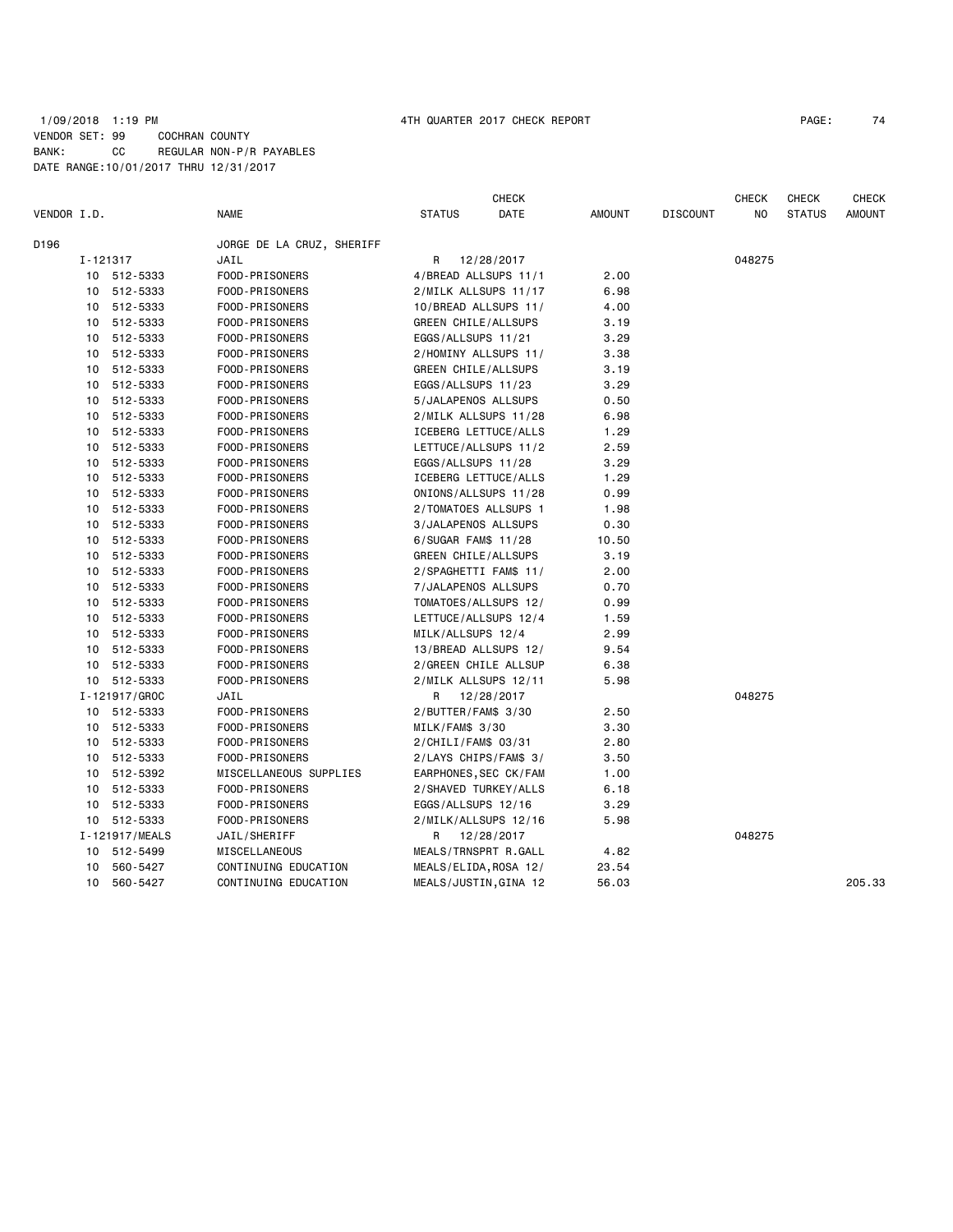## 1/09/2018 1:19 PM 4TH QUARTER 2017 CHECK REPORT PAGE: 74 VENDOR SET: 99 COCHRAN COUNTY BANK: CC REGULAR NON-P/R PAYABLES DATE RANGE:10/01/2017 THRU 12/31/2017

|             |          |                |                           |                            | <b>CHECK</b>          |               |                 | <b>CHECK</b> | <b>CHECK</b>  | <b>CHECK</b>  |
|-------------|----------|----------------|---------------------------|----------------------------|-----------------------|---------------|-----------------|--------------|---------------|---------------|
| VENDOR I.D. |          |                | <b>NAME</b>               | <b>STATUS</b>              | DATE                  | <b>AMOUNT</b> | <b>DISCOUNT</b> | NO           | <b>STATUS</b> | <b>AMOUNT</b> |
| D196        |          |                | JORGE DE LA CRUZ, SHERIFF |                            |                       |               |                 |              |               |               |
|             | I-121317 |                | JAIL                      | R                          | 12/28/2017            |               |                 | 048275       |               |               |
|             |          | 10 512-5333    | FOOD-PRISONERS            |                            | 4/BREAD ALLSUPS 11/1  | 2.00          |                 |              |               |               |
|             | 10       | 512-5333       | FOOD-PRISONERS            |                            | 2/MILK ALLSUPS 11/17  | 6.98          |                 |              |               |               |
|             |          | 10 512-5333    | FOOD-PRISONERS            |                            | 10/BREAD ALLSUPS 11/  | 4.00          |                 |              |               |               |
|             | 10       | 512-5333       | FOOD-PRISONERS            | GREEN CHILE/ALLSUPS        |                       | 3.19          |                 |              |               |               |
|             | 10       | 512-5333       | FOOD-PRISONERS            | EGGS/ALLSUPS 11/21         |                       | 3.29          |                 |              |               |               |
|             | 10       | 512-5333       | FOOD-PRISONERS            |                            | 2/HOMINY ALLSUPS 11/  | 3.38          |                 |              |               |               |
|             | 10       | 512-5333       | FOOD-PRISONERS            | <b>GREEN CHILE/ALLSUPS</b> |                       | 3.19          |                 |              |               |               |
|             |          | 10 512-5333    | FOOD-PRISONERS            | EGGS/ALLSUPS 11/23         |                       | 3.29          |                 |              |               |               |
|             | 10       | 512-5333       | FOOD-PRISONERS            | 5/JALAPENOS ALLSUPS        |                       | 0.50          |                 |              |               |               |
|             |          | 10 512-5333    | FOOD-PRISONERS            |                            | 2/MILK ALLSUPS 11/28  | 6.98          |                 |              |               |               |
|             | 10       | 512-5333       | FOOD-PRISONERS            |                            | ICEBERG LETTUCE/ALLS  | 1.29          |                 |              |               |               |
|             | 10       | 512-5333       | FOOD-PRISONERS            |                            | LETTUCE/ALLSUPS 11/2  | 2.59          |                 |              |               |               |
|             | 10       | 512-5333       | FOOD-PRISONERS            | EGGS/ALLSUPS 11/28         |                       | 3.29          |                 |              |               |               |
|             |          | 10 512-5333    | FOOD-PRISONERS            |                            | ICEBERG LETTUCE/ALLS  | 1.29          |                 |              |               |               |
|             | 10       | 512-5333       | FOOD-PRISONERS            |                            | ONIONS/ALLSUPS 11/28  | 0.99          |                 |              |               |               |
|             | 10       | 512-5333       | FOOD-PRISONERS            | 2/TOMATOES ALLSUPS 1       |                       | 1.98          |                 |              |               |               |
|             | 10       | 512-5333       | FOOD-PRISONERS            | 3/JALAPENOS ALLSUPS        |                       | 0.30          |                 |              |               |               |
|             | 10       | 512-5333       | FOOD-PRISONERS            | 6/SUGAR FAM\$ 11/28        |                       | 10.50         |                 |              |               |               |
|             |          | 10 512-5333    | FOOD-PRISONERS            | GREEN CHILE/ALLSUPS        |                       | 3.19          |                 |              |               |               |
|             | 10       | 512-5333       | FOOD-PRISONERS            |                            | 2/SPAGHETTI FAM\$ 11/ | 2.00          |                 |              |               |               |
|             |          | 10 512-5333    | FOOD-PRISONERS            | 7/JALAPENOS ALLSUPS        |                       | 0.70          |                 |              |               |               |
|             | 10       | 512-5333       | FOOD-PRISONERS            |                            | TOMATOES/ALLSUPS 12/  | 0.99          |                 |              |               |               |
|             | 10       | 512-5333       | FOOD-PRISONERS            |                            | LETTUCE/ALLSUPS 12/4  | 1.59          |                 |              |               |               |
|             | 10       | 512-5333       | FOOD-PRISONERS            | MILK/ALLSUPS 12/4          |                       | 2.99          |                 |              |               |               |
|             | 10       | 512-5333       | FOOD-PRISONERS            |                            | 13/BREAD ALLSUPS 12/  | 9.54          |                 |              |               |               |
|             |          | 10 512-5333    | FOOD-PRISONERS            |                            | 2/GREEN CHILE ALLSUP  | 6.38          |                 |              |               |               |
|             |          | 10 512-5333    | FOOD-PRISONERS            |                            | 2/MILK ALLSUPS 12/11  | 5.98          |                 |              |               |               |
|             |          | I-121917/GROC  | JAIL                      | R                          | 12/28/2017            |               |                 | 048275       |               |               |
|             |          | 10 512-5333    | FOOD-PRISONERS            | 2/BUTTER/FAM\$ 3/30        |                       | 2.50          |                 |              |               |               |
|             |          | 10 512-5333    | FOOD-PRISONERS            | MILK/FAM\$ 3/30            |                       | 3.30          |                 |              |               |               |
|             | 10       | 512-5333       | FOOD-PRISONERS            | 2/CHILI/FAM\$ 03/31        |                       | 2.80          |                 |              |               |               |
|             |          | 10 512-5333    | FOOD-PRISONERS            |                            | 2/LAYS CHIPS/FAM\$ 3/ | 3.50          |                 |              |               |               |
|             | 10       | 512-5392       | MISCELLANEOUS SUPPLIES    |                            | EARPHONES, SEC CK/FAM | 1.00          |                 |              |               |               |
|             | 10       | 512-5333       | FOOD-PRISONERS            |                            | 2/SHAVED TURKEY/ALLS  | 6.18          |                 |              |               |               |
|             | 10       | 512-5333       | FOOD-PRISONERS            | EGGS/ALLSUPS 12/16         |                       | 3.29          |                 |              |               |               |
|             |          | 10 512-5333    | FOOD-PRISONERS            |                            | 2/MILK/ALLSUPS 12/16  | 5.98          |                 |              |               |               |
|             |          | I-121917/MEALS | JAIL/SHERIFF              | R                          | 12/28/2017            |               |                 | 048275       |               |               |
|             |          | 10 512-5499    | MISCELLANEOUS             |                            | MEALS/TRNSPRT R.GALL  | 4.82          |                 |              |               |               |
|             | 10       | 560-5427       | CONTINUING EDUCATION      | MEALS/ELIDA, ROSA 12/      |                       | 23.54         |                 |              |               |               |
|             | 10       | 560-5427       | CONTINUING EDUCATION      |                            | MEALS/JUSTIN, GINA 12 | 56.03         |                 |              |               | 205.33        |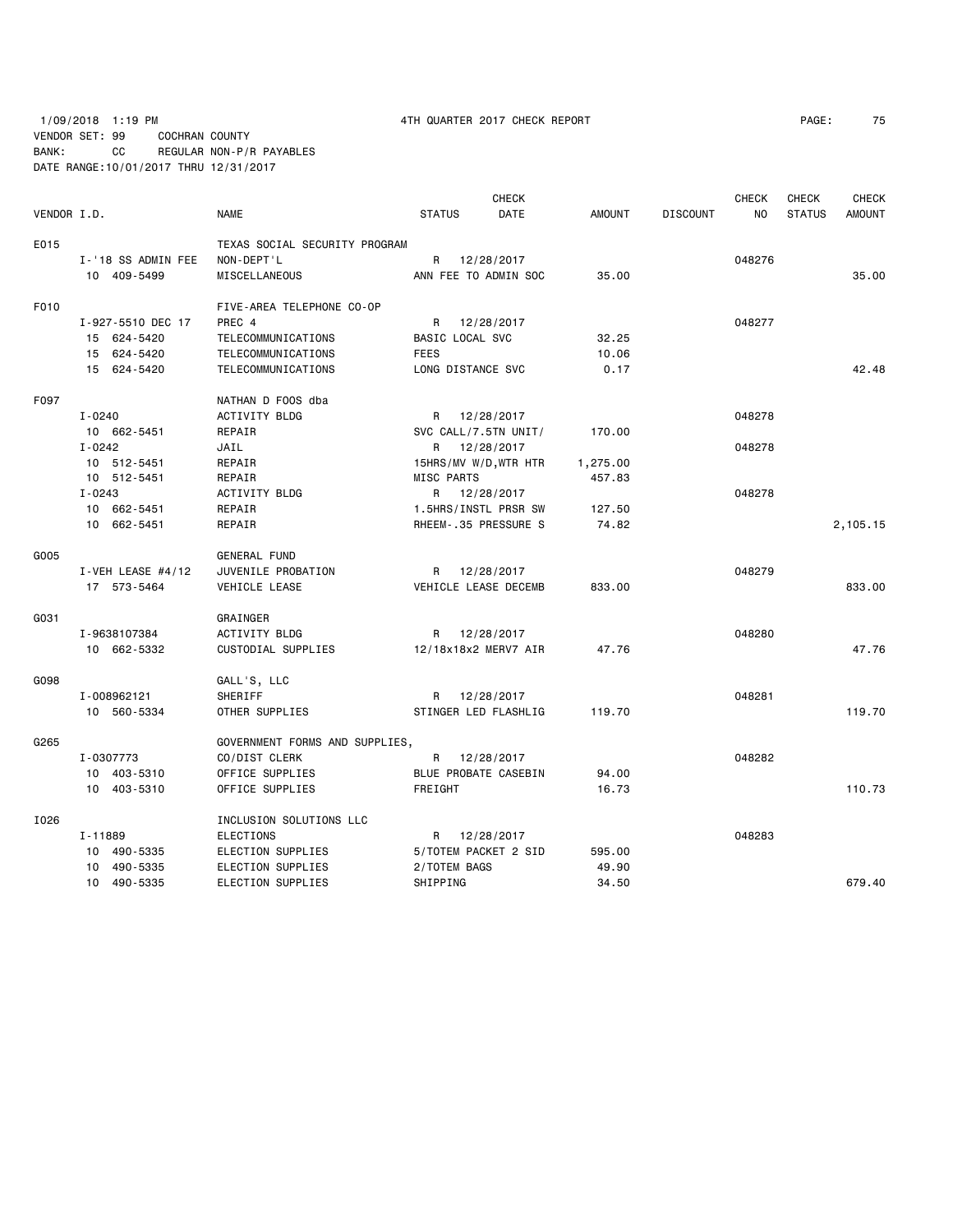# 1/09/2018 1:19 PM 4TH QUARTER 2017 CHECK REPORT PAGE: 75 VENDOR SET: 99 COCHRAN COUNTY BANK: CC REGULAR NON-P/R PAYABLES DATE RANGE:10/01/2017 THRU 12/31/2017

|             |                     |                                |                   | <b>CHECK</b>          |               |                 | <b>CHECK</b> | <b>CHECK</b>  | <b>CHECK</b>  |
|-------------|---------------------|--------------------------------|-------------------|-----------------------|---------------|-----------------|--------------|---------------|---------------|
| VENDOR I.D. |                     | <b>NAME</b>                    | <b>STATUS</b>     | <b>DATE</b>           | <b>AMOUNT</b> | <b>DISCOUNT</b> | <b>NO</b>    | <b>STATUS</b> | <b>AMOUNT</b> |
| E015        |                     | TEXAS SOCIAL SECURITY PROGRAM  |                   |                       |               |                 |              |               |               |
|             | I-'18 SS ADMIN FEE  | NON-DEPT'L                     |                   | R 12/28/2017          |               |                 | 048276       |               |               |
|             | 10 409-5499         | MISCELLANEOUS                  |                   | ANN FEE TO ADMIN SOC  | 35.00         |                 |              |               | 35.00         |
| F010        |                     | FIVE-AREA TELEPHONE CO-OP      |                   |                       |               |                 |              |               |               |
|             | I-927-5510 DEC 17   | PREC 4                         |                   | R 12/28/2017          |               |                 | 048277       |               |               |
|             | 15 624-5420         | TELECOMMUNICATIONS             | BASIC LOCAL SVC   |                       | 32.25         |                 |              |               |               |
|             | 15 624-5420         | TELECOMMUNICATIONS             | <b>FEES</b>       |                       | 10.06         |                 |              |               |               |
|             | 15 624-5420         | TELECOMMUNICATIONS             | LONG DISTANCE SVC |                       | 0.17          |                 |              |               | 42.48         |
| F097        |                     | NATHAN D FOOS dba              |                   |                       |               |                 |              |               |               |
|             | I-0240              | ACTIVITY BLDG                  |                   | R 12/28/2017          |               |                 | 048278       |               |               |
|             | 10 662-5451         | REPAIR                         |                   | SVC CALL/7.5TN UNIT/  | 170.00        |                 |              |               |               |
|             | $I - 0242$          | JAIL                           |                   | R 12/28/2017          |               |                 | 048278       |               |               |
|             | 10 512-5451         | REPAIR                         |                   | 15HRS/MV W/D, WTR HTR | 1,275.00      |                 |              |               |               |
|             | 10 512-5451         | REPAIR                         | MISC PARTS        |                       | 457.83        |                 |              |               |               |
|             | I-0243              | ACTIVITY BLDG                  |                   | R 12/28/2017          |               |                 | 048278       |               |               |
|             | 10 662-5451         | REPAIR                         |                   | 1.5HRS/INSTL PRSR SW  | 127.50        |                 |              |               |               |
|             | 10 662-5451         | REPAIR                         |                   | RHEEM-.35 PRESSURE S  | 74.82         |                 |              |               | 2,105.15      |
| G005        |                     | <b>GENERAL FUND</b>            |                   |                       |               |                 |              |               |               |
|             | I-VEH LEASE $#4/12$ | JUVENILE PROBATION             |                   | R 12/28/2017          |               |                 | 048279       |               |               |
|             | 17 573-5464         | VEHICLE LEASE                  |                   | VEHICLE LEASE DECEMB  | 833,00        |                 |              |               | 833.00        |
| G031        |                     | GRAINGER                       |                   |                       |               |                 |              |               |               |
|             | I-9638107384        | <b>ACTIVITY BLDG</b>           |                   | R 12/28/2017          |               |                 | 048280       |               |               |
|             | 10 662-5332         | CUSTODIAL SUPPLIES             |                   | 12/18x18x2 MERV7 AIR  | 47.76         |                 |              |               | 47.76         |
| G098        |                     | GALL'S, LLC                    |                   |                       |               |                 |              |               |               |
|             | I-008962121         | SHERIFF                        |                   | R 12/28/2017          |               |                 | 048281       |               |               |
|             | 10 560-5334         | OTHER SUPPLIES                 |                   | STINGER LED FLASHLIG  | 119.70        |                 |              |               | 119.70        |
| G265        |                     | GOVERNMENT FORMS AND SUPPLIES, |                   |                       |               |                 |              |               |               |
|             | I-0307773           | CO/DIST CLERK                  |                   | R 12/28/2017          |               |                 | 048282       |               |               |
|             | 10 403-5310         | OFFICE SUPPLIES                |                   | BLUE PROBATE CASEBIN  | 94.00         |                 |              |               |               |
|             | 10 403-5310         | OFFICE SUPPLIES                | FREIGHT           |                       | 16.73         |                 |              |               | 110.73        |
| I026        |                     | INCLUSION SOLUTIONS LLC        |                   |                       |               |                 |              |               |               |
|             | I-11889             | <b>ELECTIONS</b>               |                   | R 12/28/2017          |               |                 | 048283       |               |               |
|             | 10 490-5335         | ELECTION SUPPLIES              |                   | 5/TOTEM PACKET 2 SID  | 595.00        |                 |              |               |               |
|             | 10 490-5335         | ELECTION SUPPLIES              | 2/TOTEM BAGS      |                       | 49.90         |                 |              |               |               |
|             | 10 490-5335         | ELECTION SUPPLIES              | SHIPPING          |                       | 34.50         |                 |              |               | 679.40        |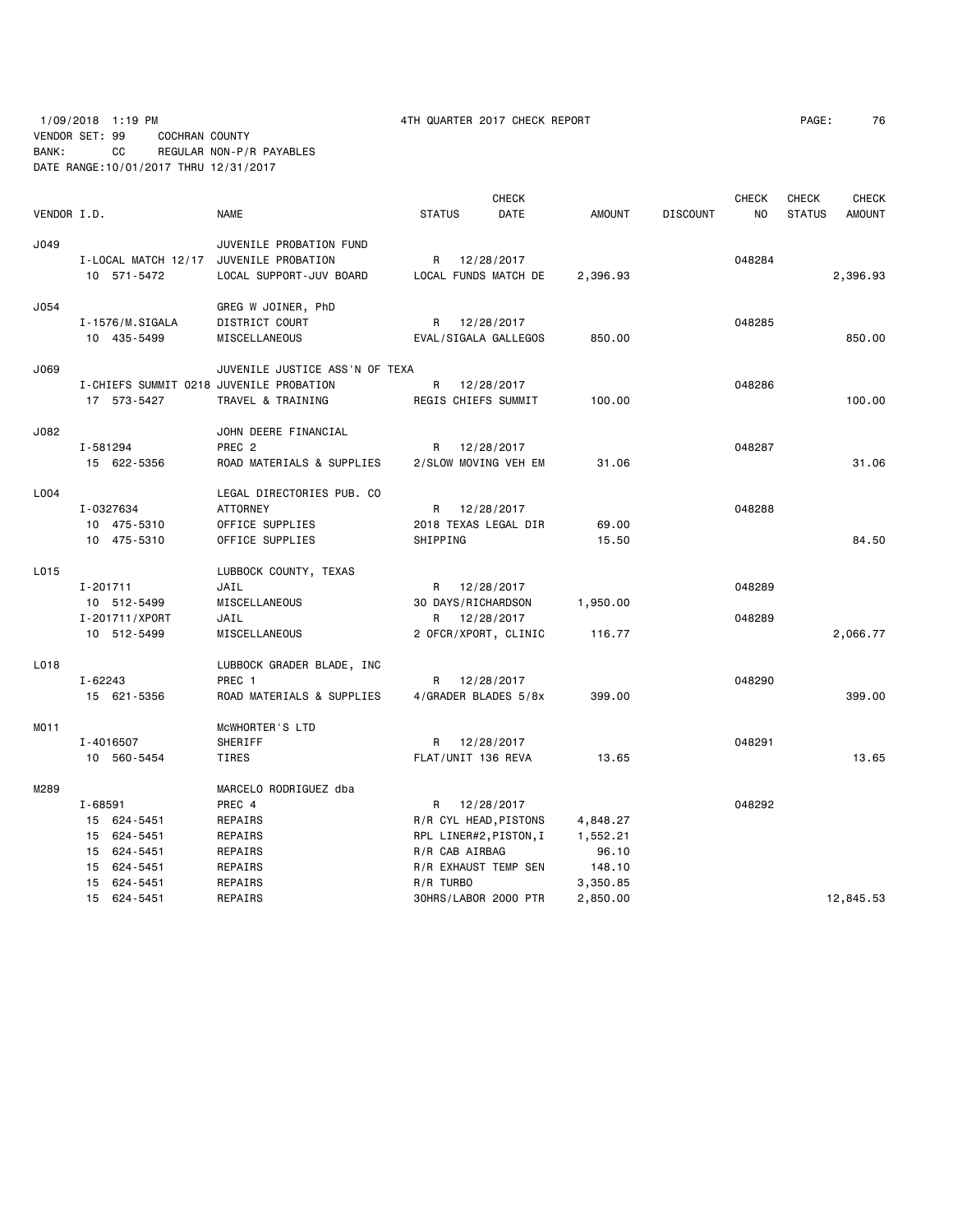1/09/2018 1:19 PM 4TH QUARTER 2017 CHECK REPORT PAGE: 76 VENDOR SET: 99 COCHRAN COUNTY BANK: CC REGULAR NON-P/R PAYABLES DATE RANGE:10/01/2017 THRU 12/31/2017

|                  |                                         |                                |                     | <b>CHECK</b>           |               |                 | <b>CHECK</b> | <b>CHECK</b>  | <b>CHECK</b>  |
|------------------|-----------------------------------------|--------------------------------|---------------------|------------------------|---------------|-----------------|--------------|---------------|---------------|
| VENDOR I.D.      |                                         | <b>NAME</b>                    | <b>STATUS</b>       | DATE                   | <b>AMOUNT</b> | <b>DISCOUNT</b> | NO           | <b>STATUS</b> | <b>AMOUNT</b> |
| J049             |                                         | JUVENILE PROBATION FUND        |                     |                        |               |                 |              |               |               |
|                  | I-LOCAL MATCH 12/17                     | JUVENILE PROBATION             | R                   | 12/28/2017             |               |                 | 048284       |               |               |
|                  | 10 571-5472                             | LOCAL SUPPORT-JUV BOARD        |                     | LOCAL FUNDS MATCH DE   | 2,396.93      |                 |              |               | 2,396.93      |
| J054             |                                         | GREG W JOINER, PhD             |                     |                        |               |                 |              |               |               |
|                  | I-1576/M.SIGALA                         | DISTRICT COURT                 | R                   | 12/28/2017             |               |                 | 048285       |               |               |
|                  | 10 435-5499                             | MISCELLANEOUS                  |                     | EVAL/SIGALA GALLEGOS   | 850.00        |                 |              |               | 850.00        |
| J069             |                                         | JUVENILE JUSTICE ASS'N OF TEXA |                     |                        |               |                 |              |               |               |
|                  | I-CHIEFS SUMMIT 0218 JUVENILE PROBATION |                                | R                   | 12/28/2017             |               |                 | 048286       |               |               |
|                  | 17 573-5427                             | TRAVEL & TRAINING              | REGIS CHIEFS SUMMIT |                        | 100.00        |                 |              |               | 100.00        |
| J082             |                                         | JOHN DEERE FINANCIAL           |                     |                        |               |                 |              |               |               |
|                  | I-581294                                | PREC <sub>2</sub>              | R                   | 12/28/2017             |               |                 | 048287       |               |               |
|                  | 15 622-5356                             | ROAD MATERIALS & SUPPLIES      |                     | 2/SLOW MOVING VEH EM   | 31.06         |                 |              |               | 31.06         |
| L004             |                                         | LEGAL DIRECTORIES PUB. CO      |                     |                        |               |                 |              |               |               |
|                  | I-0327634                               | <b>ATTORNEY</b>                |                     | R 12/28/2017           |               |                 | 048288       |               |               |
|                  | 10 475-5310                             | OFFICE SUPPLIES                |                     | 2018 TEXAS LEGAL DIR   | 69,00         |                 |              |               |               |
|                  | 10 475-5310                             | OFFICE SUPPLIES                | SHIPPING            |                        | 15.50         |                 |              |               | 84.50         |
| L015             |                                         | LUBBOCK COUNTY, TEXAS          |                     |                        |               |                 |              |               |               |
|                  | I-201711                                | JAIL                           | R                   | 12/28/2017             |               |                 | 048289       |               |               |
|                  | 10 512-5499                             | MISCELLANEOUS                  | 30 DAYS/RICHARDSON  |                        | 1,950.00      |                 |              |               |               |
|                  | I-201711/XPORT                          | JAIL                           | R                   | 12/28/2017             |               |                 | 048289       |               |               |
|                  | 10 512-5499                             | MISCELLANEOUS                  |                     | 2 OFCR/XPORT, CLINIC   | 116.77        |                 |              |               | 2,066.77      |
| L018             |                                         | LUBBOCK GRADER BLADE, INC      |                     |                        |               |                 |              |               |               |
|                  | $I - 62243$                             | PREC 1                         |                     | R 12/28/2017           |               |                 | 048290       |               |               |
|                  | 15 621-5356                             | ROAD MATERIALS & SUPPLIES      |                     | 4/GRADER BLADES 5/8x   | 399.00        |                 |              |               | 399.00        |
| MO <sub>11</sub> |                                         | MCWHORTER'S LTD                |                     |                        |               |                 |              |               |               |
|                  | I-4016507                               | SHERIFF                        |                     | R 12/28/2017           |               |                 | 048291       |               |               |
|                  | 10 560-5454                             | TIRES                          | FLAT/UNIT 136 REVA  |                        | 13.65         |                 |              |               | 13.65         |
| M289             |                                         | MARCELO RODRIGUEZ dba          |                     |                        |               |                 |              |               |               |
|                  | I-68591                                 | PREC 4                         | R                   | 12/28/2017             |               |                 | 048292       |               |               |
|                  | 15 624-5451                             | REPAIRS                        |                     | R/R CYL HEAD, PISTONS  | 4,848.27      |                 |              |               |               |
|                  | 15 624-5451                             | REPAIRS                        |                     | RPL LINER#2, PISTON, I | 1,552.21      |                 |              |               |               |
|                  | 15 624-5451                             | REPAIRS                        | R/R CAB AIRBAG      |                        | 96.10         |                 |              |               |               |
|                  | 15 624-5451                             | REPAIRS                        |                     | R/R EXHAUST TEMP SEN   | 148.10        |                 |              |               |               |
|                  | 15 624-5451                             | REPAIRS                        | R/R TURBO           |                        | 3,350.85      |                 |              |               |               |
|                  | 15 624-5451                             | REPAIRS                        |                     | 30HRS/LABOR 2000 PTR   | 2,850.00      |                 |              |               | 12,845.53     |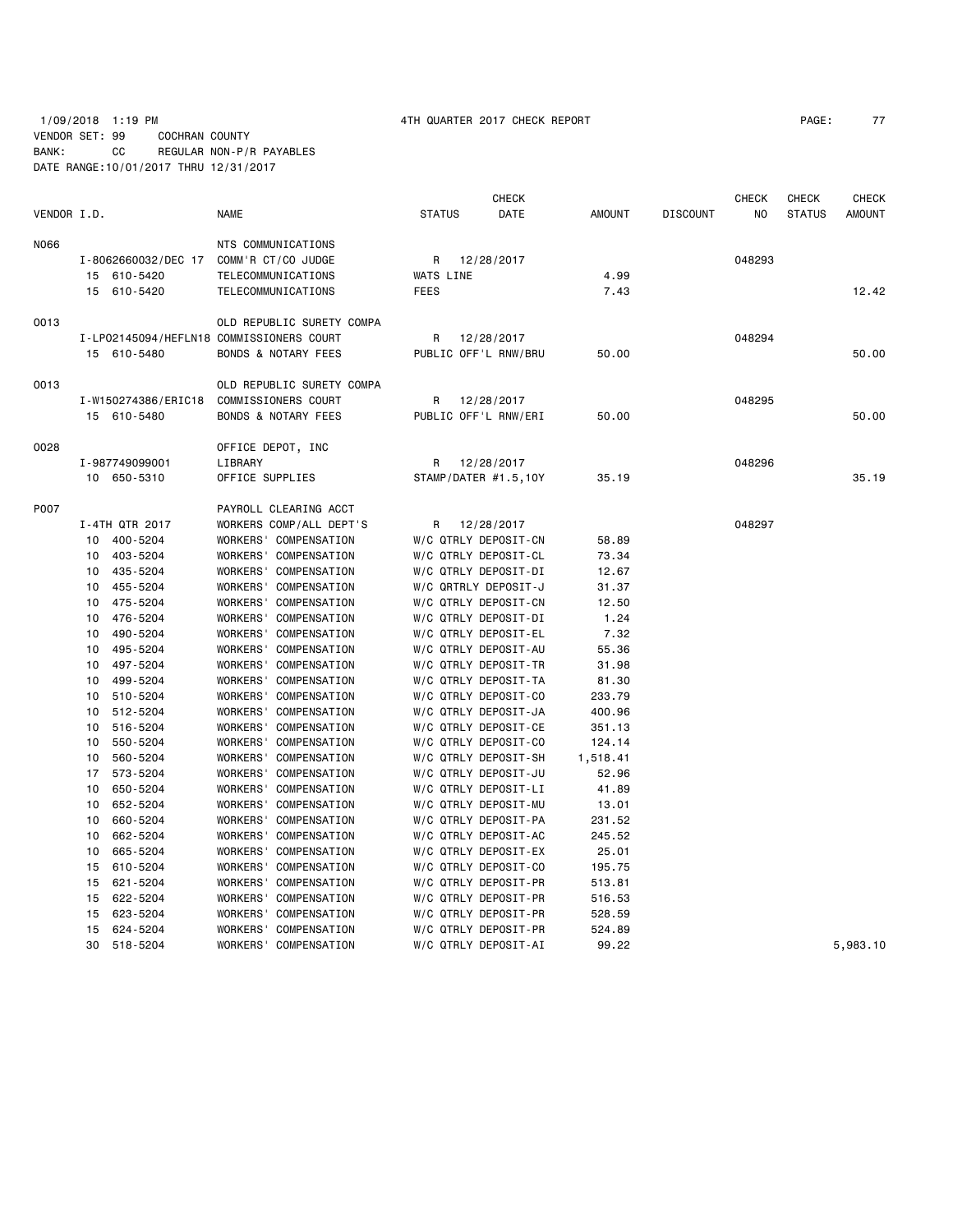# 1/09/2018 1:19 PM 4TH QUARTER 2017 CHECK REPORT PAGE: 77 VENDOR SET: 99 COCHRAN COUNTY BANK: CC REGULAR NON-P/R PAYABLES DATE RANGE:10/01/2017 THRU 12/31/2017

|             |                                          |                                |                      | <b>CHECK</b> |          |                 | <b>CHECK</b> | <b>CHECK</b>  | <b>CHECK</b> |
|-------------|------------------------------------------|--------------------------------|----------------------|--------------|----------|-----------------|--------------|---------------|--------------|
| VENDOR I.D. |                                          | <b>NAME</b>                    | <b>STATUS</b>        | DATE         | AMOUNT   | <b>DISCOUNT</b> | NO           | <b>STATUS</b> | AMOUNT       |
| N066        |                                          | NTS COMMUNICATIONS             |                      |              |          |                 |              |               |              |
|             | I-8062660032/DEC 17 COMM'R CT/CO JUDGE   |                                | R                    | 12/28/2017   |          |                 | 048293       |               |              |
|             | 15 610-5420                              | <b>TELECOMMUNICATIONS</b>      | WATS LINE            |              | 4.99     |                 |              |               |              |
|             | 15 610-5420                              | TELECOMMUNICATIONS             | <b>FEES</b>          |              | 7.43     |                 |              |               | 12.42        |
| 0013        |                                          | OLD REPUBLIC SURETY COMPA      |                      |              |          |                 |              |               |              |
|             | I-LP02145094/HEFLN18 COMMISSIONERS COURT |                                | R                    | 12/28/2017   |          |                 | 048294       |               |              |
|             | 15 610-5480                              | <b>BONDS &amp; NOTARY FEES</b> | PUBLIC OFF'L RNW/BRU |              | 50.00    |                 |              |               | 50.00        |
| 0013        |                                          | OLD REPUBLIC SURETY COMPA      |                      |              |          |                 |              |               |              |
|             | I-W150274386/ERIC18                      | COMMISSIONERS COURT            | R                    | 12/28/2017   |          |                 | 048295       |               |              |
|             | 15 610-5480                              | <b>BONDS &amp; NOTARY FEES</b> | PUBLIC OFF'L RNW/ERI |              | 50.00    |                 |              |               | 50.00        |
| 0028        |                                          | OFFICE DEPOT, INC              |                      |              |          |                 |              |               |              |
|             | I-987749099001                           | LIBRARY                        | R                    | 12/28/2017   |          |                 | 048296       |               |              |
|             | 10 650-5310                              | OFFICE SUPPLIES                | STAMP/DATER #1.5,10Y |              | 35.19    |                 |              |               | 35.19        |
| P007        |                                          | PAYROLL CLEARING ACCT          |                      |              |          |                 |              |               |              |
|             | I-4TH QTR 2017                           | WORKERS COMP/ALL DEPT'S        | R                    | 12/28/2017   |          |                 | 048297       |               |              |
|             | 10 400-5204                              | WORKERS' COMPENSATION          | W/C QTRLY DEPOSIT-CN |              | 58.89    |                 |              |               |              |
|             | 10 403-5204                              | WORKERS' COMPENSATION          | W/C QTRLY DEPOSIT-CL |              | 73.34    |                 |              |               |              |
|             | 10 435-5204                              | WORKERS' COMPENSATION          | W/C QTRLY DEPOSIT-DI |              | 12.67    |                 |              |               |              |
|             | 10 455-5204                              | WORKERS' COMPENSATION          | W/C QRTRLY DEPOSIT-J |              | 31.37    |                 |              |               |              |
|             | 475-5204<br>10                           | WORKERS' COMPENSATION          | W/C QTRLY DEPOSIT-CN |              | 12.50    |                 |              |               |              |
|             | 476-5204<br>10                           | WORKERS' COMPENSATION          | W/C QTRLY DEPOSIT-DI |              | 1.24     |                 |              |               |              |
|             | 490-5204<br>10                           | WORKERS' COMPENSATION          | W/C QTRLY DEPOSIT-EL |              | 7.32     |                 |              |               |              |
|             | 495-5204<br>10                           | WORKERS' COMPENSATION          | W/C QTRLY DEPOSIT-AU |              | 55.36    |                 |              |               |              |
|             | 497-5204<br>10                           | WORKERS' COMPENSATION          | W/C QTRLY DEPOSIT-TR |              | 31.98    |                 |              |               |              |
|             | 499-5204<br>10                           | WORKERS' COMPENSATION          | W/C QTRLY DEPOSIT-TA |              | 81.30    |                 |              |               |              |
|             | 510-5204<br>10                           | WORKERS' COMPENSATION          | W/C QTRLY DEPOSIT-CO |              | 233.79   |                 |              |               |              |
|             | 512-5204<br>10                           | WORKERS' COMPENSATION          | W/C QTRLY DEPOSIT-JA |              | 400.96   |                 |              |               |              |
|             | 516-5204<br>10                           | WORKERS' COMPENSATION          | W/C QTRLY DEPOSIT-CE |              | 351.13   |                 |              |               |              |
|             | 10<br>550-5204                           | WORKERS' COMPENSATION          | W/C QTRLY DEPOSIT-CO |              | 124.14   |                 |              |               |              |
|             | 10<br>560-5204                           | WORKERS' COMPENSATION          | W/C QTRLY DEPOSIT-SH |              | 1,518.41 |                 |              |               |              |
|             | 573-5204<br>17                           | WORKERS' COMPENSATION          | W/C QTRLY DEPOSIT-JU |              | 52.96    |                 |              |               |              |
|             | 650-5204<br>10                           | WORKERS' COMPENSATION          | W/C QTRLY DEPOSIT-LI |              | 41.89    |                 |              |               |              |
|             | 652-5204<br>10                           | WORKERS' COMPENSATION          | W/C QTRLY DEPOSIT-MU |              | 13.01    |                 |              |               |              |
|             | 660-5204<br>10                           | WORKERS' COMPENSATION          | W/C QTRLY DEPOSIT-PA |              | 231.52   |                 |              |               |              |
|             | 662-5204<br>10                           | WORKERS' COMPENSATION          | W/C QTRLY DEPOSIT-AC |              | 245.52   |                 |              |               |              |
|             | 665-5204<br>10                           | WORKERS' COMPENSATION          | W/C QTRLY DEPOSIT-EX |              | 25.01    |                 |              |               |              |
|             | 610-5204<br>15                           | WORKERS' COMPENSATION          | W/C QTRLY DEPOSIT-CO |              | 195.75   |                 |              |               |              |
|             | 15<br>621-5204                           | WORKERS' COMPENSATION          | W/C QTRLY DEPOSIT-PR |              | 513.81   |                 |              |               |              |
|             | 15<br>622-5204                           | WORKERS' COMPENSATION          | W/C QTRLY DEPOSIT-PR |              | 516.53   |                 |              |               |              |
|             | 623-5204<br>15                           | WORKERS' COMPENSATION          | W/C QTRLY DEPOSIT-PR |              | 528.59   |                 |              |               |              |
|             | 624-5204<br>15                           | WORKERS' COMPENSATION          | W/C QTRLY DEPOSIT-PR |              | 524.89   |                 |              |               |              |
|             | 30 518-5204                              | WORKERS' COMPENSATION          | W/C QTRLY DEPOSIT-AI |              | 99.22    |                 |              |               | 5,983.10     |
|             |                                          |                                |                      |              |          |                 |              |               |              |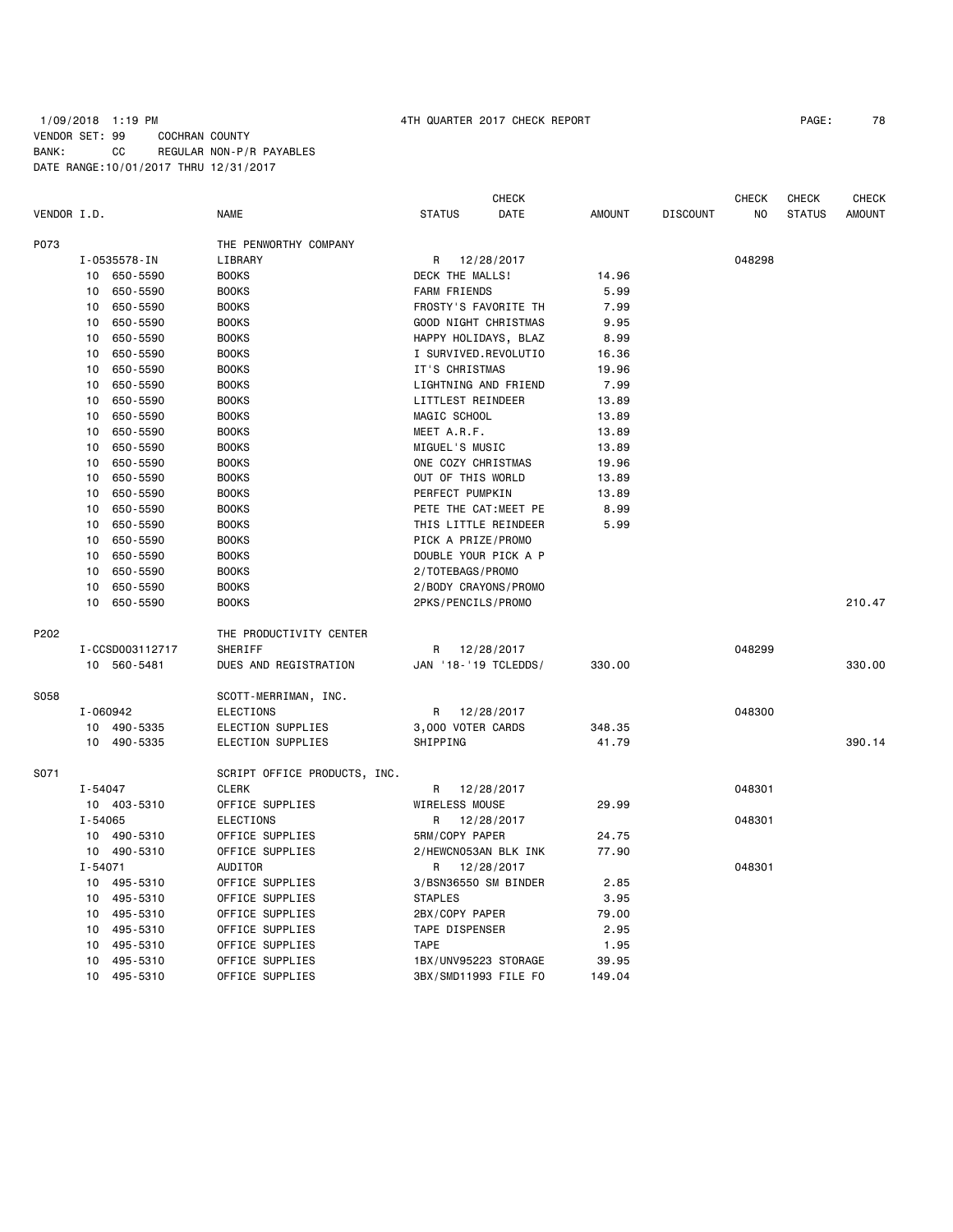## 1/09/2018 1:19 PM 4TH QUARTER 2017 CHECK REPORT PAGE: 78 VENDOR SET: 99 COCHRAN COUNTY BANK: CC REGULAR NON-P/R PAYABLES DATE RANGE:10/01/2017 THRU 12/31/2017

|             |             |                 |                              |                     | <b>CHECK</b>         |               |                 | <b>CHECK</b> | <b>CHECK</b>  | <b>CHECK</b>  |
|-------------|-------------|-----------------|------------------------------|---------------------|----------------------|---------------|-----------------|--------------|---------------|---------------|
| VENDOR I.D. |             |                 | <b>NAME</b>                  | <b>STATUS</b>       | DATE                 | <b>AMOUNT</b> | <b>DISCOUNT</b> | NO           | <b>STATUS</b> | <b>AMOUNT</b> |
| P073        |             |                 | THE PENWORTHY COMPANY        |                     |                      |               |                 |              |               |               |
|             |             | I-0535578-IN    | LIBRARY                      | R                   | 12/28/2017           |               |                 | 048298       |               |               |
|             |             | 10 650-5590     | <b>BOOKS</b>                 | DECK THE MALLS!     |                      | 14.96         |                 |              |               |               |
|             | 10          | 650-5590        | <b>BOOKS</b>                 | <b>FARM FRIENDS</b> |                      | 5.99          |                 |              |               |               |
|             | 10          | 650-5590        | <b>BOOKS</b>                 |                     | FROSTY'S FAVORITE TH | 7.99          |                 |              |               |               |
|             | 10          | 650-5590        | <b>BOOKS</b>                 |                     | GOOD NIGHT CHRISTMAS | 9.95          |                 |              |               |               |
|             | 10          | 650-5590        | <b>BOOKS</b>                 |                     | HAPPY HOLIDAYS, BLAZ | 8.99          |                 |              |               |               |
|             | 10          | 650-5590        | <b>BOOKS</b>                 |                     | I SURVIVED.REVOLUTIO | 16.36         |                 |              |               |               |
|             | 10          | 650-5590        | <b>BOOKS</b>                 | IT'S CHRISTMAS      |                      | 19.96         |                 |              |               |               |
|             | 10          | 650-5590        | <b>BOOKS</b>                 |                     | LIGHTNING AND FRIEND | 7.99          |                 |              |               |               |
|             | 10          | 650-5590        | <b>BOOKS</b>                 | LITTLEST REINDEER   |                      | 13.89         |                 |              |               |               |
|             | 10          | 650-5590        | <b>BOOKS</b>                 | MAGIC SCHOOL        |                      | 13.89         |                 |              |               |               |
|             | 10          | 650-5590        | <b>BOOKS</b>                 | MEET A.R.F.         |                      | 13.89         |                 |              |               |               |
|             | 10          | 650-5590        | <b>BOOKS</b>                 | MIGUEL'S MUSIC      |                      | 13.89         |                 |              |               |               |
|             | 10          | 650-5590        | <b>BOOKS</b>                 | ONE COZY CHRISTMAS  |                      | 19.96         |                 |              |               |               |
|             | 10          | 650-5590        | <b>BOOKS</b>                 | OUT OF THIS WORLD   |                      | 13.89         |                 |              |               |               |
|             | 10          | 650-5590        | <b>BOOKS</b>                 | PERFECT PUMPKIN     |                      | 13.89         |                 |              |               |               |
|             | 10          | 650-5590        | <b>BOOKS</b>                 |                     | PETE THE CAT:MEET PE | 8.99          |                 |              |               |               |
|             | 10          | 650-5590        | <b>BOOKS</b>                 |                     | THIS LITTLE REINDEER | 5.99          |                 |              |               |               |
|             | 10          | 650-5590        | <b>BOOKS</b>                 | PICK A PRIZE/PROMO  |                      |               |                 |              |               |               |
|             | 10          | 650-5590        | <b>BOOKS</b>                 |                     | DOUBLE YOUR PICK A P |               |                 |              |               |               |
|             | 10          | 650-5590        | <b>BOOKS</b>                 | 2/TOTEBAGS/PROMO    |                      |               |                 |              |               |               |
|             | 10          | 650-5590        | <b>BOOKS</b>                 |                     | 2/BODY CRAYONS/PROMO |               |                 |              |               |               |
|             | 10          | 650-5590        | <b>BOOKS</b>                 | 2PKS/PENCILS/PROMO  |                      |               |                 |              |               | 210.47        |
| P202        |             |                 | THE PRODUCTIVITY CENTER      |                     |                      |               |                 |              |               |               |
|             |             | I-CCSD003112717 | SHERIFF                      |                     | R 12/28/2017         |               |                 | 048299       |               |               |
|             |             | 10 560-5481     | DUES AND REGISTRATION        |                     | JAN '18-'19 TCLEDDS/ | 330.00        |                 |              |               | 330.00        |
| S058        |             |                 | SCOTT-MERRIMAN, INC.         |                     |                      |               |                 |              |               |               |
|             |             | I-060942        | ELECTIONS                    | R.                  | 12/28/2017           |               |                 | 048300       |               |               |
|             |             | 10 490-5335     | ELECTION SUPPLIES            | 3,000 VOTER CARDS   |                      | 348.35        |                 |              |               |               |
|             |             | 10 490-5335     | ELECTION SUPPLIES            | SHIPPING            |                      | 41.79         |                 |              |               | 390.14        |
| S071        |             |                 | SCRIPT OFFICE PRODUCTS, INC. |                     |                      |               |                 |              |               |               |
|             | $I - 54047$ |                 | <b>CLERK</b>                 | R                   | 12/28/2017           |               |                 | 048301       |               |               |
|             |             | 10 403-5310     | OFFICE SUPPLIES              | WIRELESS MOUSE      |                      | 29.99         |                 |              |               |               |
|             | $I - 54065$ |                 | ELECTIONS                    | R                   | 12/28/2017           |               |                 | 048301       |               |               |
|             | 10          | 490-5310        | OFFICE SUPPLIES              | 5RM/COPY PAPER      |                      | 24.75         |                 |              |               |               |
|             |             | 10 490-5310     | OFFICE SUPPLIES              |                     | 2/HEWCN053AN BLK INK | 77.90         |                 |              |               |               |
|             | $I - 54071$ |                 | AUDITOR                      | R                   | 12/28/2017           |               |                 | 048301       |               |               |
|             |             | 10 495-5310     | OFFICE SUPPLIES              |                     | 3/BSN36550 SM BINDER | 2.85          |                 |              |               |               |
|             | 10          | 495-5310        | OFFICE SUPPLIES              | <b>STAPLES</b>      |                      | 3.95          |                 |              |               |               |
|             | 10          | 495-5310        | OFFICE SUPPLIES              | 2BX/COPY PAPER      |                      | 79.00         |                 |              |               |               |
|             | 10          | 495-5310        | OFFICE SUPPLIES              | TAPE DISPENSER      |                      | 2.95          |                 |              |               |               |
|             | 10          | 495-5310        | OFFICE SUPPLIES              | <b>TAPE</b>         |                      | 1.95          |                 |              |               |               |
|             | 10          | 495-5310        | OFFICE SUPPLIES              |                     | 1BX/UNV95223 STORAGE | 39.95         |                 |              |               |               |
|             | 10          | 495-5310        | OFFICE SUPPLIES              |                     | 3BX/SMD11993 FILE FO | 149.04        |                 |              |               |               |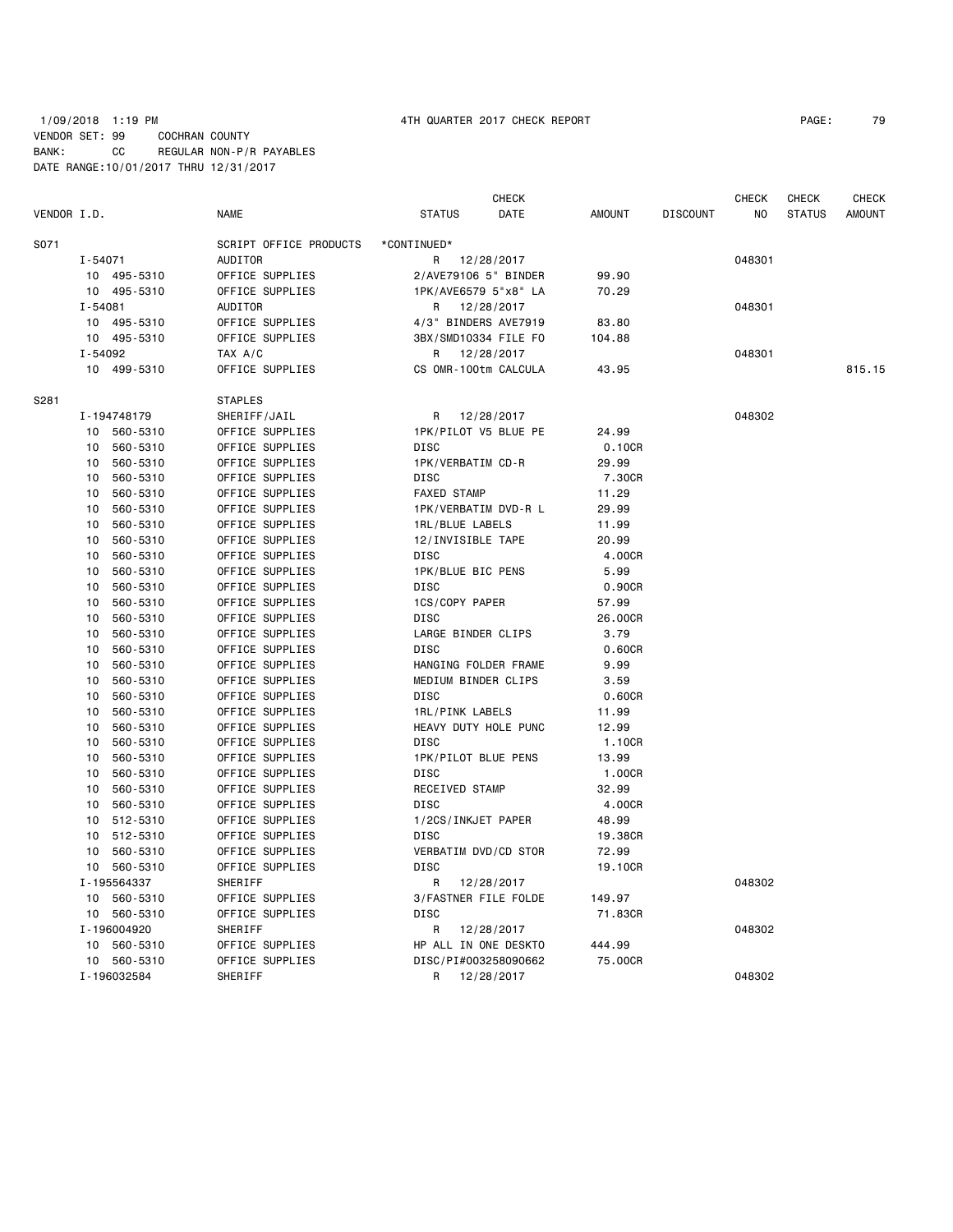## 1/09/2018 1:19 PM 4TH QUARTER 2017 CHECK REPORT PAGE: 79 VENDOR SET: 99 COCHRAN COUNTY BANK: CC REGULAR NON-P/R PAYABLES DATE RANGE:10/01/2017 THRU 12/31/2017

| VENDOR I.D.<br><b>NAME</b><br><b>STATUS</b><br>DATE<br><b>AMOUNT</b><br><b>DISCOUNT</b><br>NO<br><b>STATUS</b><br><b>AMOUNT</b><br>*CONTINUED*<br>S071<br>SCRIPT OFFICE PRODUCTS<br>AUDITOR<br>048301<br>$I - 54071$<br>R<br>12/28/2017<br>10 495-5310<br>OFFICE SUPPLIES<br>2/AVE79106 5" BINDER<br>99.90<br>10 495-5310<br>OFFICE SUPPLIES<br>1PK/AVE6579 5"x8" LA<br>70.29<br>AUDITOR<br>$I - 54081$<br>R<br>12/28/2017<br>048301<br>OFFICE SUPPLIES<br>495-5310<br>4/3" BINDERS AVE7919<br>83.80<br>10<br>OFFICE SUPPLIES<br>3BX/SMD10334 FILE FO<br>10<br>495-5310<br>104.88<br>I-54092<br>TAX A/C<br>12/28/2017<br>R<br>048301<br>10 499-5310<br>OFFICE SUPPLIES<br>CS OMR-100tm CALCULA<br>43.95<br>815.15<br>S281<br><b>STAPLES</b><br>I-194748179<br>SHERIFF/JAIL<br>R<br>12/28/2017<br>048302<br>OFFICE SUPPLIES<br>1PK/PILOT V5 BLUE PE<br>560-5310<br>24.99<br>10<br>560-5310<br>OFFICE SUPPLIES<br><b>DISC</b><br>0.10CR<br>10<br>OFFICE SUPPLIES<br>1PK/VERBATIM CD-R<br>560-5310<br>29.99<br>10<br>OFFICE SUPPLIES<br><b>DISC</b><br>560-5310<br>7.30CR<br>10<br>OFFICE SUPPLIES<br><b>FAXED STAMP</b><br>11.29<br>10<br>560-5310<br>OFFICE SUPPLIES<br>29.99<br>560-5310<br>1PK/VERBATIM DVD-R L<br>10<br>OFFICE SUPPLIES<br>10<br>560-5310<br>1RL/BLUE LABELS<br>11.99<br>560-5310<br>OFFICE SUPPLIES<br>12/INVISIBLE TAPE<br>20.99<br>10<br>OFFICE SUPPLIES<br><b>DISC</b><br>10<br>560-5310<br>4.00CR<br>1PK/BLUE BIC PENS<br>560-5310<br>OFFICE SUPPLIES<br>5.99<br>10<br>OFFICE SUPPLIES<br><b>DISC</b><br>0.90CR<br>10<br>560-5310<br>OFFICE SUPPLIES<br>1CS/COPY PAPER<br>560-5310<br>57.99<br>10<br>560-5310<br>OFFICE SUPPLIES<br><b>DISC</b><br>26.00CR<br>10<br>OFFICE SUPPLIES<br>LARGE BINDER CLIPS<br>3.79<br>560-5310<br>10<br>560-5310<br>OFFICE SUPPLIES<br><b>DISC</b><br>0.60CR<br>10<br>OFFICE SUPPLIES<br>HANGING FOLDER FRAME<br>9.99<br>10<br>560-5310<br>MEDIUM BINDER CLIPS<br>560-5310<br>OFFICE SUPPLIES<br>3.59<br>10<br>OFFICE SUPPLIES<br><b>DISC</b><br>0.60CR<br>560-5310<br>10<br>560-5310<br>OFFICE SUPPLIES<br>1RL/PINK LABELS<br>11.99<br>10<br>HEAVY DUTY HOLE PUNC<br>560-5310<br>OFFICE SUPPLIES<br>12.99<br>10<br>OFFICE SUPPLIES<br><b>DISC</b><br>10<br>560-5310<br>1.10CR<br>OFFICE SUPPLIES<br>1PK/PILOT BLUE PENS<br>10<br>560-5310<br>13.99<br>OFFICE SUPPLIES<br><b>DISC</b><br>560-5310<br>1.00CR<br>10<br>OFFICE SUPPLIES<br>RECEIVED STAMP<br>32.99<br>560-5310<br>10<br>560-5310<br>OFFICE SUPPLIES<br><b>DISC</b><br>4.00CR<br>10<br>OFFICE SUPPLIES<br>1/2CS/INKJET PAPER<br>48.99<br>10<br>512-5310<br>512-5310<br>OFFICE SUPPLIES<br><b>DISC</b><br>19.38CR<br>10<br>OFFICE SUPPLIES<br>VERBATIM DVD/CD STOR<br>72.99<br>10<br>560-5310<br>OFFICE SUPPLIES<br><b>DISC</b><br>560-5310<br>19.10CR<br>10<br>I-195564337<br>SHERIFF<br>R<br>048302<br>12/28/2017 |                |                 | <b>CHECK</b> |        | <b>CHECK</b> | <b>CHECK</b> | <b>CHECK</b> |
|--------------------------------------------------------------------------------------------------------------------------------------------------------------------------------------------------------------------------------------------------------------------------------------------------------------------------------------------------------------------------------------------------------------------------------------------------------------------------------------------------------------------------------------------------------------------------------------------------------------------------------------------------------------------------------------------------------------------------------------------------------------------------------------------------------------------------------------------------------------------------------------------------------------------------------------------------------------------------------------------------------------------------------------------------------------------------------------------------------------------------------------------------------------------------------------------------------------------------------------------------------------------------------------------------------------------------------------------------------------------------------------------------------------------------------------------------------------------------------------------------------------------------------------------------------------------------------------------------------------------------------------------------------------------------------------------------------------------------------------------------------------------------------------------------------------------------------------------------------------------------------------------------------------------------------------------------------------------------------------------------------------------------------------------------------------------------------------------------------------------------------------------------------------------------------------------------------------------------------------------------------------------------------------------------------------------------------------------------------------------------------------------------------------------------------------------------------------------------------------------------------------------------------------------------------------------------------------------------------------------------------------------------------------------------------------------------------------------------------------------------------------------------------------------------------------------------------------|----------------|-----------------|--------------|--------|--------------|--------------|--------------|
|                                                                                                                                                                                                                                                                                                                                                                                                                                                                                                                                                                                                                                                                                                                                                                                                                                                                                                                                                                                                                                                                                                                                                                                                                                                                                                                                                                                                                                                                                                                                                                                                                                                                                                                                                                                                                                                                                                                                                                                                                                                                                                                                                                                                                                                                                                                                                                                                                                                                                                                                                                                                                                                                                                                                                                                                                                      |                |                 |              |        |              |              |              |
|                                                                                                                                                                                                                                                                                                                                                                                                                                                                                                                                                                                                                                                                                                                                                                                                                                                                                                                                                                                                                                                                                                                                                                                                                                                                                                                                                                                                                                                                                                                                                                                                                                                                                                                                                                                                                                                                                                                                                                                                                                                                                                                                                                                                                                                                                                                                                                                                                                                                                                                                                                                                                                                                                                                                                                                                                                      |                |                 |              |        |              |              |              |
|                                                                                                                                                                                                                                                                                                                                                                                                                                                                                                                                                                                                                                                                                                                                                                                                                                                                                                                                                                                                                                                                                                                                                                                                                                                                                                                                                                                                                                                                                                                                                                                                                                                                                                                                                                                                                                                                                                                                                                                                                                                                                                                                                                                                                                                                                                                                                                                                                                                                                                                                                                                                                                                                                                                                                                                                                                      |                |                 |              |        |              |              |              |
|                                                                                                                                                                                                                                                                                                                                                                                                                                                                                                                                                                                                                                                                                                                                                                                                                                                                                                                                                                                                                                                                                                                                                                                                                                                                                                                                                                                                                                                                                                                                                                                                                                                                                                                                                                                                                                                                                                                                                                                                                                                                                                                                                                                                                                                                                                                                                                                                                                                                                                                                                                                                                                                                                                                                                                                                                                      |                |                 |              |        |              |              |              |
|                                                                                                                                                                                                                                                                                                                                                                                                                                                                                                                                                                                                                                                                                                                                                                                                                                                                                                                                                                                                                                                                                                                                                                                                                                                                                                                                                                                                                                                                                                                                                                                                                                                                                                                                                                                                                                                                                                                                                                                                                                                                                                                                                                                                                                                                                                                                                                                                                                                                                                                                                                                                                                                                                                                                                                                                                                      |                |                 |              |        |              |              |              |
|                                                                                                                                                                                                                                                                                                                                                                                                                                                                                                                                                                                                                                                                                                                                                                                                                                                                                                                                                                                                                                                                                                                                                                                                                                                                                                                                                                                                                                                                                                                                                                                                                                                                                                                                                                                                                                                                                                                                                                                                                                                                                                                                                                                                                                                                                                                                                                                                                                                                                                                                                                                                                                                                                                                                                                                                                                      |                |                 |              |        |              |              |              |
|                                                                                                                                                                                                                                                                                                                                                                                                                                                                                                                                                                                                                                                                                                                                                                                                                                                                                                                                                                                                                                                                                                                                                                                                                                                                                                                                                                                                                                                                                                                                                                                                                                                                                                                                                                                                                                                                                                                                                                                                                                                                                                                                                                                                                                                                                                                                                                                                                                                                                                                                                                                                                                                                                                                                                                                                                                      |                |                 |              |        |              |              |              |
|                                                                                                                                                                                                                                                                                                                                                                                                                                                                                                                                                                                                                                                                                                                                                                                                                                                                                                                                                                                                                                                                                                                                                                                                                                                                                                                                                                                                                                                                                                                                                                                                                                                                                                                                                                                                                                                                                                                                                                                                                                                                                                                                                                                                                                                                                                                                                                                                                                                                                                                                                                                                                                                                                                                                                                                                                                      |                |                 |              |        |              |              |              |
|                                                                                                                                                                                                                                                                                                                                                                                                                                                                                                                                                                                                                                                                                                                                                                                                                                                                                                                                                                                                                                                                                                                                                                                                                                                                                                                                                                                                                                                                                                                                                                                                                                                                                                                                                                                                                                                                                                                                                                                                                                                                                                                                                                                                                                                                                                                                                                                                                                                                                                                                                                                                                                                                                                                                                                                                                                      |                |                 |              |        |              |              |              |
|                                                                                                                                                                                                                                                                                                                                                                                                                                                                                                                                                                                                                                                                                                                                                                                                                                                                                                                                                                                                                                                                                                                                                                                                                                                                                                                                                                                                                                                                                                                                                                                                                                                                                                                                                                                                                                                                                                                                                                                                                                                                                                                                                                                                                                                                                                                                                                                                                                                                                                                                                                                                                                                                                                                                                                                                                                      |                |                 |              |        |              |              |              |
|                                                                                                                                                                                                                                                                                                                                                                                                                                                                                                                                                                                                                                                                                                                                                                                                                                                                                                                                                                                                                                                                                                                                                                                                                                                                                                                                                                                                                                                                                                                                                                                                                                                                                                                                                                                                                                                                                                                                                                                                                                                                                                                                                                                                                                                                                                                                                                                                                                                                                                                                                                                                                                                                                                                                                                                                                                      |                |                 |              |        |              |              |              |
|                                                                                                                                                                                                                                                                                                                                                                                                                                                                                                                                                                                                                                                                                                                                                                                                                                                                                                                                                                                                                                                                                                                                                                                                                                                                                                                                                                                                                                                                                                                                                                                                                                                                                                                                                                                                                                                                                                                                                                                                                                                                                                                                                                                                                                                                                                                                                                                                                                                                                                                                                                                                                                                                                                                                                                                                                                      |                |                 |              |        |              |              |              |
|                                                                                                                                                                                                                                                                                                                                                                                                                                                                                                                                                                                                                                                                                                                                                                                                                                                                                                                                                                                                                                                                                                                                                                                                                                                                                                                                                                                                                                                                                                                                                                                                                                                                                                                                                                                                                                                                                                                                                                                                                                                                                                                                                                                                                                                                                                                                                                                                                                                                                                                                                                                                                                                                                                                                                                                                                                      |                |                 |              |        |              |              |              |
|                                                                                                                                                                                                                                                                                                                                                                                                                                                                                                                                                                                                                                                                                                                                                                                                                                                                                                                                                                                                                                                                                                                                                                                                                                                                                                                                                                                                                                                                                                                                                                                                                                                                                                                                                                                                                                                                                                                                                                                                                                                                                                                                                                                                                                                                                                                                                                                                                                                                                                                                                                                                                                                                                                                                                                                                                                      |                |                 |              |        |              |              |              |
|                                                                                                                                                                                                                                                                                                                                                                                                                                                                                                                                                                                                                                                                                                                                                                                                                                                                                                                                                                                                                                                                                                                                                                                                                                                                                                                                                                                                                                                                                                                                                                                                                                                                                                                                                                                                                                                                                                                                                                                                                                                                                                                                                                                                                                                                                                                                                                                                                                                                                                                                                                                                                                                                                                                                                                                                                                      |                |                 |              |        |              |              |              |
|                                                                                                                                                                                                                                                                                                                                                                                                                                                                                                                                                                                                                                                                                                                                                                                                                                                                                                                                                                                                                                                                                                                                                                                                                                                                                                                                                                                                                                                                                                                                                                                                                                                                                                                                                                                                                                                                                                                                                                                                                                                                                                                                                                                                                                                                                                                                                                                                                                                                                                                                                                                                                                                                                                                                                                                                                                      |                |                 |              |        |              |              |              |
|                                                                                                                                                                                                                                                                                                                                                                                                                                                                                                                                                                                                                                                                                                                                                                                                                                                                                                                                                                                                                                                                                                                                                                                                                                                                                                                                                                                                                                                                                                                                                                                                                                                                                                                                                                                                                                                                                                                                                                                                                                                                                                                                                                                                                                                                                                                                                                                                                                                                                                                                                                                                                                                                                                                                                                                                                                      |                |                 |              |        |              |              |              |
|                                                                                                                                                                                                                                                                                                                                                                                                                                                                                                                                                                                                                                                                                                                                                                                                                                                                                                                                                                                                                                                                                                                                                                                                                                                                                                                                                                                                                                                                                                                                                                                                                                                                                                                                                                                                                                                                                                                                                                                                                                                                                                                                                                                                                                                                                                                                                                                                                                                                                                                                                                                                                                                                                                                                                                                                                                      |                |                 |              |        |              |              |              |
|                                                                                                                                                                                                                                                                                                                                                                                                                                                                                                                                                                                                                                                                                                                                                                                                                                                                                                                                                                                                                                                                                                                                                                                                                                                                                                                                                                                                                                                                                                                                                                                                                                                                                                                                                                                                                                                                                                                                                                                                                                                                                                                                                                                                                                                                                                                                                                                                                                                                                                                                                                                                                                                                                                                                                                                                                                      |                |                 |              |        |              |              |              |
|                                                                                                                                                                                                                                                                                                                                                                                                                                                                                                                                                                                                                                                                                                                                                                                                                                                                                                                                                                                                                                                                                                                                                                                                                                                                                                                                                                                                                                                                                                                                                                                                                                                                                                                                                                                                                                                                                                                                                                                                                                                                                                                                                                                                                                                                                                                                                                                                                                                                                                                                                                                                                                                                                                                                                                                                                                      |                |                 |              |        |              |              |              |
|                                                                                                                                                                                                                                                                                                                                                                                                                                                                                                                                                                                                                                                                                                                                                                                                                                                                                                                                                                                                                                                                                                                                                                                                                                                                                                                                                                                                                                                                                                                                                                                                                                                                                                                                                                                                                                                                                                                                                                                                                                                                                                                                                                                                                                                                                                                                                                                                                                                                                                                                                                                                                                                                                                                                                                                                                                      |                |                 |              |        |              |              |              |
|                                                                                                                                                                                                                                                                                                                                                                                                                                                                                                                                                                                                                                                                                                                                                                                                                                                                                                                                                                                                                                                                                                                                                                                                                                                                                                                                                                                                                                                                                                                                                                                                                                                                                                                                                                                                                                                                                                                                                                                                                                                                                                                                                                                                                                                                                                                                                                                                                                                                                                                                                                                                                                                                                                                                                                                                                                      |                |                 |              |        |              |              |              |
|                                                                                                                                                                                                                                                                                                                                                                                                                                                                                                                                                                                                                                                                                                                                                                                                                                                                                                                                                                                                                                                                                                                                                                                                                                                                                                                                                                                                                                                                                                                                                                                                                                                                                                                                                                                                                                                                                                                                                                                                                                                                                                                                                                                                                                                                                                                                                                                                                                                                                                                                                                                                                                                                                                                                                                                                                                      |                |                 |              |        |              |              |              |
|                                                                                                                                                                                                                                                                                                                                                                                                                                                                                                                                                                                                                                                                                                                                                                                                                                                                                                                                                                                                                                                                                                                                                                                                                                                                                                                                                                                                                                                                                                                                                                                                                                                                                                                                                                                                                                                                                                                                                                                                                                                                                                                                                                                                                                                                                                                                                                                                                                                                                                                                                                                                                                                                                                                                                                                                                                      |                |                 |              |        |              |              |              |
|                                                                                                                                                                                                                                                                                                                                                                                                                                                                                                                                                                                                                                                                                                                                                                                                                                                                                                                                                                                                                                                                                                                                                                                                                                                                                                                                                                                                                                                                                                                                                                                                                                                                                                                                                                                                                                                                                                                                                                                                                                                                                                                                                                                                                                                                                                                                                                                                                                                                                                                                                                                                                                                                                                                                                                                                                                      |                |                 |              |        |              |              |              |
|                                                                                                                                                                                                                                                                                                                                                                                                                                                                                                                                                                                                                                                                                                                                                                                                                                                                                                                                                                                                                                                                                                                                                                                                                                                                                                                                                                                                                                                                                                                                                                                                                                                                                                                                                                                                                                                                                                                                                                                                                                                                                                                                                                                                                                                                                                                                                                                                                                                                                                                                                                                                                                                                                                                                                                                                                                      |                |                 |              |        |              |              |              |
|                                                                                                                                                                                                                                                                                                                                                                                                                                                                                                                                                                                                                                                                                                                                                                                                                                                                                                                                                                                                                                                                                                                                                                                                                                                                                                                                                                                                                                                                                                                                                                                                                                                                                                                                                                                                                                                                                                                                                                                                                                                                                                                                                                                                                                                                                                                                                                                                                                                                                                                                                                                                                                                                                                                                                                                                                                      |                |                 |              |        |              |              |              |
|                                                                                                                                                                                                                                                                                                                                                                                                                                                                                                                                                                                                                                                                                                                                                                                                                                                                                                                                                                                                                                                                                                                                                                                                                                                                                                                                                                                                                                                                                                                                                                                                                                                                                                                                                                                                                                                                                                                                                                                                                                                                                                                                                                                                                                                                                                                                                                                                                                                                                                                                                                                                                                                                                                                                                                                                                                      |                |                 |              |        |              |              |              |
|                                                                                                                                                                                                                                                                                                                                                                                                                                                                                                                                                                                                                                                                                                                                                                                                                                                                                                                                                                                                                                                                                                                                                                                                                                                                                                                                                                                                                                                                                                                                                                                                                                                                                                                                                                                                                                                                                                                                                                                                                                                                                                                                                                                                                                                                                                                                                                                                                                                                                                                                                                                                                                                                                                                                                                                                                                      |                |                 |              |        |              |              |              |
|                                                                                                                                                                                                                                                                                                                                                                                                                                                                                                                                                                                                                                                                                                                                                                                                                                                                                                                                                                                                                                                                                                                                                                                                                                                                                                                                                                                                                                                                                                                                                                                                                                                                                                                                                                                                                                                                                                                                                                                                                                                                                                                                                                                                                                                                                                                                                                                                                                                                                                                                                                                                                                                                                                                                                                                                                                      |                |                 |              |        |              |              |              |
|                                                                                                                                                                                                                                                                                                                                                                                                                                                                                                                                                                                                                                                                                                                                                                                                                                                                                                                                                                                                                                                                                                                                                                                                                                                                                                                                                                                                                                                                                                                                                                                                                                                                                                                                                                                                                                                                                                                                                                                                                                                                                                                                                                                                                                                                                                                                                                                                                                                                                                                                                                                                                                                                                                                                                                                                                                      |                |                 |              |        |              |              |              |
|                                                                                                                                                                                                                                                                                                                                                                                                                                                                                                                                                                                                                                                                                                                                                                                                                                                                                                                                                                                                                                                                                                                                                                                                                                                                                                                                                                                                                                                                                                                                                                                                                                                                                                                                                                                                                                                                                                                                                                                                                                                                                                                                                                                                                                                                                                                                                                                                                                                                                                                                                                                                                                                                                                                                                                                                                                      |                |                 |              |        |              |              |              |
|                                                                                                                                                                                                                                                                                                                                                                                                                                                                                                                                                                                                                                                                                                                                                                                                                                                                                                                                                                                                                                                                                                                                                                                                                                                                                                                                                                                                                                                                                                                                                                                                                                                                                                                                                                                                                                                                                                                                                                                                                                                                                                                                                                                                                                                                                                                                                                                                                                                                                                                                                                                                                                                                                                                                                                                                                                      |                |                 |              |        |              |              |              |
|                                                                                                                                                                                                                                                                                                                                                                                                                                                                                                                                                                                                                                                                                                                                                                                                                                                                                                                                                                                                                                                                                                                                                                                                                                                                                                                                                                                                                                                                                                                                                                                                                                                                                                                                                                                                                                                                                                                                                                                                                                                                                                                                                                                                                                                                                                                                                                                                                                                                                                                                                                                                                                                                                                                                                                                                                                      |                |                 |              |        |              |              |              |
|                                                                                                                                                                                                                                                                                                                                                                                                                                                                                                                                                                                                                                                                                                                                                                                                                                                                                                                                                                                                                                                                                                                                                                                                                                                                                                                                                                                                                                                                                                                                                                                                                                                                                                                                                                                                                                                                                                                                                                                                                                                                                                                                                                                                                                                                                                                                                                                                                                                                                                                                                                                                                                                                                                                                                                                                                                      |                |                 |              |        |              |              |              |
|                                                                                                                                                                                                                                                                                                                                                                                                                                                                                                                                                                                                                                                                                                                                                                                                                                                                                                                                                                                                                                                                                                                                                                                                                                                                                                                                                                                                                                                                                                                                                                                                                                                                                                                                                                                                                                                                                                                                                                                                                                                                                                                                                                                                                                                                                                                                                                                                                                                                                                                                                                                                                                                                                                                                                                                                                                      |                |                 |              |        |              |              |              |
|                                                                                                                                                                                                                                                                                                                                                                                                                                                                                                                                                                                                                                                                                                                                                                                                                                                                                                                                                                                                                                                                                                                                                                                                                                                                                                                                                                                                                                                                                                                                                                                                                                                                                                                                                                                                                                                                                                                                                                                                                                                                                                                                                                                                                                                                                                                                                                                                                                                                                                                                                                                                                                                                                                                                                                                                                                      |                |                 |              |        |              |              |              |
|                                                                                                                                                                                                                                                                                                                                                                                                                                                                                                                                                                                                                                                                                                                                                                                                                                                                                                                                                                                                                                                                                                                                                                                                                                                                                                                                                                                                                                                                                                                                                                                                                                                                                                                                                                                                                                                                                                                                                                                                                                                                                                                                                                                                                                                                                                                                                                                                                                                                                                                                                                                                                                                                                                                                                                                                                                      |                |                 |              |        |              |              |              |
|                                                                                                                                                                                                                                                                                                                                                                                                                                                                                                                                                                                                                                                                                                                                                                                                                                                                                                                                                                                                                                                                                                                                                                                                                                                                                                                                                                                                                                                                                                                                                                                                                                                                                                                                                                                                                                                                                                                                                                                                                                                                                                                                                                                                                                                                                                                                                                                                                                                                                                                                                                                                                                                                                                                                                                                                                                      |                |                 |              |        |              |              |              |
|                                                                                                                                                                                                                                                                                                                                                                                                                                                                                                                                                                                                                                                                                                                                                                                                                                                                                                                                                                                                                                                                                                                                                                                                                                                                                                                                                                                                                                                                                                                                                                                                                                                                                                                                                                                                                                                                                                                                                                                                                                                                                                                                                                                                                                                                                                                                                                                                                                                                                                                                                                                                                                                                                                                                                                                                                                      |                |                 |              |        |              |              |              |
|                                                                                                                                                                                                                                                                                                                                                                                                                                                                                                                                                                                                                                                                                                                                                                                                                                                                                                                                                                                                                                                                                                                                                                                                                                                                                                                                                                                                                                                                                                                                                                                                                                                                                                                                                                                                                                                                                                                                                                                                                                                                                                                                                                                                                                                                                                                                                                                                                                                                                                                                                                                                                                                                                                                                                                                                                                      |                |                 |              |        |              |              |              |
| 3/FASTNER FILE FOLDE                                                                                                                                                                                                                                                                                                                                                                                                                                                                                                                                                                                                                                                                                                                                                                                                                                                                                                                                                                                                                                                                                                                                                                                                                                                                                                                                                                                                                                                                                                                                                                                                                                                                                                                                                                                                                                                                                                                                                                                                                                                                                                                                                                                                                                                                                                                                                                                                                                                                                                                                                                                                                                                                                                                                                                                                                 | 10<br>560-5310 | OFFICE SUPPLIES |              | 149.97 |              |              |              |
| <b>DISC</b><br>71.83CR<br>10<br>560-5310<br>OFFICE SUPPLIES                                                                                                                                                                                                                                                                                                                                                                                                                                                                                                                                                                                                                                                                                                                                                                                                                                                                                                                                                                                                                                                                                                                                                                                                                                                                                                                                                                                                                                                                                                                                                                                                                                                                                                                                                                                                                                                                                                                                                                                                                                                                                                                                                                                                                                                                                                                                                                                                                                                                                                                                                                                                                                                                                                                                                                          |                |                 |              |        |              |              |              |
| I-196004920<br><b>SHERIFF</b><br>12/28/2017<br>048302<br>R                                                                                                                                                                                                                                                                                                                                                                                                                                                                                                                                                                                                                                                                                                                                                                                                                                                                                                                                                                                                                                                                                                                                                                                                                                                                                                                                                                                                                                                                                                                                                                                                                                                                                                                                                                                                                                                                                                                                                                                                                                                                                                                                                                                                                                                                                                                                                                                                                                                                                                                                                                                                                                                                                                                                                                           |                |                 |              |        |              |              |              |
| 560-5310<br>OFFICE SUPPLIES<br>HP ALL IN ONE DESKTO<br>444.99<br>10                                                                                                                                                                                                                                                                                                                                                                                                                                                                                                                                                                                                                                                                                                                                                                                                                                                                                                                                                                                                                                                                                                                                                                                                                                                                                                                                                                                                                                                                                                                                                                                                                                                                                                                                                                                                                                                                                                                                                                                                                                                                                                                                                                                                                                                                                                                                                                                                                                                                                                                                                                                                                                                                                                                                                                  |                |                 |              |        |              |              |              |
| OFFICE SUPPLIES<br>DISC/PI#003258090662<br>75.00CR<br>560-5310<br>10                                                                                                                                                                                                                                                                                                                                                                                                                                                                                                                                                                                                                                                                                                                                                                                                                                                                                                                                                                                                                                                                                                                                                                                                                                                                                                                                                                                                                                                                                                                                                                                                                                                                                                                                                                                                                                                                                                                                                                                                                                                                                                                                                                                                                                                                                                                                                                                                                                                                                                                                                                                                                                                                                                                                                                 |                |                 |              |        |              |              |              |
| I-196032584<br>$\mathsf{R}$<br>SHERIFF<br>12/28/2017<br>048302                                                                                                                                                                                                                                                                                                                                                                                                                                                                                                                                                                                                                                                                                                                                                                                                                                                                                                                                                                                                                                                                                                                                                                                                                                                                                                                                                                                                                                                                                                                                                                                                                                                                                                                                                                                                                                                                                                                                                                                                                                                                                                                                                                                                                                                                                                                                                                                                                                                                                                                                                                                                                                                                                                                                                                       |                |                 |              |        |              |              |              |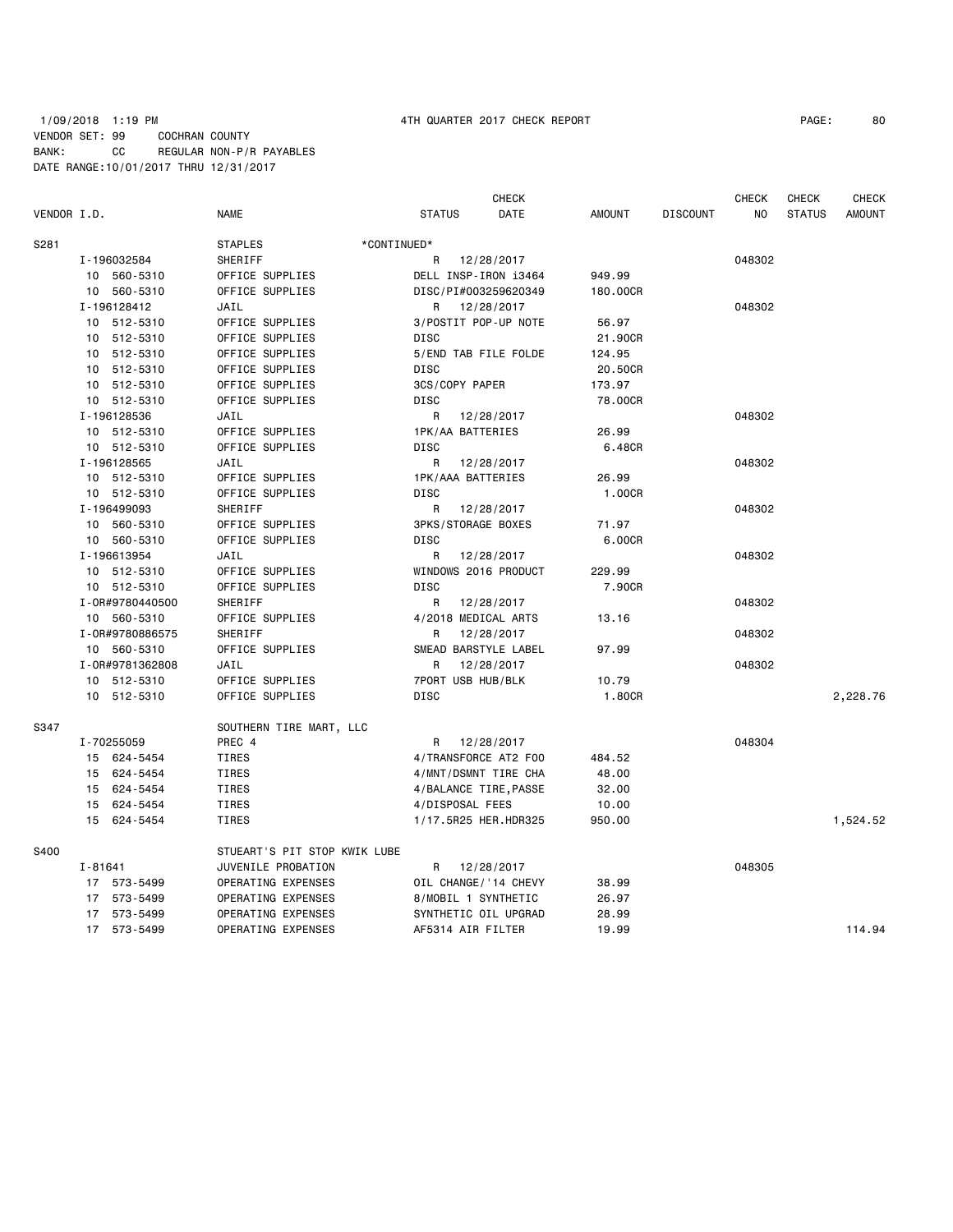## 1/09/2018 1:19 PM 4TH QUARTER 2017 CHECK REPORT PAGE: 80 VENDOR SET: 99 COCHRAN COUNTY BANK: CC REGULAR NON-P/R PAYABLES DATE RANGE:10/01/2017 THRU 12/31/2017

|             |                                |                              | <b>CHECK</b>                    |          |                 | <b>CHECK</b> | <b>CHECK</b>  | CHECK         |
|-------------|--------------------------------|------------------------------|---------------------------------|----------|-----------------|--------------|---------------|---------------|
| VENDOR I.D. |                                | NAME                         | DATE<br><b>STATUS</b>           | AMOUNT   | <b>DISCOUNT</b> | ΝO           | <b>STATUS</b> | <b>AMOUNT</b> |
| S281        |                                | <b>STAPLES</b>               | *CONTINUED*                     |          |                 |              |               |               |
|             | I-196032584                    | SHERIFF                      | R<br>12/28/2017                 |          |                 | 048302       |               |               |
|             | 10 560-5310                    | OFFICE SUPPLIES              | DELL INSP-IRON 13464            | 949.99   |                 |              |               |               |
|             | 10 560-5310                    | OFFICE SUPPLIES              | DISC/PI#003259620349            | 180.00CR |                 |              |               |               |
|             | I-196128412                    | JAIL                         | 12/28/2017<br>R                 |          |                 | 048302       |               |               |
|             | 10 512-5310                    | OFFICE SUPPLIES              | 3/POSTIT POP-UP NOTE            | 56.97    |                 |              |               |               |
|             | 10 512-5310                    | OFFICE SUPPLIES              | <b>DISC</b>                     | 21,90CR  |                 |              |               |               |
|             | 10 512-5310                    | OFFICE SUPPLIES              | 5/END TAB FILE FOLDE            | 124.95   |                 |              |               |               |
|             | 10 512-5310                    | OFFICE SUPPLIES              | <b>DISC</b>                     | 20.50CR  |                 |              |               |               |
|             | 10 512-5310                    | OFFICE SUPPLIES              | 3CS/COPY PAPER                  | 173.97   |                 |              |               |               |
|             | 10 512-5310                    | OFFICE SUPPLIES              | <b>DISC</b>                     | 78.00CR  |                 |              |               |               |
|             | I-196128536                    | JAIL                         | R<br>12/28/2017                 |          |                 | 048302       |               |               |
|             | 10 512-5310                    | OFFICE SUPPLIES              | 1PK/AA BATTERIES                | 26.99    |                 |              |               |               |
|             | 10 512-5310                    | OFFICE SUPPLIES              | <b>DISC</b>                     | 6.48CR   |                 |              |               |               |
|             | I-196128565                    | JAIL                         | R<br>12/28/2017                 |          |                 | 048302       |               |               |
|             | 10 512-5310                    | OFFICE SUPPLIES              | 1PK/AAA BATTERIES               | 26.99    |                 |              |               |               |
|             | 10 512-5310                    | OFFICE SUPPLIES              | DISC                            | 1.00CR   |                 |              |               |               |
|             | I-196499093                    | SHERIFF                      | R<br>12/28/2017                 |          |                 | 048302       |               |               |
|             | 10 560-5310                    | OFFICE SUPPLIES              | 3PKS/STORAGE BOXES              | 71.97    |                 |              |               |               |
|             | 10 560-5310                    | OFFICE SUPPLIES              | <b>DISC</b>                     | 6.00CR   |                 |              |               |               |
|             | I-196613954                    | JAIL                         | R<br>12/28/2017                 |          |                 | 048302       |               |               |
|             | 10 512-5310                    | OFFICE SUPPLIES              | WINDOWS 2016 PRODUCT            | 229.99   |                 |              |               |               |
|             | 10 512-5310                    | OFFICE SUPPLIES              | <b>DISC</b>                     | 7.90CR   |                 |              |               |               |
|             | I-0R#9780440500                | SHERIFF                      | R<br>12/28/2017                 |          |                 | 048302       |               |               |
|             | 10 560-5310                    | OFFICE SUPPLIES              | 4/2018 MEDICAL ARTS             | 13.16    |                 |              |               |               |
|             | I-0R#9780886575                | SHERIFF                      | R<br>12/28/2017                 |          |                 | 048302       |               |               |
|             | 10 560-5310<br>I-0R#9781362808 | OFFICE SUPPLIES              | SMEAD BARSTYLE LABEL<br>R       | 97.99    |                 | 048302       |               |               |
|             | 10 512-5310                    | JAIL<br>OFFICE SUPPLIES      | 12/28/2017<br>7PORT USB HUB/BLK | 10.79    |                 |              |               |               |
|             | 10 512-5310                    | OFFICE SUPPLIES              | <b>DISC</b>                     | 1.80CR   |                 |              |               | 2,228.76      |
|             |                                |                              |                                 |          |                 |              |               |               |
| S347        |                                | SOUTHERN TIRE MART, LLC      |                                 |          |                 |              |               |               |
|             | I-70255059                     | PREC 4                       | 12/28/2017<br>R                 |          |                 | 048304       |               |               |
|             | 15 624-5454                    | TIRES                        | 4/TRANSFORCE AT2 F00            | 484.52   |                 |              |               |               |
|             | 15 624-5454                    | TIRES                        | 4/MNT/DSMNT TIRE CHA            | 48.00    |                 |              |               |               |
|             | 15 624-5454                    | TIRES                        | 4/BALANCE TIRE, PASSE           | 32.00    |                 |              |               |               |
|             | 15 624-5454                    | TIRES                        | 4/DISPOSAL FEES                 | 10.00    |                 |              |               |               |
|             | 15 624-5454                    | TIRES                        | 1/17.5R25 HER.HDR325            | 950.00   |                 |              |               | 1,524.52      |
| S400        |                                | STUEART'S PIT STOP KWIK LUBE |                                 |          |                 |              |               |               |
|             | I-81641                        | JUVENILE PROBATION           | 12/28/2017<br>R                 |          |                 | 048305       |               |               |
|             | 17 573-5499                    | OPERATING EXPENSES           | OIL CHANGE/'14 CHEVY            | 38.99    |                 |              |               |               |
|             | 17 573-5499                    | OPERATING EXPENSES           | 8/MOBIL 1 SYNTHETIC             | 26.97    |                 |              |               |               |
|             | 17 573-5499                    | OPERATING EXPENSES           | SYNTHETIC OIL UPGRAD            | 28.99    |                 |              |               |               |
|             | 17 573-5499                    | OPERATING EXPENSES           | AF5314 AIR FILTER               | 19.99    |                 |              |               | 114.94        |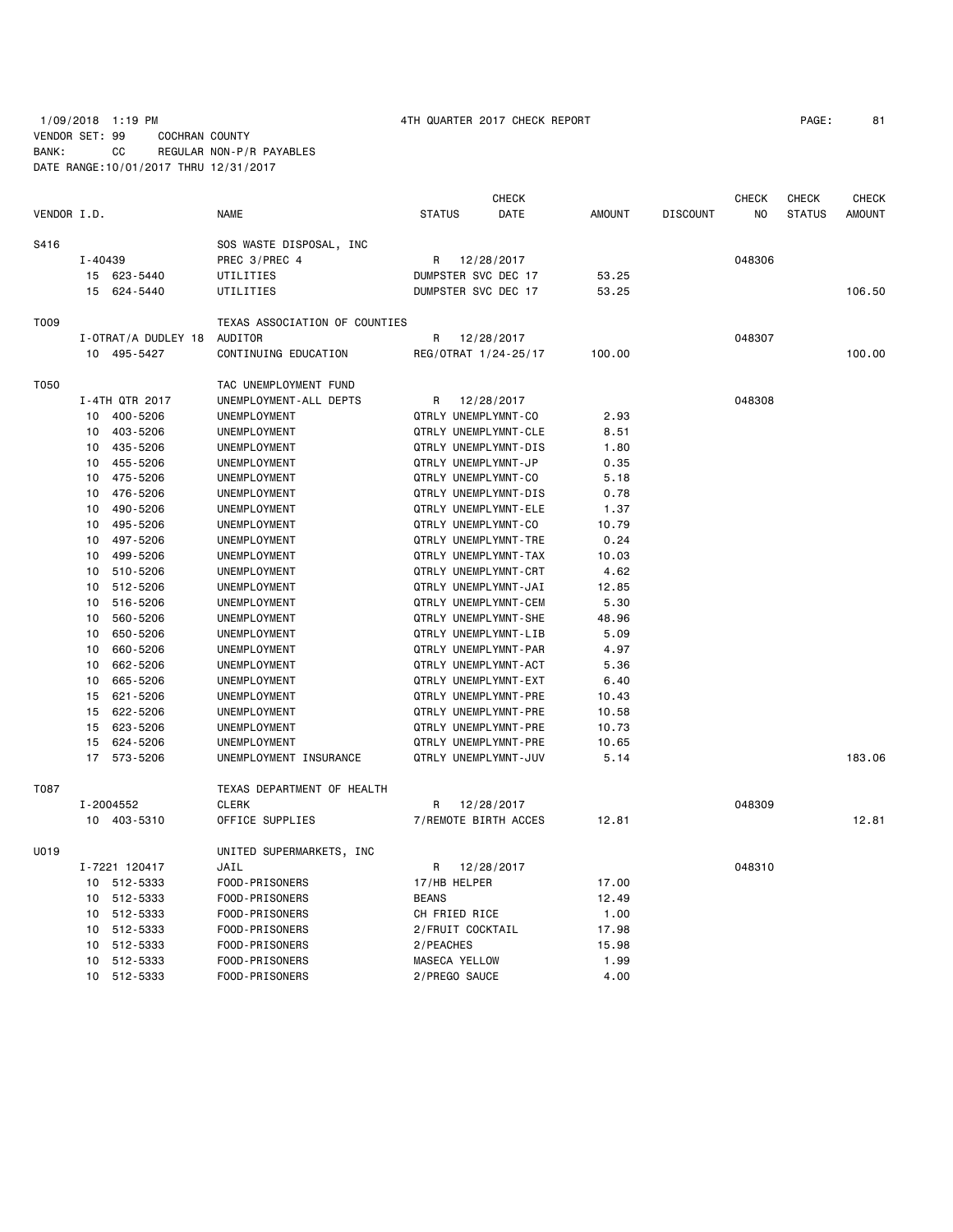1/09/2018 1:19 PM 4TH QUARTER 2017 CHECK REPORT PAGE: 81 VENDOR SET: 99 COCHRAN COUNTY BANK: CC REGULAR NON-P/R PAYABLES DATE RANGE:10/01/2017 THRU 12/31/2017

|             |         |                                    |                               |                     | <b>CHECK</b>                       |               |                 | <b>CHECK</b> | <b>CHECK</b>  | <b>CHECK</b>  |
|-------------|---------|------------------------------------|-------------------------------|---------------------|------------------------------------|---------------|-----------------|--------------|---------------|---------------|
| VENDOR I.D. |         |                                    | <b>NAME</b>                   | <b>STATUS</b>       | DATE                               | <b>AMOUNT</b> | <b>DISCOUNT</b> | NO           | <b>STATUS</b> | <b>AMOUNT</b> |
| S416        |         |                                    | SOS WASTE DISPOSAL, INC       |                     |                                    |               |                 |              |               |               |
|             | I-40439 |                                    | PREC 3/PREC 4                 | R                   | 12/28/2017                         |               |                 | 048306       |               |               |
|             |         | 15 623-5440                        | UTILITIES                     | DUMPSTER SVC DEC 17 |                                    | 53.25         |                 |              |               |               |
|             |         | 15 624-5440                        | UTILITIES                     | DUMPSTER SVC DEC 17 |                                    | 53.25         |                 |              |               | 106.50        |
| T009        |         |                                    | TEXAS ASSOCIATION OF COUNTIES |                     |                                    |               |                 |              |               |               |
|             |         |                                    | AUDITOR                       |                     |                                    |               |                 |              |               |               |
|             |         | I-OTRAT/A DUDLEY 18<br>10 495-5427 | CONTINUING EDUCATION          | R                   | 12/28/2017<br>REG/OTRAT 1/24-25/17 | 100.00        |                 | 048307       |               | 100.00        |
|             |         |                                    |                               |                     |                                    |               |                 |              |               |               |
| T050        |         |                                    | TAC UNEMPLOYMENT FUND         |                     |                                    |               |                 |              |               |               |
|             |         | I-4TH QTR 2017                     | UNEMPLOYMENT-ALL DEPTS        | R                   | 12/28/2017                         |               |                 | 048308       |               |               |
|             | 10      | 400-5206                           | UNEMPLOYMENT                  | QTRLY UNEMPLYMNT-CO |                                    | 2.93          |                 |              |               |               |
|             | 10      | 403-5206                           | UNEMPLOYMENT                  |                     | QTRLY UNEMPLYMNT-CLE               | 8.51          |                 |              |               |               |
|             | 10      | 435-5206                           | UNEMPLOYMENT                  |                     | QTRLY UNEMPLYMNT-DIS               | 1.80          |                 |              |               |               |
|             | 10      | 455-5206                           | UNEMPLOYMENT                  | QTRLY UNEMPLYMNT-JP |                                    | 0.35          |                 |              |               |               |
|             | 10      | 475-5206                           | UNEMPLOYMENT                  | QTRLY UNEMPLYMNT-CO |                                    | 5.18          |                 |              |               |               |
|             | 10      | 476-5206                           | UNEMPLOYMENT                  |                     | QTRLY UNEMPLYMNT-DIS               | 0.78          |                 |              |               |               |
|             | 10      | 490-5206                           | UNEMPLOYMENT                  |                     | QTRLY UNEMPLYMNT-ELE               | 1.37          |                 |              |               |               |
|             | 10      | 495-5206                           | UNEMPLOYMENT                  | QTRLY UNEMPLYMNT-CO |                                    | 10.79         |                 |              |               |               |
|             | 10      | 497-5206                           | UNEMPLOYMENT                  |                     | QTRLY UNEMPLYMNT-TRE               | 0.24          |                 |              |               |               |
|             | 10      | 499-5206                           | UNEMPLOYMENT                  |                     | QTRLY UNEMPLYMNT-TAX               | 10.03         |                 |              |               |               |
|             | 10      | 510-5206                           | UNEMPLOYMENT                  |                     | QTRLY UNEMPLYMNT-CRT               | 4.62          |                 |              |               |               |
|             | 10      | 512-5206                           | UNEMPLOYMENT                  |                     | QTRLY UNEMPLYMNT-JAI               | 12.85         |                 |              |               |               |
|             | 10      | 516-5206                           | UNEMPLOYMENT                  |                     | QTRLY UNEMPLYMNT-CEM               | 5.30          |                 |              |               |               |
|             | 10      | 560-5206                           | UNEMPLOYMENT                  |                     | QTRLY UNEMPLYMNT-SHE               | 48.96         |                 |              |               |               |
|             | 10      | 650-5206                           | UNEMPLOYMENT                  |                     | QTRLY UNEMPLYMNT-LIB               | 5.09          |                 |              |               |               |
|             | 10      | 660-5206                           | UNEMPLOYMENT                  |                     | QTRLY UNEMPLYMNT-PAR               | 4.97          |                 |              |               |               |
|             | 10      | 662-5206                           | UNEMPLOYMENT                  |                     | QTRLY UNEMPLYMNT-ACT               | 5.36          |                 |              |               |               |
|             | 10      | 665-5206                           | UNEMPLOYMENT                  |                     | QTRLY UNEMPLYMNT-EXT               | 6.40          |                 |              |               |               |
|             | 15      | 621-5206                           | UNEMPLOYMENT                  |                     | QTRLY UNEMPLYMNT-PRE               | 10.43         |                 |              |               |               |
|             | 15      | 622-5206                           | UNEMPLOYMENT                  |                     | QTRLY UNEMPLYMNT-PRE               | 10.58         |                 |              |               |               |
|             | 15      | 623-5206                           | UNEMPLOYMENT                  |                     | QTRLY UNEMPLYMNT-PRE               | 10.73         |                 |              |               |               |
|             | 15      | 624-5206                           | UNEMPLOYMENT                  |                     | QTRLY UNEMPLYMNT-PRE               | 10.65         |                 |              |               |               |
|             |         | 17 573-5206                        | UNEMPLOYMENT INSURANCE        |                     | QTRLY UNEMPLYMNT-JUV               | 5.14          |                 |              |               | 183.06        |
| T087        |         |                                    | TEXAS DEPARTMENT OF HEALTH    |                     |                                    |               |                 |              |               |               |
|             |         | I-2004552                          | <b>CLERK</b>                  | R                   | 12/28/2017                         |               |                 | 048309       |               |               |
|             |         | 10 403-5310                        | OFFICE SUPPLIES               |                     | 7/REMOTE BIRTH ACCES               | 12.81         |                 |              |               | 12.81         |
|             |         |                                    |                               |                     |                                    |               |                 |              |               |               |
| U019        |         |                                    | UNITED SUPERMARKETS, INC      |                     |                                    |               |                 |              |               |               |
|             |         | I-7221 120417                      | JAIL                          | R                   | 12/28/2017                         |               |                 | 048310       |               |               |
|             |         | 10 512-5333                        | FOOD-PRISONERS                | 17/HB HELPER        |                                    | 17.00         |                 |              |               |               |
|             | 10      | 512-5333                           | FOOD-PRISONERS                | <b>BEANS</b>        |                                    | 12.49         |                 |              |               |               |
|             | 10      | 512-5333                           | FOOD-PRISONERS                | CH FRIED RICE       |                                    | 1.00          |                 |              |               |               |
|             | 10      | 512-5333                           | FOOD-PRISONERS                | 2/FRUIT COCKTAIL    |                                    | 17.98         |                 |              |               |               |
|             | 10      | 512-5333                           | FOOD-PRISONERS                | 2/PEACHES           |                                    | 15.98         |                 |              |               |               |
|             | 10      | 512-5333                           | FOOD-PRISONERS                | MASECA YELLOW       |                                    | 1.99          |                 |              |               |               |
|             |         | 10 512-5333                        | FOOD-PRISONERS                | 2/PREGO SAUCE       |                                    | 4.00          |                 |              |               |               |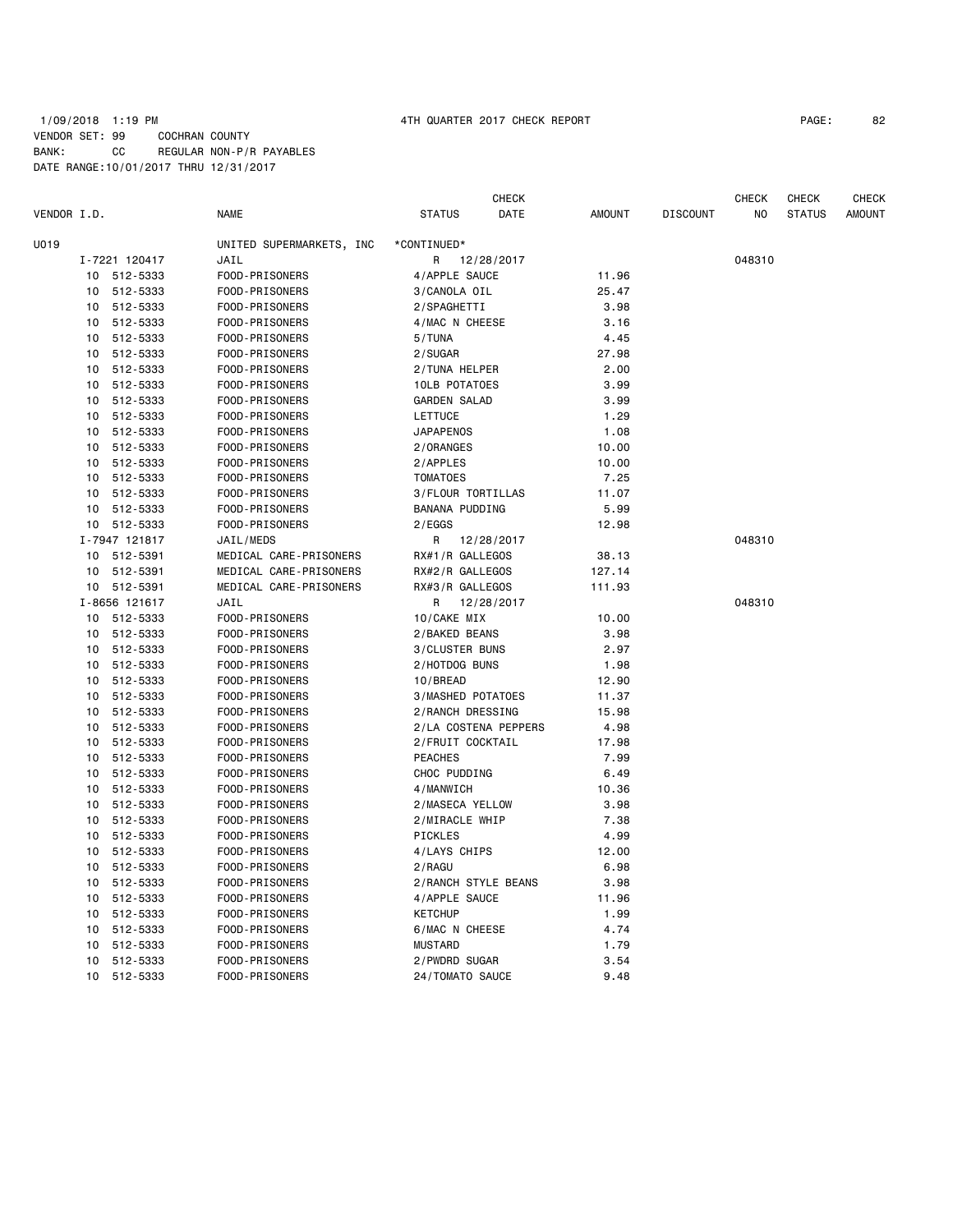## 1/09/2018 1:19 PM 4TH QUARTER 2017 CHECK REPORT PAGE: 82 VENDOR SET: 99 COCHRAN COUNTY BANK: CC REGULAR NON-P/R PAYABLES DATE RANGE:10/01/2017 THRU 12/31/2017

|             |               |                          |                      | <b>CHECK</b> |               |                 | <b>CHECK</b> | <b>CHECK</b>  | <b>CHECK</b>  |
|-------------|---------------|--------------------------|----------------------|--------------|---------------|-----------------|--------------|---------------|---------------|
| VENDOR I.D. |               | <b>NAME</b>              | <b>STATUS</b>        | DATE         | <b>AMOUNT</b> | <b>DISCOUNT</b> | NO           | <b>STATUS</b> | <b>AMOUNT</b> |
| U019        |               | UNITED SUPERMARKETS, INC | *CONTINUED*          |              |               |                 |              |               |               |
|             | I-7221 120417 | JAIL                     | R                    | 12/28/2017   |               |                 | 048310       |               |               |
| 10          | 512-5333      | FOOD-PRISONERS           | 4/APPLE SAUCE        |              | 11.96         |                 |              |               |               |
| 10          | 512-5333      | FOOD-PRISONERS           | 3/CANOLA OIL         |              | 25.47         |                 |              |               |               |
| 10          | 512-5333      | FOOD-PRISONERS           | 2/SPAGHETTI          |              | 3.98          |                 |              |               |               |
| 10          | 512-5333      | FOOD-PRISONERS           | 4/MAC N CHEESE       |              | 3.16          |                 |              |               |               |
| 10          | 512-5333      | FOOD-PRISONERS           | 5/TUNA               |              | 4.45          |                 |              |               |               |
| 10          | 512-5333      | FOOD-PRISONERS           | 2/SUGAR              |              | 27.98         |                 |              |               |               |
| 10          | 512-5333      | FOOD-PRISONERS           | 2/TUNA HELPER        |              | 2.00          |                 |              |               |               |
| 10          | 512-5333      | FOOD-PRISONERS           | 10LB POTATOES        |              | 3.99          |                 |              |               |               |
| 10          | 512-5333      | FOOD-PRISONERS           | <b>GARDEN SALAD</b>  |              | 3.99          |                 |              |               |               |
| 10          | 512-5333      | FOOD-PRISONERS           | <b>LETTUCE</b>       |              | 1.29          |                 |              |               |               |
| 10          | 512-5333      | FOOD-PRISONERS           | <b>JAPAPENOS</b>     |              | 1.08          |                 |              |               |               |
| 10          | 512-5333      | FOOD-PRISONERS           | 2/ORANGES            |              | 10.00         |                 |              |               |               |
| 10          | 512-5333      | FOOD-PRISONERS           | 2/APPLES             |              | 10.00         |                 |              |               |               |
| 10          | 512-5333      | FOOD-PRISONERS           | <b>TOMATOES</b>      |              | 7.25          |                 |              |               |               |
| 10          | 512-5333      | FOOD-PRISONERS           | 3/FLOUR TORTILLAS    |              | 11.07         |                 |              |               |               |
| 10          | 512-5333      | FOOD-PRISONERS           | BANANA PUDDING       |              | 5.99          |                 |              |               |               |
|             | 10 512-5333   | FOOD-PRISONERS           | 2/EGGS               |              | 12.98         |                 |              |               |               |
|             | I-7947 121817 | JAIL/MEDS                | R                    | 12/28/2017   |               |                 | 048310       |               |               |
|             | 10 512-5391   | MEDICAL CARE-PRISONERS   | RX#1/R GALLEGOS      |              | 38.13         |                 |              |               |               |
| 10          | 512-5391      | MEDICAL CARE-PRISONERS   | RX#2/R GALLEGOS      |              | 127.14        |                 |              |               |               |
|             | 10 512-5391   | MEDICAL CARE-PRISONERS   | RX#3/R GALLEGOS      |              | 111.93        |                 |              |               |               |
|             | I-8656 121617 | JAIL                     | R                    | 12/28/2017   |               |                 | 048310       |               |               |
|             | 10 512-5333   | FOOD-PRISONERS           | 10/CAKE MIX          |              | 10.00         |                 |              |               |               |
| 10          | 512-5333      | FOOD-PRISONERS           | 2/BAKED BEANS        |              | 3.98          |                 |              |               |               |
| 10          | 512-5333      | FOOD-PRISONERS           | 3/CLUSTER BUNS       |              | 2.97          |                 |              |               |               |
| 10          | 512-5333      | FOOD-PRISONERS           | 2/HOTDOG BUNS        |              | 1.98          |                 |              |               |               |
| 10          | 512-5333      | FOOD-PRISONERS           | 10/BREAD             |              | 12.90         |                 |              |               |               |
| 10          | 512-5333      | FOOD-PRISONERS           | 3/MASHED POTATOES    |              | 11.37         |                 |              |               |               |
| 10          | 512-5333      | FOOD-PRISONERS           | 2/RANCH DRESSING     |              | 15.98         |                 |              |               |               |
| 10          | 512-5333      | FOOD-PRISONERS           | 2/LA COSTENA PEPPERS |              | 4.98          |                 |              |               |               |
| 10          | 512-5333      | FOOD-PRISONERS           | 2/FRUIT COCKTAIL     |              | 17.98         |                 |              |               |               |
| 10          | 512-5333      | FOOD-PRISONERS           | <b>PEACHES</b>       |              | 7.99          |                 |              |               |               |
| 10          | 512-5333      | FOOD-PRISONERS           | CHOC PUDDING         |              | 6.49          |                 |              |               |               |
| 10          | 512-5333      | FOOD-PRISONERS           | 4/MANWICH            |              | 10.36         |                 |              |               |               |
| 10          | 512-5333      | FOOD-PRISONERS           | 2/MASECA YELLOW      |              | 3.98          |                 |              |               |               |
| 10          | 512-5333      | FOOD-PRISONERS           | 2/MIRACLE WHIP       |              | 7.38          |                 |              |               |               |
| 10          | 512-5333      | FOOD-PRISONERS           | PICKLES              |              | 4.99          |                 |              |               |               |
| 10          | 512-5333      | FOOD-PRISONERS           | 4/LAYS CHIPS         |              | 12.00         |                 |              |               |               |
| 10          | 512-5333      | FOOD-PRISONERS           | 2/RAGU               |              | 6.98          |                 |              |               |               |
| 10          | 512-5333      | FOOD-PRISONERS           | 2/RANCH STYLE BEANS  |              | 3.98          |                 |              |               |               |
| 10          | 512-5333      | FOOD-PRISONERS           | 4/APPLE SAUCE        |              | 11.96         |                 |              |               |               |
| 10          | 512-5333      | FOOD-PRISONERS           | <b>KETCHUP</b>       |              | 1.99          |                 |              |               |               |
| 10          | 512-5333      | FOOD-PRISONERS           | 6/MAC N CHEESE       |              | 4.74          |                 |              |               |               |
| 10          | 512-5333      | FOOD-PRISONERS           | <b>MUSTARD</b>       |              | 1.79          |                 |              |               |               |
| 10          | 512-5333      | FOOD-PRISONERS           | 2/PWDRD SUGAR        |              | 3.54          |                 |              |               |               |
| 10          | 512-5333      | FOOD-PRISONERS           | 24/TOMATO SAUCE      |              | 9.48          |                 |              |               |               |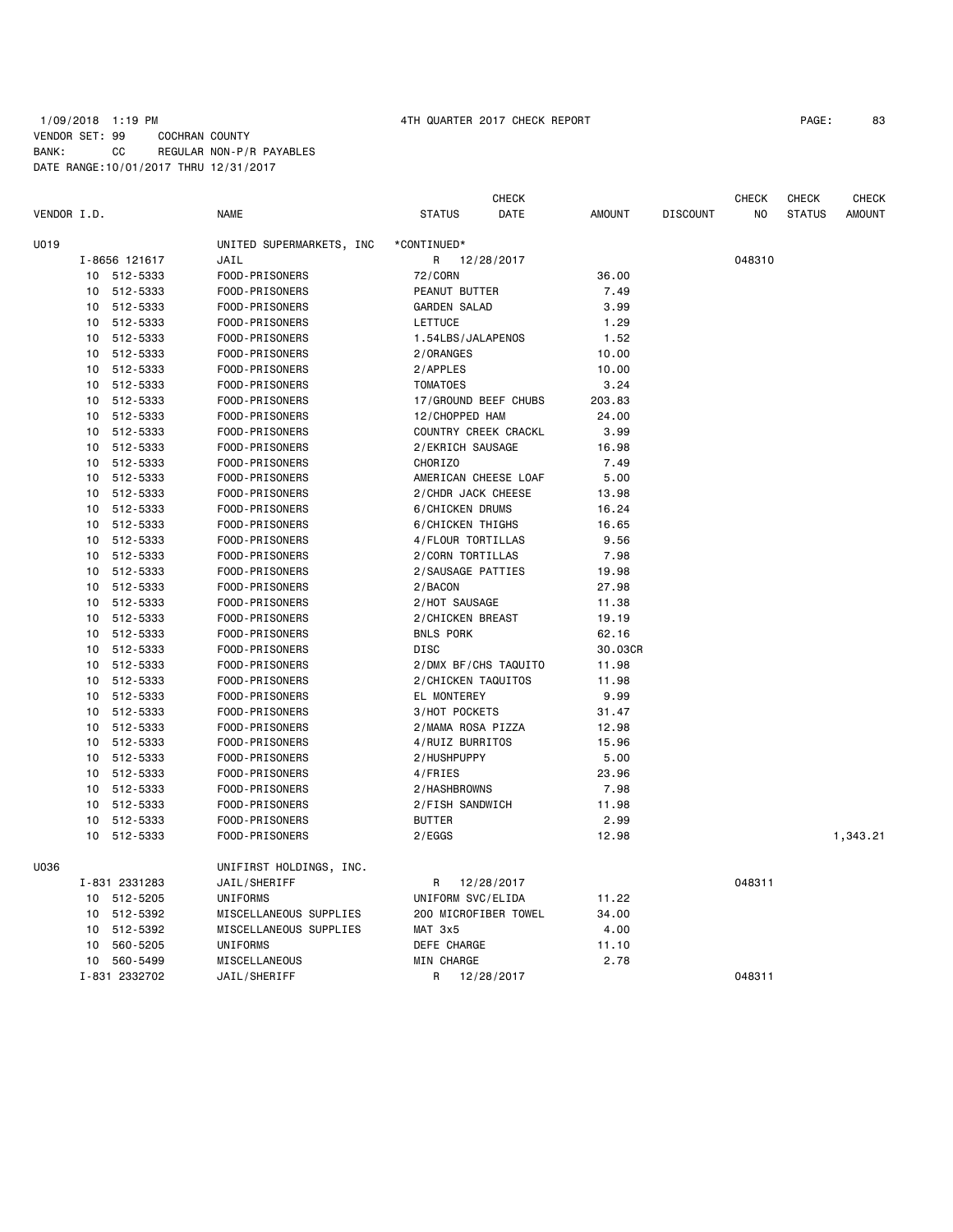## 1/09/2018 1:19 PM 4TH QUARTER 2017 CHECK REPORT PAGE: 83 VENDOR SET: 99 COCHRAN COUNTY BANK: CC REGULAR NON-P/R PAYABLES DATE RANGE:10/01/2017 THRU 12/31/2017

| VENDOR I.D. |    |               | <b>NAME</b>              | <b>STATUS</b>        | <b>CHECK</b><br>DATE | <b>AMOUNT</b> | <b>DISCOUNT</b> | <b>CHECK</b><br>NO. | <b>CHECK</b><br><b>STATUS</b> | <b>CHECK</b><br><b>AMOUNT</b> |
|-------------|----|---------------|--------------------------|----------------------|----------------------|---------------|-----------------|---------------------|-------------------------------|-------------------------------|
| U019        |    |               | UNITED SUPERMARKETS, INC | *CONTINUED*          |                      |               |                 |                     |                               |                               |
|             |    | I-8656 121617 | JAIL                     | R                    | 12/28/2017           |               |                 | 048310              |                               |                               |
|             | 10 | 512-5333      | FOOD-PRISONERS           | 72/CORN              |                      | 36.00         |                 |                     |                               |                               |
|             | 10 | 512-5333      | FOOD-PRISONERS           | PEANUT BUTTER        |                      | 7.49          |                 |                     |                               |                               |
|             | 10 | 512-5333      | FOOD-PRISONERS           | <b>GARDEN SALAD</b>  |                      | 3.99          |                 |                     |                               |                               |
|             | 10 | 512-5333      | FOOD-PRISONERS           | LETTUCE              |                      | 1.29          |                 |                     |                               |                               |
|             | 10 | 512-5333      | FOOD-PRISONERS           | 1.54LBS/JALAPENOS    |                      | 1.52          |                 |                     |                               |                               |
|             | 10 | 512-5333      | FOOD-PRISONERS           | 2/ORANGES            |                      | 10.00         |                 |                     |                               |                               |
|             | 10 | 512-5333      | FOOD-PRISONERS           | 2/APPLES             |                      | 10.00         |                 |                     |                               |                               |
|             | 10 | 512-5333      | <b>FOOD-PRISONERS</b>    | <b>TOMATOES</b>      |                      | 3.24          |                 |                     |                               |                               |
|             | 10 | 512-5333      | FOOD-PRISONERS           |                      | 17/GROUND BEEF CHUBS | 203.83        |                 |                     |                               |                               |
|             | 10 | 512-5333      | FOOD-PRISONERS           | 12/CHOPPED HAM       |                      | 24.00         |                 |                     |                               |                               |
|             | 10 | 512-5333      | FOOD-PRISONERS           | COUNTRY CREEK CRACKL |                      | 3.99          |                 |                     |                               |                               |
|             | 10 | 512-5333      | FOOD-PRISONERS           | 2/EKRICH SAUSAGE     |                      | 16.98         |                 |                     |                               |                               |
|             | 10 | 512-5333      | FOOD-PRISONERS           | CHORIZO              |                      | 7.49          |                 |                     |                               |                               |
|             | 10 | 512-5333      | FOOD-PRISONERS           | AMERICAN CHEESE LOAF |                      | 5.00          |                 |                     |                               |                               |
|             | 10 | 512-5333      | FOOD-PRISONERS           | 2/CHDR JACK CHEESE   |                      | 13.98         |                 |                     |                               |                               |
|             | 10 | 512-5333      | FOOD-PRISONERS           | 6/CHICKEN DRUMS      |                      | 16.24         |                 |                     |                               |                               |
|             | 10 | 512-5333      | FOOD-PRISONERS           | 6/CHICKEN THIGHS     |                      | 16.65         |                 |                     |                               |                               |
|             | 10 | 512-5333      | FOOD-PRISONERS           | 4/FLOUR TORTILLAS    |                      | 9.56          |                 |                     |                               |                               |
|             | 10 | 512-5333      | FOOD-PRISONERS           | 2/CORN TORTILLAS     |                      | 7.98          |                 |                     |                               |                               |
|             | 10 | 512-5333      | FOOD-PRISONERS           | 2/SAUSAGE PATTIES    |                      | 19.98         |                 |                     |                               |                               |
|             | 10 | 512-5333      | FOOD-PRISONERS           | 2/BACON              |                      | 27.98         |                 |                     |                               |                               |
|             | 10 | 512-5333      | FOOD-PRISONERS           | 2/HOT SAUSAGE        |                      | 11.38         |                 |                     |                               |                               |
|             | 10 | 512-5333      | FOOD-PRISONERS           | 2/CHICKEN BREAST     |                      | 19.19         |                 |                     |                               |                               |
|             | 10 | 512-5333      | FOOD-PRISONERS           | <b>BNLS PORK</b>     |                      | 62.16         |                 |                     |                               |                               |
|             | 10 | 512-5333      | FOOD-PRISONERS           | <b>DISC</b>          |                      | 30.03CR       |                 |                     |                               |                               |
|             | 10 | 512-5333      | FOOD-PRISONERS           |                      | 2/DMX BF/CHS TAQUITO | 11.98         |                 |                     |                               |                               |
|             | 10 | 512-5333      | FOOD-PRISONERS           | 2/CHICKEN TAQUITOS   |                      | 11.98         |                 |                     |                               |                               |
|             | 10 | 512-5333      | FOOD-PRISONERS           | EL MONTEREY          |                      | 9.99          |                 |                     |                               |                               |
|             | 10 | 512-5333      | FOOD-PRISONERS           | 3/HOT POCKETS        |                      | 31.47         |                 |                     |                               |                               |
|             | 10 | 512-5333      | FOOD-PRISONERS           | 2/MAMA ROSA PIZZA    |                      | 12.98         |                 |                     |                               |                               |
|             | 10 | 512-5333      | FOOD-PRISONERS           | 4/RUIZ BURRITOS      |                      | 15.96         |                 |                     |                               |                               |
|             | 10 | 512-5333      | FOOD-PRISONERS           | 2/HUSHPUPPY          |                      | 5.00          |                 |                     |                               |                               |
|             | 10 | 512-5333      | FOOD-PRISONERS           | 4/FRIES              |                      | 23.96         |                 |                     |                               |                               |
|             | 10 | 512-5333      | FOOD-PRISONERS           | 2/HASHBROWNS         |                      | 7.98          |                 |                     |                               |                               |
|             | 10 | 512-5333      | FOOD-PRISONERS           | 2/FISH SANDWICH      |                      | 11.98         |                 |                     |                               |                               |
|             | 10 | 512-5333      | FOOD-PRISONERS           | <b>BUTTER</b>        |                      | 2.99          |                 |                     |                               |                               |
|             | 10 | 512-5333      | FOOD-PRISONERS           | 2/EGGS               |                      | 12.98         |                 |                     |                               | 1,343.21                      |
| U036        |    |               | UNIFIRST HOLDINGS, INC.  |                      |                      |               |                 |                     |                               |                               |
|             |    | I-831 2331283 | JAIL/SHERIFF             | R                    | 12/28/2017           |               |                 | 048311              |                               |                               |
|             | 10 | 512-5205      | UNIFORMS                 | UNIFORM SVC/ELIDA    |                      | 11.22         |                 |                     |                               |                               |
|             | 10 | 512-5392      | MISCELLANEOUS SUPPLIES   |                      | 200 MICROFIBER TOWEL | 34.00         |                 |                     |                               |                               |
|             | 10 | 512-5392      | MISCELLANEOUS SUPPLIES   | MAT 3x5              |                      | 4.00          |                 |                     |                               |                               |
|             | 10 | 560-5205      | UNIFORMS                 | DEFE CHARGE          |                      | 11.10         |                 |                     |                               |                               |
|             | 10 | 560-5499      | MISCELLANEOUS            | MIN CHARGE           |                      | 2.78          |                 |                     |                               |                               |
|             |    | I-831 2332702 | JAIL/SHERIFF             | R                    | 12/28/2017           |               |                 | 048311              |                               |                               |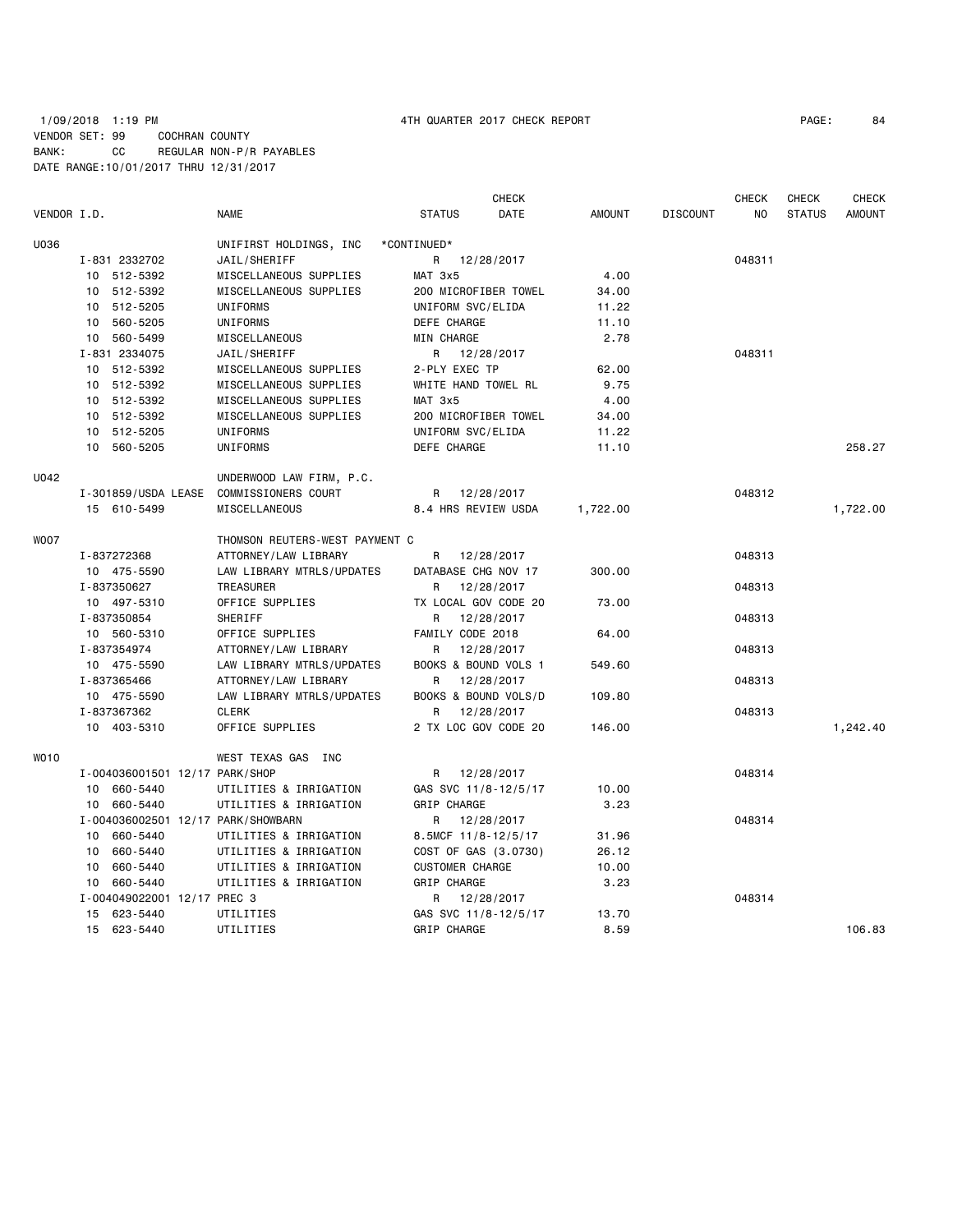|             |                                |                                    | <b>CHECK</b>           |               |                 | <b>CHECK</b> | CHECK         | <b>CHECK</b>  |
|-------------|--------------------------------|------------------------------------|------------------------|---------------|-----------------|--------------|---------------|---------------|
| VENDOR I.D. |                                | <b>NAME</b>                        | <b>STATUS</b><br>DATE  | <b>AMOUNT</b> | <b>DISCOUNT</b> | NO.          | <b>STATUS</b> | <b>AMOUNT</b> |
| U036        |                                | UNIFIRST HOLDINGS, INC             | *CONTINUED*            |               |                 |              |               |               |
|             | I-831 2332702                  | JAIL/SHERIFF                       | R 12/28/2017           |               |                 | 048311       |               |               |
|             | 10 512-5392                    | MISCELLANEOUS SUPPLIES             | MAT 3x5                | 4.00          |                 |              |               |               |
|             | 10 512-5392                    | MISCELLANEOUS SUPPLIES             | 200 MICROFIBER TOWEL   | 34.00         |                 |              |               |               |
|             | 10 512-5205                    | UNIFORMS                           | UNIFORM SVC/ELIDA      | 11.22         |                 |              |               |               |
|             | 10 560-5205                    | UNIFORMS                           | DEFE CHARGE            | 11.10         |                 |              |               |               |
|             | 10 560-5499                    | MISCELLANEOUS                      | MIN CHARGE             | 2.78          |                 |              |               |               |
|             | I-831 2334075                  | JAIL/SHERIFF                       | R<br>12/28/2017        |               |                 | 048311       |               |               |
|             | 10 512-5392                    | MISCELLANEOUS SUPPLIES             | 2-PLY EXEC TP          | 62.00         |                 |              |               |               |
|             | 10 512-5392                    | MISCELLANEOUS SUPPLIES             | WHITE HAND TOWEL RL    | 9.75          |                 |              |               |               |
|             | 10 512-5392                    | MISCELLANEOUS SUPPLIES             | MAT 3x5                | 4.00          |                 |              |               |               |
|             | 10 512-5392                    | MISCELLANEOUS SUPPLIES             | 200 MICROFIBER TOWEL   | 34.00         |                 |              |               |               |
|             | 10 512-5205                    | UNIFORMS                           | UNIFORM SVC/ELIDA      | 11.22         |                 |              |               |               |
|             | 10 560-5205                    | UNIFORMS                           | DEFE CHARGE            | 11.10         |                 |              |               | 258.27        |
| U042        |                                | UNDERWOOD LAW FIRM, P.C.           |                        |               |                 |              |               |               |
|             | I-301859/USDA LEASE            | <b>COMMISSIONERS COURT</b>         | R 12/28/2017           |               |                 | 048312       |               |               |
|             | 15 610-5499                    | MISCELLANEOUS                      | 8.4 HRS REVIEW USDA    | 1,722.00      |                 |              |               | 1,722.00      |
| W007        |                                | THOMSON REUTERS-WEST PAYMENT C     |                        |               |                 |              |               |               |
|             | I-837272368                    | ATTORNEY/LAW LIBRARY               | 12/28/2017<br>R        |               |                 | 048313       |               |               |
|             | 10 475-5590                    | LAW LIBRARY MTRLS/UPDATES          | DATABASE CHG NOV 17    | 300.00        |                 |              |               |               |
|             | I-837350627                    | TREASURER                          | 12/28/2017<br>R        |               |                 | 048313       |               |               |
|             | 10 497-5310                    | OFFICE SUPPLIES                    | TX LOCAL GOV CODE 20   | 73.00         |                 |              |               |               |
|             | I-837350854                    | SHERIFF                            | R<br>12/28/2017        |               |                 | 048313       |               |               |
|             | 10 560-5310                    | OFFICE SUPPLIES                    | FAMILY CODE 2018       | 64.00         |                 |              |               |               |
|             | I-837354974                    | ATTORNEY/LAW LIBRARY               | 12/28/2017<br>R.       |               |                 | 048313       |               |               |
|             | 10 475-5590                    | LAW LIBRARY MTRLS/UPDATES          | BOOKS & BOUND VOLS 1   | 549.60        |                 |              |               |               |
|             | I-837365466                    | ATTORNEY/LAW LIBRARY               | 12/28/2017<br>R        |               |                 | 048313       |               |               |
|             | 10 475-5590                    | LAW LIBRARY MTRLS/UPDATES          | BOOKS & BOUND VOLS/D   | 109.80        |                 |              |               |               |
|             | I-837367362                    | <b>CLERK</b>                       | 12/28/2017<br>R        |               |                 | 048313       |               |               |
|             | 10 403-5310                    | OFFICE SUPPLIES                    | 2 TX LOC GOV CODE 20   | 146.00        |                 |              |               | 1,242.40      |
| WO10        |                                | WEST TEXAS GAS INC                 |                        |               |                 |              |               |               |
|             | I-004036001501 12/17 PARK/SHOP |                                    | 12/28/2017<br>R        |               |                 | 048314       |               |               |
|             | 10 660-5440                    | UTILITIES & IRRIGATION             | GAS SVC 11/8-12/5/17   | 10.00         |                 |              |               |               |
|             | 10 660-5440                    | UTILITIES & IRRIGATION             | GRIP CHARGE            | 3.23          |                 |              |               |               |
|             |                                | I-004036002501 12/17 PARK/SHOWBARN | R 12/28/2017           |               |                 | 048314       |               |               |
|             | 10 660-5440                    | UTILITIES & IRRIGATION             | 8.5MCF 11/8-12/5/17    | 31.96         |                 |              |               |               |
|             | 10 660-5440                    | UTILITIES & IRRIGATION             | COST OF GAS (3.0730)   | 26.12         |                 |              |               |               |
|             | 10 660-5440                    | UTILITIES & IRRIGATION             | <b>CUSTOMER CHARGE</b> | 10.00         |                 |              |               |               |
|             | 10 660-5440                    | UTILITIES & IRRIGATION             | GRIP CHARGE            | 3.23          |                 |              |               |               |
|             | I-004049022001 12/17 PREC 3    |                                    | R 12/28/2017           |               |                 | 048314       |               |               |
|             | 15 623-5440                    | UTILITIES                          | GAS SVC 11/8-12/5/17   | 13.70         |                 |              |               |               |
|             | 15 623-5440                    | UTILITIES                          | GRIP CHARGE            | 8.59          |                 |              |               | 106.83        |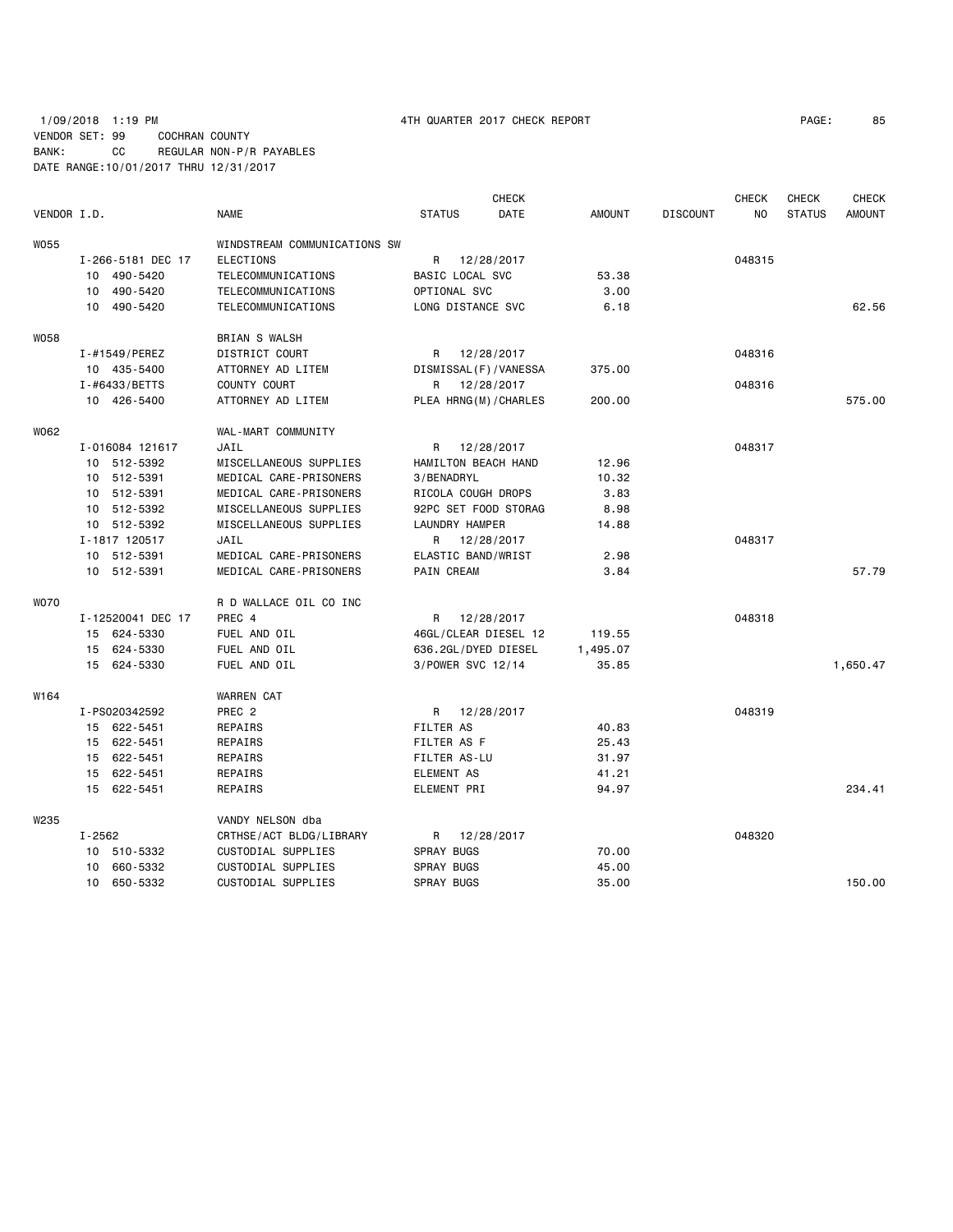## 1/09/2018 1:19 PM 4TH QUARTER 2017 CHECK REPORT PAGE: 85 VENDOR SET: 99 COCHRAN COUNTY BANK: CC REGULAR NON-P/R PAYABLES DATE RANGE:10/01/2017 THRU 12/31/2017

| VENDOR I.D. |                   | <b>NAME</b>                  | <b>STATUS</b>           | <b>CHECK</b><br>DATE | <b>AMOUNT</b> | <b>DISCOUNT</b> | <b>CHECK</b><br>NO | <b>CHECK</b><br><b>STATUS</b> | <b>CHECK</b><br><b>AMOUNT</b> |
|-------------|-------------------|------------------------------|-------------------------|----------------------|---------------|-----------------|--------------------|-------------------------------|-------------------------------|
| W055        |                   | WINDSTREAM COMMUNICATIONS SW |                         |                      |               |                 |                    |                               |                               |
|             | I-266-5181 DEC 17 | ELECTIONS                    | R                       | 12/28/2017           |               |                 | 048315             |                               |                               |
|             | 10 490-5420       | TELECOMMUNICATIONS           | BASIC LOCAL SVC         |                      | 53.38         |                 |                    |                               |                               |
|             | 10 490-5420       | TELECOMMUNICATIONS           | OPTIONAL SVC            |                      | 3.00          |                 |                    |                               |                               |
|             | 10 490-5420       | TELECOMMUNICATIONS           | LONG DISTANCE SVC       |                      | 6.18          |                 |                    |                               | 62.56                         |
| <b>W058</b> |                   | BRIAN S WALSH                |                         |                      |               |                 |                    |                               |                               |
|             | I-#1549/PEREZ     | DISTRICT COURT               | R                       | 12/28/2017           |               |                 | 048316             |                               |                               |
|             | 10 435-5400       | ATTORNEY AD LITEM            | DISMISSAL (F) / VANESSA |                      | 375.00        |                 |                    |                               |                               |
|             | I-#6433/BETTS     | COUNTY COURT                 | R                       | 12/28/2017           |               |                 | 048316             |                               |                               |
|             | 10 426-5400       | ATTORNEY AD LITEM            | PLEA HRNG(M)/CHARLES    |                      | 200.00        |                 |                    |                               | 575.00                        |
| W062        |                   | WAL-MART COMMUNITY           |                         |                      |               |                 |                    |                               |                               |
|             | I-016084 121617   | JAIL                         | R                       | 12/28/2017           |               |                 | 048317             |                               |                               |
|             | 10 512-5392       | MISCELLANEOUS SUPPLIES       | HAMILTON BEACH HAND     |                      | 12.96         |                 |                    |                               |                               |
|             | 10 512-5391       | MEDICAL CARE-PRISONERS       | 3/BENADRYL              |                      | 10.32         |                 |                    |                               |                               |
|             | 10 512-5391       | MEDICAL CARE-PRISONERS       | RICOLA COUGH DROPS      |                      | 3.83          |                 |                    |                               |                               |
|             | 10 512-5392       | MISCELLANEOUS SUPPLIES       | 92PC SET FOOD STORAG    |                      | 8.98          |                 |                    |                               |                               |
|             | 10 512-5392       | MISCELLANEOUS SUPPLIES       | LAUNDRY HAMPER          |                      | 14.88         |                 |                    |                               |                               |
|             | I-1817 120517     | JAIL                         | R                       | 12/28/2017           |               |                 | 048317             |                               |                               |
|             | 10 512-5391       | MEDICAL CARE-PRISONERS       | ELASTIC BAND/WRIST      |                      | 2.98          |                 |                    |                               |                               |
|             | 10 512-5391       | MEDICAL CARE-PRISONERS       | PAIN CREAM              |                      | 3.84          |                 |                    |                               | 57.79                         |
| <b>WO70</b> |                   | R D WALLACE OIL CO INC       |                         |                      |               |                 |                    |                               |                               |
|             | I-12520041 DEC 17 | PREC 4                       | R                       | 12/28/2017           |               |                 | 048318             |                               |                               |
|             | 15 624-5330       | FUEL AND OIL                 | 46GL/CLEAR DIESEL 12    |                      | 119.55        |                 |                    |                               |                               |
|             | 15 624-5330       | FUEL AND OIL                 | 636.2GL/DYED DIESEL     |                      | 1,495.07      |                 |                    |                               |                               |
|             | 15 624-5330       | FUEL AND OIL                 | 3/POWER SVC 12/14       |                      | 35.85         |                 |                    |                               | 1,650.47                      |
| W164        |                   | <b>WARREN CAT</b>            |                         |                      |               |                 |                    |                               |                               |
|             | I-PS020342592     | PREC <sub>2</sub>            | R 12/28/2017            |                      |               |                 | 048319             |                               |                               |
|             | 15 622-5451       | REPAIRS                      | <b>FILTER AS</b>        |                      | 40.83         |                 |                    |                               |                               |
|             | 15 622-5451       | REPAIRS                      | FILTER AS F             |                      | 25.43         |                 |                    |                               |                               |
|             | 15 622-5451       | REPAIRS                      | FILTER AS-LU            |                      | 31.97         |                 |                    |                               |                               |
|             | 15 622-5451       | REPAIRS                      | <b>ELEMENT AS</b>       |                      | 41.21         |                 |                    |                               |                               |
|             | 15 622-5451       | REPAIRS                      | ELEMENT PRI             |                      | 94.97         |                 |                    |                               | 234.41                        |
| W235        |                   | VANDY NELSON dba             |                         |                      |               |                 |                    |                               |                               |
|             | $I - 2562$        | CRTHSE/ACT BLDG/LIBRARY      | R                       | 12/28/2017           |               |                 | 048320             |                               |                               |
|             | 10 510-5332       | CUSTODIAL SUPPLIES           | <b>SPRAY BUGS</b>       |                      | 70.00         |                 |                    |                               |                               |
|             | 660-5332<br>10    | CUSTODIAL SUPPLIES           | <b>SPRAY BUGS</b>       |                      | 45.00         |                 |                    |                               |                               |
|             | 650-5332<br>10    | CUSTODIAL SUPPLIES           | <b>SPRAY BUGS</b>       |                      | 35.00         |                 |                    |                               | 150.00                        |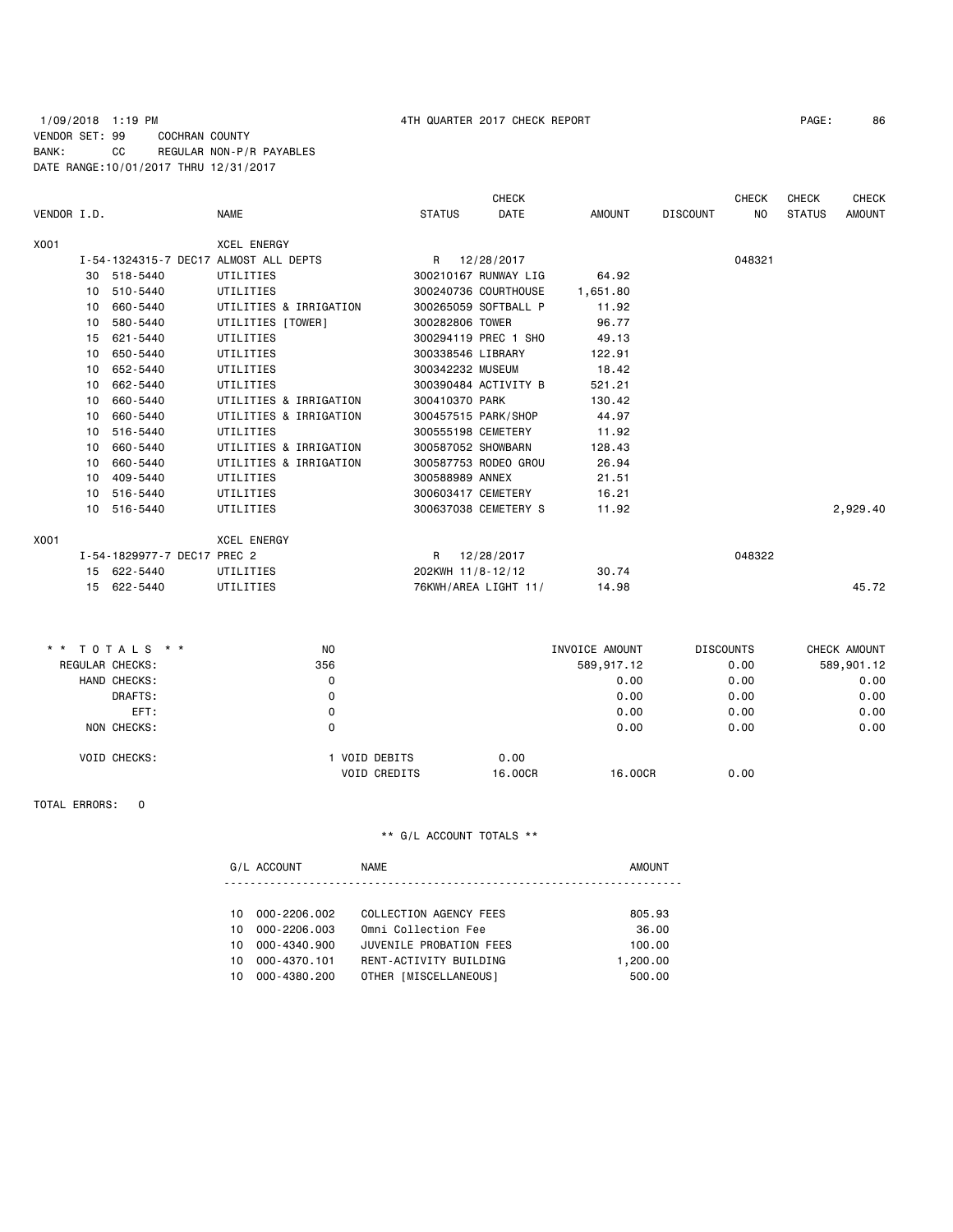## 1/09/2018 1:19 PM 4TH QUARTER 2017 CHECK REPORT PAGE: 86 VENDOR SET: 99 COCHRAN COUNTY BANK: CC REGULAR NON-P/R PAYABLES DATE RANGE:10/01/2017 THRU 12/31/2017

|             |    |                             |                                       |                    | <b>CHECK</b>         |          |                 | <b>CHECK</b> | <b>CHECK</b>  | <b>CHECK</b>  |
|-------------|----|-----------------------------|---------------------------------------|--------------------|----------------------|----------|-----------------|--------------|---------------|---------------|
| VENDOR I.D. |    |                             | <b>NAME</b>                           | <b>STATUS</b>      | <b>DATE</b>          | AMOUNT   | <b>DISCOUNT</b> | <b>NO</b>    | <b>STATUS</b> | <b>AMOUNT</b> |
| X001        |    |                             | <b>XCEL ENERGY</b>                    |                    |                      |          |                 |              |               |               |
|             |    |                             | I-54-1324315-7 DEC17 ALMOST ALL DEPTS |                    | R 12/28/2017         |          |                 | 048321       |               |               |
|             | 30 | 518-5440                    | UTILITIES                             |                    | 300210167 RUNWAY LIG | 64.92    |                 |              |               |               |
|             | 10 | 510-5440                    | UTILITIES                             |                    | 300240736 COURTHOUSE | 1,651.80 |                 |              |               |               |
|             | 10 | 660-5440                    | UTILITIES & IRRIGATION                |                    | 300265059 SOFTBALL P | 11.92    |                 |              |               |               |
|             | 10 | 580-5440                    | UTILITIES [TOWER]                     | 300282806 TOWER    |                      | 96.77    |                 |              |               |               |
|             | 15 | 621-5440                    | UTILITIES                             |                    | 300294119 PREC 1 SHO | 49.13    |                 |              |               |               |
|             | 10 | 650-5440                    | UTILITIES                             | 300338546 LIBRARY  |                      | 122.91   |                 |              |               |               |
|             | 10 | 652-5440                    | UTILITIES                             | 300342232 MUSEUM   |                      | 18.42    |                 |              |               |               |
|             | 10 | 662-5440                    | UTILITIES                             |                    | 300390484 ACTIVITY B | 521.21   |                 |              |               |               |
|             | 10 | 660-5440                    | UTILITIES & IRRIGATION                | 300410370 PARK     |                      | 130.42   |                 |              |               |               |
|             | 10 | 660-5440                    | UTILITIES & IRRIGATION                |                    | 300457515 PARK/SHOP  | 44.97    |                 |              |               |               |
|             | 10 | 516-5440                    | UTILITIES                             | 300555198 CEMETERY |                      | 11.92    |                 |              |               |               |
|             | 10 | 660-5440                    | UTILITIES & IRRIGATION                | 300587052 SHOWBARN |                      | 128.43   |                 |              |               |               |
|             | 10 | 660-5440                    | UTILITIES & IRRIGATION                |                    | 300587753 RODEO GROU | 26.94    |                 |              |               |               |
|             | 10 | 409-5440                    | UTILITIES                             | 300588989 ANNEX    |                      | 21.51    |                 |              |               |               |
|             | 10 | 516-5440                    | UTILITIES                             | 300603417 CEMETERY |                      | 16.21    |                 |              |               |               |
|             | 10 | 516-5440                    | UTILITIES                             |                    | 300637038 CEMETERY S | 11.92    |                 |              |               | 2,929.40      |
| X001        |    |                             | <b>XCEL ENERGY</b>                    |                    |                      |          |                 |              |               |               |
|             |    | I-54-1829977-7 DEC17 PREC 2 |                                       |                    | R 12/28/2017         |          |                 | 048322       |               |               |
|             |    | 15 622-5440                 | UTILITIES                             | 202KWH 11/8-12/12  |                      | 30.74    |                 |              |               |               |
|             |    | 15 622-5440                 | UTILITIES                             |                    | 76KWH/AREA LIGHT 11/ | 14.98    |                 |              |               | 45.72         |
|             |    |                             |                                       |                    |                      |          |                 |              |               |               |

| * * TOTALS * *      | N <sub>0</sub>                     | INVOICE AMOUNT  |            | <b>DISCOUNTS</b> | CHECK AMOUNT |
|---------------------|------------------------------------|-----------------|------------|------------------|--------------|
| REGULAR CHECKS:     | 356                                |                 | 589,917.12 | 0.00             | 589,901.12   |
| HAND CHECKS:        | 0                                  |                 | 0.00       | 0.00             | 0.00         |
| DRAFTS:             | 0                                  |                 | 0.00       | 0.00             | 0.00         |
| EFT:                | 0                                  |                 | 0.00       | 0.00             | 0.00         |
| NON CHECKS:         | 0                                  |                 | 0.00       | 0.00             | 0.00         |
| <b>VOID CHECKS:</b> | VOID DEBITS<br><b>VOID CREDITS</b> | 0.00<br>16,00CR | 16,00CR    | 0.00             |              |

### TOTAL ERRORS: 0

|     | G/L ACCOUNT  | <b>NAME</b>             | <b>AMOUNT</b> |
|-----|--------------|-------------------------|---------------|
|     |              |                         |               |
| 10. | 000-2206.002 | COLLECTION AGENCY FEES  | 805.93        |
| 10  | 000-2206.003 | Omni Collection Fee     | 36.00         |
| 10. | 000-4340.900 | JUVENILE PROBATION FEES | 100.00        |
| 10  | 000-4370.101 | RENT-ACTIVITY BUILDING  | 1,200.00      |
| 10. | 000-4380.200 | OTHER [MISCELLANEOUS]   | 500.00        |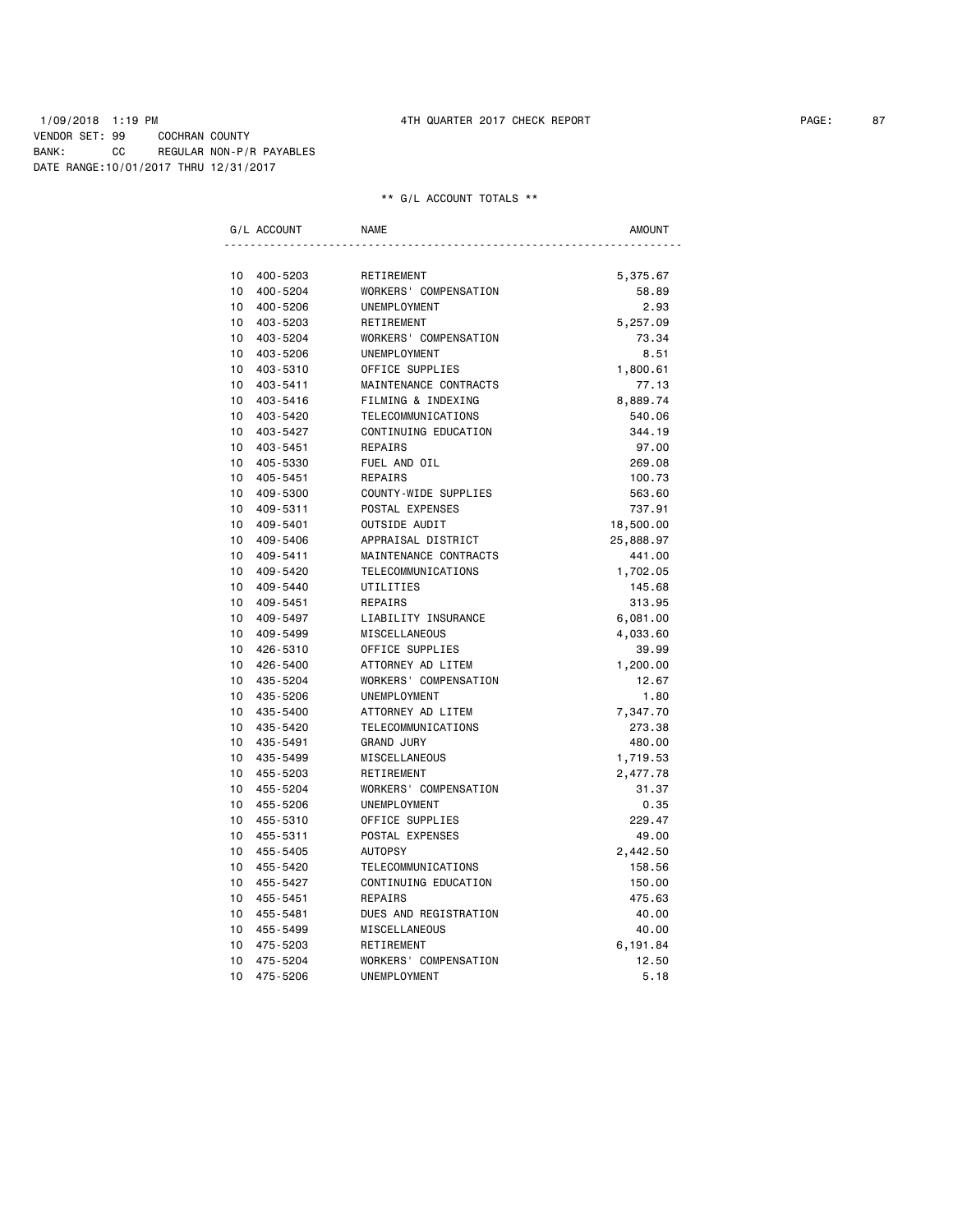### 1/09/2018 1:19 PM 4TH QUARTER 2017 CHECK REPORT PAGE: 87 VENDOR SET: 99 COCHRAN COUNTY BANK: CC REGULAR NON-P/R PAYABLES DATE RANGE:10/01/2017 THRU 12/31/2017

|                 | G/L ACCOUNT | <b>NAME</b>           | <b>AMOUNT</b> |
|-----------------|-------------|-----------------------|---------------|
|                 |             |                       |               |
| 10 <sup>1</sup> | 400-5203    | RETIREMENT            | 5,375.67      |
| 10 <sup>1</sup> | 400-5204    | WORKERS' COMPENSATION | 58.89         |
| 10              | 400-5206    | UNEMPLOYMENT          | 2.93          |
| 10 <sup>1</sup> | 403-5203    | RETIREMENT            | 5,257.09      |
| 10 <sup>1</sup> | 403-5204    | WORKERS' COMPENSATION | 73.34         |
| 10 <sup>1</sup> | 403-5206    | <b>UNEMPLOYMENT</b>   | 8.51          |
| 10 <sup>1</sup> | 403-5310    | OFFICE SUPPLIES       | 1,800.61      |
| 10              | 403-5411    | MAINTENANCE CONTRACTS | 77.13         |
| 10              | 403-5416    | FILMING & INDEXING    | 8,889.74      |
| 10              | 403-5420    | TELECOMMUNICATIONS    | 540.06        |
| 10 <sup>1</sup> | 403-5427    | CONTINUING EDUCATION  | 344.19        |
| 10              | 403-5451    | REPAIRS               | 97.00         |
| 10              | 405-5330    | FUEL AND OIL          | 269.08        |
| 10              | 405-5451    | REPAIRS               | 100.73        |
| 10              | 409-5300    | COUNTY-WIDE SUPPLIES  | 563.60        |
| 10              | 409-5311    | POSTAL EXPENSES       | 737.91        |
| 10              | 409-5401    | OUTSIDE AUDIT         | 18,500.00     |
| 10              | 409-5406    | APPRAISAL DISTRICT    | 25,888.97     |
| 10              | 409-5411    | MAINTENANCE CONTRACTS | 441.00        |
| 10              | 409-5420    | TELECOMMUNICATIONS    | 1,702.05      |
| 10 <sup>1</sup> | 409-5440    | UTILITIES             | 145.68        |
| 10              | 409-5451    | REPAIRS               | 313.95        |
| 10              | 409-5497    | LIABILITY INSURANCE   | 6,081.00      |
| 10              | 409-5499    | MISCELLANEOUS         | 4,033.60      |
| 10              | 426-5310    | OFFICE SUPPLIES       | 39.99         |
| 10              | 426-5400    | ATTORNEY AD LITEM     | 1,200.00      |
| 10              | 435-5204    | WORKERS' COMPENSATION | 12.67         |
| 10 <sup>1</sup> | 435-5206    | UNEMPLOYMENT          | 1.80          |
| 10 <sup>1</sup> | 435-5400    | ATTORNEY AD LITEM     | 7,347.70      |
| 10 <sup>1</sup> | 435-5420    | TELECOMMUNICATIONS    | 273.38        |
| 10              | 435-5491    | <b>GRAND JURY</b>     | 480.00        |
| 10              | 435-5499    | MISCELLANEOUS         | 1,719.53      |
| 10              | 455-5203    | RETIREMENT            | 2,477.78      |
| 10              | 455-5204    | WORKERS' COMPENSATION | 31.37         |
| 10              | 455-5206    | UNEMPLOYMENT          | 0.35          |
| 10              | 455-5310    | OFFICE SUPPLIES       | 229.47        |
| 10              | 455-5311    | POSTAL EXPENSES       | 49.00         |
| 10              | 455-5405    | <b>AUTOPSY</b>        | 2,442.50      |
| 10              | 455-5420    | TELECOMMUNICATIONS    | 158.56        |
| 10              | 455-5427    | CONTINUING EDUCATION  | 150.00        |
| 10              | 455-5451    | REPAIRS               | 475.63        |
| 10              | 455-5481    | DUES AND REGISTRATION | 40.00         |
| 10              | 455-5499    | MISCELLANEOUS         | 40.00         |
| 10              | 475-5203    | RETIREMENT            | 6,191.84      |
| 10              | 475-5204    | WORKERS' COMPENSATION | 12.50         |
| 10              | 475-5206    | UNEMPLOYMENT          | 5.18          |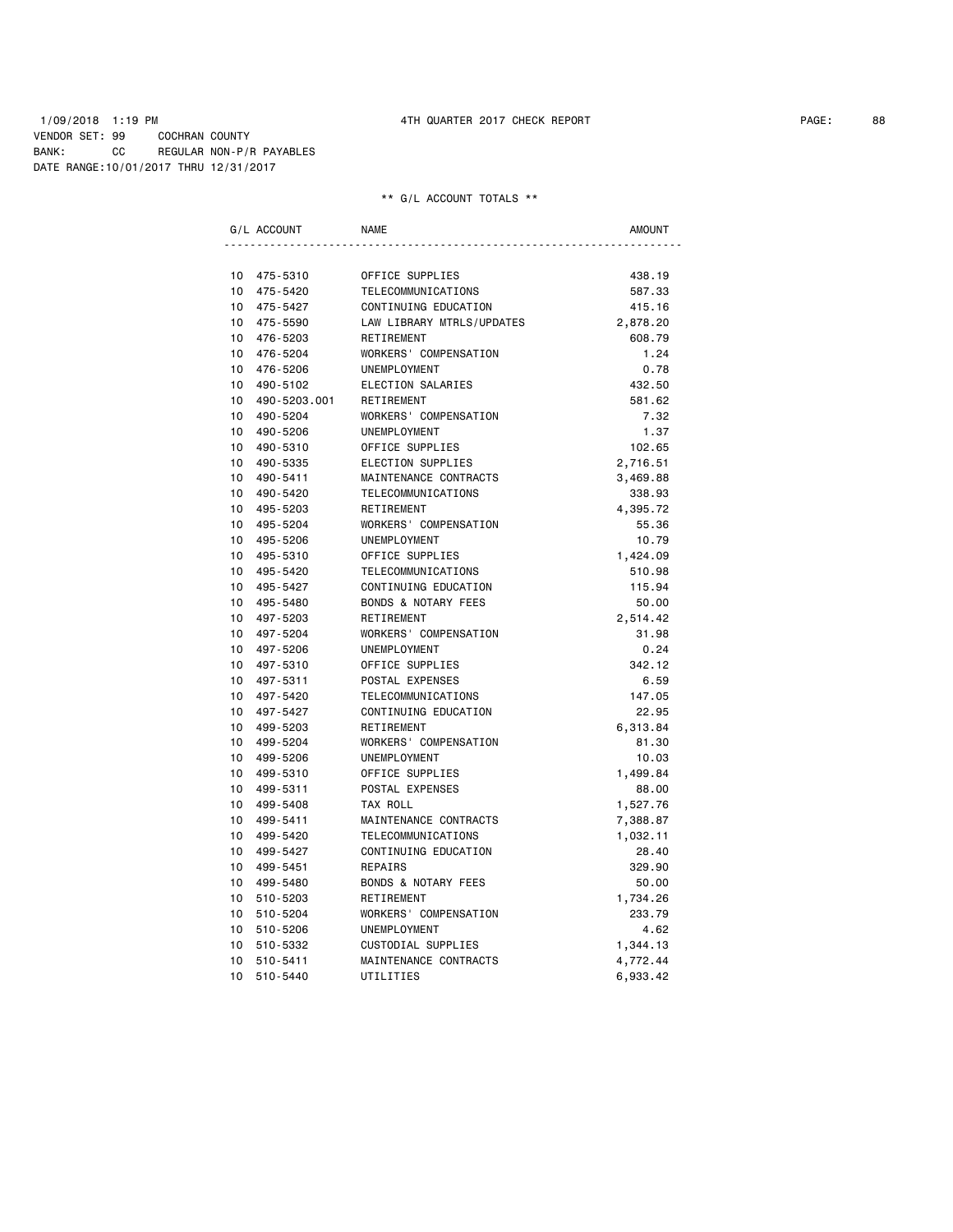1/09/2018 1:19 PM 4TH QUARTER 2017 CHECK REPORT PAGE: 88 VENDOR SET: 99 COCHRAN COUNTY BANK: CC REGULAR NON-P/R PAYABLES DATE RANGE:10/01/2017 THRU 12/31/2017

|                 | G/L ACCOUNT  | <b>NAME</b>                    | <b>AMOUNT</b> |
|-----------------|--------------|--------------------------------|---------------|
|                 |              |                                |               |
| 10 <sup>1</sup> | 475-5310     | OFFICE SUPPLIES                | 438.19        |
| 10              | 475-5420     | TELECOMMUNICATIONS             | 587.33        |
| 10 <sup>1</sup> | 475-5427     | CONTINUING EDUCATION           | 415.16        |
| 10              | 475-5590     | LAW LIBRARY MTRLS/UPDATES      | 2,878.20      |
| 10 <sup>1</sup> | 476-5203     | RETIREMENT                     | 608.79        |
| 10 <sup>1</sup> | 476-5204     | WORKERS' COMPENSATION          | 1.24          |
| 10 <sup>1</sup> | 476-5206     | <b>UNEMPLOYMENT</b>            | 0.78          |
| 10              | 490-5102     | ELECTION SALARIES              | 432.50        |
| 10              | 490-5203.001 | RETIREMENT                     | 581.62        |
| 10              | 490-5204     | WORKERS' COMPENSATION          | 7.32          |
| 10              | 490-5206     | <b>UNEMPLOYMENT</b>            | 1.37          |
| 10              | 490-5310     | OFFICE SUPPLIES                | 102.65        |
| 10              | 490-5335     | ELECTION SUPPLIES              | 2,716.51      |
| 10              | 490-5411     | MAINTENANCE CONTRACTS          | 3,469.88      |
| 10              | 490-5420     | TELECOMMUNICATIONS             | 338.93        |
| 10 <sup>1</sup> | 495-5203     | RETIREMENT                     | 4,395.72      |
| 10              | 495-5204     | WORKERS' COMPENSATION          | 55.36         |
| 10 <sup>1</sup> | 495-5206     | UNEMPLOYMENT                   | 10.79         |
| 10 <sup>1</sup> | 495-5310     | OFFICE SUPPLIES                | 1,424.09      |
| 10              | 495-5420     | TELECOMMUNICATIONS             | 510.98        |
| 10              | 495-5427     | CONTINUING EDUCATION           | 115.94        |
| 10              | 495-5480     | <b>BONDS &amp; NOTARY FEES</b> | 50.00         |
| 10              | 497-5203     | RETIREMENT                     | 2,514.42      |
| 10              | 497-5204     | WORKERS' COMPENSATION          | 31.98         |
| 10              | 497-5206     | UNEMPLOYMENT                   | 0.24          |
| 10              | 497-5310     | OFFICE SUPPLIES                | 342.12        |
| 10              | 497-5311     | POSTAL EXPENSES                | 6.59          |
| 10              | 497-5420     | TELECOMMUNICATIONS             | 147.05        |
| 10              | 497-5427     | CONTINUING EDUCATION           | 22.95         |
| 10              | 499-5203     | RETIREMENT                     | 6,313.84      |
| 10              | 499-5204     | WORKERS' COMPENSATION          | 81.30         |
| 10              | 499-5206     | UNEMPLOYMENT                   | 10.03         |
| 10              | 499-5310     | OFFICE SUPPLIES                | 1,499.84      |
| 10              | 499-5311     | POSTAL EXPENSES                | 88.00         |
| 10              | 499-5408     | TAX ROLL                       | 1,527.76      |
| 10              | 499-5411     | MAINTENANCE CONTRACTS          | 7,388.87      |
| 10 <sup>1</sup> | 499-5420     | TELECOMMUNICATIONS             | 1,032.11      |
| 10              | 499-5427     | CONTINUING EDUCATION           | 28.40         |
| 10              | 499-5451     | REPAIRS                        | 329.90        |
| 10              | 499-5480     | <b>BONDS &amp; NOTARY FEES</b> | 50.00         |
| 10              | 510-5203     | RETIREMENT                     | 1,734.26      |
| 10              | 510-5204     | WORKERS' COMPENSATION          | 233.79        |
| 10              | 510-5206     | <b>UNEMPLOYMENT</b>            | 4.62          |
| 10              | 510-5332     | CUSTODIAL SUPPLIES             | 1,344.13      |
| 10              | 510-5411     | MAINTENANCE CONTRACTS          | 4,772.44      |
| 10              | 510-5440     | UTILITIES                      | 6,933.42      |
|                 |              |                                |               |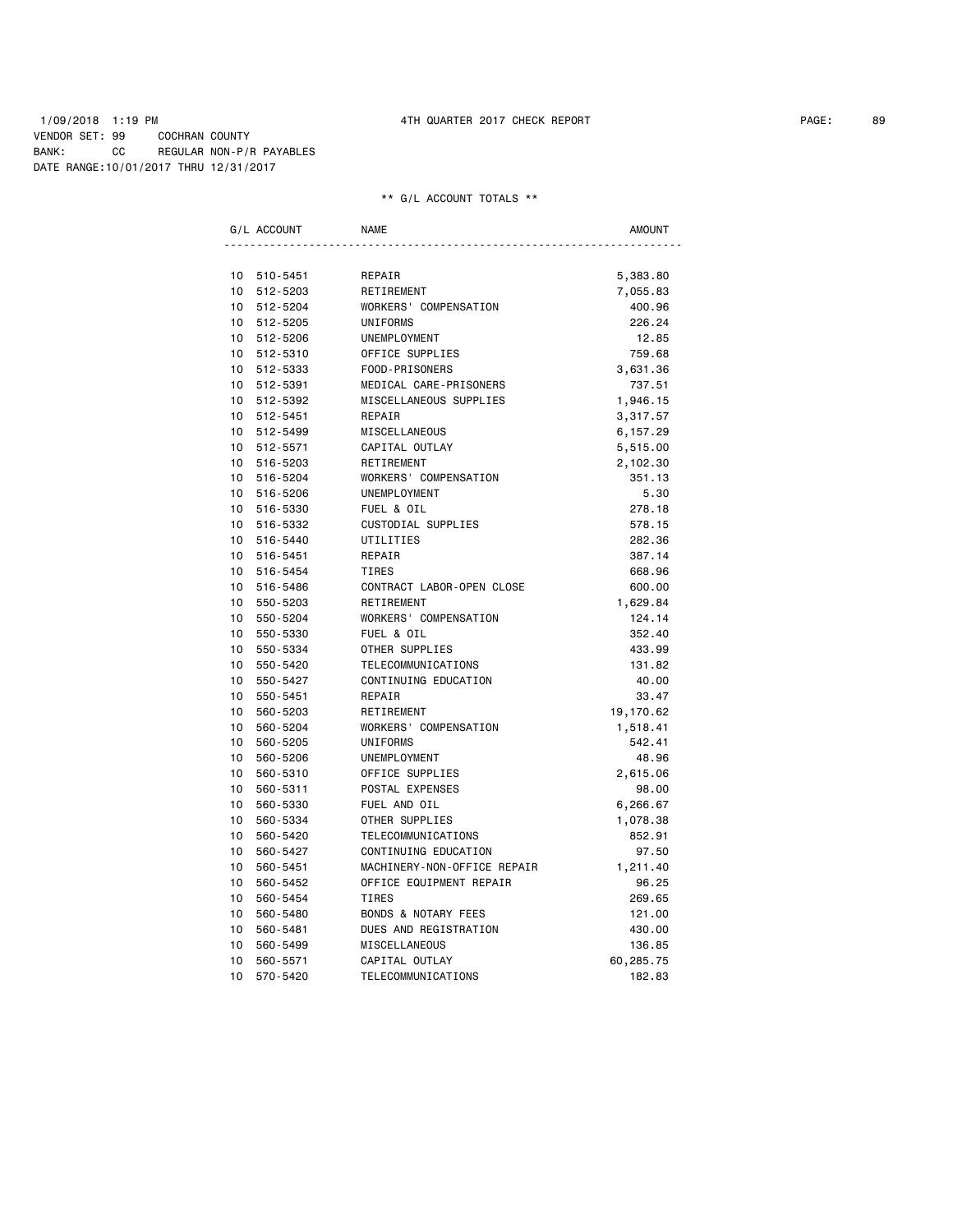### 1/09/2018 1:19 PM 4TH QUARTER 2017 CHECK REPORT PAGE: 89 VENDOR SET: 99 COCHRAN COUNTY BANK: CC REGULAR NON-P/R PAYABLES DATE RANGE:10/01/2017 THRU 12/31/2017

|                 | G/L ACCOUNT | <b>NAME</b>                    | <b>AMOUNT</b> |
|-----------------|-------------|--------------------------------|---------------|
|                 |             |                                |               |
|                 | 10 510-5451 | REPAIR                         | 5,383.80      |
| 10              | 512-5203    | RETIREMENT                     | 7,055.83      |
| 10 <sup>1</sup> | 512-5204    | WORKERS' COMPENSATION          | 400.96        |
| $10-10$         | 512-5205    | UNIFORMS                       | 226.24        |
|                 | 10 512-5206 | UNEMPLOYMENT                   | 12.85         |
|                 | 10 512-5310 | OFFICE SUPPLIES                | 759.68        |
|                 | 10 512-5333 | FOOD-PRISONERS                 | 3,631.36      |
|                 | 10 512-5391 | MEDICAL CARE-PRISONERS         | 737.51        |
|                 | 10 512-5392 | MISCELLANEOUS SUPPLIES         | 1,946.15      |
|                 | 10 512-5451 | REPAIR                         | 3,317.57      |
|                 | 10 512-5499 | MISCELLANEOUS                  | 6,157.29      |
|                 | 10 512-5571 | CAPITAL OUTLAY                 | 5,515.00      |
|                 | 10 516-5203 | RETIREMENT                     | 2,102.30      |
|                 | 10 516-5204 | WORKERS' COMPENSATION          | 351.13        |
|                 | 10 516-5206 | UNEMPLOYMENT                   | 5.30          |
| $10-10$         | 516-5330    | FUEL & OIL                     | 278.18        |
|                 | 10 516-5332 | CUSTODIAL SUPPLIES             | 578.15        |
|                 | 10 516-5440 | UTILITIES                      | 282.36        |
| $10-10$         | 516-5451    | REPAIR                         | 387.14        |
|                 | 10 516-5454 | TIRES                          | 668.96        |
| 10              | 516-5486    | CONTRACT LABOR-OPEN CLOSE      | 600.00        |
| 10              | 550-5203    | RETIREMENT                     | 1,629.84      |
| 10              | 550-5204    | WORKERS' COMPENSATION          | 124.14        |
| 10              | 550-5330    | FUEL & OIL                     | 352.40        |
| 10              | 550-5334    | OTHER SUPPLIES                 | 433.99        |
| 10              | 550-5420    | TELECOMMUNICATIONS             | 131.82        |
| 10              | 550-5427    | CONTINUING EDUCATION           | 40.00         |
| 10 <sup>1</sup> | 550-5451    | REPAIR                         | 33.47         |
| 10              | 560-5203    | RETIREMENT                     | 19,170.62     |
| 10              | 560-5204    | WORKERS' COMPENSATION          | 1,518.41      |
| 10              | 560-5205    | <b>UNIFORMS</b>                | 542.41        |
| 10              | 560-5206    | UNEMPLOYMENT                   | 48.96         |
| 10              | 560-5310    | OFFICE SUPPLIES                | 2,615.06      |
| 10              | 560-5311    | POSTAL EXPENSES                | 98.00         |
| 10              | 560-5330    | FUEL AND OIL                   | 6,266.67      |
| 10              | 560-5334    | OTHER SUPPLIES                 | 1,078.38      |
| 10              | 560-5420    | TELECOMMUNICATIONS             | 852.91        |
| 10              | 560-5427    | CONTINUING EDUCATION           | 97.50         |
| 10              | 560-5451    | MACHINERY-NON-OFFICE REPAIR    | 1,211.40      |
| 10              | 560-5452    | OFFICE EQUIPMENT REPAIR        | 96.25         |
| 10              | 560-5454    | <b>TIRES</b>                   | 269.65        |
| 10              | 560-5480    | <b>BONDS &amp; NOTARY FEES</b> | 121.00        |
| 10              | 560-5481    | DUES AND REGISTRATION          | 430.00        |
| 10              | 560-5499    | MISCELLANEOUS                  | 136.85        |
| 10              | 560-5571    | CAPITAL OUTLAY                 | 60,285.75     |
| 10              | 570-5420    | TELECOMMUNICATIONS             | 182.83        |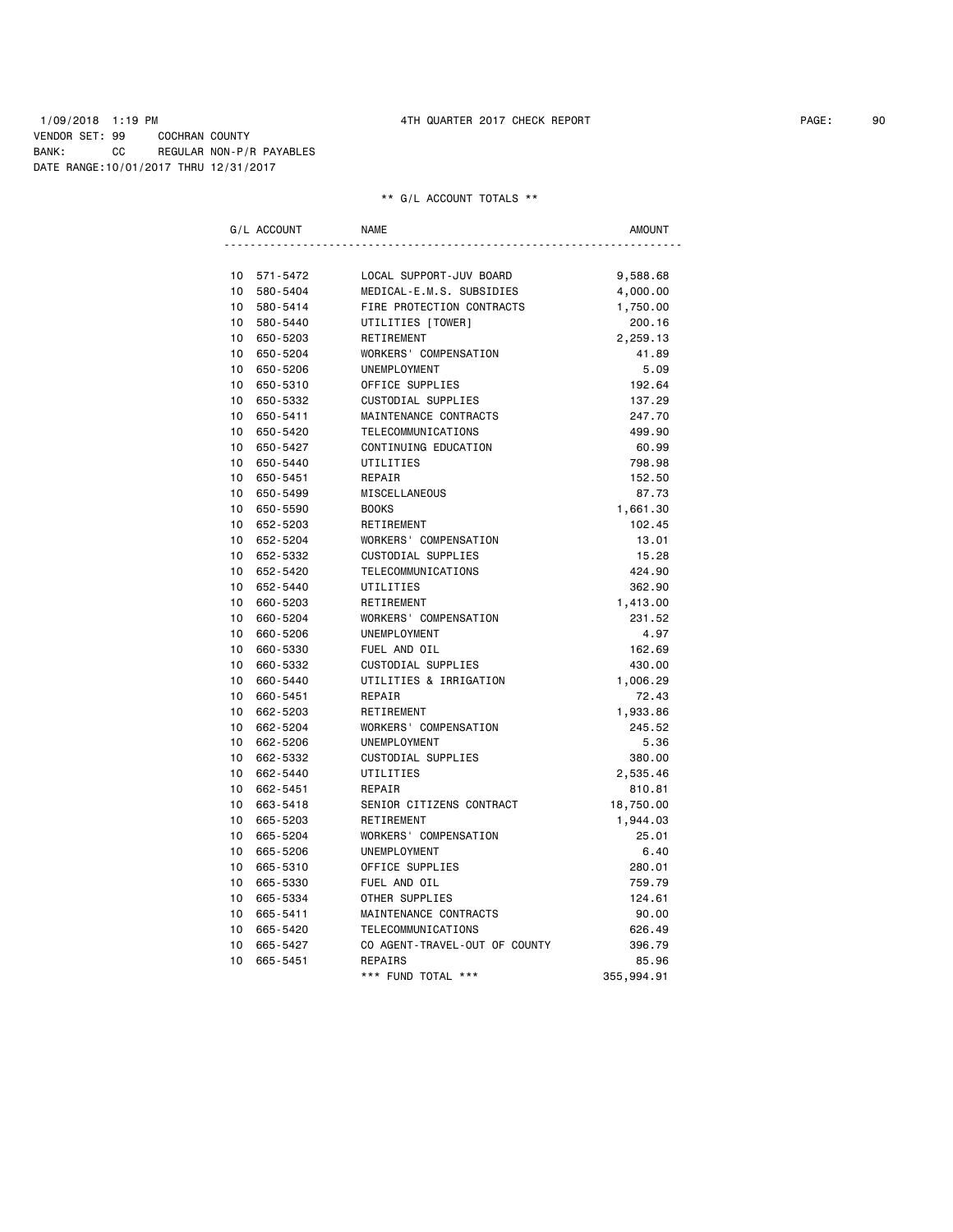### 1/09/2018 1:19 PM 4TH QUARTER 2017 CHECK REPORT PAGE: 90 VENDOR SET: 99 COCHRAN COUNTY BANK: CC REGULAR NON-P/R PAYABLES DATE RANGE:10/01/2017 THRU 12/31/2017

| G/L ACCOUNT                 | NAME                          | AMOUNT     |
|-----------------------------|-------------------------------|------------|
|                             |                               |            |
| 10 571-5472                 | LOCAL SUPPORT-JUV BOARD       | 9,588.68   |
| 10<br>580-5404              | MEDICAL-E.M.S. SUBSIDIES      | 4,000.00   |
| 10<br>580-5414              | FIRE PROTECTION CONTRACTS     | 1,750.00   |
| 10<br>580-5440              | UTILITIES [TOWER]             | 200.16     |
| 10 <sup>1</sup><br>650-5203 | RETIREMENT                    | 2,259.13   |
| $10-10$<br>650-5204         | WORKERS' COMPENSATION         | 41.89      |
| 10<br>650-5206              | UNEMPLOYMENT                  | 5.09       |
| 10<br>650-5310              | OFFICE SUPPLIES               | 192.64     |
| 10<br>650-5332              | CUSTODIAL SUPPLIES            | 137.29     |
| 10<br>650-5411              | MAINTENANCE CONTRACTS         | 247.70     |
| 10<br>650-5420              | TELECOMMUNICATIONS            | 499.90     |
| 10<br>650-5427              | CONTINUING EDUCATION          | 60.99      |
| 10 <sup>1</sup><br>650-5440 | UTILITIES                     | 798.98     |
| $10-10$<br>650-5451         | REPAIR                        | 152.50     |
| 10 <sup>1</sup><br>650-5499 | MISCELLANEOUS                 | 87.73      |
| 10<br>650-5590              | <b>BOOKS</b>                  | 1,661.30   |
| 10<br>652-5203              | RETIREMENT                    | 102.45     |
| 10<br>652-5204              | WORKERS' COMPENSATION         | 13.01      |
| 10 652-5332                 | CUSTODIAL SUPPLIES            | 15.28      |
| 10 <sup>1</sup><br>652-5420 | TELECOMMUNICATIONS            | 424.90     |
| 10 652-5440                 | UTILITIES                     | 362.90     |
| 10 <sup>1</sup><br>660-5203 | RETIREMENT                    | 1,413.00   |
| 10<br>660-5204              | WORKERS' COMPENSATION         | 231.52     |
| 10<br>660-5206              | UNEMPLOYMENT                  | 4.97       |
| 10 <sup>1</sup><br>660-5330 | FUEL AND OIL                  | 162.69     |
| 10<br>660-5332              | CUSTODIAL SUPPLIES            | 430.00     |
| 10<br>660-5440              | UTILITIES & IRRIGATION        | 1,006.29   |
| 10<br>660-5451              | REPAIR                        | 72.43      |
| 10<br>662-5203              | RETIREMENT                    | 1,933.86   |
| 10<br>662-5204              | WORKERS' COMPENSATION         | 245.52     |
| 10 <sup>1</sup><br>662-5206 | UNEMPLOYMENT                  | 5.36       |
| $10-10$<br>662-5332         | CUSTODIAL SUPPLIES            | 380.00     |
| 10<br>662-5440              | UTILITIES                     | 2,535.46   |
| 10<br>662-5451              | REPAIR                        | 810.81     |
| 10<br>663-5418              | SENIOR CITIZENS CONTRACT      | 18,750.00  |
| 10<br>665-5203              | RETIREMENT                    | 1,944.03   |
| 10<br>665-5204              | WORKERS' COMPENSATION         | 25.01      |
| 10<br>665-5206              | UNEMPLOYMENT                  | 6.40       |
| 10 <sup>1</sup><br>665-5310 | OFFICE SUPPLIES               | 280.01     |
| 10<br>665-5330              | FUEL AND OIL                  | 759.79     |
| 10<br>665-5334              | OTHER SUPPLIES                | 124.61     |
| 10<br>665-5411              | MAINTENANCE CONTRACTS         | 90.00      |
| 10<br>665-5420              | TELECOMMUNICATIONS            | 626.49     |
| 10<br>665-5427              | CO AGENT-TRAVEL-OUT OF COUNTY | 396.79     |
| 10 <sup>1</sup><br>665-5451 | <b>REPAIRS</b>                | 85.96      |
|                             | *** FUND TOTAL ***            | 355,994.91 |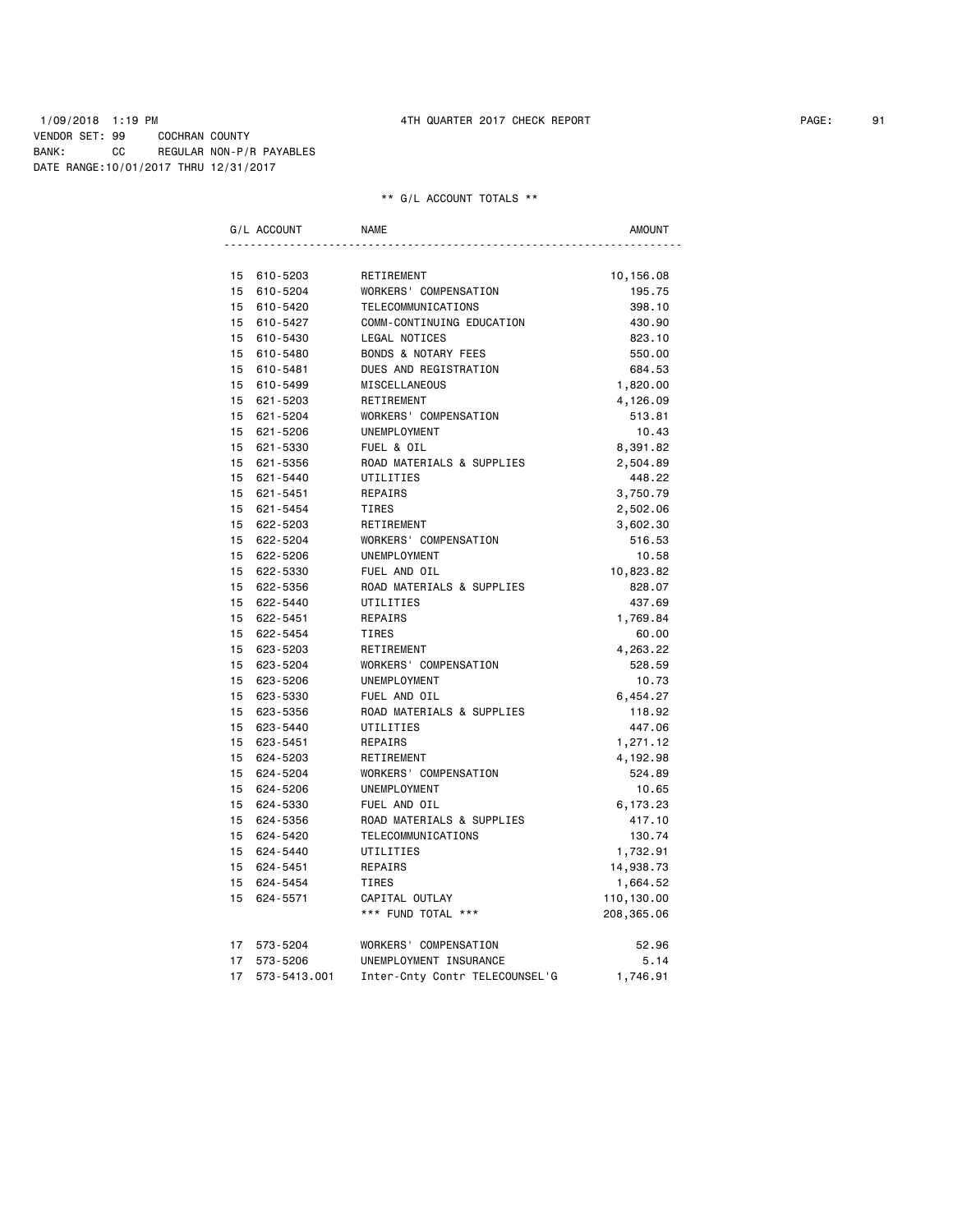### 1/09/2018 1:19 PM 4TH QUARTER 2017 CHECK REPORT PAGE: 91 VENDOR SET: 99 COCHRAN COUNTY BANK: CC REGULAR NON-P/R PAYABLES DATE RANGE:10/01/2017 THRU 12/31/2017

|                 | G/L ACCOUNT  | <b>NAME</b>                    | <b>AMOUNT</b> |
|-----------------|--------------|--------------------------------|---------------|
|                 |              |                                |               |
|                 | 15 610-5203  | RETIREMENT                     | 10,156.08     |
| 15              | 610-5204     | WORKERS' COMPENSATION          | 195.75        |
|                 | 15 610-5420  | TELECOMMUNICATIONS             | 398.10        |
|                 | 15 610-5427  | COMM-CONTINUING EDUCATION      | 430.90        |
|                 | 15 610-5430  | LEGAL NOTICES                  | 823.10        |
|                 | 15 610-5480  | <b>BONDS &amp; NOTARY FEES</b> | 550.00        |
|                 | 15 610-5481  | DUES AND REGISTRATION          | 684.53        |
| 15              | 610-5499     | MISCELLANEOUS                  | 1,820.00      |
| 15              | 621-5203     | RETIREMENT                     | 4,126.09      |
|                 | 15 621-5204  | WORKERS' COMPENSATION          | 513.81        |
|                 | 15 621-5206  | UNEMPLOYMENT                   | 10.43         |
|                 | 15 621-5330  | FUEL & OIL                     | 8,391.82      |
|                 | 15 621-5356  | ROAD MATERIALS & SUPPLIES      | 2,504.89      |
|                 | 15 621-5440  | UTILITIES                      | 448.22        |
|                 | 15 621-5451  | REPAIRS                        | 3,750.79      |
|                 | 15 621-5454  | TIRES                          | 2,502.06      |
|                 | 15 622-5203  | RETIREMENT                     | 3,602.30      |
|                 | 15 622-5204  | WORKERS' COMPENSATION          | 516.53        |
| 15              | 622-5206     | UNEMPLOYMENT                   | 10.58         |
| 15              | 622-5330     | FUEL AND OIL                   | 10,823.82     |
|                 | 15 622-5356  | ROAD MATERIALS & SUPPLIES      | 828.07        |
| 15              | 622-5440     | UTILITIES                      | 437.69        |
| 15              | 622-5451     | REPAIRS                        | 1,769.84      |
|                 | 15 622-5454  | <b>TIRES</b>                   | 60.00         |
| 15              | 623-5203     | RETIREMENT                     | 4,263.22      |
| 15 <sub>1</sub> | 623-5204     | WORKERS' COMPENSATION          | 528.59        |
| 15              | 623-5206     | UNEMPLOYMENT                   | 10.73         |
|                 | 15 623-5330  | FUEL AND OIL                   | 6,454.27      |
|                 | 15 623-5356  | ROAD MATERIALS & SUPPLIES      | 118.92        |
| 15              | 623-5440     | UTILITIES                      | 447.06        |
| 15              | 623-5451     | REPAIRS                        | 1,271.12      |
| 15              | 624-5203     | RETIREMENT                     | 4,192.98      |
| 15              | 624-5204     | WORKERS' COMPENSATION          | 524.89        |
|                 | 15 624-5206  | UNEMPLOYMENT                   | 10.65         |
|                 | 15 624-5330  | FUEL AND OIL                   | 6,173.23      |
|                 | 15 624-5356  | ROAD MATERIALS & SUPPLIES      | 417.10        |
|                 | 15 624-5420  | TELECOMMUNICATIONS             | 130.74        |
|                 | 15 624-5440  | UTILITIES                      | 1,732.91      |
|                 | 15 624-5451  | REPAIRS                        | 14,938.73     |
| 15              | 624-5454     | <b>TIRES</b>                   | 1,664.52      |
| 15              | 624-5571     | CAPITAL OUTLAY                 | 110,130.00    |
|                 |              | *** FUND TOTAL ***             | 208,365.06    |
| 17              | 573-5204     | WORKERS' COMPENSATION          | 52.96         |
| 17              | 573-5206     | UNEMPLOYMENT INSURANCE         | 5.14          |
| 17              | 573-5413.001 | Inter-Cnty Contr TELECOUNSEL'G | 1,746.91      |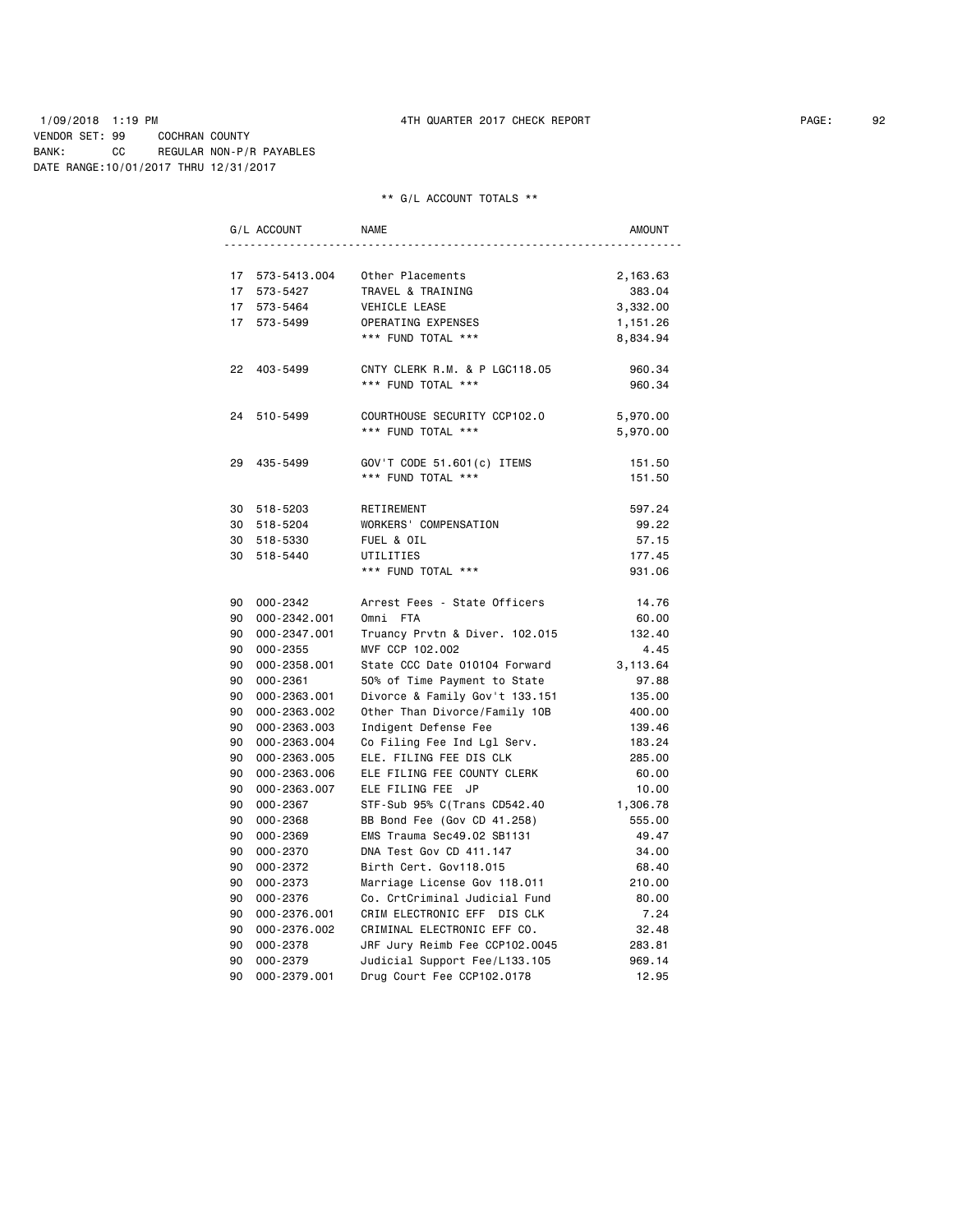1/09/2018 1:19 PM 4TH QUARTER 2017 CHECK REPORT PAGE: 92 VENDOR SET: 99 COCHRAN COUNTY BANK: CC REGULAR NON-P/R PAYABLES DATE RANGE:10/01/2017 THRU 12/31/2017

|                 | G/L ACCOUNT             | <b>NAME</b>                                           | AMOUNT          |
|-----------------|-------------------------|-------------------------------------------------------|-----------------|
|                 |                         |                                                       |                 |
|                 | 17 573-5413.004         | Other Placements                                      | 2,163.63        |
| 17              | 573-5427                | TRAVEL & TRAINING                                     | 383.04          |
|                 | 17 573-5464             | VEHICLE LEASE                                         | 3,332.00        |
| 17 <sup>7</sup> | 573-5499                | OPERATING EXPENSES                                    | 1,151.26        |
|                 |                         | *** FUND TOTAL ***                                    | 8,834.94        |
|                 |                         |                                                       |                 |
|                 | 22 403-5499             | CNTY CLERK R.M. & P LGC118.05                         | 960.34          |
|                 |                         | *** FUND TOTAL ***                                    | 960.34          |
|                 |                         |                                                       |                 |
|                 | 24 510-5499             | COURTHOUSE SECURITY CCP102.0                          | 5,970.00        |
|                 |                         | *** FUND TOTAL ***                                    | 5,970.00        |
|                 |                         |                                                       |                 |
|                 | 29 435-5499             | GOV'T CODE 51.601(c) ITEMS                            | 151.50          |
|                 |                         | *** FUND TOTAL ***                                    | 151.50          |
|                 |                         |                                                       |                 |
|                 | 30 518-5203             | RETIREMENT                                            | 597.24          |
|                 | 30 518-5204             | WORKERS' COMPENSATION                                 | 99.22           |
|                 | 30 518-5330             | FUEL & OIL                                            | 57.15           |
|                 | 30 518-5440             | UTILITIES                                             | 177.45          |
|                 |                         | *** FUND TOTAL ***                                    | 931.06          |
|                 |                         |                                                       |                 |
|                 | 90 000-2342             | Arrest Fees - State Officers                          | 14.76           |
|                 | 90 000-2342.001         | Omni FTA                                              | 60.00           |
| 90              | 000-2347.001            | Truancy Prvtn & Diver. 102.015                        | 132.40          |
|                 | 90 000-2355             | MVF CCP 102.002                                       | 4.45            |
| 90              | 000-2358.001            | State CCC Date 010104 Forward                         | 3,113.64        |
|                 | 90 000-2361             | 50% of Time Payment to State                          | 97.88           |
|                 | 90 000-2363.001         | Divorce & Family Gov't 133.151                        | 135.00          |
|                 | 90 000-2363.002         | Other Than Divorce/Family 10B                         | 400.00          |
| 90              | 000-2363.003            | Indigent Defense Fee                                  | 139.46          |
| 90              | 000-2363.004            | Co Filing Fee Ind Lgl Serv.                           | 183.24          |
| 90              | 000-2363.005            | ELE. FILING FEE DIS CLK                               | 285.00          |
| 90              | 000-2363.006            | ELE FILING FEE COUNTY CLERK                           | 60.00           |
| 90              | 000-2363.007            | ELE FILING FEE JP                                     | 10.00           |
| 90              | 000-2367                | STF-Sub 95% C(Trans CD542.40                          | 1,306.78        |
|                 | 90 000-2368             | BB Bond Fee (Gov CD 41.258)                           | 555.00          |
| 90              | 000-2369                | EMS Trauma Sec49.02 SB1131<br>DNA Test Gov CD 411.147 | 49.47           |
| 90              | 90 000-2370             | Birth Cert. Gov118.015                                | 34.00           |
|                 | 000-2372<br>90 000-2373 | Marriage License Gov 118.011                          | 68.40<br>210.00 |
| 90              | 000-2376                | Co. CrtCriminal Judicial Fund                         | 80.00           |
| 90              | 000-2376.001            | CRIM ELECTRONIC EFF DIS CLK                           | 7.24            |
| 90              | 000-2376.002            | CRIMINAL ELECTRONIC EFF CO.                           | 32.48           |
| 90              | 000-2378                | JRF Jury Reimb Fee CCP102.0045                        | 283.81          |
| 90              | 000-2379                | Judicial Support Fee/L133.105                         | 969.14          |
| 90              | 000-2379.001            | Drug Court Fee CCP102.0178                            | 12.95           |
|                 |                         |                                                       |                 |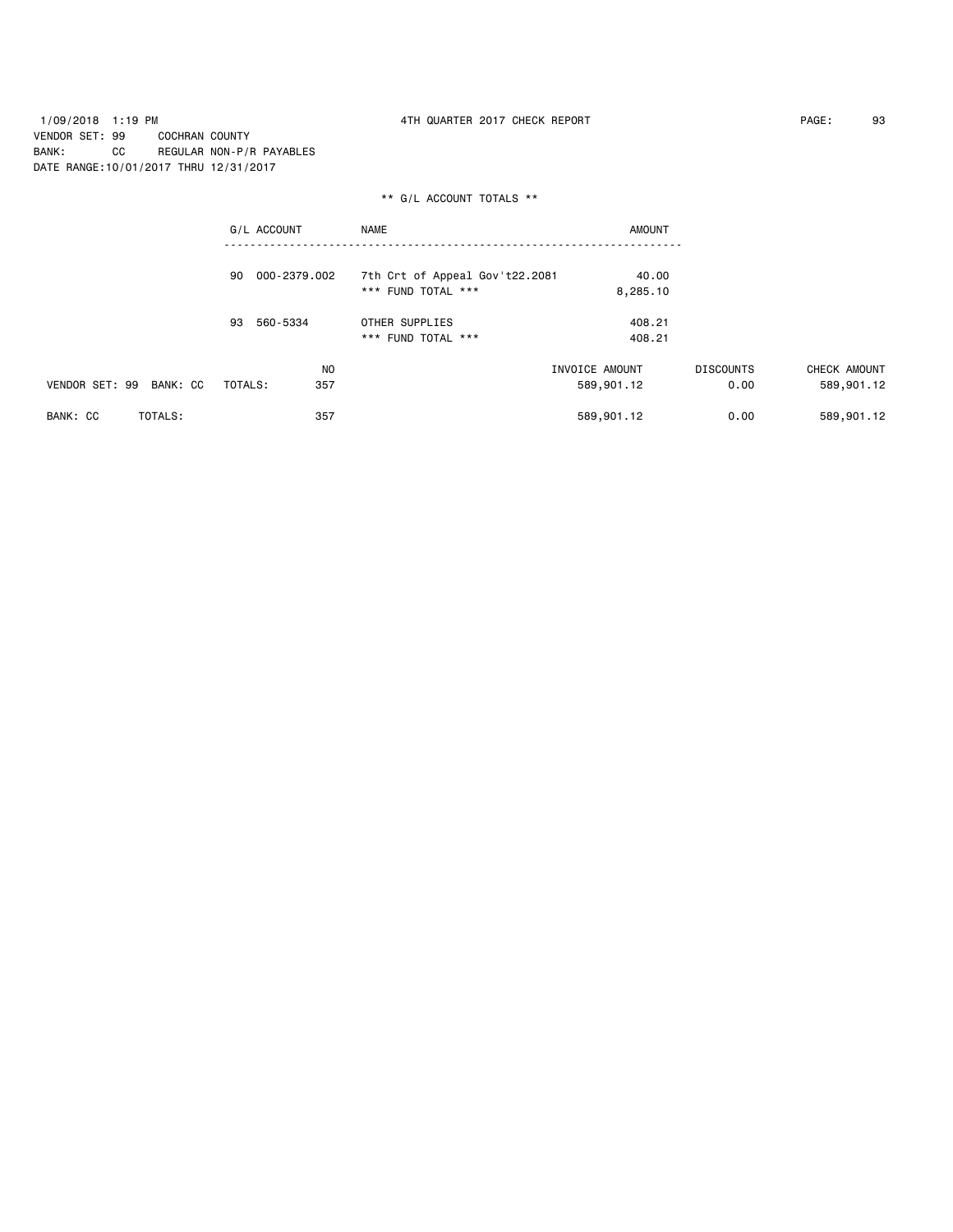1/09/2018 1:19 PM 4TH QUARTER 2017 CHECK REPORT PAGE: 93 VENDOR SET: 99 COCHRAN COUNTY BANK: CC REGULAR NON-P/R PAYABLES DATE RANGE:10/01/2017 THRU 12/31/2017

|                         | G/L ACCOUNT        | <b>NAME</b>                    | <b>AMOUNT</b>  |                  |              |
|-------------------------|--------------------|--------------------------------|----------------|------------------|--------------|
|                         | 000-2379.002<br>90 | 7th Crt of Appeal Gov't22.2081 | 40.00          |                  |              |
|                         |                    | *** FUND TOTAL ***             | 8,285.10       |                  |              |
|                         | 560-5334<br>93     | OTHER SUPPLIES                 | 408.21         |                  |              |
|                         |                    | *** FUND TOTAL ***             | 408.21         |                  |              |
|                         | <b>NO</b>          |                                | INVOICE AMOUNT | <b>DISCOUNTS</b> | CHECK AMOUNT |
| VENDOR SET: 99 BANK: CC | TOTALS:<br>357     |                                | 589,901.12     | 0.00             | 589,901.12   |
| BANK: CC<br>TOTALS:     | 357                |                                | 589,901.12     | 0.00             | 589,901.12   |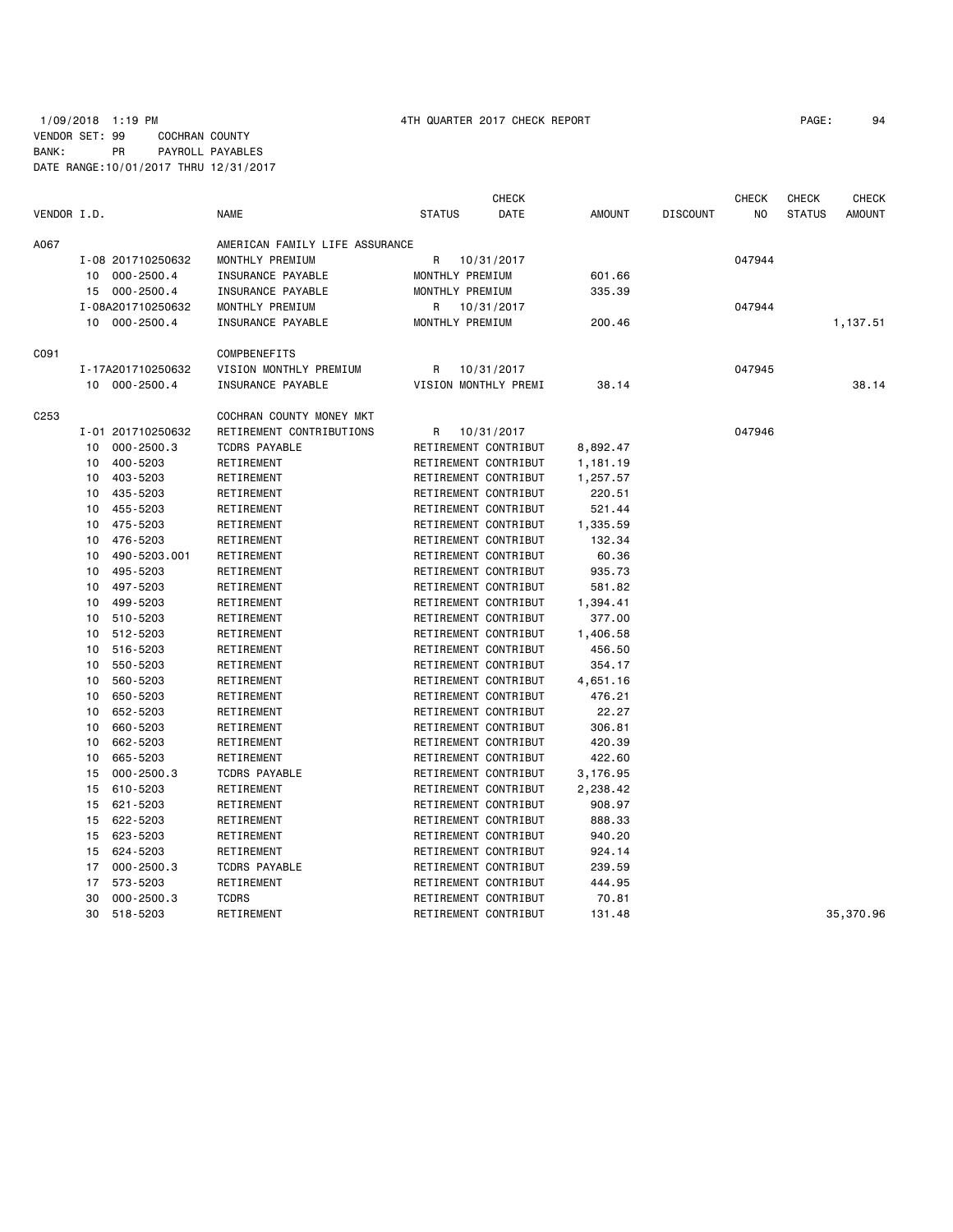## 1/09/2018 1:19 PM 4TH QUARTER 2017 CHECK REPORT PAGE: 94 VENDOR SET: 99 COCHRAN COUNTY BANK: PR PAYROLL PAYABLES DATE RANGE:10/01/2017 THRU 12/31/2017

|                  |    |                   |                                |                 | <b>CHECK</b>         |               |                 | <b>CHECK</b> | <b>CHECK</b>  | CHECK         |
|------------------|----|-------------------|--------------------------------|-----------------|----------------------|---------------|-----------------|--------------|---------------|---------------|
| VENDOR I.D.      |    |                   | <b>NAME</b>                    | <b>STATUS</b>   | DATE                 | <b>AMOUNT</b> | <b>DISCOUNT</b> | NO.          | <b>STATUS</b> | <b>AMOUNT</b> |
| A067             |    |                   | AMERICAN FAMILY LIFE ASSURANCE |                 |                      |               |                 |              |               |               |
|                  |    | I-08 201710250632 | MONTHLY PREMIUM                | R               | 10/31/2017           |               |                 | 047944       |               |               |
|                  |    | 10 000-2500.4     | INSURANCE PAYABLE              | MONTHLY PREMIUM |                      | 601.66        |                 |              |               |               |
|                  |    | 15 000-2500.4     | INSURANCE PAYABLE              | MONTHLY PREMIUM |                      | 335.39        |                 |              |               |               |
|                  |    | I-08A201710250632 | MONTHLY PREMIUM                | R               | 10/31/2017           |               |                 | 047944       |               |               |
|                  |    | 10 000-2500.4     | INSURANCE PAYABLE              | MONTHLY PREMIUM |                      | 200.46        |                 |              |               | 1,137.51      |
| C091             |    |                   | COMPBENEFITS                   |                 |                      |               |                 |              |               |               |
|                  |    | I-17A201710250632 | VISION MONTHLY PREMIUM         | R               | 10/31/2017           |               |                 | 047945       |               |               |
|                  |    | 10 000-2500.4     | INSURANCE PAYABLE              |                 | VISION MONTHLY PREMI | 38.14         |                 |              |               | 38.14         |
| C <sub>253</sub> |    |                   | COCHRAN COUNTY MONEY MKT       |                 |                      |               |                 |              |               |               |
|                  |    | I-01 201710250632 | RETIREMENT CONTRIBUTIONS       | R               | 10/31/2017           |               |                 | 047946       |               |               |
|                  | 10 | 000-2500.3        | <b>TCDRS PAYABLE</b>           |                 | RETIREMENT CONTRIBUT | 8,892.47      |                 |              |               |               |
|                  | 10 | 400-5203          | RETIREMENT                     |                 | RETIREMENT CONTRIBUT | 1,181.19      |                 |              |               |               |
|                  | 10 | 403-5203          | RETIREMENT                     |                 | RETIREMENT CONTRIBUT | 1,257.57      |                 |              |               |               |
|                  |    | 10 435-5203       | RETIREMENT                     |                 | RETIREMENT CONTRIBUT | 220.51        |                 |              |               |               |
|                  | 10 | 455-5203          | RETIREMENT                     |                 | RETIREMENT CONTRIBUT | 521.44        |                 |              |               |               |
|                  | 10 | 475-5203          | RETIREMENT                     |                 | RETIREMENT CONTRIBUT | 1,335.59      |                 |              |               |               |
|                  | 10 | 476-5203          | RETIREMENT                     |                 | RETIREMENT CONTRIBUT | 132.34        |                 |              |               |               |
|                  | 10 | 490-5203.001      | RETIREMENT                     |                 | RETIREMENT CONTRIBUT | 60.36         |                 |              |               |               |
|                  | 10 | 495-5203          | RETIREMENT                     |                 | RETIREMENT CONTRIBUT | 935.73        |                 |              |               |               |
|                  | 10 | 497-5203          | RETIREMENT                     |                 | RETIREMENT CONTRIBUT | 581.82        |                 |              |               |               |
|                  | 10 | 499-5203          | RETIREMENT                     |                 | RETIREMENT CONTRIBUT | 1,394.41      |                 |              |               |               |
|                  | 10 | 510-5203          | RETIREMENT                     |                 | RETIREMENT CONTRIBUT | 377.00        |                 |              |               |               |
|                  | 10 | 512-5203          | RETIREMENT                     |                 | RETIREMENT CONTRIBUT | 1,406.58      |                 |              |               |               |
|                  | 10 | 516-5203          | RETIREMENT                     |                 | RETIREMENT CONTRIBUT | 456.50        |                 |              |               |               |
|                  | 10 | 550-5203          | RETIREMENT                     |                 | RETIREMENT CONTRIBUT | 354.17        |                 |              |               |               |
|                  | 10 | 560-5203          | RETIREMENT                     |                 | RETIREMENT CONTRIBUT | 4,651.16      |                 |              |               |               |
|                  | 10 | 650-5203          | RETIREMENT                     |                 | RETIREMENT CONTRIBUT | 476.21        |                 |              |               |               |
|                  | 10 | 652-5203          | RETIREMENT                     |                 | RETIREMENT CONTRIBUT | 22.27         |                 |              |               |               |
|                  | 10 | 660-5203          | RETIREMENT                     |                 | RETIREMENT CONTRIBUT | 306.81        |                 |              |               |               |
|                  | 10 | 662-5203          | RETIREMENT                     |                 | RETIREMENT CONTRIBUT | 420.39        |                 |              |               |               |
|                  | 10 | 665-5203          | RETIREMENT                     |                 | RETIREMENT CONTRIBUT | 422.60        |                 |              |               |               |
|                  | 15 | $000 - 2500.3$    | <b>TCDRS PAYABLE</b>           |                 | RETIREMENT CONTRIBUT | 3,176.95      |                 |              |               |               |
|                  | 15 | 610-5203          | RETIREMENT                     |                 | RETIREMENT CONTRIBUT | 2,238.42      |                 |              |               |               |
|                  | 15 | 621-5203          | RETIREMENT                     |                 | RETIREMENT CONTRIBUT | 908.97        |                 |              |               |               |
|                  | 15 | 622-5203          | RETIREMENT                     |                 | RETIREMENT CONTRIBUT | 888.33        |                 |              |               |               |
|                  | 15 | 623-5203          | RETIREMENT                     |                 | RETIREMENT CONTRIBUT | 940.20        |                 |              |               |               |
|                  | 15 | 624-5203          | RETIREMENT                     |                 | RETIREMENT CONTRIBUT | 924.14        |                 |              |               |               |
|                  | 17 | $000 - 2500.3$    | <b>TCDRS PAYABLE</b>           |                 | RETIREMENT CONTRIBUT | 239.59        |                 |              |               |               |
|                  | 17 | 573-5203          | RETIREMENT                     |                 | RETIREMENT CONTRIBUT | 444.95        |                 |              |               |               |
|                  | 30 | $000 - 2500.3$    | <b>TCDRS</b>                   |                 | RETIREMENT CONTRIBUT | 70.81         |                 |              |               |               |
|                  | 30 | 518-5203          | RETIREMENT                     |                 | RETIREMENT CONTRIBUT | 131.48        |                 |              |               | 35,370.96     |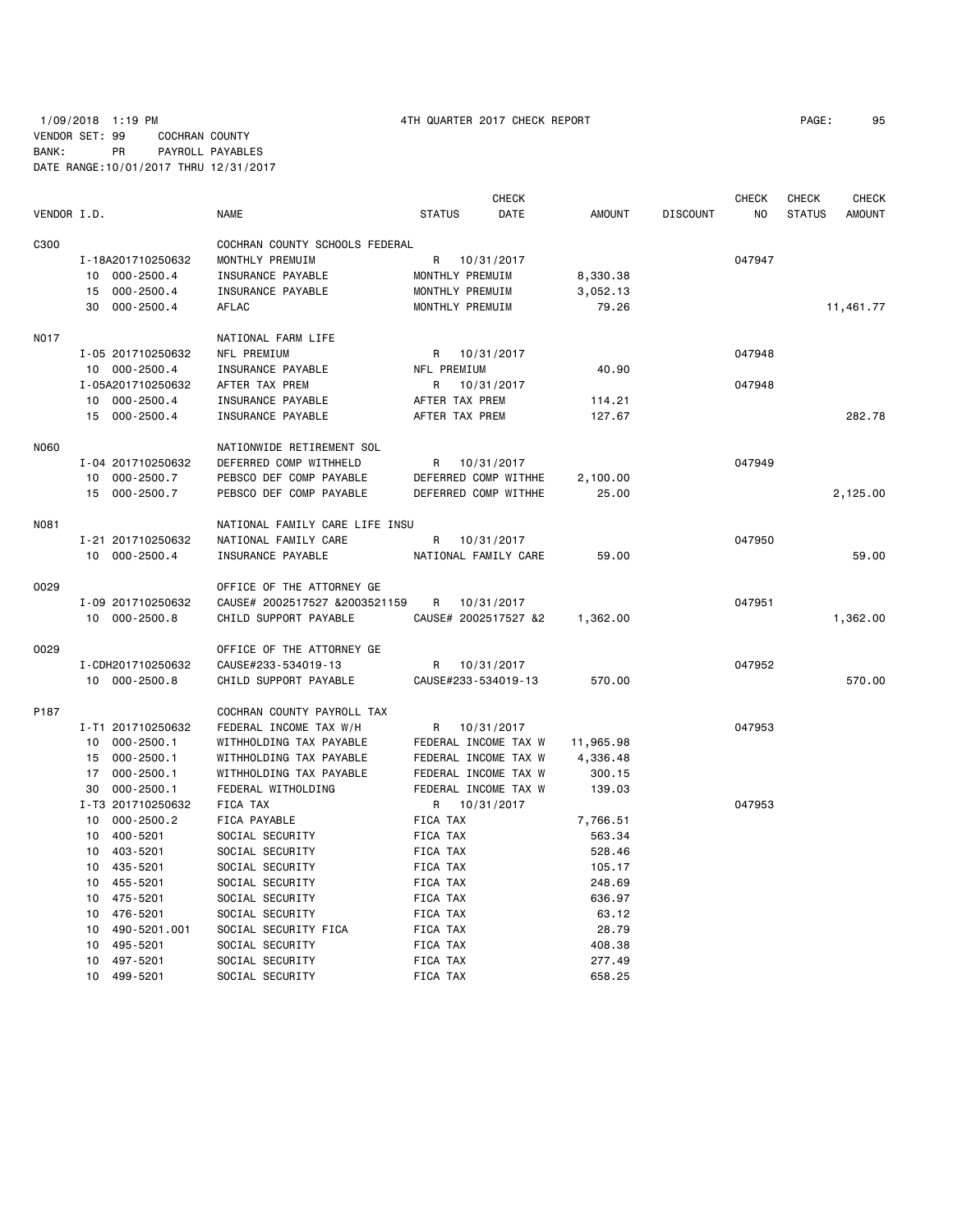# 1/09/2018 1:19 PM 4TH QUARTER 2017 CHECK REPORT PAGE: 95 VENDOR SET: 99 COCHRAN COUNTY BANK: PR PAYROLL PAYABLES DATE RANGE:10/01/2017 THRU 12/31/2017

|             |                    |                                |                      | <b>CHECK</b> |               |                 | <b>CHECK</b> | CHECK         | <b>CHECK</b>  |
|-------------|--------------------|--------------------------------|----------------------|--------------|---------------|-----------------|--------------|---------------|---------------|
| VENDOR I.D. |                    | <b>NAME</b>                    | <b>STATUS</b>        | DATE         | <b>AMOUNT</b> | <b>DISCOUNT</b> | NO           | <b>STATUS</b> | <b>AMOUNT</b> |
| C300        |                    | COCHRAN COUNTY SCHOOLS FEDERAL |                      |              |               |                 |              |               |               |
|             | I-18A201710250632  | MONTHLY PREMUIM                | 10/31/2017<br>R      |              |               |                 | 047947       |               |               |
|             | 10 000-2500.4      | INSURANCE PAYABLE              | MONTHLY PREMUIM      |              | 8,330.38      |                 |              |               |               |
|             | 15 000-2500.4      | INSURANCE PAYABLE              | MONTHLY PREMUIM      |              | 3,052.13      |                 |              |               |               |
|             | 30 000-2500.4      | <b>AFLAC</b>                   | MONTHLY PREMUIM      |              | 79.26         |                 |              |               | 11,461.77     |
|             |                    |                                |                      |              |               |                 |              |               |               |
| N017        |                    | NATIONAL FARM LIFE             |                      |              |               |                 |              |               |               |
|             | I-05 201710250632  | NFL PREMIUM                    | R 10/31/2017         |              |               |                 | 047948       |               |               |
|             | 10 000-2500.4      | INSURANCE PAYABLE              | NFL PREMIUM          |              | 40.90         |                 |              |               |               |
|             | I-05A201710250632  | AFTER TAX PREM                 | R                    | 10/31/2017   |               |                 | 047948       |               |               |
|             | 10 000-2500.4      | INSURANCE PAYABLE              | AFTER TAX PREM       |              | 114.21        |                 |              |               |               |
|             | 15 000-2500.4      | INSURANCE PAYABLE              | AFTER TAX PREM       |              | 127.67        |                 |              |               | 282.78        |
| <b>N060</b> |                    | NATIONWIDE RETIREMENT SOL      |                      |              |               |                 |              |               |               |
|             | I-04 201710250632  | DEFERRED COMP WITHHELD         | R<br>10/31/2017      |              |               |                 | 047949       |               |               |
|             | 10 000-2500.7      | PEBSCO DEF COMP PAYABLE        | DEFERRED COMP WITHHE |              | 2,100.00      |                 |              |               |               |
|             | 15 000-2500.7      | PEBSCO DEF COMP PAYABLE        | DEFERRED COMP WITHHE |              | 25.00         |                 |              |               | 2,125.00      |
| <b>N081</b> |                    | NATIONAL FAMILY CARE LIFE INSU |                      |              |               |                 |              |               |               |
|             | I-21 201710250632  | NATIONAL FAMILY CARE           | R                    | 10/31/2017   |               |                 | 047950       |               |               |
|             | 10 000-2500.4      | INSURANCE PAYABLE              | NATIONAL FAMILY CARE |              | 59.00         |                 |              |               | 59.00         |
|             |                    |                                |                      |              |               |                 |              |               |               |
| 0029        |                    | OFFICE OF THE ATTORNEY GE      |                      |              |               |                 |              |               |               |
|             | I-09 201710250632  | CAUSE# 2002517527 &2003521159  | R                    | 10/31/2017   |               |                 | 047951       |               |               |
|             | 10 000-2500.8      | CHILD SUPPORT PAYABLE          | CAUSE# 2002517527 &2 |              | 1,362.00      |                 |              |               | 1,362.00      |
| 0029        |                    | OFFICE OF THE ATTORNEY GE      |                      |              |               |                 |              |               |               |
|             | I-CDH201710250632  | CAUSE#233-534019-13            | R                    | 10/31/2017   |               |                 | 047952       |               |               |
|             | 10 000-2500.8      | CHILD SUPPORT PAYABLE          | CAUSE#233-534019-13  |              | 570.00        |                 |              |               | 570.00        |
| P187        |                    | COCHRAN COUNTY PAYROLL TAX     |                      |              |               |                 |              |               |               |
|             | I-T1 201710250632  | FEDERAL INCOME TAX W/H         | R                    | 10/31/2017   |               |                 | 047953       |               |               |
|             | 10 000-2500.1      | WITHHOLDING TAX PAYABLE        | FEDERAL INCOME TAX W |              | 11,965.98     |                 |              |               |               |
|             | 15 000-2500.1      | WITHHOLDING TAX PAYABLE        | FEDERAL INCOME TAX W |              | 4,336.48      |                 |              |               |               |
|             | 17 000-2500.1      | WITHHOLDING TAX PAYABLE        | FEDERAL INCOME TAX W |              | 300.15        |                 |              |               |               |
|             | 30 000-2500.1      | FEDERAL WITHOLDING             | FEDERAL INCOME TAX W |              | 139.03        |                 |              |               |               |
|             | I-T3 201710250632  | FICA TAX                       | R 10/31/2017         |              |               |                 | 047953       |               |               |
|             | 10 000-2500.2      | FICA PAYABLE                   | FICA TAX             |              | 7,766.51      |                 |              |               |               |
|             | 10 400-5201        | SOCIAL SECURITY                | FICA TAX             |              | 563.34        |                 |              |               |               |
|             | 10 403-5201        | SOCIAL SECURITY                | FICA TAX             |              | 528.46        |                 |              |               |               |
|             | 10 435-5201        | SOCIAL SECURITY                | FICA TAX             |              | 105.17        |                 |              |               |               |
|             | 10 455-5201        | SOCIAL SECURITY                | FICA TAX             |              | 248.69        |                 |              |               |               |
|             | 10 475-5201        | SOCIAL SECURITY                | FICA TAX             |              | 636.97        |                 |              |               |               |
|             | 10 476-5201        | SOCIAL SECURITY                | FICA TAX             |              | 63.12         |                 |              |               |               |
|             | 490-5201.001<br>10 | SOCIAL SECURITY FICA           | FICA TAX             |              | 28.79         |                 |              |               |               |
|             | 10<br>495-5201     | SOCIAL SECURITY                | FICA TAX             |              | 408.38        |                 |              |               |               |
|             | 497-5201<br>10     | SOCIAL SECURITY                | FICA TAX             |              | 277.49        |                 |              |               |               |
|             | 10 499-5201        | SOCIAL SECURITY                | <b>FICA TAX</b>      |              | 658.25        |                 |              |               |               |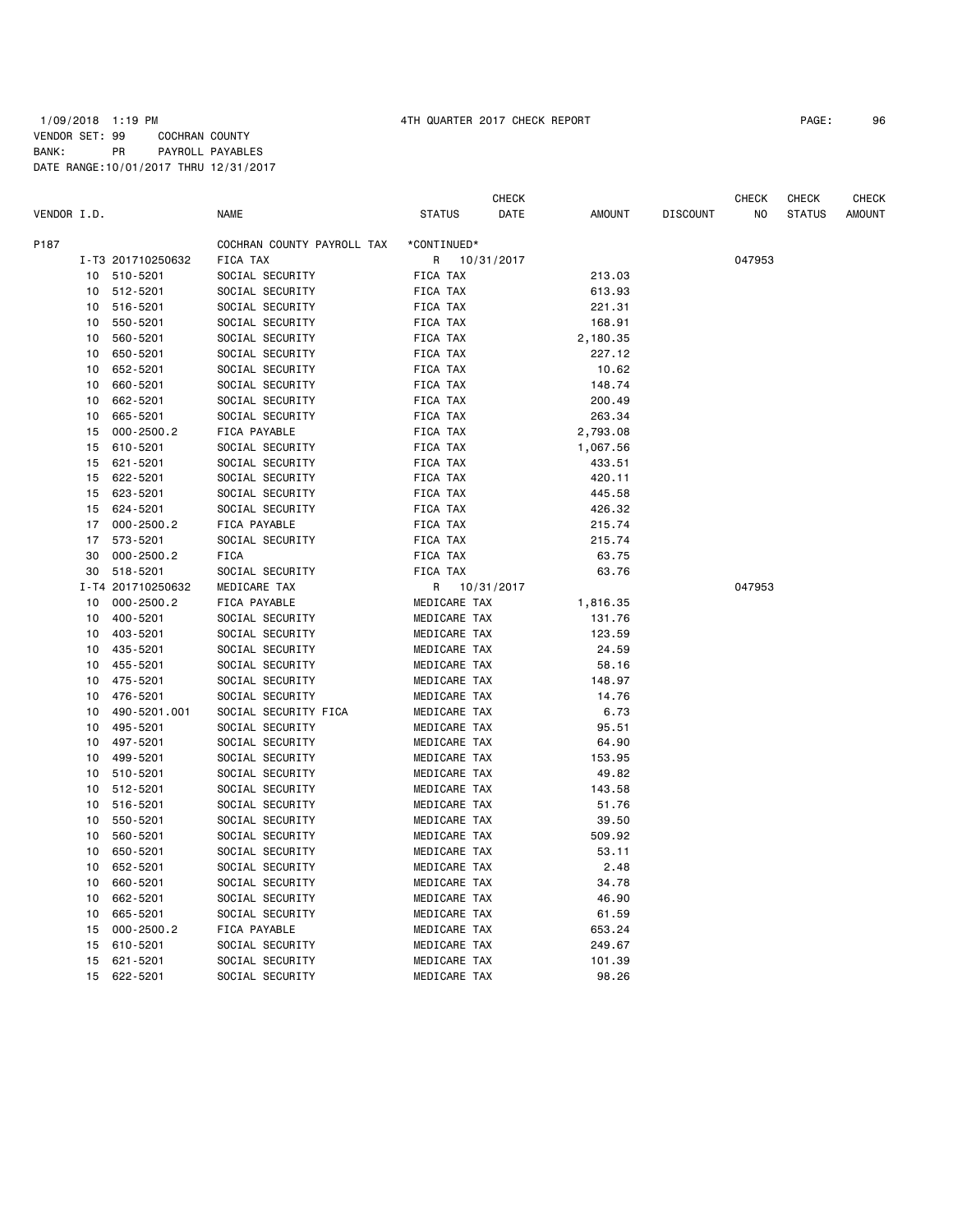|             |    |                   |                            |                 | <b>CHECK</b> |               |                 | <b>CHECK</b> | <b>CHECK</b>  | <b>CHECK</b>  |
|-------------|----|-------------------|----------------------------|-----------------|--------------|---------------|-----------------|--------------|---------------|---------------|
| VENDOR I.D. |    |                   | <b>NAME</b>                | <b>STATUS</b>   | DATE         | <b>AMOUNT</b> | <b>DISCOUNT</b> | NO.          | <b>STATUS</b> | <b>AMOUNT</b> |
| P187        |    |                   | COCHRAN COUNTY PAYROLL TAX | *CONTINUED*     |              |               |                 |              |               |               |
|             |    | I-T3 201710250632 | FICA TAX                   | R               | 10/31/2017   |               |                 | 047953       |               |               |
|             | 10 | 510-5201          | SOCIAL SECURITY            | FICA TAX        |              | 213.03        |                 |              |               |               |
|             | 10 | 512-5201          | SOCIAL SECURITY            | <b>FICA TAX</b> |              | 613.93        |                 |              |               |               |
|             | 10 | 516-5201          | SOCIAL SECURITY            | FICA TAX        |              | 221.31        |                 |              |               |               |
|             | 10 | 550-5201          | SOCIAL SECURITY            | FICA TAX        |              | 168.91        |                 |              |               |               |
|             | 10 | 560-5201          | SOCIAL SECURITY            | FICA TAX        |              | 2,180.35      |                 |              |               |               |
|             | 10 | 650-5201          | SOCIAL SECURITY            | FICA TAX        |              | 227.12        |                 |              |               |               |
|             | 10 | 652-5201          | SOCIAL SECURITY            | FICA TAX        |              | 10.62         |                 |              |               |               |
|             | 10 | 660-5201          | SOCIAL SECURITY            | FICA TAX        |              | 148.74        |                 |              |               |               |
|             | 10 | 662-5201          | SOCIAL SECURITY            | FICA TAX        |              | 200.49        |                 |              |               |               |
|             | 10 | 665-5201          | SOCIAL SECURITY            | FICA TAX        |              | 263.34        |                 |              |               |               |
|             | 15 | $000 - 2500.2$    | FICA PAYABLE               | FICA TAX        |              | 2,793.08      |                 |              |               |               |
|             | 15 | 610-5201          | SOCIAL SECURITY            | FICA TAX        |              | 1,067.56      |                 |              |               |               |
|             |    | 621-5201          |                            | FICA TAX        |              |               |                 |              |               |               |
|             | 15 |                   | SOCIAL SECURITY            |                 |              | 433.51        |                 |              |               |               |
|             | 15 | 622-5201          | SOCIAL SECURITY            | FICA TAX        |              | 420.11        |                 |              |               |               |
|             | 15 | 623-5201          | SOCIAL SECURITY            | FICA TAX        |              | 445.58        |                 |              |               |               |
|             | 15 | 624-5201          | SOCIAL SECURITY            | FICA TAX        |              | 426.32        |                 |              |               |               |
|             | 17 | 000-2500.2        | FICA PAYABLE               | FICA TAX        |              | 215.74        |                 |              |               |               |
|             | 17 | 573-5201          | SOCIAL SECURITY            | FICA TAX        |              | 215.74        |                 |              |               |               |
|             | 30 | $000 - 2500.2$    | <b>FICA</b>                | FICA TAX        |              | 63.75         |                 |              |               |               |
|             | 30 | 518-5201          | SOCIAL SECURITY            | FICA TAX        |              | 63.76         |                 |              |               |               |
|             |    | I-T4 201710250632 | MEDICARE TAX               | R               | 10/31/2017   |               |                 | 047953       |               |               |
|             | 10 | $000 - 2500.2$    | FICA PAYABLE               | MEDICARE TAX    |              | 1,816.35      |                 |              |               |               |
|             | 10 | 400-5201          | SOCIAL SECURITY            | MEDICARE TAX    |              | 131.76        |                 |              |               |               |
|             | 10 | 403-5201          | SOCIAL SECURITY            | MEDICARE TAX    |              | 123.59        |                 |              |               |               |
|             | 10 | 435-5201          | SOCIAL SECURITY            | MEDICARE TAX    |              | 24.59         |                 |              |               |               |
|             | 10 | 455-5201          | SOCIAL SECURITY            | MEDICARE TAX    |              | 58.16         |                 |              |               |               |
|             | 10 | 475-5201          | SOCIAL SECURITY            | MEDICARE TAX    |              | 148.97        |                 |              |               |               |
|             | 10 | 476-5201          | SOCIAL SECURITY            | MEDICARE TAX    |              | 14.76         |                 |              |               |               |
|             | 10 | 490-5201.001      | SOCIAL SECURITY FICA       | MEDICARE TAX    |              | 6.73          |                 |              |               |               |
|             | 10 | 495-5201          | SOCIAL SECURITY            | MEDICARE TAX    |              | 95.51         |                 |              |               |               |
|             | 10 | 497-5201          | SOCIAL SECURITY            | MEDICARE TAX    |              | 64.90         |                 |              |               |               |
|             | 10 | 499-5201          | SOCIAL SECURITY            | MEDICARE TAX    |              | 153.95        |                 |              |               |               |
|             | 10 | 510-5201          | SOCIAL SECURITY            | MEDICARE TAX    |              | 49.82         |                 |              |               |               |
|             | 10 | 512-5201          | SOCIAL SECURITY            | MEDICARE TAX    |              | 143.58        |                 |              |               |               |
|             | 10 | 516-5201          | SOCIAL SECURITY            | MEDICARE TAX    |              | 51.76         |                 |              |               |               |
|             | 10 | 550-5201          | SOCIAL SECURITY            | MEDICARE TAX    |              | 39.50         |                 |              |               |               |
|             | 10 | 560-5201          | SOCIAL SECURITY            | MEDICARE TAX    |              | 509.92        |                 |              |               |               |
|             | 10 | 650-5201          | SOCIAL SECURITY            | MEDICARE TAX    |              | 53.11         |                 |              |               |               |
|             | 10 | 652-5201          | SOCIAL SECURITY            | MEDICARE TAX    |              | 2.48          |                 |              |               |               |
|             | 10 | 660-5201          | SOCIAL SECURITY            | MEDICARE TAX    |              | 34.78         |                 |              |               |               |
|             | 10 | 662-5201          | SOCIAL SECURITY            | MEDICARE TAX    |              | 46.90         |                 |              |               |               |
|             | 10 | 665-5201          | SOCIAL SECURITY            | MEDICARE TAX    |              | 61.59         |                 |              |               |               |
|             | 15 | $000 - 2500.2$    | FICA PAYABLE               | MEDICARE TAX    |              | 653.24        |                 |              |               |               |
|             | 15 | 610-5201          | SOCIAL SECURITY            | MEDICARE TAX    |              | 249.67        |                 |              |               |               |
|             | 15 | 621-5201          | SOCIAL SECURITY            | MEDICARE TAX    |              | 101.39        |                 |              |               |               |
|             | 15 | 622-5201          | SOCIAL SECURITY            | MEDICARE TAX    |              | 98.26         |                 |              |               |               |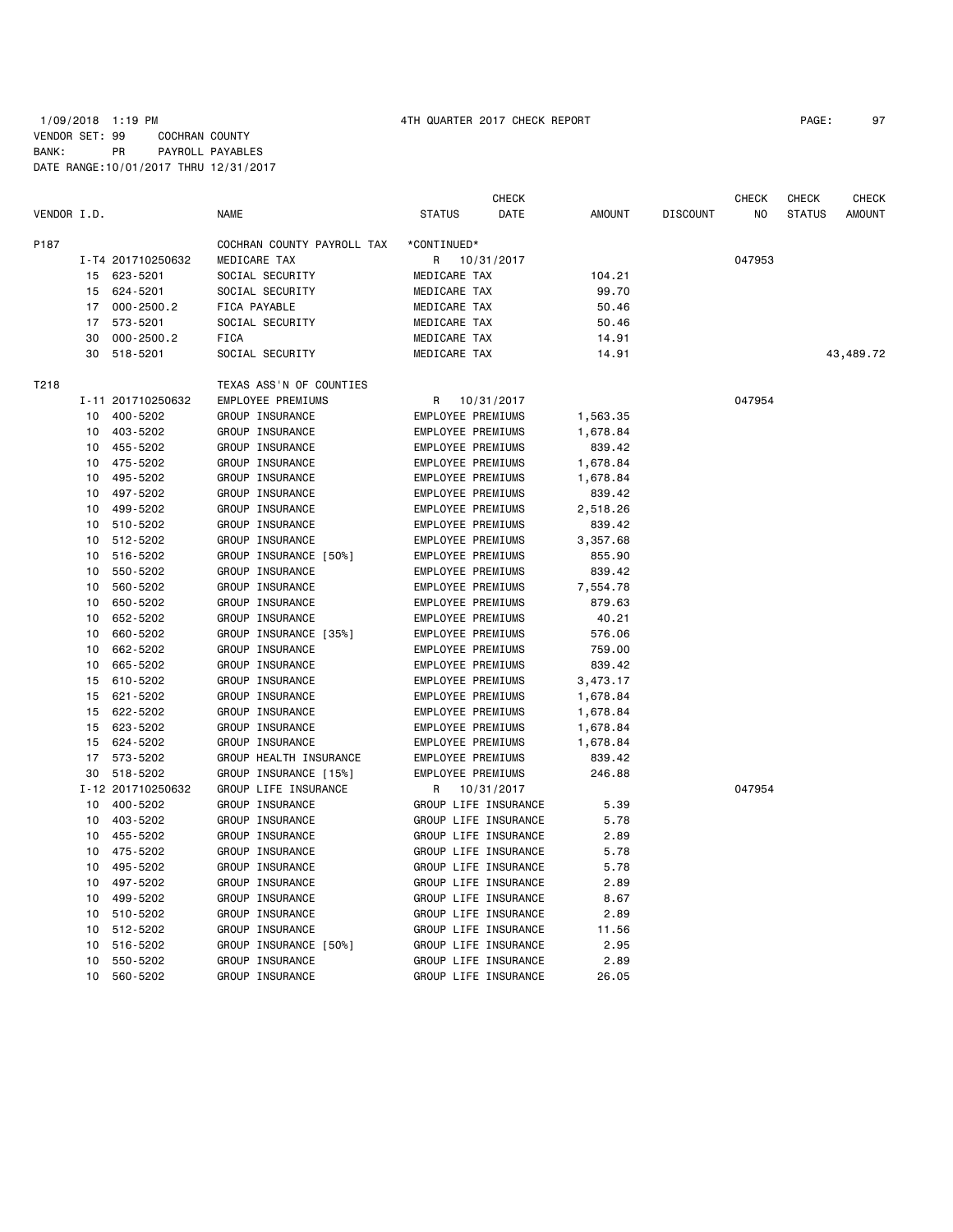|             |                 |                   |                            |                          | CHECK                |               |                 | CHECK  | CHECK         | CHECK     |
|-------------|-----------------|-------------------|----------------------------|--------------------------|----------------------|---------------|-----------------|--------|---------------|-----------|
| VENDOR I.D. |                 |                   | <b>NAME</b>                | <b>STATUS</b>            | DATE                 | <b>AMOUNT</b> | <b>DISCOUNT</b> | ΝO     | <b>STATUS</b> | AMOUNT    |
| P187        |                 |                   | COCHRAN COUNTY PAYROLL TAX | *CONTINUED*              |                      |               |                 |        |               |           |
|             |                 | I-T4 201710250632 | MEDICARE TAX               | R                        | 10/31/2017           |               |                 | 047953 |               |           |
|             |                 | 15 623-5201       | SOCIAL SECURITY            | MEDICARE TAX             |                      | 104.21        |                 |        |               |           |
|             |                 | 15 624-5201       | SOCIAL SECURITY            | MEDICARE TAX             |                      | 99.70         |                 |        |               |           |
|             |                 | 17 000-2500.2     | FICA PAYABLE               | MEDICARE TAX             |                      | 50.46         |                 |        |               |           |
|             | 17              | 573-5201          | SOCIAL SECURITY            | MEDICARE TAX             |                      | 50.46         |                 |        |               |           |
|             | 30              | $000 - 2500.2$    | <b>FICA</b>                | MEDICARE TAX             |                      | 14.91         |                 |        |               |           |
|             | 30              | 518-5201          | SOCIAL SECURITY            | MEDICARE TAX             |                      | 14.91         |                 |        |               | 43,489.72 |
| T218        |                 |                   | TEXAS ASS'N OF COUNTIES    |                          |                      |               |                 |        |               |           |
|             |                 | I-11 201710250632 | EMPLOYEE PREMIUMS          | R                        | 10/31/2017           |               |                 | 047954 |               |           |
|             | 10              | 400-5202          | GROUP INSURANCE            | <b>EMPLOYEE PREMIUMS</b> |                      | 1,563.35      |                 |        |               |           |
|             | 10              | 403-5202          | GROUP INSURANCE            | EMPLOYEE PREMIUMS        |                      | 1,678.84      |                 |        |               |           |
|             | 10              | 455-5202          | GROUP INSURANCE            | EMPLOYEE PREMIUMS        |                      | 839.42        |                 |        |               |           |
|             | 10              | 475-5202          | GROUP INSURANCE            | EMPLOYEE PREMIUMS        |                      | 1,678.84      |                 |        |               |           |
|             | 10              | 495-5202          | GROUP INSURANCE            | EMPLOYEE PREMIUMS        |                      | 1,678.84      |                 |        |               |           |
|             | 10              | 497-5202          | GROUP INSURANCE            | EMPLOYEE PREMIUMS        |                      | 839.42        |                 |        |               |           |
|             | 10              | 499-5202          | GROUP INSURANCE            | EMPLOYEE PREMIUMS        |                      | 2,518.26      |                 |        |               |           |
|             | 10              | 510-5202          | GROUP INSURANCE            | EMPLOYEE PREMIUMS        |                      | 839.42        |                 |        |               |           |
|             | 10              | 512-5202          | GROUP INSURANCE            | EMPLOYEE PREMIUMS        |                      | 3,357.68      |                 |        |               |           |
|             | 10              | 516-5202          | GROUP INSURANCE [50%]      | EMPLOYEE PREMIUMS        |                      | 855.90        |                 |        |               |           |
|             | 10              | 550-5202          | GROUP INSURANCE            | EMPLOYEE PREMIUMS        |                      | 839.42        |                 |        |               |           |
|             | 10              | 560-5202          | GROUP INSURANCE            | EMPLOYEE PREMIUMS        |                      | 7,554.78      |                 |        |               |           |
|             | 10              | 650-5202          | GROUP INSURANCE            | EMPLOYEE PREMIUMS        |                      | 879.63        |                 |        |               |           |
|             | 10              | 652-5202          | GROUP INSURANCE            | EMPLOYEE PREMIUMS        |                      | 40.21         |                 |        |               |           |
|             | 10              | 660-5202          | GROUP INSURANCE [35%]      | EMPLOYEE PREMIUMS        |                      | 576.06        |                 |        |               |           |
|             | 10              | 662-5202          | GROUP INSURANCE            | EMPLOYEE PREMIUMS        |                      | 759.00        |                 |        |               |           |
|             | 10              | 665-5202          | GROUP INSURANCE            | EMPLOYEE PREMIUMS        |                      | 839.42        |                 |        |               |           |
|             | 15              | 610-5202          | GROUP INSURANCE            | EMPLOYEE PREMIUMS        |                      | 3,473.17      |                 |        |               |           |
|             | 15              | 621-5202          | GROUP INSURANCE            | EMPLOYEE PREMIUMS        |                      | 1,678.84      |                 |        |               |           |
|             | 15              | 622-5202          | GROUP INSURANCE            | EMPLOYEE PREMIUMS        |                      | 1,678.84      |                 |        |               |           |
|             | 15              | 623-5202          | GROUP INSURANCE            | EMPLOYEE PREMIUMS        |                      | 1,678.84      |                 |        |               |           |
|             | 15              | 624-5202          | GROUP INSURANCE            | EMPLOYEE PREMIUMS        |                      | 1,678.84      |                 |        |               |           |
|             | 17              | 573-5202          | GROUP HEALTH INSURANCE     | EMPLOYEE PREMIUMS        |                      | 839.42        |                 |        |               |           |
|             | 30              | 518-5202          | GROUP INSURANCE [15%]      | EMPLOYEE PREMIUMS        |                      | 246.88        |                 |        |               |           |
|             |                 | I-12 201710250632 | GROUP LIFE INSURANCE       | R                        | 10/31/2017           |               |                 | 047954 |               |           |
|             | 10              | 400-5202          | GROUP INSURANCE            |                          | GROUP LIFE INSURANCE | 5.39          |                 |        |               |           |
|             | 10              | 403-5202          | GROUP INSURANCE            |                          | GROUP LIFE INSURANCE | 5.78          |                 |        |               |           |
|             | 10              | 455-5202          | GROUP INSURANCE            |                          | GROUP LIFE INSURANCE | 2.89          |                 |        |               |           |
|             | 10              | 475-5202          | GROUP INSURANCE            |                          | GROUP LIFE INSURANCE | 5.78          |                 |        |               |           |
|             | 10              | 495-5202          | GROUP INSURANCE            |                          | GROUP LIFE INSURANCE | 5.78          |                 |        |               |           |
|             | 10              | 497-5202          | GROUP INSURANCE            |                          | GROUP LIFE INSURANCE | 2.89          |                 |        |               |           |
|             | 10              | 499-5202          | GROUP INSURANCE            |                          | GROUP LIFE INSURANCE | 8.67          |                 |        |               |           |
|             | 10              | 510-5202          | GROUP INSURANCE            |                          | GROUP LIFE INSURANCE | 2.89          |                 |        |               |           |
|             | 10              | 512-5202          | GROUP INSURANCE            |                          | GROUP LIFE INSURANCE | 11.56         |                 |        |               |           |
|             | 10              | 516-5202          | GROUP INSURANCE [50%]      |                          | GROUP LIFE INSURANCE | 2.95          |                 |        |               |           |
|             | 10              | 550-5202          | GROUP INSURANCE            |                          | GROUP LIFE INSURANCE | 2.89          |                 |        |               |           |
|             | 10 <sup>1</sup> | 560-5202          | GROUP INSURANCE            |                          | GROUP LIFE INSURANCE | 26.05         |                 |        |               |           |
|             |                 |                   |                            |                          |                      |               |                 |        |               |           |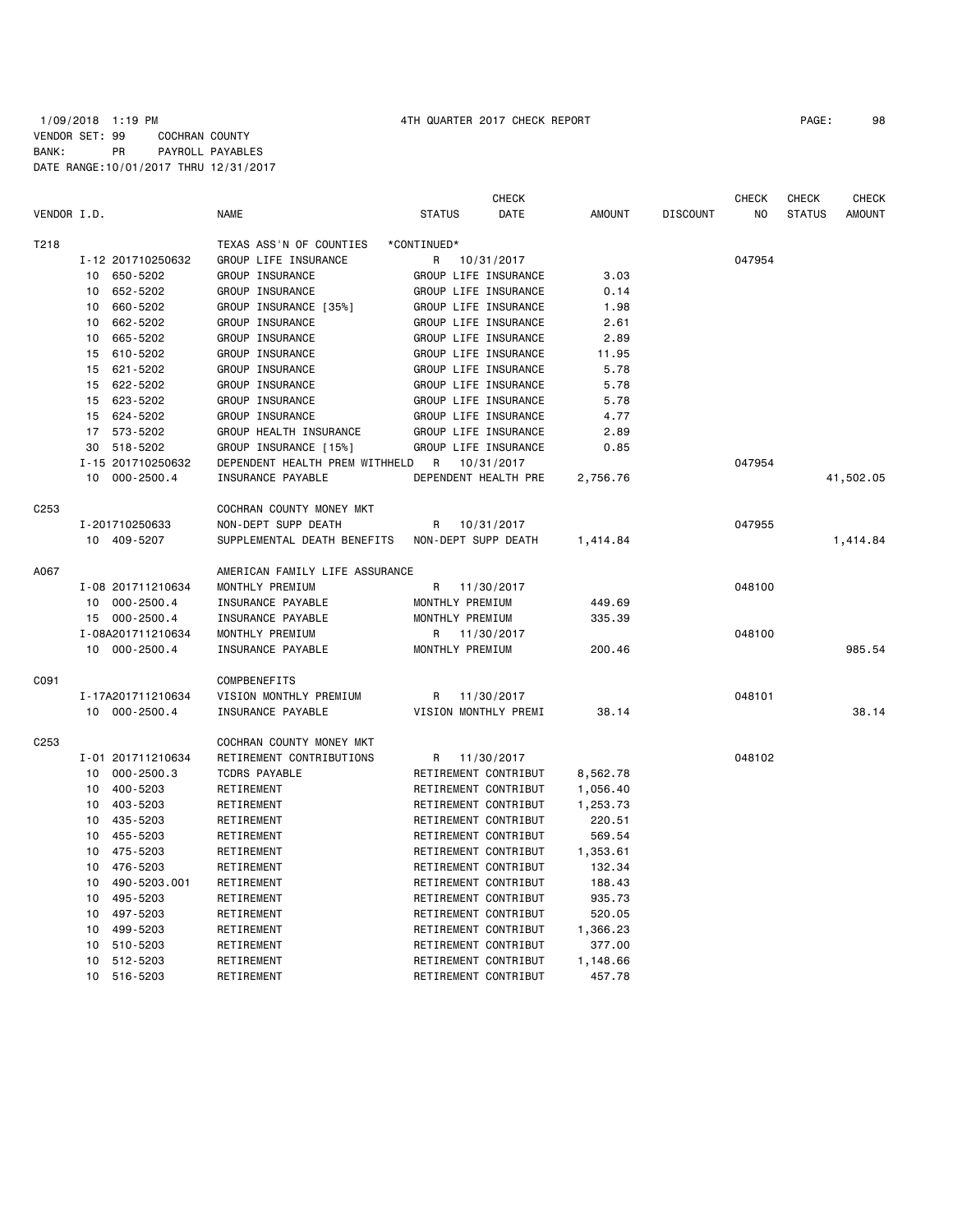### 1/09/2018 1:19 PM 4TH QUARTER 2017 CHECK REPORT PAGE: 98 VENDOR SET: 99 COCHRAN COUNTY BANK: PR PAYROLL PAYABLES DATE RANGE:10/01/2017 THRU 12/31/2017

|                  |                 |                   |                                |                 |                 | <b>CHECK</b>         |               |                 | <b>CHECK</b> | <b>CHECK</b>  | <b>CHECK</b>  |
|------------------|-----------------|-------------------|--------------------------------|-----------------|-----------------|----------------------|---------------|-----------------|--------------|---------------|---------------|
| VENDOR I.D.      |                 |                   | <b>NAME</b>                    | <b>STATUS</b>   |                 | DATE                 | <b>AMOUNT</b> | <b>DISCOUNT</b> | NO           | <b>STATUS</b> | <b>AMOUNT</b> |
| T218             |                 |                   | TEXAS ASS'N OF COUNTIES        | *CONTINUED*     |                 |                      |               |                 |              |               |               |
|                  |                 | I-12 201710250632 | GROUP LIFE INSURANCE           | R               |                 | 10/31/2017           |               |                 | 047954       |               |               |
|                  | 10              | 650-5202          | GROUP INSURANCE                |                 |                 | GROUP LIFE INSURANCE | 3.03          |                 |              |               |               |
|                  | 10              | 652-5202          | <b>GROUP INSURANCE</b>         |                 |                 | GROUP LIFE INSURANCE | 0.14          |                 |              |               |               |
|                  | 10              | 660-5202          | GROUP INSURANCE [35%]          |                 |                 | GROUP LIFE INSURANCE | 1.98          |                 |              |               |               |
|                  | 10              | 662-5202          | GROUP INSURANCE                |                 |                 | GROUP LIFE INSURANCE | 2.61          |                 |              |               |               |
|                  | 10              | 665-5202          | GROUP INSURANCE                |                 |                 | GROUP LIFE INSURANCE | 2.89          |                 |              |               |               |
|                  | 15              | 610-5202          | GROUP INSURANCE                |                 |                 | GROUP LIFE INSURANCE | 11.95         |                 |              |               |               |
|                  | 15              | 621-5202          | GROUP INSURANCE                |                 |                 | GROUP LIFE INSURANCE | 5.78          |                 |              |               |               |
|                  | 15              | 622-5202          | GROUP INSURANCE                |                 |                 | GROUP LIFE INSURANCE | 5.78          |                 |              |               |               |
|                  | 15              | 623-5202          | GROUP INSURANCE                |                 |                 | GROUP LIFE INSURANCE | 5.78          |                 |              |               |               |
|                  | 15              | 624-5202          | GROUP INSURANCE                |                 |                 | GROUP LIFE INSURANCE | 4.77          |                 |              |               |               |
|                  | 17              | 573-5202          | GROUP HEALTH INSURANCE         |                 |                 | GROUP LIFE INSURANCE | 2.89          |                 |              |               |               |
|                  | 30              | 518-5202          | GROUP INSURANCE [15%]          |                 |                 | GROUP LIFE INSURANCE | 0.85          |                 |              |               |               |
|                  |                 | I-15 201710250632 | DEPENDENT HEALTH PREM WITHHELD | R               |                 | 10/31/2017           |               |                 | 047954       |               |               |
|                  | 10 <sup>1</sup> | $000 - 2500.4$    | INSURANCE PAYABLE              |                 |                 | DEPENDENT HEALTH PRE | 2,756.76      |                 |              |               | 41,502.05     |
| C253             |                 |                   | COCHRAN COUNTY MONEY MKT       |                 |                 |                      |               |                 |              |               |               |
|                  |                 | I-201710250633    | NON-DEPT SUPP DEATH            | R               |                 | 10/31/2017           |               |                 | 047955       |               |               |
|                  |                 | 10 409-5207       | SUPPLEMENTAL DEATH BENEFITS    |                 |                 | NON-DEPT SUPP DEATH  | 1,414.84      |                 |              |               | 1,414.84      |
| A067             |                 |                   | AMERICAN FAMILY LIFE ASSURANCE |                 |                 |                      |               |                 |              |               |               |
|                  |                 | I-08 201711210634 | MONTHLY PREMIUM                | R               |                 | 11/30/2017           |               |                 | 048100       |               |               |
|                  |                 | 10 000-2500.4     | INSURANCE PAYABLE              |                 | MONTHLY PREMIUM |                      | 449.69        |                 |              |               |               |
|                  |                 | 15 000-2500.4     | INSURANCE PAYABLE              |                 | MONTHLY PREMIUM |                      | 335.39        |                 |              |               |               |
|                  |                 | I-08A201711210634 | MONTHLY PREMIUM                | R               |                 | 11/30/2017           |               |                 | 048100       |               |               |
|                  |                 | 10 000-2500.4     | INSURANCE PAYABLE              | MONTHLY PREMIUM |                 |                      | 200.46        |                 |              |               | 985.54        |
| C091             |                 |                   | <b>COMPBENEFITS</b>            |                 |                 |                      |               |                 |              |               |               |
|                  |                 | I-17A201711210634 | VISION MONTHLY PREMIUM         | R               |                 | 11/30/2017           |               |                 | 048101       |               |               |
|                  |                 | 10 000-2500.4     | INSURANCE PAYABLE              |                 |                 | VISION MONTHLY PREMI | 38.14         |                 |              |               | 38.14         |
| C <sub>253</sub> |                 |                   | COCHRAN COUNTY MONEY MKT       |                 |                 |                      |               |                 |              |               |               |
|                  |                 | I-01 201711210634 | RETIREMENT CONTRIBUTIONS       | R               |                 | 11/30/2017           |               |                 | 048102       |               |               |
|                  | 10              | $000 - 2500.3$    | <b>TCDRS PAYABLE</b>           |                 |                 | RETIREMENT CONTRIBUT | 8,562.78      |                 |              |               |               |
|                  | 10              | 400-5203          | RETIREMENT                     |                 |                 | RETIREMENT CONTRIBUT | 1,056.40      |                 |              |               |               |
|                  | 10              | 403-5203          | RETIREMENT                     |                 |                 | RETIREMENT CONTRIBUT | 1,253.73      |                 |              |               |               |
|                  | 10              | 435-5203          | RETIREMENT                     |                 |                 | RETIREMENT CONTRIBUT | 220.51        |                 |              |               |               |
|                  | 10              | 455-5203          | RETIREMENT                     |                 |                 | RETIREMENT CONTRIBUT | 569.54        |                 |              |               |               |
|                  | 10              | 475-5203          | RETIREMENT                     |                 |                 | RETIREMENT CONTRIBUT | 1,353.61      |                 |              |               |               |
|                  | 10              | 476-5203          | RETIREMENT                     |                 |                 | RETIREMENT CONTRIBUT | 132.34        |                 |              |               |               |
|                  | 10              | 490-5203.001      | RETIREMENT                     |                 |                 | RETIREMENT CONTRIBUT | 188.43        |                 |              |               |               |
|                  | 10              | 495-5203          | RETIREMENT                     |                 |                 | RETIREMENT CONTRIBUT | 935.73        |                 |              |               |               |
|                  | 10              | 497-5203          | RETIREMENT                     |                 |                 | RETIREMENT CONTRIBUT | 520.05        |                 |              |               |               |
|                  | 10              | 499-5203          | RETIREMENT                     |                 |                 | RETIREMENT CONTRIBUT | 1,366.23      |                 |              |               |               |
|                  | 10              | 510-5203          | RETIREMENT                     |                 |                 | RETIREMENT CONTRIBUT | 377.00        |                 |              |               |               |
|                  | 10 <sup>1</sup> | 512-5203          | RETIREMENT                     |                 |                 | RETIREMENT CONTRIBUT | 1,148.66      |                 |              |               |               |

10 516-5203 RETIREMENT RETIREMENT CONTRIBUT 457.78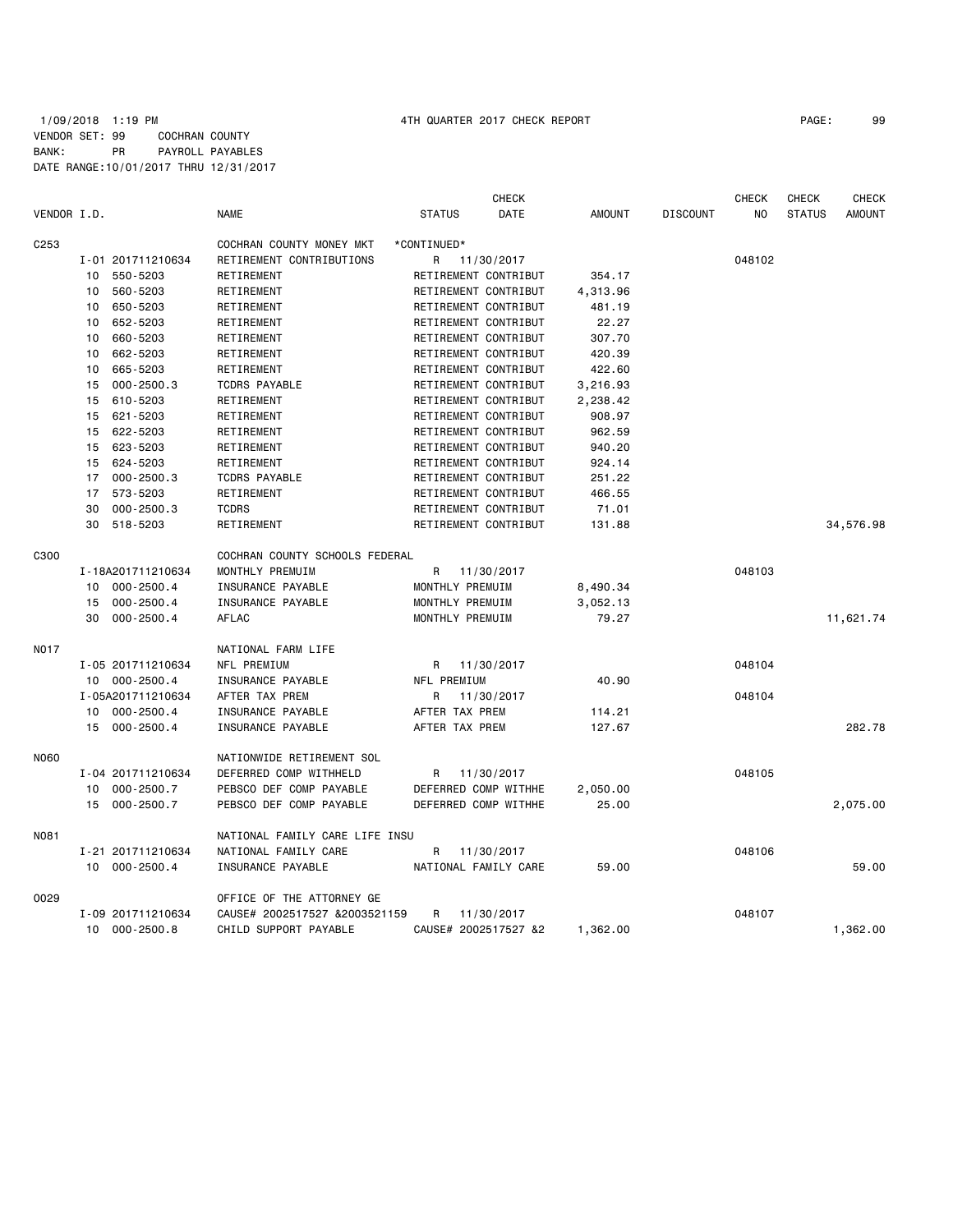## 1/09/2018 1:19 PM 4TH QUARTER 2017 CHECK REPORT PAGE: 99 VENDOR SET: 99 COCHRAN COUNTY BANK: PR PAYROLL PAYABLES DATE RANGE:10/01/2017 THRU 12/31/2017

| VENDOR I.D.      |                      | <b>NAME</b>                    | <b>CHECK</b><br><b>STATUS</b><br>DATE | <b>AMOUNT</b> | <b>DISCOUNT</b> | <b>CHECK</b><br>NO | <b>CHECK</b><br><b>STATUS</b> | <b>CHECK</b><br><b>AMOUNT</b> |
|------------------|----------------------|--------------------------------|---------------------------------------|---------------|-----------------|--------------------|-------------------------------|-------------------------------|
| C <sub>253</sub> |                      | COCHRAN COUNTY MONEY MKT       | *CONTINUED*                           |               |                 |                    |                               |                               |
|                  | I-01 201711210634    | RETIREMENT CONTRIBUTIONS       | R 11/30/2017                          |               |                 | 048102             |                               |                               |
|                  | 550-5203<br>10       | RETIREMENT                     | RETIREMENT CONTRIBUT                  | 354.17        |                 |                    |                               |                               |
|                  | 560-5203<br>10       | RETIREMENT                     | RETIREMENT CONTRIBUT                  | 4,313.96      |                 |                    |                               |                               |
|                  | 650-5203<br>10       | RETIREMENT                     | RETIREMENT CONTRIBUT                  | 481.19        |                 |                    |                               |                               |
|                  | 652-5203<br>10       | RETIREMENT                     | RETIREMENT CONTRIBUT                  | 22.27         |                 |                    |                               |                               |
|                  | 660-5203<br>10       | RETIREMENT                     | RETIREMENT CONTRIBUT                  | 307.70        |                 |                    |                               |                               |
|                  | 662-5203<br>10       | RETIREMENT                     | RETIREMENT CONTRIBUT                  | 420.39        |                 |                    |                               |                               |
|                  | 665-5203<br>10       | RETIREMENT                     | RETIREMENT CONTRIBUT                  | 422.60        |                 |                    |                               |                               |
|                  | $000 - 2500.3$<br>15 | <b>TCDRS PAYABLE</b>           | RETIREMENT CONTRIBUT                  | 3,216.93      |                 |                    |                               |                               |
|                  | 610-5203<br>15       | RETIREMENT                     | RETIREMENT CONTRIBUT                  | 2,238.42      |                 |                    |                               |                               |
|                  | 621-5203<br>15       | RETIREMENT                     | RETIREMENT CONTRIBUT                  | 908.97        |                 |                    |                               |                               |
|                  | 15 622-5203          | RETIREMENT                     | RETIREMENT CONTRIBUT                  | 962.59        |                 |                    |                               |                               |
|                  | 15<br>623-5203       | RETIREMENT                     | RETIREMENT CONTRIBUT                  | 940.20        |                 |                    |                               |                               |
|                  |                      |                                |                                       |               |                 |                    |                               |                               |
|                  | 624-5203<br>15       | RETIREMENT                     | RETIREMENT CONTRIBUT                  | 924.14        |                 |                    |                               |                               |
|                  | $000 - 2500.3$<br>17 | <b>TCDRS PAYABLE</b>           | RETIREMENT CONTRIBUT                  | 251.22        |                 |                    |                               |                               |
|                  | 573-5203<br>17       | RETIREMENT                     | RETIREMENT CONTRIBUT                  | 466.55        |                 |                    |                               |                               |
|                  | 30<br>$000 - 2500.3$ | <b>TCDRS</b>                   | RETIREMENT CONTRIBUT                  | 71.01         |                 |                    |                               |                               |
|                  | 30<br>518-5203       | RETIREMENT                     | RETIREMENT CONTRIBUT                  | 131.88        |                 |                    |                               | 34,576.98                     |
| C300             |                      | COCHRAN COUNTY SCHOOLS FEDERAL |                                       |               |                 |                    |                               |                               |
|                  | I-18A201711210634    | MONTHLY PREMUIM                | 11/30/2017<br>R                       |               |                 | 048103             |                               |                               |
|                  | $000 - 2500.4$<br>10 | INSURANCE PAYABLE              | MONTHLY PREMUIM                       | 8,490.34      |                 |                    |                               |                               |
|                  | $000 - 2500.4$<br>15 | INSURANCE PAYABLE              | MONTHLY PREMUIM                       | 3,052.13      |                 |                    |                               |                               |
|                  | 30<br>$000 - 2500.4$ | <b>AFLAC</b>                   | MONTHLY PREMUIM                       | 79.27         |                 |                    |                               | 11,621.74                     |
|                  |                      |                                |                                       |               |                 |                    |                               |                               |
| N017             |                      | NATIONAL FARM LIFE             |                                       |               |                 |                    |                               |                               |
|                  | I-05 201711210634    | NFL PREMIUM                    | R<br>11/30/2017                       |               |                 | 048104             |                               |                               |
|                  | 10 000-2500.4        | INSURANCE PAYABLE              | NFL PREMIUM                           | 40.90         |                 |                    |                               |                               |
|                  | I-05A201711210634    | AFTER TAX PREM                 | R.<br>11/30/2017                      |               |                 | 048104             |                               |                               |
|                  | 10 000-2500.4        | INSURANCE PAYABLE              | AFTER TAX PREM                        | 114.21        |                 |                    |                               |                               |
|                  | 15 000-2500.4        | INSURANCE PAYABLE              | AFTER TAX PREM                        | 127.67        |                 |                    |                               | 282.78                        |
|                  |                      |                                |                                       |               |                 |                    |                               |                               |
| <b>N060</b>      |                      | NATIONWIDE RETIREMENT SOL      |                                       |               |                 |                    |                               |                               |
|                  | I-04 201711210634    | DEFERRED COMP WITHHELD         | 11/30/2017<br>R                       |               |                 | 048105             |                               |                               |
|                  | $000 - 2500.7$<br>10 | PEBSCO DEF COMP PAYABLE        | DEFERRED COMP WITHHE                  | 2,050.00      |                 |                    |                               |                               |
|                  | 15 000-2500.7        | PEBSCO DEF COMP PAYABLE        | DEFERRED COMP WITHHE                  | 25.00         |                 |                    |                               | 2,075.00                      |
| N081             |                      | NATIONAL FAMILY CARE LIFE INSU |                                       |               |                 |                    |                               |                               |
|                  | I-21 201711210634    | NATIONAL FAMILY CARE           | R<br>11/30/2017                       |               |                 | 048106             |                               |                               |
|                  | 10 000-2500.4        | INSURANCE PAYABLE              | NATIONAL FAMILY CARE                  | 59,00         |                 |                    |                               | 59.00                         |
|                  |                      |                                |                                       |               |                 |                    |                               |                               |
| 0029             |                      | OFFICE OF THE ATTORNEY GE      |                                       |               |                 |                    |                               |                               |
|                  | I-09 201711210634    | CAUSE# 2002517527 &2003521159  | R<br>11/30/2017                       |               |                 | 048107             |                               |                               |
|                  | 10<br>$000 - 2500.8$ | CHILD SUPPORT PAYABLE          | CAUSE# 2002517527 &2                  | 1,362.00      |                 |                    |                               | 1,362.00                      |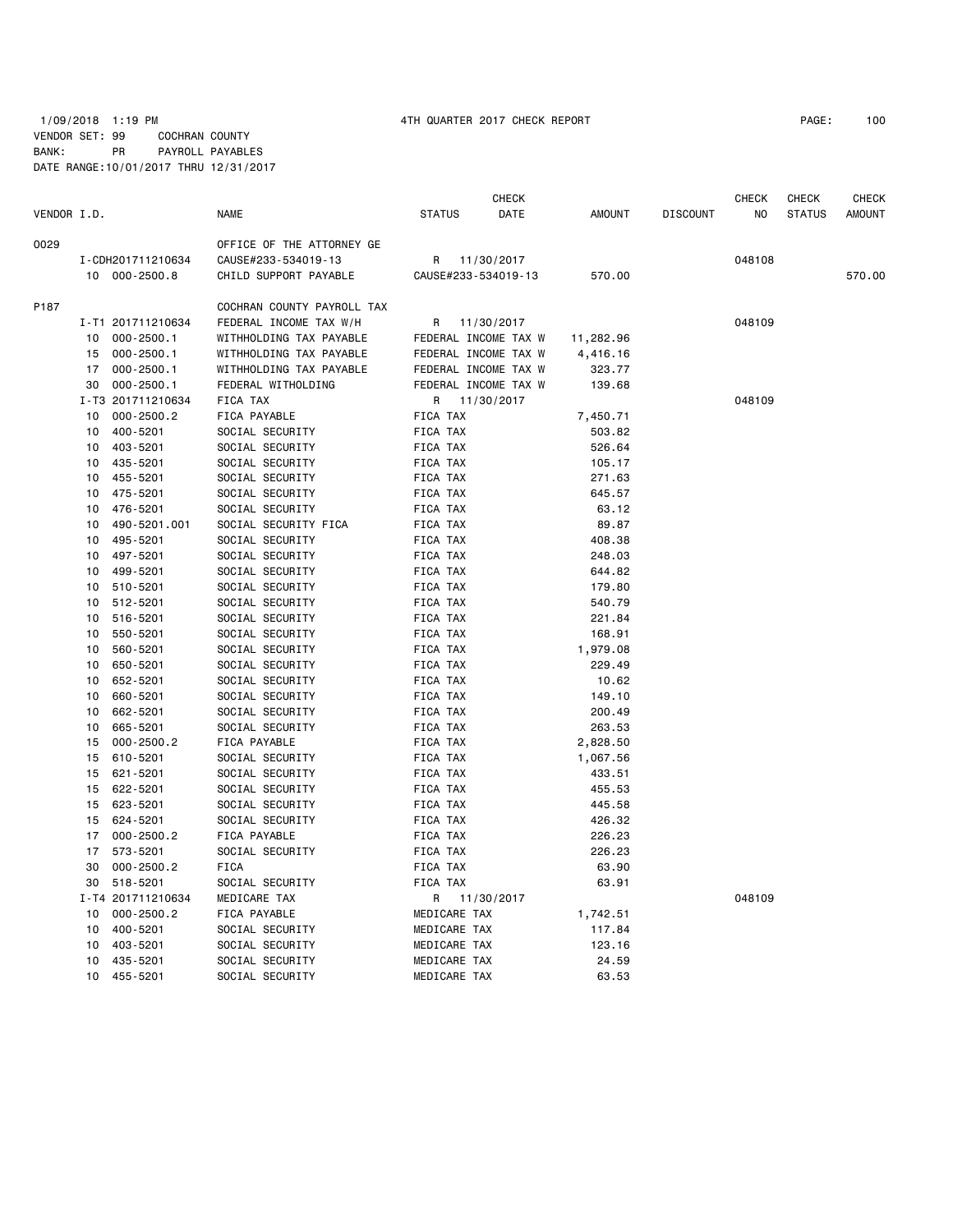## 1/09/2018 1:19 PM 4TH QUARTER 2017 CHECK REPORT PAGE: 100 VENDOR SET: 99 COCHRAN COUNTY BANK: PR PAYROLL PAYABLES DATE RANGE:10/01/2017 THRU 12/31/2017

|             |    |                   |                            |                     | <b>CHECK</b>         |           |                 | <b>CHECK</b> | <b>CHECK</b>  | <b>CHECK</b>  |
|-------------|----|-------------------|----------------------------|---------------------|----------------------|-----------|-----------------|--------------|---------------|---------------|
| VENDOR I.D. |    |                   | <b>NAME</b>                | <b>STATUS</b>       | DATE                 | AMOUNT    | <b>DISCOUNT</b> | NO           | <b>STATUS</b> | <b>AMOUNT</b> |
| 0029        |    |                   | OFFICE OF THE ATTORNEY GE  |                     |                      |           |                 |              |               |               |
|             |    | I-CDH201711210634 | CAUSE#233-534019-13        | R                   | 11/30/2017           |           |                 | 048108       |               |               |
|             |    | 10 000-2500.8     | CHILD SUPPORT PAYABLE      | CAUSE#233-534019-13 |                      | 570.00    |                 |              |               | 570.00        |
| P187        |    |                   | COCHRAN COUNTY PAYROLL TAX |                     |                      |           |                 |              |               |               |
|             |    | I-T1 201711210634 | FEDERAL INCOME TAX W/H     | R                   | 11/30/2017           |           |                 | 048109       |               |               |
|             | 10 | 000-2500.1        | WITHHOLDING TAX PAYABLE    |                     | FEDERAL INCOME TAX W | 11,282.96 |                 |              |               |               |
|             | 15 | 000-2500.1        | WITHHOLDING TAX PAYABLE    |                     | FEDERAL INCOME TAX W | 4,416.16  |                 |              |               |               |
|             |    | 17 000-2500.1     | WITHHOLDING TAX PAYABLE    |                     | FEDERAL INCOME TAX W | 323.77    |                 |              |               |               |
|             | 30 | 000-2500.1        | FEDERAL WITHOLDING         |                     | FEDERAL INCOME TAX W | 139.68    |                 |              |               |               |
|             |    | I-T3 201711210634 | FICA TAX                   | R                   | 11/30/2017           |           |                 | 048109       |               |               |
|             | 10 | 000-2500.2        | FICA PAYABLE               | FICA TAX            |                      | 7,450.71  |                 |              |               |               |
|             | 10 | 400-5201          | SOCIAL SECURITY            | FICA TAX            |                      | 503.82    |                 |              |               |               |
|             | 10 | 403-5201          | SOCIAL SECURITY            | FICA TAX            |                      | 526.64    |                 |              |               |               |
|             | 10 | 435-5201          | SOCIAL SECURITY            | <b>FICA TAX</b>     |                      | 105.17    |                 |              |               |               |
|             | 10 | 455-5201          | SOCIAL SECURITY            | FICA TAX            |                      | 271.63    |                 |              |               |               |
|             | 10 | 475-5201          | SOCIAL SECURITY            | FICA TAX            |                      | 645.57    |                 |              |               |               |
|             | 10 | 476-5201          | SOCIAL SECURITY            | FICA TAX            |                      | 63.12     |                 |              |               |               |
|             | 10 | 490-5201.001      | SOCIAL SECURITY FICA       | FICA TAX            |                      | 89.87     |                 |              |               |               |
|             | 10 | 495-5201          | SOCIAL SECURITY            | FICA TAX            |                      | 408.38    |                 |              |               |               |
|             | 10 | 497-5201          | SOCIAL SECURITY            | FICA TAX            |                      | 248.03    |                 |              |               |               |
|             | 10 | 499-5201          | SOCIAL SECURITY            | FICA TAX            |                      | 644.82    |                 |              |               |               |
|             | 10 | 510-5201          | SOCIAL SECURITY            | FICA TAX            |                      | 179.80    |                 |              |               |               |
|             | 10 | 512-5201          | SOCIAL SECURITY            | FICA TAX            |                      | 540.79    |                 |              |               |               |
|             | 10 | 516-5201          | SOCIAL SECURITY            | FICA TAX            |                      | 221.84    |                 |              |               |               |
|             | 10 | 550-5201          | SOCIAL SECURITY            | FICA TAX            |                      | 168.91    |                 |              |               |               |
|             | 10 | 560-5201          | SOCIAL SECURITY            | FICA TAX            |                      | 1,979.08  |                 |              |               |               |
|             | 10 | 650-5201          | SOCIAL SECURITY            | FICA TAX            |                      | 229.49    |                 |              |               |               |
|             | 10 | 652-5201          | SOCIAL SECURITY            | FICA TAX            |                      | 10.62     |                 |              |               |               |
|             | 10 | 660-5201          | SOCIAL SECURITY            | FICA TAX            |                      | 149.10    |                 |              |               |               |
|             | 10 | 662-5201          | SOCIAL SECURITY            | FICA TAX            |                      | 200.49    |                 |              |               |               |
|             | 10 | 665-5201          | SOCIAL SECURITY            | FICA TAX            |                      | 263.53    |                 |              |               |               |
|             | 15 | $000 - 2500.2$    | FICA PAYABLE               | FICA TAX            |                      | 2,828.50  |                 |              |               |               |
|             | 15 | 610-5201          | SOCIAL SECURITY            | FICA TAX            |                      | 1,067.56  |                 |              |               |               |
|             | 15 | 621-5201          | SOCIAL SECURITY            | FICA TAX            |                      | 433.51    |                 |              |               |               |
|             | 15 | 622-5201          | SOCIAL SECURITY            | FICA TAX            |                      | 455.53    |                 |              |               |               |
|             | 15 | 623-5201          | SOCIAL SECURITY            | FICA TAX            |                      | 445.58    |                 |              |               |               |
|             |    | 15 624-5201       | SOCIAL SECURITY            | FICA TAX            |                      | 426.32    |                 |              |               |               |
|             | 17 | 000-2500.2        | FICA PAYABLE               | FICA TAX            |                      | 226.23    |                 |              |               |               |
|             | 17 | 573-5201          | SOCIAL SECURITY            | FICA TAX            |                      | 226.23    |                 |              |               |               |
|             | 30 | $000 - 2500.2$    | FICA                       | FICA TAX            |                      | 63.90     |                 |              |               |               |
|             | 30 | 518-5201          | SOCIAL SECURITY            | FICA TAX            |                      | 63.91     |                 |              |               |               |
|             |    | I-T4 201711210634 | MEDICARE TAX               | R                   | 11/30/2017           |           |                 | 048109       |               |               |
|             | 10 | 000-2500.2        | FICA PAYABLE               | MEDICARE TAX        |                      | 1,742.51  |                 |              |               |               |
|             | 10 | 400-5201          | SOCIAL SECURITY            | MEDICARE TAX        |                      | 117.84    |                 |              |               |               |
|             | 10 | 403-5201          | SOCIAL SECURITY            | MEDICARE TAX        |                      | 123.16    |                 |              |               |               |
|             | 10 | 435-5201          | SOCIAL SECURITY            | MEDICARE TAX        |                      | 24.59     |                 |              |               |               |
|             | 10 | 455-5201          | SOCIAL SECURITY            | MEDICARE TAX        |                      | 63.53     |                 |              |               |               |
|             |    |                   |                            |                     |                      |           |                 |              |               |               |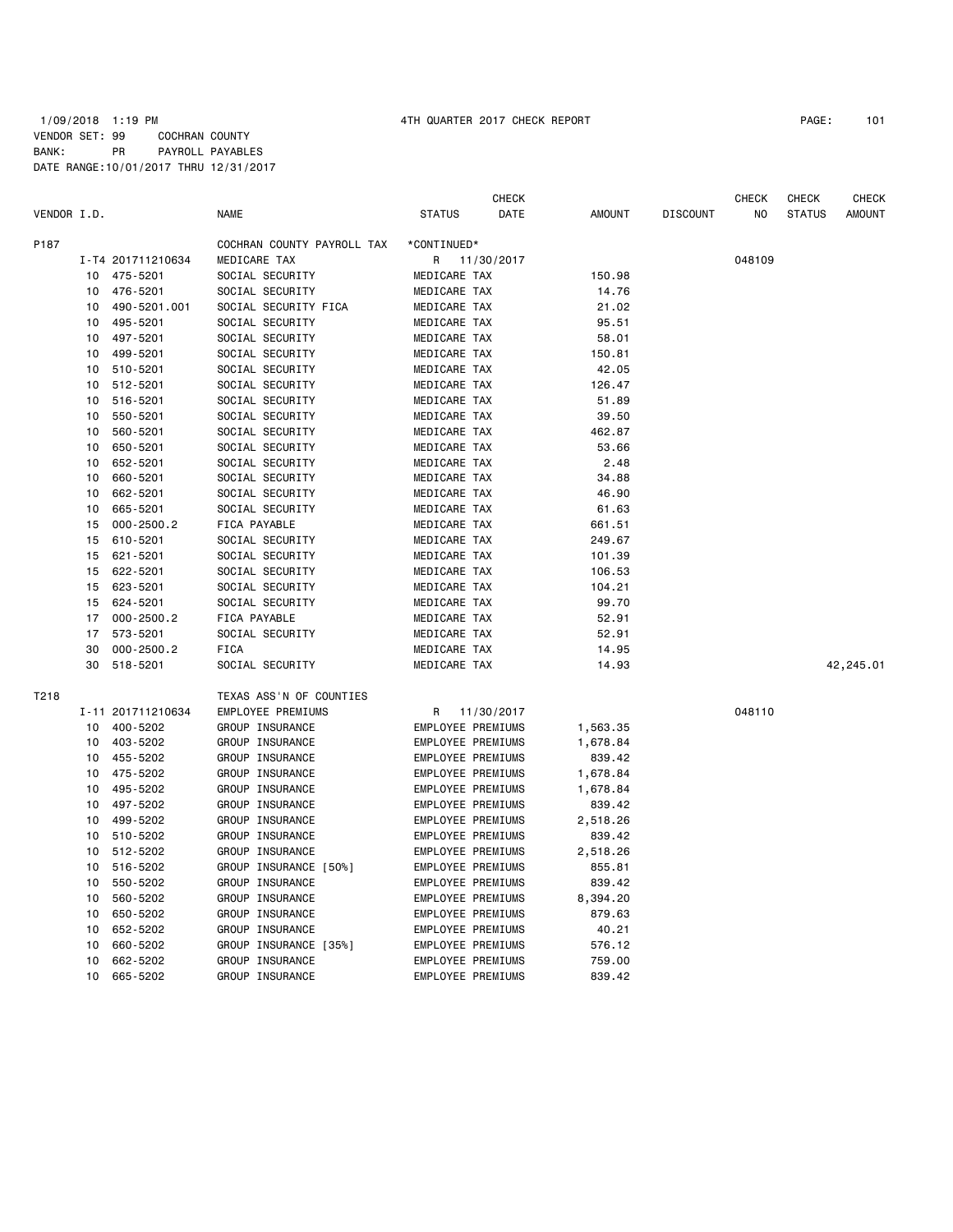|             |    |                   |                            |                   | CHECK      |               |                 | CHECK  | CHECK         | CHECK         |
|-------------|----|-------------------|----------------------------|-------------------|------------|---------------|-----------------|--------|---------------|---------------|
| VENDOR I.D. |    |                   | <b>NAME</b>                | <b>STATUS</b>     | DATE       | <b>AMOUNT</b> | <b>DISCOUNT</b> | ΝO     | <b>STATUS</b> | <b>AMOUNT</b> |
| P187        |    |                   | COCHRAN COUNTY PAYROLL TAX | *CONTINUED*       |            |               |                 |        |               |               |
|             |    | I-T4 201711210634 | MEDICARE TAX               | R                 | 11/30/2017 |               |                 | 048109 |               |               |
|             | 10 | 475-5201          | SOCIAL SECURITY            | MEDICARE TAX      |            | 150.98        |                 |        |               |               |
|             | 10 | 476-5201          | SOCIAL SECURITY            | MEDICARE TAX      |            | 14.76         |                 |        |               |               |
|             | 10 | 490-5201.001      | SOCIAL SECURITY FICA       | MEDICARE TAX      |            | 21.02         |                 |        |               |               |
|             | 10 | 495-5201          | SOCIAL SECURITY            | MEDICARE TAX      |            | 95.51         |                 |        |               |               |
|             | 10 | 497-5201          | SOCIAL SECURITY            | MEDICARE TAX      |            | 58.01         |                 |        |               |               |
|             | 10 | 499-5201          | SOCIAL SECURITY            | MEDICARE TAX      |            | 150.81        |                 |        |               |               |
|             | 10 | 510-5201          | SOCIAL SECURITY            | MEDICARE TAX      |            | 42.05         |                 |        |               |               |
|             | 10 | 512-5201          | SOCIAL SECURITY            | MEDICARE TAX      |            | 126.47        |                 |        |               |               |
|             | 10 | 516-5201          | SOCIAL SECURITY            | MEDICARE TAX      |            | 51.89         |                 |        |               |               |
|             | 10 | 550-5201          | SOCIAL SECURITY            | MEDICARE TAX      |            | 39.50         |                 |        |               |               |
|             | 10 | 560-5201          | SOCIAL SECURITY            | MEDICARE TAX      |            | 462.87        |                 |        |               |               |
|             | 10 | 650-5201          | SOCIAL SECURITY            | MEDICARE TAX      |            | 53.66         |                 |        |               |               |
|             | 10 | 652-5201          | SOCIAL SECURITY            | MEDICARE TAX      |            | 2.48          |                 |        |               |               |
|             | 10 | 660-5201          | SOCIAL SECURITY            | MEDICARE TAX      |            | 34.88         |                 |        |               |               |
|             | 10 | 662-5201          | SOCIAL SECURITY            | MEDICARE TAX      |            | 46.90         |                 |        |               |               |
|             | 10 | 665-5201          | SOCIAL SECURITY            | MEDICARE TAX      |            | 61.63         |                 |        |               |               |
|             | 15 | $000 - 2500.2$    | FICA PAYABLE               | MEDICARE TAX      |            | 661.51        |                 |        |               |               |
|             | 15 | 610-5201          | SOCIAL SECURITY            | MEDICARE TAX      |            | 249.67        |                 |        |               |               |
|             | 15 | 621-5201          | SOCIAL SECURITY            | MEDICARE TAX      |            | 101.39        |                 |        |               |               |
|             | 15 | 622-5201          | SOCIAL SECURITY            | MEDICARE TAX      |            | 106.53        |                 |        |               |               |
|             | 15 | 623-5201          | SOCIAL SECURITY            | MEDICARE TAX      |            | 104.21        |                 |        |               |               |
|             | 15 | 624-5201          | SOCIAL SECURITY            | MEDICARE TAX      |            | 99.70         |                 |        |               |               |
|             | 17 | $000 - 2500.2$    | FICA PAYABLE               | MEDICARE TAX      |            | 52.91         |                 |        |               |               |
|             | 17 | 573-5201          | SOCIAL SECURITY            | MEDICARE TAX      |            | 52.91         |                 |        |               |               |
|             | 30 | $000 - 2500.2$    | <b>FICA</b>                | MEDICARE TAX      |            | 14.95         |                 |        |               |               |
|             | 30 | 518-5201          | SOCIAL SECURITY            | MEDICARE TAX      |            | 14.93         |                 |        |               | 42,245.01     |
| T218        |    |                   | TEXAS ASS'N OF COUNTIES    |                   |            |               |                 |        |               |               |
|             |    | I-11 201711210634 | EMPLOYEE PREMIUMS          | R                 | 11/30/2017 |               |                 | 048110 |               |               |
|             | 10 | 400-5202          | GROUP INSURANCE            | EMPLOYEE PREMIUMS |            | 1,563.35      |                 |        |               |               |
|             | 10 | 403-5202          | GROUP INSURANCE            | EMPLOYEE PREMIUMS |            | 1,678.84      |                 |        |               |               |
|             | 10 | 455-5202          | GROUP INSURANCE            | EMPLOYEE PREMIUMS |            | 839.42        |                 |        |               |               |
|             | 10 | 475-5202          | GROUP INSURANCE            | EMPLOYEE PREMIUMS |            | 1,678.84      |                 |        |               |               |
|             | 10 | 495-5202          | GROUP INSURANCE            | EMPLOYEE PREMIUMS |            | 1,678.84      |                 |        |               |               |
|             | 10 | 497-5202          | GROUP INSURANCE            | EMPLOYEE PREMIUMS |            | 839.42        |                 |        |               |               |
|             | 10 | 499-5202          | GROUP INSURANCE            | EMPLOYEE PREMIUMS |            | 2,518.26      |                 |        |               |               |
|             | 10 | 510-5202          | GROUP INSURANCE            | EMPLOYEE PREMIUMS |            | 839.42        |                 |        |               |               |
|             | 10 | 512-5202          | GROUP INSURANCE            | EMPLOYEE PREMIUMS |            | 2,518.26      |                 |        |               |               |
|             | 10 | 516-5202          | GROUP INSURANCE [50%]      | EMPLOYEE PREMIUMS |            | 855.81        |                 |        |               |               |
|             | 10 | 550-5202          | GROUP INSURANCE            | EMPLOYEE PREMIUMS |            | 839.42        |                 |        |               |               |
|             | 10 | 560-5202          | GROUP INSURANCE            | EMPLOYEE PREMIUMS |            | 8,394.20      |                 |        |               |               |
|             | 10 | 650-5202          | GROUP INSURANCE            | EMPLOYEE PREMIUMS |            | 879.63        |                 |        |               |               |
|             | 10 | 652-5202          | GROUP INSURANCE            | EMPLOYEE PREMIUMS |            | 40.21         |                 |        |               |               |
|             | 10 | 660-5202          | GROUP INSURANCE [35%]      | EMPLOYEE PREMIUMS |            | 576.12        |                 |        |               |               |
|             | 10 | 662-5202          | GROUP INSURANCE            | EMPLOYEE PREMIUMS |            | 759.00        |                 |        |               |               |
|             | 10 | 665-5202          | GROUP INSURANCE            | EMPLOYEE PREMIUMS |            | 839.42        |                 |        |               |               |
|             |    |                   |                            |                   |            |               |                 |        |               |               |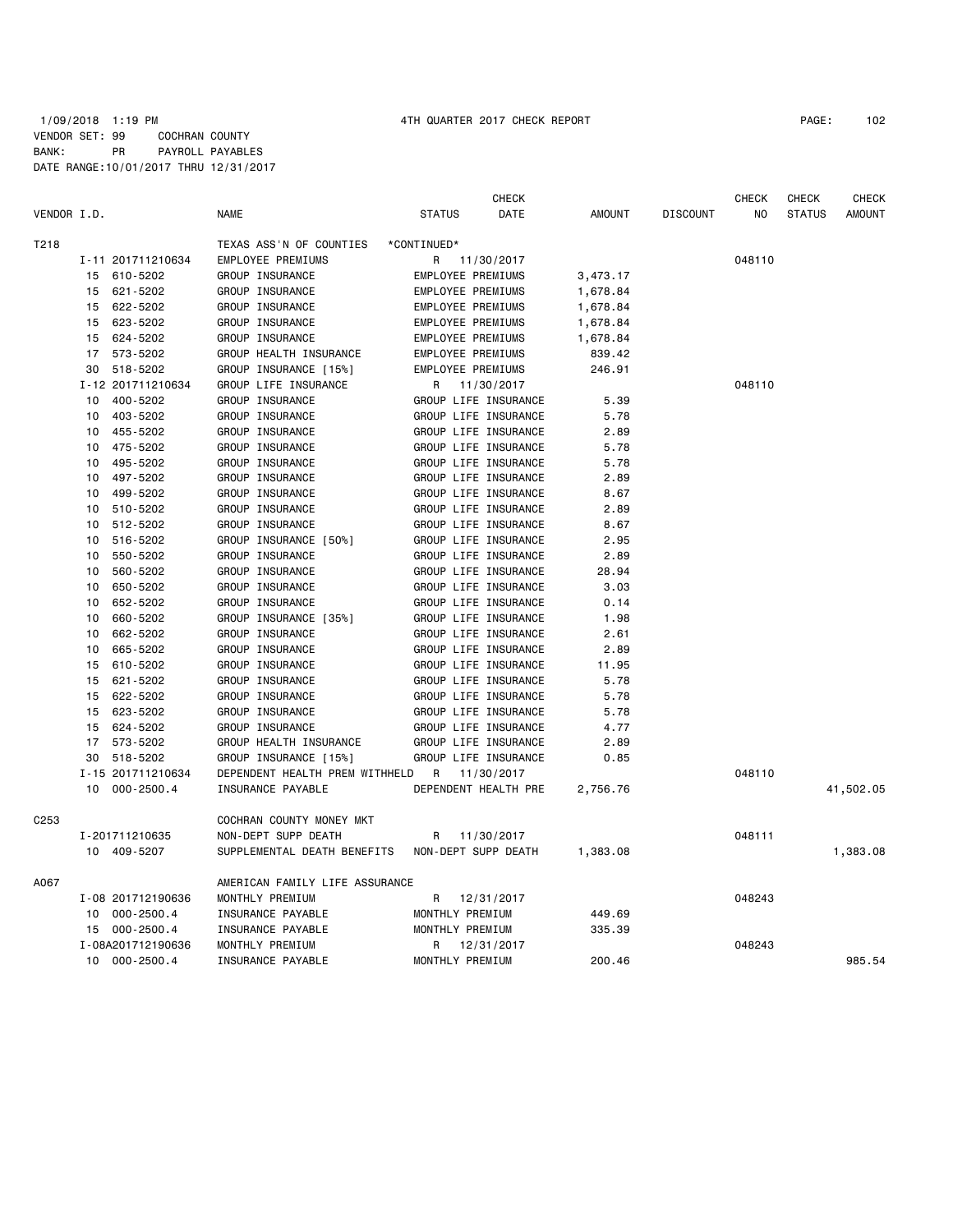### 1/09/2018 1:19 PM 4TH QUARTER 2017 CHECK REPORT PAGE: 102 VENDOR SET: 99 COCHRAN COUNTY BANK: PR PAYROLL PAYABLES DATE RANGE:10/01/2017 THRU 12/31/2017

|                  |    |                   |                                |                     | <b>CHECK</b>         |               |                 | <b>CHECK</b> | <b>CHECK</b>  | <b>CHECK</b>  |
|------------------|----|-------------------|--------------------------------|---------------------|----------------------|---------------|-----------------|--------------|---------------|---------------|
| VENDOR I.D.      |    |                   | <b>NAME</b>                    | <b>STATUS</b>       | DATE                 | <b>AMOUNT</b> | <b>DISCOUNT</b> | NO           | <b>STATUS</b> | <b>AMOUNT</b> |
| T218             |    |                   | TEXAS ASS'N OF COUNTIES        | *CONTINUED*         |                      |               |                 |              |               |               |
|                  |    | I-11 201711210634 | EMPLOYEE PREMIUMS              | R                   | 11/30/2017           |               |                 | 048110       |               |               |
|                  | 15 | 610-5202          | GROUP INSURANCE                | EMPLOYEE PREMIUMS   |                      | 3,473.17      |                 |              |               |               |
|                  | 15 | 621-5202          | GROUP INSURANCE                | EMPLOYEE PREMIUMS   |                      | 1,678.84      |                 |              |               |               |
|                  | 15 | 622-5202          | GROUP INSURANCE                | EMPLOYEE PREMIUMS   |                      | 1,678.84      |                 |              |               |               |
|                  | 15 | 623-5202          | GROUP INSURANCE                | EMPLOYEE PREMIUMS   |                      | 1,678.84      |                 |              |               |               |
|                  | 15 | 624-5202          | GROUP INSURANCE                | EMPLOYEE PREMIUMS   |                      | 1,678.84      |                 |              |               |               |
|                  | 17 | 573-5202          | GROUP HEALTH INSURANCE         | EMPLOYEE PREMIUMS   |                      | 839.42        |                 |              |               |               |
|                  | 30 | 518-5202          | GROUP INSURANCE [15%]          | EMPLOYEE PREMIUMS   |                      | 246.91        |                 |              |               |               |
|                  |    | I-12 201711210634 | GROUP LIFE INSURANCE           | R                   | 11/30/2017           |               |                 | 048110       |               |               |
|                  | 10 | 400-5202          | GROUP INSURANCE                |                     | GROUP LIFE INSURANCE | 5.39          |                 |              |               |               |
|                  | 10 | 403-5202          | GROUP INSURANCE                |                     | GROUP LIFE INSURANCE | 5.78          |                 |              |               |               |
|                  | 10 | 455-5202          | GROUP INSURANCE                |                     | GROUP LIFE INSURANCE | 2.89          |                 |              |               |               |
|                  | 10 | 475-5202          | GROUP INSURANCE                |                     | GROUP LIFE INSURANCE | 5.78          |                 |              |               |               |
|                  | 10 | 495-5202          | GROUP INSURANCE                |                     | GROUP LIFE INSURANCE | 5.78          |                 |              |               |               |
|                  | 10 | 497-5202          | GROUP INSURANCE                |                     | GROUP LIFE INSURANCE | 2.89          |                 |              |               |               |
|                  | 10 | 499-5202          | GROUP INSURANCE                |                     | GROUP LIFE INSURANCE | 8.67          |                 |              |               |               |
|                  | 10 | 510-5202          | GROUP INSURANCE                |                     | GROUP LIFE INSURANCE | 2.89          |                 |              |               |               |
|                  | 10 | 512-5202          | GROUP INSURANCE                |                     | GROUP LIFE INSURANCE | 8.67          |                 |              |               |               |
|                  | 10 | 516-5202          | GROUP INSURANCE [50%]          |                     | GROUP LIFE INSURANCE | 2.95          |                 |              |               |               |
|                  | 10 | 550-5202          | GROUP INSURANCE                |                     | GROUP LIFE INSURANCE | 2.89          |                 |              |               |               |
|                  | 10 | 560-5202          | GROUP INSURANCE                |                     | GROUP LIFE INSURANCE | 28.94         |                 |              |               |               |
|                  | 10 | 650-5202          | GROUP INSURANCE                |                     | GROUP LIFE INSURANCE | 3.03          |                 |              |               |               |
|                  | 10 | 652-5202          | GROUP INSURANCE                |                     | GROUP LIFE INSURANCE | 0.14          |                 |              |               |               |
|                  | 10 | 660-5202          | GROUP INSURANCE [35%]          |                     | GROUP LIFE INSURANCE | 1.98          |                 |              |               |               |
|                  | 10 | 662-5202          | GROUP INSURANCE                |                     | GROUP LIFE INSURANCE | 2.61          |                 |              |               |               |
|                  | 10 | 665-5202          | GROUP INSURANCE                |                     | GROUP LIFE INSURANCE | 2.89          |                 |              |               |               |
|                  | 15 | 610-5202          | GROUP INSURANCE                |                     | GROUP LIFE INSURANCE | 11.95         |                 |              |               |               |
|                  | 15 | 621-5202          | GROUP INSURANCE                |                     | GROUP LIFE INSURANCE | 5.78          |                 |              |               |               |
|                  | 15 | 622-5202          | GROUP INSURANCE                |                     | GROUP LIFE INSURANCE | 5.78          |                 |              |               |               |
|                  | 15 | 623-5202          | GROUP INSURANCE                |                     | GROUP LIFE INSURANCE | 5.78          |                 |              |               |               |
|                  | 15 | 624-5202          | GROUP INSURANCE                |                     | GROUP LIFE INSURANCE | 4.77          |                 |              |               |               |
|                  |    | 17 573-5202       | GROUP HEALTH INSURANCE         |                     | GROUP LIFE INSURANCE | 2.89          |                 |              |               |               |
|                  | 30 | 518-5202          | GROUP INSURANCE [15%]          |                     | GROUP LIFE INSURANCE | 0.85          |                 |              |               |               |
|                  |    | I-15 201711210634 | DEPENDENT HEALTH PREM WITHHELD | R                   | 11/30/2017           |               |                 | 048110       |               |               |
|                  | 10 | 000-2500.4        | INSURANCE PAYABLE              |                     | DEPENDENT HEALTH PRE | 2,756.76      |                 |              |               | 41,502.05     |
| C <sub>253</sub> |    |                   | COCHRAN COUNTY MONEY MKT       |                     |                      |               |                 |              |               |               |
|                  |    | I-201711210635    | NON-DEPT SUPP DEATH            | R                   | 11/30/2017           |               |                 | 048111       |               |               |
|                  |    | 10 409-5207       | SUPPLEMENTAL DEATH BENEFITS    | NON-DEPT SUPP DEATH |                      | 1,383.08      |                 |              |               | 1,383.08      |
| A067             |    |                   | AMERICAN FAMILY LIFE ASSURANCE |                     |                      |               |                 |              |               |               |
|                  |    | I-08 201712190636 | MONTHLY PREMIUM                | R                   | 12/31/2017           |               |                 | 048243       |               |               |
|                  |    | 10 000-2500.4     | INSURANCE PAYABLE              | MONTHLY PREMIUM     |                      | 449.69        |                 |              |               |               |
|                  |    | 15 000-2500.4     | INSURANCE PAYABLE              | MONTHLY PREMIUM     |                      | 335.39        |                 |              |               |               |
|                  |    | I-08A201712190636 | MONTHLY PREMIUM                | R                   | 12/31/2017           |               |                 | 048243       |               |               |

10 000-2500.4 INSURANCE PAYABLE MONTHLY PREMIUM 200.46 985.54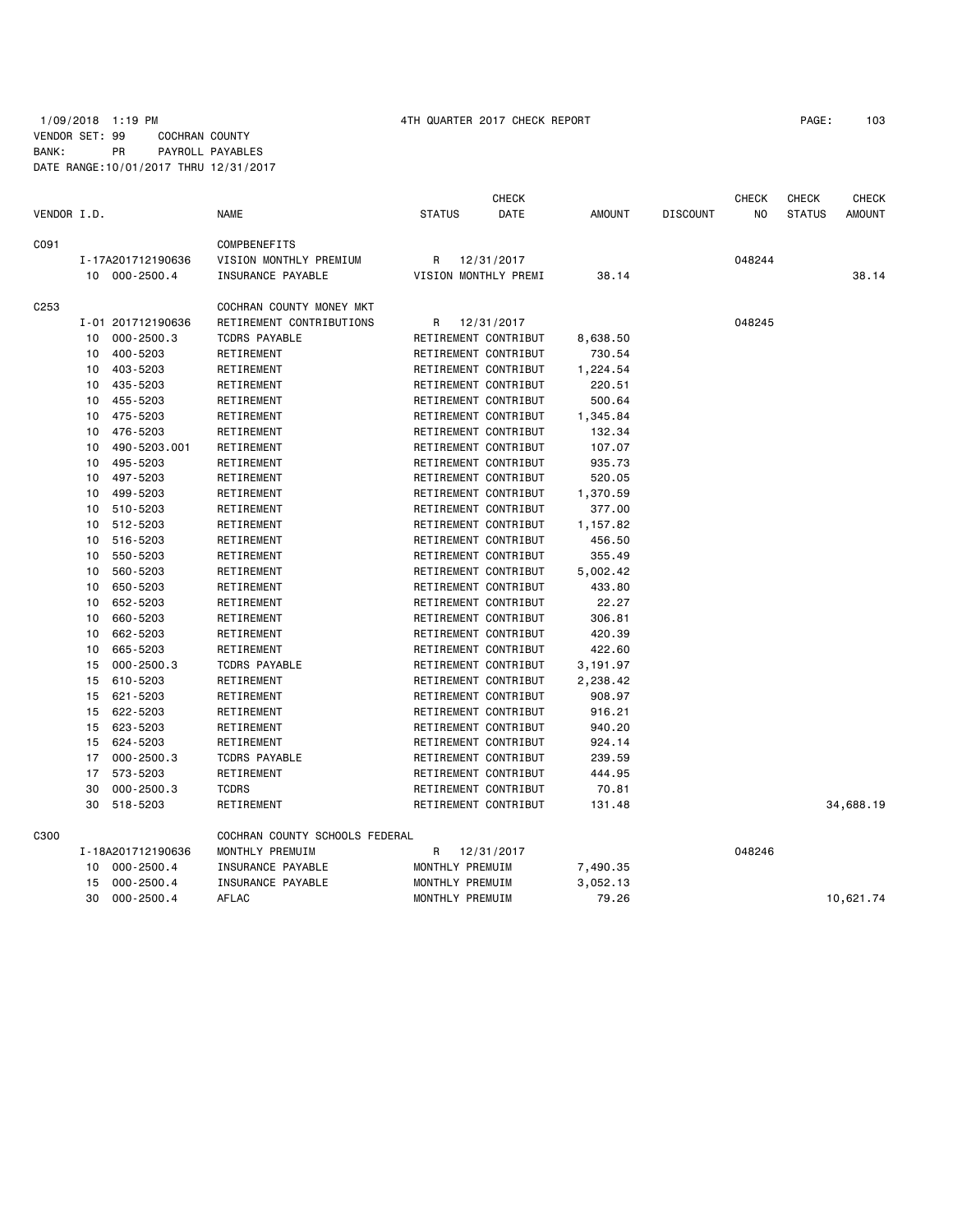## 1/09/2018 1:19 PM 4TH QUARTER 2017 CHECK REPORT PAGE: 103 VENDOR SET: 99 COCHRAN COUNTY BANK: PR PAYROLL PAYABLES DATE RANGE:10/01/2017 THRU 12/31/2017

|                  |    |                   |                                |                 | <b>CHECK</b>         |               |                 | <b>CHECK</b> | <b>CHECK</b>  | <b>CHECK</b>  |
|------------------|----|-------------------|--------------------------------|-----------------|----------------------|---------------|-----------------|--------------|---------------|---------------|
| VENDOR I.D.      |    |                   | <b>NAME</b>                    | <b>STATUS</b>   | DATE                 | <b>AMOUNT</b> | <b>DISCOUNT</b> | NO           | <b>STATUS</b> | <b>AMOUNT</b> |
| C091             |    |                   | COMPBENEFITS                   |                 |                      |               |                 |              |               |               |
|                  |    | I-17A201712190636 | VISION MONTHLY PREMIUM         | R               | 12/31/2017           |               |                 | 048244       |               |               |
|                  |    | 10 000-2500.4     | INSURANCE PAYABLE              |                 | VISION MONTHLY PREMI | 38.14         |                 |              |               | 38.14         |
| C <sub>253</sub> |    |                   | COCHRAN COUNTY MONEY MKT       |                 |                      |               |                 |              |               |               |
|                  |    | I-01 201712190636 | RETIREMENT CONTRIBUTIONS       | R               | 12/31/2017           |               |                 | 048245       |               |               |
|                  | 10 | $000 - 2500.3$    | <b>TCDRS PAYABLE</b>           |                 | RETIREMENT CONTRIBUT | 8,638.50      |                 |              |               |               |
|                  | 10 | 400-5203          | RETIREMENT                     |                 | RETIREMENT CONTRIBUT | 730.54        |                 |              |               |               |
|                  | 10 | 403-5203          | RETIREMENT                     |                 | RETIREMENT CONTRIBUT | 1,224.54      |                 |              |               |               |
|                  | 10 | 435-5203          | RETIREMENT                     |                 | RETIREMENT CONTRIBUT | 220.51        |                 |              |               |               |
|                  | 10 | 455-5203          | RETIREMENT                     |                 | RETIREMENT CONTRIBUT | 500.64        |                 |              |               |               |
|                  | 10 | 475-5203          | RETIREMENT                     |                 | RETIREMENT CONTRIBUT | 1,345.84      |                 |              |               |               |
|                  | 10 | 476-5203          | RETIREMENT                     |                 | RETIREMENT CONTRIBUT | 132.34        |                 |              |               |               |
|                  | 10 | 490-5203.001      | RETIREMENT                     |                 | RETIREMENT CONTRIBUT | 107.07        |                 |              |               |               |
|                  | 10 | 495-5203          | RETIREMENT                     |                 | RETIREMENT CONTRIBUT | 935.73        |                 |              |               |               |
|                  | 10 | 497-5203          | RETIREMENT                     |                 | RETIREMENT CONTRIBUT | 520.05        |                 |              |               |               |
|                  | 10 | 499-5203          | RETIREMENT                     |                 | RETIREMENT CONTRIBUT | 1,370.59      |                 |              |               |               |
|                  | 10 | 510-5203          | RETIREMENT                     |                 | RETIREMENT CONTRIBUT | 377.00        |                 |              |               |               |
|                  | 10 | 512-5203          | RETIREMENT                     |                 | RETIREMENT CONTRIBUT | 1,157.82      |                 |              |               |               |
|                  | 10 | 516-5203          | RETIREMENT                     |                 | RETIREMENT CONTRIBUT | 456.50        |                 |              |               |               |
|                  | 10 | 550-5203          | RETIREMENT                     |                 | RETIREMENT CONTRIBUT | 355.49        |                 |              |               |               |
|                  | 10 | 560-5203          | RETIREMENT                     |                 | RETIREMENT CONTRIBUT | 5,002.42      |                 |              |               |               |
|                  | 10 | 650-5203          | RETIREMENT                     |                 | RETIREMENT CONTRIBUT | 433.80        |                 |              |               |               |
|                  | 10 | 652-5203          | RETIREMENT                     |                 | RETIREMENT CONTRIBUT | 22.27         |                 |              |               |               |
|                  | 10 | 660-5203          | RETIREMENT                     |                 | RETIREMENT CONTRIBUT | 306.81        |                 |              |               |               |
|                  | 10 | 662-5203          | RETIREMENT                     |                 | RETIREMENT CONTRIBUT | 420.39        |                 |              |               |               |
|                  | 10 | 665-5203          | RETIREMENT                     |                 | RETIREMENT CONTRIBUT | 422.60        |                 |              |               |               |
|                  | 15 | $000 - 2500.3$    | <b>TCDRS PAYABLE</b>           |                 | RETIREMENT CONTRIBUT | 3,191.97      |                 |              |               |               |
|                  | 15 | 610-5203          | RETIREMENT                     |                 | RETIREMENT CONTRIBUT | 2,238.42      |                 |              |               |               |
|                  | 15 | 621-5203          | RETIREMENT                     |                 | RETIREMENT CONTRIBUT | 908.97        |                 |              |               |               |
|                  | 15 | 622-5203          | RETIREMENT                     |                 | RETIREMENT CONTRIBUT | 916.21        |                 |              |               |               |
|                  | 15 | 623-5203          | RETIREMENT                     |                 | RETIREMENT CONTRIBUT | 940.20        |                 |              |               |               |
|                  | 15 | 624-5203          | RETIREMENT                     |                 | RETIREMENT CONTRIBUT | 924.14        |                 |              |               |               |
|                  | 17 | $000 - 2500.3$    | <b>TCDRS PAYABLE</b>           |                 | RETIREMENT CONTRIBUT | 239.59        |                 |              |               |               |
|                  | 17 | 573-5203          | RETIREMENT                     |                 | RETIREMENT CONTRIBUT | 444.95        |                 |              |               |               |
|                  | 30 | $000 - 2500.3$    | <b>TCDRS</b>                   |                 | RETIREMENT CONTRIBUT | 70.81         |                 |              |               |               |
|                  | 30 | 518-5203          | RETIREMENT                     |                 | RETIREMENT CONTRIBUT | 131.48        |                 |              |               | 34,688.19     |
| C300             |    |                   | COCHRAN COUNTY SCHOOLS FEDERAL |                 |                      |               |                 |              |               |               |
|                  |    | I-18A201712190636 | MONTHLY PREMUIM                | R               | 12/31/2017           |               |                 | 048246       |               |               |
|                  | 10 | $000 - 2500.4$    | INSURANCE PAYABLE              | MONTHLY PREMUIM |                      | 7,490.35      |                 |              |               |               |
|                  | 15 | $000 - 2500.4$    | INSURANCE PAYABLE              | MONTHLY PREMUIM |                      | 3,052.13      |                 |              |               |               |
|                  | 30 | $000 - 2500.4$    | AFLAC                          | MONTHLY PREMUIM |                      | 79.26         |                 |              |               | 10,621.74     |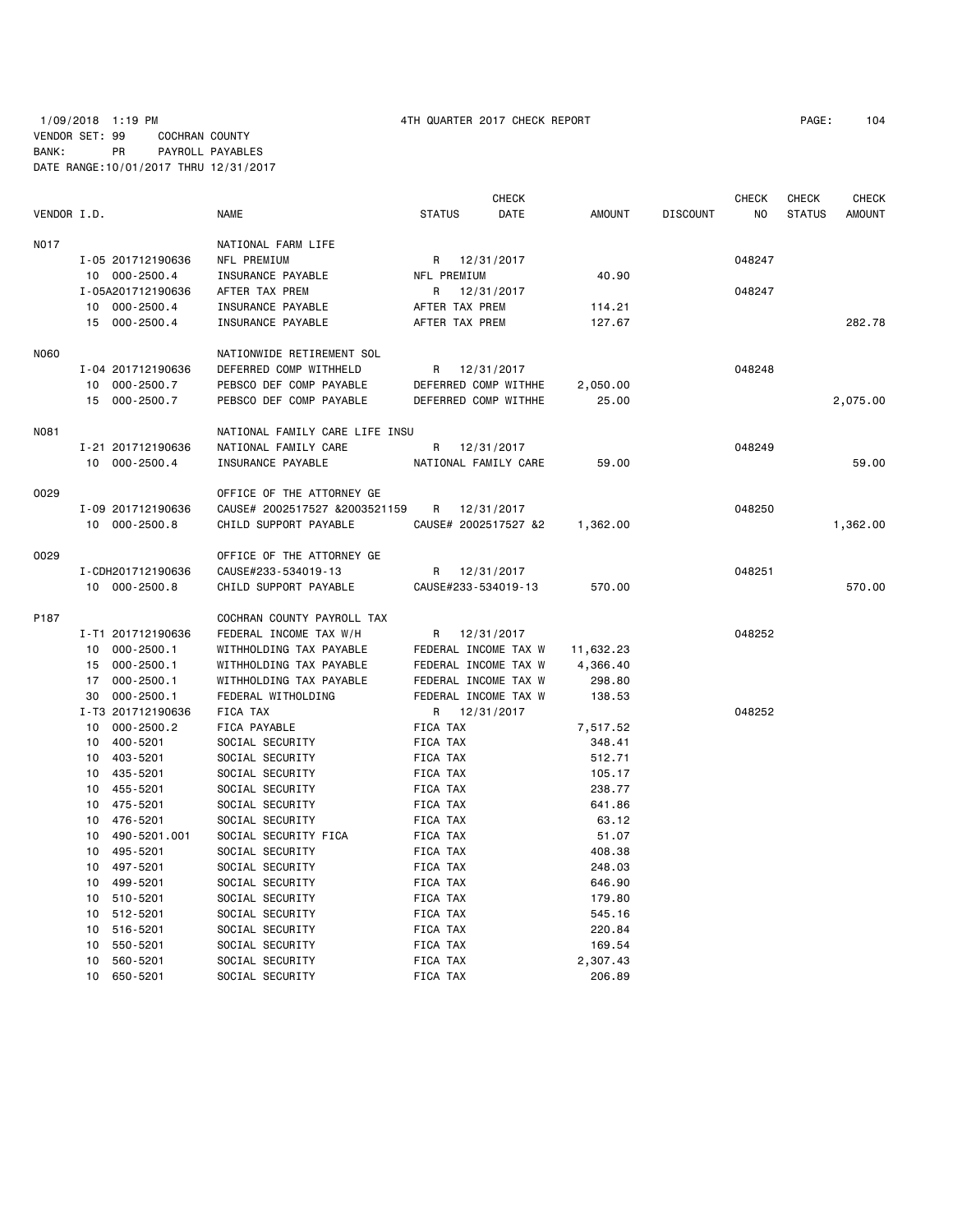# 1/09/2018 1:19 PM 4TH QUARTER 2017 CHECK REPORT PAGE: 104 VENDOR SET: 99 COCHRAN COUNTY BANK: PR PAYROLL PAYABLES DATE RANGE:10/01/2017 THRU 12/31/2017

|             |                      |                                | <b>CHECK</b>         |                       |                 | <b>CHECK</b>   | <b>CHECK</b>  | <b>CHECK</b>  |
|-------------|----------------------|--------------------------------|----------------------|-----------------------|-----------------|----------------|---------------|---------------|
| VENDOR I.D. |                      | <b>NAME</b>                    | <b>STATUS</b>        | DATE<br><b>AMOUNT</b> | <b>DISCOUNT</b> | N <sub>O</sub> | <b>STATUS</b> | <b>AMOUNT</b> |
| N017        |                      | NATIONAL FARM LIFE             |                      |                       |                 |                |               |               |
|             | I-05 201712190636    | NFL PREMIUM                    | R 12/31/2017         |                       |                 | 048247         |               |               |
|             | 10 000-2500.4        | INSURANCE PAYABLE              | NFL PREMIUM          |                       | 40.90           |                |               |               |
|             | I-05A201712190636    | AFTER TAX PREM                 | 12/31/2017<br>R      |                       |                 | 048247         |               |               |
|             | 10 000-2500.4        | INSURANCE PAYABLE              | AFTER TAX PREM       | 114.21                |                 |                |               |               |
|             | 15 000-2500.4        | INSURANCE PAYABLE              | AFTER TAX PREM       | 127.67                |                 |                |               | 282.78        |
| N060        |                      | NATIONWIDE RETIREMENT SOL      |                      |                       |                 |                |               |               |
|             | I-04 201712190636    | DEFERRED COMP WITHHELD         | 12/31/2017<br>R      |                       |                 | 048248         |               |               |
|             | 10 000-2500.7        | PEBSCO DEF COMP PAYABLE        | DEFERRED COMP WITHHE | 2,050.00              |                 |                |               |               |
|             | 15 000-2500.7        | PEBSCO DEF COMP PAYABLE        | DEFERRED COMP WITHHE |                       | 25.00           |                |               | 2,075.00      |
| N081        |                      | NATIONAL FAMILY CARE LIFE INSU |                      |                       |                 |                |               |               |
|             | I-21 201712190636    | NATIONAL FAMILY CARE           | R 12/31/2017         |                       |                 | 048249         |               |               |
|             | 10 000-2500.4        | INSURANCE PAYABLE              | NATIONAL FAMILY CARE |                       | 59.00           |                |               | 59.00         |
| 0029        |                      | OFFICE OF THE ATTORNEY GE      |                      |                       |                 |                |               |               |
|             | I-09 201712190636    | CAUSE# 2002517527 &2003521159  | 12/31/2017<br>R      |                       |                 | 048250         |               |               |
|             | 10 000-2500.8        | CHILD SUPPORT PAYABLE          | CAUSE# 2002517527 &2 | 1,362.00              |                 |                |               | 1,362.00      |
| 0029        |                      | OFFICE OF THE ATTORNEY GE      |                      |                       |                 |                |               |               |
|             | I-CDH201712190636    | CAUSE#233-534019-13            | R 12/31/2017         |                       |                 | 048251         |               |               |
|             | 10 000-2500.8        | CHILD SUPPORT PAYABLE          | CAUSE#233-534019-13  | 570.00                |                 |                |               | 570.00        |
| P187        |                      | COCHRAN COUNTY PAYROLL TAX     |                      |                       |                 |                |               |               |
|             | I-T1 201712190636    | FEDERAL INCOME TAX W/H         | R 12/31/2017         |                       |                 | 048252         |               |               |
|             | 10 000-2500.1        | WITHHOLDING TAX PAYABLE        | FEDERAL INCOME TAX W | 11,632.23             |                 |                |               |               |
|             | 15 000-2500.1        | WITHHOLDING TAX PAYABLE        | FEDERAL INCOME TAX W | 4,366.40              |                 |                |               |               |
|             | 17 000-2500.1        | WITHHOLDING TAX PAYABLE        | FEDERAL INCOME TAX W | 298.80                |                 |                |               |               |
|             | 30<br>$000 - 2500.1$ | FEDERAL WITHOLDING             | FEDERAL INCOME TAX W | 138.53                |                 |                |               |               |
|             | I-T3 201712190636    | FICA TAX                       | R 12/31/2017         |                       |                 | 048252         |               |               |
|             | 10 000-2500.2        | FICA PAYABLE                   | FICA TAX             | 7,517.52              |                 |                |               |               |
|             | 10 400-5201          | SOCIAL SECURITY                | FICA TAX             | 348.41                |                 |                |               |               |
|             | 10 403-5201          | SOCIAL SECURITY                | FICA TAX             | 512.71                |                 |                |               |               |
|             | 10 435-5201          | SOCIAL SECURITY                | FICA TAX             | 105.17                |                 |                |               |               |
|             | 10 455-5201          | SOCIAL SECURITY                | FICA TAX             | 238.77                |                 |                |               |               |
|             | 10 475-5201          | SOCIAL SECURITY                | FICA TAX             | 641.86                |                 |                |               |               |
|             | 10 476-5201          | SOCIAL SECURITY                | FICA TAX             |                       | 63.12           |                |               |               |
|             | 490-5201.001<br>10   | SOCIAL SECURITY FICA           | FICA TAX             |                       | 51.07           |                |               |               |
|             | 10<br>495-5201       | SOCIAL SECURITY                | FICA TAX             | 408.38                |                 |                |               |               |
|             | 497-5201<br>10       | SOCIAL SECURITY                | FICA TAX             | 248.03                |                 |                |               |               |
|             | 10 499-5201          | SOCIAL SECURITY                | FICA TAX             | 646.90                |                 |                |               |               |
|             | 510-5201<br>10       | SOCIAL SECURITY                | FICA TAX             | 179.80                |                 |                |               |               |
|             | 512-5201<br>10       | SOCIAL SECURITY                | FICA TAX             | 545.16                |                 |                |               |               |
|             | 516-5201<br>10       | SOCIAL SECURITY                | FICA TAX             | 220.84                |                 |                |               |               |
|             | 10<br>550-5201       | SOCIAL SECURITY                | FICA TAX             | 169.54                |                 |                |               |               |
|             | 10<br>560-5201       | SOCIAL SECURITY                | FICA TAX             | 2,307.43              |                 |                |               |               |
|             | 10 650-5201          | SOCIAL SECURITY                | <b>FICA TAX</b>      | 206.89                |                 |                |               |               |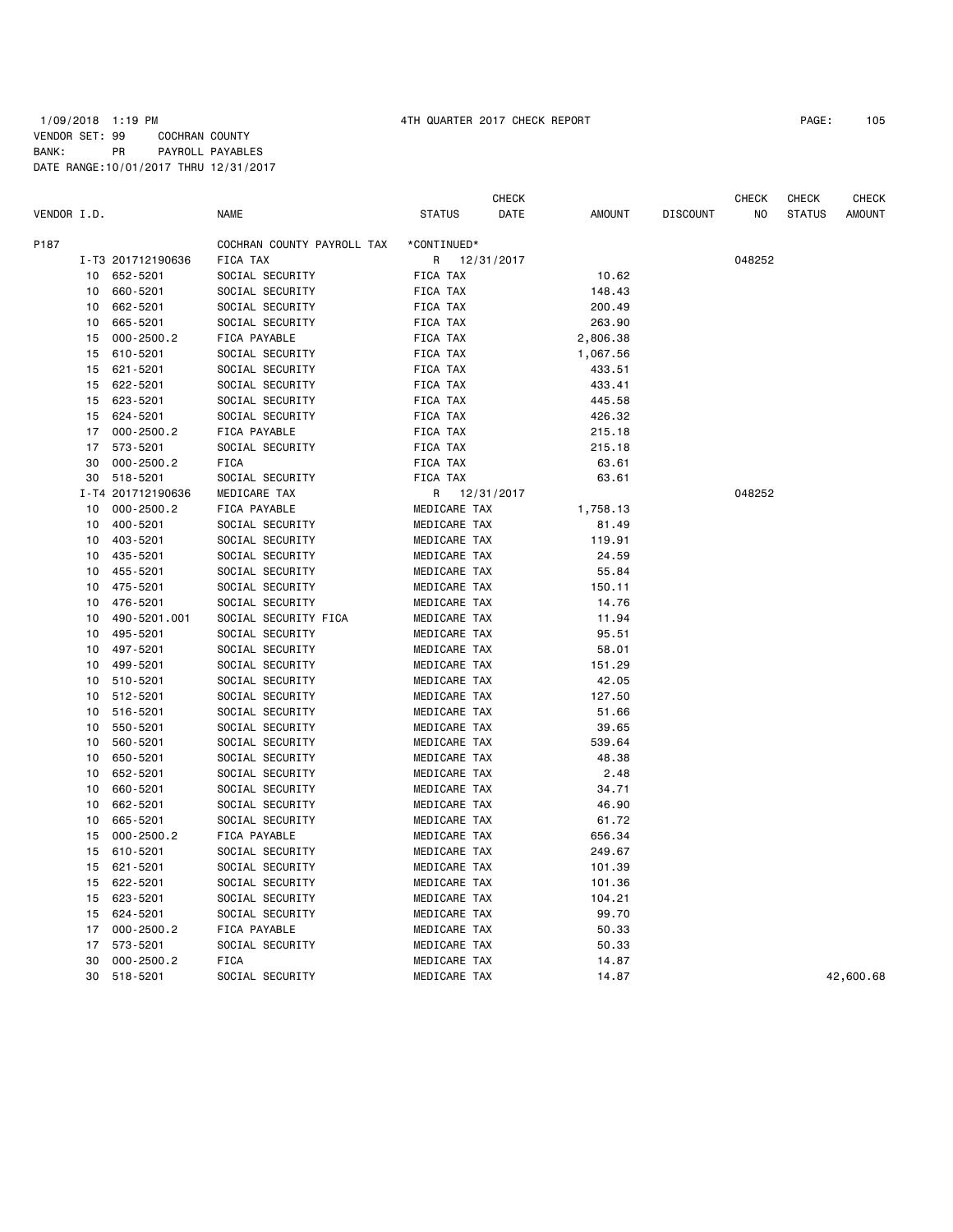|             |    |                   |                            |                 | <b>CHECK</b> |               |                 | <b>CHECK</b> | <b>CHECK</b>  | <b>CHECK</b>  |
|-------------|----|-------------------|----------------------------|-----------------|--------------|---------------|-----------------|--------------|---------------|---------------|
| VENDOR I.D. |    |                   | <b>NAME</b>                | <b>STATUS</b>   | DATE         | <b>AMOUNT</b> | <b>DISCOUNT</b> | NO.          | <b>STATUS</b> | <b>AMOUNT</b> |
| P187        |    |                   | COCHRAN COUNTY PAYROLL TAX | *CONTINUED*     |              |               |                 |              |               |               |
|             |    | I-T3 201712190636 | FICA TAX                   | R               | 12/31/2017   |               |                 | 048252       |               |               |
|             | 10 | 652-5201          | SOCIAL SECURITY            | <b>FICA TAX</b> |              | 10.62         |                 |              |               |               |
|             | 10 | 660-5201          | SOCIAL SECURITY            | <b>FICA TAX</b> |              | 148.43        |                 |              |               |               |
|             | 10 | 662-5201          | SOCIAL SECURITY            | FICA TAX        |              | 200.49        |                 |              |               |               |
|             | 10 | 665-5201          | SOCIAL SECURITY            | FICA TAX        |              | 263.90        |                 |              |               |               |
|             | 15 | 000-2500.2        | FICA PAYABLE               | FICA TAX        |              | 2,806.38      |                 |              |               |               |
|             | 15 | 610-5201          | SOCIAL SECURITY            | FICA TAX        |              | 1,067.56      |                 |              |               |               |
|             | 15 | 621-5201          | SOCIAL SECURITY            | FICA TAX        |              | 433.51        |                 |              |               |               |
|             | 15 | 622-5201          | SOCIAL SECURITY            | FICA TAX        |              | 433.41        |                 |              |               |               |
|             | 15 | 623-5201          | SOCIAL SECURITY            | FICA TAX        |              | 445.58        |                 |              |               |               |
|             |    |                   |                            |                 |              |               |                 |              |               |               |
|             | 15 | 624-5201          | SOCIAL SECURITY            | FICA TAX        |              | 426.32        |                 |              |               |               |
|             | 17 | $000 - 2500.2$    | FICA PAYABLE               | FICA TAX        |              | 215.18        |                 |              |               |               |
|             | 17 | 573-5201          | SOCIAL SECURITY            | FICA TAX        |              | 215.18        |                 |              |               |               |
|             | 30 | $000 - 2500.2$    | <b>FICA</b>                | FICA TAX        |              | 63.61         |                 |              |               |               |
|             | 30 | 518-5201          | SOCIAL SECURITY            | FICA TAX        |              | 63.61         |                 |              |               |               |
|             |    | I-T4 201712190636 | MEDICARE TAX               | R               | 12/31/2017   |               |                 | 048252       |               |               |
|             | 10 | $000 - 2500.2$    | FICA PAYABLE               | MEDICARE TAX    |              | 1,758.13      |                 |              |               |               |
|             | 10 | 400-5201          | SOCIAL SECURITY            | MEDICARE TAX    |              | 81.49         |                 |              |               |               |
|             | 10 | 403-5201          | SOCIAL SECURITY            | MEDICARE TAX    |              | 119.91        |                 |              |               |               |
|             | 10 | 435-5201          | SOCIAL SECURITY            | MEDICARE TAX    |              | 24.59         |                 |              |               |               |
|             | 10 | 455-5201          | SOCIAL SECURITY            | MEDICARE TAX    |              | 55.84         |                 |              |               |               |
|             | 10 | 475-5201          | SOCIAL SECURITY            | MEDICARE TAX    |              | 150.11        |                 |              |               |               |
|             | 10 | 476-5201          | SOCIAL SECURITY            | MEDICARE TAX    |              | 14.76         |                 |              |               |               |
|             | 10 | 490-5201.001      | SOCIAL SECURITY FICA       | MEDICARE TAX    |              | 11.94         |                 |              |               |               |
|             | 10 | 495-5201          | SOCIAL SECURITY            | MEDICARE TAX    |              | 95.51         |                 |              |               |               |
|             | 10 | 497-5201          | SOCIAL SECURITY            | MEDICARE TAX    |              | 58.01         |                 |              |               |               |
|             | 10 | 499-5201          | SOCIAL SECURITY            | MEDICARE TAX    |              | 151.29        |                 |              |               |               |
|             | 10 | 510-5201          | SOCIAL SECURITY            | MEDICARE TAX    |              | 42.05         |                 |              |               |               |
|             | 10 | 512-5201          | SOCIAL SECURITY            | MEDICARE TAX    |              | 127.50        |                 |              |               |               |
|             | 10 | 516-5201          | SOCIAL SECURITY            | MEDICARE TAX    |              | 51.66         |                 |              |               |               |
|             | 10 | 550-5201          | SOCIAL SECURITY            | MEDICARE TAX    |              | 39.65         |                 |              |               |               |
|             | 10 | 560-5201          | SOCIAL SECURITY            | MEDICARE TAX    |              | 539.64        |                 |              |               |               |
|             | 10 | 650-5201          | SOCIAL SECURITY            | MEDICARE TAX    |              | 48.38         |                 |              |               |               |
|             | 10 | 652-5201          | SOCIAL SECURITY            | MEDICARE TAX    |              | 2.48          |                 |              |               |               |
|             | 10 | 660-5201          | SOCIAL SECURITY            | MEDICARE TAX    |              | 34.71         |                 |              |               |               |
|             | 10 | 662-5201          | SOCIAL SECURITY            | MEDICARE TAX    |              | 46.90         |                 |              |               |               |
|             | 10 | 665-5201          | SOCIAL SECURITY            | MEDICARE TAX    |              | 61.72         |                 |              |               |               |
|             | 15 | $000 - 2500.2$    | FICA PAYABLE               | MEDICARE TAX    |              | 656.34        |                 |              |               |               |
|             | 15 | 610-5201          | SOCIAL SECURITY            | MEDICARE TAX    |              | 249.67        |                 |              |               |               |
|             | 15 | 621-5201          | SOCIAL SECURITY            | MEDICARE TAX    |              | 101.39        |                 |              |               |               |
|             | 15 | 622-5201          | SOCIAL SECURITY            | MEDICARE TAX    |              | 101.36        |                 |              |               |               |
|             | 15 | 623-5201          | SOCIAL SECURITY            | MEDICARE TAX    |              | 104.21        |                 |              |               |               |
|             | 15 | 624-5201          | SOCIAL SECURITY            | MEDICARE TAX    |              | 99.70         |                 |              |               |               |
|             | 17 | $000 - 2500.2$    | FICA PAYABLE               | MEDICARE TAX    |              | 50.33         |                 |              |               |               |
|             | 17 | 573-5201          | SOCIAL SECURITY            | MEDICARE TAX    |              | 50.33         |                 |              |               |               |
|             | 30 | $000 - 2500.2$    | <b>FICA</b>                | MEDICARE TAX    |              | 14.87         |                 |              |               |               |
|             | 30 |                   | SOCIAL SECURITY            |                 |              |               |                 |              |               |               |
|             |    | 518-5201          |                            | MEDICARE TAX    |              | 14.87         |                 |              |               | 42,600.68     |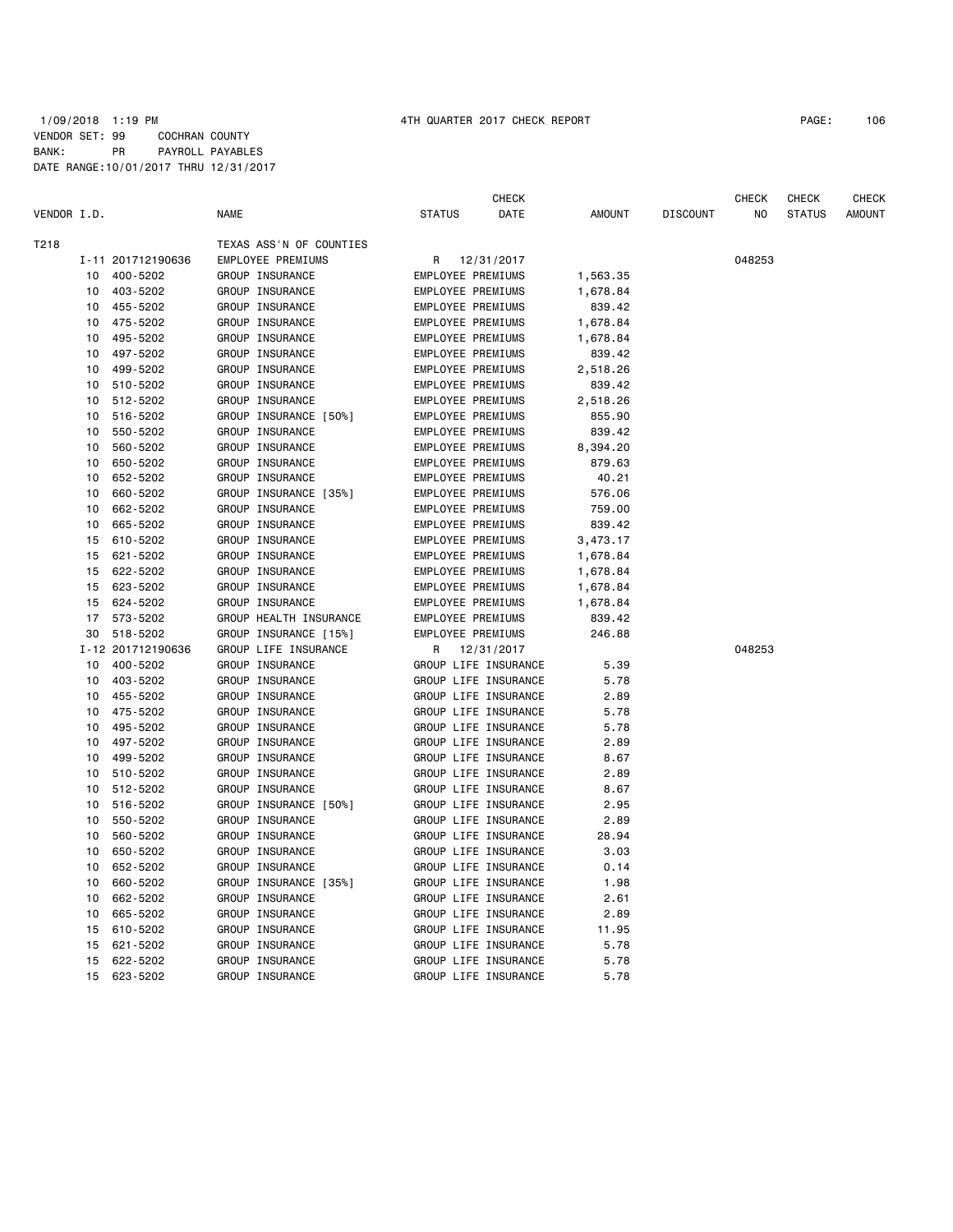|             |    |                   |                         | <b>CHECK</b>          |               |                 | CHECK  | CHECK         | CHECK         |
|-------------|----|-------------------|-------------------------|-----------------------|---------------|-----------------|--------|---------------|---------------|
| VENDOR I.D. |    |                   | <b>NAME</b>             | <b>STATUS</b><br>DATE | <b>AMOUNT</b> | <b>DISCOUNT</b> | NO.    | <b>STATUS</b> | <b>AMOUNT</b> |
| T218        |    |                   | TEXAS ASS'N OF COUNTIES |                       |               |                 |        |               |               |
|             |    | I-11 201712190636 | EMPLOYEE PREMIUMS       | 12/31/2017<br>R       |               |                 | 048253 |               |               |
|             | 10 | 400-5202          | GROUP INSURANCE         | EMPLOYEE PREMIUMS     | 1,563.35      |                 |        |               |               |
|             | 10 | 403-5202          | GROUP INSURANCE         | EMPLOYEE PREMIUMS     | 1,678.84      |                 |        |               |               |
|             |    | 10 455-5202       | GROUP INSURANCE         | EMPLOYEE PREMIUMS     | 839.42        |                 |        |               |               |
|             | 10 | 475-5202          | GROUP INSURANCE         | EMPLOYEE PREMIUMS     | 1,678.84      |                 |        |               |               |
|             | 10 | 495-5202          | GROUP INSURANCE         | EMPLOYEE PREMIUMS     | 1,678.84      |                 |        |               |               |
|             | 10 | 497-5202          | GROUP INSURANCE         | EMPLOYEE PREMIUMS     | 839.42        |                 |        |               |               |
|             | 10 | 499-5202          | GROUP INSURANCE         | EMPLOYEE PREMIUMS     | 2,518.26      |                 |        |               |               |
|             | 10 | 510-5202          | GROUP INSURANCE         | EMPLOYEE PREMIUMS     | 839.42        |                 |        |               |               |
|             | 10 | 512-5202          | GROUP INSURANCE         | EMPLOYEE PREMIUMS     | 2,518.26      |                 |        |               |               |
|             | 10 | 516-5202          | GROUP INSURANCE [50%]   | EMPLOYEE PREMIUMS     | 855.90        |                 |        |               |               |
|             | 10 | 550-5202          | GROUP INSURANCE         | EMPLOYEE PREMIUMS     | 839.42        |                 |        |               |               |
|             | 10 | 560-5202          | GROUP INSURANCE         | EMPLOYEE PREMIUMS     | 8,394.20      |                 |        |               |               |
|             | 10 | 650-5202          | GROUP INSURANCE         | EMPLOYEE PREMIUMS     | 879.63        |                 |        |               |               |
|             | 10 | 652-5202          | GROUP INSURANCE         | EMPLOYEE PREMIUMS     | 40.21         |                 |        |               |               |
|             | 10 | 660-5202          | GROUP INSURANCE [35%]   | EMPLOYEE PREMIUMS     | 576.06        |                 |        |               |               |
|             | 10 | 662-5202          | GROUP INSURANCE         | EMPLOYEE PREMIUMS     | 759.00        |                 |        |               |               |
|             | 10 | 665-5202          | GROUP INSURANCE         | EMPLOYEE PREMIUMS     | 839.42        |                 |        |               |               |
|             | 15 | 610-5202          | GROUP INSURANCE         | EMPLOYEE PREMIUMS     | 3,473.17      |                 |        |               |               |
|             | 15 | 621-5202          | GROUP INSURANCE         | EMPLOYEE PREMIUMS     | 1,678.84      |                 |        |               |               |
|             | 15 | 622-5202          | GROUP INSURANCE         | EMPLOYEE PREMIUMS     | 1,678.84      |                 |        |               |               |
|             | 15 | 623-5202          | GROUP INSURANCE         | EMPLOYEE PREMIUMS     | 1,678.84      |                 |        |               |               |
|             | 15 | 624-5202          | GROUP INSURANCE         | EMPLOYEE PREMIUMS     | 1,678.84      |                 |        |               |               |
|             | 17 | 573-5202          | GROUP HEALTH INSURANCE  | EMPLOYEE PREMIUMS     | 839.42        |                 |        |               |               |
|             | 30 | 518-5202          | GROUP INSURANCE [15%]   | EMPLOYEE PREMIUMS     | 246.88        |                 |        |               |               |
|             |    | I-12 201712190636 | GROUP LIFE INSURANCE    | 12/31/2017<br>R       |               |                 | 048253 |               |               |
|             | 10 | 400-5202          | GROUP INSURANCE         | GROUP LIFE INSURANCE  | 5.39          |                 |        |               |               |
|             | 10 | 403-5202          | GROUP INSURANCE         | GROUP LIFE INSURANCE  | 5.78          |                 |        |               |               |
|             | 10 | 455-5202          | GROUP INSURANCE         | GROUP LIFE INSURANCE  | 2.89          |                 |        |               |               |
|             | 10 | 475-5202          | GROUP INSURANCE         | GROUP LIFE INSURANCE  | 5.78          |                 |        |               |               |
|             | 10 | 495-5202          | GROUP INSURANCE         | GROUP LIFE INSURANCE  | 5.78          |                 |        |               |               |
|             | 10 | 497-5202          | GROUP INSURANCE         | GROUP LIFE INSURANCE  | 2.89          |                 |        |               |               |
|             | 10 | 499-5202          | GROUP INSURANCE         | GROUP LIFE INSURANCE  | 8.67          |                 |        |               |               |
|             | 10 | 510-5202          | GROUP INSURANCE         | GROUP LIFE INSURANCE  | 2.89          |                 |        |               |               |
|             | 10 | 512-5202          | GROUP INSURANCE         | GROUP LIFE INSURANCE  | 8.67          |                 |        |               |               |
|             | 10 | 516-5202          | GROUP INSURANCE [50%]   | GROUP LIFE INSURANCE  | 2.95          |                 |        |               |               |
|             | 10 | 550-5202          | GROUP INSURANCE         | GROUP LIFE INSURANCE  | 2.89          |                 |        |               |               |
|             | 10 | 560-5202          | GROUP INSURANCE         | GROUP LIFE INSURANCE  | 28.94         |                 |        |               |               |
|             | 10 | 650-5202          | GROUP INSURANCE         | GROUP LIFE INSURANCE  | 3.03          |                 |        |               |               |
|             | 10 | 652-5202          | GROUP INSURANCE         | GROUP LIFE INSURANCE  | 0.14          |                 |        |               |               |
|             | 10 | 660-5202          | GROUP INSURANCE [35%]   | GROUP LIFE INSURANCE  | 1.98          |                 |        |               |               |
|             | 10 | 662-5202          | GROUP INSURANCE         | GROUP LIFE INSURANCE  | 2.61          |                 |        |               |               |
|             | 10 | 665-5202          | GROUP INSURANCE         | GROUP LIFE INSURANCE  | 2.89          |                 |        |               |               |
|             | 15 | 610-5202          | GROUP INSURANCE         | GROUP LIFE INSURANCE  | 11.95         |                 |        |               |               |
|             | 15 | 621-5202          | GROUP INSURANCE         | GROUP LIFE INSURANCE  | 5.78          |                 |        |               |               |
|             | 15 | 622-5202          | GROUP INSURANCE         | GROUP LIFE INSURANCE  | 5.78          |                 |        |               |               |
|             | 15 | 623-5202          | GROUP INSURANCE         | GROUP LIFE INSURANCE  | 5.78          |                 |        |               |               |
|             |    |                   |                         |                       |               |                 |        |               |               |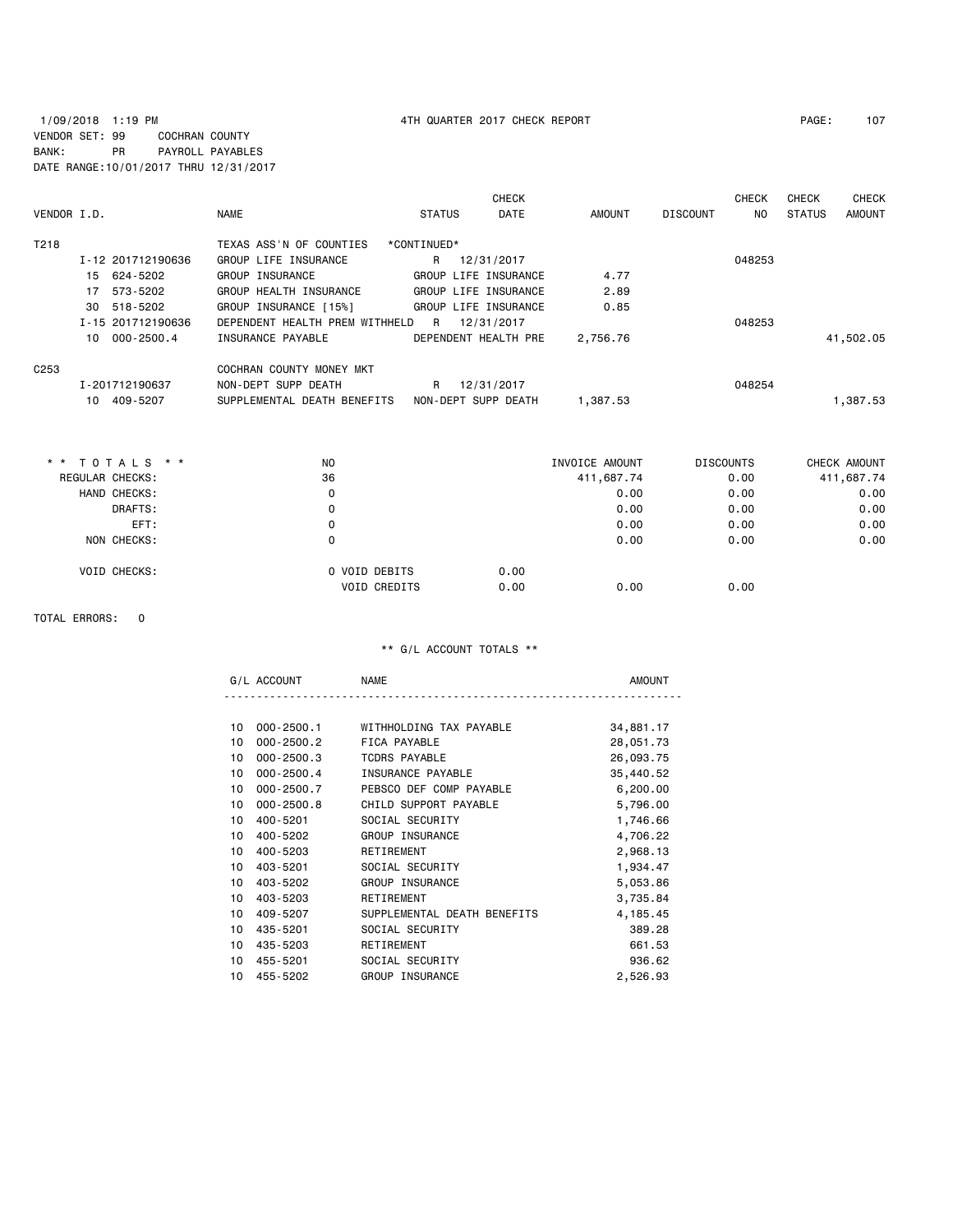# 1/09/2018 1:19 PM 4TH QUARTER 2017 CHECK REPORT PAGE: 107 VENDOR SET: 99 COCHRAN COUNTY BANK: PR PAYROLL PAYABLES DATE RANGE:10/01/2017 THRU 12/31/2017

| VENDOR I.D.      |                   | <b>NAME</b>                    | <b>STATUS</b> | <b>CHECK</b><br>DATE | AMOUNT   | <b>DISCOUNT</b> | <b>CHECK</b><br>NO. | <b>CHECK</b><br><b>STATUS</b> | CHECK<br><b>AMOUNT</b> |
|------------------|-------------------|--------------------------------|---------------|----------------------|----------|-----------------|---------------------|-------------------------------|------------------------|
| T218             |                   | TEXAS ASS'N OF COUNTIES        | *CONTINUED*   |                      |          |                 |                     |                               |                        |
|                  | I-12 201712190636 | GROUP LIFE INSURANCE           | R             | 12/31/2017           |          |                 | 048253              |                               |                        |
|                  | 15 624-5202       | GROUP INSURANCE                |               | GROUP LIFE INSURANCE | 4.77     |                 |                     |                               |                        |
|                  | 17 573-5202       | GROUP HEALTH INSURANCE         |               | GROUP LIFE INSURANCE | 2.89     |                 |                     |                               |                        |
|                  | 30 518-5202       | GROUP INSURANCE [15%]          |               | GROUP LIFE INSURANCE | 0.85     |                 |                     |                               |                        |
|                  | I-15 201712190636 | DEPENDENT HEALTH PREM WITHHELD | R             | 12/31/2017           |          |                 | 048253              |                               |                        |
|                  | 000-2500.4<br>10  | INSURANCE PAYABLE              |               | DEPENDENT HEALTH PRE | 2,756.76 |                 |                     |                               | 41,502.05              |
| C <sub>253</sub> |                   | COCHRAN COUNTY MONEY MKT       |               |                      |          |                 |                     |                               |                        |
|                  | I-201712190637    | NON-DEPT SUPP DEATH            | R             | 12/31/2017           |          |                 | 048254              |                               |                        |
|                  | 10 409-5207       | SUPPLEMENTAL DEATH BENEFITS    |               | NON-DEPT SUPP DEATH  | 1,387.53 |                 |                     |                               | 1.387.53               |

| * * TOTALS * *      | N <sub>O</sub> |                                      | INVOICE AMOUNT       | <b>DISCOUNTS</b> | CHECK AMOUNT |
|---------------------|----------------|--------------------------------------|----------------------|------------------|--------------|
| REGULAR CHECKS:     | 36             |                                      | 411,687.74           | 0.00             | 411,687.74   |
| HAND CHECKS:        |                | 0                                    | 0.00                 | 0.00             | 0.00         |
| DRAFTS:             |                | 0                                    | 0.00                 | 0.00             | 0.00         |
| EFT:                |                | 0                                    | 0.00                 | 0.00             | 0.00         |
| NON CHECKS:         |                | 0                                    | 0.00                 | 0.00             | 0.00         |
| <b>VOID CHECKS:</b> |                | 0 VOID DEBITS<br><b>VOID CREDITS</b> | 0.00<br>0.00<br>0.00 | 0.00             |              |

TOTAL ERRORS: 0

|    | G/L ACCOUNT    | <b>NAME</b>                 | <b>AMOUNT</b> |
|----|----------------|-----------------------------|---------------|
|    |                |                             |               |
| 10 | $000 - 2500.1$ | WITHHOLDING TAX PAYABLE     | 34,881.17     |
| 10 | $000 - 2500.2$ | <b>FICA PAYABLE</b>         | 28,051.73     |
| 10 | $000 - 2500.3$ | <b>TCDRS PAYABLE</b>        | 26,093.75     |
| 10 | $000 - 2500.4$ | INSURANCE PAYABLE           | 35,440.52     |
| 10 | $000 - 2500.7$ | PEBSCO DEF COMP PAYABLE     | 6,200.00      |
| 10 | $000 - 2500.8$ | CHILD SUPPORT PAYABLE       | 5,796.00      |
| 10 | 400-5201       | SOCIAL SECURITY             | 1,746.66      |
| 10 | 400-5202       | <b>GROUP INSURANCE</b>      | 4,706.22      |
| 10 | 400-5203       | RETIREMENT                  | 2,968.13      |
| 10 | 403-5201       | SOCIAL SECURITY             | 1,934.47      |
| 10 | 403-5202       | GROUP INSURANCE             | 5,053.86      |
| 10 | 403-5203       | RETIREMENT                  | 3,735.84      |
| 10 | 409-5207       | SUPPLEMENTAL DEATH BENEFITS | 4, 185.45     |
| 10 | 435-5201       | SOCIAL SECURITY             | 389.28        |
| 10 | 435-5203       | RETIREMENT                  | 661.53        |
| 10 | 455-5201       | SOCIAL SECURITY             | 936.62        |
| 10 | 455-5202       | GROUP INSURANCE             | 2,526.93      |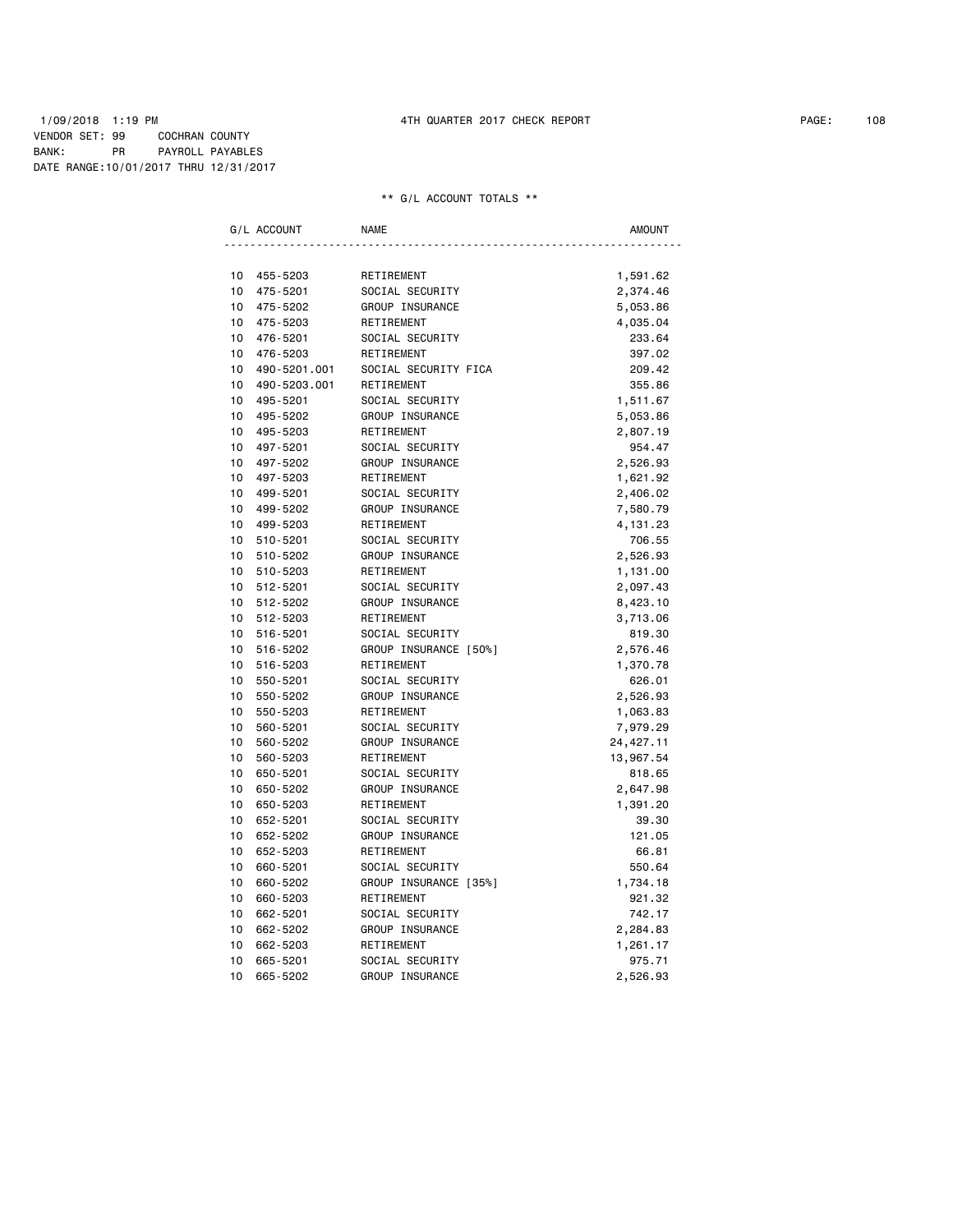### 1/09/2018 1:19 PM 4TH QUARTER 2017 CHECK REPORT PAGE: 108 VENDOR SET: 99 COCHRAN COUNTY BANK: PR PAYROLL PAYABLES DATE RANGE:10/01/2017 THRU 12/31/2017

|                 | G/L ACCOUNT  | <b>NAME</b>           | AMOUNT     |
|-----------------|--------------|-----------------------|------------|
|                 |              |                       |            |
| 10              | 455-5203     | RETIREMENT            | 1,591.62   |
| 10              | 475-5201     | SOCIAL SECURITY       | 2,374.46   |
| 10              | 475-5202     | GROUP INSURANCE       | 5,053.86   |
| 10              | 475-5203     | RETIREMENT            | 4,035.04   |
| 10              | 476-5201     | SOCIAL SECURITY       | 233.64     |
| 10              | 476-5203     | RETIREMENT            | 397.02     |
| 10 <sup>1</sup> | 490-5201.001 | SOCIAL SECURITY FICA  | 209.42     |
| 10              | 490-5203.001 | RETIREMENT            | 355.86     |
| 10              | 495-5201     | SOCIAL SECURITY       | 1,511.67   |
| 10              | 495-5202     | GROUP INSURANCE       | 5,053.86   |
| 10              | 495-5203     | RETIREMENT            | 2,807.19   |
| 10              | 497-5201     | SOCIAL SECURITY       | 954.47     |
| 10              | 497-5202     | GROUP INSURANCE       | 2,526.93   |
| 10              | 497-5203     | RETIREMENT            | 1,621.92   |
| 10              | 499-5201     | SOCIAL SECURITY       | 2,406.02   |
| 10 <sup>1</sup> | 499-5202     | GROUP INSURANCE       | 7,580.79   |
| 10              | 499-5203     | RETIREMENT            | 4,131.23   |
| 10 <sup>1</sup> | 510-5201     | SOCIAL SECURITY       | 706.55     |
| 10              | 510-5202     | GROUP INSURANCE       | 2,526.93   |
| 10              | 510-5203     | RETIREMENT            | 1,131.00   |
| 10              | 512-5201     | SOCIAL SECURITY       | 2,097.43   |
| 10              | 512-5202     | GROUP INSURANCE       | 8,423.10   |
| 10              | 512-5203     | RETIREMENT            | 3,713.06   |
| 10              | 516-5201     | SOCIAL SECURITY       | 819.30     |
| 10              | 516-5202     | GROUP INSURANCE [50%] | 2,576.46   |
| 10              | 516-5203     | RETIREMENT            | 1,370.78   |
| 10              | 550-5201     | SOCIAL SECURITY       | 626.01     |
| 10              | 550-5202     | GROUP INSURANCE       | 2,526.93   |
| 10              | 550-5203     | RETIREMENT            | 1,063.83   |
| 10              | 560-5201     | SOCIAL SECURITY       | 7,979.29   |
| 10              | 560-5202     | GROUP INSURANCE       | 24, 427.11 |
| 10              | 560-5203     | RETIREMENT            | 13,967.54  |
| 10              | 650-5201     | SOCIAL SECURITY       | 818.65     |
| 10              | 650-5202     | GROUP INSURANCE       | 2,647.98   |
| 10              | 650-5203     | RETIREMENT            | 1,391.20   |
| 10              | 652-5201     | SOCIAL SECURITY       | 39.30      |
| 10              | 652-5202     | GROUP INSURANCE       | 121.05     |
| 10              | 652-5203     | RETIREMENT            | 66.81      |
| 10              | 660-5201     | SOCIAL SECURITY       | 550.64     |
| 10              | 660-5202     | GROUP INSURANCE [35%] | 1,734.18   |
| 10              | 660-5203     | RETIREMENT            | 921.32     |
| 10              | 662-5201     | SOCIAL SECURITY       | 742.17     |
| 10              | 662-5202     | GROUP INSURANCE       | 2,284.83   |
| 10              | 662-5203     | RETIREMENT            | 1,261.17   |
| 10              | 665-5201     | SOCIAL SECURITY       | 975.71     |
| 10              | 665-5202     | GROUP INSURANCE       | 2,526.93   |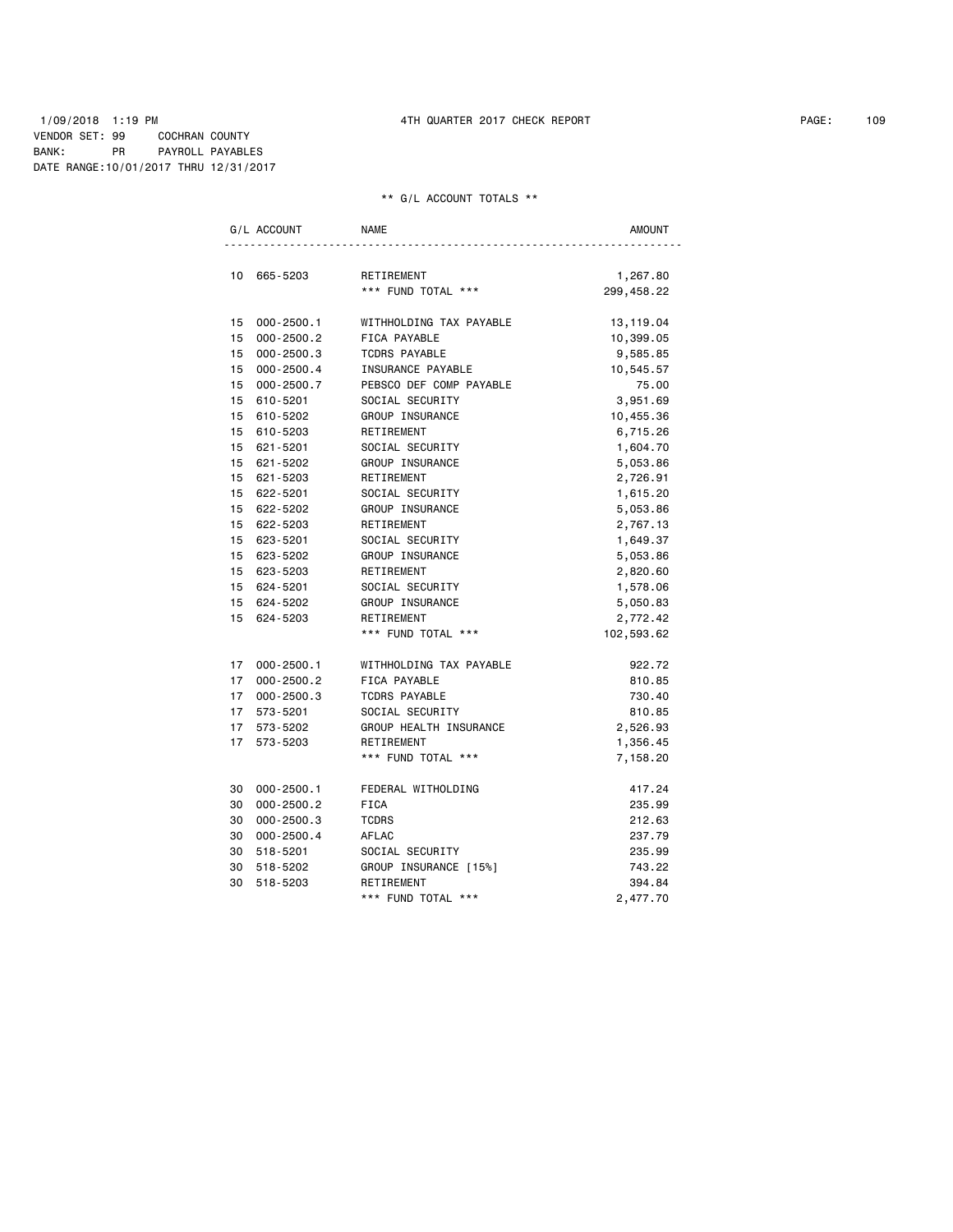## 1/09/2018 1:19 PM 4TH QUARTER 2017 CHECK REPORT PAGE: 109 VENDOR SET: 99 COCHRAN COUNTY BANK: PR PAYROLL PAYABLES DATE RANGE:10/01/2017 THRU 12/31/2017

## \*\* G/L ACCOUNT TOTALS \*\*

|                                    | G/L ACCOUNT                      | <b>NAME</b>             | AMOUNT     |  |  |
|------------------------------------|----------------------------------|-------------------------|------------|--|--|
| 10                                 | 665-5203                         | RETIREMENT              | 1,267.80   |  |  |
|                                    |                                  | *** FUND TOTAL ***      | 299,458.22 |  |  |
|                                    |                                  |                         |            |  |  |
|                                    | 15 000-2500.1                    | WITHHOLDING TAX PAYABLE | 13,119.04  |  |  |
| 15                                 | $000 - 2500.2$                   | FICA PAYABLE            | 10,399.05  |  |  |
| 15                                 | 000-2500.3                       | <b>TCDRS PAYABLE</b>    | 9,585.85   |  |  |
| 15                                 | $000 - 2500.4$                   | INSURANCE PAYABLE       | 10,545.57  |  |  |
| 15                                 | $000 - 2500.7$                   | PEBSCO DEF COMP PAYABLE | 75.00      |  |  |
|                                    | 15 610-5201                      | SOCIAL SECURITY         | 3,951.69   |  |  |
|                                    | 15 610-5202                      | GROUP INSURANCE         | 10,455.36  |  |  |
|                                    | 15 610-5203                      | RETIREMENT              | 6,715.26   |  |  |
| 15                                 | 621-5201                         | SOCIAL SECURITY         | 1,604.70   |  |  |
| 15                                 | 621-5202                         | GROUP INSURANCE         | 5,053.86   |  |  |
|                                    | 15 621-5203                      | RETIREMENT              | 2,726.91   |  |  |
| 15 <sub>1</sub>                    | 622-5201                         | SOCIAL SECURITY         | 1,615.20   |  |  |
|                                    | 15 622-5202                      | GROUP INSURANCE         | 5,053.86   |  |  |
|                                    | 15 622-5203                      | RETIREMENT              | 2,767.13   |  |  |
|                                    | 15 623-5201                      | SOCIAL SECURITY         | 1,649.37   |  |  |
| 15                                 | 623-5202                         | GROUP INSURANCE         | 5,053.86   |  |  |
|                                    | 15 623-5203                      | RETIREMENT              | 2,820.60   |  |  |
|                                    | 15 624-5201                      | SOCIAL SECURITY         | 1,578.06   |  |  |
| 15                                 | 624-5202                         | GROUP INSURANCE         | 5,050.83   |  |  |
| 15 <sub>1</sub>                    | 624-5203                         | RETIREMENT              | 2,772.42   |  |  |
|                                    |                                  | *** FUND TOTAL ***      | 102,593.62 |  |  |
| 17 <sup>7</sup>                    |                                  | WITHHOLDING TAX PAYABLE | 922.72     |  |  |
| 17                                 | $000 - 2500.1$<br>$000 - 2500.2$ |                         |            |  |  |
|                                    |                                  | FICA PAYABLE            | 810.85     |  |  |
| 17 <sup>7</sup><br>17 <sup>7</sup> | $000 - 2500.3$                   | <b>TCDRS PAYABLE</b>    | 730.40     |  |  |
|                                    | 573-5201                         | SOCIAL SECURITY         | 810.85     |  |  |
| 17 <sup>7</sup>                    | 573-5202                         | GROUP HEALTH INSURANCE  | 2,526.93   |  |  |
| 17 <sup>7</sup>                    | 573-5203                         | RETIREMENT              | 1,356.45   |  |  |
|                                    |                                  | *** FUND TOTAL ***      | 7,158.20   |  |  |
| 30                                 | $000 - 2500.1$                   | FEDERAL WITHOLDING      | 417.24     |  |  |
| 30                                 | $000 - 2500.2$                   | <b>FICA</b>             | 235.99     |  |  |
| 30                                 | $000 - 2500.3$                   | <b>TCDRS</b>            | 212.63     |  |  |
| 30                                 | $000 - 2500.4$                   | AFLAC                   | 237.79     |  |  |
| 30                                 | 518-5201                         | SOCIAL SECURITY         | 235.99     |  |  |
| 30                                 | 518-5202                         | GROUP INSURANCE [15%]   | 743.22     |  |  |
| 30                                 | 518-5203                         | RETIREMENT              | 394.84     |  |  |
|                                    |                                  | *** FUND TOTAL ***      | 2,477.70   |  |  |